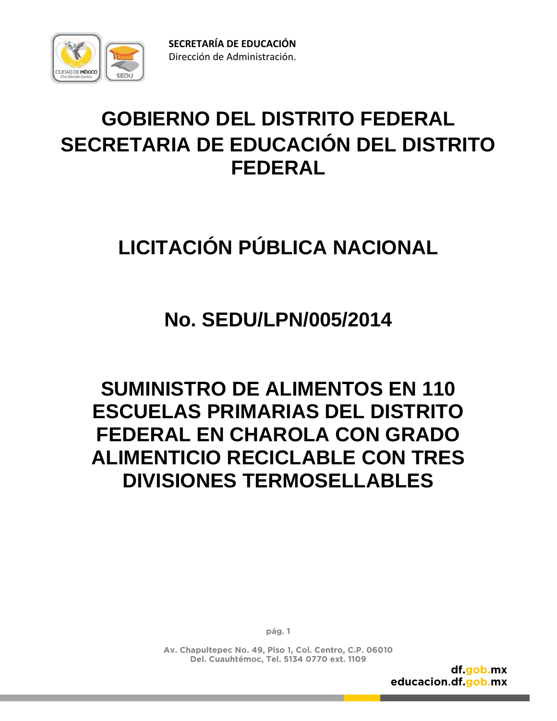

# **GOBIERNO DEL DISTRITO FEDERAL SECRETARIA DE EDUCACIÓN DEL DISTRITO FEDERAL**

# **LICITACIÓN PÚBLICA NACIONAL**

## **No. SEDU/LPN/005/2014**

## **SUMINISTRO DE ALIMENTOS EN 110 ESCUELAS PRIMARIAS DEL DISTRITO FEDERAL EN CHAROLA CON GRADO ALIMENTICIO RECICLABLE CON TRES DIVISIONES TERMOSELLABLES**

**pág. 1** 

**Av. Chapultepec No. 49, Piso 1, Col. Centro, C.P. 06010 Del. Cuauhtémoc, Tel. 5134 0770 ext. 1109**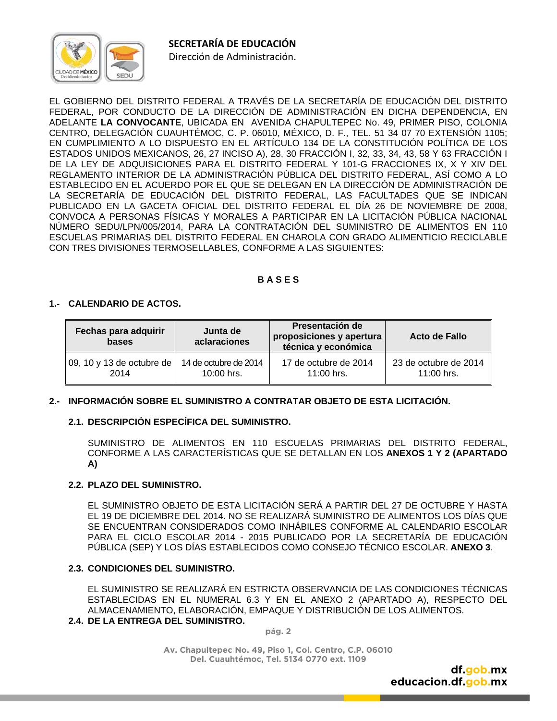**SECRETARÍA DE EDUCACIÓN**



Dirección de Administración.

EL GOBIERNO DEL DISTRITO FEDERAL A TRAVÉS DE LA SECRETARÍA DE EDUCACIÓN DEL DISTRITO FEDERAL, POR CONDUCTO DE LA DIRECCIÓN DE ADMINISTRACIÓN EN DICHA DEPENDENCIA, EN ADELANTE **LA CONVOCANTE**, UBICADA EN AVENIDA CHAPULTEPEC No. 49, PRIMER PISO, COLONIA CENTRO, DELEGACIÓN CUAUHTÉMOC, C. P. 06010, MÉXICO, D. F., TEL. 51 34 07 70 EXTENSIÓN 1105; EN CUMPLIMIENTO A LO DISPUESTO EN EL ARTÍCULO 134 DE LA CONSTITUCIÓN POLÍTICA DE LOS ESTADOS UNIDOS MEXICANOS, 26, 27 INCISO A), 28, 30 FRACCIÓN I, 32, 33, 34, 43, 58 Y 63 FRACCIÓN I DE LA LEY DE ADQUISICIONES PARA EL DISTRITO FEDERAL Y 101-G FRACCIONES IX, X Y XIV DEL REGLAMENTO INTERIOR DE LA ADMINISTRACIÓN PÚBLICA DEL DISTRITO FEDERAL, ASÍ COMO A LO ESTABLECIDO EN EL ACUERDO POR EL QUE SE DELEGAN EN LA DIRECCIÓN DE ADMINISTRACIÓN DE LA SECRETARÍA DE EDUCACIÓN DEL DISTRITO FEDERAL, LAS FACULTADES QUE SE INDICAN PUBLICADO EN LA GACETA OFICIAL DEL DISTRITO FEDERAL EL DÍA 26 DE NOVIEMBRE DE 2008, CONVOCA A PERSONAS FÍSICAS Y MORALES A PARTICIPAR EN LA LICITACIÓN PÚBLICA NACIONAL NÚMERO SEDU/LPN/005/2014, PARA LA CONTRATACIÓN DEL SUMINISTRO DE ALIMENTOS EN 110 ESCUELAS PRIMARIAS DEL DISTRITO FEDERAL EN CHAROLA CON GRADO ALIMENTICIO RECICLABLE CON TRES DIVISIONES TERMOSELLABLES, CONFORME A LAS SIGUIENTES:

## **B A S E S**

## **1.- CALENDARIO DE ACTOS.**

| Fechas para adquirir<br>bases             | Junta de<br>aclaraciones | Presentación de<br>proposiciones y apertura<br>técnica y económica | Acto de Fallo         |
|-------------------------------------------|--------------------------|--------------------------------------------------------------------|-----------------------|
| $\vert$ 09, 10 y 13 de octubre de $\vert$ | 14 de octubre de 2014    | 17 de octubre de 2014                                              | 23 de octubre de 2014 |
| 2014                                      | $10:00$ hrs.             | $11:00$ hrs.                                                       | $11:00$ hrs.          |

## **2.- INFORMACIÓN SOBRE EL SUMINISTRO A CONTRATAR OBJETO DE ESTA LICITACIÓN.**

## **2.1. DESCRIPCIÓN ESPECÍFICA DEL SUMINISTRO.**

 SUMINISTRO DE ALIMENTOS EN 110 ESCUELAS PRIMARIAS DEL DISTRITO FEDERAL, CONFORME A LAS CARACTERÍSTICAS QUE SE DETALLAN EN LOS **ANEXOS 1 Y 2 (APARTADO A)**

## **2.2. PLAZO DEL SUMINISTRO.**

 EL SUMINISTRO OBJETO DE ESTA LICITACIÓN SERÁ A PARTIR DEL 27 DE OCTUBRE Y HASTA EL 19 DE DICIEMBRE DEL 2014. NO SE REALIZARÁ SUMINISTRO DE ALIMENTOS LOS DÍAS QUE SE ENCUENTRAN CONSIDERADOS COMO INHÁBILES CONFORME AL CALENDARIO ESCOLAR PARA EL CICLO ESCOLAR 2014 - 2015 PUBLICADO POR LA SECRETARÍA DE EDUCACIÓN PÚBLICA (SEP) Y LOS DÍAS ESTABLECIDOS COMO CONSEJO TÉCNICO ESCOLAR. **ANEXO 3**.

## **2.3. CONDICIONES DEL SUMINISTRO.**

EL SUMINISTRO SE REALIZARÁ EN ESTRICTA OBSERVANCIA DE LAS CONDICIONES TÉCNICAS ESTABLECIDAS EN EL NUMERAL 6.3 Y EN EL ANEXO 2 (APARTADO A), RESPECTO DEL ALMACENAMIENTO, ELABORACIÓN, EMPAQUE Y DISTRIBUCIÓN DE LOS ALIMENTOS. **2.4. DE LA ENTREGA DEL SUMINISTRO.** 

**pág. 2**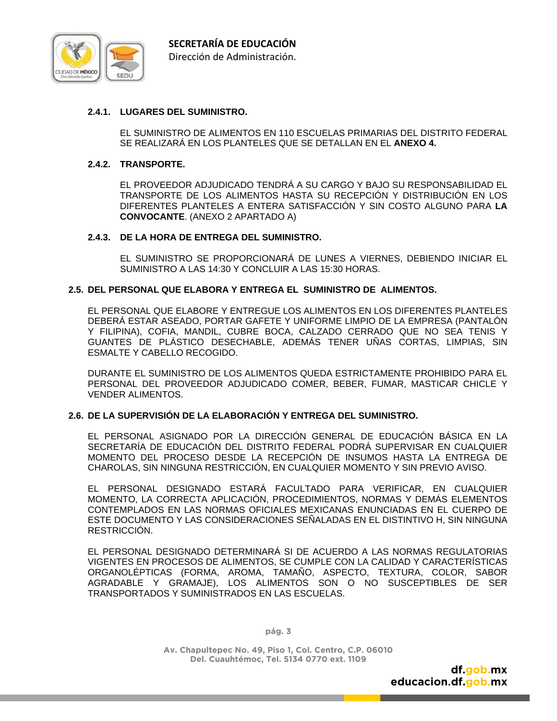

## **2.4.1. LUGARES DEL SUMINISTRO.**

EL SUMINISTRO DE ALIMENTOS EN 110 ESCUELAS PRIMARIAS DEL DISTRITO FEDERAL SE REALIZARÁ EN LOS PLANTELES QUE SE DETALLAN EN EL **ANEXO 4.** 

#### **2.4.2. TRANSPORTE.**

EL PROVEEDOR ADJUDICADO TENDRÁ A SU CARGO Y BAJO SU RESPONSABILIDAD EL TRANSPORTE DE LOS ALIMENTOS HASTA SU RECEPCIÓN Y DISTRIBUCIÓN EN LOS DIFERENTES PLANTELES A ENTERA SATISFACCIÓN Y SIN COSTO ALGUNO PARA **LA CONVOCANTE**. (ANEXO 2 APARTADO A)

#### **2.4.3. DE LA HORA DE ENTREGA DEL SUMINISTRO.**

EL SUMINISTRO SE PROPORCIONARÁ DE LUNES A VIERNES, DEBIENDO INICIAR EL SUMINISTRO A LAS 14:30 Y CONCLUIR A LAS 15:30 HORAS.

#### **2.5. DEL PERSONAL QUE ELABORA Y ENTREGA EL SUMINISTRO DE ALIMENTOS.**

EL PERSONAL QUE ELABORE Y ENTREGUE LOS ALIMENTOS EN LOS DIFERENTES PLANTELES DEBERÁ ESTAR ASEADO, PORTAR GAFETE Y UNIFORME LIMPIO DE LA EMPRESA (PANTALÓN Y FILIPINA), COFIA, MANDIL, CUBRE BOCA, CALZADO CERRADO QUE NO SEA TENIS Y GUANTES DE PLÁSTICO DESECHABLE, ADEMÁS TENER UÑAS CORTAS, LIMPIAS, SIN ESMALTE Y CABELLO RECOGIDO.

DURANTE EL SUMINISTRO DE LOS ALIMENTOS QUEDA ESTRICTAMENTE PROHIBIDO PARA EL PERSONAL DEL PROVEEDOR ADJUDICADO COMER, BEBER, FUMAR, MASTICAR CHICLE Y VENDER ALIMENTOS.

#### **2.6. DE LA SUPERVISIÓN DE LA ELABORACIÓN Y ENTREGA DEL SUMINISTRO.**

EL PERSONAL ASIGNADO POR LA DIRECCIÓN GENERAL DE EDUCACIÓN BÁSICA EN LA SECRETARÍA DE EDUCACIÓN DEL DISTRITO FEDERAL PODRÁ SUPERVISAR EN CUALQUIER MOMENTO DEL PROCESO DESDE LA RECEPCIÓN DE INSUMOS HASTA LA ENTREGA DE CHAROLAS, SIN NINGUNA RESTRICCIÓN, EN CUALQUIER MOMENTO Y SIN PREVIO AVISO.

EL PERSONAL DESIGNADO ESTARÁ FACULTADO PARA VERIFICAR, EN CUALQUIER MOMENTO, LA CORRECTA APLICACIÓN, PROCEDIMIENTOS, NORMAS Y DEMÁS ELEMENTOS CONTEMPLADOS EN LAS NORMAS OFICIALES MEXICANAS ENUNCIADAS EN EL CUERPO DE ESTE DOCUMENTO Y LAS CONSIDERACIONES SEÑALADAS EN EL DISTINTIVO H, SIN NINGUNA RESTRICCIÓN.

EL PERSONAL DESIGNADO DETERMINARÁ SI DE ACUERDO A LAS NORMAS REGULATORIAS VIGENTES EN PROCESOS DE ALIMENTOS, SE CUMPLE CON LA CALIDAD Y CARACTERÍSTICAS ORGANOLÉPTICAS (FORMA, AROMA, TAMAÑO, ASPECTO, TEXTURA, COLOR, SABOR AGRADABLE Y GRAMAJE), LOS ALIMENTOS SON O NO SUSCEPTIBLES DE SER TRANSPORTADOS Y SUMINISTRADOS EN LAS ESCUELAS.

**pág. 3** 

**Av. Chapultepec No. 49, Piso 1, Col. Centro, C.P. 06010 Del. Cuauhtémoc, Tel. 5134 0770 ext. 1109**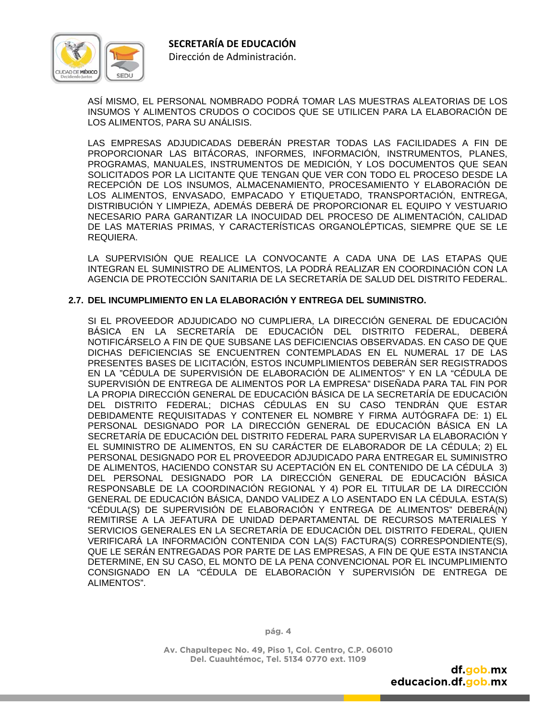

ASÍ MISMO, EL PERSONAL NOMBRADO PODRÁ TOMAR LAS MUESTRAS ALEATORIAS DE LOS INSUMOS Y ALIMENTOS CRUDOS O COCIDOS QUE SE UTILICEN PARA LA ELABORACIÓN DE LOS ALIMENTOS, PARA SU ANÁLISIS.

LAS EMPRESAS ADJUDICADAS DEBERÁN PRESTAR TODAS LAS FACILIDADES A FIN DE PROPORCIONAR LAS BITÁCORAS, INFORMES, INFORMACIÓN, INSTRUMENTOS, PLANES, PROGRAMAS, MANUALES, INSTRUMENTOS DE MEDICIÓN, Y LOS DOCUMENTOS QUE SEAN SOLICITADOS POR LA LICITANTE QUE TENGAN QUE VER CON TODO EL PROCESO DESDE LA RECEPCIÓN DE LOS INSUMOS, ALMACENAMIENTO, PROCESAMIENTO Y ELABORACIÓN DE LOS ALIMENTOS, ENVASADO, EMPACADO Y ETIQUETADO, TRANSPORTACIÓN, ENTREGA, DISTRIBUCIÓN Y LIMPIEZA, ADEMÁS DEBERÁ DE PROPORCIONAR EL EQUIPO Y VESTUARIO NECESARIO PARA GARANTIZAR LA INOCUIDAD DEL PROCESO DE ALIMENTACIÓN, CALIDAD DE LAS MATERIAS PRIMAS, Y CARACTERÍSTICAS ORGANOLÉPTICAS, SIEMPRE QUE SE LE REQUIERA.

LA SUPERVISIÓN QUE REALICE LA CONVOCANTE A CADA UNA DE LAS ETAPAS QUE INTEGRAN EL SUMINISTRO DE ALIMENTOS, LA PODRÁ REALIZAR EN COORDINACIÓN CON LA AGENCIA DE PROTECCIÓN SANITARIA DE LA SECRETARÍA DE SALUD DEL DISTRITO FEDERAL.

## **2.7. DEL INCUMPLIMIENTO EN LA ELABORACIÓN Y ENTREGA DEL SUMINISTRO.**

SI EL PROVEEDOR ADJUDICADO NO CUMPLIERA, LA DIRECCIÓN GENERAL DE EDUCACIÓN BÁSICA EN LA SECRETARÍA DE EDUCACIÓN DEL DISTRITO FEDERAL, DEBERÁ NOTIFICÁRSELO A FIN DE QUE SUBSANE LAS DEFICIENCIAS OBSERVADAS. EN CASO DE QUE DICHAS DEFICIENCIAS SE ENCUENTREN CONTEMPLADAS EN EL NUMERAL 17 DE LAS PRESENTES BASES DE LICITACIÓN, ESTOS INCUMPLIMIENTOS DEBERÁN SER REGISTRADOS EN LA "CÉDULA DE SUPERVISIÓN DE ELABORACIÓN DE ALIMENTOS" Y EN LA "CÉDULA DE SUPERVISIÓN DE ENTREGA DE ALIMENTOS POR LA EMPRESA" DISEÑADA PARA TAL FIN POR LA PROPIA DIRECCIÓN GENERAL DE EDUCACIÓN BÁSICA DE LA SECRETARÍA DE EDUCACIÓN DEL DISTRITO FEDERAL; DICHAS CÉDULAS EN SU CASO TENDRÁN QUE ESTAR DEBIDAMENTE REQUISITADAS Y CONTENER EL NOMBRE Y FIRMA AUTÓGRAFA DE: 1) EL PERSONAL DESIGNADO POR LA DIRECCIÓN GENERAL DE EDUCACIÓN BÁSICA EN LA SECRETARÍA DE EDUCACIÓN DEL DISTRITO FEDERAL PARA SUPERVISAR LA ELABORACIÓN Y EL SUMINISTRO DE ALIMENTOS, EN SU CARÁCTER DE ELABORADOR DE LA CÉDULA; 2) EL PERSONAL DESIGNADO POR EL PROVEEDOR ADJUDICADO PARA ENTREGAR EL SUMINISTRO DE ALIMENTOS, HACIENDO CONSTAR SU ACEPTACIÓN EN EL CONTENIDO DE LA CÉDULA 3) DEL PERSONAL DESIGNADO POR LA DIRECCIÓN GENERAL DE EDUCACIÓN BÁSICA RESPONSABLE DE LA COORDINACIÓN REGIONAL Y 4) POR EL TITULAR DE LA DIRECCIÓN GENERAL DE EDUCACIÓN BÁSICA, DANDO VALIDEZ A LO ASENTADO EN LA CÉDULA. ESTA(S) "CÉDULA(S) DE SUPERVISIÓN DE ELABORACIÓN Y ENTREGA DE ALIMENTOS" DEBERÁ(N) REMITIRSE A LA JEFATURA DE UNIDAD DEPARTAMENTAL DE RECURSOS MATERIALES Y SERVICIOS GENERALES EN LA SECRETARÍA DE EDUCACIÓN DEL DISTRITO FEDERAL, QUIEN VERIFICARÁ LA INFORMACIÓN CONTENIDA CON LA(S) FACTURA(S) CORRESPONDIENTE(S), QUE LE SERÁN ENTREGADAS POR PARTE DE LAS EMPRESAS, A FIN DE QUE ESTA INSTANCIA DETERMINE, EN SU CASO, EL MONTO DE LA PENA CONVENCIONAL POR EL INCUMPLIMIENTO CONSIGNADO EN LA "CÉDULA DE ELABORACIÓN Y SUPERVISIÓN DE ENTREGA DE ALIMENTOS".

**pág. 4** 

**Av. Chapultepec No. 49, Piso 1, Col. Centro, C.P. 06010 Del. Cuauhtémoc, Tel. 5134 0770 ext. 1109**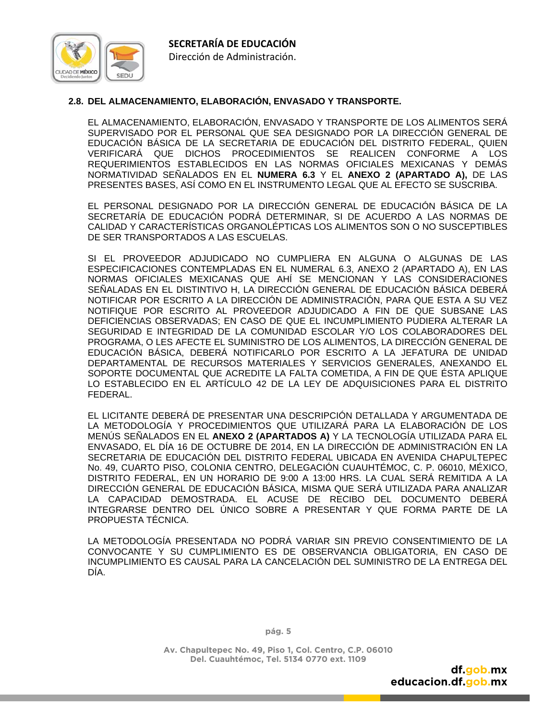

## **2.8. DEL ALMACENAMIENTO, ELABORACIÓN, ENVASADO Y TRANSPORTE.**

EL ALMACENAMIENTO, ELABORACIÓN, ENVASADO Y TRANSPORTE DE LOS ALIMENTOS SERÁ SUPERVISADO POR EL PERSONAL QUE SEA DESIGNADO POR LA DIRECCIÓN GENERAL DE EDUCACIÓN BÁSICA DE LA SECRETARIA DE EDUCACIÓN DEL DISTRITO FEDERAL, QUIEN VERIFICARÁ QUE DICHOS PROCEDIMIENTOS SE REALICEN CONFORME A LOS REQUERIMIENTOS ESTABLECIDOS EN LAS NORMAS OFICIALES MEXICANAS Y DEMÁS NORMATIVIDAD SEÑALADOS EN EL **NUMERA 6.3** Y EL **ANEXO 2 (APARTADO A),** DE LAS PRESENTES BASES, ASÍ COMO EN EL INSTRUMENTO LEGAL QUE AL EFECTO SE SUSCRIBA.

EL PERSONAL DESIGNADO POR LA DIRECCIÓN GENERAL DE EDUCACIÓN BÁSICA DE LA SECRETARÍA DE EDUCACIÓN PODRÁ DETERMINAR, SI DE ACUERDO A LAS NORMAS DE CALIDAD Y CARACTERÍSTICAS ORGANOLÉPTICAS LOS ALIMENTOS SON O NO SUSCEPTIBLES DE SER TRANSPORTADOS A LAS ESCUELAS.

SI EL PROVEEDOR ADJUDICADO NO CUMPLIERA EN ALGUNA O ALGUNAS DE LAS ESPECIFICACIONES CONTEMPLADAS EN EL NUMERAL 6.3, ANEXO 2 (APARTADO A), EN LAS NORMAS OFICIALES MEXICANAS QUE AHÍ SE MENCIONAN Y LAS CONSIDERACIONES SEÑALADAS EN EL DISTINTIVO H, LA DIRECCIÓN GENERAL DE EDUCACIÓN BÁSICA DEBERÁ NOTIFICAR POR ESCRITO A LA DIRECCIÓN DE ADMINISTRACIÓN, PARA QUE ESTA A SU VEZ NOTIFIQUE POR ESCRITO AL PROVEEDOR ADJUDICADO A FIN DE QUE SUBSANE LAS DEFICIENCIAS OBSERVADAS; EN CASO DE QUE EL INCUMPLIMIENTO PUDIERA ALTERAR LA SEGURIDAD E INTEGRIDAD DE LA COMUNIDAD ESCOLAR Y/O LOS COLABORADORES DEL PROGRAMA, O LES AFECTE EL SUMINISTRO DE LOS ALIMENTOS, LA DIRECCIÓN GENERAL DE EDUCACIÓN BÁSICA, DEBERÁ NOTIFICARLO POR ESCRITO A LA JEFATURA DE UNIDAD DEPARTAMENTAL DE RECURSOS MATERIALES Y SERVICIOS GENERALES, ANEXANDO EL SOPORTE DOCUMENTAL QUE ACREDITE LA FALTA COMETIDA, A FIN DE QUE ÉSTA APLIQUE LO ESTABLECIDO EN EL ARTÍCULO 42 DE LA LEY DE ADQUISICIONES PARA EL DISTRITO FEDERAL.

EL LICITANTE DEBERÁ DE PRESENTAR UNA DESCRIPCIÓN DETALLADA Y ARGUMENTADA DE LA METODOLOGÍA Y PROCEDIMIENTOS QUE UTILIZARÁ PARA LA ELABORACIÓN DE LOS MENÚS SEÑALADOS EN EL **ANEXO 2 (APARTADOS A)** Y LA TECNOLOGÍA UTILIZADA PARA EL ENVASADO, EL DÍA 16 DE OCTUBRE DE 2014, EN LA DIRECCIÓN DE ADMINISTRACIÓN EN LA SECRETARIA DE EDUCACIÓN DEL DISTRITO FEDERAL UBICADA EN AVENIDA CHAPULTEPEC No. 49, CUARTO PISO, COLONIA CENTRO, DELEGACIÓN CUAUHTÉMOC, C. P. 06010, MÉXICO, DISTRITO FEDERAL, EN UN HORARIO DE 9:00 A 13:00 HRS. LA CUAL SERÁ REMITIDA A LA DIRECCIÓN GENERAL DE EDUCACIÓN BÁSICA, MISMA QUE SERÁ UTILIZADA PARA ANALIZAR LA CAPACIDAD DEMOSTRADA. EL ACUSE DE RECIBO DEL DOCUMENTO DEBERÁ INTEGRARSE DENTRO DEL ÚNICO SOBRE A PRESENTAR Y QUE FORMA PARTE DE LA PROPUESTA TÉCNICA.

LA METODOLOGÍA PRESENTADA NO PODRÁ VARIAR SIN PREVIO CONSENTIMIENTO DE LA CONVOCANTE Y SU CUMPLIMIENTO ES DE OBSERVANCIA OBLIGATORIA, EN CASO DE INCUMPLIMIENTO ES CAUSAL PARA LA CANCELACIÓN DEL SUMINISTRO DE LA ENTREGA DEL DÍA.

**pág. 5** 

**Av. Chapultepec No. 49, Piso 1, Col. Centro, C.P. 06010 Del. Cuauhtémoc, Tel. 5134 0770 ext. 1109**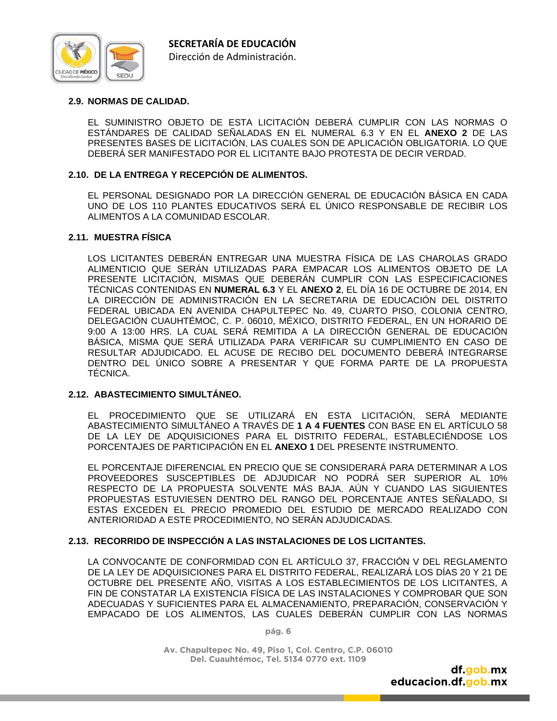

## **2.9. NORMAS DE CALIDAD.**

 EL SUMINISTRO OBJETO DE ESTA LICITACIÓN DEBERÁ CUMPLIR CON LAS NORMAS O ESTÁNDARES DE CALIDAD SEÑALADAS EN EL NUMERAL 6.3 Y EN EL **ANEXO 2** DE LAS PRESENTES BASES DE LICITACIÓN, LAS CUALES SON DE APLICACIÓN OBLIGATORIA. LO QUE DEBERÁ SER MANIFESTADO POR EL LICITANTE BAJO PROTESTA DE DECIR VERDAD.

## **2.10. DE LA ENTREGA Y RECEPCIÓN DE ALIMENTOS.**

EL PERSONAL DESIGNADO POR LA DIRECCIÓN GENERAL DE EDUCACIÓN BÁSICA EN CADA UNO DE LOS 110 PLANTES EDUCATIVOS SERÁ EL ÚNICO RESPONSABLE DE RECIBIR LOS ALIMENTOS A LA COMUNIDAD ESCOLAR.

## **2.11. MUESTRA FÍSICA**

LOS LICITANTES DEBERÁN ENTREGAR UNA MUESTRA FÍSICA DE LAS CHAROLAS GRADO ALIMENTICIO QUE SERÁN UTILIZADAS PARA EMPACAR LOS ALIMENTOS OBJETO DE LA PRESENTE LICITACIÓN, MISMAS QUE DEBERÁN CUMPLIR CON LAS ESPECIFICACIONES TÉCNICAS CONTENIDAS EN **NUMERAL 6.3** Y EL **ANEXO 2**, EL DÍA 16 DE OCTUBRE DE 2014, EN LA DIRECCIÓN DE ADMINISTRACIÓN EN LA SECRETARIA DE EDUCACIÓN DEL DISTRITO FEDERAL UBICADA EN AVENIDA CHAPULTEPEC No. 49, CUARTO PISO, COLONIA CENTRO, DELEGACIÓN CUAUHTÉMOC, C. P. 06010, MÉXICO, DISTRITO FEDERAL, EN UN HORARIO DE 9:00 A 13:00 HRS. LA CUAL SERÁ REMITIDA A LA DIRECCIÓN GENERAL DE EDUCACIÓN BÁSICA, MISMA QUE SERÁ UTILIZADA PARA VERIFICAR SU CUMPLIMIENTO EN CASO DE RESULTAR ADJUDICADO. EL ACUSE DE RECIBO DEL DOCUMENTO DEBERÁ INTEGRARSE DENTRO DEL ÚNICO SOBRE A PRESENTAR Y QUE FORMA PARTE DE LA PROPUESTA TÉCNICA.

## **2.12. ABASTECIMIENTO SIMULTÁNEO.**

 EL PROCEDIMIENTO QUE SE UTILIZARÁ EN ESTA LICITACIÓN, SERÁ MEDIANTE ABASTECIMIENTO SIMULTÁNEO A TRAVÉS DE **1 A 4 FUENTES** CON BASE EN EL ARTÍCULO 58 DE LA LEY DE ADQUISICIONES PARA EL DISTRITO FEDERAL, ESTABLECIÉNDOSE LOS PORCENTAJES DE PARTICIPACIÓN EN EL **ANEXO 1** DEL PRESENTE INSTRUMENTO.

EL PORCENTAJE DIFERENCIAL EN PRECIO QUE SE CONSIDERARÁ PARA DETERMINAR A LOS PROVEEDORES SUSCEPTIBLES DE ADJUDICAR NO PODRÁ SER SUPERIOR AL 10% RESPECTO DE LA PROPUESTA SOLVENTE MÁS BAJA. AÚN Y CUANDO LAS SIGUIENTES PROPUESTAS ESTUVIESEN DENTRO DEL RANGO DEL PORCENTAJE ANTES SEÑALADO, SI ESTAS EXCEDEN EL PRECIO PROMEDIO DEL ESTUDIO DE MERCADO REALIZADO CON ANTERIORIDAD A ESTE PROCEDIMIENTO, NO SERÁN ADJUDICADAS.

## **2.13. RECORRIDO DE INSPECCIÓN A LAS INSTALACIONES DE LOS LICITANTES.**

LA CONVOCANTE DE CONFORMIDAD CON EL ARTÍCULO 37, FRACCIÓN V DEL REGLAMENTO DE LA LEY DE ADQUISICIONES PARA EL DISTRITO FEDERAL, REALIZARÁ LOS DÍAS 20 Y 21 DE OCTUBRE DEL PRESENTE AÑO, VISITAS A LOS ESTABLECIMIENTOS DE LOS LICITANTES, A FIN DE CONSTATAR LA EXISTENCIA FÍSICA DE LAS INSTALACIONES Y COMPROBAR QUE SON ADECUADAS Y SUFICIENTES PARA EL ALMACENAMIENTO, PREPARACIÓN, CONSERVACIÓN Y EMPACADO DE LOS ALIMENTOS, LAS CUALES DEBERÁN CUMPLIR CON LAS NORMAS

**pág. 6** 

**Av. Chapultepec No. 49, Piso 1, Col. Centro, C.P. 06010 Del. Cuauhtémoc, Tel. 5134 0770 ext. 1109**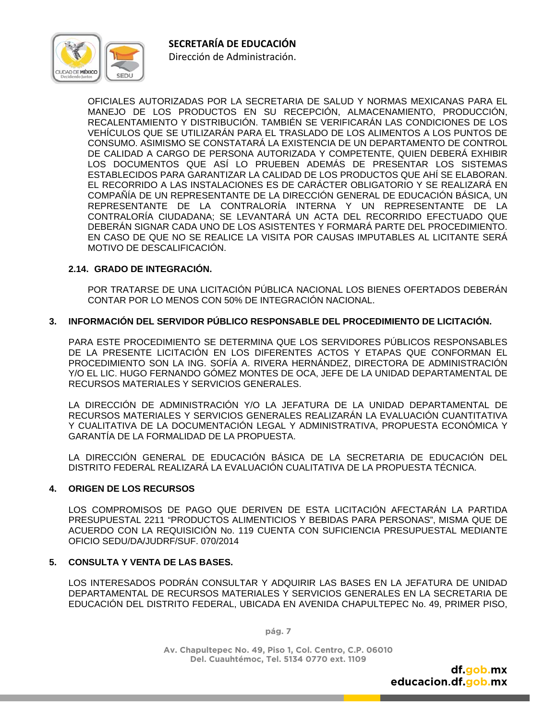**SECRETARÍA DE EDUCACIÓN**



Dirección de Administración.

OFICIALES AUTORIZADAS POR LA SECRETARIA DE SALUD Y NORMAS MEXICANAS PARA EL MANEJO DE LOS PRODUCTOS EN SU RECEPCIÓN, ALMACENAMIENTO, PRODUCCIÓN, RECALENTAMIENTO Y DISTRIBUCIÓN. TAMBIÉN SE VERIFICARÁN LAS CONDICIONES DE LOS VEHÍCULOS QUE SE UTILIZARÁN PARA EL TRASLADO DE LOS ALIMENTOS A LOS PUNTOS DE CONSUMO. ASIMISMO SE CONSTATARÁ LA EXISTENCIA DE UN DEPARTAMENTO DE CONTROL DE CALIDAD A CARGO DE PERSONA AUTORIZADA Y COMPETENTE, QUIEN DEBERÁ EXHIBIR LOS DOCUMENTOS QUE ASÍ LO PRUEBEN ADEMÁS DE PRESENTAR LOS SISTEMAS ESTABLECIDOS PARA GARANTIZAR LA CALIDAD DE LOS PRODUCTOS QUE AHÍ SE ELABORAN. EL RECORRIDO A LAS INSTALACIONES ES DE CARÁCTER OBLIGATORIO Y SE REALIZARÁ EN COMPAÑÍA DE UN REPRESENTANTE DE LA DIRECCIÓN GENERAL DE EDUCACIÓN BÁSICA, UN REPRESENTANTE DE LA CONTRALORÍA INTERNA Y UN REPRESENTANTE DE LA CONTRALORÍA CIUDADANA; SE LEVANTARÁ UN ACTA DEL RECORRIDO EFECTUADO QUE DEBERÁN SIGNAR CADA UNO DE LOS ASISTENTES Y FORMARÁ PARTE DEL PROCEDIMIENTO. EN CASO DE QUE NO SE REALICE LA VISITA POR CAUSAS IMPUTABLES AL LICITANTE SERÁ MOTIVO DE DESCALIFICACIÓN.

## **2.14. GRADO DE INTEGRACIÓN.**

 POR TRATARSE DE UNA LICITACIÓN PÚBLICA NACIONAL LOS BIENES OFERTADOS DEBERÁN CONTAR POR LO MENOS CON 50% DE INTEGRACIÓN NACIONAL.

#### **3. INFORMACIÓN DEL SERVIDOR PÚBLICO RESPONSABLE DEL PROCEDIMIENTO DE LICITACIÓN.**

PARA ESTE PROCEDIMIENTO SE DETERMINA QUE LOS SERVIDORES PÚBLICOS RESPONSABLES DE LA PRESENTE LICITACIÓN EN LOS DIFERENTES ACTOS Y ETAPAS QUE CONFORMAN EL PROCEDIMIENTO SON LA ING. SOFÍA A. RIVERA HERNÁNDEZ, DIRECTORA DE ADMINISTRACIÓN Y/O EL LIC. HUGO FERNANDO GÓMEZ MONTES DE OCA, JEFE DE LA UNIDAD DEPARTAMENTAL DE RECURSOS MATERIALES Y SERVICIOS GENERALES.

 LA DIRECCIÓN DE ADMINISTRACIÓN Y/O LA JEFATURA DE LA UNIDAD DEPARTAMENTAL DE RECURSOS MATERIALES Y SERVICIOS GENERALES REALIZARÁN LA EVALUACIÓN CUANTITATIVA Y CUALITATIVA DE LA DOCUMENTACIÓN LEGAL Y ADMINISTRATIVA, PROPUESTA ECONÓMICA Y GARANTÍA DE LA FORMALIDAD DE LA PROPUESTA.

 LA DIRECCIÓN GENERAL DE EDUCACIÓN BÁSICA DE LA SECRETARIA DE EDUCACIÓN DEL DISTRITO FEDERAL REALIZARÁ LA EVALUACIÓN CUALITATIVA DE LA PROPUESTA TÉCNICA.

#### **4. ORIGEN DE LOS RECURSOS**

LOS COMPROMISOS DE PAGO QUE DERIVEN DE ESTA LICITACIÓN AFECTARÁN LA PARTIDA PRESUPUESTAL 2211 "PRODUCTOS ALIMENTICIOS Y BEBIDAS PARA PERSONAS", MISMA QUE DE ACUERDO CON LA REQUISICIÓN No. 119 CUENTA CON SUFICIENCIA PRESUPUESTAL MEDIANTE OFICIO SEDU/DA/JUDRF/SUF. 070/2014

#### **5. CONSULTA Y VENTA DE LAS BASES.**

LOS INTERESADOS PODRÁN CONSULTAR Y ADQUIRIR LAS BASES EN LA JEFATURA DE UNIDAD DEPARTAMENTAL DE RECURSOS MATERIALES Y SERVICIOS GENERALES EN LA SECRETARIA DE EDUCACIÓN DEL DISTRITO FEDERAL, UBICADA EN AVENIDA CHAPULTEPEC No. 49, PRIMER PISO,

**pág. 7** 

**Av. Chapultepec No. 49, Piso 1, Col. Centro, C.P. 06010 Del. Cuauhtémoc, Tel. 5134 0770 ext. 1109**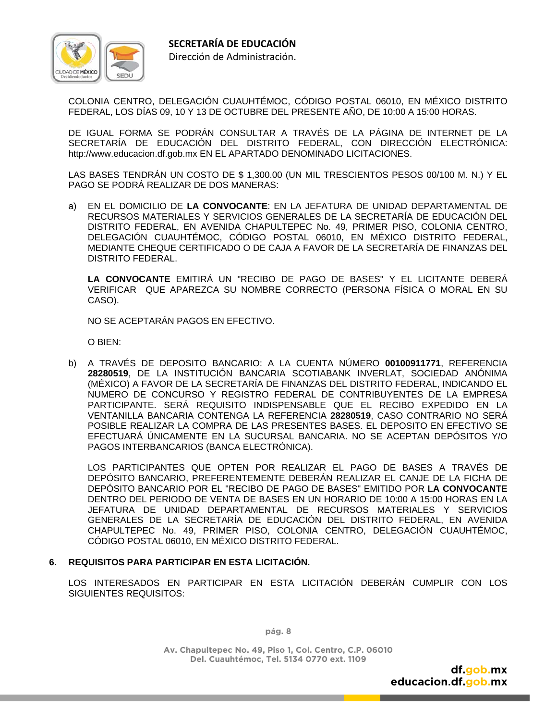

COLONIA CENTRO, DELEGACIÓN CUAUHTÉMOC, CÓDIGO POSTAL 06010, EN MÉXICO DISTRITO FEDERAL, LOS DÍAS 09, 10 Y 13 DE OCTUBRE DEL PRESENTE AÑO, DE 10:00 A 15:00 HORAS.

DE IGUAL FORMA SE PODRÁN CONSULTAR A TRAVÉS DE LA PÁGINA DE INTERNET DE LA SECRETARÍA DE EDUCACIÓN DEL DISTRITO FEDERAL, CON DIRECCIÓN ELECTRÓNICA: http://www.educacion.df.gob.mx EN EL APARTADO DENOMINADO LICITACIONES.

LAS BASES TENDRÁN UN COSTO DE \$ 1,300.00 (UN MIL TRESCIENTOS PESOS 00/100 M. N.) Y EL PAGO SE PODRÁ REALIZAR DE DOS MANERAS:

a) EN EL DOMICILIO DE **LA CONVOCANTE**: EN LA JEFATURA DE UNIDAD DEPARTAMENTAL DE RECURSOS MATERIALES Y SERVICIOS GENERALES DE LA SECRETARÍA DE EDUCACIÓN DEL DISTRITO FEDERAL, EN AVENIDA CHAPULTEPEC No. 49, PRIMER PISO, COLONIA CENTRO, DELEGACIÓN CUAUHTÉMOC, CÓDIGO POSTAL 06010, EN MÉXICO DISTRITO FEDERAL, MEDIANTE CHEQUE CERTIFICADO O DE CAJA A FAVOR DE LA SECRETARÍA DE FINANZAS DEL DISTRITO FEDERAL.

 **LA CONVOCANTE** EMITIRÁ UN "RECIBO DE PAGO DE BASES" Y EL LICITANTE DEBERÁ VERIFICAR QUE APAREZCA SU NOMBRE CORRECTO (PERSONA FÍSICA O MORAL EN SU CASO).

NO SE ACEPTARÁN PAGOS EN EFECTIVO.

O BIEN:

b) A TRAVÉS DE DEPOSITO BANCARIO: A LA CUENTA NÚMERO **00100911771**, REFERENCIA **28280519**, DE LA INSTITUCIÓN BANCARIA SCOTIABANK INVERLAT, SOCIEDAD ANÓNIMA (MÉXICO) A FAVOR DE LA SECRETARÍA DE FINANZAS DEL DISTRITO FEDERAL, INDICANDO EL NUMERO DE CONCURSO Y REGISTRO FEDERAL DE CONTRIBUYENTES DE LA EMPRESA PARTICIPANTE. SERÁ REQUISITO INDISPENSABLE QUE EL RECIBO EXPEDIDO EN LA VENTANILLA BANCARIA CONTENGA LA REFERENCIA **28280519**, CASO CONTRARIO NO SERÁ POSIBLE REALIZAR LA COMPRA DE LAS PRESENTES BASES. EL DEPOSITO EN EFECTIVO SE EFECTUARÁ ÚNICAMENTE EN LA SUCURSAL BANCARIA. NO SE ACEPTAN DEPÓSITOS Y/O PAGOS INTERBANCARIOS (BANCA ELECTRÓNICA).

 LOS PARTICIPANTES QUE OPTEN POR REALIZAR EL PAGO DE BASES A TRAVÉS DE DEPÓSITO BANCARIO, PREFERENTEMENTE DEBERÁN REALIZAR EL CANJE DE LA FICHA DE DEPÓSITO BANCARIO POR EL "RECIBO DE PAGO DE BASES" EMITIDO POR **LA CONVOCANTE** DENTRO DEL PERIODO DE VENTA DE BASES EN UN HORARIO DE 10:00 A 15:00 HORAS EN LA JEFATURA DE UNIDAD DEPARTAMENTAL DE RECURSOS MATERIALES Y SERVICIOS GENERALES DE LA SECRETARÍA DE EDUCACIÓN DEL DISTRITO FEDERAL, EN AVENIDA CHAPULTEPEC No. 49, PRIMER PISO, COLONIA CENTRO, DELEGACIÓN CUAUHTÉMOC, CÓDIGO POSTAL 06010, EN MÉXICO DISTRITO FEDERAL.

#### **6. REQUISITOS PARA PARTICIPAR EN ESTA LICITACIÓN.**

LOS INTERESADOS EN PARTICIPAR EN ESTA LICITACIÓN DEBERÁN CUMPLIR CON LOS SIGUIENTES REQUISITOS:

**pág. 8** 

**Av. Chapultepec No. 49, Piso 1, Col. Centro, C.P. 06010 Del. Cuauhtémoc, Tel. 5134 0770 ext. 1109**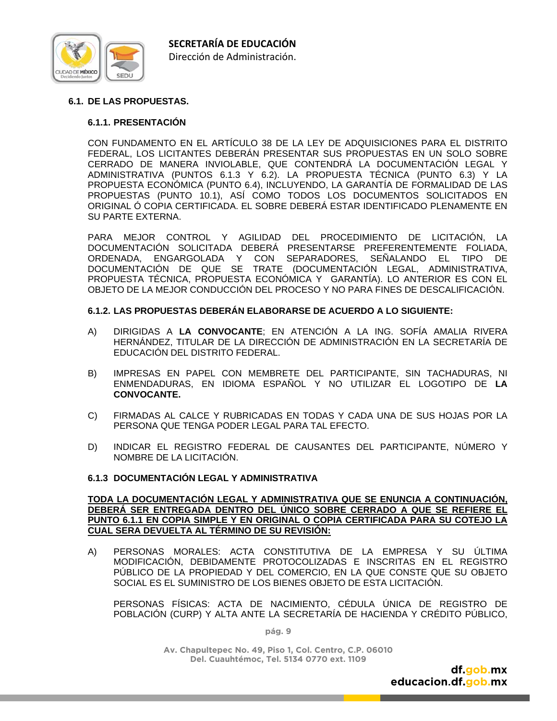

## **6.1. DE LAS PROPUESTAS.**

#### **6.1.1. PRESENTACIÓN**

CON FUNDAMENTO EN EL ARTÍCULO 38 DE LA LEY DE ADQUISICIONES PARA EL DISTRITO FEDERAL, LOS LICITANTES DEBERÁN PRESENTAR SUS PROPUESTAS EN UN SOLO SOBRE CERRADO DE MANERA INVIOLABLE, QUE CONTENDRÁ LA DOCUMENTACIÓN LEGAL Y ADMINISTRATIVA (PUNTOS 6.1.3 Y 6.2). LA PROPUESTA TÉCNICA (PUNTO 6.3) Y LA PROPUESTA ECONÓMICA (PUNTO 6.4), INCLUYENDO, LA GARANTÍA DE FORMALIDAD DE LAS PROPUESTAS (PUNTO 10.1), ASÍ COMO TODOS LOS DOCUMENTOS SOLICITADOS EN ORIGINAL Ó COPIA CERTIFICADA. EL SOBRE DEBERÁ ESTAR IDENTIFICADO PLENAMENTE EN SU PARTE EXTERNA.

PARA MEJOR CONTROL Y AGILIDAD DEL PROCEDIMIENTO DE LICITACIÓN, LA DOCUMENTACIÓN SOLICITADA DEBERÁ PRESENTARSE PREFERENTEMENTE FOLIADA, ORDENADA, ENGARGOLADA Y CON SEPARADORES, SEÑALANDO EL TIPO DE DOCUMENTACIÓN DE QUE SE TRATE (DOCUMENTACIÓN LEGAL, ADMINISTRATIVA, PROPUESTA TÉCNICA, PROPUESTA ECONÓMICA Y GARANTÍA). LO ANTERIOR ES CON EL OBJETO DE LA MEJOR CONDUCCIÓN DEL PROCESO Y NO PARA FINES DE DESCALIFICACIÓN.

#### **6.1.2. LAS PROPUESTAS DEBERÁN ELABORARSE DE ACUERDO A LO SIGUIENTE:**

- A) DIRIGIDAS A **LA CONVOCANTE**; EN ATENCIÓN A LA ING. SOFÍA AMALIA RIVERA HERNÁNDEZ, TITULAR DE LA DIRECCIÓN DE ADMINISTRACIÓN EN LA SECRETARÍA DE EDUCACIÓN DEL DISTRITO FEDERAL.
- B) IMPRESAS EN PAPEL CON MEMBRETE DEL PARTICIPANTE, SIN TACHADURAS, NI ENMENDADURAS, EN IDIOMA ESPAÑOL Y NO UTILIZAR EL LOGOTIPO DE **LA CONVOCANTE.**
- C) FIRMADAS AL CALCE Y RUBRICADAS EN TODAS Y CADA UNA DE SUS HOJAS POR LA PERSONA QUE TENGA PODER LEGAL PARA TAL EFECTO.
- D) INDICAR EL REGISTRO FEDERAL DE CAUSANTES DEL PARTICIPANTE, NÚMERO Y NOMBRE DE LA LICITACIÓN.

#### **6.1.3 DOCUMENTACIÓN LEGAL Y ADMINISTRATIVA**

**TODA LA DOCUMENTACIÓN LEGAL Y ADMINISTRATIVA QUE SE ENUNCIA A CONTINUACIÓN, DEBERÁ SER ENTREGADA DENTRO DEL ÚNICO SOBRE CERRADO A QUE SE REFIERE EL PUNTO 6.1.1 EN COPIA SIMPLE Y EN ORIGINAL O COPIA CERTIFICADA PARA SU COTEJO LA CUAL SERA DEVUELTA AL TÉRMINO DE SU REVISIÓN:** 

A) PERSONAS MORALES: ACTA CONSTITUTIVA DE LA EMPRESA Y SU ÚLTIMA MODIFICACIÓN, DEBIDAMENTE PROTOCOLIZADAS E INSCRITAS EN EL REGISTRO PÚBLICO DE LA PROPIEDAD Y DEL COMERCIO, EN LA QUE CONSTE QUE SU OBJETO SOCIAL ES EL SUMINISTRO DE LOS BIENES OBJETO DE ESTA LICITACIÓN.

 PERSONAS FÍSICAS: ACTA DE NACIMIENTO, CÉDULA ÚNICA DE REGISTRO DE POBLACIÓN (CURP) Y ALTA ANTE LA SECRETARÍA DE HACIENDA Y CRÉDITO PÚBLICO,

**pág. 9**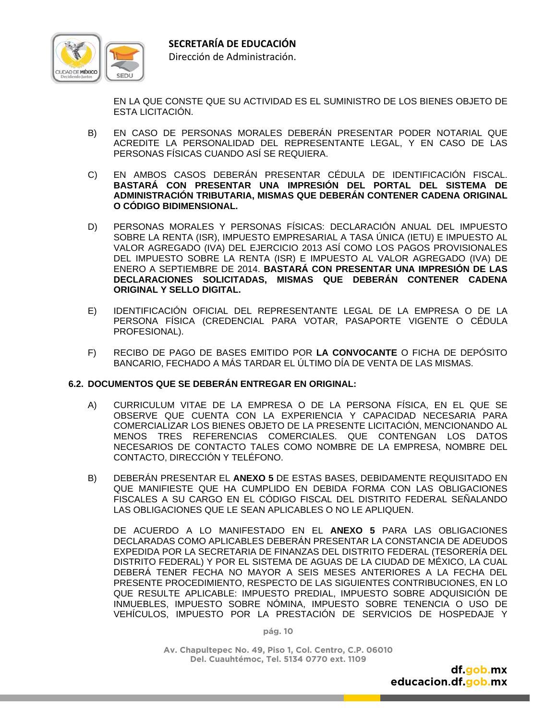

EN LA QUE CONSTE QUE SU ACTIVIDAD ES EL SUMINISTRO DE LOS BIENES OBJETO DE ESTA LICITACIÓN.

- B) EN CASO DE PERSONAS MORALES DEBERÁN PRESENTAR PODER NOTARIAL QUE ACREDITE LA PERSONALIDAD DEL REPRESENTANTE LEGAL, Y EN CASO DE LAS PERSONAS FÍSICAS CUANDO ASÍ SE REQUIERA.
- C) EN AMBOS CASOS DEBERÁN PRESENTAR CÉDULA DE IDENTIFICACIÓN FISCAL. **BASTARÁ CON PRESENTAR UNA IMPRESIÓN DEL PORTAL DEL SISTEMA DE ADMINISTRACIÓN TRIBUTARIA, MISMAS QUE DEBERÁN CONTENER CADENA ORIGINAL O CÓDIGO BIDIMENSIONAL.**
- D) PERSONAS MORALES Y PERSONAS FÍSICAS: DECLARACIÓN ANUAL DEL IMPUESTO SOBRE LA RENTA (ISR), IMPUESTO EMPRESARIAL A TASA ÚNICA (IETU) E IMPUESTO AL VALOR AGREGADO (IVA) DEL EJERCICIO 2013 ASÍ COMO LOS PAGOS PROVISIONALES DEL IMPUESTO SOBRE LA RENTA (ISR) E IMPUESTO AL VALOR AGREGADO (IVA) DE ENERO A SEPTIEMBRE DE 2014. **BASTARÁ CON PRESENTAR UNA IMPRESIÓN DE LAS DECLARACIONES SOLICITADAS, MISMAS QUE DEBERÁN CONTENER CADENA ORIGINAL Y SELLO DIGITAL.**
- E) IDENTIFICACIÓN OFICIAL DEL REPRESENTANTE LEGAL DE LA EMPRESA O DE LA PERSONA FÍSICA (CREDENCIAL PARA VOTAR, PASAPORTE VIGENTE O CÉDULA PROFESIONAL).
- F) RECIBO DE PAGO DE BASES EMITIDO POR **LA CONVOCANTE** O FICHA DE DEPÓSITO BANCARIO, FECHADO A MÁS TARDAR EL ÚLTIMO DÍA DE VENTA DE LAS MISMAS.

## **6.2. DOCUMENTOS QUE SE DEBERÁN ENTREGAR EN ORIGINAL:**

- A) CURRICULUM VITAE DE LA EMPRESA O DE LA PERSONA FÍSICA, EN EL QUE SE OBSERVE QUE CUENTA CON LA EXPERIENCIA Y CAPACIDAD NECESARIA PARA COMERCIALIZAR LOS BIENES OBJETO DE LA PRESENTE LICITACIÓN, MENCIONANDO AL MENOS TRES REFERENCIAS COMERCIALES. QUE CONTENGAN LOS DATOS NECESARIOS DE CONTACTO TALES COMO NOMBRE DE LA EMPRESA, NOMBRE DEL CONTACTO, DIRECCIÓN Y TELÉFONO.
- B) DEBERÁN PRESENTAR EL **ANEXO 5** DE ESTAS BASES, DEBIDAMENTE REQUISITADO EN QUE MANIFIESTE QUE HA CUMPLIDO EN DEBIDA FORMA CON LAS OBLIGACIONES FISCALES A SU CARGO EN EL CÓDIGO FISCAL DEL DISTRITO FEDERAL SEÑALANDO LAS OBLIGACIONES QUE LE SEAN APLICABLES O NO LE APLIQUEN.

 DE ACUERDO A LO MANIFESTADO EN EL **ANEXO 5** PARA LAS OBLIGACIONES DECLARADAS COMO APLICABLES DEBERÁN PRESENTAR LA CONSTANCIA DE ADEUDOS EXPEDIDA POR LA SECRETARIA DE FINANZAS DEL DISTRITO FEDERAL (TESORERÍA DEL DISTRITO FEDERAL) Y POR EL SISTEMA DE AGUAS DE LA CIUDAD DE MÉXICO, LA CUAL DEBERÁ TENER FECHA NO MAYOR A SEIS MESES ANTERIORES A LA FECHA DEL PRESENTE PROCEDIMIENTO, RESPECTO DE LAS SIGUIENTES CONTRIBUCIONES, EN LO QUE RESULTE APLICABLE: IMPUESTO PREDIAL, IMPUESTO SOBRE ADQUISICIÓN DE INMUEBLES, IMPUESTO SOBRE NÓMINA, IMPUESTO SOBRE TENENCIA O USO DE VEHÍCULOS, IMPUESTO POR LA PRESTACIÓN DE SERVICIOS DE HOSPEDAJE Y

**pág. 10** 

**Av. Chapultepec No. 49, Piso 1, Col. Centro, C.P. 06010 Del. Cuauhtémoc, Tel. 5134 0770 ext. 1109**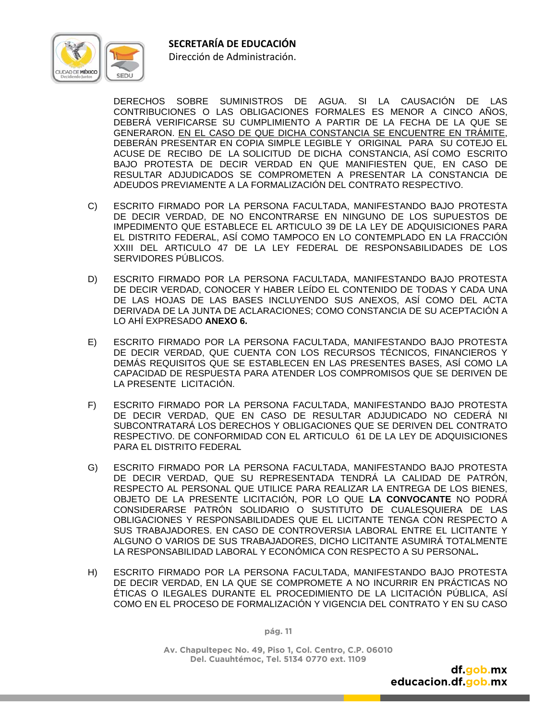**SECRETARÍA DE EDUCACIÓN**



Dirección de Administración.

DERECHOS SOBRE SUMINISTROS DE AGUA. SI LA CAUSACIÓN DE LAS CONTRIBUCIONES O LAS OBLIGACIONES FORMALES ES MENOR A CINCO AÑOS, DEBERÁ VERIFICARSE SU CUMPLIMIENTO A PARTIR DE LA FECHA DE LA QUE SE GENERARON. EN EL CASO DE QUE DICHA CONSTANCIA SE ENCUENTRE EN TRÁMITE, DEBERÁN PRESENTAR EN COPIA SIMPLE LEGIBLE Y ORIGINAL PARA SU COTEJO EL ACUSE DE RECIBO DE LA SOLICITUD DE DICHA CONSTANCIA, ASÍ COMO ESCRITO BAJO PROTESTA DE DECIR VERDAD EN QUE MANIFIESTEN QUE, EN CASO DE RESULTAR ADJUDICADOS SE COMPROMETEN A PRESENTAR LA CONSTANCIA DE ADEUDOS PREVIAMENTE A LA FORMALIZACIÓN DEL CONTRATO RESPECTIVO.

- C) ESCRITO FIRMADO POR LA PERSONA FACULTADA, MANIFESTANDO BAJO PROTESTA DE DECIR VERDAD, DE NO ENCONTRARSE EN NINGUNO DE LOS SUPUESTOS DE IMPEDIMENTO QUE ESTABLECE EL ARTICULO 39 DE LA LEY DE ADQUISICIONES PARA EL DISTRITO FEDERAL, ASÍ COMO TAMPOCO EN LO CONTEMPLADO EN LA FRACCIÓN XXIII DEL ARTICULO 47 DE LA LEY FEDERAL DE RESPONSABILIDADES DE LOS SERVIDORES PÚBLICOS.
- D) ESCRITO FIRMADO POR LA PERSONA FACULTADA, MANIFESTANDO BAJO PROTESTA DE DECIR VERDAD, CONOCER Y HABER LEÍDO EL CONTENIDO DE TODAS Y CADA UNA DE LAS HOJAS DE LAS BASES INCLUYENDO SUS ANEXOS, ASÍ COMO DEL ACTA DERIVADA DE LA JUNTA DE ACLARACIONES; COMO CONSTANCIA DE SU ACEPTACIÓN A LO AHÍ EXPRESADO **ANEXO 6.**
- E) ESCRITO FIRMADO POR LA PERSONA FACULTADA, MANIFESTANDO BAJO PROTESTA DE DECIR VERDAD, QUE CUENTA CON LOS RECURSOS TÉCNICOS, FINANCIEROS Y DEMÁS REQUISITOS QUE SE ESTABLECEN EN LAS PRESENTES BASES, ASÍ COMO LA CAPACIDAD DE RESPUESTA PARA ATENDER LOS COMPROMISOS QUE SE DERIVEN DE LA PRESENTE LICITACIÓN.
- F) ESCRITO FIRMADO POR LA PERSONA FACULTADA, MANIFESTANDO BAJO PROTESTA DE DECIR VERDAD, QUE EN CASO DE RESULTAR ADJUDICADO NO CEDERÁ NI SUBCONTRATARÁ LOS DERECHOS Y OBLIGACIONES QUE SE DERIVEN DEL CONTRATO RESPECTIVO. DE CONFORMIDAD CON EL ARTICULO 61 DE LA LEY DE ADQUISICIONES PARA EL DISTRITO FEDERAL
- G) ESCRITO FIRMADO POR LA PERSONA FACULTADA, MANIFESTANDO BAJO PROTESTA DE DECIR VERDAD, QUE SU REPRESENTADA TENDRÁ LA CALIDAD DE PATRÓN, RESPECTO AL PERSONAL QUE UTILICE PARA REALIZAR LA ENTREGA DE LOS BIENES, OBJETO DE LA PRESENTE LICITACIÓN, POR LO QUE **LA CONVOCANTE** NO PODRÁ CONSIDERARSE PATRÓN SOLIDARIO O SUSTITUTO DE CUALESQUIERA DE LAS OBLIGACIONES Y RESPONSABILIDADES QUE EL LICITANTE TENGA CON RESPECTO A SUS TRABAJADORES. EN CASO DE CONTROVERSIA LABORAL ENTRE EL LICITANTE Y ALGUNO O VARIOS DE SUS TRABAJADORES, DICHO LICITANTE ASUMIRÁ TOTALMENTE LA RESPONSABILIDAD LABORAL Y ECONÓMICA CON RESPECTO A SU PERSONAL**.**
- H) ESCRITO FIRMADO POR LA PERSONA FACULTADA, MANIFESTANDO BAJO PROTESTA DE DECIR VERDAD, EN LA QUE SE COMPROMETE A NO INCURRIR EN PRÁCTICAS NO ÉTICAS O ILEGALES DURANTE EL PROCEDIMIENTO DE LA LICITACIÓN PÚBLICA, ASÍ COMO EN EL PROCESO DE FORMALIZACIÓN Y VIGENCIA DEL CONTRATO Y EN SU CASO

**pág. 11**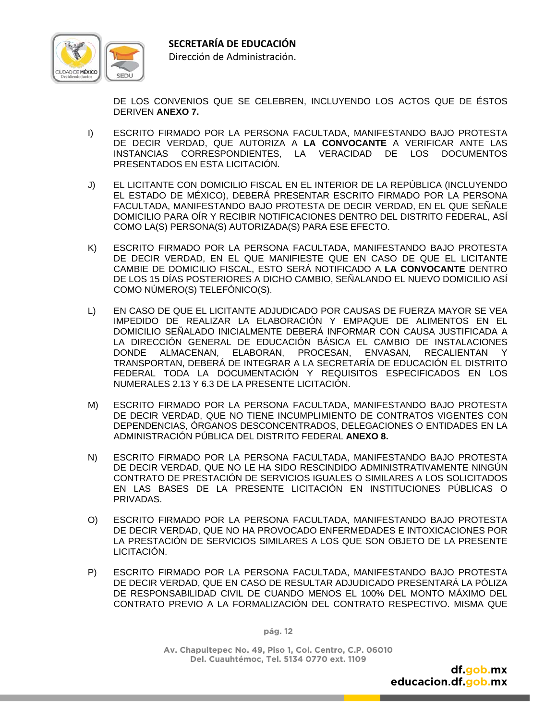

DE LOS CONVENIOS QUE SE CELEBREN, INCLUYENDO LOS ACTOS QUE DE ÉSTOS DERIVEN **ANEXO 7.**

- I) ESCRITO FIRMADO POR LA PERSONA FACULTADA, MANIFESTANDO BAJO PROTESTA DE DECIR VERDAD, QUE AUTORIZA A **LA CONVOCANTE** A VERIFICAR ANTE LAS INSTANCIAS CORRESPONDIENTES, LA VERACIDAD DE LOS DOCUMENTOS PRESENTADOS EN ESTA LICITACIÓN.
- J) EL LICITANTE CON DOMICILIO FISCAL EN EL INTERIOR DE LA REPÚBLICA (INCLUYENDO EL ESTADO DE MÉXICO), DEBERÁ PRESENTAR ESCRITO FIRMADO POR LA PERSONA FACULTADA, MANIFESTANDO BAJO PROTESTA DE DECIR VERDAD, EN EL QUE SEÑALE DOMICILIO PARA OÍR Y RECIBIR NOTIFICACIONES DENTRO DEL DISTRITO FEDERAL, ASÍ COMO LA(S) PERSONA(S) AUTORIZADA(S) PARA ESE EFECTO.
- K) ESCRITO FIRMADO POR LA PERSONA FACULTADA, MANIFESTANDO BAJO PROTESTA DE DECIR VERDAD, EN EL QUE MANIFIESTE QUE EN CASO DE QUE EL LICITANTE CAMBIE DE DOMICILIO FISCAL, ESTO SERÁ NOTIFICADO A **LA CONVOCANTE** DENTRO DE LOS 15 DÍAS POSTERIORES A DICHO CAMBIO, SEÑALANDO EL NUEVO DOMICILIO ASÍ COMO NÚMERO(S) TELEFÓNICO(S).
- L) EN CASO DE QUE EL LICITANTE ADJUDICADO POR CAUSAS DE FUERZA MAYOR SE VEA IMPEDIDO DE REALIZAR LA ELABORACIÓN Y EMPAQUE DE ALIMENTOS EN EL DOMICILIO SEÑALADO INICIALMENTE DEBERÁ INFORMAR CON CAUSA JUSTIFICADA A LA DIRECCIÓN GENERAL DE EDUCACIÓN BÁSICA EL CAMBIO DE INSTALACIONES DONDE ALMACENAN, ELABORAN, PROCESAN, ENVASAN, RECALIENTAN Y TRANSPORTAN, DEBERÁ DE INTEGRAR A LA SECRETARÍA DE EDUCACIÓN EL DISTRITO FEDERAL TODA LA DOCUMENTACIÓN Y REQUISITOS ESPECIFICADOS EN LOS NUMERALES 2.13 Y 6.3 DE LA PRESENTE LICITACIÓN.
- M) ESCRITO FIRMADO POR LA PERSONA FACULTADA, MANIFESTANDO BAJO PROTESTA DE DECIR VERDAD, QUE NO TIENE INCUMPLIMIENTO DE CONTRATOS VIGENTES CON DEPENDENCIAS, ÓRGANOS DESCONCENTRADOS, DELEGACIONES O ENTIDADES EN LA ADMINISTRACIÓN PÚBLICA DEL DISTRITO FEDERAL **ANEXO 8.**
- N) ESCRITO FIRMADO POR LA PERSONA FACULTADA, MANIFESTANDO BAJO PROTESTA DE DECIR VERDAD, QUE NO LE HA SIDO RESCINDIDO ADMINISTRATIVAMENTE NINGÚN CONTRATO DE PRESTACIÓN DE SERVICIOS IGUALES O SIMILARES A LOS SOLICITADOS EN LAS BASES DE LA PRESENTE LICITACIÓN EN INSTITUCIONES PÚBLICAS O PRIVADAS.
- O) ESCRITO FIRMADO POR LA PERSONA FACULTADA, MANIFESTANDO BAJO PROTESTA DE DECIR VERDAD, QUE NO HA PROVOCADO ENFERMEDADES E INTOXICACIONES POR LA PRESTACIÓN DE SERVICIOS SIMILARES A LOS QUE SON OBJETO DE LA PRESENTE LICITACIÓN.
- P) ESCRITO FIRMADO POR LA PERSONA FACULTADA, MANIFESTANDO BAJO PROTESTA DE DECIR VERDAD, QUE EN CASO DE RESULTAR ADJUDICADO PRESENTARÁ LA PÓLIZA DE RESPONSABILIDAD CIVIL DE CUANDO MENOS EL 100% DEL MONTO MÁXIMO DEL CONTRATO PREVIO A LA FORMALIZACIÓN DEL CONTRATO RESPECTIVO. MISMA QUE

**pág. 12**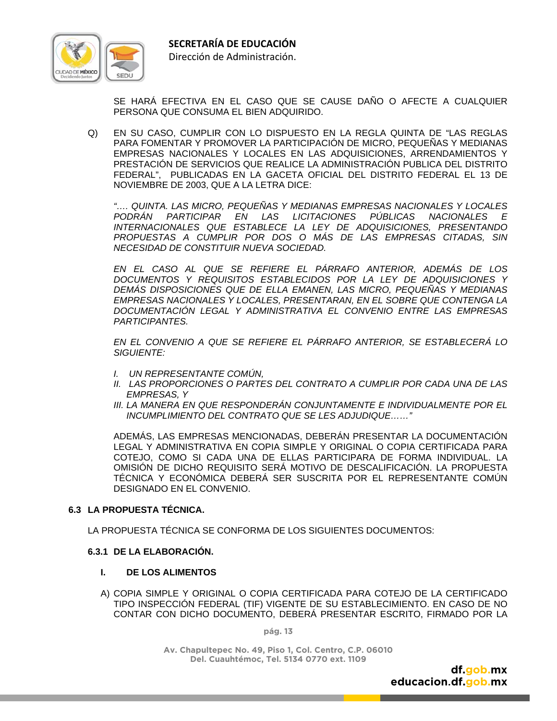

SE HARÁ EFECTIVA EN EL CASO QUE SE CAUSE DAÑO O AFECTE A CUALQUIER PERSONA QUE CONSUMA EL BIEN ADQUIRIDO.

Q) EN SU CASO, CUMPLIR CON LO DISPUESTO EN LA REGLA QUINTA DE "LAS REGLAS PARA FOMENTAR Y PROMOVER LA PARTICIPACIÓN DE MICRO, PEQUEÑAS Y MEDIANAS EMPRESAS NACIONALES Y LOCALES EN LAS ADQUISICIONES, ARRENDAMIENTOS Y PRESTACIÓN DE SERVICIOS QUE REALICE LA ADMINISTRACIÓN PUBLICA DEL DISTRITO FEDERAL", PUBLICADAS EN LA GACETA OFICIAL DEL DISTRITO FEDERAL EL 13 DE NOVIEMBRE DE 2003, QUE A LA LETRA DICE:

*"…. QUINTA. LAS MICRO, PEQUEÑAS Y MEDIANAS EMPRESAS NACIONALES Y LOCALES PODRÁN PARTICIPAR EN LAS LICITACIONES PÚBLICAS NACIONALES E INTERNACIONALES QUE ESTABLECE LA LEY DE ADQUISICIONES, PRESENTANDO PROPUESTAS A CUMPLIR POR DOS O MÁS DE LAS EMPRESAS CITADAS, SIN NECESIDAD DE CONSTITUIR NUEVA SOCIEDAD.* 

 *EN EL CASO AL QUE SE REFIERE EL PÁRRAFO ANTERIOR, ADEMÁS DE LOS DOCUMENTOS Y REQUISITOS ESTABLECIDOS POR LA LEY DE ADQUISICIONES Y DEMÁS DISPOSICIONES QUE DE ELLA EMANEN, LAS MICRO, PEQUEÑAS Y MEDIANAS EMPRESAS NACIONALES Y LOCALES, PRESENTARAN, EN EL SOBRE QUE CONTENGA LA DOCUMENTACIÓN LEGAL Y ADMINISTRATIVA EL CONVENIO ENTRE LAS EMPRESAS PARTICIPANTES.* 

*EN EL CONVENIO A QUE SE REFIERE EL PÁRRAFO ANTERIOR, SE ESTABLECERÁ LO SIGUIENTE:* 

- *I. UN REPRESENTANTE COMÚN,*
- *II. LAS PROPORCIONES O PARTES DEL CONTRATO A CUMPLIR POR CADA UNA DE LAS EMPRESAS, Y*
- **III. LA MANERA EN QUE RESPONDERÁN CONJUNTAMENTE E INDIVIDUALMENTE POR EL** *INCUMPLIMIENTO DEL CONTRATO QUE SE LES ADJUDIQUE……"*

ADEMÁS, LAS EMPRESAS MENCIONADAS, DEBERÁN PRESENTAR LA DOCUMENTACIÓN LEGAL Y ADMINISTRATIVA EN COPIA SIMPLE Y ORIGINAL O COPIA CERTIFICADA PARA COTEJO, COMO SI CADA UNA DE ELLAS PARTICIPARA DE FORMA INDIVIDUAL. LA OMISIÓN DE DICHO REQUISITO SERÁ MOTIVO DE DESCALIFICACIÓN. LA PROPUESTA TÉCNICA Y ECONÓMICA DEBERÁ SER SUSCRITA POR EL REPRESENTANTE COMÚN DESIGNADO EN EL CONVENIO.

## **6.3 LA PROPUESTA TÉCNICA.**

LA PROPUESTA TÉCNICA SE CONFORMA DE LOS SIGUIENTES DOCUMENTOS:

#### **6.3.1 DE LA ELABORACIÓN.**

#### **I. DE LOS ALIMENTOS**

A) COPIA SIMPLE Y ORIGINAL O COPIA CERTIFICADA PARA COTEJO DE LA CERTIFICADO TIPO INSPECCIÓN FEDERAL (TIF) VIGENTE DE SU ESTABLECIMIENTO. EN CASO DE NO CONTAR CON DICHO DOCUMENTO, DEBERÁ PRESENTAR ESCRITO, FIRMADO POR LA

**pág. 13**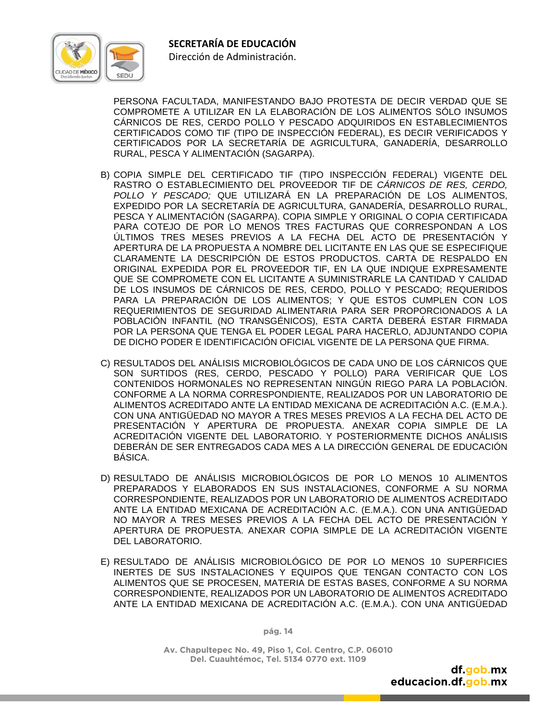

PERSONA FACULTADA, MANIFESTANDO BAJO PROTESTA DE DECIR VERDAD QUE SE COMPROMETE A UTILIZAR EN LA ELABORACIÓN DE LOS ALIMENTOS SÓLO INSUMOS CÁRNICOS DE RES, CERDO POLLO Y PESCADO ADQUIRIDOS EN ESTABLECIMIENTOS CERTIFICADOS COMO TIF (TIPO DE INSPECCIÓN FEDERAL), ES DECIR VERIFICADOS Y CERTIFICADOS POR LA SECRETARÍA DE AGRICULTURA, GANADERÍA, DESARROLLO RURAL, PESCA Y ALIMENTACIÓN (SAGARPA).

- B) COPIA SIMPLE DEL CERTIFICADO TIF (TIPO INSPECCIÓN FEDERAL) VIGENTE DEL RASTRO O ESTABLECIMIENTO DEL PROVEEDOR TIF DE *CÁRNICOS DE RES, CERDO, POLLO Y PESCADO;* QUE UTILIZARÁ EN LA PREPARACIÓN DE LOS ALIMENTOS, EXPEDIDO POR LA SECRETARÍA DE AGRICULTURA, GANADERÍA, DESARROLLO RURAL, PESCA Y ALIMENTACIÓN (SAGARPA). COPIA SIMPLE Y ORIGINAL O COPIA CERTIFICADA PARA COTEJO DE POR LO MENOS TRES FACTURAS QUE CORRESPONDAN A LOS ÚLTIMOS TRES MESES PREVIOS A LA FECHA DEL ACTO DE PRESENTACIÓN Y APERTURA DE LA PROPUESTA A NOMBRE DEL LICITANTE EN LAS QUE SE ESPECIFIQUE CLARAMENTE LA DESCRIPCIÓN DE ESTOS PRODUCTOS. CARTA DE RESPALDO EN ORIGINAL EXPEDIDA POR EL PROVEEDOR TIF, EN LA QUE INDIQUE EXPRESAMENTE QUE SE COMPROMETE CON EL LICITANTE A SUMINISTRARLE LA CANTIDAD Y CALIDAD DE LOS INSUMOS DE CÁRNICOS DE RES, CERDO, POLLO Y PESCADO; REQUERIDOS PARA LA PREPARACIÓN DE LOS ALIMENTOS; Y QUE ESTOS CUMPLEN CON LOS REQUERIMIENTOS DE SEGURIDAD ALIMENTARIA PARA SER PROPORCIONADOS A LA POBLACIÓN INFANTIL (NO TRANSGÉNICOS), ESTA CARTA DEBERÁ ESTAR FIRMADA POR LA PERSONA QUE TENGA EL PODER LEGAL PARA HACERLO, ADJUNTANDO COPIA DE DICHO PODER E IDENTIFICACIÓN OFICIAL VIGENTE DE LA PERSONA QUE FIRMA.
- C) RESULTADOS DEL ANÁLISIS MICROBIOLÓGICOS DE CADA UNO DE LOS CÁRNICOS QUE SON SURTIDOS (RES, CERDO, PESCADO Y POLLO) PARA VERIFICAR QUE LOS CONTENIDOS HORMONALES NO REPRESENTAN NINGÚN RIEGO PARA LA POBLACIÓN. CONFORME A LA NORMA CORRESPONDIENTE, REALIZADOS POR UN LABORATORIO DE ALIMENTOS ACREDITADO ANTE LA ENTIDAD MEXICANA DE ACREDITACIÓN A.C. (E.M.A.). CON UNA ANTIGÜEDAD NO MAYOR A TRES MESES PREVIOS A LA FECHA DEL ACTO DE PRESENTACIÓN Y APERTURA DE PROPUESTA. ANEXAR COPIA SIMPLE DE LA ACREDITACIÓN VIGENTE DEL LABORATORIO. Y POSTERIORMENTE DICHOS ANÁLISIS DEBERÁN DE SER ENTREGADOS CADA MES A LA DIRECCIÓN GENERAL DE EDUCACIÓN BÁSICA.
- D) RESULTADO DE ANÁLISIS MICROBIOLÓGICOS DE POR LO MENOS 10 ALIMENTOS PREPARADOS Y ELABORADOS EN SUS INSTALACIONES, CONFORME A SU NORMA CORRESPONDIENTE, REALIZADOS POR UN LABORATORIO DE ALIMENTOS ACREDITADO ANTE LA ENTIDAD MEXICANA DE ACREDITACIÓN A.C. (E.M.A.). CON UNA ANTIGÜEDAD NO MAYOR A TRES MESES PREVIOS A LA FECHA DEL ACTO DE PRESENTACIÓN Y APERTURA DE PROPUESTA. ANEXAR COPIA SIMPLE DE LA ACREDITACIÓN VIGENTE DEL LABORATORIO.
- E) RESULTADO DE ANÁLISIS MICROBIOLÓGICO DE POR LO MENOS 10 SUPERFICIES INERTES DE SUS INSTALACIONES Y EQUIPOS QUE TENGAN CONTACTO CON LOS ALIMENTOS QUE SE PROCESEN, MATERIA DE ESTAS BASES, CONFORME A SU NORMA CORRESPONDIENTE, REALIZADOS POR UN LABORATORIO DE ALIMENTOS ACREDITADO ANTE LA ENTIDAD MEXICANA DE ACREDITACIÓN A.C. (E.M.A.). CON UNA ANTIGÜEDAD

**pág. 14** 

**Av. Chapultepec No. 49, Piso 1, Col. Centro, C.P. 06010 Del. Cuauhtémoc, Tel. 5134 0770 ext. 1109**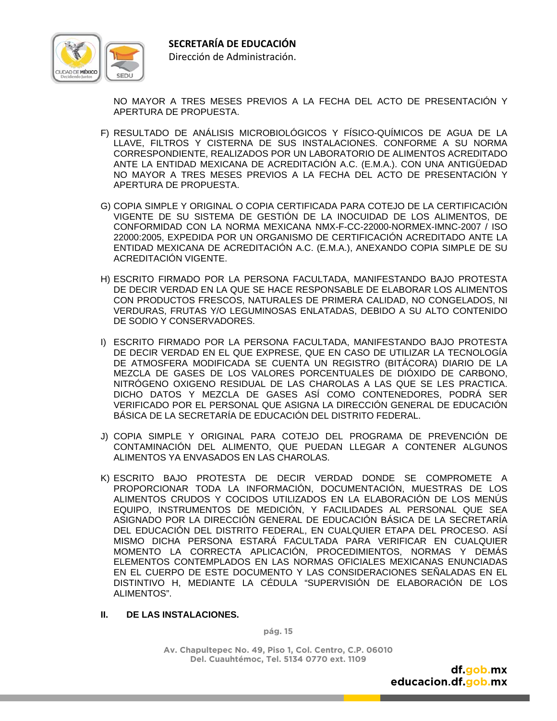

NO MAYOR A TRES MESES PREVIOS A LA FECHA DEL ACTO DE PRESENTACIÓN Y APERTURA DE PROPUESTA.

- F) RESULTADO DE ANÁLISIS MICROBIOLÓGICOS Y FÍSICO-QUÍMICOS DE AGUA DE LA LLAVE, FILTROS Y CISTERNA DE SUS INSTALACIONES. CONFORME A SU NORMA CORRESPONDIENTE, REALIZADOS POR UN LABORATORIO DE ALIMENTOS ACREDITADO ANTE LA ENTIDAD MEXICANA DE ACREDITACIÓN A.C. (E.M.A.). CON UNA ANTIGÜEDAD NO MAYOR A TRES MESES PREVIOS A LA FECHA DEL ACTO DE PRESENTACIÓN Y APERTURA DE PROPUESTA.
- G) COPIA SIMPLE Y ORIGINAL O COPIA CERTIFICADA PARA COTEJO DE LA CERTIFICACIÓN VIGENTE DE SU SISTEMA DE GESTIÓN DE LA INOCUIDAD DE LOS ALIMENTOS, DE CONFORMIDAD CON LA NORMA MEXICANA NMX-F-CC-22000-NORMEX-IMNC-2007 / ISO 22000:2005, EXPEDIDA POR UN ORGANISMO DE CERTIFICACIÓN ACREDITADO ANTE LA ENTIDAD MEXICANA DE ACREDITACIÓN A.C. (E.M.A.), ANEXANDO COPIA SIMPLE DE SU ACREDITACIÓN VIGENTE.
- H) ESCRITO FIRMADO POR LA PERSONA FACULTADA, MANIFESTANDO BAJO PROTESTA DE DECIR VERDAD EN LA QUE SE HACE RESPONSABLE DE ELABORAR LOS ALIMENTOS CON PRODUCTOS FRESCOS, NATURALES DE PRIMERA CALIDAD, NO CONGELADOS, NI VERDURAS, FRUTAS Y/O LEGUMINOSAS ENLATADAS, DEBIDO A SU ALTO CONTENIDO DE SODIO Y CONSERVADORES.
- I) ESCRITO FIRMADO POR LA PERSONA FACULTADA, MANIFESTANDO BAJO PROTESTA DE DECIR VERDAD EN EL QUE EXPRESE, QUE EN CASO DE UTILIZAR LA TECNOLOGÍA DE ATMOSFERA MODIFICADA SE CUENTA UN REGISTRO (BITÁCORA) DIARIO DE LA MEZCLA DE GASES DE LOS VALORES PORCENTUALES DE DIÓXIDO DE CARBONO, NITRÓGENO OXIGENO RESIDUAL DE LAS CHAROLAS A LAS QUE SE LES PRACTICA. DICHO DATOS Y MEZCLA DE GASES ASÍ COMO CONTENEDORES, PODRÁ SER VERIFICADO POR EL PERSONAL QUE ASIGNA LA DIRECCIÓN GENERAL DE EDUCACIÓN BÁSICA DE LA SECRETARÍA DE EDUCACIÓN DEL DISTRITO FEDERAL.
- J) COPIA SIMPLE Y ORIGINAL PARA COTEJO DEL PROGRAMA DE PREVENCIÓN DE CONTAMINACIÓN DEL ALIMENTO, QUE PUEDAN LLEGAR A CONTENER ALGUNOS ALIMENTOS YA ENVASADOS EN LAS CHAROLAS.
- K) ESCRITO BAJO PROTESTA DE DECIR VERDAD DONDE SE COMPROMETE A PROPORCIONAR TODA LA INFORMACIÓN, DOCUMENTACIÓN, MUESTRAS DE LOS ALIMENTOS CRUDOS Y COCIDOS UTILIZADOS EN LA ELABORACIÓN DE LOS MENÚS EQUIPO, INSTRUMENTOS DE MEDICIÓN, Y FACILIDADES AL PERSONAL QUE SEA ASIGNADO POR LA DIRECCIÓN GENERAL DE EDUCACIÓN BÁSICA DE LA SECRETARÍA DEL EDUCACIÓN DEL DISTRITO FEDERAL, EN CUALQUIER ETAPA DEL PROCESO. ASÍ MISMO DICHA PERSONA ESTARÁ FACULTADA PARA VERIFICAR EN CUALQUIER MOMENTO LA CORRECTA APLICACIÓN, PROCEDIMIENTOS, NORMAS Y DEMÁS ELEMENTOS CONTEMPLADOS EN LAS NORMAS OFICIALES MEXICANAS ENUNCIADAS EN EL CUERPO DE ESTE DOCUMENTO Y LAS CONSIDERACIONES SEÑALADAS EN EL DISTINTIVO H, MEDIANTE LA CÉDULA "SUPERVISIÓN DE ELABORACIÓN DE LOS ALIMENTOS".
- **II. DE LAS INSTALACIONES.**

**pág. 15** 

**Av. Chapultepec No. 49, Piso 1, Col. Centro, C.P. 06010 Del. Cuauhtémoc, Tel. 5134 0770 ext. 1109**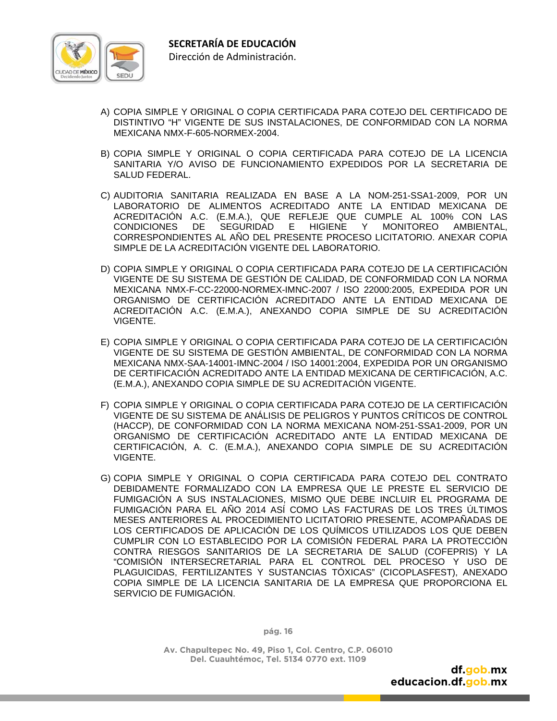

- A) COPIA SIMPLE Y ORIGINAL O COPIA CERTIFICADA PARA COTEJO DEL CERTIFICADO DE DISTINTIVO "H" VIGENTE DE SUS INSTALACIONES, DE CONFORMIDAD CON LA NORMA MEXICANA NMX-F-605-NORMEX-2004.
- B) COPIA SIMPLE Y ORIGINAL O COPIA CERTIFICADA PARA COTEJO DE LA LICENCIA SANITARIA Y/O AVISO DE FUNCIONAMIENTO EXPEDIDOS POR LA SECRETARIA DE SALUD FEDERAL.
- C) AUDITORIA SANITARIA REALIZADA EN BASE A LA NOM-251-SSA1-2009, POR UN LABORATORIO DE ALIMENTOS ACREDITADO ANTE LA ENTIDAD MEXICANA DE ACREDITACIÓN A.C. (E.M.A.), QUE REFLEJE QUE CUMPLE AL 100% CON LAS CONDICIONES DE SEGURIDAD E HIGIENE Y MONITOREO AMBIENTAL, CORRESPONDIENTES AL AÑO DEL PRESENTE PROCESO LICITATORIO. ANEXAR COPIA SIMPLE DE LA ACREDITACIÓN VIGENTE DEL LABORATORIO.
- D) COPIA SIMPLE Y ORIGINAL O COPIA CERTIFICADA PARA COTEJO DE LA CERTIFICACIÓN VIGENTE DE SU SISTEMA DE GESTIÓN DE CALIDAD, DE CONFORMIDAD CON LA NORMA MEXICANA NMX-F-CC-22000-NORMEX-IMNC-2007 / ISO 22000:2005, EXPEDIDA POR UN ORGANISMO DE CERTIFICACIÓN ACREDITADO ANTE LA ENTIDAD MEXICANA DE ACREDITACIÓN A.C. (E.M.A.), ANEXANDO COPIA SIMPLE DE SU ACREDITACIÓN VIGENTE.
- E) COPIA SIMPLE Y ORIGINAL O COPIA CERTIFICADA PARA COTEJO DE LA CERTIFICACIÓN VIGENTE DE SU SISTEMA DE GESTIÓN AMBIENTAL, DE CONFORMIDAD CON LA NORMA MEXICANA NMX-SAA-14001-IMNC-2004 / ISO 14001:2004, EXPEDIDA POR UN ORGANISMO DE CERTIFICACIÓN ACREDITADO ANTE LA ENTIDAD MEXICANA DE CERTIFICACIÓN, A.C. (E.M.A.), ANEXANDO COPIA SIMPLE DE SU ACREDITACIÓN VIGENTE.
- F) COPIA SIMPLE Y ORIGINAL O COPIA CERTIFICADA PARA COTEJO DE LA CERTIFICACIÓN VIGENTE DE SU SISTEMA DE ANÁLISIS DE PELIGROS Y PUNTOS CRÍTICOS DE CONTROL (HACCP), DE CONFORMIDAD CON LA NORMA MEXICANA NOM-251-SSA1-2009, POR UN ORGANISMO DE CERTIFICACIÓN ACREDITADO ANTE LA ENTIDAD MEXICANA DE CERTIFICACIÓN, A. C. (E.M.A.), ANEXANDO COPIA SIMPLE DE SU ACREDITACIÓN VIGENTE.
- G) COPIA SIMPLE Y ORIGINAL O COPIA CERTIFICADA PARA COTEJO DEL CONTRATO DEBIDAMENTE FORMALIZADO CON LA EMPRESA QUE LE PRESTE EL SERVICIO DE FUMIGACIÓN A SUS INSTALACIONES, MISMO QUE DEBE INCLUIR EL PROGRAMA DE FUMIGACIÓN PARA EL AÑO 2014 ASÍ COMO LAS FACTURAS DE LOS TRES ÚLTIMOS MESES ANTERIORES AL PROCEDIMIENTO LICITATORIO PRESENTE, ACOMPAÑADAS DE LOS CERTIFICADOS DE APLICACIÓN DE LOS QUÍMICOS UTILIZADOS LOS QUE DEBEN CUMPLIR CON LO ESTABLECIDO POR LA COMISIÓN FEDERAL PARA LA PROTECCIÓN CONTRA RIESGOS SANITARIOS DE LA SECRETARIA DE SALUD (COFEPRIS) Y LA "COMISIÓN INTERSECRETARIAL PARA EL CONTROL DEL PROCESO Y USO DE PLAGUICIDAS, FERTILIZANTES Y SUSTANCIAS TÓXICAS" (CICOPLASFEST), ANEXADO COPIA SIMPLE DE LA LICENCIA SANITARIA DE LA EMPRESA QUE PROPORCIONA EL SERVICIO DE FUMIGACIÓN.

**pág. 16** 

**Av. Chapultepec No. 49, Piso 1, Col. Centro, C.P. 06010 Del. Cuauhtémoc, Tel. 5134 0770 ext. 1109**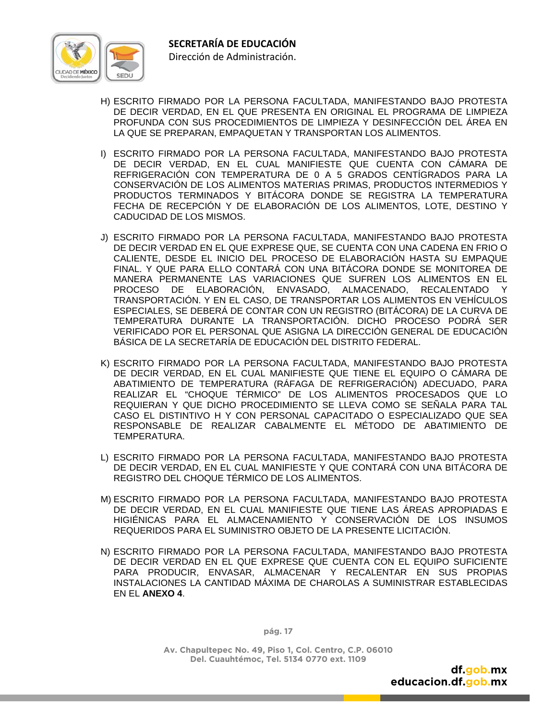

- H) ESCRITO FIRMADO POR LA PERSONA FACULTADA, MANIFESTANDO BAJO PROTESTA DE DECIR VERDAD, EN EL QUE PRESENTA EN ORIGINAL EL PROGRAMA DE LIMPIEZA PROFUNDA CON SUS PROCEDIMIENTOS DE LIMPIEZA Y DESINFECCIÓN DEL ÁREA EN LA QUE SE PREPARAN, EMPAQUETAN Y TRANSPORTAN LOS ALIMENTOS.
- I) ESCRITO FIRMADO POR LA PERSONA FACULTADA, MANIFESTANDO BAJO PROTESTA DE DECIR VERDAD, EN EL CUAL MANIFIESTE QUE CUENTA CON CÁMARA DE REFRIGERACIÓN CON TEMPERATURA DE 0 A 5 GRADOS CENTÍGRADOS PARA LA CONSERVACIÓN DE LOS ALIMENTOS MATERIAS PRIMAS, PRODUCTOS INTERMEDIOS Y PRODUCTOS TERMINADOS Y BITÁCORA DONDE SE REGISTRA LA TEMPERATURA FECHA DE RECEPCIÓN Y DE ELABORACIÓN DE LOS ALIMENTOS, LOTE, DESTINO Y CADUCIDAD DE LOS MISMOS.
- J) ESCRITO FIRMADO POR LA PERSONA FACULTADA, MANIFESTANDO BAJO PROTESTA DE DECIR VERDAD EN EL QUE EXPRESE QUE, SE CUENTA CON UNA CADENA EN FRIO O CALIENTE, DESDE EL INICIO DEL PROCESO DE ELABORACIÓN HASTA SU EMPAQUE FINAL. Y QUE PARA ELLO CONTARÁ CON UNA BITÁCORA DONDE SE MONITOREA DE MANERA PERMANENTE LAS VARIACIONES QUE SUFREN LOS ALIMENTOS EN EL PROCESO DE ELABORACIÓN, ENVASADO, ALMACENADO, RECALENTADO Y TRANSPORTACIÓN. Y EN EL CASO, DE TRANSPORTAR LOS ALIMENTOS EN VEHÍCULOS ESPECIALES, SE DEBERÁ DE CONTAR CON UN REGISTRO (BITÁCORA) DE LA CURVA DE TEMPERATURA DURANTE LA TRANSPORTACIÓN. DICHO PROCESO PODRÁ SER VERIFICADO POR EL PERSONAL QUE ASIGNA LA DIRECCIÓN GENERAL DE EDUCACIÓN BÁSICA DE LA SECRETARÍA DE EDUCACIÓN DEL DISTRITO FEDERAL.
- K) ESCRITO FIRMADO POR LA PERSONA FACULTADA, MANIFESTANDO BAJO PROTESTA DE DECIR VERDAD, EN EL CUAL MANIFIESTE QUE TIENE EL EQUIPO O CÁMARA DE ABATIMIENTO DE TEMPERATURA (RÁFAGA DE REFRIGERACIÓN) ADECUADO, PARA REALIZAR EL "CHOQUE TÉRMICO" DE LOS ALIMENTOS PROCESADOS QUE LO REQUIERAN Y QUE DICHO PROCEDIMIENTO SE LLEVA COMO SE SEÑALA PARA TAL CASO EL DISTINTIVO H Y CON PERSONAL CAPACITADO O ESPECIALIZADO QUE SEA RESPONSABLE DE REALIZAR CABALMENTE EL MÉTODO DE ABATIMIENTO DE TEMPERATURA.
- L) ESCRITO FIRMADO POR LA PERSONA FACULTADA, MANIFESTANDO BAJO PROTESTA DE DECIR VERDAD, EN EL CUAL MANIFIESTE Y QUE CONTARÁ CON UNA BITÁCORA DE REGISTRO DEL CHOQUE TÉRMICO DE LOS ALIMENTOS.
- M) ESCRITO FIRMADO POR LA PERSONA FACULTADA, MANIFESTANDO BAJO PROTESTA DE DECIR VERDAD, EN EL CUAL MANIFIESTE QUE TIENE LAS ÁREAS APROPIADAS E HIGIÉNICAS PARA EL ALMACENAMIENTO Y CONSERVACIÓN DE LOS INSUMOS REQUERIDOS PARA EL SUMINISTRO OBJETO DE LA PRESENTE LICITACIÓN.
- N) ESCRITO FIRMADO POR LA PERSONA FACULTADA, MANIFESTANDO BAJO PROTESTA DE DECIR VERDAD EN EL QUE EXPRESE QUE CUENTA CON EL EQUIPO SUFICIENTE PARA PRODUCIR, ENVASAR, ALMACENAR Y RECALENTAR EN SUS PROPIAS INSTALACIONES LA CANTIDAD MÁXIMA DE CHAROLAS A SUMINISTRAR ESTABLECIDAS EN EL **ANEXO 4**.

**pág. 17**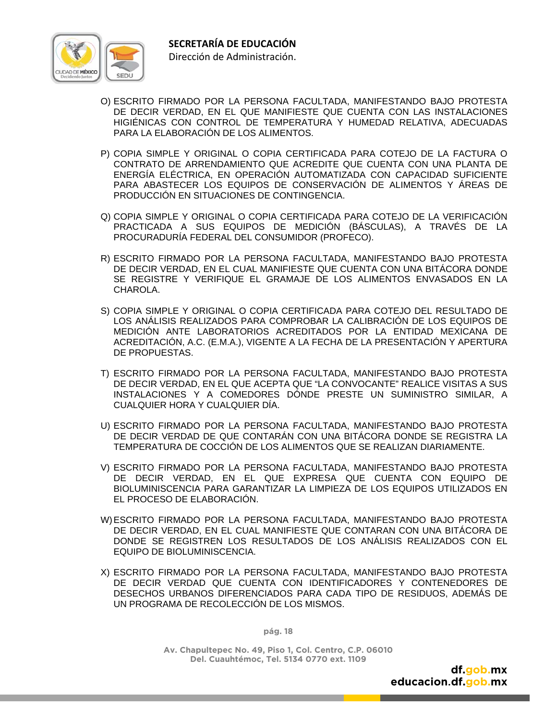

- O) ESCRITO FIRMADO POR LA PERSONA FACULTADA, MANIFESTANDO BAJO PROTESTA DE DECIR VERDAD, EN EL QUE MANIFIESTE QUE CUENTA CON LAS INSTALACIONES HIGIÉNICAS CON CONTROL DE TEMPERATURA Y HUMEDAD RELATIVA, ADECUADAS PARA LA ELABORACIÓN DE LOS ALIMENTOS.
- P) COPIA SIMPLE Y ORIGINAL O COPIA CERTIFICADA PARA COTEJO DE LA FACTURA O CONTRATO DE ARRENDAMIENTO QUE ACREDITE QUE CUENTA CON UNA PLANTA DE ENERGÍA ELÉCTRICA, EN OPERACIÓN AUTOMATIZADA CON CAPACIDAD SUFICIENTE PARA ABASTECER LOS EQUIPOS DE CONSERVACIÓN DE ALIMENTOS Y ÁREAS DE PRODUCCIÓN EN SITUACIONES DE CONTINGENCIA.
- Q) COPIA SIMPLE Y ORIGINAL O COPIA CERTIFICADA PARA COTEJO DE LA VERIFICACIÓN PRACTICADA A SUS EQUIPOS DE MEDICIÓN (BÁSCULAS), A TRAVÉS DE LA PROCURADURÍA FEDERAL DEL CONSUMIDOR (PROFECO).
- R) ESCRITO FIRMADO POR LA PERSONA FACULTADA, MANIFESTANDO BAJO PROTESTA DE DECIR VERDAD, EN EL CUAL MANIFIESTE QUE CUENTA CON UNA BITÁCORA DONDE SE REGISTRE Y VERIFIQUE EL GRAMAJE DE LOS ALIMENTOS ENVASADOS EN LA CHAROLA.
- S) COPIA SIMPLE Y ORIGINAL O COPIA CERTIFICADA PARA COTEJO DEL RESULTADO DE LOS ANÁLISIS REALIZADOS PARA COMPROBAR LA CALIBRACIÓN DE LOS EQUIPOS DE MEDICIÓN ANTE LABORATORIOS ACREDITADOS POR LA ENTIDAD MEXICANA DE ACREDITACIÓN, A.C. (E.M.A.), VIGENTE A LA FECHA DE LA PRESENTACIÓN Y APERTURA DE PROPUESTAS.
- T) ESCRITO FIRMADO POR LA PERSONA FACULTADA, MANIFESTANDO BAJO PROTESTA DE DECIR VERDAD, EN EL QUE ACEPTA QUE "LA CONVOCANTE" REALICE VISITAS A SUS INSTALACIONES Y A COMEDORES DÓNDE PRESTE UN SUMINISTRO SIMILAR, A CUALQUIER HORA Y CUALQUIER DÍA.
- U) ESCRITO FIRMADO POR LA PERSONA FACULTADA, MANIFESTANDO BAJO PROTESTA DE DECIR VERDAD DE QUE CONTARÁN CON UNA BITÁCORA DONDE SE REGISTRA LA TEMPERATURA DE COCCIÓN DE LOS ALIMENTOS QUE SE REALIZAN DIARIAMENTE.
- V) ESCRITO FIRMADO POR LA PERSONA FACULTADA, MANIFESTANDO BAJO PROTESTA DE DECIR VERDAD, EN EL QUE EXPRESA QUE CUENTA CON EQUIPO DE BIOLUMINISCENCIA PARA GARANTIZAR LA LIMPIEZA DE LOS EQUIPOS UTILIZADOS EN EL PROCESO DE ELABORACIÓN.
- W) ESCRITO FIRMADO POR LA PERSONA FACULTADA, MANIFESTANDO BAJO PROTESTA DE DECIR VERDAD, EN EL CUAL MANIFIESTE QUE CONTARAN CON UNA BITÁCORA DE DONDE SE REGISTREN LOS RESULTADOS DE LOS ANÁLISIS REALIZADOS CON EL EQUIPO DE BIOLUMINISCENCIA.
- X) ESCRITO FIRMADO POR LA PERSONA FACULTADA, MANIFESTANDO BAJO PROTESTA DE DECIR VERDAD QUE CUENTA CON IDENTIFICADORES Y CONTENEDORES DE DESECHOS URBANOS DIFERENCIADOS PARA CADA TIPO DE RESIDUOS, ADEMÁS DE UN PROGRAMA DE RECOLECCIÓN DE LOS MISMOS.

**pág. 18** 

**Av. Chapultepec No. 49, Piso 1, Col. Centro, C.P. 06010 Del. Cuauhtémoc, Tel. 5134 0770 ext. 1109**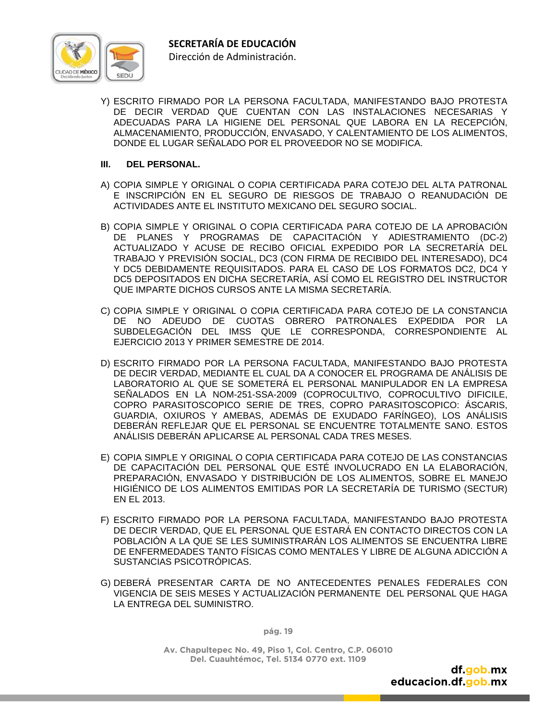

Y) ESCRITO FIRMADO POR LA PERSONA FACULTADA, MANIFESTANDO BAJO PROTESTA DE DECIR VERDAD QUE CUENTAN CON LAS INSTALACIONES NECESARIAS Y ADECUADAS PARA LA HIGIENE DEL PERSONAL QUE LABORA EN LA RECEPCIÓN, ALMACENAMIENTO, PRODUCCIÓN, ENVASADO, Y CALENTAMIENTO DE LOS ALIMENTOS, DONDE EL LUGAR SEÑALADO POR EL PROVEEDOR NO SE MODIFICA.

#### **III. DEL PERSONAL.**

- A) COPIA SIMPLE Y ORIGINAL O COPIA CERTIFICADA PARA COTEJO DEL ALTA PATRONAL E INSCRIPCIÓN EN EL SEGURO DE RIESGOS DE TRABAJO O REANUDACIÓN DE ACTIVIDADES ANTE EL INSTITUTO MEXICANO DEL SEGURO SOCIAL.
- B) COPIA SIMPLE Y ORIGINAL O COPIA CERTIFICADA PARA COTEJO DE LA APROBACIÓN DE PLANES Y PROGRAMAS DE CAPACITACIÓN Y ADIESTRAMIENTO (DC-2) ACTUALIZADO Y ACUSE DE RECIBO OFICIAL EXPEDIDO POR LA SECRETARÍA DEL TRABAJO Y PREVISIÓN SOCIAL, DC3 (CON FIRMA DE RECIBIDO DEL INTERESADO), DC4 Y DC5 DEBIDAMENTE REQUISITADOS. PARA EL CASO DE LOS FORMATOS DC2, DC4 Y DC5 DEPOSITADOS EN DICHA SECRETARÍA, ASÍ COMO EL REGISTRO DEL INSTRUCTOR QUE IMPARTE DICHOS CURSOS ANTE LA MISMA SECRETARÍA.
- C) COPIA SIMPLE Y ORIGINAL O COPIA CERTIFICADA PARA COTEJO DE LA CONSTANCIA DE NO ADEUDO DE CUOTAS OBRERO PATRONALES EXPEDIDA POR LA SUBDELEGACIÓN DEL IMSS QUE LE CORRESPONDA, CORRESPONDIENTE AL EJERCICIO 2013 Y PRIMER SEMESTRE DE 2014.
- D) ESCRITO FIRMADO POR LA PERSONA FACULTADA, MANIFESTANDO BAJO PROTESTA DE DECIR VERDAD, MEDIANTE EL CUAL DA A CONOCER EL PROGRAMA DE ANÁLISIS DE LABORATORIO AL QUE SE SOMETERÁ EL PERSONAL MANIPULADOR EN LA EMPRESA SEÑALADOS EN LA NOM-251-SSA-2009 (COPROCULTIVO, COPROCULTIVO DIFICILE, COPRO PARASITOSCOPICO SERIE DE TRES, COPRO PARASITOSCOPICO: ÁSCARIS, GUARDIA, OXIUROS Y AMEBAS, ADEMÁS DE EXUDADO FARÍNGEO), LOS ANÁLISIS DEBERÁN REFLEJAR QUE EL PERSONAL SE ENCUENTRE TOTALMENTE SANO. ESTOS ANÁLISIS DEBERÁN APLICARSE AL PERSONAL CADA TRES MESES.
- E) COPIA SIMPLE Y ORIGINAL O COPIA CERTIFICADA PARA COTEJO DE LAS CONSTANCIAS DE CAPACITACIÓN DEL PERSONAL QUE ESTÉ INVOLUCRADO EN LA ELABORACIÓN, PREPARACIÓN, ENVASADO Y DISTRIBUCIÓN DE LOS ALIMENTOS, SOBRE EL MANEJO HIGIÉNICO DE LOS ALIMENTOS EMITIDAS POR LA SECRETARÍA DE TURISMO (SECTUR) EN EL 2013.
- F) ESCRITO FIRMADO POR LA PERSONA FACULTADA, MANIFESTANDO BAJO PROTESTA DE DECIR VERDAD, QUE EL PERSONAL QUE ESTARÁ EN CONTACTO DIRECTOS CON LA POBLACIÓN A LA QUE SE LES SUMINISTRARÁN LOS ALIMENTOS SE ENCUENTRA LIBRE DE ENFERMEDADES TANTO FÍSICAS COMO MENTALES Y LIBRE DE ALGUNA ADICCIÓN A SUSTANCIAS PSICOTRÓPICAS.
- G) DEBERÁ PRESENTAR CARTA DE NO ANTECEDENTES PENALES FEDERALES CON VIGENCIA DE SEIS MESES Y ACTUALIZACIÓN PERMANENTE DEL PERSONAL QUE HAGA LA ENTREGA DEL SUMINISTRO.

**pág. 19** 

**Av. Chapultepec No. 49, Piso 1, Col. Centro, C.P. 06010 Del. Cuauhtémoc, Tel. 5134 0770 ext. 1109**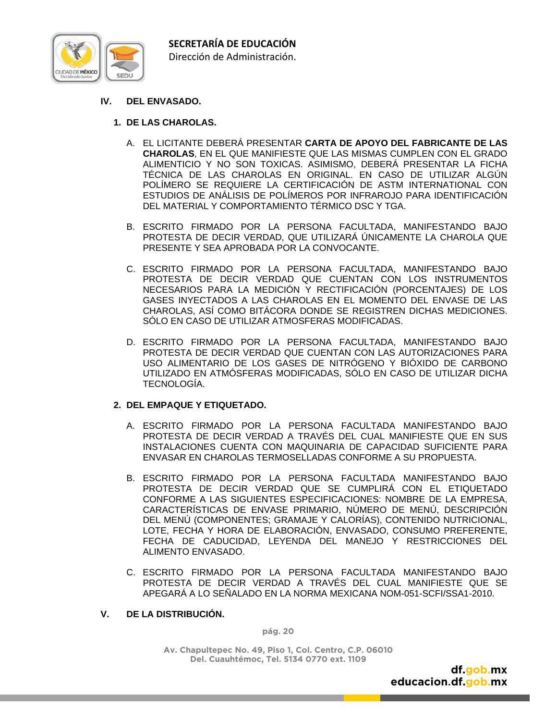

- **IV. DEL ENVASADO.** 
	- **1. DE LAS CHAROLAS.** 
		- A. EL LICITANTE DEBERÁ PRESENTAR **CARTA DE APOYO DEL FABRICANTE DE LAS CHAROLAS**, EN EL QUE MANIFIESTE QUE LAS MISMAS CUMPLEN CON EL GRADO ALIMENTICIO Y NO SON TOXICAS. ASIMISMO, DEBERÁ PRESENTAR LA FICHA TÉCNICA DE LAS CHAROLAS EN ORIGINAL. EN CASO DE UTILIZAR ALGÚN POLÍMERO SE REQUIERE LA CERTIFICACIÓN DE ASTM INTERNATIONAL CON ESTUDIOS DE ANÁLISIS DE POLÍMEROS POR INFRAROJO PARA IDENTIFICACIÓN DEL MATERIAL Y COMPORTAMIENTO TÉRMICO DSC Y TGA.
		- B. ESCRITO FIRMADO POR LA PERSONA FACULTADA, MANIFESTANDO BAJO PROTESTA DE DECIR VERDAD, QUE UTILIZARÁ ÚNICAMENTE LA CHAROLA QUE PRESENTE Y SEA APROBADA POR LA CONVOCANTE.
		- C. ESCRITO FIRMADO POR LA PERSONA FACULTADA, MANIFESTANDO BAJO PROTESTA DE DECIR VERDAD QUE CUENTAN CON LOS INSTRUMENTOS NECESARIOS PARA LA MEDICIÓN Y RECTIFICACIÓN (PORCENTAJES) DE LOS GASES INYECTADOS A LAS CHAROLAS EN EL MOMENTO DEL ENVASE DE LAS CHAROLAS, ASÍ COMO BITÁCORA DONDE SE REGISTREN DICHAS MEDICIONES. SÓLO EN CASO DE UTILIZAR ATMOSFERAS MODIFICADAS.
		- D. ESCRITO FIRMADO POR LA PERSONA FACULTADA, MANIFESTANDO BAJO PROTESTA DE DECIR VERDAD QUE CUENTAN CON LAS AUTORIZACIONES PARA USO ALIMENTARIO DE LOS GASES DE NITRÓGENO Y BIÓXIDO DE CARBONO UTILIZADO EN ATMÓSFERAS MODIFICADAS, SÓLO EN CASO DE UTILIZAR DICHA TECNOLOGÍA.

## **2. DEL EMPAQUE Y ETIQUETADO.**

- A. ESCRITO FIRMADO POR LA PERSONA FACULTADA MANIFESTANDO BAJO PROTESTA DE DECIR VERDAD A TRAVÉS DEL CUAL MANIFIESTE QUE EN SUS INSTALACIONES CUENTA CON MAQUINARIA DE CAPACIDAD SUFICIENTE PARA ENVASAR EN CHAROLAS TERMOSELLADAS CONFORME A SU PROPUESTA.
- B. ESCRITO FIRMADO POR LA PERSONA FACULTADA MANIFESTANDO BAJO PROTESTA DE DECIR VERDAD QUE SE CUMPLIRÁ CON EL ETIQUETADO CONFORME A LAS SIGUIENTES ESPECIFICACIONES: NOMBRE DE LA EMPRESA, CARACTERÍSTICAS DE ENVASE PRIMARIO, NÚMERO DE MENÚ, DESCRIPCIÓN DEL MENÚ (COMPONENTES; GRAMAJE Y CALORÍAS), CONTENIDO NUTRICIONAL, LOTE, FECHA Y HORA DE ELABORACIÓN, ENVASADO, CONSUMO PREFERENTE, FECHA DE CADUCIDAD, LEYENDA DEL MANEJO Y RESTRICCIONES DEL ALIMENTO ENVASADO.
- C. ESCRITO FIRMADO POR LA PERSONA FACULTADA MANIFESTANDO BAJO PROTESTA DE DECIR VERDAD A TRAVÉS DEL CUAL MANIFIESTE QUE SE APEGARÁ A LO SEÑALADO EN LA NORMA MEXICANA NOM-051-SCFI/SSA1-2010.

## **V. DE LA DISTRIBUCIÓN.**

**pág. 20** 

**Av. Chapultepec No. 49, Piso 1, Col. Centro, C.P. 06010 Del. Cuauhtémoc, Tel. 5134 0770 ext. 1109**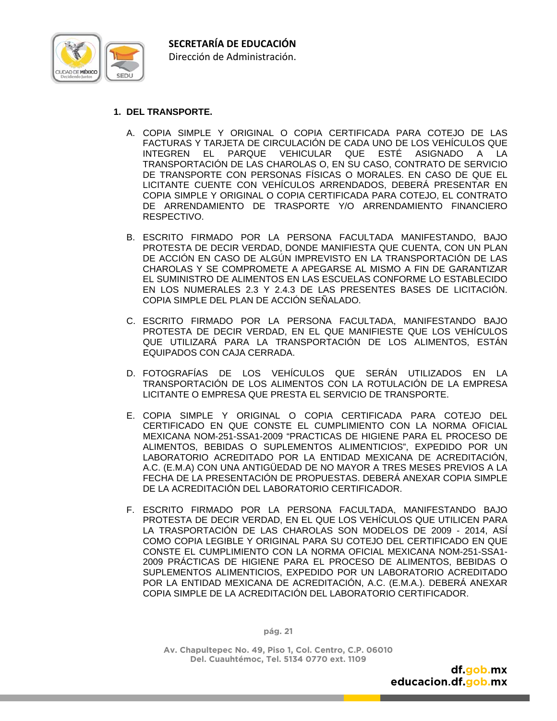

## **1. DEL TRANSPORTE.**

- A. COPIA SIMPLE Y ORIGINAL O COPIA CERTIFICADA PARA COTEJO DE LAS FACTURAS Y TARJETA DE CIRCULACIÓN DE CADA UNO DE LOS VEHÍCULOS QUE INTEGREN EL PARQUE VEHICULAR QUE ESTÉ ASIGNADO A LA TRANSPORTACIÓN DE LAS CHAROLAS O, EN SU CASO, CONTRATO DE SERVICIO DE TRANSPORTE CON PERSONAS FÍSICAS O MORALES. EN CASO DE QUE EL LICITANTE CUENTE CON VEHÍCULOS ARRENDADOS, DEBERÁ PRESENTAR EN COPIA SIMPLE Y ORIGINAL O COPIA CERTIFICADA PARA COTEJO, EL CONTRATO DE ARRENDAMIENTO DE TRASPORTE Y/O ARRENDAMIENTO FINANCIERO RESPECTIVO.
- B. ESCRITO FIRMADO POR LA PERSONA FACULTADA MANIFESTANDO, BAJO PROTESTA DE DECIR VERDAD, DONDE MANIFIESTA QUE CUENTA, CON UN PLAN DE ACCIÓN EN CASO DE ALGÚN IMPREVISTO EN LA TRANSPORTACIÓN DE LAS CHAROLAS Y SE COMPROMETE A APEGARSE AL MISMO A FIN DE GARANTIZAR EL SUMINISTRO DE ALIMENTOS EN LAS ESCUELAS CONFORME LO ESTABLECIDO EN LOS NUMERALES 2.3 Y 2.4.3 DE LAS PRESENTES BASES DE LICITACIÓN. COPIA SIMPLE DEL PLAN DE ACCIÓN SEÑALADO.
- C. ESCRITO FIRMADO POR LA PERSONA FACULTADA, MANIFESTANDO BAJO PROTESTA DE DECIR VERDAD, EN EL QUE MANIFIESTE QUE LOS VEHÍCULOS QUE UTILIZARÁ PARA LA TRANSPORTACIÓN DE LOS ALIMENTOS, ESTÁN EQUIPADOS CON CAJA CERRADA.
- D. FOTOGRAFÍAS DE LOS VEHÍCULOS QUE SERÁN UTILIZADOS EN LA TRANSPORTACIÓN DE LOS ALIMENTOS CON LA ROTULACIÓN DE LA EMPRESA LICITANTE O EMPRESA QUE PRESTA EL SERVICIO DE TRANSPORTE.
- E. COPIA SIMPLE Y ORIGINAL O COPIA CERTIFICADA PARA COTEJO DEL CERTIFICADO EN QUE CONSTE EL CUMPLIMIENTO CON LA NORMA OFICIAL MEXICANA NOM-251-SSA1-2009 "PRACTICAS DE HIGIENE PARA EL PROCESO DE ALIMENTOS, BEBIDAS O SUPLEMENTOS ALIMENTICIOS", EXPEDIDO POR UN LABORATORIO ACREDITADO POR LA ENTIDAD MEXICANA DE ACREDITACIÓN, A.C. (E.M.A) CON UNA ANTIGÜEDAD DE NO MAYOR A TRES MESES PREVIOS A LA FECHA DE LA PRESENTACIÓN DE PROPUESTAS. DEBERÁ ANEXAR COPIA SIMPLE DE LA ACREDITACIÓN DEL LABORATORIO CERTIFICADOR.
- F. ESCRITO FIRMADO POR LA PERSONA FACULTADA, MANIFESTANDO BAJO PROTESTA DE DECIR VERDAD, EN EL QUE LOS VEHÍCULOS QUE UTILICEN PARA LA TRASPORTACIÓN DE LAS CHAROLAS SON MODELOS DE 2009 - 2014, ASÍ COMO COPIA LEGIBLE Y ORIGINAL PARA SU COTEJO DEL CERTIFICADO EN QUE CONSTE EL CUMPLIMIENTO CON LA NORMA OFICIAL MEXICANA NOM-251-SSA1- 2009 PRÁCTICAS DE HIGIENE PARA EL PROCESO DE ALIMENTOS, BEBIDAS O SUPLEMENTOS ALIMENTICIOS, EXPEDIDO POR UN LABORATORIO ACREDITADO POR LA ENTIDAD MEXICANA DE ACREDITACIÓN, A.C. (E.M.A.). DEBERÁ ANEXAR COPIA SIMPLE DE LA ACREDITACIÓN DEL LABORATORIO CERTIFICADOR.

**pág. 21** 

**Av. Chapultepec No. 49, Piso 1, Col. Centro, C.P. 06010 Del. Cuauhtémoc, Tel. 5134 0770 ext. 1109**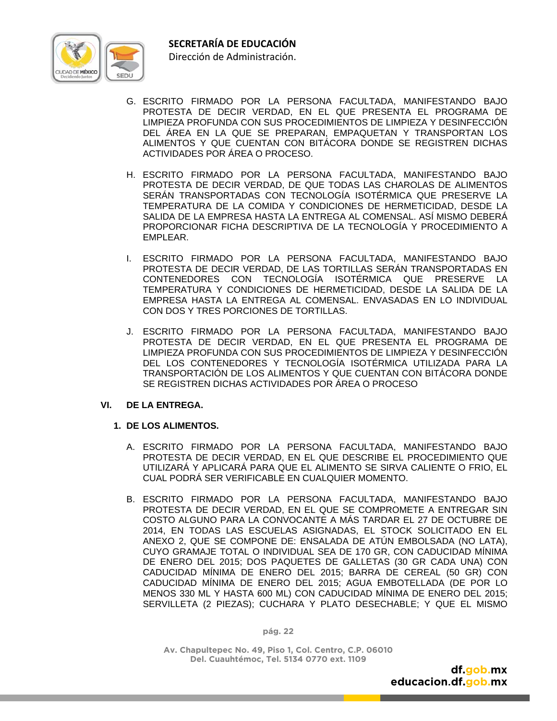

**SECRETARÍA DE EDUCACIÓN** Dirección de Administración.

- G. ESCRITO FIRMADO POR LA PERSONA FACULTADA, MANIFESTANDO BAJO PROTESTA DE DECIR VERDAD, EN EL QUE PRESENTA EL PROGRAMA DE LIMPIEZA PROFUNDA CON SUS PROCEDIMIENTOS DE LIMPIEZA Y DESINFECCIÓN DEL ÁREA EN LA QUE SE PREPARAN, EMPAQUETAN Y TRANSPORTAN LOS ALIMENTOS Y QUE CUENTAN CON BITÁCORA DONDE SE REGISTREN DICHAS ACTIVIDADES POR ÁREA O PROCESO.
- H. ESCRITO FIRMADO POR LA PERSONA FACULTADA, MANIFESTANDO BAJO PROTESTA DE DECIR VERDAD, DE QUE TODAS LAS CHAROLAS DE ALIMENTOS SERÁN TRANSPORTADAS CON TECNOLOGÍA ISOTÉRMICA QUE PRESERVE LA TEMPERATURA DE LA COMIDA Y CONDICIONES DE HERMETICIDAD, DESDE LA SALIDA DE LA EMPRESA HASTA LA ENTREGA AL COMENSAL. ASÍ MISMO DEBERÁ PROPORCIONAR FICHA DESCRIPTIVA DE LA TECNOLOGÍA Y PROCEDIMIENTO A EMPLEAR.
- I. ESCRITO FIRMADO POR LA PERSONA FACULTADA, MANIFESTANDO BAJO PROTESTA DE DECIR VERDAD, DE LAS TORTILLAS SERÁN TRANSPORTADAS EN CONTENEDORES CON TECNOLOGÍA ISOTÉRMICA QUE PRESERVE LA TEMPERATURA Y CONDICIONES DE HERMETICIDAD, DESDE LA SALIDA DE LA EMPRESA HASTA LA ENTREGA AL COMENSAL. ENVASADAS EN LO INDIVIDUAL CON DOS Y TRES PORCIONES DE TORTILLAS.
- J. ESCRITO FIRMADO POR LA PERSONA FACULTADA, MANIFESTANDO BAJO PROTESTA DE DECIR VERDAD, EN EL QUE PRESENTA EL PROGRAMA DE LIMPIEZA PROFUNDA CON SUS PROCEDIMIENTOS DE LIMPIEZA Y DESINFECCIÓN DEL LOS CONTENEDORES Y TECNOLOGÍA ISOTÉRMICA UTILIZADA PARA LA TRANSPORTACIÓN DE LOS ALIMENTOS Y QUE CUENTAN CON BITÁCORA DONDE SE REGISTREN DICHAS ACTIVIDADES POR ÁREA O PROCESO

## **VI. DE LA ENTREGA.**

## **1. DE LOS ALIMENTOS.**

- A. ESCRITO FIRMADO POR LA PERSONA FACULTADA, MANIFESTANDO BAJO PROTESTA DE DECIR VERDAD, EN EL QUE DESCRIBE EL PROCEDIMIENTO QUE UTILIZARÁ Y APLICARÁ PARA QUE EL ALIMENTO SE SIRVA CALIENTE O FRIO, EL CUAL PODRÁ SER VERIFICABLE EN CUALQUIER MOMENTO.
- B. ESCRITO FIRMADO POR LA PERSONA FACULTADA, MANIFESTANDO BAJO PROTESTA DE DECIR VERDAD, EN EL QUE SE COMPROMETE A ENTREGAR SIN COSTO ALGUNO PARA LA CONVOCANTE A MÁS TARDAR EL 27 DE OCTUBRE DE 2014, EN TODAS LAS ESCUELAS ASIGNADAS, EL STOCK SOLICITADO EN EL ANEXO 2, QUE SE COMPONE DE: ENSALADA DE ATÚN EMBOLSADA (NO LATA), CUYO GRAMAJE TOTAL O INDIVIDUAL SEA DE 170 GR, CON CADUCIDAD MÍNIMA DE ENERO DEL 2015; DOS PAQUETES DE GALLETAS (30 GR CADA UNA) CON CADUCIDAD MÍNIMA DE ENERO DEL 2015; BARRA DE CEREAL (50 GR) CON CADUCIDAD MÍNIMA DE ENERO DEL 2015; AGUA EMBOTELLADA (DE POR LO MENOS 330 ML Y HASTA 600 ML) CON CADUCIDAD MÍNIMA DE ENERO DEL 2015; SERVILLETA (2 PIEZAS); CUCHARA Y PLATO DESECHABLE; Y QUE EL MISMO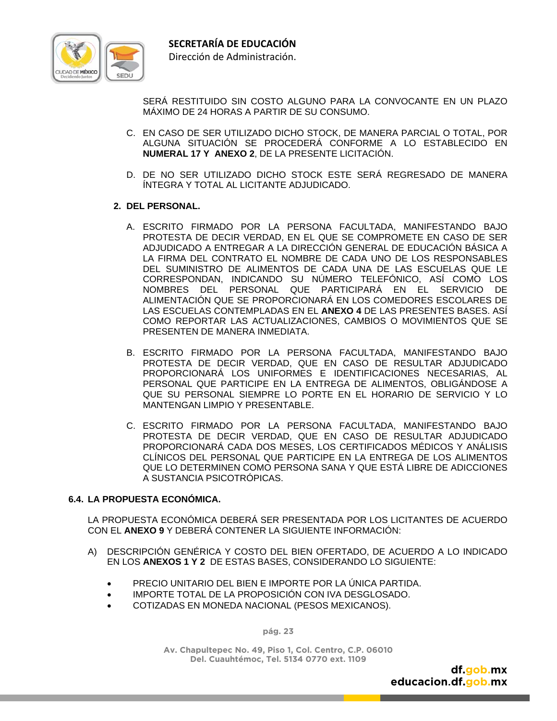

SERÁ RESTITUIDO SIN COSTO ALGUNO PARA LA CONVOCANTE EN UN PLAZO MÁXIMO DE 24 HORAS A PARTIR DE SU CONSUMO.

- C. EN CASO DE SER UTILIZADO DICHO STOCK, DE MANERA PARCIAL O TOTAL, POR ALGUNA SITUACIÓN SE PROCEDERÁ CONFORME A LO ESTABLECIDO EN **NUMERAL 17 Y ANEXO 2**, DE LA PRESENTE LICITACIÓN.
- D. DE NO SER UTILIZADO DICHO STOCK ESTE SERÁ REGRESADO DE MANERA ÍNTEGRA Y TOTAL AL LICITANTE ADJUDICADO.

## **2. DEL PERSONAL.**

- A. ESCRITO FIRMADO POR LA PERSONA FACULTADA, MANIFESTANDO BAJO PROTESTA DE DECIR VERDAD, EN EL QUE SE COMPROMETE EN CASO DE SER ADJUDICADO A ENTREGAR A LA DIRECCIÓN GENERAL DE EDUCACIÓN BÁSICA A LA FIRMA DEL CONTRATO EL NOMBRE DE CADA UNO DE LOS RESPONSABLES DEL SUMINISTRO DE ALIMENTOS DE CADA UNA DE LAS ESCUELAS QUE LE CORRESPONDAN, INDICANDO SU NÚMERO TELEFÓNICO, ASÍ COMO LOS NOMBRES DEL PERSONAL QUE PARTICIPARÁ EN EL SERVICIO DE ALIMENTACIÓN QUE SE PROPORCIONARÁ EN LOS COMEDORES ESCOLARES DE LAS ESCUELAS CONTEMPLADAS EN EL **ANEXO 4** DE LAS PRESENTES BASES. ASÍ COMO REPORTAR LAS ACTUALIZACIONES, CAMBIOS O MOVIMIENTOS QUE SE PRESENTEN DE MANERA INMEDIATA.
- B. ESCRITO FIRMADO POR LA PERSONA FACULTADA, MANIFESTANDO BAJO PROTESTA DE DECIR VERDAD, QUE EN CASO DE RESULTAR ADJUDICADO PROPORCIONARÁ LOS UNIFORMES E IDENTIFICACIONES NECESARIAS, AL PERSONAL QUE PARTICIPE EN LA ENTREGA DE ALIMENTOS, OBLIGÁNDOSE A QUE SU PERSONAL SIEMPRE LO PORTE EN EL HORARIO DE SERVICIO Y LO MANTENGAN LIMPIO Y PRESENTABLE.
- C. ESCRITO FIRMADO POR LA PERSONA FACULTADA, MANIFESTANDO BAJO PROTESTA DE DECIR VERDAD, QUE EN CASO DE RESULTAR ADJUDICADO PROPORCIONARÁ CADA DOS MESES, LOS CERTIFICADOS MÉDICOS Y ANÁLISIS CLÍNICOS DEL PERSONAL QUE PARTICIPE EN LA ENTREGA DE LOS ALIMENTOS QUE LO DETERMINEN COMO PERSONA SANA Y QUE ESTÁ LIBRE DE ADICCIONES A SUSTANCIA PSICOTRÓPICAS.

## **6.4. LA PROPUESTA ECONÓMICA.**

LA PROPUESTA ECONÓMICA DEBERÁ SER PRESENTADA POR LOS LICITANTES DE ACUERDO CON EL **ANEXO 9** Y DEBERÁ CONTENER LA SIGUIENTE INFORMACIÓN:

- A) DESCRIPCIÓN GENÉRICA Y COSTO DEL BIEN OFERTADO, DE ACUERDO A LO INDICADO EN LOS **ANEXOS 1 Y 2** DE ESTAS BASES, CONSIDERANDO LO SIGUIENTE:
	- PRECIO UNITARIO DEL BIEN E IMPORTE POR LA ÚNICA PARTIDA.
	- IMPORTE TOTAL DE LA PROPOSICIÓN CON IVA DESGLOSADO.
	- COTIZADAS EN MONEDA NACIONAL (PESOS MEXICANOS).

**pág. 23** 

**Av. Chapultepec No. 49, Piso 1, Col. Centro, C.P. 06010 Del. Cuauhtémoc, Tel. 5134 0770 ext. 1109**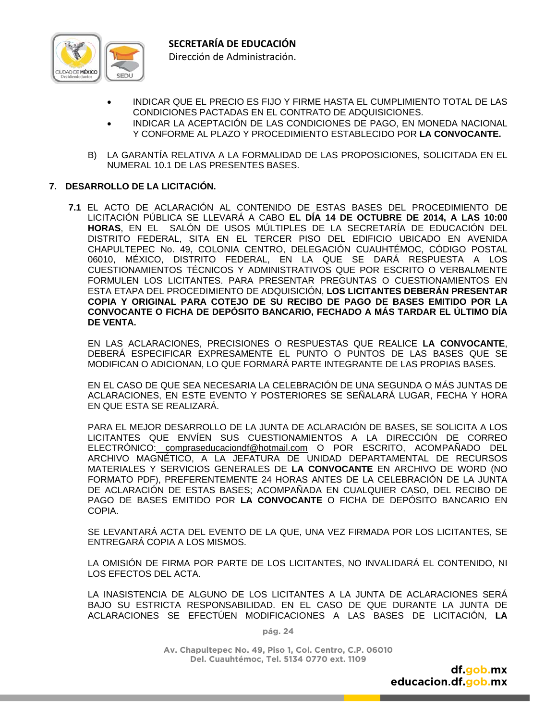

- INDICAR QUE EL PRECIO ES FIJO Y FIRME HASTA EL CUMPLIMIENTO TOTAL DE LAS CONDICIONES PACTADAS EN EL CONTRATO DE ADQUISICIONES.
- INDICAR LA ACEPTACIÓN DE LAS CONDICIONES DE PAGO, EN MONEDA NACIONAL Y CONFORME AL PLAZO Y PROCEDIMIENTO ESTABLECIDO POR **LA CONVOCANTE.**
- B) LA GARANTÍA RELATIVA A LA FORMALIDAD DE LAS PROPOSICIONES, SOLICITADA EN EL NUMERAL 10.1 DE LAS PRESENTES BASES.

## **7. DESARROLLO DE LA LICITACIÓN.**

**7.1** EL ACTO DE ACLARACIÓN AL CONTENIDO DE ESTAS BASES DEL PROCEDIMIENTO DE LICITACIÓN PÚBLICA SE LLEVARÁ A CABO **EL DÍA 14 DE OCTUBRE DE 2014, A LAS 10:00 HORAS**, EN EL SALÓN DE USOS MÚLTIPLES DE LA SECRETARÍA DE EDUCACIÓN DEL DISTRITO FEDERAL, SITA EN EL TERCER PISO DEL EDIFICIO UBICADO EN AVENIDA CHAPULTEPEC No. 49, COLONIA CENTRO, DELEGACIÓN CUAUHTÉMOC, CÓDIGO POSTAL 06010, MÉXICO, DISTRITO FEDERAL, EN LA QUE SE DARÁ RESPUESTA A LOS CUESTIONAMIENTOS TÉCNICOS Y ADMINISTRATIVOS QUE POR ESCRITO O VERBALMENTE FORMULEN LOS LICITANTES. PARA PRESENTAR PREGUNTAS O CUESTIONAMIENTOS EN ESTA ETAPA DEL PROCEDIMIENTO DE ADQUISICIÓN, **LOS LICITANTES DEBERÁN PRESENTAR COPIA Y ORIGINAL PARA COTEJO DE SU RECIBO DE PAGO DE BASES EMITIDO POR LA CONVOCANTE O FICHA DE DEPÓSITO BANCARIO, FECHADO A MÁS TARDAR EL ÚLTIMO DÍA DE VENTA.** 

 EN LAS ACLARACIONES, PRECISIONES O RESPUESTAS QUE REALICE **LA CONVOCANTE**, DEBERÁ ESPECIFICAR EXPRESAMENTE EL PUNTO O PUNTOS DE LAS BASES QUE SE MODIFICAN O ADICIONAN, LO QUE FORMARÁ PARTE INTEGRANTE DE LAS PROPIAS BASES.

 EN EL CASO DE QUE SEA NECESARIA LA CELEBRACIÓN DE UNA SEGUNDA O MÁS JUNTAS DE ACLARACIONES, EN ESTE EVENTO Y POSTERIORES SE SEÑALARÁ LUGAR, FECHA Y HORA EN QUE ESTA SE REALIZARÁ.

 PARA EL MEJOR DESARROLLO DE LA JUNTA DE ACLARACIÓN DE BASES, SE SOLICITA A LOS LICITANTES QUE ENVÍEN SUS CUESTIONAMIENTOS A LA DIRECCIÓN DE CORREO ELECTRÓNICO: compraseducaciondf@hotmail.com O POR ESCRITO, ACOMPAÑADO DEL ARCHIVO MAGNÉTICO, A LA JEFATURA DE UNIDAD DEPARTAMENTAL DE RECURSOS MATERIALES Y SERVICIOS GENERALES DE **LA CONVOCANTE** EN ARCHIVO DE WORD (NO FORMATO PDF), PREFERENTEMENTE 24 HORAS ANTES DE LA CELEBRACIÓN DE LA JUNTA DE ACLARACIÓN DE ESTAS BASES; ACOMPAÑADA EN CUALQUIER CASO, DEL RECIBO DE PAGO DE BASES EMITIDO POR **LA CONVOCANTE** O FICHA DE DEPÓSITO BANCARIO EN COPIA.

 SE LEVANTARÁ ACTA DEL EVENTO DE LA QUE, UNA VEZ FIRMADA POR LOS LICITANTES, SE ENTREGARÁ COPIA A LOS MISMOS.

 LA OMISIÓN DE FIRMA POR PARTE DE LOS LICITANTES, NO INVALIDARÁ EL CONTENIDO, NI LOS EFECTOS DEL ACTA.

 LA INASISTENCIA DE ALGUNO DE LOS LICITANTES A LA JUNTA DE ACLARACIONES SERÁ BAJO SU ESTRICTA RESPONSABILIDAD. EN EL CASO DE QUE DURANTE LA JUNTA DE ACLARACIONES SE EFECTÚEN MODIFICACIONES A LAS BASES DE LICITACIÓN, **LA** 

**pág. 24** 

**Av. Chapultepec No. 49, Piso 1, Col. Centro, C.P. 06010 Del. Cuauhtémoc, Tel. 5134 0770 ext. 1109**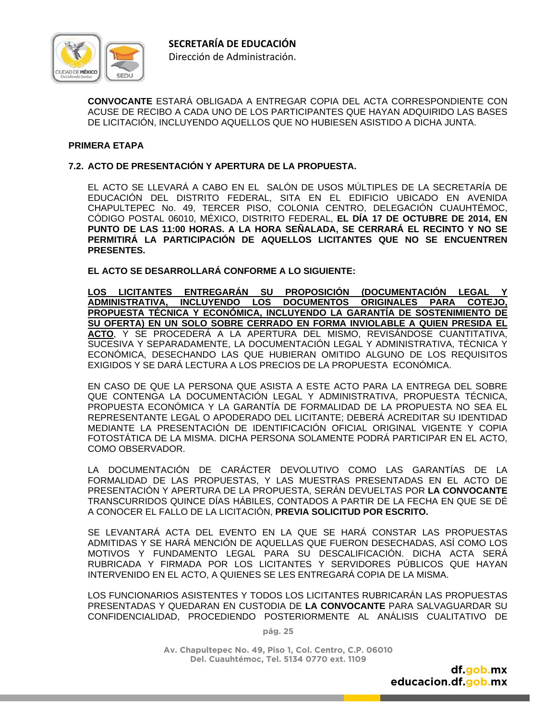

**CONVOCANTE** ESTARÁ OBLIGADA A ENTREGAR COPIA DEL ACTA CORRESPONDIENTE CON ACUSE DE RECIBO A CADA UNO DE LOS PARTICIPANTES QUE HAYAN ADQUIRIDO LAS BASES DE LICITACIÓN, INCLUYENDO AQUELLOS QUE NO HUBIESEN ASISTIDO A DICHA JUNTA.

## **PRIMERA ETAPA**

#### **7.2. ACTO DE PRESENTACIÓN Y APERTURA DE LA PROPUESTA.**

 EL ACTO SE LLEVARÁ A CABO EN EL SALÓN DE USOS MÚLTIPLES DE LA SECRETARÍA DE EDUCACIÓN DEL DISTRITO FEDERAL, SITA EN EL EDIFICIO UBICADO EN AVENIDA CHAPULTEPEC No. 49, TERCER PISO, COLONIA CENTRO, DELEGACIÓN CUAUHTÉMOC, CÓDIGO POSTAL 06010, MÉXICO, DISTRITO FEDERAL, **EL DÍA 17 DE OCTUBRE DE 2014, EN PUNTO DE LAS 11:00 HORAS. A LA HORA SEÑALADA, SE CERRARÁ EL RECINTO Y NO SE PERMITIRÁ LA PARTICIPACIÓN DE AQUELLOS LICITANTES QUE NO SE ENCUENTREN PRESENTES.**

 **EL ACTO SE DESARROLLARÁ CONFORME A LO SIGUIENTE:** 

 **LOS LICITANTES ENTREGARÁN SU PROPOSICIÓN (DOCUMENTACIÓN LEGAL Y ADMINISTRATIVA, INCLUYENDO LOS DOCUMENTOS ORIGINALES PARA COTEJO, PROPUESTA TÉCNICA Y ECONÓMICA, INCLUYENDO LA GARANTÍA DE SOSTENIMIENTO DE SU OFERTA) EN UN SOLO SOBRE CERRADO EN FORMA INVIOLABLE A QUIEN PRESIDA EL ACTO**, Y SE PROCEDERÁ A LA APERTURA DEL MISMO, REVISÁNDOSE CUANTITATIVA, SUCESIVA Y SEPARADAMENTE, LA DOCUMENTACIÓN LEGAL Y ADMINISTRATIVA, TÉCNICA Y ECONÓMICA, DESECHANDO LAS QUE HUBIERAN OMITIDO ALGUNO DE LOS REQUISITOS EXIGIDOS Y SE DARÁ LECTURA A LOS PRECIOS DE LA PROPUESTA ECONÓMICA.

 EN CASO DE QUE LA PERSONA QUE ASISTA A ESTE ACTO PARA LA ENTREGA DEL SOBRE QUE CONTENGA LA DOCUMENTACIÓN LEGAL Y ADMINISTRATIVA, PROPUESTA TÉCNICA, PROPUESTA ECONÓMICA Y LA GARANTÍA DE FORMALIDAD DE LA PROPUESTA NO SEA EL REPRESENTANTE LEGAL O APODERADO DEL LICITANTE; DEBERÁ ACREDITAR SU IDENTIDAD MEDIANTE LA PRESENTACIÓN DE IDENTIFICACIÓN OFICIAL ORIGINAL VIGENTE Y COPIA FOTOSTÁTICA DE LA MISMA. DICHA PERSONA SOLAMENTE PODRÁ PARTICIPAR EN EL ACTO, COMO OBSERVADOR.

 LA DOCUMENTACIÓN DE CARÁCTER DEVOLUTIVO COMO LAS GARANTÍAS DE LA FORMALIDAD DE LAS PROPUESTAS, Y LAS MUESTRAS PRESENTADAS EN EL ACTO DE PRESENTACIÓN Y APERTURA DE LA PROPUESTA, SERÁN DEVUELTAS POR **LA CONVOCANTE** TRANSCURRIDOS QUINCE DÍAS HÁBILES, CONTADOS A PARTIR DE LA FECHA EN QUE SE DÉ A CONOCER EL FALLO DE LA LICITACIÓN, **PREVIA SOLICITUD POR ESCRITO.**

 SE LEVANTARÁ ACTA DEL EVENTO EN LA QUE SE HARÁ CONSTAR LAS PROPUESTAS ADMITIDAS Y SE HARÁ MENCIÓN DE AQUELLAS QUE FUERON DESECHADAS, ASÍ COMO LOS MOTIVOS Y FUNDAMENTO LEGAL PARA SU DESCALIFICACIÓN. DICHA ACTA SERÁ RUBRICADA Y FIRMADA POR LOS LICITANTES Y SERVIDORES PÚBLICOS QUE HAYAN INTERVENIDO EN EL ACTO, A QUIENES SE LES ENTREGARÁ COPIA DE LA MISMA.

 LOS FUNCIONARIOS ASISTENTES Y TODOS LOS LICITANTES RUBRICARÁN LAS PROPUESTAS PRESENTADAS Y QUEDARAN EN CUSTODIA DE **LA CONVOCANTE** PARA SALVAGUARDAR SU CONFIDENCIALIDAD, PROCEDIENDO POSTERIORMENTE AL ANÁLISIS CUALITATIVO DE

**pág. 25** 

**Av. Chapultepec No. 49, Piso 1, Col. Centro, C.P. 06010 Del. Cuauhtémoc, Tel. 5134 0770 ext. 1109**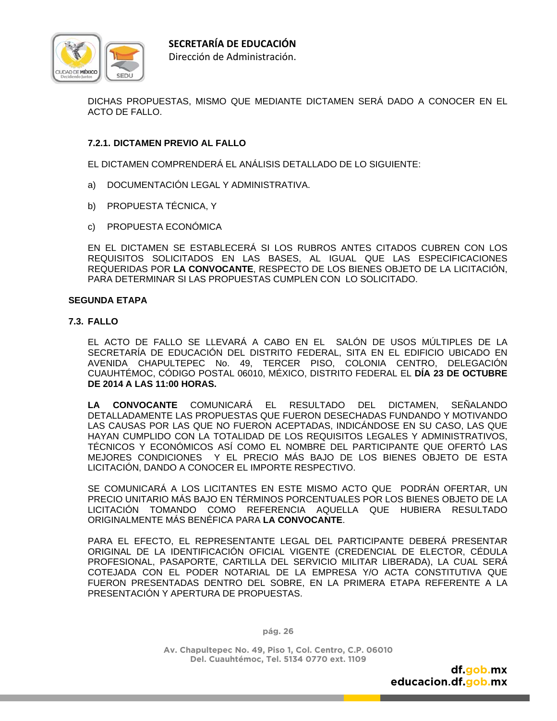

DICHAS PROPUESTAS, MISMO QUE MEDIANTE DICTAMEN SERÁ DADO A CONOCER EN EL ACTO DE FALLO.

## **7.2.1. DICTAMEN PREVIO AL FALLO**

EL DICTAMEN COMPRENDERÁ EL ANÁLISIS DETALLADO DE LO SIGUIENTE:

- a) DOCUMENTACIÓN LEGAL Y ADMINISTRATIVA.
- b) PROPUESTA TÉCNICA, Y
- c) PROPUESTA ECONÓMICA

 EN EL DICTAMEN SE ESTABLECERÁ SI LOS RUBROS ANTES CITADOS CUBREN CON LOS REQUISITOS SOLICITADOS EN LAS BASES, AL IGUAL QUE LAS ESPECIFICACIONES REQUERIDAS POR **LA CONVOCANTE**, RESPECTO DE LOS BIENES OBJETO DE LA LICITACIÓN, PARA DETERMINAR SI LAS PROPUESTAS CUMPLEN CON LO SOLICITADO.

#### **SEGUNDA ETAPA**

#### **7.3. FALLO**

 EL ACTO DE FALLO SE LLEVARÁ A CABO EN EL SALÓN DE USOS MÚLTIPLES DE LA SECRETARÍA DE EDUCACIÓN DEL DISTRITO FEDERAL, SITA EN EL EDIFICIO UBICADO EN AVENIDA CHAPULTEPEC No. 49, TERCER PISO, COLONIA CENTRO, DELEGACIÓN CUAUHTÉMOC, CÓDIGO POSTAL 06010, MÉXICO, DISTRITO FEDERAL EL **DÍA 23 DE OCTUBRE DE 2014 A LAS 11:00 HORAS.** 

**LA CONVOCANTE** COMUNICARÁ EL RESULTADO DEL DICTAMEN, SEÑALANDO DETALLADAMENTE LAS PROPUESTAS QUE FUERON DESECHADAS FUNDANDO Y MOTIVANDO LAS CAUSAS POR LAS QUE NO FUERON ACEPTADAS, INDICÁNDOSE EN SU CASO, LAS QUE HAYAN CUMPLIDO CON LA TOTALIDAD DE LOS REQUISITOS LEGALES Y ADMINISTRATIVOS, TÉCNICOS Y ECONÓMICOS ASÍ COMO EL NOMBRE DEL PARTICIPANTE QUE OFERTÓ LAS MEJORES CONDICIONES Y EL PRECIO MÁS BAJO DE LOS BIENES OBJETO DE ESTA LICITACIÓN, DANDO A CONOCER EL IMPORTE RESPECTIVO.

 SE COMUNICARÁ A LOS LICITANTES EN ESTE MISMO ACTO QUE PODRÁN OFERTAR, UN PRECIO UNITARIO MÁS BAJO EN TÉRMINOS PORCENTUALES POR LOS BIENES OBJETO DE LA LICITACIÓN TOMANDO COMO REFERENCIA AQUELLA QUE HUBIERA RESULTADO ORIGINALMENTE MÁS BENÉFICA PARA **LA CONVOCANTE**.

 PARA EL EFECTO, EL REPRESENTANTE LEGAL DEL PARTICIPANTE DEBERÁ PRESENTAR ORIGINAL DE LA IDENTIFICACIÓN OFICIAL VIGENTE (CREDENCIAL DE ELECTOR, CÉDULA PROFESIONAL, PASAPORTE, CARTILLA DEL SERVICIO MILITAR LIBERADA), LA CUAL SERÁ COTEJADA CON EL PODER NOTARIAL DE LA EMPRESA Y/O ACTA CONSTITUTIVA QUE FUERON PRESENTADAS DENTRO DEL SOBRE, EN LA PRIMERA ETAPA REFERENTE A LA PRESENTACIÓN Y APERTURA DE PROPUESTAS.

**pág. 26** 

**Av. Chapultepec No. 49, Piso 1, Col. Centro, C.P. 06010 Del. Cuauhtémoc, Tel. 5134 0770 ext. 1109**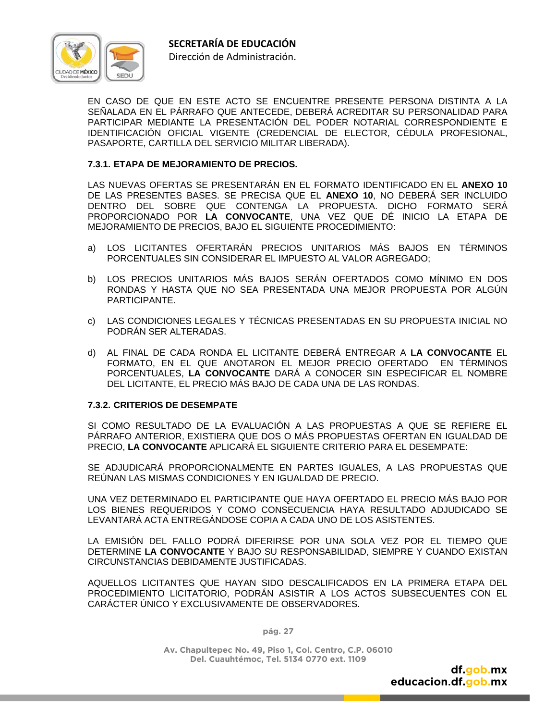

 EN CASO DE QUE EN ESTE ACTO SE ENCUENTRE PRESENTE PERSONA DISTINTA A LA SEÑALADA EN EL PÁRRAFO QUE ANTECEDE, DEBERÁ ACREDITAR SU PERSONALIDAD PARA PARTICIPAR MEDIANTE LA PRESENTACIÓN DEL PODER NOTARIAL CORRESPONDIENTE E IDENTIFICACIÓN OFICIAL VIGENTE (CREDENCIAL DE ELECTOR, CÉDULA PROFESIONAL, PASAPORTE, CARTILLA DEL SERVICIO MILITAR LIBERADA).

## **7.3.1. ETAPA DE MEJORAMIENTO DE PRECIOS.**

 LAS NUEVAS OFERTAS SE PRESENTARÁN EN EL FORMATO IDENTIFICADO EN EL **ANEXO 10**  DE LAS PRESENTES BASES. SE PRECISA QUE EL **ANEXO 10**, NO DEBERÁ SER INCLUIDO DENTRO DEL SOBRE QUE CONTENGA LA PROPUESTA. DICHO FORMATO SERÁ PROPORCIONADO POR **LA CONVOCANTE**, UNA VEZ QUE DÉ INICIO LA ETAPA DE MEJORAMIENTO DE PRECIOS, BAJO EL SIGUIENTE PROCEDIMIENTO:

- a) LOS LICITANTES OFERTARÁN PRECIOS UNITARIOS MÁS BAJOS EN TÉRMINOS PORCENTUALES SIN CONSIDERAR EL IMPUESTO AL VALOR AGREGADO;
- b) LOS PRECIOS UNITARIOS MÁS BAJOS SERÁN OFERTADOS COMO MÍNIMO EN DOS RONDAS Y HASTA QUE NO SEA PRESENTADA UNA MEJOR PROPUESTA POR ALGÚN PARTICIPANTE.
- c) LAS CONDICIONES LEGALES Y TÉCNICAS PRESENTADAS EN SU PROPUESTA INICIAL NO PODRÁN SER ALTERADAS.
- d) AL FINAL DE CADA RONDA EL LICITANTE DEBERÁ ENTREGAR A **LA CONVOCANTE** EL FORMATO, EN EL QUE ANOTARON EL MEJOR PRECIO OFERTADO EN TÉRMINOS PORCENTUALES, **LA CONVOCANTE** DARÁ A CONOCER SIN ESPECIFICAR EL NOMBRE DEL LICITANTE, EL PRECIO MÁS BAJO DE CADA UNA DE LAS RONDAS.

#### **7.3.2. CRITERIOS DE DESEMPATE**

 SI COMO RESULTADO DE LA EVALUACIÓN A LAS PROPUESTAS A QUE SE REFIERE EL PÁRRAFO ANTERIOR, EXISTIERA QUE DOS O MÁS PROPUESTAS OFERTAN EN IGUALDAD DE PRECIO, **LA CONVOCANTE** APLICARÁ EL SIGUIENTE CRITERIO PARA EL DESEMPATE:

SE ADJUDICARÁ PROPORCIONALMENTE EN PARTES IGUALES, A LAS PROPUESTAS QUE REÚNAN LAS MISMAS CONDICIONES Y EN IGUALDAD DE PRECIO.

 UNA VEZ DETERMINADO EL PARTICIPANTE QUE HAYA OFERTADO EL PRECIO MÁS BAJO POR LOS BIENES REQUERIDOS Y COMO CONSECUENCIA HAYA RESULTADO ADJUDICADO SE LEVANTARÁ ACTA ENTREGÁNDOSE COPIA A CADA UNO DE LOS ASISTENTES.

 LA EMISIÓN DEL FALLO PODRÁ DIFERIRSE POR UNA SOLA VEZ POR EL TIEMPO QUE DETERMINE **LA CONVOCANTE** Y BAJO SU RESPONSABILIDAD, SIEMPRE Y CUANDO EXISTAN CIRCUNSTANCIAS DEBIDAMENTE JUSTIFICADAS.

 AQUELLOS LICITANTES QUE HAYAN SIDO DESCALIFICADOS EN LA PRIMERA ETAPA DEL PROCEDIMIENTO LICITATORIO, PODRÁN ASISTIR A LOS ACTOS SUBSECUENTES CON EL CARÁCTER ÚNICO Y EXCLUSIVAMENTE DE OBSERVADORES.

**pág. 27** 

**Av. Chapultepec No. 49, Piso 1, Col. Centro, C.P. 06010 Del. Cuauhtémoc, Tel. 5134 0770 ext. 1109**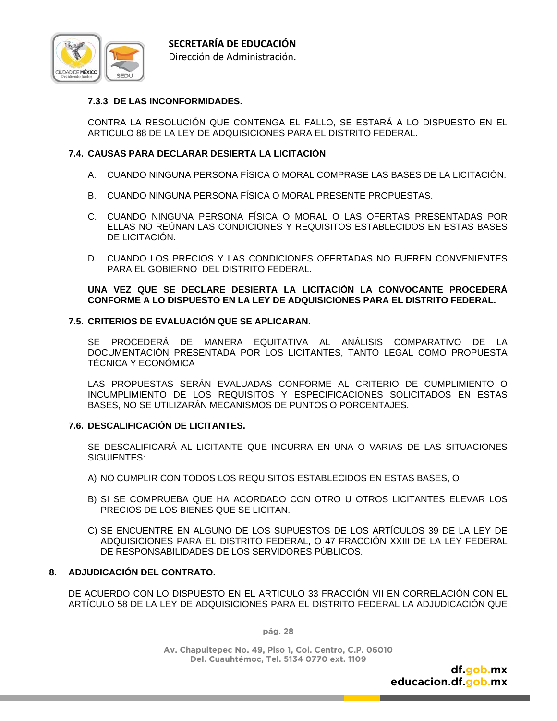

## **7.3.3 DE LAS INCONFORMIDADES.**

 CONTRA LA RESOLUCIÓN QUE CONTENGA EL FALLO, SE ESTARÁ A LO DISPUESTO EN EL ARTICULO 88 DE LA LEY DE ADQUISICIONES PARA EL DISTRITO FEDERAL.

## **7.4. CAUSAS PARA DECLARAR DESIERTA LA LICITACIÓN**

- A. CUANDO NINGUNA PERSONA FÍSICA O MORAL COMPRASE LAS BASES DE LA LICITACIÓN.
- B. CUANDO NINGUNA PERSONA FÍSICA O MORAL PRESENTE PROPUESTAS.
- C. CUANDO NINGUNA PERSONA FÍSICA O MORAL O LAS OFERTAS PRESENTADAS POR ELLAS NO REÚNAN LAS CONDICIONES Y REQUISITOS ESTABLECIDOS EN ESTAS BASES DE LICITACIÓN.
- D. CUANDO LOS PRECIOS Y LAS CONDICIONES OFERTADAS NO FUEREN CONVENIENTES PARA EL GOBIERNO DEL DISTRITO FEDERAL.

## **UNA VEZ QUE SE DECLARE DESIERTA LA LICITACIÓN LA CONVOCANTE PROCEDERÁ CONFORME A LO DISPUESTO EN LA LEY DE ADQUISICIONES PARA EL DISTRITO FEDERAL.**

#### **7.5. CRITERIOS DE EVALUACIÓN QUE SE APLICARAN.**

 SE PROCEDERÁ DE MANERA EQUITATIVA AL ANÁLISIS COMPARATIVO DE LA DOCUMENTACIÓN PRESENTADA POR LOS LICITANTES, TANTO LEGAL COMO PROPUESTA TÉCNICA Y ECONÓMICA

 LAS PROPUESTAS SERÁN EVALUADAS CONFORME AL CRITERIO DE CUMPLIMIENTO O INCUMPLIMIENTO DE LOS REQUISITOS Y ESPECIFICACIONES SOLICITADOS EN ESTAS BASES, NO SE UTILIZARÁN MECANISMOS DE PUNTOS O PORCENTAJES.

#### **7.6. DESCALIFICACIÓN DE LICITANTES.**

 SE DESCALIFICARÁ AL LICITANTE QUE INCURRA EN UNA O VARIAS DE LAS SITUACIONES SIGUIENTES:

- A) NO CUMPLIR CON TODOS LOS REQUISITOS ESTABLECIDOS EN ESTAS BASES, O
- B) SI SE COMPRUEBA QUE HA ACORDADO CON OTRO U OTROS LICITANTES ELEVAR LOS PRECIOS DE LOS BIENES QUE SE LICITAN.
- C) SE ENCUENTRE EN ALGUNO DE LOS SUPUESTOS DE LOS ARTÍCULOS 39 DE LA LEY DE ADQUISICIONES PARA EL DISTRITO FEDERAL, O 47 FRACCIÓN XXIII DE LA LEY FEDERAL DE RESPONSABILIDADES DE LOS SERVIDORES PÚBLICOS.

#### **8. ADJUDICACIÓN DEL CONTRATO.**

 DE ACUERDO CON LO DISPUESTO EN EL ARTICULO 33 FRACCIÓN VII EN CORRELACIÓN CON EL ARTÍCULO 58 DE LA LEY DE ADQUISICIONES PARA EL DISTRITO FEDERAL LA ADJUDICACIÓN QUE

**pág. 28** 

**Av. Chapultepec No. 49, Piso 1, Col. Centro, C.P. 06010 Del. Cuauhtémoc, Tel. 5134 0770 ext. 1109**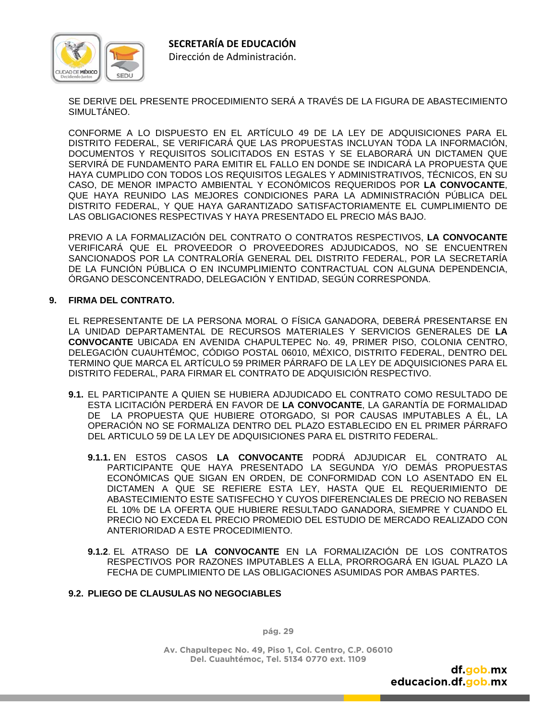

SE DERIVE DEL PRESENTE PROCEDIMIENTO SERÁ A TRAVÉS DE LA FIGURA DE ABASTECIMIENTO SIMULTÁNEO.

 CONFORME A LO DISPUESTO EN EL ARTÍCULO 49 DE LA LEY DE ADQUISICIONES PARA EL DISTRITO FEDERAL, SE VERIFICARÁ QUE LAS PROPUESTAS INCLUYAN TODA LA INFORMACIÓN, DOCUMENTOS Y REQUISITOS SOLICITADOS EN ESTAS Y SE ELABORARÁ UN DICTAMEN QUE SERVIRÁ DE FUNDAMENTO PARA EMITIR EL FALLO EN DONDE SE INDICARÁ LA PROPUESTA QUE HAYA CUMPLIDO CON TODOS LOS REQUISITOS LEGALES Y ADMINISTRATIVOS, TÉCNICOS, EN SU CASO, DE MENOR IMPACTO AMBIENTAL Y ECONÓMICOS REQUERIDOS POR **LA CONVOCANTE**, QUE HAYA REUNIDO LAS MEJORES CONDICIONES PARA LA ADMINISTRACIÓN PÚBLICA DEL DISTRITO FEDERAL, Y QUE HAYA GARANTIZADO SATISFACTORIAMENTE EL CUMPLIMIENTO DE LAS OBLIGACIONES RESPECTIVAS Y HAYA PRESENTADO EL PRECIO MÁS BAJO.

 PREVIO A LA FORMALIZACIÓN DEL CONTRATO O CONTRATOS RESPECTIVOS, **LA CONVOCANTE** VERIFICARÁ QUE EL PROVEEDOR O PROVEEDORES ADJUDICADOS, NO SE ENCUENTREN SANCIONADOS POR LA CONTRALORÍA GENERAL DEL DISTRITO FEDERAL, POR LA SECRETARÍA DE LA FUNCIÓN PÚBLICA O EN INCUMPLIMIENTO CONTRACTUAL CON ALGUNA DEPENDENCIA, ÓRGANO DESCONCENTRADO, DELEGACIÓN Y ENTIDAD, SEGÚN CORRESPONDA.

#### **9. FIRMA DEL CONTRATO.**

 EL REPRESENTANTE DE LA PERSONA MORAL O FÍSICA GANADORA, DEBERÁ PRESENTARSE EN LA UNIDAD DEPARTAMENTAL DE RECURSOS MATERIALES Y SERVICIOS GENERALES DE **LA CONVOCANTE** UBICADA EN AVENIDA CHAPULTEPEC No. 49, PRIMER PISO, COLONIA CENTRO, DELEGACIÓN CUAUHTÉMOC, CÓDIGO POSTAL 06010, MÉXICO, DISTRITO FEDERAL, DENTRO DEL TERMINO QUE MARCA EL ARTÍCULO 59 PRIMER PÁRRAFO DE LA LEY DE ADQUISICIONES PARA EL DISTRITO FEDERAL, PARA FIRMAR EL CONTRATO DE ADQUISICIÓN RESPECTIVO.

- **9.1.** EL PARTICIPANTE A QUIEN SE HUBIERA ADJUDICADO EL CONTRATO COMO RESULTADO DE ESTA LICITACIÓN PERDERÁ EN FAVOR DE **LA CONVOCANTE**, LA GARANTÍA DE FORMALIDAD DE LA PROPUESTA QUE HUBIERE OTORGADO, SI POR CAUSAS IMPUTABLES A ÉL, LA OPERACIÓN NO SE FORMALIZA DENTRO DEL PLAZO ESTABLECIDO EN EL PRIMER PÁRRAFO DEL ARTICULO 59 DE LA LEY DE ADQUISICIONES PARA EL DISTRITO FEDERAL.
	- **9.1.1.** EN ESTOS CASOS **LA CONVOCANTE** PODRÁ ADJUDICAR EL CONTRATO AL PARTICIPANTE QUE HAYA PRESENTADO LA SEGUNDA Y/O DEMÁS PROPUESTAS ECONÓMICAS QUE SIGAN EN ORDEN, DE CONFORMIDAD CON LO ASENTADO EN EL DICTAMEN A QUE SE REFIERE ESTA LEY, HASTA QUE EL REQUERIMIENTO DE ABASTECIMIENTO ESTE SATISFECHO Y CUYOS DIFERENCIALES DE PRECIO NO REBASEN EL 10% DE LA OFERTA QUE HUBIERE RESULTADO GANADORA, SIEMPRE Y CUANDO EL PRECIO NO EXCEDA EL PRECIO PROMEDIO DEL ESTUDIO DE MERCADO REALIZADO CON ANTERIORIDAD A ESTE PROCEDIMIENTO.
	- **9.1.2**. EL ATRASO DE **LA CONVOCANTE** EN LA FORMALIZACIÓN DE LOS CONTRATOS RESPECTIVOS POR RAZONES IMPUTABLES A ELLA, PRORROGARÁ EN IGUAL PLAZO LA FECHA DE CUMPLIMIENTO DE LAS OBLIGACIONES ASUMIDAS POR AMBAS PARTES.

#### **9.2. PLIEGO DE CLAUSULAS NO NEGOCIABLES**

**pág. 29** 

**Av. Chapultepec No. 49, Piso 1, Col. Centro, C.P. 06010 Del. Cuauhtémoc, Tel. 5134 0770 ext. 1109**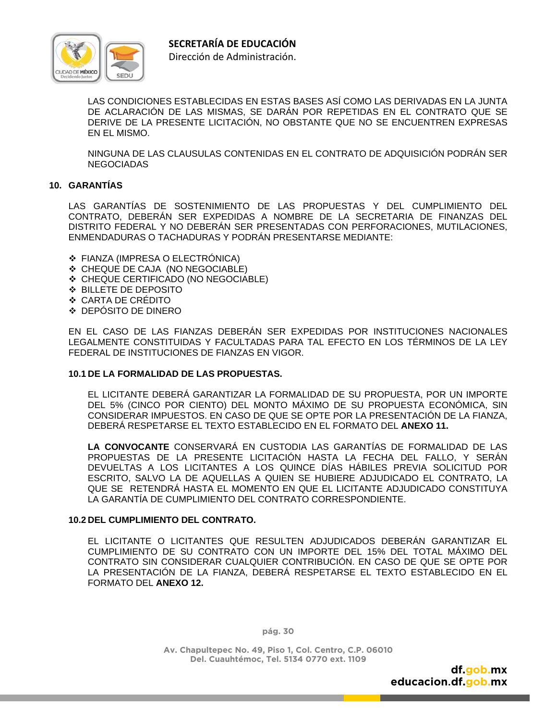

**SECRETARÍA DE EDUCACIÓN** Dirección de Administración.

 LAS CONDICIONES ESTABLECIDAS EN ESTAS BASES ASÍ COMO LAS DERIVADAS EN LA JUNTA DE ACLARACIÓN DE LAS MISMAS, SE DARÁN POR REPETIDAS EN EL CONTRATO QUE SE DERIVE DE LA PRESENTE LICITACIÓN, NO OBSTANTE QUE NO SE ENCUENTREN EXPRESAS EN EL MISMO.

 NINGUNA DE LAS CLAUSULAS CONTENIDAS EN EL CONTRATO DE ADQUISICIÓN PODRÁN SER NEGOCIADAS

## **10. GARANTÍAS**

LAS GARANTÍAS DE SOSTENIMIENTO DE LAS PROPUESTAS Y DEL CUMPLIMIENTO DEL CONTRATO, DEBERÁN SER EXPEDIDAS A NOMBRE DE LA SECRETARIA DE FINANZAS DEL DISTRITO FEDERAL Y NO DEBERÁN SER PRESENTADAS CON PERFORACIONES, MUTILACIONES, ENMENDADURAS O TACHADURAS Y PODRÁN PRESENTARSE MEDIANTE:

- FIANZA (IMPRESA O ELECTRÓNICA)
- CHEQUE DE CAJA (NO NEGOCIABLE)
- CHEQUE CERTIFICADO (NO NEGOCIABLE)
- BILLETE DE DEPOSITO
- CARTA DE CRÉDITO
- DEPÓSITO DE DINERO

 EN EL CASO DE LAS FIANZAS DEBERÁN SER EXPEDIDAS POR INSTITUCIONES NACIONALES LEGALMENTE CONSTITUIDAS Y FACULTADAS PARA TAL EFECTO EN LOS TÉRMINOS DE LA LEY FEDERAL DE INSTITUCIONES DE FIANZAS EN VIGOR.

#### **10.1 DE LA FORMALIDAD DE LAS PROPUESTAS.**

 EL LICITANTE DEBERÁ GARANTIZAR LA FORMALIDAD DE SU PROPUESTA, POR UN IMPORTE DEL 5% (CINCO POR CIENTO) DEL MONTO MÁXIMO DE SU PROPUESTA ECONÓMICA, SIN CONSIDERAR IMPUESTOS. EN CASO DE QUE SE OPTE POR LA PRESENTACIÓN DE LA FIANZA, DEBERÁ RESPETARSE EL TEXTO ESTABLECIDO EN EL FORMATO DEL **ANEXO 11.**

**LA CONVOCANTE** CONSERVARÁ EN CUSTODIA LAS GARANTÍAS DE FORMALIDAD DE LAS PROPUESTAS DE LA PRESENTE LICITACIÓN HASTA LA FECHA DEL FALLO, Y SERÁN DEVUELTAS A LOS LICITANTES A LOS QUINCE DÍAS HÁBILES PREVIA SOLICITUD POR ESCRITO, SALVO LA DE AQUELLAS A QUIEN SE HUBIERE ADJUDICADO EL CONTRATO, LA QUE SE RETENDRÁ HASTA EL MOMENTO EN QUE EL LICITANTE ADJUDICADO CONSTITUYA LA GARANTÍA DE CUMPLIMIENTO DEL CONTRATO CORRESPONDIENTE.

#### **10.2 DEL CUMPLIMIENTO DEL CONTRATO.**

 EL LICITANTE O LICITANTES QUE RESULTEN ADJUDICADOS DEBERÁN GARANTIZAR EL CUMPLIMIENTO DE SU CONTRATO CON UN IMPORTE DEL 15% DEL TOTAL MÁXIMO DEL CONTRATO SIN CONSIDERAR CUALQUIER CONTRIBUCIÓN. EN CASO DE QUE SE OPTE POR LA PRESENTACIÓN DE LA FIANZA, DEBERÁ RESPETARSE EL TEXTO ESTABLECIDO EN EL FORMATO DEL **ANEXO 12.**

**pág. 30** 

**Av. Chapultepec No. 49, Piso 1, Col. Centro, C.P. 06010 Del. Cuauhtémoc, Tel. 5134 0770 ext. 1109**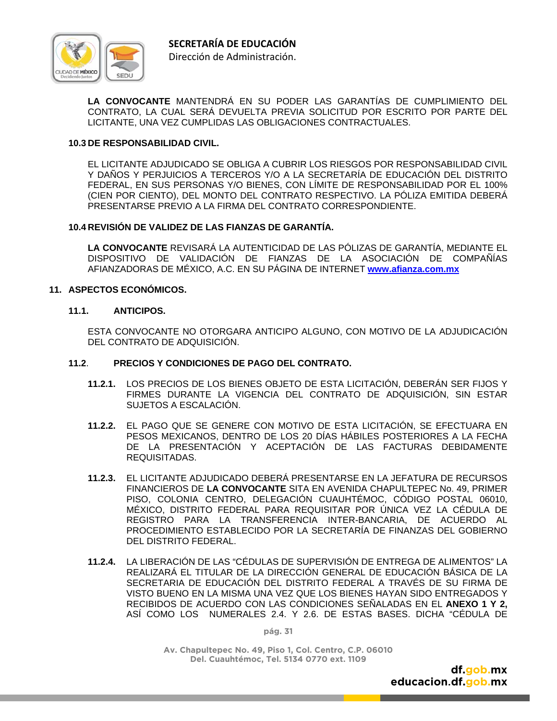

**LA CONVOCANTE** MANTENDRÁ EN SU PODER LAS GARANTÍAS DE CUMPLIMIENTO DEL CONTRATO, LA CUAL SERÁ DEVUELTA PREVIA SOLICITUD POR ESCRITO POR PARTE DEL LICITANTE, UNA VEZ CUMPLIDAS LAS OBLIGACIONES CONTRACTUALES.

## **10.3 DE RESPONSABILIDAD CIVIL.**

 EL LICITANTE ADJUDICADO SE OBLIGA A CUBRIR LOS RIESGOS POR RESPONSABILIDAD CIVIL Y DAÑOS Y PERJUICIOS A TERCEROS Y/O A LA SECRETARÍA DE EDUCACIÓN DEL DISTRITO FEDERAL, EN SUS PERSONAS Y/O BIENES, CON LÍMITE DE RESPONSABILIDAD POR EL 100% (CIEN POR CIENTO), DEL MONTO DEL CONTRATO RESPECTIVO. LA PÓLIZA EMITIDA DEBERÁ PRESENTARSE PREVIO A LA FIRMA DEL CONTRATO CORRESPONDIENTE.

#### **10.4 REVISIÓN DE VALIDEZ DE LAS FIANZAS DE GARANTÍA.**

**LA CONVOCANTE** REVISARÁ LA AUTENTICIDAD DE LAS PÓLIZAS DE GARANTÍA, MEDIANTE EL DISPOSITIVO DE VALIDACIÓN DE FIANZAS DE LA ASOCIACIÓN DE COMPAÑÍAS AFIANZADORAS DE MÉXICO, A.C. EN SU PÁGINA DE INTERNET **www.afianza.com.mx**

#### **11. ASPECTOS ECONÓMICOS.**

#### **11.1. ANTICIPOS.**

 ESTA CONVOCANTE NO OTORGARA ANTICIPO ALGUNO, CON MOTIVO DE LA ADJUDICACIÓN DEL CONTRATO DE ADQUISICIÓN.

#### **11.2**. **PRECIOS Y CONDICIONES DE PAGO DEL CONTRATO.**

- **11.2.1.** LOS PRECIOS DE LOS BIENES OBJETO DE ESTA LICITACIÓN, DEBERÁN SER FIJOS Y FIRMES DURANTE LA VIGENCIA DEL CONTRATO DE ADQUISICIÓN, SIN ESTAR SUJETOS A ESCALACIÓN.
- **11.2.2.** EL PAGO QUE SE GENERE CON MOTIVO DE ESTA LICITACIÓN, SE EFECTUARA EN PESOS MEXICANOS, DENTRO DE LOS 20 DÍAS HÁBILES POSTERIORES A LA FECHA DE LA PRESENTACIÓN Y ACEPTACIÓN DE LAS FACTURAS DEBIDAMENTE REQUISITADAS.
- **11.2.3.** EL LICITANTE ADJUDICADO DEBERÁ PRESENTARSE EN LA JEFATURA DE RECURSOS FINANCIEROS DE **LA CONVOCANTE** SITA EN AVENIDA CHAPULTEPEC No. 49, PRIMER PISO, COLONIA CENTRO, DELEGACIÓN CUAUHTÉMOC, CÓDIGO POSTAL 06010, MÉXICO, DISTRITO FEDERAL PARA REQUISITAR POR ÚNICA VEZ LA CÉDULA DE REGISTRO PARA LA TRANSFERENCIA INTER-BANCARIA, DE ACUERDO AL PROCEDIMIENTO ESTABLECIDO POR LA SECRETARÍA DE FINANZAS DEL GOBIERNO DEL DISTRITO FEDERAL.
- **11.2.4.** LA LIBERACIÓN DE LAS "CÉDULAS DE SUPERVISIÓN DE ENTREGA DE ALIMENTOS" LA REALIZARÁ EL TITULAR DE LA DIRECCIÓN GENERAL DE EDUCACIÓN BÁSICA DE LA SECRETARIA DE EDUCACIÓN DEL DISTRITO FEDERAL A TRAVÉS DE SU FIRMA DE VISTO BUENO EN LA MISMA UNA VEZ QUE LOS BIENES HAYAN SIDO ENTREGADOS Y RECIBIDOS DE ACUERDO CON LAS CONDICIONES SEÑALADAS EN EL **ANEXO 1 Y 2,**  ASÍ COMO LOS NUMERALES 2.4. Y 2.6. DE ESTAS BASES. DICHA "CÉDULA DE

**pág. 31** 

**Av. Chapultepec No. 49, Piso 1, Col. Centro, C.P. 06010 Del. Cuauhtémoc, Tel. 5134 0770 ext. 1109**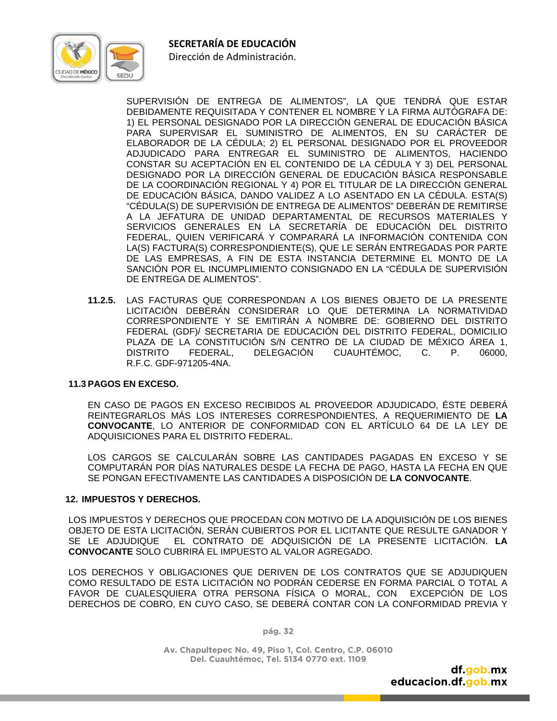**SECRETARÍA DE EDUCACIÓN**



Dirección de Administración.

SUPERVISIÓN DE ENTREGA DE ALIMENTOS", LA QUE TENDRÁ QUE ESTAR DEBIDAMENTE REQUISITADA Y CONTENER EL NOMBRE Y LA FIRMA AUTÓGRAFA DE: 1) EL PERSONAL DESIGNADO POR LA DIRECCIÓN GENERAL DE EDUCACIÓN BÁSICA PARA SUPERVISAR EL SUMINISTRO DE ALIMENTOS, EN SU CARÁCTER DE ELABORADOR DE LA CÉDULA; 2) EL PERSONAL DESIGNADO POR EL PROVEEDOR ADJUDICADO PARA ENTREGAR EL SUMINISTRO DE ALIMENTOS, HACIENDO CONSTAR SU ACEPTACIÓN EN EL CONTENIDO DE LA CÉDULA Y 3) DEL PERSONAL DESIGNADO POR LA DIRECCIÓN GENERAL DE EDUCACIÓN BÁSICA RESPONSABLE DE LA COORDINACIÓN REGIONAL Y 4) POR EL TITULAR DE LA DIRECCIÓN GENERAL DE EDUCACIÓN BÁSICA, DANDO VALIDEZ A LO ASENTADO EN LA CÉDULA. ESTA(S) "CÉDULA(S) DE SUPERVISIÓN DE ENTREGA DE ALIMENTOS" DEBERÁN DE REMITIRSE A LA JEFATURA DE UNIDAD DEPARTAMENTAL DE RECURSOS MATERIALES Y SERVICIOS GENERALES EN LA SECRETARÍA DE EDUCACIÓN DEL DISTRITO FEDERAL, QUIEN VERIFICARÁ Y COMPARARÁ LA INFORMACIÓN CONTENIDA CON LA(S) FACTURA(S) CORRESPONDIENTE(S), QUE LE SERÁN ENTREGADAS POR PARTE DE LAS EMPRESAS, A FIN DE ESTA INSTANCIA DETERMINE EL MONTO DE LA SANCIÓN POR EL INCUMPLIMIENTO CONSIGNADO EN LA "CÉDULA DE SUPERVISIÓN DE ENTREGA DE ALIMENTOS".

**11.2.5.** LAS FACTURAS QUE CORRESPONDAN A LOS BIENES OBJETO DE LA PRESENTE LICITACIÓN DEBERÁN CONSIDERAR LO QUE DETERMINA LA NORMATIVIDAD CORRESPONDIENTE Y SE EMITIRÁN A NOMBRE DE: GOBIERNO DEL DISTRITO FEDERAL (GDF)/ SECRETARIA DE EDUCACIÓN DEL DISTRITO FEDERAL, DOMICILIO PLAZA DE LA CONSTITUCIÓN S/N CENTRO DE LA CIUDAD DE MÉXICO ÁREA 1, DISTRITO FEDERAL, DELEGACIÓN CUAUHTÉMOC, C. P. 06000, R.F.C. GDF-971205-4NA.

## **11.3 PAGOS EN EXCESO.**

 EN CASO DE PAGOS EN EXCESO RECIBIDOS AL PROVEEDOR ADJUDICADO, ÉSTE DEBERÁ REINTEGRARLOS MÁS LOS INTERESES CORRESPONDIENTES, A REQUERIMIENTO DE **LA CONVOCANTE**, LO ANTERIOR DE CONFORMIDAD CON EL ARTÍCULO 64 DE LA LEY DE ADQUISICIONES PARA EL DISTRITO FEDERAL.

 LOS CARGOS SE CALCULARÁN SOBRE LAS CANTIDADES PAGADAS EN EXCESO Y SE COMPUTARÁN POR DÍAS NATURALES DESDE LA FECHA DE PAGO, HASTA LA FECHA EN QUE SE PONGAN EFECTIVAMENTE LAS CANTIDADES A DISPOSICIÓN DE **LA CONVOCANTE**.

## **12. IMPUESTOS Y DERECHOS.**

LOS IMPUESTOS Y DERECHOS QUE PROCEDAN CON MOTIVO DE LA ADQUISICIÓN DE LOS BIENES OBJETO DE ESTA LICITACIÓN, SERÁN CUBIERTOS POR EL LICITANTE QUE RESULTE GANADOR Y SE LE ADJUDIQUE EL CONTRATO DE ADQUISICIÓN DE LA PRESENTE LICITACIÓN. **LA CONVOCANTE** SOLO CUBRIRÁ EL IMPUESTO AL VALOR AGREGADO.

LOS DERECHOS Y OBLIGACIONES QUE DERIVEN DE LOS CONTRATOS QUE SE ADJUDIQUEN COMO RESULTADO DE ESTA LICITACIÓN NO PODRÁN CEDERSE EN FORMA PARCIAL O TOTAL A FAVOR DE CUALESQUIERA OTRA PERSONA FÍSICA O MORAL, CON EXCEPCIÓN DE LOS DERECHOS DE COBRO, EN CUYO CASO, SE DEBERÁ CONTAR CON LA CONFORMIDAD PREVIA Y

**pág. 32**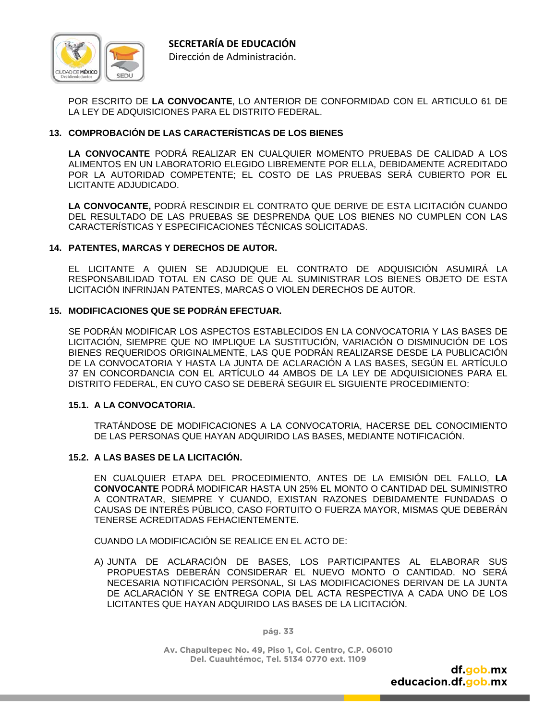

POR ESCRITO DE **LA CONVOCANTE**, LO ANTERIOR DE CONFORMIDAD CON EL ARTICULO 61 DE LA LEY DE ADQUISICIONES PARA EL DISTRITO FEDERAL.

## **13. COMPROBACIÓN DE LAS CARACTERÍSTICAS DE LOS BIENES**

**LA CONVOCANTE** PODRÁ REALIZAR EN CUALQUIER MOMENTO PRUEBAS DE CALIDAD A LOS ALIMENTOS EN UN LABORATORIO ELEGIDO LIBREMENTE POR ELLA, DEBIDAMENTE ACREDITADO POR LA AUTORIDAD COMPETENTE; EL COSTO DE LAS PRUEBAS SERÁ CUBIERTO POR EL LICITANTE ADJUDICADO.

**LA CONVOCANTE,** PODRÁ RESCINDIR EL CONTRATO QUE DERIVE DE ESTA LICITACIÓN CUANDO DEL RESULTADO DE LAS PRUEBAS SE DESPRENDA QUE LOS BIENES NO CUMPLEN CON LAS CARACTERÍSTICAS Y ESPECIFICACIONES TÉCNICAS SOLICITADAS.

#### **14. PATENTES, MARCAS Y DERECHOS DE AUTOR.**

EL LICITANTE A QUIEN SE ADJUDIQUE EL CONTRATO DE ADQUISICIÓN ASUMIRÁ LA RESPONSABILIDAD TOTAL EN CASO DE QUE AL SUMINISTRAR LOS BIENES OBJETO DE ESTA LICITACIÓN INFRINJAN PATENTES, MARCAS O VIOLEN DERECHOS DE AUTOR.

#### **15. MODIFICACIONES QUE SE PODRÁN EFECTUAR.**

SE PODRÁN MODIFICAR LOS ASPECTOS ESTABLECIDOS EN LA CONVOCATORIA Y LAS BASES DE LICITACIÓN, SIEMPRE QUE NO IMPLIQUE LA SUSTITUCIÓN, VARIACIÓN O DISMINUCIÓN DE LOS BIENES REQUERIDOS ORIGINALMENTE, LAS QUE PODRÁN REALIZARSE DESDE LA PUBLICACIÓN DE LA CONVOCATORIA Y HASTA LA JUNTA DE ACLARACIÓN A LAS BASES, SEGÚN EL ARTÍCULO 37 EN CONCORDANCIA CON EL ARTÍCULO 44 AMBOS DE LA LEY DE ADQUISICIONES PARA EL DISTRITO FEDERAL, EN CUYO CASO SE DEBERÁ SEGUIR EL SIGUIENTE PROCEDIMIENTO:

#### **15.1. A LA CONVOCATORIA.**

 TRATÁNDOSE DE MODIFICACIONES A LA CONVOCATORIA, HACERSE DEL CONOCIMIENTO DE LAS PERSONAS QUE HAYAN ADQUIRIDO LAS BASES, MEDIANTE NOTIFICACIÓN.

#### **15.2. A LAS BASES DE LA LICITACIÓN.**

EN CUALQUIER ETAPA DEL PROCEDIMIENTO, ANTES DE LA EMISIÓN DEL FALLO, **LA CONVOCANTE** PODRÁ MODIFICAR HASTA UN 25% EL MONTO O CANTIDAD DEL SUMINISTRO A CONTRATAR, SIEMPRE Y CUANDO, EXISTAN RAZONES DEBIDAMENTE FUNDADAS O CAUSAS DE INTERÉS PÚBLICO, CASO FORTUITO O FUERZA MAYOR, MISMAS QUE DEBERÁN TENERSE ACREDITADAS FEHACIENTEMENTE.

CUANDO LA MODIFICACIÓN SE REALICE EN EL ACTO DE:

A) JUNTA DE ACLARACIÓN DE BASES, LOS PARTICIPANTES AL ELABORAR SUS PROPUESTAS DEBERÁN CONSIDERAR EL NUEVO MONTO O CANTIDAD. NO SERÁ NECESARIA NOTIFICACIÓN PERSONAL, SI LAS MODIFICACIONES DERIVAN DE LA JUNTA DE ACLARACIÓN Y SE ENTREGA COPIA DEL ACTA RESPECTIVA A CADA UNO DE LOS LICITANTES QUE HAYAN ADQUIRIDO LAS BASES DE LA LICITACIÓN.

**pág. 33** 

**Av. Chapultepec No. 49, Piso 1, Col. Centro, C.P. 06010 Del. Cuauhtémoc, Tel. 5134 0770 ext. 1109**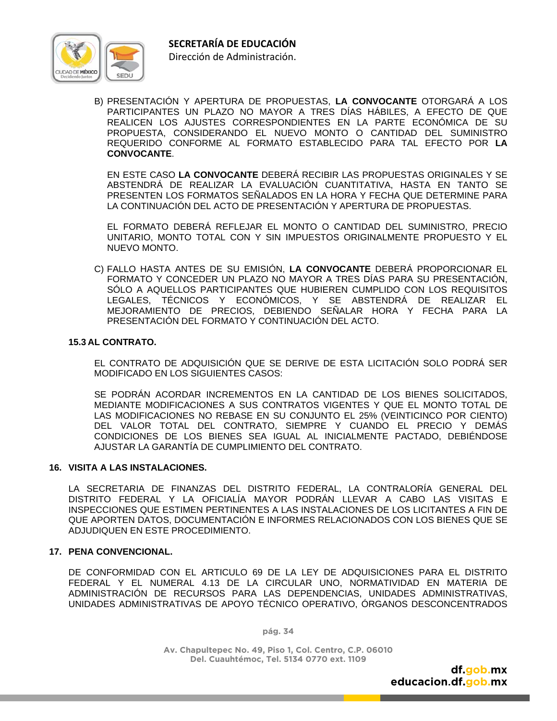

B) PRESENTACIÓN Y APERTURA DE PROPUESTAS, **LA CONVOCANTE** OTORGARÁ A LOS PARTICIPANTES UN PLAZO NO MAYOR A TRES DÍAS HÁBILES, A EFECTO DE QUE REALICEN LOS AJUSTES CORRESPONDIENTES EN LA PARTE ECONÓMICA DE SU PROPUESTA, CONSIDERANDO EL NUEVO MONTO O CANTIDAD DEL SUMINISTRO REQUERIDO CONFORME AL FORMATO ESTABLECIDO PARA TAL EFECTO POR **LA CONVOCANTE**.

 EN ESTE CASO **LA CONVOCANTE** DEBERÁ RECIBIR LAS PROPUESTAS ORIGINALES Y SE ABSTENDRÁ DE REALIZAR LA EVALUACIÓN CUANTITATIVA, HASTA EN TANTO SE PRESENTEN LOS FORMATOS SEÑALADOS EN LA HORA Y FECHA QUE DETERMINE PARA LA CONTINUACIÓN DEL ACTO DE PRESENTACIÓN Y APERTURA DE PROPUESTAS.

 EL FORMATO DEBERÁ REFLEJAR EL MONTO O CANTIDAD DEL SUMINISTRO, PRECIO UNITARIO, MONTO TOTAL CON Y SIN IMPUESTOS ORIGINALMENTE PROPUESTO Y EL NUEVO MONTO.

C) FALLO HASTA ANTES DE SU EMISIÓN, **LA CONVOCANTE** DEBERÁ PROPORCIONAR EL FORMATO Y CONCEDER UN PLAZO NO MAYOR A TRES DÍAS PARA SU PRESENTACIÓN, SÓLO A AQUELLOS PARTICIPANTES QUE HUBIEREN CUMPLIDO CON LOS REQUISITOS LEGALES, TÉCNICOS Y ECONÓMICOS, Y SE ABSTENDRÁ DE REALIZAR EL MEJORAMIENTO DE PRECIOS, DEBIENDO SEÑALAR HORA Y FECHA PARA LA PRESENTACIÓN DEL FORMATO Y CONTINUACIÓN DEL ACTO.

#### **15.3 AL CONTRATO.**

 EL CONTRATO DE ADQUISICIÓN QUE SE DERIVE DE ESTA LICITACIÓN SOLO PODRÁ SER MODIFICADO EN LOS SIGUIENTES CASOS:

 SE PODRÁN ACORDAR INCREMENTOS EN LA CANTIDAD DE LOS BIENES SOLICITADOS, MEDIANTE MODIFICACIONES A SUS CONTRATOS VIGENTES Y QUE EL MONTO TOTAL DE LAS MODIFICACIONES NO REBASE EN SU CONJUNTO EL 25% (VEINTICINCO POR CIENTO) DEL VALOR TOTAL DEL CONTRATO, SIEMPRE Y CUANDO EL PRECIO Y DEMÁS CONDICIONES DE LOS BIENES SEA IGUAL AL INICIALMENTE PACTADO, DEBIÉNDOSE AJUSTAR LA GARANTÍA DE CUMPLIMIENTO DEL CONTRATO.

#### **16. VISITA A LAS INSTALACIONES.**

LA SECRETARIA DE FINANZAS DEL DISTRITO FEDERAL, LA CONTRALORÍA GENERAL DEL DISTRITO FEDERAL Y LA OFICIALÍA MAYOR PODRÁN LLEVAR A CABO LAS VISITAS E INSPECCIONES QUE ESTIMEN PERTINENTES A LAS INSTALACIONES DE LOS LICITANTES A FIN DE QUE APORTEN DATOS, DOCUMENTACIÓN E INFORMES RELACIONADOS CON LOS BIENES QUE SE ADJUDIQUEN EN ESTE PROCEDIMIENTO.

#### **17. PENA CONVENCIONAL.**

DE CONFORMIDAD CON EL ARTICULO 69 DE LA LEY DE ADQUISICIONES PARA EL DISTRITO FEDERAL Y EL NUMERAL 4.13 DE LA CIRCULAR UNO, NORMATIVIDAD EN MATERIA DE ADMINISTRACIÓN DE RECURSOS PARA LAS DEPENDENCIAS, UNIDADES ADMINISTRATIVAS, UNIDADES ADMINISTRATIVAS DE APOYO TÉCNICO OPERATIVO, ÓRGANOS DESCONCENTRADOS

**pág. 34** 

**Av. Chapultepec No. 49, Piso 1, Col. Centro, C.P. 06010 Del. Cuauhtémoc, Tel. 5134 0770 ext. 1109**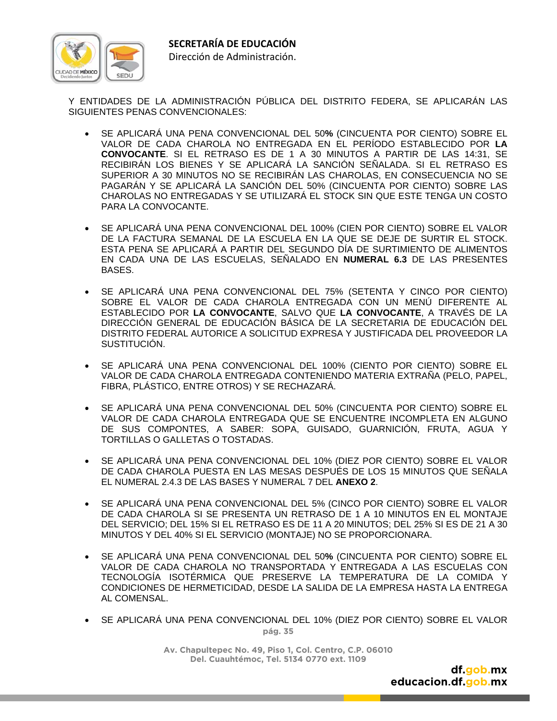

Y ENTIDADES DE LA ADMINISTRACIÓN PÚBLICA DEL DISTRITO FEDERA, SE APLICARÁN LAS SIGUIENTES PENAS CONVENCIONALES:

- SE APLICARÁ UNA PENA CONVENCIONAL DEL 50**%** (CINCUENTA POR CIENTO) SOBRE EL VALOR DE CADA CHAROLA NO ENTREGADA EN EL PERÍODO ESTABLECIDO POR **LA CONVOCANTE**. SI EL RETRASO ES DE 1 A 30 MINUTOS A PARTIR DE LAS 14:31, SE RECIBIRÁN LOS BIENES Y SE APLICARÁ LA SANCIÓN SEÑALADA. SI EL RETRASO ES SUPERIOR A 30 MINUTOS NO SE RECIBIRÁN LAS CHAROLAS, EN CONSECUENCIA NO SE PAGARÁN Y SE APLICARÁ LA SANCIÓN DEL 50% (CINCUENTA POR CIENTO) SOBRE LAS CHAROLAS NO ENTREGADAS Y SE UTILIZARÁ EL STOCK SIN QUE ESTE TENGA UN COSTO PARA LA CONVOCANTE.
- SE APLICARÁ UNA PENA CONVENCIONAL DEL 100% (CIEN POR CIENTO) SOBRE EL VALOR DE LA FACTURA SEMANAL DE LA ESCUELA EN LA QUE SE DEJE DE SURTIR EL STOCK. ESTA PENA SE APLICARÁ A PARTIR DEL SEGUNDO DÍA DE SURTIMIENTO DE ALIMENTOS EN CADA UNA DE LAS ESCUELAS, SEÑALADO EN **NUMERAL 6.3** DE LAS PRESENTES BASES.
- SE APLICARÁ UNA PENA CONVENCIONAL DEL 75% (SETENTA Y CINCO POR CIENTO) SOBRE EL VALOR DE CADA CHAROLA ENTREGADA CON UN MENÚ DIFERENTE AL ESTABLECIDO POR **LA CONVOCANTE**, SALVO QUE **LA CONVOCANTE**, A TRAVÉS DE LA DIRECCIÓN GENERAL DE EDUCACIÓN BÁSICA DE LA SECRETARIA DE EDUCACIÓN DEL DISTRITO FEDERAL AUTORICE A SOLICITUD EXPRESA Y JUSTIFICADA DEL PROVEEDOR LA SUSTITUCIÓN.
- SE APLICARÁ UNA PENA CONVENCIONAL DEL 100% (CIENTO POR CIENTO) SOBRE EL VALOR DE CADA CHAROLA ENTREGADA CONTENIENDO MATERIA EXTRAÑA (PELO, PAPEL, FIBRA, PLÁSTICO, ENTRE OTROS) Y SE RECHAZARÁ.
- SE APLICARÁ UNA PENA CONVENCIONAL DEL 50% (CINCUENTA POR CIENTO) SOBRE EL VALOR DE CADA CHAROLA ENTREGADA QUE SE ENCUENTRE INCOMPLETA EN ALGUNO DE SUS COMPONTES, A SABER: SOPA, GUISADO, GUARNICIÓN, FRUTA, AGUA Y TORTILLAS O GALLETAS O TOSTADAS.
- SE APLICARÁ UNA PENA CONVENCIONAL DEL 10% (DIEZ POR CIENTO) SOBRE EL VALOR DE CADA CHAROLA PUESTA EN LAS MESAS DESPUÉS DE LOS 15 MINUTOS QUE SEÑALA EL NUMERAL 2.4.3 DE LAS BASES Y NUMERAL 7 DEL **ANEXO 2**.
- SE APLICARÁ UNA PENA CONVENCIONAL DEL 5% (CINCO POR CIENTO) SOBRE EL VALOR DE CADA CHAROLA SI SE PRESENTA UN RETRASO DE 1 A 10 MINUTOS EN EL MONTAJE DEL SERVICIO; DEL 15% SI EL RETRASO ES DE 11 A 20 MINUTOS; DEL 25% SI ES DE 21 A 30 MINUTOS Y DEL 40% SI EL SERVICIO (MONTAJE) NO SE PROPORCIONARA.
- SE APLICARÁ UNA PENA CONVENCIONAL DEL 50**%** (CINCUENTA POR CIENTO) SOBRE EL VALOR DE CADA CHAROLA NO TRANSPORTADA Y ENTREGADA A LAS ESCUELAS CON TECNOLOGÍA ISOTÉRMICA QUE PRESERVE LA TEMPERATURA DE LA COMIDA Y CONDICIONES DE HERMETICIDAD, DESDE LA SALIDA DE LA EMPRESA HASTA LA ENTREGA AL COMENSAL.
- **pág. 35**  SE APLICARÁ UNA PENA CONVENCIONAL DEL 10% (DIEZ POR CIENTO) SOBRE EL VALOR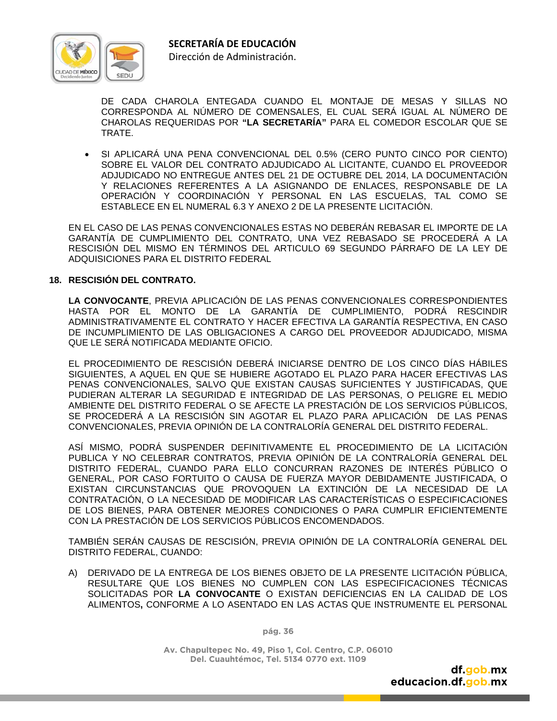

DE CADA CHAROLA ENTEGADA CUANDO EL MONTAJE DE MESAS Y SILLAS NO CORRESPONDA AL NÚMERO DE COMENSALES, EL CUAL SERÁ IGUAL AL NÚMERO DE CHAROLAS REQUERIDAS POR **"LA SECRETARÍA"** PARA EL COMEDOR ESCOLAR QUE SE TRATE.

 SI APLICARÁ UNA PENA CONVENCIONAL DEL 0.5% (CERO PUNTO CINCO POR CIENTO) SOBRE EL VALOR DEL CONTRATO ADJUDICADO AL LICITANTE, CUANDO EL PROVEEDOR ADJUDICADO NO ENTREGUE ANTES DEL 21 DE OCTUBRE DEL 2014, LA DOCUMENTACIÓN Y RELACIONES REFERENTES A LA ASIGNANDO DE ENLACES, RESPONSABLE DE LA OPERACIÓN Y COORDINACIÓN Y PERSONAL EN LAS ESCUELAS, TAL COMO SE ESTABLECE EN EL NUMERAL 6.3 Y ANEXO 2 DE LA PRESENTE LICITACIÓN.

EN EL CASO DE LAS PENAS CONVENCIONALES ESTAS NO DEBERÁN REBASAR EL IMPORTE DE LA GARANTÍA DE CUMPLIMIENTO DEL CONTRATO, UNA VEZ REBASADO SE PROCEDERÁ A LA RESCISIÓN DEL MISMO EN TÉRMINOS DEL ARTICULO 69 SEGUNDO PÁRRAFO DE LA LEY DE ADQUISICIONES PARA EL DISTRITO FEDERAL

## **18. RESCISIÓN DEL CONTRATO.**

**LA CONVOCANTE**, PREVIA APLICACIÓN DE LAS PENAS CONVENCIONALES CORRESPONDIENTES HASTA POR EL MONTO DE LA GARANTÍA DE CUMPLIMIENTO, PODRÁ RESCINDIR ADMINISTRATIVAMENTE EL CONTRATO Y HACER EFECTIVA LA GARANTÍA RESPECTIVA, EN CASO DE INCUMPLIMIENTO DE LAS OBLIGACIONES A CARGO DEL PROVEEDOR ADJUDICADO, MISMA QUE LE SERÁ NOTIFICADA MEDIANTE OFICIO.

EL PROCEDIMIENTO DE RESCISIÓN DEBERÁ INICIARSE DENTRO DE LOS CINCO DÍAS HÁBILES SIGUIENTES, A AQUEL EN QUE SE HUBIERE AGOTADO EL PLAZO PARA HACER EFECTIVAS LAS PENAS CONVENCIONALES, SALVO QUE EXISTAN CAUSAS SUFICIENTES Y JUSTIFICADAS, QUE PUDIERAN ALTERAR LA SEGURIDAD E INTEGRIDAD DE LAS PERSONAS, O PELIGRE EL MEDIO AMBIENTE DEL DISTRITO FEDERAL O SE AFECTE LA PRESTACIÓN DE LOS SERVICIOS PÚBLICOS, SE PROCEDERÁ A LA RESCISIÓN SIN AGOTAR EL PLAZO PARA APLICACIÓN DE LAS PENAS CONVENCIONALES, PREVIA OPINIÓN DE LA CONTRALORÍA GENERAL DEL DISTRITO FEDERAL.

ASÍ MISMO, PODRÁ SUSPENDER DEFINITIVAMENTE EL PROCEDIMIENTO DE LA LICITACIÓN PUBLICA Y NO CELEBRAR CONTRATOS, PREVIA OPINIÓN DE LA CONTRALORÍA GENERAL DEL DISTRITO FEDERAL, CUANDO PARA ELLO CONCURRAN RAZONES DE INTERÉS PÚBLICO O GENERAL, POR CASO FORTUITO O CAUSA DE FUERZA MAYOR DEBIDAMENTE JUSTIFICADA, O EXISTAN CIRCUNSTANCIAS QUE PROVOQUEN LA EXTINCIÓN DE LA NECESIDAD DE LA CONTRATACIÓN, O LA NECESIDAD DE MODIFICAR LAS CARACTERÍSTICAS O ESPECIFICACIONES DE LOS BIENES, PARA OBTENER MEJORES CONDICIONES O PARA CUMPLIR EFICIENTEMENTE CON LA PRESTACIÓN DE LOS SERVICIOS PÚBLICOS ENCOMENDADOS.

TAMBIÉN SERÁN CAUSAS DE RESCISIÓN, PREVIA OPINIÓN DE LA CONTRALORÍA GENERAL DEL DISTRITO FEDERAL, CUANDO:

A) DERIVADO DE LA ENTREGA DE LOS BIENES OBJETO DE LA PRESENTE LICITACIÓN PÚBLICA, RESULTARE QUE LOS BIENES NO CUMPLEN CON LAS ESPECIFICACIONES TÉCNICAS SOLICITADAS POR **LA CONVOCANTE** O EXISTAN DEFICIENCIAS EN LA CALIDAD DE LOS ALIMENTOS**,** CONFORME A LO ASENTADO EN LAS ACTAS QUE INSTRUMENTE EL PERSONAL

**pág. 36** 

**Av. Chapultepec No. 49, Piso 1, Col. Centro, C.P. 06010 Del. Cuauhtémoc, Tel. 5134 0770 ext. 1109**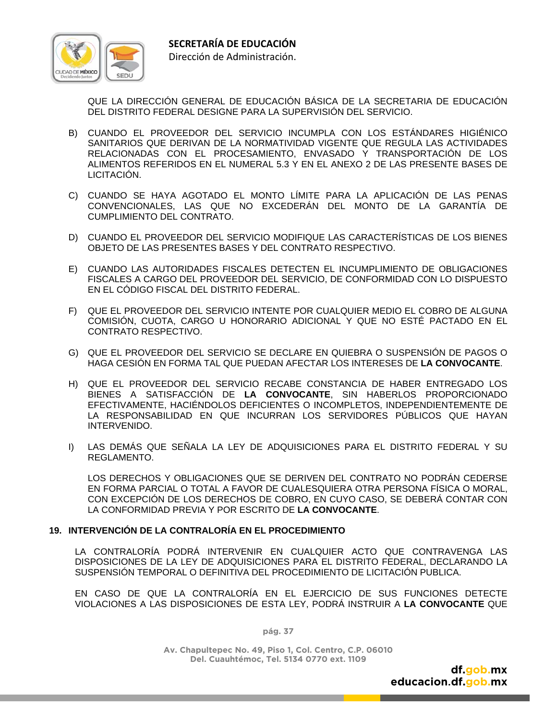

QUE LA DIRECCIÓN GENERAL DE EDUCACIÓN BÁSICA DE LA SECRETARIA DE EDUCACIÓN DEL DISTRITO FEDERAL DESIGNE PARA LA SUPERVISIÓN DEL SERVICIO.

- B) CUANDO EL PROVEEDOR DEL SERVICIO INCUMPLA CON LOS ESTÁNDARES HIGIÉNICO SANITARIOS QUE DERIVAN DE LA NORMATIVIDAD VIGENTE QUE REGULA LAS ACTIVIDADES RELACIONADAS CON EL PROCESAMIENTO, ENVASADO Y TRANSPORTACIÓN DE LOS ALIMENTOS REFERIDOS EN EL NUMERAL 5.3 Y EN EL ANEXO 2 DE LAS PRESENTE BASES DE LICITACIÓN.
- C) CUANDO SE HAYA AGOTADO EL MONTO LÍMITE PARA LA APLICACIÓN DE LAS PENAS CONVENCIONALES, LAS QUE NO EXCEDERÁN DEL MONTO DE LA GARANTÍA DE CUMPLIMIENTO DEL CONTRATO.
- D) CUANDO EL PROVEEDOR DEL SERVICIO MODIFIQUE LAS CARACTERÍSTICAS DE LOS BIENES OBJETO DE LAS PRESENTES BASES Y DEL CONTRATO RESPECTIVO.
- E) CUANDO LAS AUTORIDADES FISCALES DETECTEN EL INCUMPLIMIENTO DE OBLIGACIONES FISCALES A CARGO DEL PROVEEDOR DEL SERVICIO, DE CONFORMIDAD CON LO DISPUESTO EN EL CÓDIGO FISCAL DEL DISTRITO FEDERAL.
- F) QUE EL PROVEEDOR DEL SERVICIO INTENTE POR CUALQUIER MEDIO EL COBRO DE ALGUNA COMISIÓN, CUOTA, CARGO U HONORARIO ADICIONAL Y QUE NO ESTÉ PACTADO EN EL CONTRATO RESPECTIVO.
- G) QUE EL PROVEEDOR DEL SERVICIO SE DECLARE EN QUIEBRA O SUSPENSIÓN DE PAGOS O HAGA CESIÓN EN FORMA TAL QUE PUEDAN AFECTAR LOS INTERESES DE **LA CONVOCANTE**.
- H) QUE EL PROVEEDOR DEL SERVICIO RECABE CONSTANCIA DE HABER ENTREGADO LOS BIENES A SATISFACCIÓN DE **LA CONVOCANTE**, SIN HABERLOS PROPORCIONADO EFECTIVAMENTE, HACIÉNDOLOS DEFICIENTES O INCOMPLETOS, INDEPENDIENTEMENTE DE LA RESPONSABILIDAD EN QUE INCURRAN LOS SERVIDORES PÚBLICOS QUE HAYAN INTERVENIDO.
- I) LAS DEMÁS QUE SEÑALA LA LEY DE ADQUISICIONES PARA EL DISTRITO FEDERAL Y SU REGLAMENTO.

 LOS DERECHOS Y OBLIGACIONES QUE SE DERIVEN DEL CONTRATO NO PODRÁN CEDERSE EN FORMA PARCIAL O TOTAL A FAVOR DE CUALESQUIERA OTRA PERSONA FÍSICA O MORAL, CON EXCEPCIÓN DE LOS DERECHOS DE COBRO, EN CUYO CASO, SE DEBERÁ CONTAR CON LA CONFORMIDAD PREVIA Y POR ESCRITO DE **LA CONVOCANTE**.

### **19. INTERVENCIÓN DE LA CONTRALORÍA EN EL PROCEDIMIENTO**

 LA CONTRALORÍA PODRÁ INTERVENIR EN CUALQUIER ACTO QUE CONTRAVENGA LAS DISPOSICIONES DE LA LEY DE ADQUISICIONES PARA EL DISTRITO FEDERAL, DECLARANDO LA SUSPENSIÓN TEMPORAL O DEFINITIVA DEL PROCEDIMIENTO DE LICITACIÓN PUBLICA.

 EN CASO DE QUE LA CONTRALORÍA EN EL EJERCICIO DE SUS FUNCIONES DETECTE VIOLACIONES A LAS DISPOSICIONES DE ESTA LEY, PODRÁ INSTRUIR A **LA CONVOCANTE** QUE

**pág. 37** 

**Av. Chapultepec No. 49, Piso 1, Col. Centro, C.P. 06010 Del. Cuauhtémoc, Tel. 5134 0770 ext. 1109**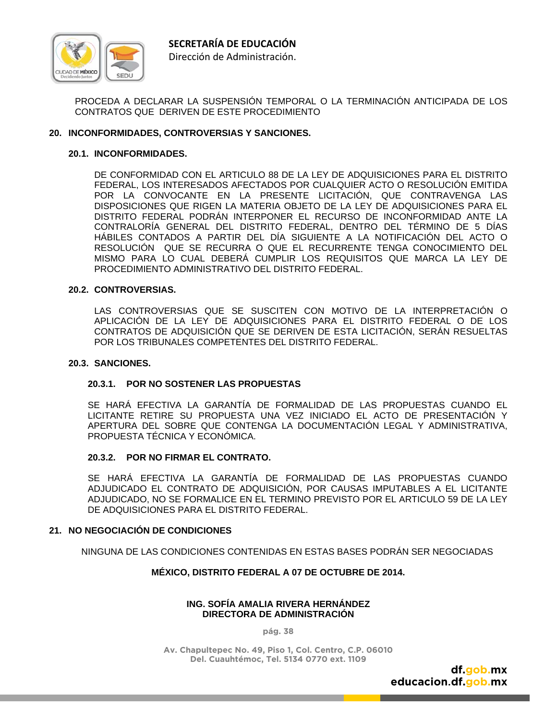

PROCEDA A DECLARAR LA SUSPENSIÓN TEMPORAL O LA TERMINACIÓN ANTICIPADA DE LOS CONTRATOS QUE DERIVEN DE ESTE PROCEDIMIENTO

### **20. INCONFORMIDADES, CONTROVERSIAS Y SANCIONES.**

#### **20.1. INCONFORMIDADES.**

DE CONFORMIDAD CON EL ARTICULO 88 DE LA LEY DE ADQUISICIONES PARA EL DISTRITO FEDERAL, LOS INTERESADOS AFECTADOS POR CUALQUIER ACTO O RESOLUCIÓN EMITIDA POR LA CONVOCANTE EN LA PRESENTE LICITACIÓN, QUE CONTRAVENGA LAS DISPOSICIONES QUE RIGEN LA MATERIA OBJETO DE LA LEY DE ADQUISICIONES PARA EL DISTRITO FEDERAL PODRÁN INTERPONER EL RECURSO DE INCONFORMIDAD ANTE LA CONTRALORÍA GENERAL DEL DISTRITO FEDERAL, DENTRO DEL TÉRMINO DE 5 DÍAS HÁBILES CONTADOS A PARTIR DEL DÍA SIGUIENTE A LA NOTIFICACIÓN DEL ACTO O RESOLUCIÓN QUE SE RECURRA O QUE EL RECURRENTE TENGA CONOCIMIENTO DEL MISMO PARA LO CUAL DEBERÁ CUMPLIR LOS REQUISITOS QUE MARCA LA LEY DE PROCEDIMIENTO ADMINISTRATIVO DEL DISTRITO FEDERAL.

#### **20.2. CONTROVERSIAS.**

 LAS CONTROVERSIAS QUE SE SUSCITEN CON MOTIVO DE LA INTERPRETACIÓN O APLICACIÓN DE LA LEY DE ADQUISICIONES PARA EL DISTRITO FEDERAL O DE LOS CONTRATOS DE ADQUISICIÓN QUE SE DERIVEN DE ESTA LICITACIÓN, SERÁN RESUELTAS POR LOS TRIBUNALES COMPETENTES DEL DISTRITO FEDERAL.

#### **20.3. SANCIONES.**

#### **20.3.1. POR NO SOSTENER LAS PROPUESTAS**

 SE HARÁ EFECTIVA LA GARANTÍA DE FORMALIDAD DE LAS PROPUESTAS CUANDO EL LICITANTE RETIRE SU PROPUESTA UNA VEZ INICIADO EL ACTO DE PRESENTACIÓN Y APERTURA DEL SOBRE QUE CONTENGA LA DOCUMENTACIÓN LEGAL Y ADMINISTRATIVA, PROPUESTA TÉCNICA Y ECONÓMICA.

#### **20.3.2. POR NO FIRMAR EL CONTRATO.**

 SE HARÁ EFECTIVA LA GARANTÍA DE FORMALIDAD DE LAS PROPUESTAS CUANDO ADJUDICADO EL CONTRATO DE ADQUISICIÓN, POR CAUSAS IMPUTABLES A EL LICITANTE ADJUDICADO, NO SE FORMALICE EN EL TERMINO PREVISTO POR EL ARTICULO 59 DE LA LEY DE ADQUISICIONES PARA EL DISTRITO FEDERAL.

#### **21. NO NEGOCIACIÓN DE CONDICIONES**

NINGUNA DE LAS CONDICIONES CONTENIDAS EN ESTAS BASES PODRÁN SER NEGOCIADAS

#### **MÉXICO, DISTRITO FEDERAL A 07 DE OCTUBRE DE 2014.**

### **ING. SOFÍA AMALIA RIVERA HERNÁNDEZ DIRECTORA DE ADMINISTRACIÓN**

**pág. 38** 

**Av. Chapultepec No. 49, Piso 1, Col. Centro, C.P. 06010 Del. Cuauhtémoc, Tel. 5134 0770 ext. 1109**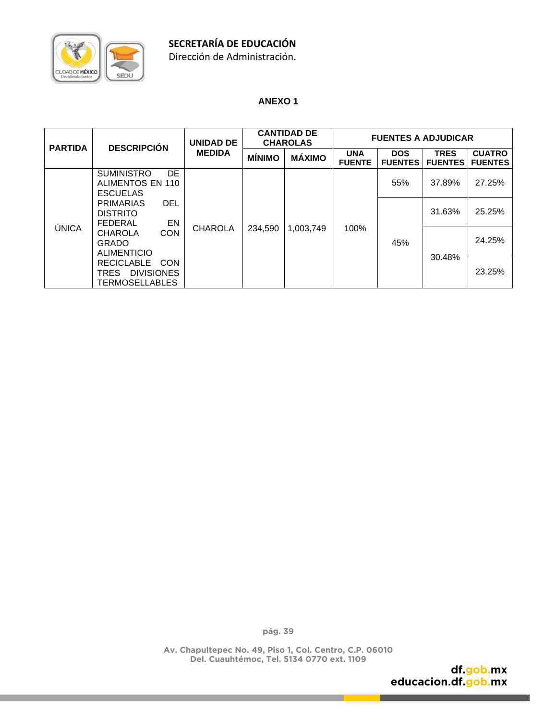

### **ANEXO 1**

| <b>PARTIDA</b> | <b>DESCRIPCIÓN</b>                                                          | <b>UNIDAD DE</b><br><b>MEDIDA</b> | <b>CANTIDAD DE</b><br><b>CHAROLAS</b> |               | <b>FUENTES A ADJUDICAR</b>  |                              |                                 |                                 |
|----------------|-----------------------------------------------------------------------------|-----------------------------------|---------------------------------------|---------------|-----------------------------|------------------------------|---------------------------------|---------------------------------|
|                |                                                                             |                                   | <b>MINIMO</b>                         | <b>MÁXIMO</b> | <b>UNA</b><br><b>FUENTE</b> | <b>DOS</b><br><b>FUENTES</b> | <b>TRES</b><br><b>I FUENTES</b> | <b>CUATRO</b><br><b>FUENTES</b> |
|                | <b>DE</b><br><b>SUMINISTRO</b><br>ALIMENTOS EN 110<br><b>ESCUELAS</b>       | <b>CHAROLA</b>                    | 234.590                               |               |                             | 55%                          | 37.89%                          | 27.25%                          |
| ÚNICA          | <b>DEL</b><br><b>PRIMARIAS</b><br><b>DISTRITO</b><br>EN<br><b>FEDERAL</b>   |                                   |                                       |               |                             | 45%                          | 31.63%                          | 25.25%                          |
|                | <b>CON</b><br><b>CHAROLA</b><br><b>GRADO</b><br><b>ALIMENTICIO</b>          |                                   |                                       | 1,003,749     | 100%                        |                              |                                 | 24.25%                          |
|                | <b>RECICLABLE</b><br><b>CON</b><br>TRES DIVISIONES<br><b>TERMOSELLABLES</b> |                                   |                                       |               |                             | 30.48%                       | 23.25%                          |                                 |

**pág. 39** 

**Av. Chapultepec No. 49, Piso 1, Col. Centro, C.P. 06010 Del. Cuauhtémoc, Tel. 5134 0770 ext. 1109**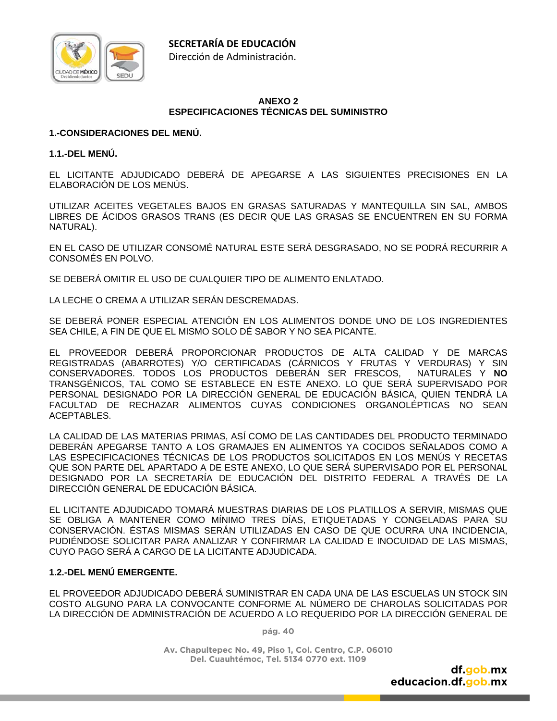

Dirección de Administración.

### **ANEXO 2 ESPECIFICACIONES TÉCNICAS DEL SUMINISTRO**

# **1.-CONSIDERACIONES DEL MENÚ.**

# **1.1.-DEL MENÚ.**

EL LICITANTE ADJUDICADO DEBERÁ DE APEGARSE A LAS SIGUIENTES PRECISIONES EN LA ELABORACIÓN DE LOS MENÚS.

UTILIZAR ACEITES VEGETALES BAJOS EN GRASAS SATURADAS Y MANTEQUILLA SIN SAL, AMBOS LIBRES DE ÁCIDOS GRASOS TRANS (ES DECIR QUE LAS GRASAS SE ENCUENTREN EN SU FORMA NATURAL).

EN EL CASO DE UTILIZAR CONSOMÉ NATURAL ESTE SERÁ DESGRASADO, NO SE PODRÁ RECURRIR A CONSOMÉS EN POLVO.

SE DEBERÁ OMITIR EL USO DE CUALQUIER TIPO DE ALIMENTO ENLATADO.

LA LECHE O CREMA A UTILIZAR SERÁN DESCREMADAS.

SE DEBERÁ PONER ESPECIAL ATENCIÓN EN LOS ALIMENTOS DONDE UNO DE LOS INGREDIENTES SEA CHILE, A FIN DE QUE EL MISMO SOLO DÉ SABOR Y NO SEA PICANTE.

EL PROVEEDOR DEBERÁ PROPORCIONAR PRODUCTOS DE ALTA CALIDAD Y DE MARCAS REGISTRADAS (ABARROTES) Y/O CERTIFICADAS (CÁRNICOS Y FRUTAS Y VERDURAS) Y SIN CONSERVADORES. TODOS LOS PRODUCTOS DEBERÁN SER FRESCOS, NATURALES Y **NO** TRANSGÉNICOS, TAL COMO SE ESTABLECE EN ESTE ANEXO. LO QUE SERÁ SUPERVISADO POR PERSONAL DESIGNADO POR LA DIRECCIÓN GENERAL DE EDUCACIÓN BÁSICA, QUIEN TENDRÁ LA FACULTAD DE RECHAZAR ALIMENTOS CUYAS CONDICIONES ORGANOLÉPTICAS NO SEAN ACEPTABLES.

LA CALIDAD DE LAS MATERIAS PRIMAS, ASÍ COMO DE LAS CANTIDADES DEL PRODUCTO TERMINADO DEBERÁN APEGARSE TANTO A LOS GRAMAJES EN ALIMENTOS YA COCIDOS SEÑALADOS COMO A LAS ESPECIFICACIONES TÉCNICAS DE LOS PRODUCTOS SOLICITADOS EN LOS MENÚS Y RECETAS QUE SON PARTE DEL APARTADO A DE ESTE ANEXO, LO QUE SERÁ SUPERVISADO POR EL PERSONAL DESIGNADO POR LA SECRETARÍA DE EDUCACIÓN DEL DISTRITO FEDERAL A TRAVÉS DE LA DIRECCIÓN GENERAL DE EDUCACIÓN BÁSICA.

EL LICITANTE ADJUDICADO TOMARÁ MUESTRAS DIARIAS DE LOS PLATILLOS A SERVIR, MISMAS QUE SE OBLIGA A MANTENER COMO MÍNIMO TRES DÍAS, ETIQUETADAS Y CONGELADAS PARA SU CONSERVACIÓN. ÉSTAS MISMAS SERÁN UTILIZADAS EN CASO DE QUE OCURRA UNA INCIDENCIA, PUDIÉNDOSE SOLICITAR PARA ANALIZAR Y CONFIRMAR LA CALIDAD E INOCUIDAD DE LAS MISMAS, CUYO PAGO SERÁ A CARGO DE LA LICITANTE ADJUDICADA.

# **1.2.-DEL MENÚ EMERGENTE.**

EL PROVEEDOR ADJUDICADO DEBERÁ SUMINISTRAR EN CADA UNA DE LAS ESCUELAS UN STOCK SIN COSTO ALGUNO PARA LA CONVOCANTE CONFORME AL NÚMERO DE CHAROLAS SOLICITADAS POR LA DIRECCIÓN DE ADMINISTRACIÓN DE ACUERDO A LO REQUERIDO POR LA DIRECCIÓN GENERAL DE

**pág. 40** 

**Av. Chapultepec No. 49, Piso 1, Col. Centro, C.P. 06010 Del. Cuauhtémoc, Tel. 5134 0770 ext. 1109**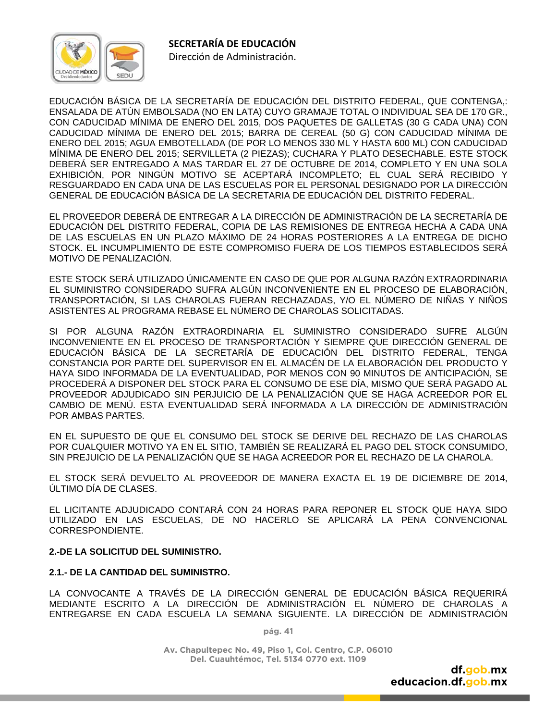**SECRETARÍA DE EDUCACIÓN**



Dirección de Administración.

EDUCACIÓN BÁSICA DE LA SECRETARÍA DE EDUCACIÓN DEL DISTRITO FEDERAL, QUE CONTENGA,: ENSALADA DE ATÚN EMBOLSADA (NO EN LATA) CUYO GRAMAJE TOTAL O INDIVIDUAL SEA DE 170 GR., CON CADUCIDAD MÍNIMA DE ENERO DEL 2015, DOS PAQUETES DE GALLETAS (30 G CADA UNA) CON CADUCIDAD MÍNIMA DE ENERO DEL 2015; BARRA DE CEREAL (50 G) CON CADUCIDAD MÍNIMA DE ENERO DEL 2015; AGUA EMBOTELLADA (DE POR LO MENOS 330 ML Y HASTA 600 ML) CON CADUCIDAD MÍNIMA DE ENERO DEL 2015; SERVILLETA (2 PIEZAS); CUCHARA Y PLATO DESECHABLE. ESTE STOCK DEBERÁ SER ENTREGADO A MAS TARDAR EL 27 DE OCTUBRE DE 2014, COMPLETO Y EN UNA SOLA EXHIBICIÓN, POR NINGÚN MOTIVO SE ACEPTARÁ INCOMPLETO; EL CUAL SERÁ RECIBIDO Y RESGUARDADO EN CADA UNA DE LAS ESCUELAS POR EL PERSONAL DESIGNADO POR LA DIRECCIÓN GENERAL DE EDUCACIÓN BÁSICA DE LA SECRETARIA DE EDUCACIÓN DEL DISTRITO FEDERAL.

EL PROVEEDOR DEBERÁ DE ENTREGAR A LA DIRECCIÓN DE ADMINISTRACIÓN DE LA SECRETARÍA DE EDUCACIÓN DEL DISTRITO FEDERAL, COPIA DE LAS REMISIONES DE ENTREGA HECHA A CADA UNA DE LAS ESCUELAS EN UN PLAZO MÁXIMO DE 24 HORAS POSTERIORES A LA ENTREGA DE DICHO STOCK. EL INCUMPLIMIENTO DE ESTE COMPROMISO FUERA DE LOS TIEMPOS ESTABLECIDOS SERÁ MOTIVO DE PENALIZACIÓN.

ESTE STOCK SERÁ UTILIZADO ÚNICAMENTE EN CASO DE QUE POR ALGUNA RAZÓN EXTRAORDINARIA EL SUMINISTRO CONSIDERADO SUFRA ALGÚN INCONVENIENTE EN EL PROCESO DE ELABORACIÓN, TRANSPORTACIÓN, SI LAS CHAROLAS FUERAN RECHAZADAS, Y/O EL NÚMERO DE NIÑAS Y NIÑOS ASISTENTES AL PROGRAMA REBASE EL NÚMERO DE CHAROLAS SOLICITADAS.

SI POR ALGUNA RAZÓN EXTRAORDINARIA EL SUMINISTRO CONSIDERADO SUFRE ALGÚN INCONVENIENTE EN EL PROCESO DE TRANSPORTACIÓN Y SIEMPRE QUE DIRECCIÓN GENERAL DE EDUCACIÓN BÁSICA DE LA SECRETARÍA DE EDUCACIÓN DEL DISTRITO FEDERAL, TENGA CONSTANCIA POR PARTE DEL SUPERVISOR EN EL ALMACÉN DE LA ELABORACIÓN DEL PRODUCTO Y HAYA SIDO INFORMADA DE LA EVENTUALIDAD, POR MENOS CON 90 MINUTOS DE ANTICIPACIÓN, SE PROCEDERÁ A DISPONER DEL STOCK PARA EL CONSUMO DE ESE DÍA, MISMO QUE SERÁ PAGADO AL PROVEEDOR ADJUDICADO SIN PERJUICIO DE LA PENALIZACIÓN QUE SE HAGA ACREEDOR POR EL CAMBIO DE MENÚ. ESTA EVENTUALIDAD SERÁ INFORMADA A LA DIRECCIÓN DE ADMINISTRACIÓN POR AMBAS PARTES.

EN EL SUPUESTO DE QUE EL CONSUMO DEL STOCK SE DERIVE DEL RECHAZO DE LAS CHAROLAS POR CUALQUIER MOTIVO YA EN EL SITIO, TAMBIÉN SE REALIZARÁ EL PAGO DEL STOCK CONSUMIDO, SIN PREJUICIO DE LA PENALIZACIÓN QUE SE HAGA ACREEDOR POR EL RECHAZO DE LA CHAROLA.

EL STOCK SERÁ DEVUELTO AL PROVEEDOR DE MANERA EXACTA EL 19 DE DICIEMBRE DE 2014, ÚLTIMO DÍA DE CLASES.

EL LICITANTE ADJUDICADO CONTARÁ CON 24 HORAS PARA REPONER EL STOCK QUE HAYA SIDO UTILIZADO EN LAS ESCUELAS, DE NO HACERLO SE APLICARÁ LA PENA CONVENCIONAL CORRESPONDIENTE.

### **2.-DE LA SOLICITUD DEL SUMINISTRO.**

# **2.1.- DE LA CANTIDAD DEL SUMINISTRO.**

LA CONVOCANTE A TRAVÉS DE LA DIRECCIÓN GENERAL DE EDUCACIÓN BÁSICA REQUERIRÁ MEDIANTE ESCRITO A LA DIRECCIÓN DE ADMINISTRACIÓN EL NÚMERO DE CHAROLAS A ENTREGARSE EN CADA ESCUELA LA SEMANA SIGUIENTE. LA DIRECCIÓN DE ADMINISTRACIÓN

**pág. 41** 

**Av. Chapultepec No. 49, Piso 1, Col. Centro, C.P. 06010 Del. Cuauhtémoc, Tel. 5134 0770 ext. 1109**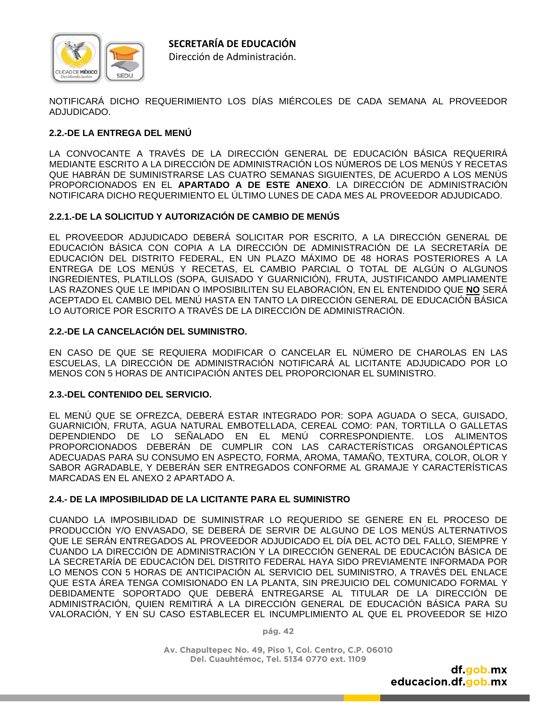

NOTIFICARÁ DICHO REQUERIMIENTO LOS DÍAS MIÉRCOLES DE CADA SEMANA AL PROVEEDOR ADJUDICADO.

# **2.2.-DE LA ENTREGA DEL MENÚ**

LA CONVOCANTE A TRAVÉS DE LA DIRECCIÓN GENERAL DE EDUCACIÓN BÁSICA REQUERIRÁ MEDIANTE ESCRITO A LA DIRECCIÓN DE ADMINISTRACIÓN LOS NÚMEROS DE LOS MENÚS Y RECETAS QUE HABRÁN DE SUMINISTRARSE LAS CUATRO SEMANAS SIGUIENTES, DE ACUERDO A LOS MENÚS PROPORCIONADOS EN EL **APARTADO A DE ESTE ANEXO**. LA DIRECCIÓN DE ADMINISTRACIÓN NOTIFICARA DICHO REQUERIMIENTO EL ÚLTIMO LUNES DE CADA MES AL PROVEEDOR ADJUDICADO.

### **2.2.1.-DE LA SOLICITUD Y AUTORIZACIÓN DE CAMBIO DE MENÚS**

EL PROVEEDOR ADJUDICADO DEBERÁ SOLICITAR POR ESCRITO, A LA DIRECCIÓN GENERAL DE EDUCACIÓN BÁSICA CON COPIA A LA DIRECCIÓN DE ADMINISTRACIÓN DE LA SECRETARÍA DE EDUCACIÓN DEL DISTRITO FEDERAL, EN UN PLAZO MÁXIMO DE 48 HORAS POSTERIORES A LA ENTREGA DE LOS MENÚS Y RECETAS, EL CAMBIO PARCIAL O TOTAL DE ALGÚN O ALGUNOS INGREDIENTES, PLATILLOS (SOPA, GUISADO Y GUARNICIÓN), FRUTA, JUSTIFICANDO AMPLIAMENTE LAS RAZONES QUE LE IMPIDAN O IMPOSIBILITEN SU ELABORACIÓN, EN EL ENTENDIDO QUE **NO** SERÁ ACEPTADO EL CAMBIO DEL MENÚ HASTA EN TANTO LA DIRECCIÓN GENERAL DE EDUCACIÓN BÁSICA LO AUTORICE POR ESCRITO A TRAVÉS DE LA DIRECCIÓN DE ADMINISTRACIÓN.

### **2.2.-DE LA CANCELACIÓN DEL SUMINISTRO.**

EN CASO DE QUE SE REQUIERA MODIFICAR O CANCELAR EL NÚMERO DE CHAROLAS EN LAS ESCUELAS, LA DIRECCIÓN DE ADMINISTRACIÓN NOTIFICARÁ AL LICITANTE ADJUDICADO POR LO MENOS CON 5 HORAS DE ANTICIPACIÓN ANTES DEL PROPORCIONAR EL SUMINISTRO.

#### **2.3.-DEL CONTENIDO DEL SERVICIO.**

EL MENÚ QUE SE OFREZCA, DEBERÁ ESTAR INTEGRADO POR: SOPA AGUADA O SECA, GUISADO, GUARNICIÓN, FRUTA, AGUA NATURAL EMBOTELLADA, CEREAL COMO: PAN, TORTILLA O GALLETAS DEPENDIENDO DE LO SEÑALADO EN EL MENÚ CORRESPONDIENTE. LOS ALIMENTOS PROPORCIONADOS DEBERÁN DE CUMPLIR CON LAS CARACTERÍSTICAS ORGANOLÉPTICAS ADECUADAS PARA SU CONSUMO EN ASPECTO, FORMA, AROMA, TAMAÑO, TEXTURA, COLOR, OLOR Y SABOR AGRADABLE, Y DEBERÁN SER ENTREGADOS CONFORME AL GRAMAJE Y CARACTERÍSTICAS MARCADAS EN EL ANEXO 2 APARTADO A.

### **2.4.- DE LA IMPOSIBILIDAD DE LA LICITANTE PARA EL SUMINISTRO**

CUANDO LA IMPOSIBILIDAD DE SUMINISTRAR LO REQUERIDO SE GENERE EN EL PROCESO DE PRODUCCIÓN Y/O ENVASADO, SE DEBERÁ DE SERVIR DE ALGUNO DE LOS MENÚS ALTERNATIVOS QUE LE SERÁN ENTREGADOS AL PROVEEDOR ADJUDICADO EL DÍA DEL ACTO DEL FALLO, SIEMPRE Y CUANDO LA DIRECCIÓN DE ADMINISTRACIÓN Y LA DIRECCIÓN GENERAL DE EDUCACIÓN BÁSICA DE LA SECRETARÍA DE EDUCACIÓN DEL DISTRITO FEDERAL HAYA SIDO PREVIAMENTE INFORMADA POR LO MENOS CON 5 HORAS DE ANTICIPACIÓN AL SERVICIO DEL SUMINISTRO, A TRAVÉS DEL ENLACE QUE ESTA ÁREA TENGA COMISIONADO EN LA PLANTA, SIN PREJUICIO DEL COMUNICADO FORMAL Y DEBIDAMENTE SOPORTADO QUE DEBERÁ ENTREGARSE AL TITULAR DE LA DIRECCIÓN DE ADMINISTRACIÓN, QUIEN REMITIRÁ A LA DIRECCIÓN GENERAL DE EDUCACIÓN BÁSICA PARA SU VALORACIÓN, Y EN SU CASO ESTABLECER EL INCUMPLIMIENTO AL QUE EL PROVEEDOR SE HIZO

**pág. 42** 

**Av. Chapultepec No. 49, Piso 1, Col. Centro, C.P. 06010 Del. Cuauhtémoc, Tel. 5134 0770 ext. 1109**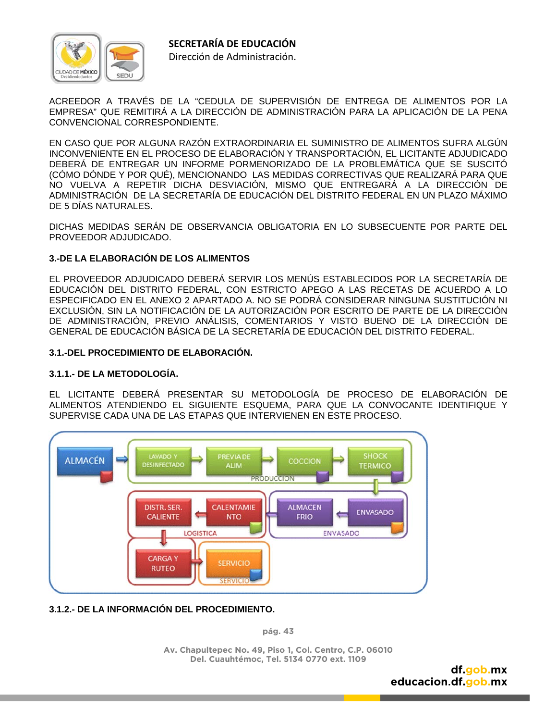

ACREEDOR A TRAVÉS DE LA "CEDULA DE SUPERVISIÓN DE ENTREGA DE ALIMENTOS POR LA EMPRESA" QUE REMITIRÁ A LA DIRECCIÓN DE ADMINISTRACIÓN PARA LA APLICACIÓN DE LA PENA CONVENCIONAL CORRESPONDIENTE.

EN CASO QUE POR ALGUNA RAZÓN EXTRAORDINARIA EL SUMINISTRO DE ALIMENTOS SUFRA ALGÚN INCONVENIENTE EN EL PROCESO DE ELABORACIÓN Y TRANSPORTACIÓN, EL LICITANTE ADJUDICADO DEBERÁ DE ENTREGAR UN INFORME PORMENORIZADO DE LA PROBLEMÁTICA QUE SE SUSCITÓ (CÓMO DÓNDE Y POR QUÉ), MENCIONANDO LAS MEDIDAS CORRECTIVAS QUE REALIZARÁ PARA QUE NO VUELVA A REPETIR DICHA DESVIACIÓN, MISMO QUE ENTREGARÁ A LA DIRECCIÓN DE ADMINISTRACIÓN DE LA SECRETARÍA DE EDUCACIÓN DEL DISTRITO FEDERAL EN UN PLAZO MÁXIMO DE 5 DÍAS NATURALES.

DICHAS MEDIDAS SERÁN DE OBSERVANCIA OBLIGATORIA EN LO SUBSECUENTE POR PARTE DEL PROVEEDOR ADJUDICADO.

# **3.-DE LA ELABORACIÓN DE LOS ALIMENTOS**

EL PROVEEDOR ADJUDICADO DEBERÁ SERVIR LOS MENÚS ESTABLECIDOS POR LA SECRETARÍA DE EDUCACIÓN DEL DISTRITO FEDERAL, CON ESTRICTO APEGO A LAS RECETAS DE ACUERDO A LO ESPECIFICADO EN EL ANEXO 2 APARTADO A. NO SE PODRÁ CONSIDERAR NINGUNA SUSTITUCIÓN NI EXCLUSIÓN, SIN LA NOTIFICACIÓN DE LA AUTORIZACIÓN POR ESCRITO DE PARTE DE LA DIRECCIÓN DE ADMINISTRACIÓN, PREVIO ANÁLISIS, COMENTARIOS Y VISTO BUENO DE LA DIRECCIÓN DE GENERAL DE EDUCACIÓN BÁSICA DE LA SECRETARÍA DE EDUCACIÓN DEL DISTRITO FEDERAL.

### **3.1.-DEL PROCEDIMIENTO DE ELABORACIÓN.**

### **3.1.1.- DE LA METODOLOGÍA.**

EL LICITANTE DEBERÁ PRESENTAR SU METODOLOGÍA DE PROCESO DE ELABORACIÓN DE ALIMENTOS ATENDIENDO EL SIGUIENTE ESQUEMA, PARA QUE LA CONVOCANTE IDENTIFIQUE Y SUPERVISE CADA UNA DE LAS ETAPAS QUE INTERVIENEN EN ESTE PROCESO.



**3.1.2.- DE LA INFORMACIÓN DEL PROCEDIMIENTO.** 

**pág. 43** 

**Av. Chapultepec No. 49, Piso 1, Col. Centro, C.P. 06010 Del. Cuauhtémoc, Tel. 5134 0770 ext. 1109**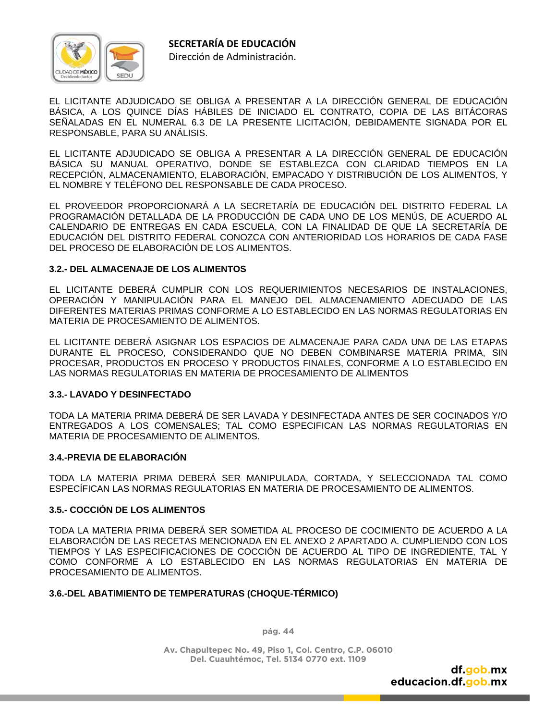

EL LICITANTE ADJUDICADO SE OBLIGA A PRESENTAR A LA DIRECCIÓN GENERAL DE EDUCACIÓN BÁSICA, A LOS QUINCE DÍAS HÁBILES DE INICIADO EL CONTRATO, COPIA DE LAS BITÁCORAS SEÑALADAS EN EL NUMERAL 6.3 DE LA PRESENTE LICITACIÓN, DEBIDAMENTE SIGNADA POR EL RESPONSABLE, PARA SU ANÁLISIS.

EL LICITANTE ADJUDICADO SE OBLIGA A PRESENTAR A LA DIRECCIÓN GENERAL DE EDUCACIÓN BÁSICA SU MANUAL OPERATIVO, DONDE SE ESTABLEZCA CON CLARIDAD TIEMPOS EN LA RECEPCIÓN, ALMACENAMIENTO, ELABORACIÓN, EMPACADO Y DISTRIBUCIÓN DE LOS ALIMENTOS, Y EL NOMBRE Y TELÉFONO DEL RESPONSABLE DE CADA PROCESO.

EL PROVEEDOR PROPORCIONARÁ A LA SECRETARÍA DE EDUCACIÓN DEL DISTRITO FEDERAL LA PROGRAMACIÓN DETALLADA DE LA PRODUCCIÓN DE CADA UNO DE LOS MENÚS, DE ACUERDO AL CALENDARIO DE ENTREGAS EN CADA ESCUELA, CON LA FINALIDAD DE QUE LA SECRETARÍA DE EDUCACIÓN DEL DISTRITO FEDERAL CONOZCA CON ANTERIORIDAD LOS HORARIOS DE CADA FASE DEL PROCESO DE ELABORACIÓN DE LOS ALIMENTOS.

### **3.2.- DEL ALMACENAJE DE LOS ALIMENTOS**

EL LICITANTE DEBERÁ CUMPLIR CON LOS REQUERIMIENTOS NECESARIOS DE INSTALACIONES, OPERACIÓN Y MANIPULACIÓN PARA EL MANEJO DEL ALMACENAMIENTO ADECUADO DE LAS DIFERENTES MATERIAS PRIMAS CONFORME A LO ESTABLECIDO EN LAS NORMAS REGULATORIAS EN MATERIA DE PROCESAMIENTO DE ALIMENTOS.

EL LICITANTE DEBERÁ ASIGNAR LOS ESPACIOS DE ALMACENAJE PARA CADA UNA DE LAS ETAPAS DURANTE EL PROCESO, CONSIDERANDO QUE NO DEBEN COMBINARSE MATERIA PRIMA, SIN PROCESAR, PRODUCTOS EN PROCESO Y PRODUCTOS FINALES, CONFORME A LO ESTABLECIDO EN LAS NORMAS REGULATORIAS EN MATERIA DE PROCESAMIENTO DE ALIMENTOS

#### **3.3.- LAVADO Y DESINFECTADO**

TODA LA MATERIA PRIMA DEBERÁ DE SER LAVADA Y DESINFECTADA ANTES DE SER COCINADOS Y/O ENTREGADOS A LOS COMENSALES; TAL COMO ESPECIFICAN LAS NORMAS REGULATORIAS EN MATERIA DE PROCESAMIENTO DE ALIMENTOS.

### **3.4.-PREVIA DE ELABORACIÓN**

TODA LA MATERIA PRIMA DEBERÁ SER MANIPULADA, CORTADA, Y SELECCIONADA TAL COMO ESPECÍFICAN LAS NORMAS REGULATORIAS EN MATERIA DE PROCESAMIENTO DE ALIMENTOS.

#### **3.5.- COCCIÓN DE LOS ALIMENTOS**

TODA LA MATERIA PRIMA DEBERÁ SER SOMETIDA AL PROCESO DE COCIMIENTO DE ACUERDO A LA ELABORACIÓN DE LAS RECETAS MENCIONADA EN EL ANEXO 2 APARTADO A. CUMPLIENDO CON LOS TIEMPOS Y LAS ESPECIFICACIONES DE COCCIÓN DE ACUERDO AL TIPO DE INGREDIENTE, TAL Y COMO CONFORME A LO ESTABLECIDO EN LAS NORMAS REGULATORIAS EN MATERIA DE PROCESAMIENTO DE ALIMENTOS.

### **3.6.-DEL ABATIMIENTO DE TEMPERATURAS (CHOQUE-TÉRMICO)**

**pág. 44** 

**Av. Chapultepec No. 49, Piso 1, Col. Centro, C.P. 06010 Del. Cuauhtémoc, Tel. 5134 0770 ext. 1109**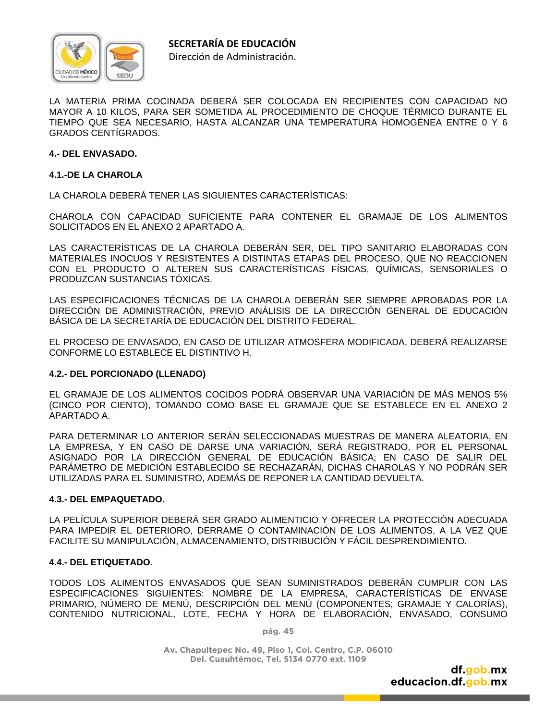

LA MATERIA PRIMA COCINADA DEBERÁ SER COLOCADA EN RECIPIENTES CON CAPACIDAD NO MAYOR A 10 KILOS, PARA SER SOMETIDA AL PROCEDIMIENTO DE CHOQUE TÉRMICO DURANTE EL TIEMPO QUE SEA NECESARIO, HASTA ALCANZAR UNA TEMPERATURA HOMOGÉNEA ENTRE 0 Y 6 GRADOS CENTÍGRADOS.

#### **4.- DEL ENVASADO.**

### **4.1.-DE LA CHAROLA**

LA CHAROLA DEBERÁ TENER LAS SIGUIENTES CARACTERÍSTICAS:

CHAROLA CON CAPACIDAD SUFICIENTE PARA CONTENER EL GRAMAJE DE LOS ALIMENTOS SOLICITADOS EN EL ANEXO 2 APARTADO A.

LAS CARACTERÍSTICAS DE LA CHAROLA DEBERÁN SER, DEL TIPO SANITARIO ELABORADAS CON MATERIALES INOCUOS Y RESISTENTES A DISTINTAS ETAPAS DEL PROCESO, QUE NO REACCIONEN CON EL PRODUCTO O ALTEREN SUS CARACTERÍSTICAS FÍSICAS, QUÍMICAS, SENSORIALES O PRODUZCAN SUSTANCIAS TÓXICAS.

LAS ESPECIFICACIONES TÉCNICAS DE LA CHAROLA DEBERÁN SER SIEMPRE APROBADAS POR LA DIRECCIÓN DE ADMINISTRACIÓN, PREVIO ANÁLISIS DE LA DIRECCIÓN GENERAL DE EDUCACIÓN BÁSICA DE LA SECRETARÍA DE EDUCACIÓN DEL DISTRITO FEDERAL.

EL PROCESO DE ENVASADO, EN CASO DE UTILIZAR ATMOSFERA MODIFICADA, DEBERÁ REALIZARSE CONFORME LO ESTABLECE EL DISTINTIVO H.

#### **4.2.- DEL PORCIONADO (LLENADO)**

EL GRAMAJE DE LOS ALIMENTOS COCIDOS PODRÁ OBSERVAR UNA VARIACIÓN DE MÁS MENOS 5% (CINCO POR CIENTO), TOMANDO COMO BASE EL GRAMAJE QUE SE ESTABLECE EN EL ANEXO 2 APARTADO A.

PARA DETERMINAR LO ANTERIOR SERÁN SELECCIONADAS MUESTRAS DE MANERA ALEATORIA, EN LA EMPRESA, Y EN CASO DE DARSE UNA VARIACIÓN, SERÁ REGISTRADO, POR EL PERSONAL ASIGNADO POR LA DIRECCIÓN GENERAL DE EDUCACIÓN BÁSICA; EN CASO DE SALIR DEL PARÁMETRO DE MEDICIÓN ESTABLECIDO SE RECHAZARÁN, DICHAS CHAROLAS Y NO PODRÁN SER UTILIZADAS PARA EL SUMINISTRO, ADEMÁS DE REPONER LA CANTIDAD DEVUELTA.

#### **4.3.- DEL EMPAQUETADO.**

LA PELÍCULA SUPERIOR DEBERÁ SER GRADO ALIMENTICIO Y OFRECER LA PROTECCIÓN ADECUADA PARA IMPEDIR EL DETERIORO, DERRAME O CONTAMINACIÓN DE LOS ALIMENTOS, A LA VEZ QUE FACILITE SU MANIPULACIÓN, ALMACENAMIENTO, DISTRIBUCIÓN Y FÁCIL DESPRENDIMIENTO.

#### **4.4.- DEL ETIQUETADO.**

TODOS LOS ALIMENTOS ENVASADOS QUE SEAN SUMINISTRADOS DEBERÁN CUMPLIR CON LAS ESPECIFICACIONES SIGUIENTES: NOMBRE DE LA EMPRESA, CARACTERÍSTICAS DE ENVASE PRIMARIO, NÚMERO DE MENÚ, DESCRIPCIÓN DEL MENÚ (COMPONENTES; GRAMAJE Y CALORÍAS), CONTENIDO NUTRICIONAL, LOTE, FECHA Y HORA DE ELABORACIÓN, ENVASADO, CONSUMO

**pág. 45** 

**Av. Chapultepec No. 49, Piso 1, Col. Centro, C.P. 06010 Del. Cuauhtémoc, Tel. 5134 0770 ext. 1109**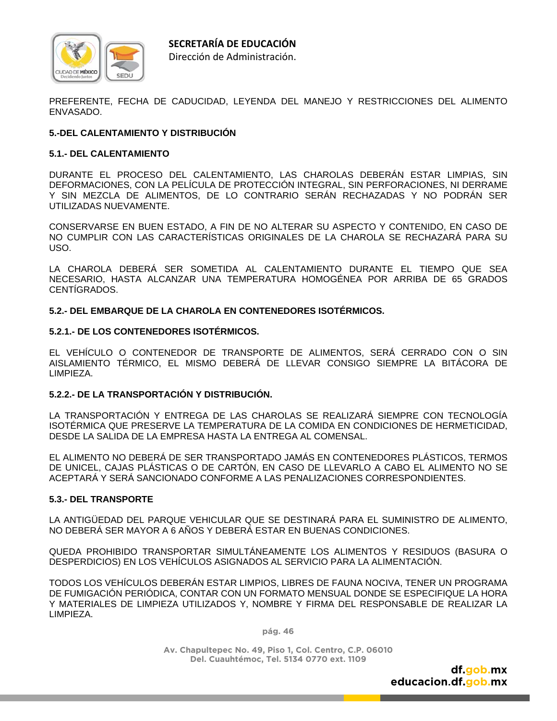

PREFERENTE, FECHA DE CADUCIDAD, LEYENDA DEL MANEJO Y RESTRICCIONES DEL ALIMENTO ENVASADO.

### **5.-DEL CALENTAMIENTO Y DISTRIBUCIÓN**

### **5.1.- DEL CALENTAMIENTO**

DURANTE EL PROCESO DEL CALENTAMIENTO, LAS CHAROLAS DEBERÁN ESTAR LIMPIAS, SIN DEFORMACIONES, CON LA PELÍCULA DE PROTECCIÓN INTEGRAL, SIN PERFORACIONES, NI DERRAME Y SIN MEZCLA DE ALIMENTOS, DE LO CONTRARIO SERÁN RECHAZADAS Y NO PODRÁN SER UTILIZADAS NUEVAMENTE.

CONSERVARSE EN BUEN ESTADO, A FIN DE NO ALTERAR SU ASPECTO Y CONTENIDO, EN CASO DE NO CUMPLIR CON LAS CARACTERÍSTICAS ORIGINALES DE LA CHAROLA SE RECHAZARÁ PARA SU USO.

LA CHAROLA DEBERÁ SER SOMETIDA AL CALENTAMIENTO DURANTE EL TIEMPO QUE SEA NECESARIO, HASTA ALCANZAR UNA TEMPERATURA HOMOGÉNEA POR ARRIBA DE 65 GRADOS CENTÍGRADOS.

**5.2.- DEL EMBARQUE DE LA CHAROLA EN CONTENEDORES ISOTÉRMICOS.** 

### **5.2.1.- DE LOS CONTENEDORES ISOTÉRMICOS.**

EL VEHÍCULO O CONTENEDOR DE TRANSPORTE DE ALIMENTOS, SERÁ CERRADO CON O SIN AISLAMIENTO TÉRMICO, EL MISMO DEBERÁ DE LLEVAR CONSIGO SIEMPRE LA BITÁCORA DE LIMPIEZA.

### **5.2.2.- DE LA TRANSPORTACIÓN Y DISTRIBUCIÓN.**

LA TRANSPORTACIÓN Y ENTREGA DE LAS CHAROLAS SE REALIZARÁ SIEMPRE CON TECNOLOGÍA ISOTÉRMICA QUE PRESERVE LA TEMPERATURA DE LA COMIDA EN CONDICIONES DE HERMETICIDAD, DESDE LA SALIDA DE LA EMPRESA HASTA LA ENTREGA AL COMENSAL.

EL ALIMENTO NO DEBERÁ DE SER TRANSPORTADO JAMÁS EN CONTENEDORES PLÁSTICOS, TERMOS DE UNICEL, CAJAS PLÁSTICAS O DE CARTÓN, EN CASO DE LLEVARLO A CABO EL ALIMENTO NO SE ACEPTARÁ Y SERÁ SANCIONADO CONFORME A LAS PENALIZACIONES CORRESPONDIENTES.

#### **5.3.- DEL TRANSPORTE**

LA ANTIGÜEDAD DEL PARQUE VEHICULAR QUE SE DESTINARÁ PARA EL SUMINISTRO DE ALIMENTO, NO DEBERÁ SER MAYOR A 6 AÑOS Y DEBERÁ ESTAR EN BUENAS CONDICIONES.

QUEDA PROHIBIDO TRANSPORTAR SIMULTÁNEAMENTE LOS ALIMENTOS Y RESIDUOS (BASURA O DESPERDICIOS) EN LOS VEHÍCULOS ASIGNADOS AL SERVICIO PARA LA ALIMENTACIÓN.

TODOS LOS VEHÍCULOS DEBERÁN ESTAR LIMPIOS, LIBRES DE FAUNA NOCIVA, TENER UN PROGRAMA DE FUMIGACIÓN PERIÓDICA, CONTAR CON UN FORMATO MENSUAL DONDE SE ESPECIFIQUE LA HORA Y MATERIALES DE LIMPIEZA UTILIZADOS Y, NOMBRE Y FIRMA DEL RESPONSABLE DE REALIZAR LA LIMPIEZA.

**pág. 46** 

**Av. Chapultepec No. 49, Piso 1, Col. Centro, C.P. 06010 Del. Cuauhtémoc, Tel. 5134 0770 ext. 1109**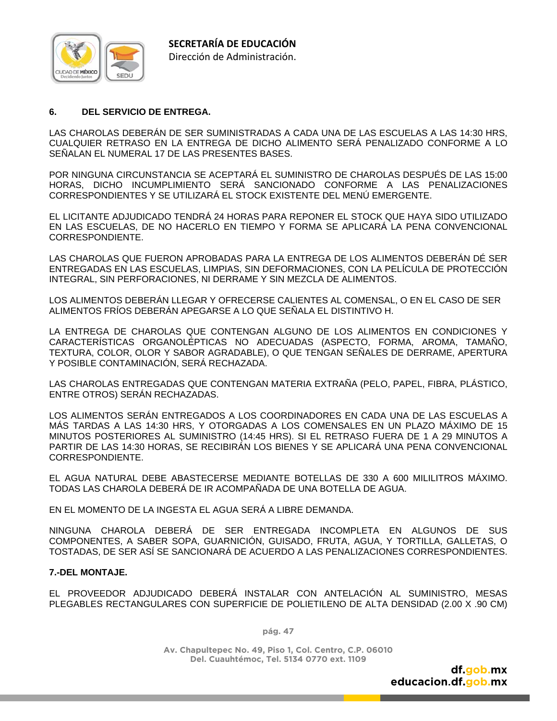

# **6. DEL SERVICIO DE ENTREGA.**

LAS CHAROLAS DEBERÁN DE SER SUMINISTRADAS A CADA UNA DE LAS ESCUELAS A LAS 14:30 HRS, CUALQUIER RETRASO EN LA ENTREGA DE DICHO ALIMENTO SERÁ PENALIZADO CONFORME A LO SEÑALAN EL NUMERAL 17 DE LAS PRESENTES BASES.

POR NINGUNA CIRCUNSTANCIA SE ACEPTARÁ EL SUMINISTRO DE CHAROLAS DESPUÉS DE LAS 15:00 HORAS, DICHO INCUMPLIMIENTO SERÁ SANCIONADO CONFORME A LAS PENALIZACIONES CORRESPONDIENTES Y SE UTILIZARÁ EL STOCK EXISTENTE DEL MENÚ EMERGENTE.

EL LICITANTE ADJUDICADO TENDRÁ 24 HORAS PARA REPONER EL STOCK QUE HAYA SIDO UTILIZADO EN LAS ESCUELAS, DE NO HACERLO EN TIEMPO Y FORMA SE APLICARÁ LA PENA CONVENCIONAL CORRESPONDIENTE.

LAS CHAROLAS QUE FUERON APROBADAS PARA LA ENTREGA DE LOS ALIMENTOS DEBERÁN DÉ SER ENTREGADAS EN LAS ESCUELAS, LIMPIAS, SIN DEFORMACIONES, CON LA PELÍCULA DE PROTECCIÓN INTEGRAL, SIN PERFORACIONES, NI DERRAME Y SIN MEZCLA DE ALIMENTOS.

LOS ALIMENTOS DEBERÁN LLEGAR Y OFRECERSE CALIENTES AL COMENSAL, O EN EL CASO DE SER ALIMENTOS FRÍOS DEBERÁN APEGARSE A LO QUE SEÑALA EL DISTINTIVO H.

LA ENTREGA DE CHAROLAS QUE CONTENGAN ALGUNO DE LOS ALIMENTOS EN CONDICIONES Y CARACTERÍSTICAS ORGANOLÉPTICAS NO ADECUADAS (ASPECTO, FORMA, AROMA, TAMAÑO, TEXTURA, COLOR, OLOR Y SABOR AGRADABLE), O QUE TENGAN SEÑALES DE DERRAME, APERTURA Y POSIBLE CONTAMINACIÓN, SERÁ RECHAZADA.

LAS CHAROLAS ENTREGADAS QUE CONTENGAN MATERIA EXTRAÑA (PELO, PAPEL, FIBRA, PLÁSTICO, ENTRE OTROS) SERÁN RECHAZADAS.

LOS ALIMENTOS SERÁN ENTREGADOS A LOS COORDINADORES EN CADA UNA DE LAS ESCUELAS A MÁS TARDAS A LAS 14:30 HRS, Y OTORGADAS A LOS COMENSALES EN UN PLAZO MÁXIMO DE 15 MINUTOS POSTERIORES AL SUMINISTRO (14:45 HRS). SI EL RETRASO FUERA DE 1 A 29 MINUTOS A PARTIR DE LAS 14:30 HORAS, SE RECIBIRÁN LOS BIENES Y SE APLICARÁ UNA PENA CONVENCIONAL CORRESPONDIENTE.

EL AGUA NATURAL DEBE ABASTECERSE MEDIANTE BOTELLAS DE 330 A 600 MILILITROS MÁXIMO. TODAS LAS CHAROLA DEBERÁ DE IR ACOMPAÑADA DE UNA BOTELLA DE AGUA.

EN EL MOMENTO DE LA INGESTA EL AGUA SERÁ A LIBRE DEMANDA.

NINGUNA CHAROLA DEBERÁ DE SER ENTREGADA INCOMPLETA EN ALGUNOS DE SUS COMPONENTES, A SABER SOPA, GUARNICIÓN, GUISADO, FRUTA, AGUA, Y TORTILLA, GALLETAS, O TOSTADAS, DE SER ASÍ SE SANCIONARÁ DE ACUERDO A LAS PENALIZACIONES CORRESPONDIENTES.

#### **7.-DEL MONTAJE.**

EL PROVEEDOR ADJUDICADO DEBERÁ INSTALAR CON ANTELACIÓN AL SUMINISTRO, MESAS PLEGABLES RECTANGULARES CON SUPERFICIE DE POLIETILENO DE ALTA DENSIDAD (2.00 X .90 CM)

**pág. 47** 

**Av. Chapultepec No. 49, Piso 1, Col. Centro, C.P. 06010 Del. Cuauhtémoc, Tel. 5134 0770 ext. 1109**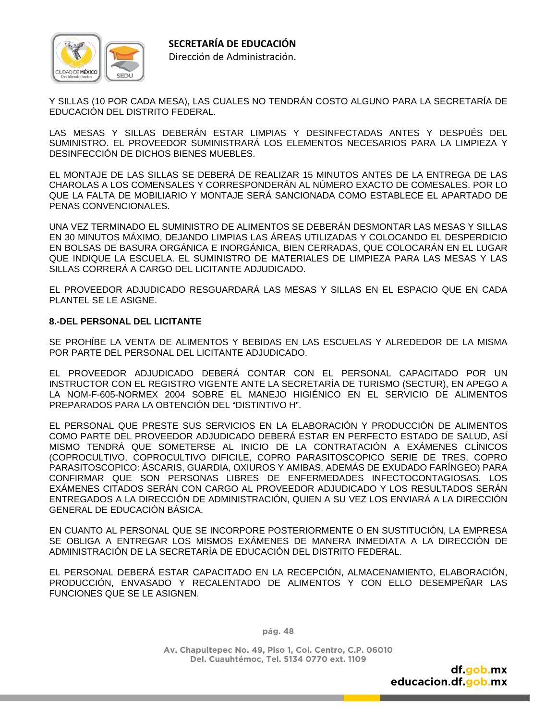

Y SILLAS (10 POR CADA MESA), LAS CUALES NO TENDRÁN COSTO ALGUNO PARA LA SECRETARÍA DE EDUCACIÓN DEL DISTRITO FEDERAL.

LAS MESAS Y SILLAS DEBERÁN ESTAR LIMPIAS Y DESINFECTADAS ANTES Y DESPUÉS DEL SUMINISTRO. EL PROVEEDOR SUMINISTRARÁ LOS ELEMENTOS NECESARIOS PARA LA LIMPIEZA Y DESINFECCIÓN DE DICHOS BIENES MUEBLES.

EL MONTAJE DE LAS SILLAS SE DEBERÁ DE REALIZAR 15 MINUTOS ANTES DE LA ENTREGA DE LAS CHAROLAS A LOS COMENSALES Y CORRESPONDERÁN AL NÚMERO EXACTO DE COMESALES. POR LO QUE LA FALTA DE MOBILIARIO Y MONTAJE SERÁ SANCIONADA COMO ESTABLECE EL APARTADO DE PENAS CONVENCIONALES.

UNA VEZ TERMINADO EL SUMINISTRO DE ALIMENTOS SE DEBERÁN DESMONTAR LAS MESAS Y SILLAS EN 30 MINUTOS MÁXIMO, DEJANDO LIMPIAS LAS ÁREAS UTILIZADAS Y COLOCANDO EL DESPERDICIO EN BOLSAS DE BASURA ORGÁNICA E INORGÁNICA, BIEN CERRADAS, QUE COLOCARÁN EN EL LUGAR QUE INDIQUE LA ESCUELA. EL SUMINISTRO DE MATERIALES DE LIMPIEZA PARA LAS MESAS Y LAS SILLAS CORRERÁ A CARGO DEL LICITANTE ADJUDICADO.

EL PROVEEDOR ADJUDICADO RESGUARDARÁ LAS MESAS Y SILLAS EN EL ESPACIO QUE EN CADA PLANTEL SE LE ASIGNE.

### **8.-DEL PERSONAL DEL LICITANTE**

SE PROHÍBE LA VENTA DE ALIMENTOS Y BEBIDAS EN LAS ESCUELAS Y ALREDEDOR DE LA MISMA POR PARTE DEL PERSONAL DEL LICITANTE ADJUDICADO.

EL PROVEEDOR ADJUDICADO DEBERÁ CONTAR CON EL PERSONAL CAPACITADO POR UN INSTRUCTOR CON EL REGISTRO VIGENTE ANTE LA SECRETARÍA DE TURISMO (SECTUR), EN APEGO A LA NOM-F-605-NORMEX 2004 SOBRE EL MANEJO HIGIÉNICO EN EL SERVICIO DE ALIMENTOS PREPARADOS PARA LA OBTENCIÓN DEL "DISTINTIVO H".

EL PERSONAL QUE PRESTE SUS SERVICIOS EN LA ELABORACIÓN Y PRODUCCIÓN DE ALIMENTOS COMO PARTE DEL PROVEEDOR ADJUDICADO DEBERÁ ESTAR EN PERFECTO ESTADO DE SALUD, ASÍ MISMO TENDRÁ QUE SOMETERSE AL INICIO DE LA CONTRATACIÓN A EXÁMENES CLÍNICOS (COPROCULTIVO, COPROCULTIVO DIFICILE, COPRO PARASITOSCOPICO SERIE DE TRES, COPRO PARASITOSCOPICO: ÁSCARIS, GUARDIA, OXIUROS Y AMIBAS, ADEMÁS DE EXUDADO FARÍNGEO) PARA CONFIRMAR QUE SON PERSONAS LIBRES DE ENFERMEDADES INFECTOCONTAGIOSAS. LOS EXÁMENES CITADOS SERÁN CON CARGO AL PROVEEDOR ADJUDICADO Y LOS RESULTADOS SERÁN ENTREGADOS A LA DIRECCIÓN DE ADMINISTRACIÓN, QUIEN A SU VEZ LOS ENVIARÁ A LA DIRECCIÓN GENERAL DE EDUCACIÓN BÁSICA.

EN CUANTO AL PERSONAL QUE SE INCORPORE POSTERIORMENTE O EN SUSTITUCIÓN, LA EMPRESA SE OBLIGA A ENTREGAR LOS MISMOS EXÁMENES DE MANERA INMEDIATA A LA DIRECCIÓN DE ADMINISTRACIÓN DE LA SECRETARÍA DE EDUCACIÓN DEL DISTRITO FEDERAL.

EL PERSONAL DEBERÁ ESTAR CAPACITADO EN LA RECEPCIÓN, ALMACENAMIENTO, ELABORACIÓN, PRODUCCIÓN, ENVASADO Y RECALENTADO DE ALIMENTOS Y CON ELLO DESEMPEÑAR LAS FUNCIONES QUE SE LE ASIGNEN.

**pág. 48** 

**Av. Chapultepec No. 49, Piso 1, Col. Centro, C.P. 06010 Del. Cuauhtémoc, Tel. 5134 0770 ext. 1109**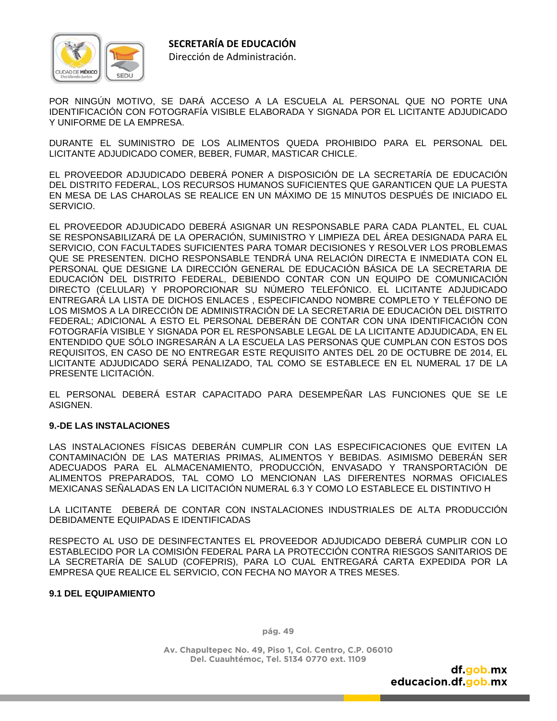

POR NINGÚN MOTIVO, SE DARÁ ACCESO A LA ESCUELA AL PERSONAL QUE NO PORTE UNA IDENTIFICACIÓN CON FOTOGRAFÍA VISIBLE ELABORADA Y SIGNADA POR EL LICITANTE ADJUDICADO Y UNIFORME DE LA EMPRESA.

DURANTE EL SUMINISTRO DE LOS ALIMENTOS QUEDA PROHIBIDO PARA EL PERSONAL DEL LICITANTE ADJUDICADO COMER, BEBER, FUMAR, MASTICAR CHICLE.

EL PROVEEDOR ADJUDICADO DEBERÁ PONER A DISPOSICIÓN DE LA SECRETARÍA DE EDUCACIÓN DEL DISTRITO FEDERAL, LOS RECURSOS HUMANOS SUFICIENTES QUE GARANTICEN QUE LA PUESTA EN MESA DE LAS CHAROLAS SE REALICE EN UN MÁXIMO DE 15 MINUTOS DESPUÉS DE INICIADO EL SERVICIO.

EL PROVEEDOR ADJUDICADO DEBERÁ ASIGNAR UN RESPONSABLE PARA CADA PLANTEL, EL CUAL SE RESPONSABILIZARÁ DE LA OPERACIÓN, SUMINISTRO Y LIMPIEZA DEL ÁREA DESIGNADA PARA EL SERVICIO, CON FACULTADES SUFICIENTES PARA TOMAR DECISIONES Y RESOLVER LOS PROBLEMAS QUE SE PRESENTEN. DICHO RESPONSABLE TENDRÁ UNA RELACIÓN DIRECTA E INMEDIATA CON EL PERSONAL QUE DESIGNE LA DIRECCIÓN GENERAL DE EDUCACIÓN BÁSICA DE LA SECRETARIA DE EDUCACIÓN DEL DISTRITO FEDERAL, DEBIENDO CONTAR CON UN EQUIPO DE COMUNICACIÓN DIRECTO (CELULAR) Y PROPORCIONAR SU NÚMERO TELEFÓNICO. EL LICITANTE ADJUDICADO ENTREGARÁ LA LISTA DE DICHOS ENLACES , ESPECIFICANDO NOMBRE COMPLETO Y TELÉFONO DE LOS MISMOS A LA DIRECCIÓN DE ADMINISTRACIÓN DE LA SECRETARIA DE EDUCACIÓN DEL DISTRITO FEDERAL; ADICIONAL A ESTO EL PERSONAL DEBERÁN DE CONTAR CON UNA IDENTIFICACIÓN CON FOTOGRAFÍA VISIBLE Y SIGNADA POR EL RESPONSABLE LEGAL DE LA LICITANTE ADJUDICADA, EN EL ENTENDIDO QUE SÓLO INGRESARÁN A LA ESCUELA LAS PERSONAS QUE CUMPLAN CON ESTOS DOS REQUISITOS, EN CASO DE NO ENTREGAR ESTE REQUISITO ANTES DEL 20 DE OCTUBRE DE 2014, EL LICITANTE ADJUDICADO SERÁ PENALIZADO, TAL COMO SE ESTABLECE EN EL NUMERAL 17 DE LA PRESENTE LICITACIÓN.

EL PERSONAL DEBERÁ ESTAR CAPACITADO PARA DESEMPEÑAR LAS FUNCIONES QUE SE LE ASIGNEN.

### **9.-DE LAS INSTALACIONES**

LAS INSTALACIONES FÍSICAS DEBERÁN CUMPLIR CON LAS ESPECIFICACIONES QUE EVITEN LA CONTAMINACIÓN DE LAS MATERIAS PRIMAS, ALIMENTOS Y BEBIDAS. ASIMISMO DEBERÁN SER ADECUADOS PARA EL ALMACENAMIENTO, PRODUCCIÓN, ENVASADO Y TRANSPORTACIÓN DE ALIMENTOS PREPARADOS, TAL COMO LO MENCIONAN LAS DIFERENTES NORMAS OFICIALES MEXICANAS SEÑALADAS EN LA LICITACIÓN NUMERAL 6.3 Y COMO LO ESTABLECE EL DISTINTIVO H

LA LICITANTE DEBERÁ DE CONTAR CON INSTALACIONES INDUSTRIALES DE ALTA PRODUCCIÓN DEBIDAMENTE EQUIPADAS E IDENTIFICADAS

RESPECTO AL USO DE DESINFECTANTES EL PROVEEDOR ADJUDICADO DEBERÁ CUMPLIR CON LO ESTABLECIDO POR LA COMISIÓN FEDERAL PARA LA PROTECCIÓN CONTRA RIESGOS SANITARIOS DE LA SECRETARÍA DE SALUD (COFEPRIS), PARA LO CUAL ENTREGARÁ CARTA EXPEDIDA POR LA EMPRESA QUE REALICE EL SERVICIO, CON FECHA NO MAYOR A TRES MESES.

### **9.1 DEL EQUIPAMIENTO**

**pág. 49** 

**Av. Chapultepec No. 49, Piso 1, Col. Centro, C.P. 06010 Del. Cuauhtémoc, Tel. 5134 0770 ext. 1109**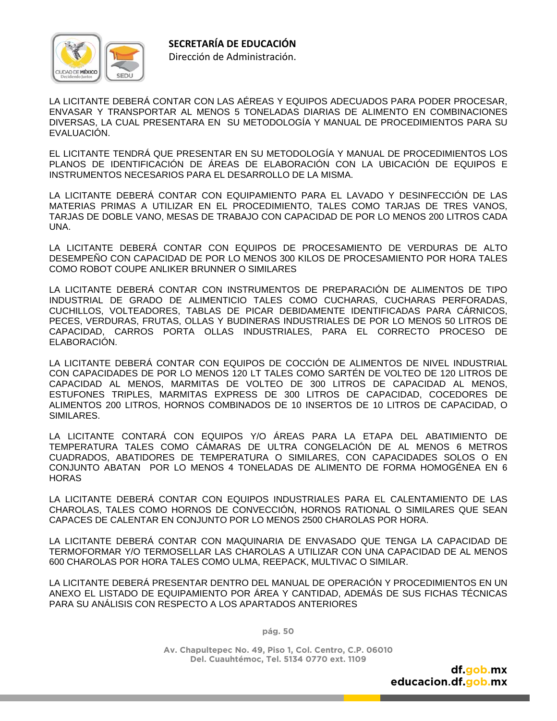

LA LICITANTE DEBERÁ CONTAR CON LAS AÉREAS Y EQUIPOS ADECUADOS PARA PODER PROCESAR, ENVASAR Y TRANSPORTAR AL MENOS 5 TONELADAS DIARIAS DE ALIMENTO EN COMBINACIONES DIVERSAS, LA CUAL PRESENTARA EN SU METODOLOGÍA Y MANUAL DE PROCEDIMIENTOS PARA SU EVALUACIÓN.

EL LICITANTE TENDRÁ QUE PRESENTAR EN SU METODOLOGÍA Y MANUAL DE PROCEDIMIENTOS LOS PLANOS DE IDENTIFICACIÓN DE ÁREAS DE ELABORACIÓN CON LA UBICACIÓN DE EQUIPOS E INSTRUMENTOS NECESARIOS PARA EL DESARROLLO DE LA MISMA.

LA LICITANTE DEBERÁ CONTAR CON EQUIPAMIENTO PARA EL LAVADO Y DESINFECCIÓN DE LAS MATERIAS PRIMAS A UTILIZAR EN EL PROCEDIMIENTO, TALES COMO TARJAS DE TRES VANOS, TARJAS DE DOBLE VANO, MESAS DE TRABAJO CON CAPACIDAD DE POR LO MENOS 200 LITROS CADA UNA.

LA LICITANTE DEBERÁ CONTAR CON EQUIPOS DE PROCESAMIENTO DE VERDURAS DE ALTO DESEMPEÑO CON CAPACIDAD DE POR LO MENOS 300 KILOS DE PROCESAMIENTO POR HORA TALES COMO ROBOT COUPE ANLIKER BRUNNER O SIMILARES

LA LICITANTE DEBERÁ CONTAR CON INSTRUMENTOS DE PREPARACIÓN DE ALIMENTOS DE TIPO INDUSTRIAL DE GRADO DE ALIMENTICIO TALES COMO CUCHARAS, CUCHARAS PERFORADAS, CUCHILLOS, VOLTEADORES, TABLAS DE PICAR DEBIDAMENTE IDENTIFICADAS PARA CÁRNICOS, PECES, VERDURAS, FRUTAS, OLLAS Y BUDINERAS INDUSTRIALES DE POR LO MENOS 50 LITROS DE CAPACIDAD, CARROS PORTA OLLAS INDUSTRIALES, PARA EL CORRECTO PROCESO DE ELABORACIÓN.

LA LICITANTE DEBERÁ CONTAR CON EQUIPOS DE COCCIÓN DE ALIMENTOS DE NIVEL INDUSTRIAL CON CAPACIDADES DE POR LO MENOS 120 LT TALES COMO SARTÉN DE VOLTEO DE 120 LITROS DE CAPACIDAD AL MENOS, MARMITAS DE VOLTEO DE 300 LITROS DE CAPACIDAD AL MENOS, ESTUFONES TRIPLES, MARMITAS EXPRESS DE 300 LITROS DE CAPACIDAD, COCEDORES DE ALIMENTOS 200 LITROS, HORNOS COMBINADOS DE 10 INSERTOS DE 10 LITROS DE CAPACIDAD, O SIMILARES.

LA LICITANTE CONTARÁ CON EQUIPOS Y/O ÁREAS PARA LA ETAPA DEL ABATIMIENTO DE TEMPERATURA TALES COMO CÁMARAS DE ULTRA CONGELACIÓN DE AL MENOS 6 METROS CUADRADOS, ABATIDORES DE TEMPERATURA O SIMILARES, CON CAPACIDADES SOLOS O EN CONJUNTO ABATAN POR LO MENOS 4 TONELADAS DE ALIMENTO DE FORMA HOMOGÉNEA EN 6 **HORAS** 

LA LICITANTE DEBERÁ CONTAR CON EQUIPOS INDUSTRIALES PARA EL CALENTAMIENTO DE LAS CHAROLAS, TALES COMO HORNOS DE CONVECCIÓN, HORNOS RATIONAL O SIMILARES QUE SEAN CAPACES DE CALENTAR EN CONJUNTO POR LO MENOS 2500 CHAROLAS POR HORA.

LA LICITANTE DEBERÁ CONTAR CON MAQUINARIA DE ENVASADO QUE TENGA LA CAPACIDAD DE TERMOFORMAR Y/O TERMOSELLAR LAS CHAROLAS A UTILIZAR CON UNA CAPACIDAD DE AL MENOS 600 CHAROLAS POR HORA TALES COMO ULMA, REEPACK, MULTIVAC O SIMILAR.

LA LICITANTE DEBERÁ PRESENTAR DENTRO DEL MANUAL DE OPERACIÓN Y PROCEDIMIENTOS EN UN ANEXO EL LISTADO DE EQUIPAMIENTO POR ÁREA Y CANTIDAD, ADEMÁS DE SUS FICHAS TÉCNICAS PARA SU ANÁLISIS CON RESPECTO A LOS APARTADOS ANTERIORES

**pág. 50** 

**Av. Chapultepec No. 49, Piso 1, Col. Centro, C.P. 06010 Del. Cuauhtémoc, Tel. 5134 0770 ext. 1109**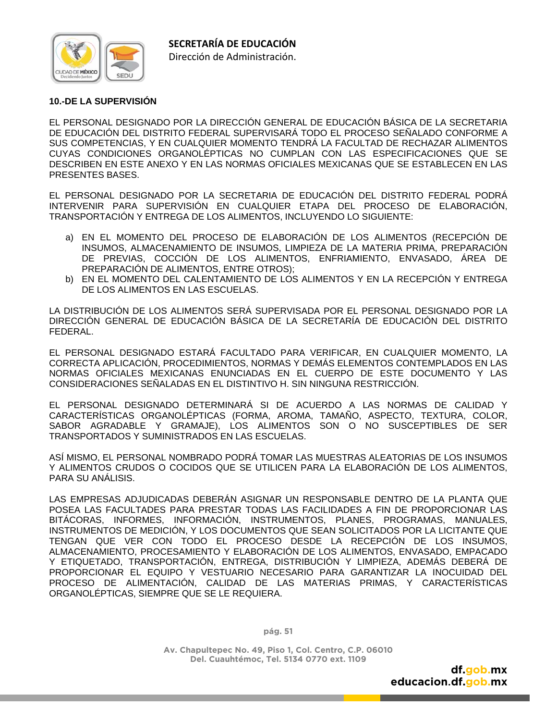

### **10.-DE LA SUPERVISIÓN**

EL PERSONAL DESIGNADO POR LA DIRECCIÓN GENERAL DE EDUCACIÓN BÁSICA DE LA SECRETARIA DE EDUCACIÓN DEL DISTRITO FEDERAL SUPERVISARÁ TODO EL PROCESO SEÑALADO CONFORME A SUS COMPETENCIAS, Y EN CUALQUIER MOMENTO TENDRÁ LA FACULTAD DE RECHAZAR ALIMENTOS CUYAS CONDICIONES ORGANOLÉPTICAS NO CUMPLAN CON LAS ESPECIFICACIONES QUE SE DESCRIBEN EN ESTE ANEXO Y EN LAS NORMAS OFICIALES MEXICANAS QUE SE ESTABLECEN EN LAS PRESENTES BASES.

EL PERSONAL DESIGNADO POR LA SECRETARIA DE EDUCACIÓN DEL DISTRITO FEDERAL PODRÁ INTERVENIR PARA SUPERVISIÓN EN CUALQUIER ETAPA DEL PROCESO DE ELABORACIÓN, TRANSPORTACIÓN Y ENTREGA DE LOS ALIMENTOS, INCLUYENDO LO SIGUIENTE:

- a) EN EL MOMENTO DEL PROCESO DE ELABORACIÓN DE LOS ALIMENTOS (RECEPCIÓN DE INSUMOS, ALMACENAMIENTO DE INSUMOS, LIMPIEZA DE LA MATERIA PRIMA, PREPARACIÓN DE PREVIAS, COCCIÓN DE LOS ALIMENTOS, ENFRIAMIENTO, ENVASADO, ÁREA DE PREPARACIÓN DE ALIMENTOS, ENTRE OTROS);
- b) EN EL MOMENTO DEL CALENTAMIENTO DE LOS ALIMENTOS Y EN LA RECEPCIÓN Y ENTREGA DE LOS ALIMENTOS EN LAS ESCUELAS.

LA DISTRIBUCIÓN DE LOS ALIMENTOS SERÁ SUPERVISADA POR EL PERSONAL DESIGNADO POR LA DIRECCIÓN GENERAL DE EDUCACIÓN BÁSICA DE LA SECRETARÍA DE EDUCACIÓN DEL DISTRITO FEDERAL.

EL PERSONAL DESIGNADO ESTARÁ FACULTADO PARA VERIFICAR, EN CUALQUIER MOMENTO, LA CORRECTA APLICACIÓN, PROCEDIMIENTOS, NORMAS Y DEMÁS ELEMENTOS CONTEMPLADOS EN LAS NORMAS OFICIALES MEXICANAS ENUNCIADAS EN EL CUERPO DE ESTE DOCUMENTO Y LAS CONSIDERACIONES SEÑALADAS EN EL DISTINTIVO H. SIN NINGUNA RESTRICCIÓN.

EL PERSONAL DESIGNADO DETERMINARÁ SI DE ACUERDO A LAS NORMAS DE CALIDAD Y CARACTERÍSTICAS ORGANOLÉPTICAS (FORMA, AROMA, TAMAÑO, ASPECTO, TEXTURA, COLOR, SABOR AGRADABLE Y GRAMAJE), LOS ALIMENTOS SON O NO SUSCEPTIBLES DE SER TRANSPORTADOS Y SUMINISTRADOS EN LAS ESCUELAS.

ASÍ MISMO, EL PERSONAL NOMBRADO PODRÁ TOMAR LAS MUESTRAS ALEATORIAS DE LOS INSUMOS Y ALIMENTOS CRUDOS O COCIDOS QUE SE UTILICEN PARA LA ELABORACIÓN DE LOS ALIMENTOS, PARA SU ANÁLISIS.

LAS EMPRESAS ADJUDICADAS DEBERÁN ASIGNAR UN RESPONSABLE DENTRO DE LA PLANTA QUE POSEA LAS FACULTADES PARA PRESTAR TODAS LAS FACILIDADES A FIN DE PROPORCIONAR LAS BITÁCORAS, INFORMES, INFORMACIÓN, INSTRUMENTOS, PLANES, PROGRAMAS, MANUALES, INSTRUMENTOS DE MEDICIÓN, Y LOS DOCUMENTOS QUE SEAN SOLICITADOS POR LA LICITANTE QUE TENGAN QUE VER CON TODO EL PROCESO DESDE LA RECEPCIÓN DE LOS INSUMOS, ALMACENAMIENTO, PROCESAMIENTO Y ELABORACIÓN DE LOS ALIMENTOS, ENVASADO, EMPACADO Y ETIQUETADO, TRANSPORTACIÓN, ENTREGA, DISTRIBUCIÓN Y LIMPIEZA, ADEMÁS DEBERÁ DE PROPORCIONAR EL EQUIPO Y VESTUARIO NECESARIO PARA GARANTIZAR LA INOCUIDAD DEL PROCESO DE ALIMENTACIÓN, CALIDAD DE LAS MATERIAS PRIMAS, Y CARACTERÍSTICAS ORGANOLÉPTICAS, SIEMPRE QUE SE LE REQUIERA.

**pág. 51** 

**Av. Chapultepec No. 49, Piso 1, Col. Centro, C.P. 06010 Del. Cuauhtémoc, Tel. 5134 0770 ext. 1109**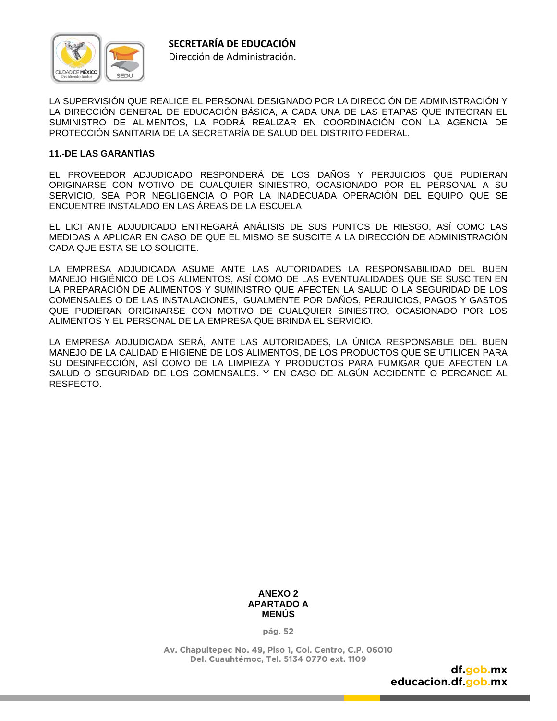

LA SUPERVISIÓN QUE REALICE EL PERSONAL DESIGNADO POR LA DIRECCIÓN DE ADMINISTRACIÓN Y LA DIRECCIÓN GENERAL DE EDUCACIÓN BÁSICA, A CADA UNA DE LAS ETAPAS QUE INTEGRAN EL SUMINISTRO DE ALIMENTOS, LA PODRÁ REALIZAR EN COORDINACIÓN CON LA AGENCIA DE PROTECCIÓN SANITARIA DE LA SECRETARÍA DE SALUD DEL DISTRITO FEDERAL.

### **11.-DE LAS GARANTÍAS**

EL PROVEEDOR ADJUDICADO RESPONDERÁ DE LOS DAÑOS Y PERJUICIOS QUE PUDIERAN ORIGINARSE CON MOTIVO DE CUALQUIER SINIESTRO, OCASIONADO POR EL PERSONAL A SU SERVICIO, SEA POR NEGLIGENCIA O POR LA INADECUADA OPERACIÓN DEL EQUIPO QUE SE ENCUENTRE INSTALADO EN LAS ÁREAS DE LA ESCUELA.

EL LICITANTE ADJUDICADO ENTREGARÁ ANÁLISIS DE SUS PUNTOS DE RIESGO, ASÍ COMO LAS MEDIDAS A APLICAR EN CASO DE QUE EL MISMO SE SUSCITE A LA DIRECCIÓN DE ADMINISTRACIÓN CADA QUE ESTA SE LO SOLICITE.

LA EMPRESA ADJUDICADA ASUME ANTE LAS AUTORIDADES LA RESPONSABILIDAD DEL BUEN MANEJO HIGIÉNICO DE LOS ALIMENTOS, ASÍ COMO DE LAS EVENTUALIDADES QUE SE SUSCITEN EN LA PREPARACIÓN DE ALIMENTOS Y SUMINISTRO QUE AFECTEN LA SALUD O LA SEGURIDAD DE LOS COMENSALES O DE LAS INSTALACIONES, IGUALMENTE POR DAÑOS, PERJUICIOS, PAGOS Y GASTOS QUE PUDIERAN ORIGINARSE CON MOTIVO DE CUALQUIER SINIESTRO, OCASIONADO POR LOS ALIMENTOS Y EL PERSONAL DE LA EMPRESA QUE BRINDA EL SERVICIO.

LA EMPRESA ADJUDICADA SERÁ, ANTE LAS AUTORIDADES, LA ÚNICA RESPONSABLE DEL BUEN MANEJO DE LA CALIDAD E HIGIENE DE LOS ALIMENTOS, DE LOS PRODUCTOS QUE SE UTILICEN PARA SU DESINFECCIÓN, ASÍ COMO DE LA LIMPIEZA Y PRODUCTOS PARA FUMIGAR QUE AFECTEN LA SALUD O SEGURIDAD DE LOS COMENSALES. Y EN CASO DE ALGÚN ACCIDENTE O PERCANCE AL RESPECTO.



**pág. 52** 

**Av. Chapultepec No. 49, Piso 1, Col. Centro, C.P. 06010 Del. Cuauhtémoc, Tel. 5134 0770 ext. 1109**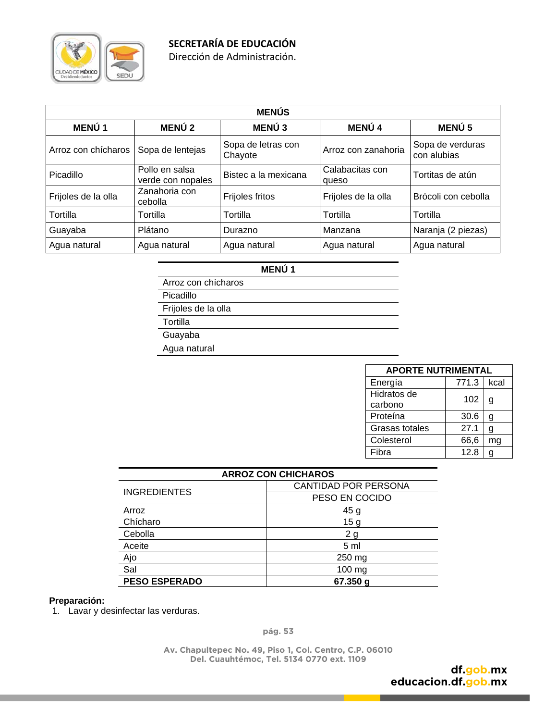

| <b>MENÚS</b>        |                                     |                               |                          |                                 |
|---------------------|-------------------------------------|-------------------------------|--------------------------|---------------------------------|
| <b>MENÚ 1</b>       | MENÚ <sub>2</sub>                   | MENÚ <sub>3</sub>             | <b>MENÚ 4</b>            | MENÚ <sub>5</sub>               |
| Arroz con chícharos | Sopa de lentejas                    | Sopa de letras con<br>Chayote | Arroz con zanahoria      | Sopa de verduras<br>con alubias |
| Picadillo           | Pollo en salsa<br>verde con nopales | Bistec a la mexicana          | Calabacitas con<br>queso | Tortitas de atún                |
| Frijoles de la olla | Zanahoria con<br>cebolla            | Frijoles fritos               | Frijoles de la olla      | Brócoli con cebolla             |
| Tortilla            | Tortilla                            | Tortilla                      | Tortilla                 | Tortilla                        |
| Guayaba             | Plátano                             | Durazno                       | Manzana                  | Naranja (2 piezas)              |
| Agua natural        | Agua natural                        | Agua natural                  | Agua natural             | Agua natural                    |

| мı<br>⊏ | Νl |  |
|---------|----|--|

| Arroz con chícharos |
|---------------------|
| Picadillo           |
| Frijoles de la olla |
| Tortilla            |
| Guayaba             |
| Agua natural        |
|                     |

| <b>APORTE NUTRIMENTAL</b> |       |      |  |
|---------------------------|-------|------|--|
| Energía                   | 771.3 | kcal |  |
| Hidratos de               | 102   |      |  |
| carbono                   |       | g    |  |
| Proteína                  | 30.6  | g    |  |
| <b>Grasas totales</b>     | 27.1  | g    |  |
| Colesterol                | 66,6  | ma   |  |
| Fibra                     | 12.8  |      |  |

| <b>ARROZ CON CHICHAROS</b> |                             |  |  |
|----------------------------|-----------------------------|--|--|
| <b>INGREDIENTES</b>        | <b>CANTIDAD POR PERSONA</b> |  |  |
|                            | PESO EN COCIDO              |  |  |
| Arroz                      | 45 <sub>g</sub>             |  |  |
| Chícharo                   | 15 <sub>g</sub>             |  |  |
| Cebolla                    | 2g                          |  |  |
| Aceite                     | 5 <sub>m</sub>              |  |  |
| Ajo                        | 250 mg                      |  |  |
| Sal                        | $100 \text{ mg}$            |  |  |
| <b>PESO ESPERADO</b>       | 67.350 g                    |  |  |

### **Preparación:**

1. Lavar y desinfectar las verduras.

**Av. Chapultepec No. 49, Piso 1, Col. Centro, C.P. 06010 Del. Cuauhtémoc, Tel. 5134 0770 ext. 1109**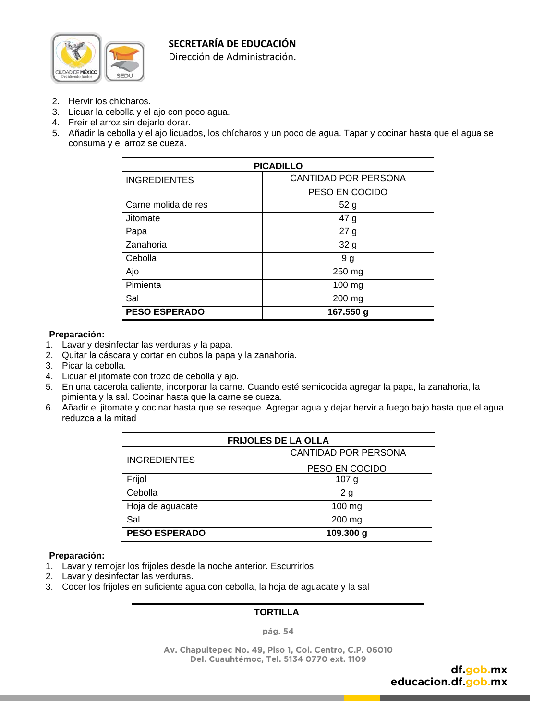

**SECRETARÍA DE EDUCACIÓN**

Dirección de Administración.

- 2. Hervir los chicharos.
- 3. Licuar la cebolla y el ajo con poco agua.
- 4. Freír el arroz sin dejarlo dorar.
- 5. Añadir la cebolla y el ajo licuados, los chícharos y un poco de agua. Tapar y cocinar hasta que el agua se consuma y el arroz se cueza.

| <b>PICADILLO</b>     |                             |  |
|----------------------|-----------------------------|--|
| <b>INGREDIENTES</b>  | <b>CANTIDAD POR PERSONA</b> |  |
|                      | PESO EN COCIDO              |  |
| Carne molida de res  | 52 <sub>g</sub>             |  |
| <b>Jitomate</b>      | 47 g                        |  |
| Papa                 | 27 <sub>g</sub>             |  |
| Zanahoria            | 32 <sub>g</sub>             |  |
| Cebolla              | 9 g                         |  |
| Ajo                  | 250 mg                      |  |
| Pimienta             | $100$ mg                    |  |
| Sal                  | $200$ mg                    |  |
| <b>PESO ESPERADO</b> | 167.550 g                   |  |

#### **Preparación:**

- 1. Lavar y desinfectar las verduras y la papa.
- 2. Quitar la cáscara y cortar en cubos la papa y la zanahoria.
- 3. Picar la cebolla.
- 4. Licuar el jitomate con trozo de cebolla y ajo.
- 5. En una cacerola caliente, incorporar la carne. Cuando esté semicocida agregar la papa, la zanahoria, la pimienta y la sal. Cocinar hasta que la carne se cueza.
- 6. Añadir el jitomate y cocinar hasta que se reseque. Agregar agua y dejar hervir a fuego bajo hasta que el agua reduzca a la mitad

| <b>FRIJOLES DE LA OLLA</b> |                             |  |
|----------------------------|-----------------------------|--|
| <b>INGREDIENTES</b>        | <b>CANTIDAD POR PERSONA</b> |  |
|                            | PESO EN COCIDO              |  |
| Frijol                     | 107 <sub>q</sub>            |  |
| Cebolla                    | 2g                          |  |
| Hoja de aguacate           | $100$ mg                    |  |
| Sal                        | 200 mg                      |  |
| <b>PESO ESPERADO</b>       | 109.300 g                   |  |

#### **Preparación:**

- 1. Lavar y remojar los frijoles desde la noche anterior. Escurrirlos.
- 2. Lavar y desinfectar las verduras.
- 3. Cocer los frijoles en suficiente agua con cebolla, la hoja de aguacate y la sal

#### **TORTILLA**

#### **pág. 54**

**Av. Chapultepec No. 49, Piso 1, Col. Centro, C.P. 06010 Del. Cuauhtémoc, Tel. 5134 0770 ext. 1109**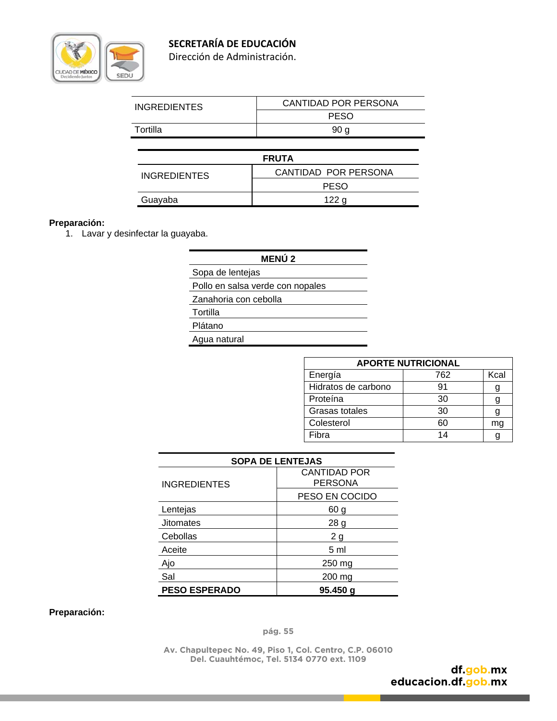

**SECRETARÍA DE EDUCACIÓN**

Dirección de Administración.

| <b>INGREDIENTES</b> | CANTIDAD POR PERSONA |
|---------------------|----------------------|
|                     | <b>PESO</b>          |
| Tortilla            | 90 a                 |
|                     |                      |

| <b>FRUTA</b>        |                      |  |
|---------------------|----------------------|--|
| <b>INGREDIENTES</b> | CANTIDAD POR PERSONA |  |
|                     | <b>PFSO</b>          |  |
| Guayaba             | 122 g                |  |
|                     |                      |  |

### **Preparación:**

1. Lavar y desinfectar la guayaba.

#### **MENÚ 2**

Sopa de lentejas

Pollo en salsa verde con nopales

Zanahoria con cebolla

**Tortilla** 

Plátano

Agua natural

| <b>APORTE NUTRICIONAL</b> |     |      |  |
|---------------------------|-----|------|--|
| Energía                   | 762 | Kcal |  |
| Hidratos de carbono       | 91  |      |  |
| Proteína                  | 30  |      |  |
| Grasas totales            | 30  |      |  |
| Colesterol                | 60  | ma   |  |
| Fibra                     | 14  |      |  |

| <b>SOPA DE LENTEJAS</b> |                     |  |
|-------------------------|---------------------|--|
|                         | <b>CANTIDAD POR</b> |  |
| <b>INGREDIENTES</b>     | <b>PERSONA</b>      |  |
|                         | PESO EN COCIDO      |  |
| Lentejas                | 60 g                |  |
| <b>Jitomates</b>        | 28 g                |  |
| Cebollas                | 2g                  |  |
| Aceite                  | 5 <sub>m</sub>      |  |
| Ajo                     | 250 mg              |  |
| Sal                     | 200 mg              |  |
| <b>PESO ESPERADO</b>    | $95.450$ g          |  |

#### **Preparación:**

**pág. 55** 

**Av. Chapultepec No. 49, Piso 1, Col. Centro, C.P. 06010 Del. Cuauhtémoc, Tel. 5134 0770 ext. 1109**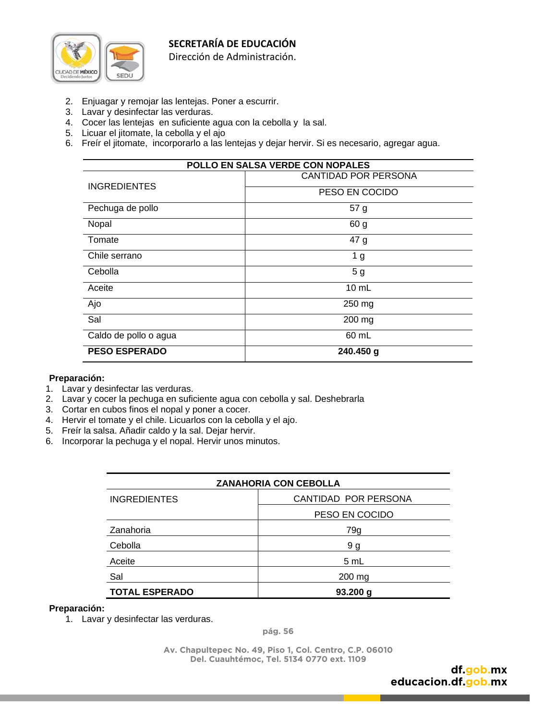



Dirección de Administración.

- 2. Enjuagar y remojar las lentejas. Poner a escurrir.
- 3. Lavar y desinfectar las verduras.
- 4. Cocer las lentejas en suficiente agua con la cebolla y la sal.
- 5. Licuar el jitomate, la cebolla y el ajo
- 6. Freír el jitomate, incorporarlo a las lentejas y dejar hervir. Si es necesario, agregar agua.

| POLLO EN SALSA VERDE CON NOPALES |                      |
|----------------------------------|----------------------|
| <b>INGREDIENTES</b>              | CANTIDAD POR PERSONA |
|                                  | PESO EN COCIDO       |
| Pechuga de pollo                 | 57 g                 |
| Nopal                            | 60 g                 |
| Tomate                           | 47 g                 |
| Chile serrano                    | 1 <sub>g</sub>       |
| Cebolla                          | 5 <sub>g</sub>       |
| Aceite                           | $10 \text{ mL}$      |
| Ajo                              | 250 mg               |
| Sal                              | 200 mg               |
| Caldo de pollo o agua            | 60 mL                |
| <b>PESO ESPERADO</b>             | 240.450 g            |

#### **Preparación:**

- 1. Lavar y desinfectar las verduras.
- 2. Lavar y cocer la pechuga en suficiente agua con cebolla y sal. Deshebrarla
- 3. Cortar en cubos finos el nopal y poner a cocer.
- 4. Hervir el tomate y el chile. Licuarlos con la cebolla y el ajo.
- 5. Freír la salsa. Añadir caldo y la sal. Dejar hervir.
- 6. Incorporar la pechuga y el nopal. Hervir unos minutos.

| <b>ZANAHORIA CON CEBOLLA</b> |                      |
|------------------------------|----------------------|
| <b>INGREDIENTES</b>          | CANTIDAD POR PERSONA |
|                              | PESO EN COCIDO       |
| Zanahoria                    | 79g                  |
| Cebolla                      | 9 g                  |
| Aceite                       | 5mL                  |
| Sal                          | 200 mg               |
| <b>TOTAL ESPERADO</b>        | $93.200$ g           |

#### **Preparación:**

1. Lavar y desinfectar las verduras.

**pág. 56** 

**Av. Chapultepec No. 49, Piso 1, Col. Centro, C.P. 06010 Del. Cuauhtémoc, Tel. 5134 0770 ext. 1109**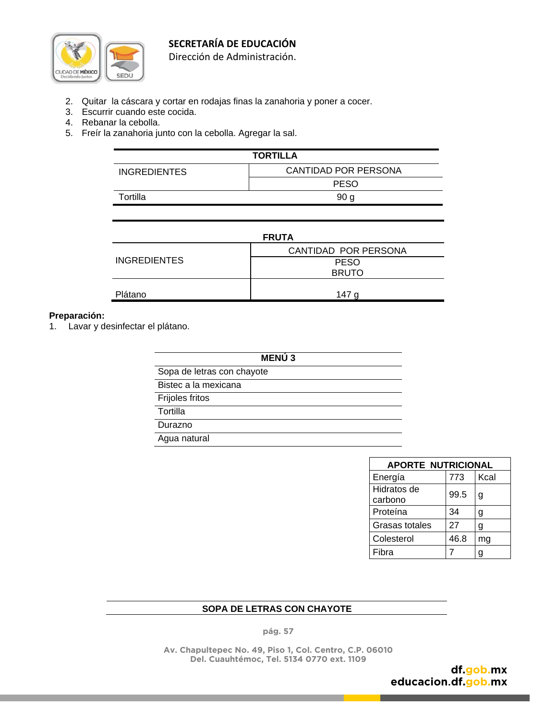

**SECRETARÍA DE EDUCACIÓN**

Dirección de Administración.

- 2. Quitar la cáscara y cortar en rodajas finas la zanahoria y poner a cocer.
- 3. Escurrir cuando este cocida.
- 4. Rebanar la cebolla.
- 5. Freír la zanahoria junto con la cebolla. Agregar la sal.

| <b>TORTILLA</b>     |                      |
|---------------------|----------------------|
| <b>INGREDIENTES</b> | CANTIDAD POR PERSONA |
|                     | <b>PESO</b>          |
| Tortilla            | 90 a                 |

| <b>FRUTA</b>        |                      |
|---------------------|----------------------|
| <b>INGREDIENTES</b> | CANTIDAD POR PERSONA |
|                     | <b>PESO</b>          |
|                     | <b>BRUTO</b>         |
|                     |                      |
| Plátano             | 147 a                |

### **Preparación:**

1. Lavar y desinfectar el plátano.

| <b>MENÚ3</b>               |  |
|----------------------------|--|
| Sopa de letras con chayote |  |
| Bistec a la mexicana       |  |
| Frijoles fritos            |  |
| Tortilla                   |  |
| Durazno                    |  |
| Agua natural               |  |

| <b>APORTE NUTRICIONAL</b> |      |      |
|---------------------------|------|------|
| Energía                   | 773  | Kcal |
| Hidratos de<br>carbono    | 99.5 | g    |
| Proteína                  | 34   | g    |
| Grasas totales            | 27   | g    |
| Colesterol                | 46.8 | mg   |
| Fibra                     |      | q    |

### **SOPA DE LETRAS CON CHAYOTE**

**pág. 57** 

**Av. Chapultepec No. 49, Piso 1, Col. Centro, C.P. 06010 Del. Cuauhtémoc, Tel. 5134 0770 ext. 1109**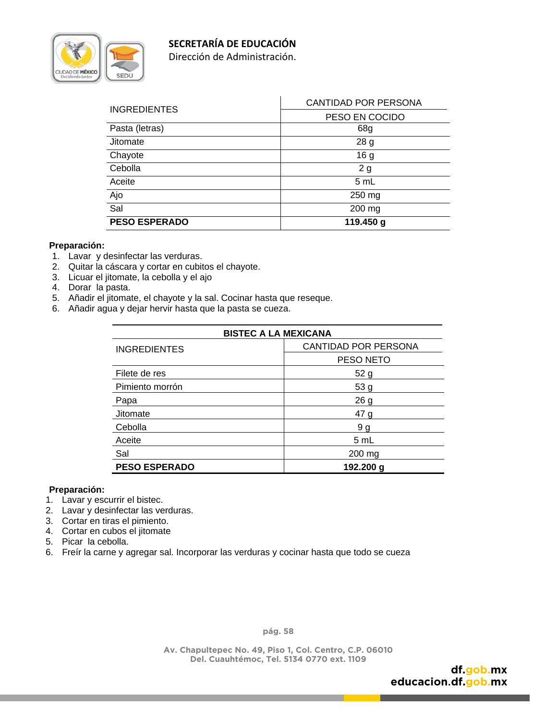

| <b>INGREDIENTES</b>  | <b>CANTIDAD POR PERSONA</b> |
|----------------------|-----------------------------|
|                      | PESO EN COCIDO              |
| Pasta (letras)       | 68g                         |
| <b>Jitomate</b>      | 28 <sub>g</sub>             |
| Chayote              | 16 <sub>g</sub>             |
| Cebolla              | 2g                          |
| Aceite               | 5 mL                        |
| Ajo                  | 250 mg                      |
| Sal                  | 200 mg                      |
| <b>PESO ESPERADO</b> | 119.450 g                   |

#### **Preparación:**

- 1. Lavar y desinfectar las verduras.
- 2. Quitar la cáscara y cortar en cubitos el chayote.
- 3. Licuar el jitomate, la cebolla y el ajo
- 4. Dorar la pasta.
- 5. Añadir el jitomate, el chayote y la sal. Cocinar hasta que reseque.
- 6. Añadir agua y dejar hervir hasta que la pasta se cueza.

| <b>BISTEC A LA MEXICANA</b> |                      |  |
|-----------------------------|----------------------|--|
| <b>INGREDIENTES</b>         | CANTIDAD POR PERSONA |  |
|                             | PESO NETO            |  |
| Filete de res               | 52 g                 |  |
| Pimiento morrón             | 53 <sub>g</sub>      |  |
| Papa                        | 26 <sub>g</sub>      |  |
| <b>Jitomate</b>             | 47 g                 |  |
| Cebolla                     | 9 <sub>g</sub>       |  |
| Aceite                      | 5 mL                 |  |
| Sal                         | 200 mg               |  |
| <b>PESO ESPERADO</b>        | 192.200 g            |  |

#### **Preparación:**

- 1. Lavar y escurrir el bistec.
- 2. Lavar y desinfectar las verduras.
- 3. Cortar en tiras el pimiento.
- 4. Cortar en cubos el jitomate
- 5. Picar la cebolla.
- 6. Freír la carne y agregar sal. Incorporar las verduras y cocinar hasta que todo se cueza

**pág. 58** 

**Av. Chapultepec No. 49, Piso 1, Col. Centro, C.P. 06010 Del. Cuauhtémoc, Tel. 5134 0770 ext. 1109**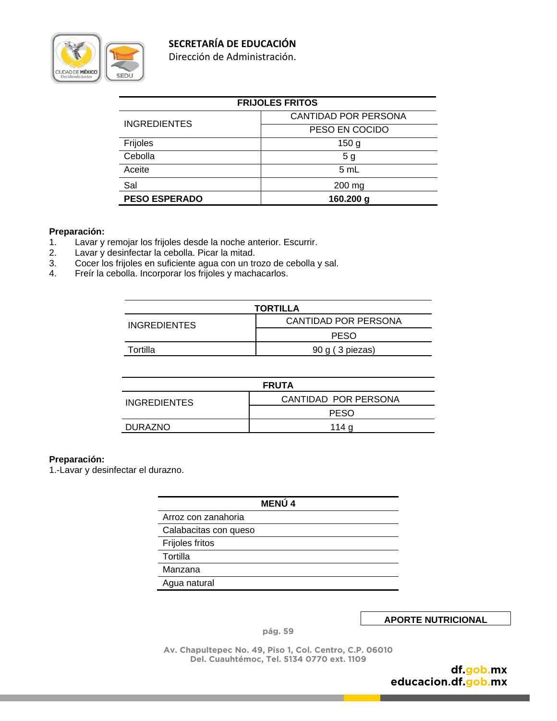



Dirección de Administración.

| <b>FRIJOLES FRITOS</b> |                             |
|------------------------|-----------------------------|
| <b>INGREDIENTES</b>    | <b>CANTIDAD POR PERSONA</b> |
|                        | PESO EN COCIDO              |
| Frijoles               | 150 <sub>g</sub>            |
| Cebolla                | 5 <sub>g</sub>              |
| Aceite                 | 5 mL                        |
| Sal<br>200 mg          |                             |
| <b>PESO ESPERADO</b>   | 160.200 g                   |

### **Preparación:**

- 1. Lavar y remojar los frijoles desde la noche anterior. Escurrir.
- 2. Lavar y desinfectar la cebolla. Picar la mitad.<br>3. Cocer los frijoles en suficiente agua con un tro
- 3. Cocer los frijoles en suficiente agua con un trozo de cebolla y sal.
- 4. Freír la cebolla. Incorporar los frijoles y machacarlos.

| <b>TORTILLA</b>     |                      |
|---------------------|----------------------|
| <b>INGREDIENTES</b> | CANTIDAD POR PERSONA |
|                     | <b>PESO</b>          |
| Tortilla            | 90 g (3 piezas)      |

| <b>FRUTA</b>        |                      |
|---------------------|----------------------|
| <b>INGREDIENTES</b> | CANTIDAD POR PERSONA |
|                     | <b>PESO</b>          |
| <b>DURAZNO</b>      | 114 a                |

### **Preparación:**

1.-Lavar y desinfectar el durazno.

|                       | <b>MENÚ4</b> |
|-----------------------|--------------|
| Arroz con zanahoria   |              |
| Calabacitas con queso |              |
| Frijoles fritos       |              |
| Tortilla              |              |
| Manzana               |              |
| Agua natural          |              |
|                       |              |

**APORTE NUTRICIONAL** 

**pág. 59** 

**Av. Chapultepec No. 49, Piso 1, Col. Centro, C.P. 06010 Del. Cuauhtémoc, Tel. 5134 0770 ext. 1109**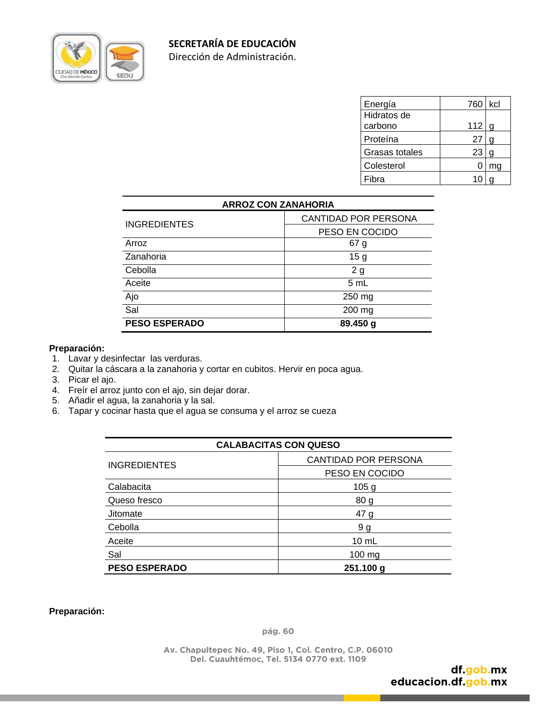

| Energía        | 760 | kcl |
|----------------|-----|-----|
| Hidratos de    |     |     |
| carbono        | 112 | q   |
| Proteína       | 27  | g   |
| Grasas totales | 23  | a   |
| Colesterol     | 0   |     |
| Fibra          |     |     |

### **ARROZ CON ZANAHORIA**

| <b>INGREDIENTES</b>  | <b>CANTIDAD POR PERSONA</b> |
|----------------------|-----------------------------|
|                      | PESO EN COCIDO              |
| Arroz                | 67 g                        |
| Zanahoria            | 15 <sub>g</sub>             |
| Cebolla              | 2g                          |
| Aceite               | 5 mL                        |
| Ajo                  | 250 mg                      |
| Sal                  | 200 mg                      |
| <b>PESO ESPERADO</b> | 89.450 g                    |

#### **Preparación:**

- 1. Lavar y desinfectar las verduras.
- 2. Quitar la cáscara a la zanahoria y cortar en cubitos. Hervir en poca agua.
- 3. Picar el ajo.
- 4. Freír el arroz junto con el ajo, sin dejar dorar.
- 5. Añadir el agua, la zanahoria y la sal.
- 6. Tapar y cocinar hasta que el agua se consuma y el arroz se cueza

| <b>CALABACITAS CON QUESO</b> |                             |
|------------------------------|-----------------------------|
| <b>INGREDIENTES</b>          | <b>CANTIDAD POR PERSONA</b> |
|                              | PESO EN COCIDO              |
| Calabacita                   | 105 <sub>g</sub>            |
| Queso fresco                 | 80 g                        |
| Jitomate                     | 47 g                        |
| Cebolla                      | 9 g                         |
| Aceite                       | $10 \text{ mL}$             |
| Sal                          | $100 \text{ mg}$            |
| <b>PESO ESPERADO</b>         | 251.100 g                   |

### **Preparación:**

**Av. Chapultepec No. 49, Piso 1, Col. Centro, C.P. 06010 Del. Cuauhtémoc, Tel. 5134 0770 ext. 1109**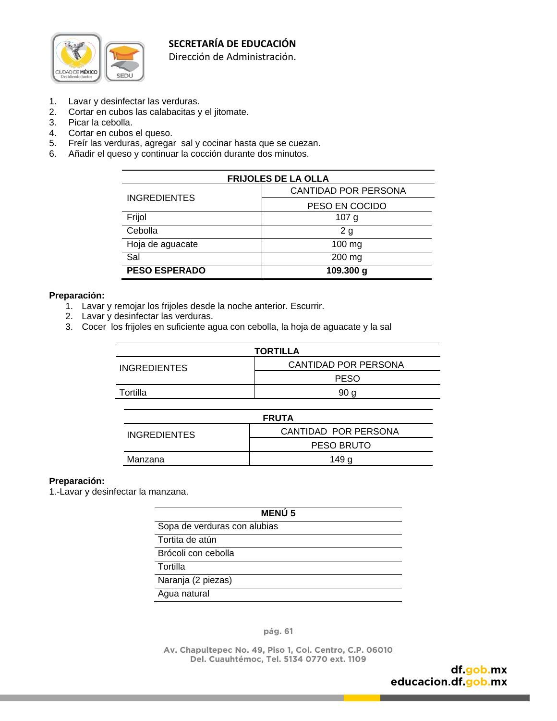

**SECRETARÍA DE EDUCACIÓN**

Dirección de Administración.

- 1. Lavar y desinfectar las verduras.
- 2. Cortar en cubos las calabacitas y el jitomate.
- 3. Picar la cebolla.
- 4. Cortar en cubos el queso.
- 5. Freír las verduras, agregar sal y cocinar hasta que se cuezan.
- 6. Añadir el queso y continuar la cocción durante dos minutos.

| <b>FRIJOLES DE LA OLLA</b> |                             |
|----------------------------|-----------------------------|
| <b>INGREDIENTES</b>        | <b>CANTIDAD POR PERSONA</b> |
|                            | PESO EN COCIDO              |
| Frijol                     | 107 <sub>g</sub>            |
| Cebolla                    | 2 <sub>g</sub>              |
| Hoja de aguacate           | $100$ mg                    |
| Sal                        | 200 mg                      |
| <b>PESO ESPERADO</b>       | 109.300 g                   |

#### **Preparación:**

- 1. Lavar y remojar los frijoles desde la noche anterior. Escurrir.
- 2. Lavar y desinfectar las verduras.
- 3. Cocer los frijoles en suficiente agua con cebolla, la hoja de aguacate y la sal

| <b>TORTILLA</b>     |                      |
|---------------------|----------------------|
| <b>INGREDIENTES</b> | CANTIDAD POR PERSONA |
|                     | <b>PESO</b>          |
| Tortilla            | 90 a                 |
|                     |                      |

| <b>FRUTA</b>        |                      |
|---------------------|----------------------|
| <b>INGREDIENTES</b> | CANTIDAD POR PERSONA |
|                     | PESO BRUTO           |
| Manzana             | 149 a                |

#### **Preparación:**

1.-Lavar y desinfectar la manzana.

| <b>MENU<sub>5</sub></b>      |  |
|------------------------------|--|
| Sopa de verduras con alubias |  |
| Tortita de atún              |  |
| Brócoli con cebolla          |  |
| Tortilla                     |  |
| Naranja (2 piezas)           |  |
| Agua natural                 |  |

**pág. 61** 

**Av. Chapultepec No. 49, Piso 1, Col. Centro, C.P. 06010 Del. Cuauhtémoc, Tel. 5134 0770 ext. 1109**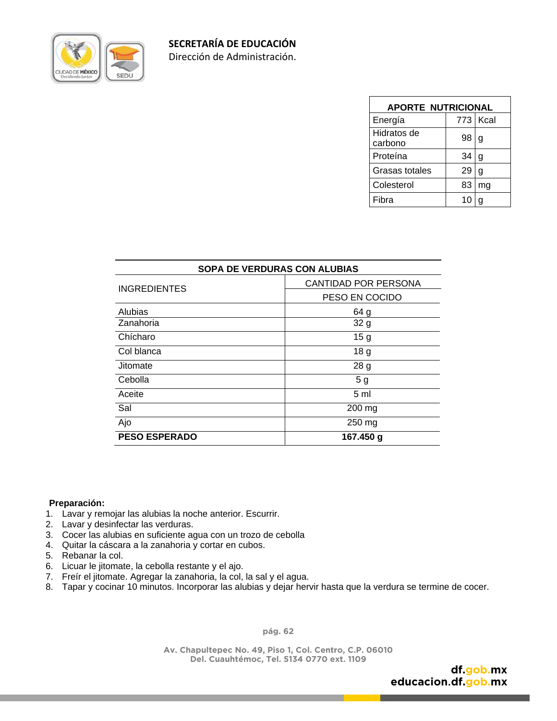

> **APORTE NUTRICIONAL**  Energía | 773 Kcal Hidratos de rilui alus de  $\begin{bmatrix} 98 & 9 \end{bmatrix}$ Proteína | 34 g Grasas totales  $\begin{vmatrix} 29 & 9 \end{vmatrix}$ Colesterol | 83 | mg Fibra  $\begin{array}{|c|c|c|c|c|} \hline \text{10} & \text{g} \end{array}$

| <b>SOPA DE VERDURAS CON ALUBIAS</b> |                             |
|-------------------------------------|-----------------------------|
| <b>INGREDIENTES</b>                 | <b>CANTIDAD POR PERSONA</b> |
|                                     | PESO EN COCIDO              |
| Alubias                             | 64 g                        |
| Zanahoria                           | 32 <sub>g</sub>             |
| Chícharo                            | 15 <sub>g</sub>             |
| Col blanca                          | 18 <sub>g</sub>             |
| Jitomate                            | 28 <sub>g</sub>             |
| Cebolla                             | 5 g                         |
| Aceite                              | 5 <sub>m</sub>              |
| Sal                                 | 200 mg                      |
| Ajo                                 | 250 mg                      |
| <b>PESO ESPERADO</b>                | 167.450 g                   |

#### **Preparación:**

- 1. Lavar y remojar las alubias la noche anterior. Escurrir.
- 2. Lavar y desinfectar las verduras.
- 3. Cocer las alubias en suficiente agua con un trozo de cebolla
- 4. Quitar la cáscara a la zanahoria y cortar en cubos.
- 5. Rebanar la col.
- 6. Licuar le jitomate, la cebolla restante y el ajo.
- 7. Freír el jitomate. Agregar la zanahoria, la col, la sal y el agua.
- 8. Tapar y cocinar 10 minutos. Incorporar las alubias y dejar hervir hasta que la verdura se termine de cocer.

**pág. 62** 

**Av. Chapultepec No. 49, Piso 1, Col. Centro, C.P. 06010 Del. Cuauhtémoc, Tel. 5134 0770 ext. 1109**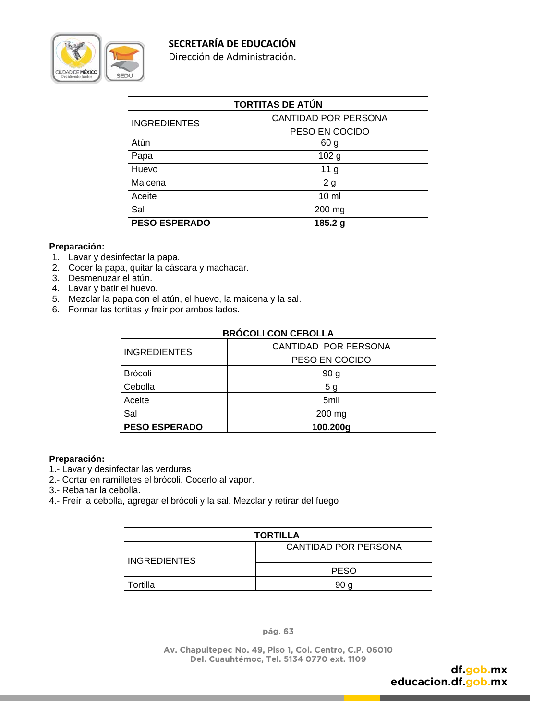



Dirección de Administración.

| <b>TORTITAS DE ATÚN</b> |                             |
|-------------------------|-----------------------------|
| <b>INGREDIENTES</b>     | <b>CANTIDAD POR PERSONA</b> |
|                         | PESO EN COCIDO              |
| Atún                    | 60 g                        |
| Papa                    | 102 <sub>g</sub>            |
| Huevo                   | 11 <sub>g</sub>             |
| Maicena                 | 2g                          |
| Aceite                  | $10 \mathrm{m}$             |
| Sal                     | 200 mg                      |
| <b>PESO ESPERADO</b>    | 185.2 g                     |

#### **Preparación:**

- 1. Lavar y desinfectar la papa.
- 2. Cocer la papa, quitar la cáscara y machacar.
- 3. Desmenuzar el atún.
- 4. Lavar y batir el huevo.
- 5. Mezclar la papa con el atún, el huevo, la maicena y la sal.
- 6. Formar las tortitas y freír por ambos lados.

| <b>BRÓCOLI CON CEBOLLA</b> |                      |
|----------------------------|----------------------|
| <b>INGREDIENTES</b>        | CANTIDAD POR PERSONA |
|                            | PESO EN COCIDO       |
| <b>Brócoli</b>             | 90 <sub>g</sub>      |
| Cebolla                    | 5 <sub>g</sub>       |
| Aceite                     | 5mll                 |
| Sal                        | $200$ mg             |
| <b>PESO ESPERADO</b>       | 100.200g             |

### **Preparación:**

- 1.- Lavar y desinfectar las verduras
- 2.- Cortar en ramilletes el brócoli. Cocerlo al vapor.
- 3.- Rebanar la cebolla.
- 4.- Freír la cebolla, agregar el brócoli y la sal. Mezclar y retirar del fuego

| <b>TORTILLA</b>     |                      |
|---------------------|----------------------|
|                     | CANTIDAD POR PERSONA |
| <b>INGREDIENTES</b> |                      |
|                     | <b>PESO</b>          |
| Tortilla            | 90 a                 |

**pág. 63** 

**Av. Chapultepec No. 49, Piso 1, Col. Centro, C.P. 06010 Del. Cuauhtémoc, Tel. 5134 0770 ext. 1109**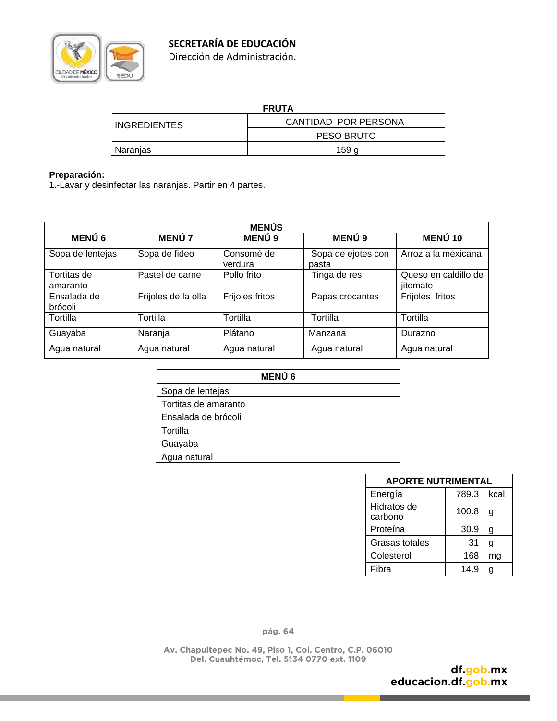

| <b>FRUTA</b>        |                      |
|---------------------|----------------------|
| <b>INGREDIENTES</b> | CANTIDAD POR PERSONA |
|                     | PESO BRUTO           |
| Naranjas            | 159 a                |

### **Preparación:**

1.-Lavar y desinfectar las naranjas. Partir en 4 partes.

| <b>MENUS</b>            |                     |                       |                             |                                  |
|-------------------------|---------------------|-----------------------|-----------------------------|----------------------------------|
| <b>MENÚ 6</b>           | <b>MENU7</b>        | <b>MENU 9</b>         | MENÚ <sub>9</sub>           | MENÚ 10                          |
| Sopa de lentejas        | Sopa de fideo       | Consomé de<br>verdura | Sopa de ejotes con<br>pasta | Arroz a la mexicana              |
| Tortitas de<br>amaranto | Pastel de carne     | Pollo frito           | Tinga de res                | Queso en caldillo de<br>iitomate |
| Ensalada de<br>brócoli  | Frijoles de la olla | Frijoles fritos       | Papas crocantes             | Frijoles fritos                  |
| Tortilla                | Tortilla            | Tortilla              | Tortilla                    | Tortilla                         |
| Guayaba                 | Naranja             | Plátano               | Manzana                     | Durazno                          |
| Agua natural            | Agua natural        | Agua natural          | Agua natural                | Agua natural                     |

| MENÚ <sub>6</sub>    |
|----------------------|
| Sopa de lentejas     |
| Tortitas de amaranto |
| Ensalada de brócoli  |
| Tortilla             |
| Guayaba              |
| Agua natural         |

| <b>APORTE NUTRIMENTAL</b> |       |      |
|---------------------------|-------|------|
| Energía                   | 789.3 | kcal |
| Hidratos de<br>carbono    | 100.8 | g    |
| Proteína                  | 30.9  | g    |
| Grasas totales            | 31    | g    |
| Colesterol                | 168   | mg   |
| Fibra                     | 14.9  |      |

**pág. 64** 

**Av. Chapultepec No. 49, Piso 1, Col. Centro, C.P. 06010 Del. Cuauhtémoc, Tel. 5134 0770 ext. 1109**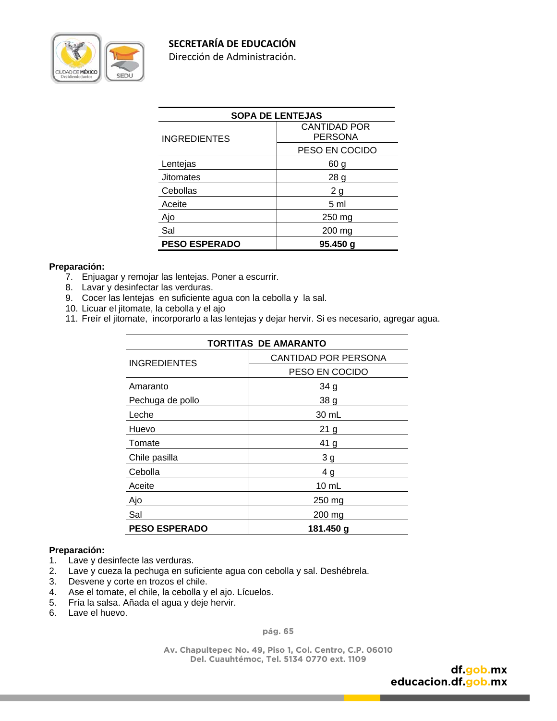

| <b>SOPA DE LENTEJAS</b> |                     |  |
|-------------------------|---------------------|--|
|                         | <b>CANTIDAD POR</b> |  |
| <b>INGREDIENTES</b>     | <b>PERSONA</b>      |  |
|                         | PESO EN COCIDO      |  |
| Lentejas                | 60 g                |  |
| <b>Jitomates</b>        | 28 <sub>g</sub>     |  |
| Cebollas                | 2g                  |  |
| Aceite                  | 5 <sub>m</sub>      |  |
| Ajo                     | 250 mg              |  |
| Sal                     | 200 mg              |  |
| <b>PESO ESPERADO</b>    | $95.450$ g          |  |

#### **Preparación:**

- 7. Enjuagar y remojar las lentejas. Poner a escurrir.
- 8. Lavar y desinfectar las verduras.
- 9. Cocer las lentejas en suficiente agua con la cebolla y la sal.
- 10. Licuar el jitomate, la cebolla y el ajo
- 11. Freír el jitomate, incorporarlo a las lentejas y dejar hervir. Si es necesario, agregar agua.

| <b>TORTITAS DE AMARANTO</b> |                      |  |
|-----------------------------|----------------------|--|
| <b>INGREDIENTES</b>         | CANTIDAD POR PERSONA |  |
|                             | PESO EN COCIDO       |  |
| Amaranto                    | 34 g                 |  |
| Pechuga de pollo            | 38 <sub>g</sub>      |  |
| Leche                       | 30 mL                |  |
| Huevo                       | 21 <sub>g</sub>      |  |
| Tomate                      | 41 g                 |  |
| Chile pasilla               | 3 <sub>g</sub>       |  |
| Cebolla                     | 4 <sub>g</sub>       |  |
| Aceite                      | $10 \text{ mL}$      |  |
| Ajo                         | 250 mg               |  |
| Sal                         | 200 mg               |  |
| <b>PESO ESPERADO</b>        | 181.450 g            |  |

#### **Preparación:**

- 1. Lave y desinfecte las verduras.
- 2. Lave y cueza la pechuga en suficiente agua con cebolla y sal. Deshébrela.
- 3. Desvene y corte en trozos el chile.
- 4. Ase el tomate, el chile, la cebolla y el ajo. Lícuelos.
- 5. Fría la salsa. Añada el agua y deje hervir.
- 6. Lave el huevo.

#### **pág. 65**

**Av. Chapultepec No. 49, Piso 1, Col. Centro, C.P. 06010 Del. Cuauhtémoc, Tel. 5134 0770 ext. 1109**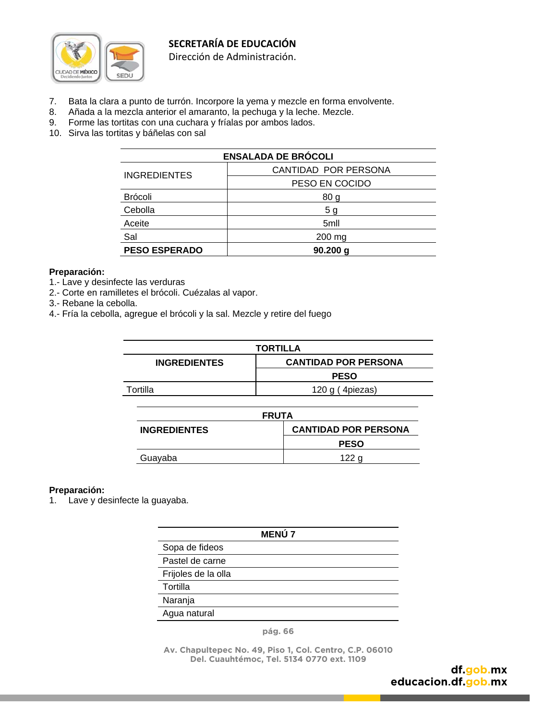

**SECRETARÍA DE EDUCACIÓN**

Dirección de Administración.

- 7. Bata la clara a punto de turrón. Incorpore la yema y mezcle en forma envolvente.
- 8. Añada a la mezcla anterior el amaranto, la pechuga y la leche. Mezcle.
- 9. Forme las tortitas con una cuchara y fríalas por ambos lados.
- 10. Sirva las tortitas y báñelas con sal

| <b>ENSALADA DE BRÓCOLI</b> |                      |  |
|----------------------------|----------------------|--|
| <b>INGREDIENTES</b>        | CANTIDAD POR PERSONA |  |
|                            | PESO EN COCIDO       |  |
| <b>Brócoli</b>             | 80 <sub>g</sub>      |  |
| Cebolla                    | 5 g                  |  |
| Aceite                     | 5 <sub>m</sub>       |  |
| Sal                        | $200 \text{ mg}$     |  |
| <b>PESO ESPERADO</b>       | $90.200$ g           |  |

#### **Preparación:**

- 1.- Lave y desinfecte las verduras
- 2.- Corte en ramilletes el brócoli. Cuézalas al vapor.
- 3.- Rebane la cebolla.
- 4.- Fría la cebolla, agregue el brócoli y la sal. Mezcle y retire del fuego

| <b>TORTILLA</b>                                    |                     |  |
|----------------------------------------------------|---------------------|--|
| <b>CANTIDAD POR PERSONA</b><br><b>INGREDIENTES</b> |                     |  |
|                                                    | <b>PESO</b>         |  |
| Tortilla                                           | 120 g ( $4$ piezas) |  |
|                                                    |                     |  |

| <b>FRUTA</b>        |                             |  |
|---------------------|-----------------------------|--|
| <b>INGREDIENTES</b> | <b>CANTIDAD POR PERSONA</b> |  |
|                     | <b>PESO</b>                 |  |
| Guayaba             | 122 a                       |  |

#### **Preparación:**

1. Lave y desinfecte la guayaba.

| <b>MENU7</b>        |
|---------------------|
| Sopa de fideos      |
| Pastel de carne     |
| Frijoles de la olla |
| Tortilla            |
| Naranja             |
| Agua natural        |

**pág. 66** 

**Av. Chapultepec No. 49, Piso 1, Col. Centro, C.P. 06010 Del. Cuauhtémoc, Tel. 5134 0770 ext. 1109**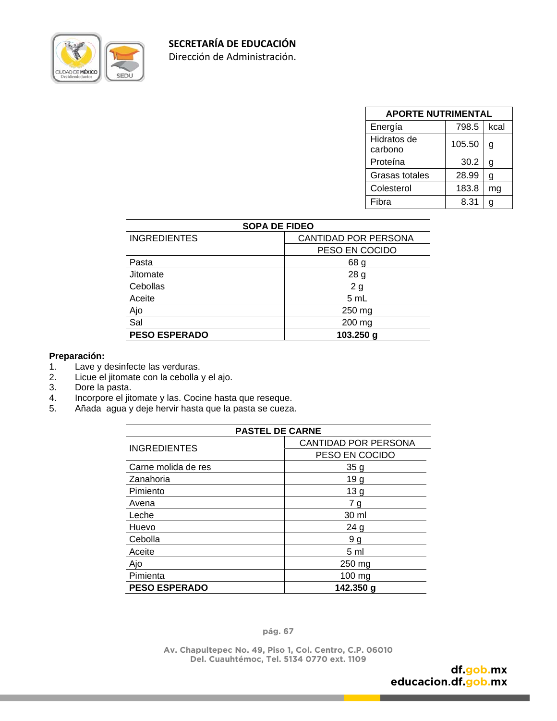

Dirección de Administración.

| <b>APORTE NUTRIMENTAL</b> |        |      |
|---------------------------|--------|------|
| Energía                   | 798.5  | kcal |
| Hidratos de<br>carbono    | 105.50 | g    |
| Proteína                  | 30.2   | g    |
| Grasas totales            | 28.99  | g    |
| Colesterol                | 183.8  | mg   |
| Fibra                     | 8.31   |      |
|                           |        |      |

| <b>SOPA DE FIDEO</b> |                             |  |  |
|----------------------|-----------------------------|--|--|
| <b>INGREDIENTES</b>  | <b>CANTIDAD POR PERSONA</b> |  |  |
|                      | PESO EN COCIDO              |  |  |
| Pasta                | 68 g                        |  |  |
| Jitomate             | 28 <sub>g</sub>             |  |  |
| Cebollas             | 2g                          |  |  |
| Aceite               | 5 mL                        |  |  |
| Ajo                  | 250 mg                      |  |  |
| Sal                  | 200 mg                      |  |  |
| <b>PESO ESPERADO</b> | 103.250 g                   |  |  |

#### **Preparación:**

- 1. Lave y desinfecte las verduras.
- 2. Licue el jitomate con la cebolla y el ajo.
- 3. Dore la pasta.
- 4. Incorpore el jitomate y las. Cocine hasta que reseque.
- 5. Añada agua y deje hervir hasta que la pasta se cueza.

| <b>PASTEL DE CARNE</b> |                             |  |
|------------------------|-----------------------------|--|
| <b>INGREDIENTES</b>    | <b>CANTIDAD POR PERSONA</b> |  |
|                        | PESO EN COCIDO              |  |
| Carne molida de res    | 35 <sub>q</sub>             |  |
| Zanahoria              | 19 g                        |  |
| Pimiento               | 13 <sub>g</sub>             |  |
| Avena                  | a                           |  |
| Leche                  | 30 ml                       |  |
| Huevo                  | 24 g                        |  |
| Cebolla                | 9 <sub>q</sub>              |  |
| Aceite                 | 5 <sub>m</sub>              |  |
| Ajo                    | $250 \text{ mg}$            |  |
| Pimienta               | $100 \text{ mg}$            |  |
| <b>PESO ESPERADO</b>   | 142.350 g                   |  |

**pág. 67** 

**Av. Chapultepec No. 49, Piso 1, Col. Centro, C.P. 06010 Del. Cuauhtémoc, Tel. 5134 0770 ext. 1109**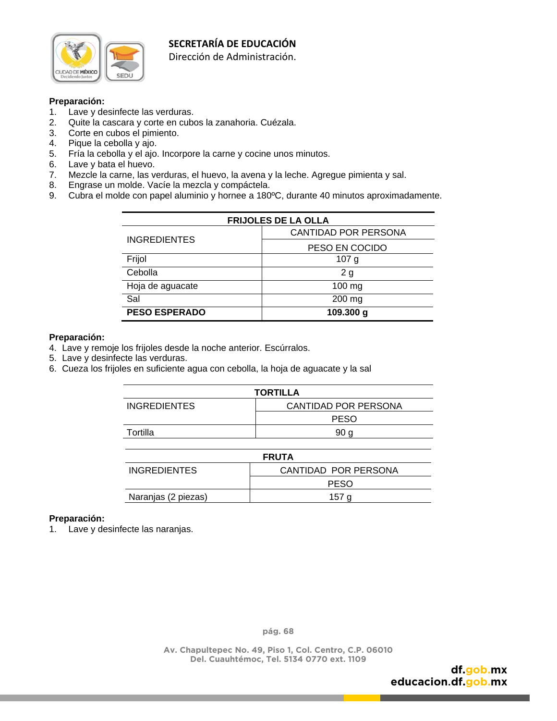

**UDAD DE MÉXICO SEDL** 

Dirección de Administración.

### **Preparación:**

- 1. Lave y desinfecte las verduras.
- 2. Quite la cascara y corte en cubos la zanahoria. Cuézala.
- 3. Corte en cubos el pimiento.
- 4. Pique la cebolla y ajo.
- 5. Fría la cebolla y el ajo. Incorpore la carne y cocine unos minutos.
- 6. Lave y bata el huevo.
- 7. Mezcle la carne, las verduras, el huevo, la avena y la leche. Agregue pimienta y sal.
- 8. Engrase un molde. Vacíe la mezcla y compáctela.
- 9. Cubra el molde con papel aluminio y hornee a 180ºC, durante 40 minutos aproximadamente.

| <b>FRIJOLES DE LA OLLA</b> |                             |
|----------------------------|-----------------------------|
| <b>INGREDIENTES</b>        | <b>CANTIDAD POR PERSONA</b> |
|                            | PESO EN COCIDO              |
| Frijol                     | 107 <sub>g</sub>            |
| Cebolla                    | 2g                          |
| Hoja de aguacate           | $100$ mg                    |
| Sal                        | 200 mg                      |
| <b>PESO ESPERADO</b>       | 109.300 g                   |

### **Preparación:**

- 4. Lave y remoje los frijoles desde la noche anterior. Escúrralos.
- 5. Lave y desinfecte las verduras.
- 6. Cueza los frijoles en suficiente agua con cebolla, la hoja de aguacate y la sal

| <b>TORTILLA</b>     |                      |  |
|---------------------|----------------------|--|
| <b>INGREDIENTES</b> | CANTIDAD POR PERSONA |  |
|                     | <b>PESO</b>          |  |
| Tortilla            | 90 a                 |  |

| <b>FRUTA</b>        |                      |  |
|---------------------|----------------------|--|
| <b>INGREDIENTES</b> | CANTIDAD POR PERSONA |  |
|                     | <b>PFSO</b>          |  |
| Naranjas (2 piezas) | 157 a                |  |

### **Preparación:**

1. Lave y desinfecte las naranjas.

**Av. Chapultepec No. 49, Piso 1, Col. Centro, C.P. 06010 Del. Cuauhtémoc, Tel. 5134 0770 ext. 1109**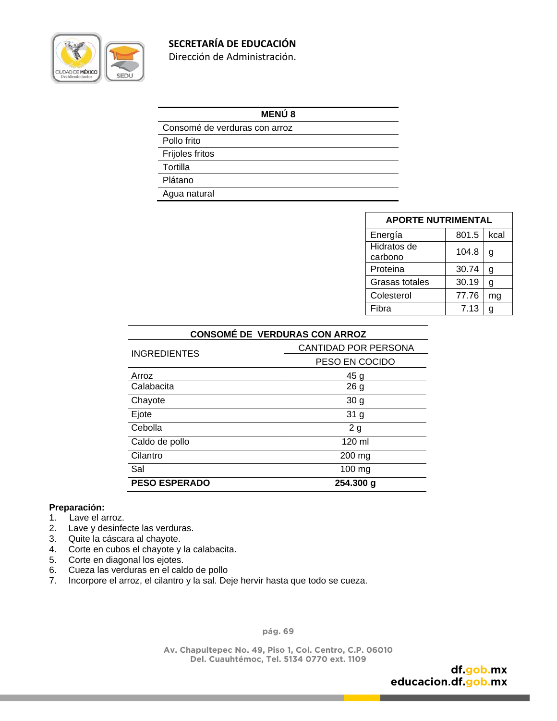

# **SECRETARÍA DE EDUCACIÓN**

Dirección de Administración.

| <b>MENÚ8</b>                  |
|-------------------------------|
| Consomé de verduras con arroz |
| Pollo frito                   |
| Frijoles fritos               |
| Tortilla                      |
| Plátano                       |
| Agua natural                  |

| <b>APORTE NUTRIMENTAL</b> |       |      |
|---------------------------|-------|------|
| Energía                   | 801.5 | kcal |
| Hidratos de<br>carbono    | 104.8 | g    |
| Proteina                  | 30.74 | g    |
| Grasas totales            | 30.19 | g    |
| Colesterol                | 77.76 | mg   |
| Fibra                     | 7.13  | q    |

| <b>CONSOMÉ DE VERDURAS CON ARROZ</b> |                             |  |
|--------------------------------------|-----------------------------|--|
| <b>INGREDIENTES</b>                  | <b>CANTIDAD POR PERSONA</b> |  |
|                                      | PESO EN COCIDO              |  |
| Arroz                                | 45 <sub>g</sub>             |  |
| Calabacita                           | 26 <sub>g</sub>             |  |
| Chayote                              | 30 <sub>g</sub>             |  |
| Ejote                                | 31 <sub>g</sub>             |  |
| Cebolla                              | 2g                          |  |
| Caldo de pollo                       | 120 ml                      |  |
| Cilantro                             | 200 mg                      |  |
| Sal                                  | $100 \text{ mg}$            |  |
| <b>PESO ESPERADO</b>                 | 254.300 g                   |  |

### **Preparación:**

- 1. Lave el arroz.
- 2. Lave y desinfecte las verduras.
- 3. Quite la cáscara al chayote.
- 4. Corte en cubos el chayote y la calabacita.
- 5. Corte en diagonal los ejotes.
- 6. Cueza las verduras en el caldo de pollo
- 7. Incorpore el arroz, el cilantro y la sal. Deje hervir hasta que todo se cueza.

**pág. 69** 

**Av. Chapultepec No. 49, Piso 1, Col. Centro, C.P. 06010 Del. Cuauhtémoc, Tel. 5134 0770 ext. 1109**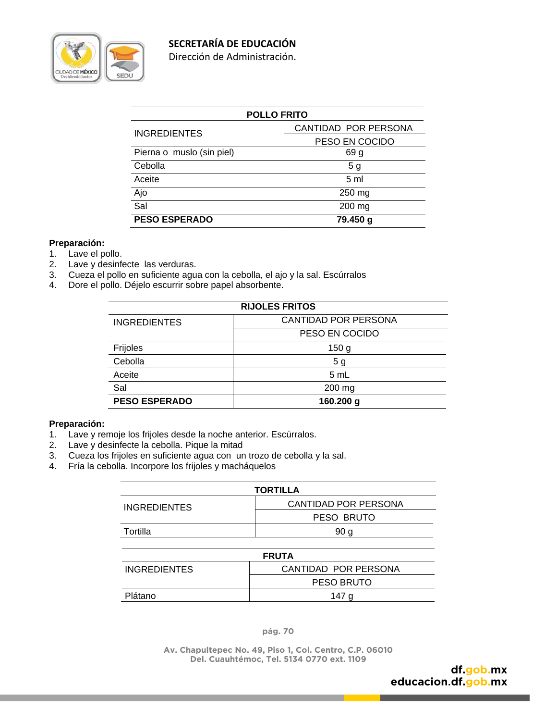

| <b>POLLO FRITO</b>        |                      |  |
|---------------------------|----------------------|--|
| <b>INGREDIENTES</b>       | CANTIDAD POR PERSONA |  |
|                           | PESO EN COCIDO       |  |
| Pierna o muslo (sin piel) | 69 g                 |  |
| Cebolla                   | 5 <sub>q</sub>       |  |
| Aceite                    | 5 <sub>m</sub>       |  |
| Ajo                       | 250 mg               |  |
| Sal                       | 200 mg               |  |
| <b>PESO ESPERADO</b>      | 79.450 g             |  |

### **Preparación:**

- 1. Lave el pollo.
- 2. Lave y desinfecte las verduras.
- 3. Cueza el pollo en suficiente agua con la cebolla, el ajo y la sal. Escúrralos
- Dore el pollo. Déjelo escurrir sobre papel absorbente.

| <b>RIJOLES FRITOS</b> |                             |  |
|-----------------------|-----------------------------|--|
| <b>INGREDIENTES</b>   | <b>CANTIDAD POR PERSONA</b> |  |
|                       | PESO EN COCIDO              |  |
| Frijoles              | 150 <sub>g</sub>            |  |
| Cebolla               | 5 <sub>g</sub>              |  |
| Aceite                | 5 mL                        |  |
| Sal                   | $200$ mg                    |  |
| <b>PESO ESPERADO</b>  | 160.200 g                   |  |

#### **Preparación:**

- 1. Lave y remoje los frijoles desde la noche anterior. Escúrralos.
- 2. Lave y desinfecte la cebolla. Pique la mitad
- 3. Cueza los frijoles en suficiente agua con un trozo de cebolla y la sal.
- 4. Fría la cebolla. Incorpore los frijoles y macháquelos

| <b>TORTILLA</b>     |                             |  |
|---------------------|-----------------------------|--|
| <b>INGREDIENTES</b> | <b>CANTIDAD POR PERSONA</b> |  |
|                     | PESO BRUTO                  |  |
| Tortilla            | 90 <sub>g</sub>             |  |
|                     |                             |  |
| <b>FRUTA</b>        |                             |  |
| <b>INGREDIENTES</b> | CANTIDAD POR PERSONA        |  |
|                     | <b>PESO BRUTO</b>           |  |
| Plátano             | 147 a                       |  |
|                     |                             |  |

#### **pág. 70**

**Av. Chapultepec No. 49, Piso 1, Col. Centro, C.P. 06010 Del. Cuauhtémoc, Tel. 5134 0770 ext. 1109**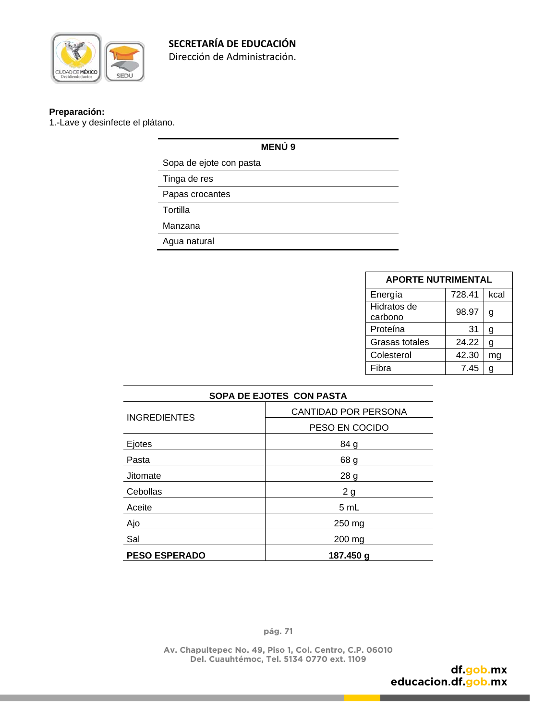

#### **Preparación:**

1.-Lave y desinfecte el plátano.

| MENÚ <sub>9</sub>       |  |
|-------------------------|--|
| Sopa de ejote con pasta |  |
| Tinga de res            |  |
| Papas crocantes         |  |
| Tortilla                |  |
| Manzana                 |  |
| Agua natural            |  |

| <b>APORTE NUTRIMENTAL</b> |        |      |
|---------------------------|--------|------|
| Energía                   | 728.41 | kcal |
| Hidratos de<br>carbono    | 98.97  | g    |
| Proteína                  | 31     | g    |
| Grasas totales            | 24.22  | g    |
| Colesterol                | 42.30  | mg   |
| Fibra                     | 7.45   |      |

| SOPA DE EJOTES CON PASTA |                             |  |
|--------------------------|-----------------------------|--|
| <b>INGREDIENTES</b>      | <b>CANTIDAD POR PERSONA</b> |  |
|                          | PESO EN COCIDO              |  |
| Ejotes                   | 84 g                        |  |
| Pasta                    | 68 g                        |  |
| <b>Jitomate</b>          | 28 g                        |  |
| Cebollas                 | 2g                          |  |
| Aceite                   | 5 mL                        |  |
| Ajo                      | 250 mg                      |  |
| Sal                      | $200$ mg                    |  |
| <b>PESO ESPERADO</b>     | 187.450 g                   |  |

**pág. 71** 

**Av. Chapultepec No. 49, Piso 1, Col. Centro, C.P. 06010 Del. Cuauhtémoc, Tel. 5134 0770 ext. 1109**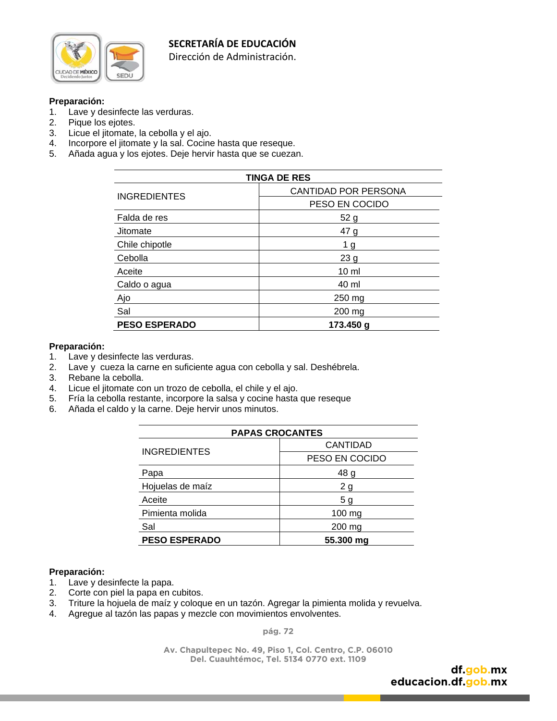

Dirección de Administración.

### **Preparación:**

- 1. Lave y desinfecte las verduras.
- 2. Pique los ejotes.
- 3. Licue el jitomate, la cebolla y el ajo.
- 4. Incorpore el jitomate y la sal. Cocine hasta que reseque.
- 5. Añada agua y los ejotes. Deje hervir hasta que se cuezan.

| <b>TINGA DE RES</b>  |                             |
|----------------------|-----------------------------|
| <b>INGREDIENTES</b>  | <b>CANTIDAD POR PERSONA</b> |
|                      | PESO EN COCIDO              |
| Falda de res         | 52 g                        |
| <b>Jitomate</b>      | 47 <sub>g</sub>             |
| Chile chipotle       | 1 g                         |
| Cebolla              | 23 <sub>g</sub>             |
| Aceite               | $10 \mathrm{m}$             |
| Caldo o agua         | 40 ml                       |
| Ajo                  | 250 mg                      |
| Sal                  | 200 mg                      |
| <b>PESO ESPERADO</b> | 173.450 g                   |

#### **Preparación:**

- 1. Lave y desinfecte las verduras.
- 2. Lave y cueza la carne en suficiente agua con cebolla y sal. Deshébrela.
- 3. Rebane la cebolla.
- 4. Licue el jitomate con un trozo de cebolla, el chile y el ajo.
- 5. Fría la cebolla restante, incorpore la salsa y cocine hasta que reseque
- 6. Añada el caldo y la carne. Deje hervir unos minutos.

| <b>PAPAS CROCANTES</b> |                  |
|------------------------|------------------|
| <b>INGREDIENTES</b>    | <b>CANTIDAD</b>  |
|                        | PESO EN COCIDO   |
| Papa                   | 48 g             |
| Hojuelas de maíz       | 2g               |
| Aceite                 | 5 <sub>g</sub>   |
| Pimienta molida        | $100 \text{ mg}$ |
| Sal                    | 200 mg           |
| <b>PESO ESPERADO</b>   | 55.300 mg        |

#### **Preparación:**

- 1. Lave y desinfecte la papa.
- 2. Corte con piel la papa en cubitos.
- 3. Triture la hojuela de maíz y coloque en un tazón. Agregar la pimienta molida y revuelva.
- 4. Agregue al tazón las papas y mezcle con movimientos envolventes.

**pág. 72** 

**Av. Chapultepec No. 49, Piso 1, Col. Centro, C.P. 06010 Del. Cuauhtémoc, Tel. 5134 0770 ext. 1109**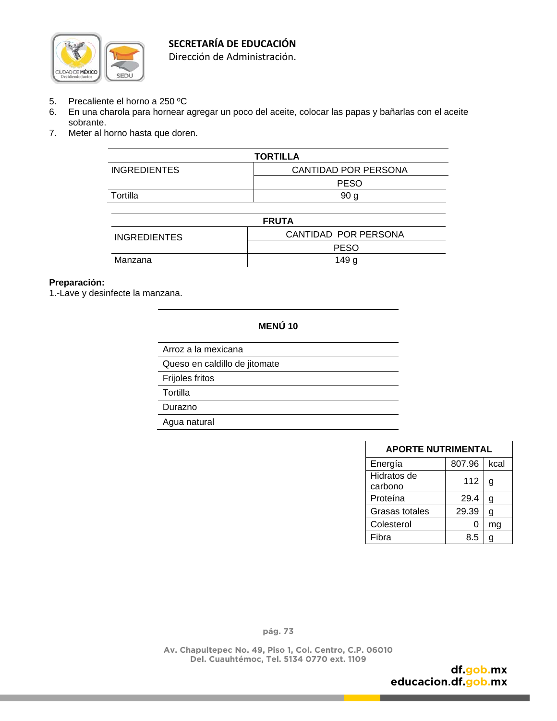

Dirección de Administración.

Manzana 149 g

- 5. Precaliente el horno a 250 ºC
- 6. En una charola para hornear agregar un poco del aceite, colocar las papas y bañarlas con el aceite sobrante.
- 7. Meter al horno hasta que doren.

| <b>TORTILLA</b>     |                      |  |
|---------------------|----------------------|--|
| <b>INGREDIENTES</b> | CANTIDAD POR PERSONA |  |
|                     | <b>PESO</b>          |  |
| Tortilla            | 90 <sub>g</sub>      |  |
|                     |                      |  |
| <b>FRUTA</b>        |                      |  |
| <b>INGREDIENTES</b> | CANTIDAD POR PERSONA |  |
|                     | <b>PESO</b>          |  |

#### **Preparación:**

1.-Lave y desinfecte la manzana.

**MENÚ 10** 

| Arroz a la mexicana           |
|-------------------------------|
| Queso en caldillo de jitomate |
| Frijoles fritos               |
| Tortilla                      |
| Durazno                       |
| Agua natural                  |

| <b>APORTE NUTRIMENTAL</b> |        |      |
|---------------------------|--------|------|
| Energía                   | 807.96 | kcal |
| Hidratos de<br>carbono    | 112    | g    |
| Proteína                  | 29.4   | g    |
| Grasas totales            | 29.39  | g    |
| Colesterol                | 0      | ma   |
| Fibra                     | 8.5    |      |

**pág. 73** 

**Av. Chapultepec No. 49, Piso 1, Col. Centro, C.P. 06010 Del. Cuauhtémoc, Tel. 5134 0770 ext. 1109**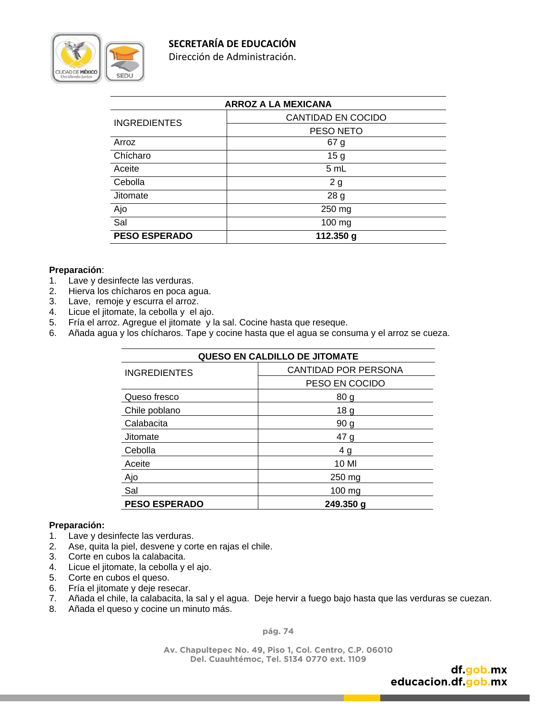

| <b>ARROZ A LA MEXICANA</b> |                    |  |
|----------------------------|--------------------|--|
| <b>INGREDIENTES</b>        | CANTIDAD EN COCIDO |  |
|                            | PESO NETO          |  |
| Arroz                      | 67 g               |  |
| Chícharo                   | 15 <sub>g</sub>    |  |
| Aceite                     | 5 mL               |  |
| Cebolla                    | 2g                 |  |
| Jitomate                   | 28 <sub>g</sub>    |  |
| Ajo                        | 250 mg             |  |
| Sal                        | 100 mg             |  |
| <b>PESO ESPERADO</b>       | 112.350 g          |  |

## **Preparación**:

- 1. Lave y desinfecte las verduras.
- 2. Hierva los chícharos en poca agua.
- 3. Lave, remoje y escurra el arroz.
- 4. Licue el jitomate, la cebolla y el ajo.
- 5. Fría el arroz. Agregue el jitomate y la sal. Cocine hasta que reseque.
- 6. Añada agua y los chícharos. Tape y cocine hasta que el agua se consuma y el arroz se cueza.

| <b>QUESO EN CALDILLO DE JITOMATE</b> |                             |  |
|--------------------------------------|-----------------------------|--|
| <b>INGREDIENTES</b>                  | <b>CANTIDAD POR PERSONA</b> |  |
|                                      | PESO EN COCIDO              |  |
| Queso fresco                         | 80 <sub>g</sub>             |  |
| Chile poblano                        | 18 <sub>g</sub>             |  |
| Calabacita                           | 90 g                        |  |
| <b>Jitomate</b>                      | 47 g                        |  |
| Cebolla                              | 4 g                         |  |
| Aceite                               | 10 MI                       |  |
| Ajo                                  | 250 mg                      |  |
| Sal                                  | $100 \text{ mg}$            |  |
| <b>PESO ESPERADO</b>                 | 249.350 g                   |  |

## **Preparación:**

- 1. Lave y desinfecte las verduras.
- 2. Ase, quita la piel, desvene y corte en rajas el chile.
- 3. Corte en cubos la calabacita.
- 4. Licue el jitomate, la cebolla y el ajo.
- 5. Corte en cubos el queso.
- 6. Fría el jitomate y deje resecar.
- 7. Añada el chile, la calabacita, la sal y el agua. Deje hervir a fuego bajo hasta que las verduras se cuezan.
- 8. Añada el queso y cocine un minuto más.

#### **pág. 74**

**Av. Chapultepec No. 49, Piso 1, Col. Centro, C.P. 06010 Del. Cuauhtémoc, Tel. 5134 0770 ext. 1109**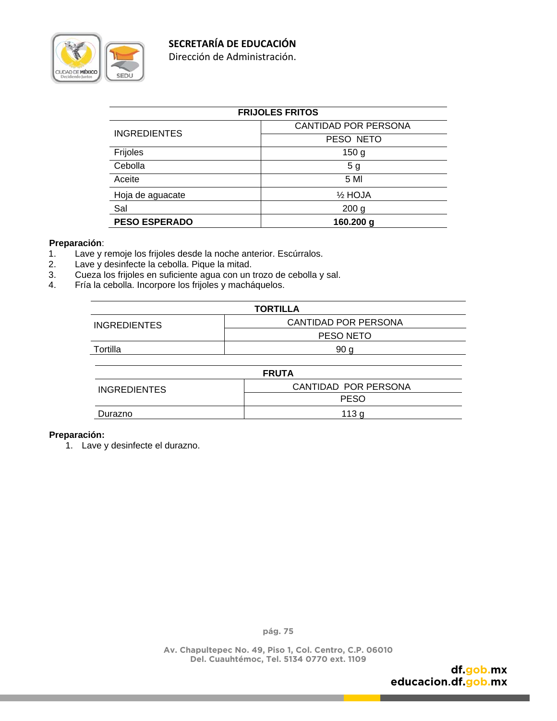

| <b>FRIJOLES FRITOS</b> |                             |  |
|------------------------|-----------------------------|--|
| <b>INGREDIENTES</b>    | <b>CANTIDAD POR PERSONA</b> |  |
|                        | PESO NETO                   |  |
| Frijoles               | 150 <sub>g</sub>            |  |
| Cebolla                | 5 <sub>g</sub>              |  |
| Aceite                 | 5 MI                        |  |
| Hoja de aguacate       | 1/ <sub>2</sub> HOJA        |  |
| Sal                    | 200 <sub>g</sub>            |  |
| <b>PESO ESPERADO</b>   | 160.200 g                   |  |

# **Preparación**:

- 1. Lave y remoje los frijoles desde la noche anterior. Escúrralos.
- 2. Lave y desinfecte la cebolla. Pique la mitad.
- 3. Cueza los frijoles en suficiente agua con un trozo de cebolla y sal.<br>4. Fría la cebolla. Incorpore los frijoles y macháquelos.
- 4. Fría la cebolla. Incorpore los frijoles y macháquelos.

| <b>TORTILLA</b>     |                      |  |
|---------------------|----------------------|--|
| <b>INGREDIENTES</b> | CANTIDAD POR PERSONA |  |
|                     | PESO NETO            |  |
| Tortilla            | 90 g                 |  |
|                     |                      |  |

| <b>FRUTA</b>        |                      |  |
|---------------------|----------------------|--|
| <b>INGREDIENTES</b> | CANTIDAD POR PERSONA |  |
|                     | <b>PESO</b>          |  |
| Durazno             | 113 g                |  |

# **Preparación:**

1. Lave y desinfecte el durazno.

**pág. 75** 

**Av. Chapultepec No. 49, Piso 1, Col. Centro, C.P. 06010 Del. Cuauhtémoc, Tel. 5134 0770 ext. 1109**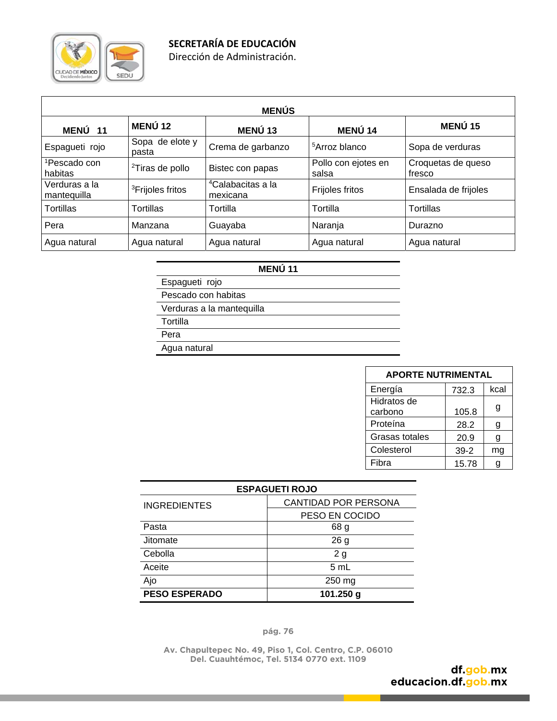

| <b>MENÚS</b>                        |                              |                                           |                              |                              |
|-------------------------------------|------------------------------|-------------------------------------------|------------------------------|------------------------------|
| MENÚ 11                             | <b>MENÚ 12</b>               | MENÚ 13                                   | <b>MENÚ 14</b>               | MENÚ 15                      |
| Espagueti rojo                      | Sopa de elote y<br>pasta     | Crema de garbanzo                         | <sup>5</sup> Arroz blanco    | Sopa de verduras             |
| <sup>1</sup> Pescado con<br>habitas | <sup>2</sup> Tiras de pollo  | Bistec con papas                          | Pollo con ejotes en<br>salsa | Croquetas de queso<br>fresco |
| Verduras a la<br>mantequilla        | <sup>3</sup> Frijoles fritos | <sup>4</sup> Calabacitas a la<br>mexicana | Frijoles fritos              | Ensalada de frijoles         |
| <b>Tortillas</b>                    | <b>Tortillas</b>             | Tortilla                                  | Tortilla                     | <b>Tortillas</b>             |
| Pera                                | Manzana                      | Guayaba                                   | Naranja                      | Durazno                      |
| Agua natural                        | Agua natural                 | Agua natural                              | Agua natural                 | Agua natural                 |

| <b>MENÚ 11</b>            |  |  |
|---------------------------|--|--|
| Espagueti rojo            |  |  |
| Pescado con habitas       |  |  |
| Verduras a la mantequilla |  |  |
| Tortilla                  |  |  |
| Pera                      |  |  |
| Agua natural              |  |  |
|                           |  |  |

| <b>APORTE NUTRIMENTAL</b> |          |      |
|---------------------------|----------|------|
| Energía                   | 732.3    | kcal |
| Hidratos de<br>carbono    | 105.8    | g    |
| Proteína                  | 28.2     | g    |
| Grasas totales            | 20.9     | g    |
| Colesterol                | $39 - 2$ | mg   |
| Fibra                     | 15.78    |      |

| <b>ESPAGUETI ROJO</b> |                      |  |
|-----------------------|----------------------|--|
| <b>INGREDIENTES</b>   | CANTIDAD POR PERSONA |  |
|                       | PESO EN COCIDO       |  |
| Pasta                 | 68 g                 |  |
| Jitomate              | 26 <sub>g</sub>      |  |
| Cebolla               | 2 <sub>g</sub>       |  |
| Aceite                | 5 mL                 |  |
| Ajo                   | 250 mg               |  |
| <b>PESO ESPERADO</b>  | 101.250 g            |  |

**pág. 76** 

**Av. Chapultepec No. 49, Piso 1, Col. Centro, C.P. 06010 Del. Cuauhtémoc, Tel. 5134 0770 ext. 1109**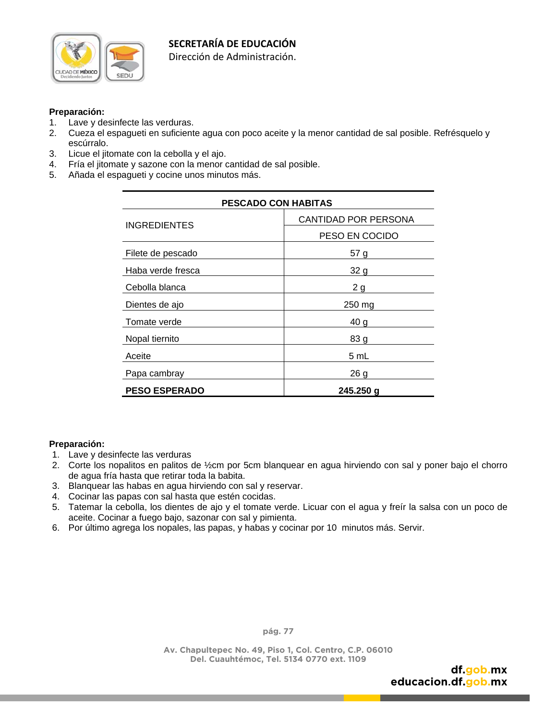

**SECRETARÍA DE EDUCACIÓN** Dirección de Administración.

# **Preparación:**

- 1. Lave y desinfecte las verduras.
- 2. Cueza el espagueti en suficiente agua con poco aceite y la menor cantidad de sal posible. Refrésquelo y escúrralo.
- 3. Licue el jitomate con la cebolla y el ajo.
- 4. Fría el jitomate y sazone con la menor cantidad de sal posible.
- 5. Añada el espagueti y cocine unos minutos más.

| <b>PESCADO CON HABITAS</b> |                             |  |
|----------------------------|-----------------------------|--|
| <b>INGREDIENTES</b>        | <b>CANTIDAD POR PERSONA</b> |  |
|                            | PESO EN COCIDO              |  |
| Filete de pescado          | 57 g                        |  |
| Haba verde fresca          | 32g                         |  |
| Cebolla blanca             | 2g                          |  |
| Dientes de ajo             | 250 mg                      |  |
| Tomate verde               | 40 g                        |  |
| Nopal tiernito             | 83 <sub>g</sub>             |  |
| Aceite                     | 5 mL                        |  |
| Papa cambray               | 26 <sub>g</sub>             |  |
| <b>PESO ESPERADO</b>       | $245.250$ g                 |  |

## **Preparación:**

- 1. Lave y desinfecte las verduras
- 2. Corte los nopalitos en palitos de ½cm por 5cm blanquear en agua hirviendo con sal y poner bajo el chorro de agua fría hasta que retirar toda la babita.
- 3. Blanquear las habas en agua hirviendo con sal y reservar.
- 4. Cocinar las papas con sal hasta que estén cocidas.
- 5. Tatemar la cebolla, los dientes de ajo y el tomate verde. Licuar con el agua y freír la salsa con un poco de aceite. Cocinar a fuego bajo, sazonar con sal y pimienta.
- 6. Por último agrega los nopales, las papas, y habas y cocinar por 10 minutos más. Servir.

**pág. 77** 

**Av. Chapultepec No. 49, Piso 1, Col. Centro, C.P. 06010 Del. Cuauhtémoc, Tel. 5134 0770 ext. 1109**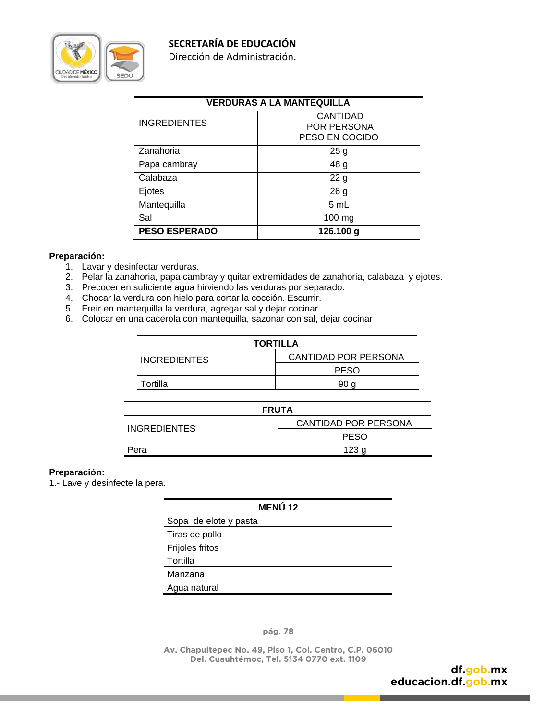

Dirección de Administración.

| <b>VERDURAS A LA MANTEQUILLA</b> |                 |  |
|----------------------------------|-----------------|--|
| <b>INGREDIENTES</b>              | <b>CANTIDAD</b> |  |
|                                  | POR PERSONA     |  |
|                                  | PESO EN COCIDO  |  |
| Zanahoria                        | 25 <sub>g</sub> |  |
| Papa cambray                     | 48 g            |  |
| Calabaza                         | 22 <sub>g</sub> |  |
| Ejotes                           | 26 <sub>g</sub> |  |
| Mantequilla                      | 5 mL            |  |
| Sal                              | $100$ mg        |  |
| <b>PESO ESPERADO</b>             | 126.100 g       |  |

# **Preparación:**

- 1. Lavar y desinfectar verduras.
- 2. Pelar la zanahoria, papa cambray y quitar extremidades de zanahoria, calabaza y ejotes.
- 3. Precocer en suficiente agua hirviendo las verduras por separado.
- 4. Chocar la verdura con hielo para cortar la cocción. Escurrir.
- 5. Freír en mantequilla la verdura, agregar sal y dejar cocinar.
- 6. Colocar en una cacerola con mantequilla, sazonar con sal, dejar cocinar

| <b>TORTILLA</b>     |                             |  |
|---------------------|-----------------------------|--|
| <b>INGREDIENTES</b> | <b>CANTIDAD POR PERSONA</b> |  |
|                     | <b>PESO</b>                 |  |
| Tortilla            | 90 <sub>g</sub>             |  |
|                     |                             |  |
| <b>FRUTA</b>        |                             |  |
| <b>INGREDIENTES</b> | <b>CANTIDAD POR PERSONA</b> |  |
|                     | <b>PESO</b>                 |  |
| Pera                | 123 a                       |  |

## **Preparación:**

1.- Lave y desinfecte la pera.

| MENÚ 12               |  |
|-----------------------|--|
| Sopa de elote y pasta |  |
| Tiras de pollo        |  |
| Frijoles fritos       |  |
| Tortilla              |  |
| Manzana               |  |
| Agua natural          |  |

**pág. 78** 

**Av. Chapultepec No. 49, Piso 1, Col. Centro, C.P. 06010 Del. Cuauhtémoc, Tel. 5134 0770 ext. 1109**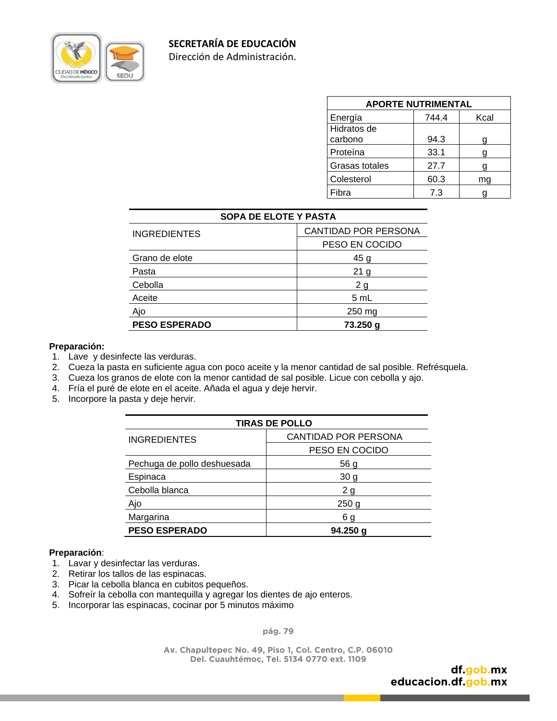

Dirección de Administración.

| <b>APORTE NUTRIMENTAL</b> |            |      |
|---------------------------|------------|------|
| Energía                   | 744.4      | Kcal |
| Hidratos de               |            |      |
| carbono                   | 94.3       |      |
| Proteína                  | 33.1       |      |
| Grasas totales            | 27.7       |      |
| Colesterol                | 60.3<br>mg |      |
| Fibra                     | 7.3        |      |

| <b>SOPA DE ELOTE Y PASTA</b> |                             |  |
|------------------------------|-----------------------------|--|
| <b>INGREDIENTES</b>          | <b>CANTIDAD POR PERSONA</b> |  |
|                              | PESO EN COCIDO              |  |
| Grano de elote               | 45 <sub>g</sub>             |  |
| Pasta                        | 21 <sub>g</sub>             |  |
| Cebolla                      | 2 <sub>g</sub>              |  |
| Aceite                       | 5 mL                        |  |
| Ajo                          | 250 mg                      |  |
| <b>PESO ESPERADO</b>         | 73.250 g                    |  |

## **Preparación:**

- 1. Lave y desinfecte las verduras.
- 2. Cueza la pasta en suficiente agua con poco aceite y la menor cantidad de sal posible. Refrésquela.
- 3. Cueza los granos de elote con la menor cantidad de sal posible. Licue con cebolla y ajo.
- 4. Fría el puré de elote en el aceite. Añada el agua y deje hervir.
- 5. Incorpore la pasta y deje hervir.

| <b>TIRAS DE POLLO</b>       |                             |  |
|-----------------------------|-----------------------------|--|
| <b>INGREDIENTES</b>         | <b>CANTIDAD POR PERSONA</b> |  |
|                             | PESO EN COCIDO              |  |
| Pechuga de pollo deshuesada | 56 <sub>g</sub>             |  |
| Espinaca                    | 30 <sub>g</sub>             |  |
| Cebolla blanca              | 2g                          |  |
| Ajo                         | 250 <sub>g</sub>            |  |
| Margarina                   | 6 g                         |  |
| <b>PESO ESPERADO</b>        | $94.250$ g                  |  |

#### **Preparación**:

- 1. Lavar y desinfectar las verduras.
- 2. Retirar los tallos de las espinacas.
- 3. Picar la cebolla blanca en cubitos pequeños.
- 4. Sofreír la cebolla con mantequilla y agregar los dientes de ajo enteros.
- 5. Incorporar las espinacas, cocinar por 5 minutos máximo

#### **pág. 79**

**Av. Chapultepec No. 49, Piso 1, Col. Centro, C.P. 06010 Del. Cuauhtémoc, Tel. 5134 0770 ext. 1109**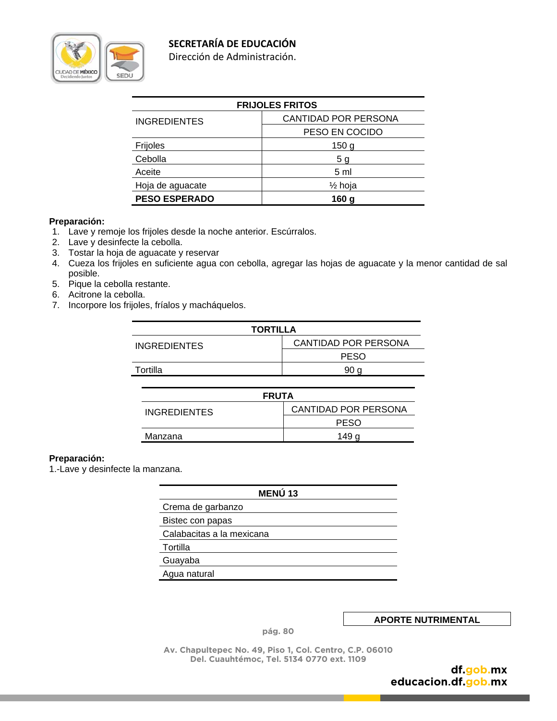

| <b>FRIJOLES FRITOS</b> |                             |  |
|------------------------|-----------------------------|--|
| <b>INGREDIENTES</b>    | <b>CANTIDAD POR PERSONA</b> |  |
|                        | PESO EN COCIDO              |  |
| Frijoles               | 150 <sub>g</sub>            |  |
| Cebolla                | 5 <sub>q</sub>              |  |
| Aceite                 | 5 <sub>m</sub>              |  |
| Hoja de aguacate       | $\frac{1}{2}$ hoja          |  |
| <b>PESO ESPERADO</b>   | 160 <sub>g</sub>            |  |

#### **Preparación:**

- 1. Lave y remoje los frijoles desde la noche anterior. Escúrralos.
- 2. Lave y desinfecte la cebolla.
- 3. Tostar la hoja de aguacate y reservar
- 4. Cueza los frijoles en suficiente agua con cebolla, agregar las hojas de aguacate y la menor cantidad de sal posible.
- 5. Pique la cebolla restante.
- 6. Acitrone la cebolla.
- 7. Incorpore los frijoles, fríalos y macháquelos.

| <b>TORTILLA</b>     |                      |  |
|---------------------|----------------------|--|
| <b>INGREDIENTES</b> | CANTIDAD POR PERSONA |  |
|                     | <b>PFSO</b>          |  |
| Tortilla            |                      |  |

| <b>FRUTA</b>         |  |  |
|----------------------|--|--|
| CANTIDAD POR PERSONA |  |  |
| <b>PESO</b>          |  |  |
| 149 a                |  |  |
|                      |  |  |

#### **Preparación:**

1.-Lave y desinfecte la manzana.

| MENÚ 13                   |
|---------------------------|
| Crema de garbanzo         |
| Bistec con papas          |
| Calabacitas a la mexicana |
| Tortilla                  |
| Guayaba                   |
| Agua natural              |

**APORTE NUTRIMENTAL** 

**pág. 80** 

**Av. Chapultepec No. 49, Piso 1, Col. Centro, C.P. 06010 Del. Cuauhtémoc, Tel. 5134 0770 ext. 1109**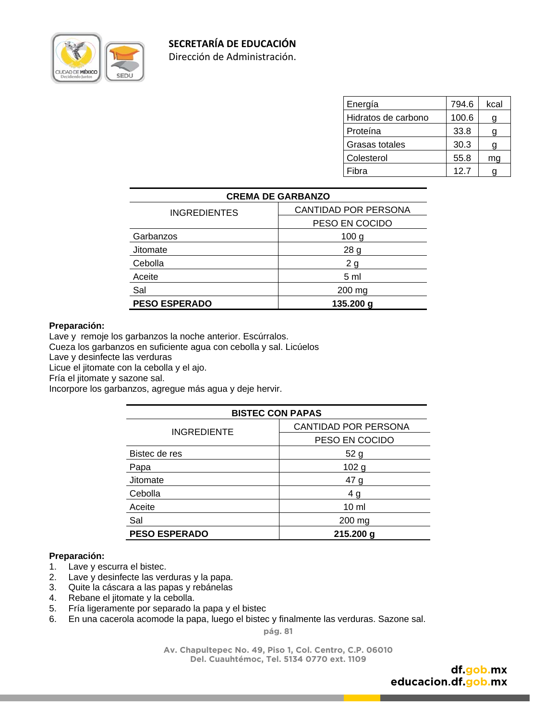

Dirección de Administración.

| Energía             | 794.6 | kcal |
|---------------------|-------|------|
| Hidratos de carbono | 100.6 |      |
| Proteína            | 33.8  |      |
| Grasas totales      | 30.3  |      |
| Colesterol          | 55.8  | mg   |
| Fibra               | 12.7  |      |

| <b>CREMA DE GARBANZO</b> |                             |
|--------------------------|-----------------------------|
| <b>INGREDIENTES</b>      | <b>CANTIDAD POR PERSONA</b> |
|                          | PESO EN COCIDO              |
| Garbanzos                | 100 a                       |
| Jitomate                 | 28 <sub>g</sub>             |
| Cebolla                  | 2 <sub>g</sub>              |
| Aceite                   | 5 <sub>ml</sub>             |
| Sal                      | 200 mg                      |
| <b>PESO ESPERADO</b>     | 135.200 g                   |

# **Preparación:**

Lave y remoje los garbanzos la noche anterior. Escúrralos.

Cueza los garbanzos en suficiente agua con cebolla y sal. Licúelos

Lave y desinfecte las verduras

Licue el jitomate con la cebolla y el ajo.

Fría el jitomate y sazone sal.

Incorpore los garbanzos, agregue más agua y deje hervir.

| <b>BISTEC CON PAPAS</b> |                      |
|-------------------------|----------------------|
| <b>INGREDIENTE</b>      | CANTIDAD POR PERSONA |
|                         | PESO EN COCIDO       |
| Bistec de res           | 52 <sub>g</sub>      |
| Papa                    | 102 <sub>g</sub>     |
| <b>Jitomate</b>         | 47 <sub>g</sub>      |
| Cebolla                 | 4 g                  |
| Aceite                  | $10 \mathrm{m}$      |
| Sal                     | 200 mg               |
| <b>PESO ESPERADO</b>    | $215.200$ g          |

# **Preparación:**

- 1. Lave y escurra el bistec.
- 2. Lave y desinfecte las verduras y la papa.
- 3. Quite la cáscara a las papas y rebánelas
- 4. Rebane el jitomate y la cebolla.
- 5. Fría ligeramente por separado la papa y el bistec
- 6. En una cacerola acomode la papa, luego el bistec y finalmente las verduras. Sazone sal.

**pág. 81** 

**Av. Chapultepec No. 49, Piso 1, Col. Centro, C.P. 06010 Del. Cuauhtémoc, Tel. 5134 0770 ext. 1109**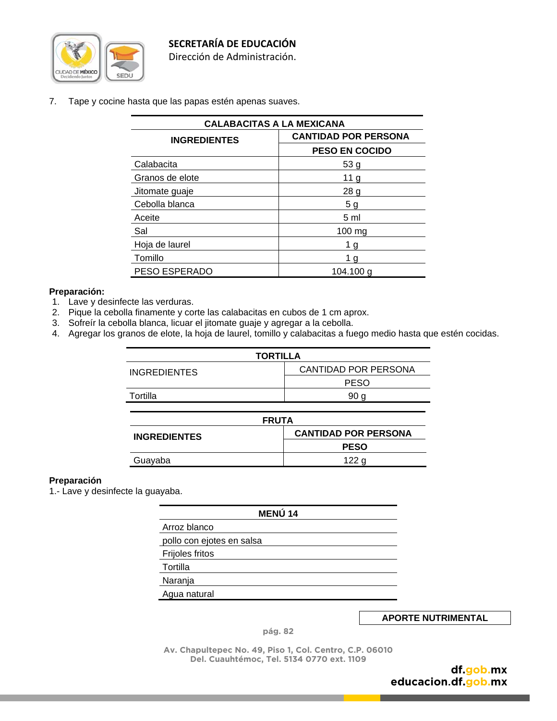

7. Tape y cocine hasta que las papas estén apenas suaves.

| <b>CALABACITAS A LA MEXICANA</b> |                             |
|----------------------------------|-----------------------------|
| <b>INGREDIENTES</b>              | <b>CANTIDAD POR PERSONA</b> |
|                                  | <b>PESO EN COCIDO</b>       |
| Calabacita                       | 53 <sub>g</sub>             |
| Granos de elote                  | 11 $g$                      |
| Jitomate guaje                   | 28 <sub>g</sub>             |
| Cebolla blanca                   | 5 g                         |
| Aceite                           | 5 <sub>m</sub>              |
| Sal                              | $100$ mg                    |
| Hoja de laurel                   | 1 g                         |
| Tomillo                          | 1 g                         |
| PESO ESPERADO                    | 104.100 g                   |

# **Preparación:**

- 1. Lave y desinfecte las verduras.
- 2. Pique la cebolla finamente y corte las calabacitas en cubos de 1 cm aprox.
- 3. Sofreír la cebolla blanca, licuar el jitomate guaje y agregar a la cebolla.
- 4. Agregar los granos de elote, la hoja de laurel, tomillo y calabacitas a fuego medio hasta que estén cocidas.

| <b>TORTILLA</b>     |                             |
|---------------------|-----------------------------|
| <b>INGREDIENTES</b> | <b>CANTIDAD POR PERSONA</b> |
|                     | <b>PESO</b>                 |
| Tortilla            | 90 a                        |
|                     |                             |

| <b>FRUTA</b>        |                             |
|---------------------|-----------------------------|
| <b>INGREDIENTES</b> | <b>CANTIDAD POR PERSONA</b> |
|                     | <b>PESO</b>                 |
| Guayaba             | 122 g                       |

## **Preparación**

1.- Lave y desinfecte la guayaba.

| MENÚ 14                   |  |
|---------------------------|--|
| Arroz blanco              |  |
| pollo con ejotes en salsa |  |
| Frijoles fritos           |  |
| Tortilla                  |  |
| Naranja                   |  |
| Agua natural              |  |

**APORTE NUTRIMENTAL** 

**pág. 82** 

**Av. Chapultepec No. 49, Piso 1, Col. Centro, C.P. 06010 Del. Cuauhtémoc, Tel. 5134 0770 ext. 1109**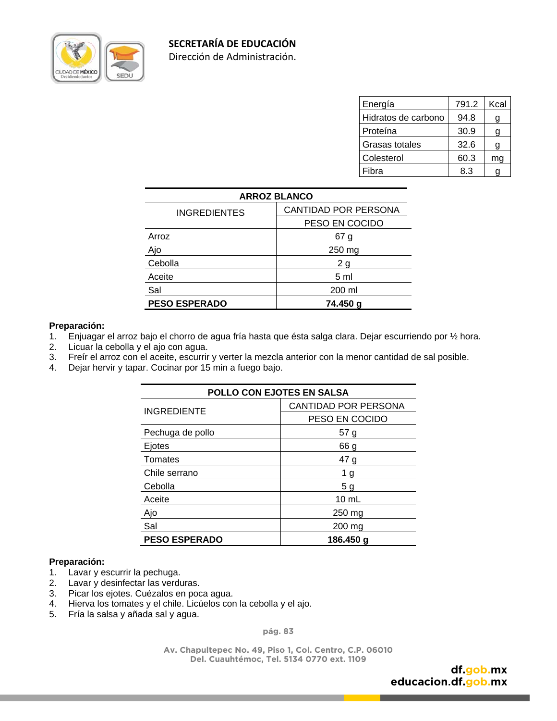

Dirección de Administración.

| Energía             | 791.2 | Kcal |
|---------------------|-------|------|
| Hidratos de carbono | 94.8  | g    |
| Proteína            | 30.9  | g    |
| Grasas totales      | 32.6  | g    |
| Colesterol          | 60.3  | ma   |
| Fibra               | 8.3   |      |

| <b>ARROZ BLANCO</b>  |                             |
|----------------------|-----------------------------|
| <b>INGREDIENTES</b>  | <b>CANTIDAD POR PERSONA</b> |
|                      | PESO EN COCIDO              |
| Arroz                | 67 g                        |
| Ajo                  | 250 mg                      |
| Cebolla              | 2 <sub>g</sub>              |
| Aceite               | 5 <sub>m</sub>              |
| Sal                  | 200 ml                      |
| <b>PESO ESPERADO</b> | 74.450 g                    |

# **Preparación:**

- 1. Enjuagar el arroz bajo el chorro de agua fría hasta que ésta salga clara. Dejar escurriendo por ½ hora.
- 2. Licuar la cebolla y el ajo con agua.
- 3. Freír el arroz con el aceite, escurrir y verter la mezcla anterior con la menor cantidad de sal posible.
- 4. Dejar hervir y tapar. Cocinar por 15 min a fuego bajo.

| <b>POLLO CON EJOTES EN SALSA</b> |                             |
|----------------------------------|-----------------------------|
| <b>INGREDIENTE</b>               | <b>CANTIDAD POR PERSONA</b> |
|                                  | PESO EN COCIDO              |
| Pechuga de pollo                 | 57 a                        |
| Ejotes                           | 66 g                        |
| Tomates                          | 47 <sub>g</sub>             |
| Chile serrano                    | 1 g                         |
| Cebolla                          | 5 <sub>g</sub>              |
| Aceite                           | $10 \text{ mL}$             |
| Ajo                              | 250 mg                      |
| Sal                              | 200 mg                      |
| <b>PESO ESPERADO</b>             | 186.450 g                   |

## **Preparación:**

- 1. Lavar y escurrir la pechuga.
- 2. Lavar y desinfectar las verduras.
- 3. Picar los ejotes. Cuézalos en poca agua.
- 4. Hierva los tomates y el chile. Licúelos con la cebolla y el ajo.
- 5. Fría la salsa y añada sal y agua.

**pág. 83** 

**Av. Chapultepec No. 49, Piso 1, Col. Centro, C.P. 06010 Del. Cuauhtémoc, Tel. 5134 0770 ext. 1109**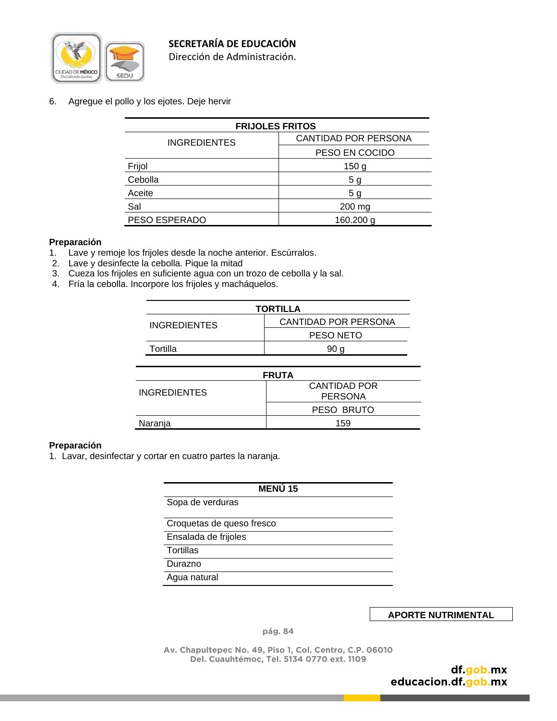

# 6. Agregue el pollo y los ejotes. Deje hervir

| <b>FRIJOLES FRITOS</b> |                             |
|------------------------|-----------------------------|
| <b>INGREDIENTES</b>    | <b>CANTIDAD POR PERSONA</b> |
|                        | PESO EN COCIDO              |
| Frijol                 | 150 <sub>g</sub>            |
| Cebolla                | 5 g                         |
| Aceite                 | 5 g                         |
| Sal                    | $200$ mg                    |
| PESO ESPERADO          | 160.200 $q$                 |

## **Preparación**

- 1. Lave y remoje los frijoles desde la noche anterior. Escúrralos.
- 2. Lave y desinfecte la cebolla. Pique la mitad
- 3. Cueza los frijoles en suficiente agua con un trozo de cebolla y la sal.
- 4. Fría la cebolla. Incorpore los frijoles y macháquelos.

| <b>TORTILLA</b>     |                      |
|---------------------|----------------------|
| <b>INGREDIENTES</b> | CANTIDAD POR PERSONA |
|                     | PESO NETO            |
| Tortilla            | 90 o                 |
|                     |                      |

| <b>FRUTA</b>   |  |
|----------------|--|
| CANTIDAD POR   |  |
| <b>PERSONA</b> |  |
| PESO BRUTO     |  |
| 159            |  |
|                |  |

# **Preparación**

1. Lavar, desinfectar y cortar en cuatro partes la naranja.

j.

| <b>MENU<sub>15</sub></b>  |
|---------------------------|
| Sopa de verduras          |
| Croquetas de queso fresco |
| Ensalada de frijoles      |
| <b>Tortillas</b>          |
| Durazno                   |
| Agua natural              |

**APORTE NUTRIMENTAL** 

**pág. 84** 

**Av. Chapultepec No. 49, Piso 1, Col. Centro, C.P. 06010 Del. Cuauhtémoc, Tel. 5134 0770 ext. 1109**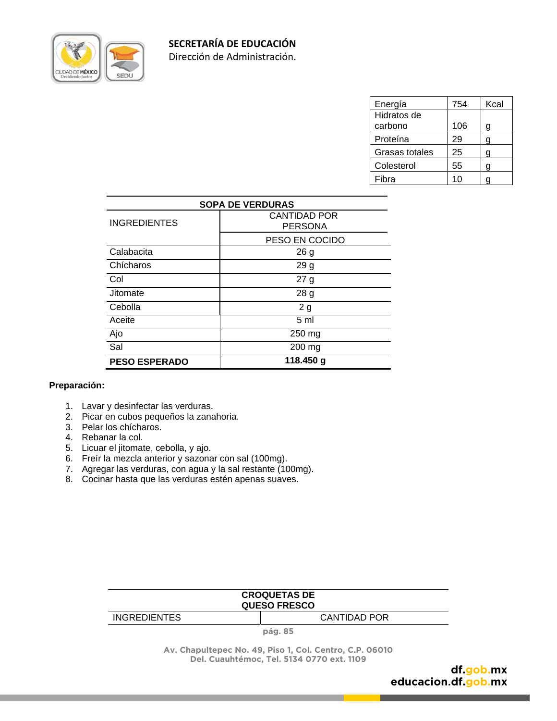

Dirección de Administración.

| Energía        | 754 | Kcal |
|----------------|-----|------|
| Hidratos de    |     |      |
| carbono        | 106 | g    |
| Proteína       | 29  |      |
| Grasas totales | 25  |      |
| Colesterol     | 55  |      |
| Fibra          | 10  |      |

| <b>SOPA DE VERDURAS</b> |                                       |  |
|-------------------------|---------------------------------------|--|
| <b>INGREDIENTES</b>     | <b>CANTIDAD POR</b><br><b>PERSONA</b> |  |
|                         | PESO EN COCIDO                        |  |
| Calabacita              | 26 <sub>g</sub>                       |  |
| Chícharos               | 29 <sub>g</sub>                       |  |
| Col                     | 27 <sub>g</sub>                       |  |
| <b>Jitomate</b>         | 28 g                                  |  |
| Cebolla                 | 2g                                    |  |
| Aceite                  | 5 <sub>m</sub>                        |  |
| Ajo                     | 250 mg                                |  |
| Sal                     | 200 mg                                |  |
| <b>PESO ESPERADO</b>    | 118.450 g                             |  |

# **Preparación:**

- 1. Lavar y desinfectar las verduras.
- 2. Picar en cubos pequeños la zanahoria.
- 3. Pelar los chícharos.
- 4. Rebanar la col.
- 5. Licuar el jitomate, cebolla, y ajo.
- 6. Freír la mezcla anterior y sazonar con sal (100mg).
- 7. Agregar las verduras, con agua y la sal restante (100mg).
- 8. Cocinar hasta que las verduras estén apenas suaves.

| <b>CROQUETAS DE</b><br><b>QUESO FRESCO</b> |              |  |
|--------------------------------------------|--------------|--|
| <b>INGREDIENTES</b>                        | CANTIDAD POR |  |
|                                            | pág. 85      |  |

**Av. Chapultepec No. 49, Piso 1, Col. Centro, C.P. 06010 Del. Cuauhtémoc, Tel. 5134 0770 ext. 1109**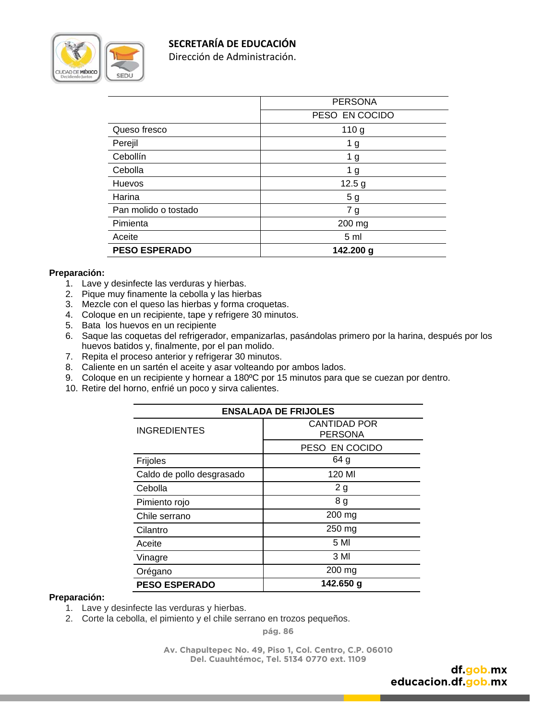

Dirección de Administración.

|                      | <b>PERSONA</b>   |
|----------------------|------------------|
|                      | PESO EN COCIDO   |
| Queso fresco         | 110 <sub>g</sub> |
| Perejil              | 1 g              |
| Cebollín             | 1 <sub>g</sub>   |
| Cebolla              | 1 <sub>g</sub>   |
| <b>Huevos</b>        | 12.5 g           |
| Harina               | 5 <sub>g</sub>   |
| Pan molido o tostado | 7 g              |
| Pimienta             | 200 mg           |
| Aceite               | 5 <sub>ml</sub>  |
| <b>PESO ESPERADO</b> | 142.200 g        |

#### **Preparación:**

- 1. Lave y desinfecte las verduras y hierbas.
- 2. Pique muy finamente la cebolla y las hierbas
- 3. Mezcle con el queso las hierbas y forma croquetas.
- 4. Coloque en un recipiente, tape y refrigere 30 minutos.
- 5. Bata los huevos en un recipiente
- 6. Saque las coquetas del refrigerador, empanizarlas, pasándolas primero por la harina, después por los huevos batidos y, finalmente, por el pan molido.
- 7. Repita el proceso anterior y refrigerar 30 minutos.
- 8. Caliente en un sartén el aceite y asar volteando por ambos lados.
- 9. Coloque en un recipiente y hornear a 180°C por 15 minutos para que se cuezan por dentro.
- 10. Retire del horno, enfrié un poco y sirva calientes.

| <b>ENSALADA DE FRIJOLES</b> |                                       |  |
|-----------------------------|---------------------------------------|--|
| <b>INGREDIENTES</b>         | <b>CANTIDAD POR</b><br><b>PERSONA</b> |  |
|                             | PESO EN COCIDO                        |  |
| Frijoles                    | 64 g                                  |  |
| Caldo de pollo desgrasado   | 120 MI                                |  |
| Cebolla                     | 2g                                    |  |
| Pimiento rojo               | 8 g                                   |  |
| Chile serrano               | 200 mg                                |  |
| Cilantro                    | 250 mg                                |  |
| Aceite                      | 5 MI                                  |  |
| Vinagre                     | 3 MI                                  |  |
| Orégano                     | 200 mg                                |  |
| <b>PESO ESPERADO</b>        | 142.650 g                             |  |

#### **Preparación:**

- 1. Lave y desinfecte las verduras y hierbas.
- 2. Corte la cebolla, el pimiento y el chile serrano en trozos pequeños.

**pág. 86** 

**Av. Chapultepec No. 49, Piso 1, Col. Centro, C.P. 06010 Del. Cuauhtémoc, Tel. 5134 0770 ext. 1109**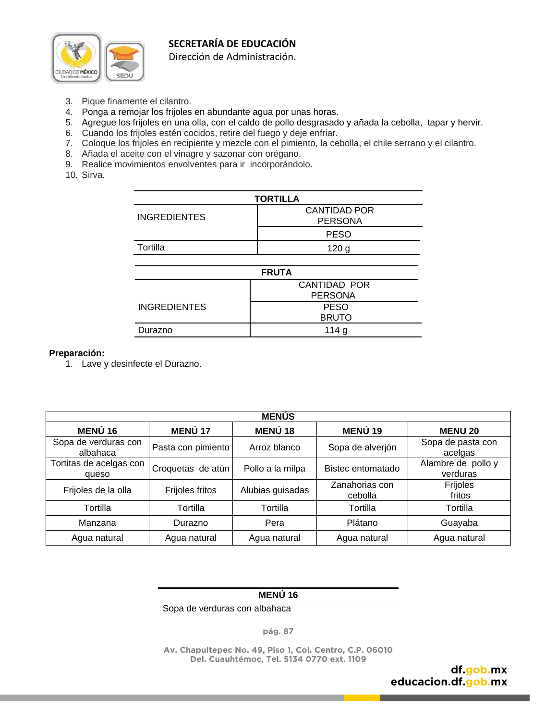

Dirección de Administración.

- 3. Pique finamente el cilantro.
- 4. Ponga a remojar los frijoles en abundante agua por unas horas.
- 5. Agregue los frijoles en una olla, con el caldo de pollo desgrasado y añada la cebolla, tapar y hervir.
- 6. Cuando los frijoles estén cocidos, retire del fuego y deje enfriar.
- 7. Coloque los frijoles en recipiente y mezcle con el pimiento, la cebolla, el chile serrano y el cilantro.
- 8. Añada el aceite con el vinagre y sazonar con orégano.
- 9. Realice movimientos envolventes para ir incorporándolo.
- 10. Sirva.

| <b>TORTILLA</b>     |                                       |  |
|---------------------|---------------------------------------|--|
| <b>INGREDIENTES</b> | <b>CANTIDAD POR</b><br><b>PERSONA</b> |  |
|                     | <b>PESO</b>                           |  |
| Tortilla            | 120 <sub>g</sub>                      |  |
|                     |                                       |  |
| <b>FRUTA</b>        |                                       |  |
|                     | CANTIDAD POR<br><b>PERSONA</b>        |  |
| <b>INGREDIENTES</b> | <b>PESO</b><br><b>BRUTO</b>           |  |
| Durazno             | 114g                                  |  |

## **Preparación:**

1. Lave y desinfecte el Durazno.

| <b>MENÚS</b>                     |                    |                  |                           |                                |
|----------------------------------|--------------------|------------------|---------------------------|--------------------------------|
| MENÚ 16                          | <b>MENÚ 17</b>     | MENÚ 18          | MENÚ 19                   | <b>MENU 20</b>                 |
| Sopa de verduras con<br>albahaca | Pasta con pimiento | Arroz blanco     | Sopa de alverjón          | Sopa de pasta con<br>acelgas   |
| Tortitas de acelgas con<br>queso | Croquetas de atún  | Pollo a la milpa | Bistec entomatado         | Alambre de pollo y<br>verduras |
| Frijoles de la olla              | Frijoles fritos    | Alubias guisadas | Zanahorias con<br>cebolla | Frijoles<br>fritos             |
| Tortilla                         | Tortilla           | Tortilla         | Tortilla                  | Tortilla                       |
| Manzana                          | Durazno            | Pera             | Plátano                   | Guayaba                        |
| Agua natural                     | Agua natural       | Agua natural     | Agua natural              | Agua natural                   |

| MENÚ 16                       |
|-------------------------------|
| Sopa de verduras con albahaca |

**pág. 87** 

**Av. Chapultepec No. 49, Piso 1, Col. Centro, C.P. 06010 Del. Cuauhtémoc, Tel. 5134 0770 ext. 1109**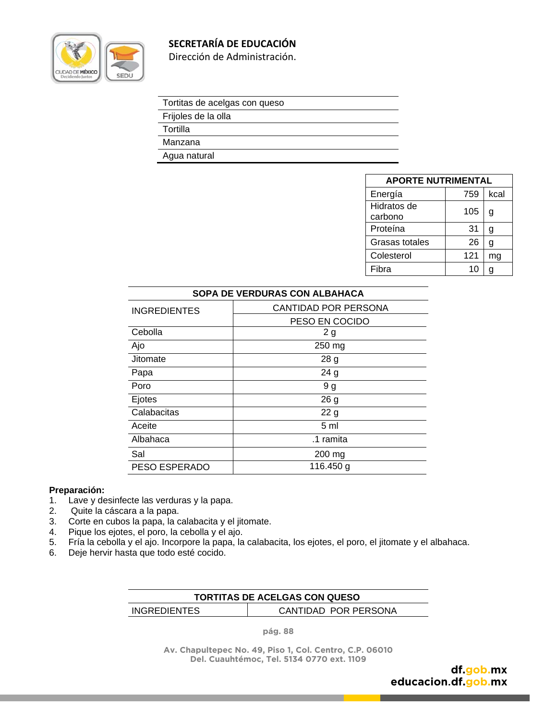

Dirección de Administración.

| Tortitas de acelgas con queso |
|-------------------------------|
| Frijoles de la olla           |
| Tortilla                      |
| Manzana                       |
| Agua natural                  |

| <b>APORTE NUTRIMENTAL</b> |     |      |
|---------------------------|-----|------|
| Energía                   | 759 | kcal |
| Hidratos de<br>carbono    | 105 | g    |
| Proteína                  | 31  | g    |
| Grasas totales            | 26  | g    |
| Colesterol                | 121 | mg   |
| Fibra                     | 10  |      |

| SOPA DE VERDURAS CON ALBAHACA |                      |  |
|-------------------------------|----------------------|--|
| <b>INGREDIENTES</b>           | CANTIDAD POR PERSONA |  |
|                               | PESO EN COCIDO       |  |
| Cebolla                       | 2g                   |  |
| Ajo                           | 250 mg               |  |
| <b>Jitomate</b>               | 28 <sub>g</sub>      |  |
| Papa                          | 24 <sub>g</sub>      |  |
| Poro                          | 9 g                  |  |
| Ejotes                        | 26 <sub>g</sub>      |  |
| Calabacitas                   | 22 <sub>g</sub>      |  |
| Aceite                        | 5 <sub>ml</sub>      |  |
| Albahaca                      | .1 ramita            |  |
| Sal                           | 200 mg               |  |
| PESO ESPERADO                 | 116.450 g            |  |

## **Preparación:**

- 1. Lave y desinfecte las verduras y la papa.<br>2. Quite la cáscara a la papa.
- Quite la cáscara a la papa.
- 3. Corte en cubos la papa, la calabacita y el jitomate.
- 4. Pique los ejotes, el poro, la cebolla y el ajo.
- 5. Fría la cebolla y el ajo. Incorpore la papa, la calabacita, los ejotes, el poro, el jitomate y el albahaca.
- 6. Deje hervir hasta que todo esté cocido.

| <b>TORTITAS DE ACELGAS CON QUESO</b> |                      |
|--------------------------------------|----------------------|
| INGREDIENTES                         | CANTIDAD POR PERSONA |

**pág. 88** 

**Av. Chapultepec No. 49, Piso 1, Col. Centro, C.P. 06010 Del. Cuauhtémoc, Tel. 5134 0770 ext. 1109**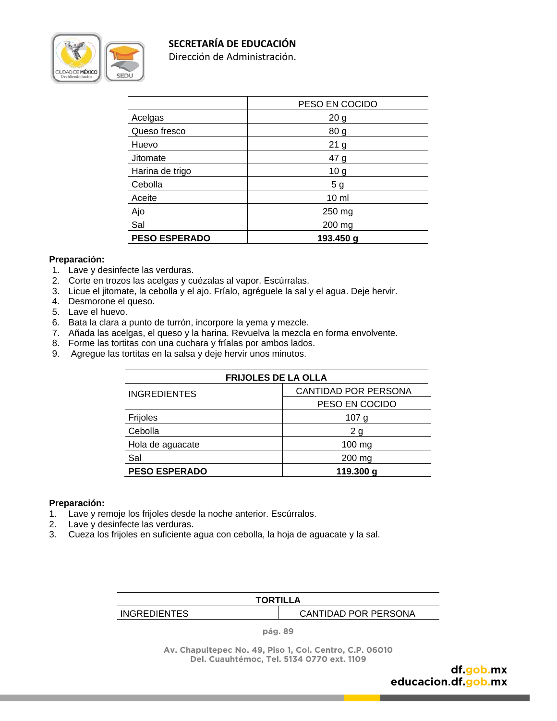

**JDAD DE MÉXICO SEDL** 

|                      | PESO EN COCIDO  |
|----------------------|-----------------|
| Acelgas              | 20 <sub>g</sub> |
| Queso fresco         | 80 g            |
| Huevo                | 21 <sub>g</sub> |
| <b>Jitomate</b>      | 47 g            |
| Harina de trigo      | 10 <sub>g</sub> |
| Cebolla              | 5 <sub>g</sub>  |
| Aceite               | $10 \mathrm{m}$ |
| Ajo                  | 250 mg          |
| Sal                  | 200 mg          |
| <b>PESO ESPERADO</b> | 193.450 g       |

#### **Preparación:**

- 1. Lave y desinfecte las verduras.
- 2. Corte en trozos las acelgas y cuézalas al vapor. Escúrralas.
- 3. Licue el jitomate, la cebolla y el ajo. Fríalo, agréguele la sal y el agua. Deje hervir.
- 4. Desmorone el queso.
- 5. Lave el huevo.
- 6. Bata la clara a punto de turrón, incorpore la yema y mezcle.
- 7. Añada las acelgas, el queso y la harina. Revuelva la mezcla en forma envolvente.
- 8. Forme las tortitas con una cuchara y fríalas por ambos lados.
- 9. Agregue las tortitas en la salsa y deje hervir unos minutos.

| <b>FRIJOLES DE LA OLLA</b> |                             |  |
|----------------------------|-----------------------------|--|
| <b>INGREDIENTES</b>        | <b>CANTIDAD POR PERSONA</b> |  |
|                            | PESO EN COCIDO              |  |
| Frijoles                   | 107 <sub>g</sub>            |  |
| Cebolla                    | 2g                          |  |
| Hola de aguacate           | $100 \text{ mg}$            |  |
| Sal                        | $200$ mg                    |  |
| <b>PESO ESPERADO</b>       | 119.300 g                   |  |
|                            |                             |  |

## **Preparación:**

- 1. Lave y remoje los frijoles desde la noche anterior. Escúrralos.
- 2. Lave y desinfecte las verduras.
- 3. Cueza los frijoles en suficiente agua con cebolla, la hoja de aguacate y la sal.

| <b>TORTILLA</b>     |                      |
|---------------------|----------------------|
| <b>INGREDIENTES</b> | CANTIDAD POR PERSONA |

**pág. 89** 

**Av. Chapultepec No. 49, Piso 1, Col. Centro, C.P. 06010 Del. Cuauhtémoc, Tel. 5134 0770 ext. 1109**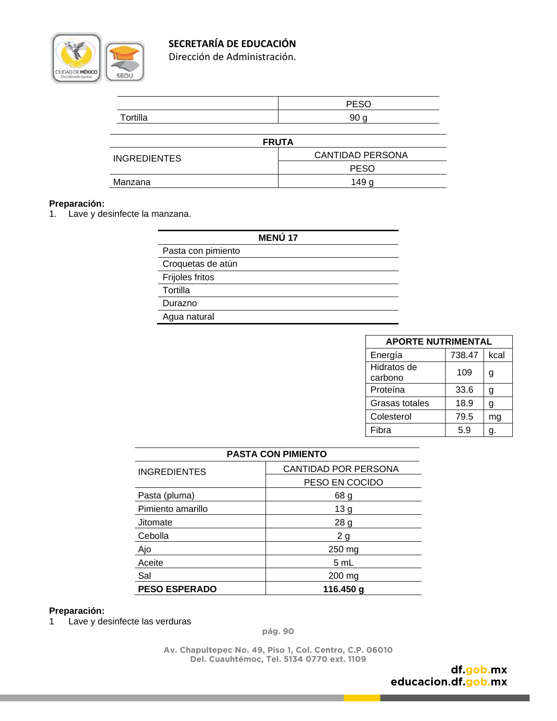

Dirección de Administración.

|                     | <b>PESO</b>             |  |
|---------------------|-------------------------|--|
| Tortilla            | 90 a                    |  |
|                     |                         |  |
| <b>FRUTA</b>        |                         |  |
| <b>INGREDIENTES</b> | <b>CANTIDAD PERSONA</b> |  |
|                     |                         |  |

|         | nroo       |
|---------|------------|
| Manzana | 140n<br>᠇◡ |

# **Preparación:**

1. Lave y desinfecte la manzana.

| <b>MENÚ 17</b>     |  |
|--------------------|--|
| Pasta con pimiento |  |
| Croquetas de atún  |  |
| Frijoles fritos    |  |
| Tortilla           |  |
| Durazno            |  |
| Agua natural       |  |

| <b>APORTE NUTRIMENTAL</b> |        |      |
|---------------------------|--------|------|
| Energía                   | 738.47 | kcal |
| Hidratos de<br>carbono    | 109    | g    |
| Proteína                  | 33.6   | g    |
| Grasas totales            | 18.9   | g    |
| Colesterol                | 79.5   | mg   |
| Fibra                     | 5.9    |      |

| <b>PASTA CON PIMIENTO</b> |                             |  |
|---------------------------|-----------------------------|--|
| <b>INGREDIENTES</b>       | <b>CANTIDAD POR PERSONA</b> |  |
|                           | PESO EN COCIDO              |  |
| Pasta (pluma)             | 68 g                        |  |
| Pimiento amarillo         | 13 <sub>g</sub>             |  |
| <b>Jitomate</b>           | 28 <sub>g</sub>             |  |
| Cebolla                   | 2g                          |  |
| Ajo                       | 250 mg                      |  |
| Aceite                    | 5 mL                        |  |
| Sal                       | $200$ mg                    |  |
| <b>PESO ESPERADO</b>      | 116.450 g                   |  |

# **Preparación:**

1 Lave y desinfecte las verduras

**pág. 90** 

**Av. Chapultepec No. 49, Piso 1, Col. Centro, C.P. 06010 Del. Cuauhtémoc, Tel. 5134 0770 ext. 1109**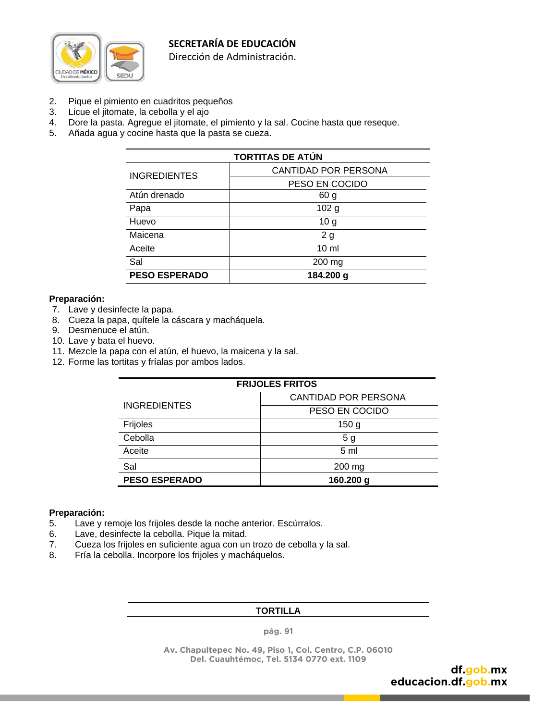

Dirección de Administración.

- 2. Pique el pimiento en cuadritos pequeños
- 3. Licue el jitomate, la cebolla y el ajo
- 4. Dore la pasta. Agregue el jitomate, el pimiento y la sal. Cocine hasta que reseque.
- 5. Añada agua y cocine hasta que la pasta se cueza.

| <b>TORTITAS DE ATÚN</b> |                             |  |
|-------------------------|-----------------------------|--|
| <b>INGREDIENTES</b>     | <b>CANTIDAD POR PERSONA</b> |  |
|                         | PESO EN COCIDO              |  |
| Atún drenado            | 60 g                        |  |
| Papa                    | 102 <sub>g</sub>            |  |
| Huevo                   | 10 <sub>g</sub>             |  |
| Maicena                 | 2g                          |  |
| Aceite                  | $10 \mathrm{m}$             |  |
| Sal                     | 200 mg                      |  |
| <b>PESO ESPERADO</b>    | 184.200 g                   |  |

## **Preparación:**

- 7. Lave y desinfecte la papa.
- 8. Cueza la papa, quítele la cáscara y macháquela.
- 9. Desmenuce el atún.
- 10. Lave y bata el huevo.
- 11. Mezcle la papa con el atún, el huevo, la maicena y la sal.
- 12. Forme las tortitas y fríalas por ambos lados.

| <b>FRIJOLES FRITOS</b> |                             |  |
|------------------------|-----------------------------|--|
| <b>INGREDIENTES</b>    | <b>CANTIDAD POR PERSONA</b> |  |
|                        | PESO EN COCIDO              |  |
| Frijoles               | 150 <sub>g</sub>            |  |
| Cebolla                | 5 <sub>g</sub>              |  |
| Aceite                 | 5 <sub>m</sub>              |  |
| Sal                    | 200 mg                      |  |
| <b>PESO ESPERADO</b>   | 160.200 $q$                 |  |

## **Preparación:**

- 5. Lave y remoje los frijoles desde la noche anterior. Escúrralos.
- 6. Lave, desinfecte la cebolla. Pique la mitad.
- 7. Cueza los frijoles en suficiente agua con un trozo de cebolla y la sal.
- 8. Fría la cebolla. Incorpore los frijoles y macháquelos.

# **TORTILLA**

#### **pág. 91**

**Av. Chapultepec No. 49, Piso 1, Col. Centro, C.P. 06010 Del. Cuauhtémoc, Tel. 5134 0770 ext. 1109**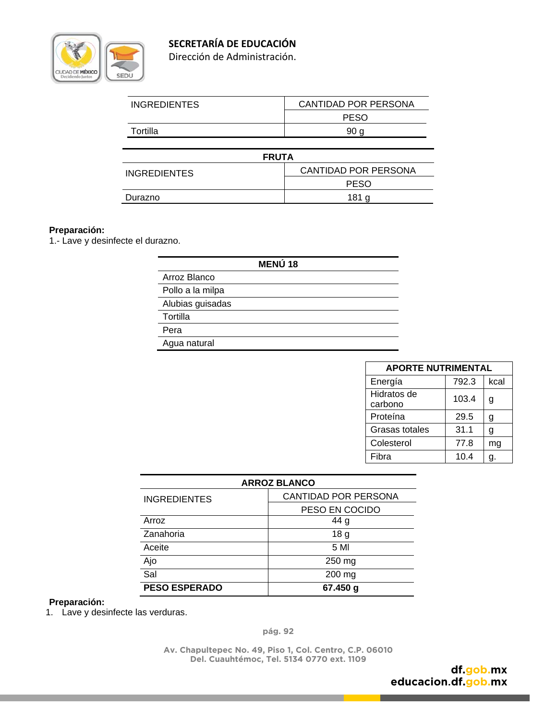

| <b>INGREDIENTES</b> | CANTIDAD POR PERSONA |
|---------------------|----------------------|
|                     | <b>PFSO</b>          |
| Tortilla            | 90 a                 |

| <b>FRUTA</b>        |                      |  |
|---------------------|----------------------|--|
| <b>INGREDIENTES</b> | CANTIDAD POR PERSONA |  |
|                     | <b>PFSO</b>          |  |
| Durazno             | 181 a                |  |

#### **Preparación:**

1.- Lave y desinfecte el durazno.

| <b>MENÚ 18</b>   |  |
|------------------|--|
| Arroz Blanco     |  |
| Pollo a la milpa |  |
| Alubias guisadas |  |
| Tortilla         |  |
| Pera             |  |
| Agua natural     |  |
|                  |  |

| <b>APORTE NUTRIMENTAL</b> |       |      |
|---------------------------|-------|------|
| Energía                   | 792.3 | kcal |
| Hidratos de<br>carbono    | 103.4 | g    |
| Proteína                  | 29.5  | g    |
| Grasas totales            | 31.1  | g    |
| Colesterol                | 77.8  | ma   |
| Fibra                     | 10.4  | a.   |

| <b>ARROZ BLANCO</b>  |                             |  |
|----------------------|-----------------------------|--|
| <b>INGREDIENTES</b>  | <b>CANTIDAD POR PERSONA</b> |  |
|                      | PESO EN COCIDO              |  |
| Arroz                | 44 g                        |  |
| Zanahoria            | 18 <sub>g</sub>             |  |
| Aceite               | 5 MI                        |  |
| Ajo                  | 250 mg                      |  |
| Sal                  | 200 mg                      |  |
| <b>PESO ESPERADO</b> | 67.450 g                    |  |

# **Preparación:**

1. Lave y desinfecte las verduras.

**Av. Chapultepec No. 49, Piso 1, Col. Centro, C.P. 06010 Del. Cuauhtémoc, Tel. 5134 0770 ext. 1109**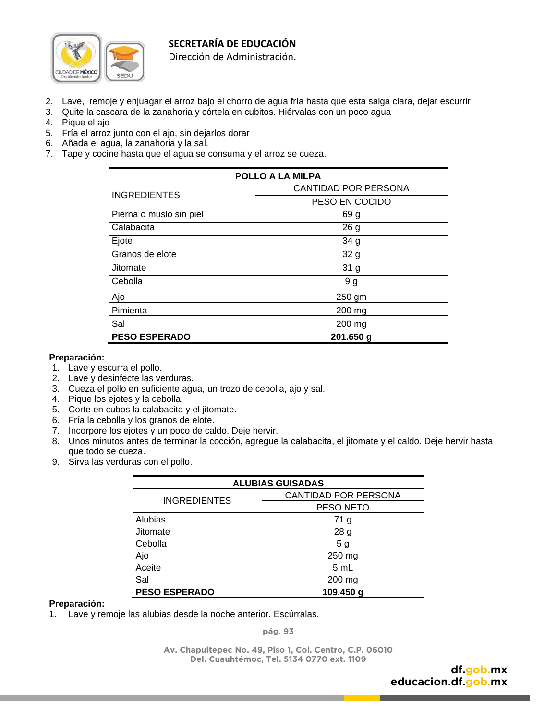

Dirección de Administración.

- 2. Lave, remoje y enjuagar el arroz bajo el chorro de agua fría hasta que esta salga clara, dejar escurrir
- 3. Quite la cascara de la zanahoria y córtela en cubitos. Hiérvalas con un poco agua
- 4. Pique el ajo
- 5. Fría el arroz junto con el ajo, sin dejarlos dorar
- 6. Añada el agua, la zanahoria y la sal.
- 7. Tape y cocine hasta que el agua se consuma y el arroz se cueza.

| POLLO A LA MILPA        |                             |  |
|-------------------------|-----------------------------|--|
| <b>INGREDIENTES</b>     | <b>CANTIDAD POR PERSONA</b> |  |
|                         | PESO EN COCIDO              |  |
| Pierna o muslo sin piel | 69 g                        |  |
| Calabacita              | 26 <sub>g</sub>             |  |
| Ejote                   | 34 <sub>g</sub>             |  |
| Granos de elote         | 32 <sub>g</sub>             |  |
| Jitomate                | 31 <sub>g</sub>             |  |
| Cebolla                 | 9 <sub>g</sub>              |  |
| Ajo                     | 250 gm                      |  |
| Pimienta                | 200 mg                      |  |
| Sal                     | 200 mg                      |  |
| <b>PESO ESPERADO</b>    | 201.650 g                   |  |

## **Preparación:**

- 1. Lave y escurra el pollo.
- 2. Lave y desinfecte las verduras.
- 3. Cueza el pollo en suficiente agua, un trozo de cebolla, ajo y sal.
- 4. Pique los ejotes y la cebolla.
- 5. Corte en cubos la calabacita y el jitomate.
- 6. Fría la cebolla y los granos de elote.
- 7. Incorpore los ejotes y un poco de caldo. Deje hervir.
- 8. Unos minutos antes de terminar la cocción, agregue la calabacita, el jitomate y el caldo. Deje hervir hasta que todo se cueza.
- 9. Sirva las verduras con el pollo.

| <b>ALUBIAS GUISADAS</b> |                      |  |
|-------------------------|----------------------|--|
| <b>INGREDIENTES</b>     | CANTIDAD POR PERSONA |  |
|                         | PESO NETO            |  |
| Alubias                 | 71 g                 |  |
| <b>Jitomate</b>         | 28 <sub>g</sub>      |  |
| Cebolla                 | 5 g                  |  |
| Ajo                     | 250 mg               |  |
| Aceite                  | 5 mL                 |  |
| Sal                     | 200 mg               |  |
| <b>PESO ESPERADO</b>    | 109.450 g            |  |

## **Preparación:**

1. Lave y remoje las alubias desde la noche anterior. Escúrralas.

**pág. 93** 

**Av. Chapultepec No. 49, Piso 1, Col. Centro, C.P. 06010 Del. Cuauhtémoc, Tel. 5134 0770 ext. 1109**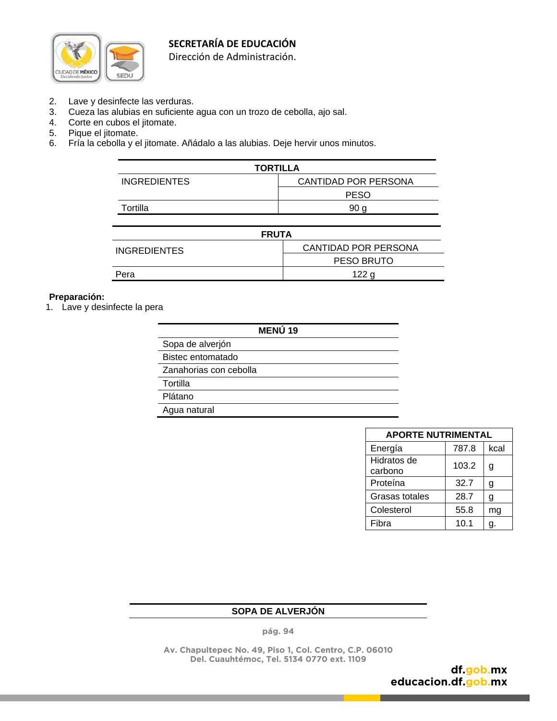

Dirección de Administración.

- 2. Lave y desinfecte las verduras.
- 3. Cueza las alubias en suficiente agua con un trozo de cebolla, ajo sal.
- 4. Corte en cubos el jitomate.
- 5. Pique el jitomate.
- 6. Fría la cebolla y el jitomate. Añádalo a las alubias. Deje hervir unos minutos.

| <b>TORTILLA</b>     |                      |  |
|---------------------|----------------------|--|
| <b>INGREDIENTES</b> | CANTIDAD POR PERSONA |  |
|                     | <b>PESO</b>          |  |
| Tortilla            | 90 a                 |  |
|                     |                      |  |

| <b>FRUTA</b>        |                      |  |
|---------------------|----------------------|--|
| <b>INGREDIENTES</b> | CANTIDAD POR PERSONA |  |
|                     | PESO BRUTO           |  |
| Pera                | 122g                 |  |

# **Preparación:**

1. Lave y desinfecte la pera

| MENÚ 19                |  |
|------------------------|--|
| Sopa de alverjón       |  |
| Bistec entomatado      |  |
| Zanahorias con cebolla |  |
| Tortilla               |  |
| Plátano                |  |
| Agua natural           |  |

| <b>APORTE NUTRIMENTAL</b> |       |      |
|---------------------------|-------|------|
| Energía                   | 787.8 | kcal |
| Hidratos de<br>carbono    | 103.2 | g    |
| Proteína                  | 32.7  | g    |
| Grasas totales            | 28.7  | g    |
| Colesterol                | 55.8  | mg   |
| Fibra                     | 10.1  |      |

# **SOPA DE ALVERJÓN**

**pág. 94** 

**Av. Chapultepec No. 49, Piso 1, Col. Centro, C.P. 06010 Del. Cuauhtémoc, Tel. 5134 0770 ext. 1109**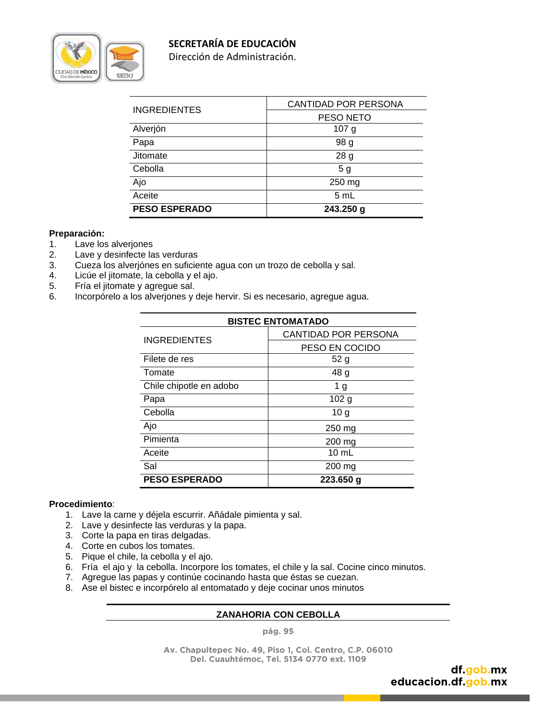

| <b>INGREDIENTES</b>  | <b>CANTIDAD POR PERSONA</b> |
|----------------------|-----------------------------|
|                      | PESO NETO                   |
| Alverjón             | 107 <sub>g</sub>            |
| Papa                 | 98 g                        |
| <b>Jitomate</b>      | 28 g                        |
| Cebolla              | 5 <sub>g</sub>              |
| Ajo                  | 250 mg                      |
| Aceite               | 5 mL                        |
| <b>PESO ESPERADO</b> | 243.250 g                   |

## **Preparación:**

- 1. Lave los alverjones
- 2. Lave y desinfecte las verduras
- 3. Cueza los alverjónes en suficiente agua con un trozo de cebolla y sal.
- 4. Licúe el jitomate, la cebolla y el ajo.
- 5. Fría el jitomate y agregue sal.
- 6. Incorpórelo a los alverjones y deje hervir. Si es necesario, agregue agua.

| <b>BISTEC ENTOMATADO</b> |                             |  |
|--------------------------|-----------------------------|--|
| <b>INGREDIENTES</b>      | <b>CANTIDAD POR PERSONA</b> |  |
|                          | PESO EN COCIDO              |  |
| Filete de res            | 52 <sub>g</sub>             |  |
| Tomate                   | 48 <sub>g</sub>             |  |
| Chile chipotle en adobo  | 1 g                         |  |
| Papa                     | 102 <sub>g</sub>            |  |
| Cebolla                  | 10 <sub>g</sub>             |  |
| Ajo                      | 250 mg                      |  |
| Pimienta                 | 200 mg                      |  |
| Aceite                   | 10 mL                       |  |
| Sal                      | $200$ mg                    |  |
| <b>PESO ESPERADO</b>     | 223.650 g                   |  |

## **Procedimiento**:

- 1. Lave la carne y déjela escurrir. Añádale pimienta y sal.
- 2. Lave y desinfecte las verduras y la papa.
- 3. Corte la papa en tiras delgadas.
- 4. Corte en cubos los tomates.
- 5. Pique el chile, la cebolla y el ajo.
- 6. Fría el ajo y la cebolla. Incorpore los tomates, el chile y la sal. Cocine cinco minutos.
- 7. Agregue las papas y continúe cocinando hasta que éstas se cuezan.
- 8. Ase el bistec e incorpórelo al entomatado y deje cocinar unos minutos

# **ZANAHORIA CON CEBOLLA**

**pág. 95** 

**Av. Chapultepec No. 49, Piso 1, Col. Centro, C.P. 06010 Del. Cuauhtémoc, Tel. 5134 0770 ext. 1109**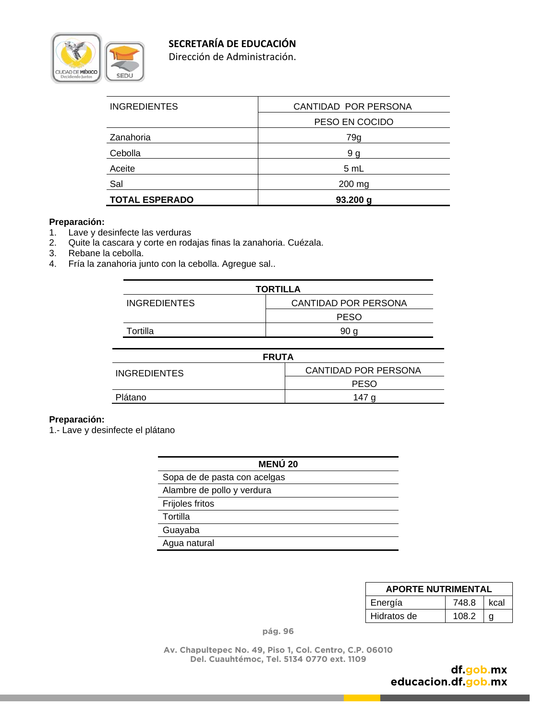

| <b>INGREDIENTES</b>   | CANTIDAD POR PERSONA |  |
|-----------------------|----------------------|--|
|                       | PESO EN COCIDO       |  |
| Zanahoria             | 79g                  |  |
| Cebolla               | 9 g                  |  |
| Aceite                | 5 mL                 |  |
| Sal                   | 200 mg               |  |
| <b>TOTAL ESPERADO</b> | 93.200 g             |  |

## **Preparación:**

- 1. Lave y desinfecte las verduras
- 2. Quite la cascara y corte en rodajas finas la zanahoria. Cuézala.
- 3. Rebane la cebolla.
- 4. Fría la zanahoria junto con la cebolla. Agregue sal..

| <b>TORTILLA</b>                             |             |  |  |
|---------------------------------------------|-------------|--|--|
| CANTIDAD POR PERSONA<br><b>INGREDIENTES</b> |             |  |  |
|                                             | <b>PESO</b> |  |  |
| Tortilla                                    | 90 a        |  |  |
|                                             |             |  |  |

| <b>FRUTA</b>        |                      |  |  |
|---------------------|----------------------|--|--|
| <b>INGREDIENTES</b> | CANTIDAD POR PERSONA |  |  |
|                     | <b>PESO</b>          |  |  |
| Plátano             | 147 a                |  |  |

## **Preparación:**

1.- Lave y desinfecte el plátano

| MENÚ 20                      |
|------------------------------|
| Sopa de de pasta con acelgas |
| Alambre de pollo y verdura   |
| Frijoles fritos              |
| Tortilla                     |
| Guayaba                      |
| Agua natural                 |

| <b>APORTE NUTRIMENTAL</b> |       |  |  |  |  |
|---------------------------|-------|--|--|--|--|
| Energía<br>748.8<br>kcal  |       |  |  |  |  |
| Hidratos de               | 108.2 |  |  |  |  |

**Av. Chapultepec No. 49, Piso 1, Col. Centro, C.P. 06010 Del. Cuauhtémoc, Tel. 5134 0770 ext. 1109**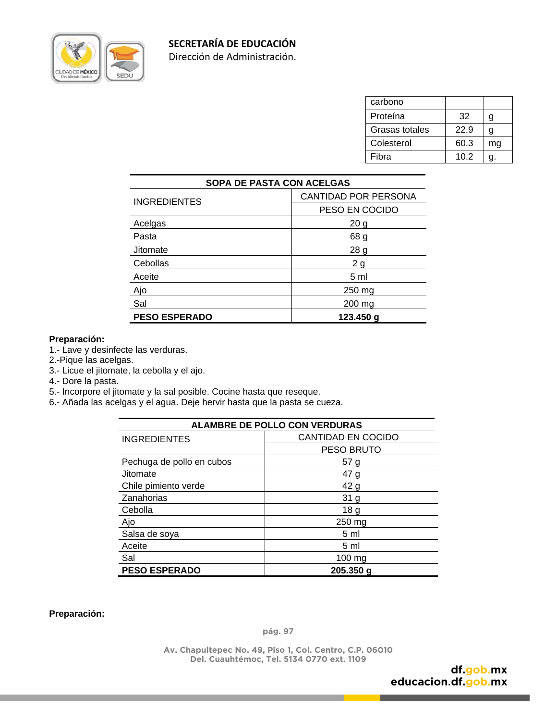

Dirección de Administración.

| carbono        |      |    |
|----------------|------|----|
| Proteína       | 32   | g  |
| Grasas totales | 22.9 | g  |
| Colesterol     | 60.3 | mg |
| Fibra          | 10.2 |    |

| SOPA DE PASTA CON ACELGAS |                             |  |  |
|---------------------------|-----------------------------|--|--|
| <b>INGREDIENTES</b>       | <b>CANTIDAD POR PERSONA</b> |  |  |
|                           | PESO EN COCIDO              |  |  |
| Acelgas                   | 20 <sub>g</sub>             |  |  |
| Pasta                     | 68 g                        |  |  |
| Jitomate                  | 28 <sub>g</sub>             |  |  |
| Cebollas                  | 2 <sub>g</sub>              |  |  |
| Aceite                    | 5 <sub>m</sub>              |  |  |
| Ajo                       | 250 mg                      |  |  |
| Sal                       | $200$ mg                    |  |  |
| <b>PESO ESPERADO</b>      | 123.450 g                   |  |  |

# **Preparación:**

- 1.- Lave y desinfecte las verduras.
- 2.-Pique las acelgas.
- 3.- Licue el jitomate, la cebolla y el ajo.
- 4.- Dore la pasta.
- 5.- Incorpore el jitomate y la sal posible. Cocine hasta que reseque.
- 6.- Añada las acelgas y el agua. Deje hervir hasta que la pasta se cueza.

| <b>ALAMBRE DE POLLO CON VERDURAS</b> |                           |  |  |
|--------------------------------------|---------------------------|--|--|
| <b>INGREDIENTES</b>                  | <b>CANTIDAD EN COCIDO</b> |  |  |
|                                      | PESO BRUTO                |  |  |
| Pechuga de pollo en cubos            | 57 a                      |  |  |
| Jitomate                             | 47 g                      |  |  |
| Chile pimiento verde                 | 42 g                      |  |  |
| Zanahorias                           | 31 <sub>g</sub>           |  |  |
| Cebolla                              | 18 <sub>g</sub>           |  |  |
| Ajo                                  | 250 mg                    |  |  |
| Salsa de soya                        | 5 <sub>m</sub>            |  |  |
| Aceite                               | 5 <sub>m</sub>            |  |  |
| Sal                                  | $100 \text{ mg}$          |  |  |
| <b>PESO ESPERADO</b><br>$205.350$ g  |                           |  |  |

# **Preparación:**

**Av. Chapultepec No. 49, Piso 1, Col. Centro, C.P. 06010 Del. Cuauhtémoc, Tel. 5134 0770 ext. 1109**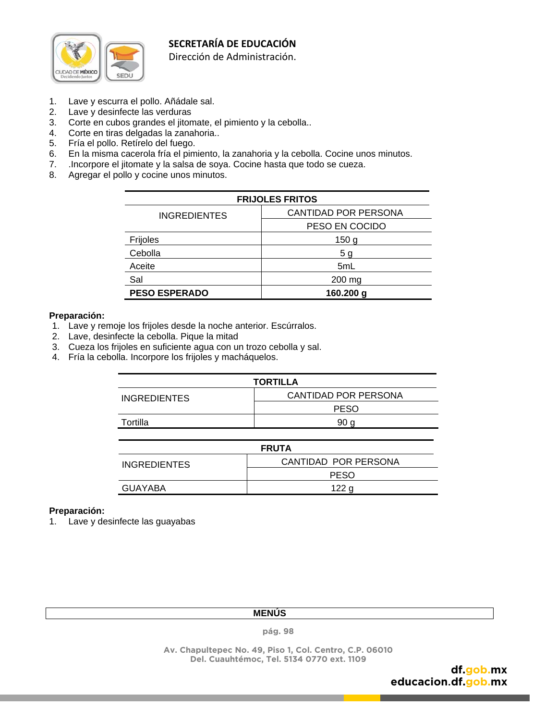

Dirección de Administración.

- 1. Lave y escurra el pollo. Añádale sal.
- 2. Lave y desinfecte las verduras
- 3. Corte en cubos grandes el jitomate, el pimiento y la cebolla..
- 4. Corte en tiras delgadas la zanahoria..
- 5. Fría el pollo. Retírelo del fuego.
- 6. En la misma cacerola fría el pimiento, la zanahoria y la cebolla. Cocine unos minutos.
- 7. .Incorpore el jitomate y la salsa de soya. Cocine hasta que todo se cueza.
- 8. Agregar el pollo y cocine unos minutos.

| <b>FRIJOLES FRITOS</b>            |                             |  |  |
|-----------------------------------|-----------------------------|--|--|
| <b>INGREDIENTES</b>               | <b>CANTIDAD POR PERSONA</b> |  |  |
|                                   | PESO EN COCIDO              |  |  |
| Frijoles                          | 150 <sub>g</sub>            |  |  |
| Cebolla                           | 5 <sub>g</sub>              |  |  |
| Aceite                            | 5 <sub>m</sub> L            |  |  |
| Sal                               | 200 mg                      |  |  |
| <b>PESO ESPERADO</b><br>160.200 g |                             |  |  |

# **Preparación:**

- 1. Lave y remoje los frijoles desde la noche anterior. Escúrralos.
- 2. Lave, desinfecte la cebolla. Pique la mitad
- 3. Cueza los frijoles en suficiente agua con un trozo cebolla y sal.
- 4. Fría la cebolla. Incorpore los frijoles y macháquelos.

| <b>TORTILLA</b>     |                      |  |  |
|---------------------|----------------------|--|--|
| <b>INGREDIENTES</b> | CANTIDAD POR PERSONA |  |  |
|                     | <b>PESO</b>          |  |  |
| Tortilla            | 90 a                 |  |  |

| <b>FRUTA</b>        |                      |  |  |
|---------------------|----------------------|--|--|
| <b>INGREDIENTES</b> | CANTIDAD POR PERSONA |  |  |
|                     | <b>PESO</b>          |  |  |
| <b>GUAYABA</b>      | 122 a                |  |  |

## **Preparación:**

1. Lave y desinfecte las guayabas

# **MENÚS**

**pág. 98** 

**Av. Chapultepec No. 49, Piso 1, Col. Centro, C.P. 06010 Del. Cuauhtémoc, Tel. 5134 0770 ext. 1109**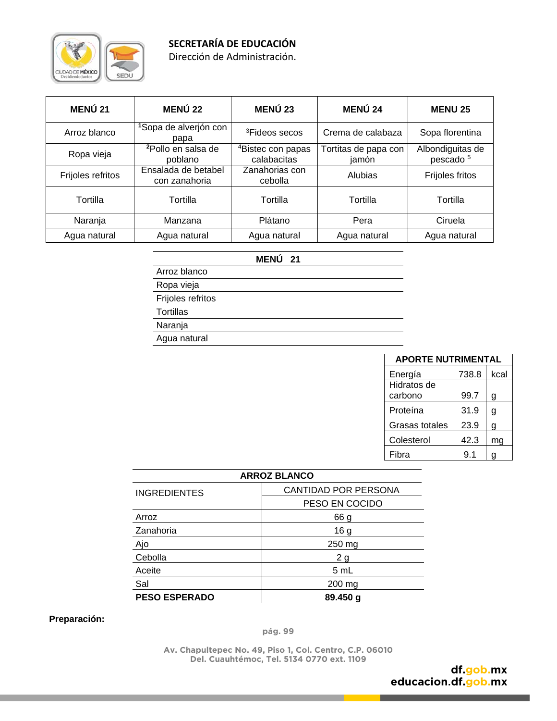

**SECRETARÍA DE EDUCACIÓN** Dirección de Administración.

| MENÚ 21           | MENÚ 22                                   | MENÚ 23                                      | MENÚ 24                       | <b>MENU 25</b>                           |
|-------------------|-------------------------------------------|----------------------------------------------|-------------------------------|------------------------------------------|
| Arroz blanco      | <sup>1</sup> Sopa de alverjón con<br>papa | <sup>3</sup> Fideos secos                    | Crema de calabaza             | Sopa florentina                          |
| Ropa vieja        | <sup>2</sup> Pollo en salsa de<br>poblano | <sup>4</sup> Bistec con papas<br>calabacitas | Tortitas de papa con<br>iamón | Albondiguitas de<br>pescado <sup>5</sup> |
| Frijoles refritos | Ensalada de betabel<br>con zanahoria      | Zanahorias con<br>cebolla                    | Alubias                       | Frijoles fritos                          |
| Tortilla          | Tortilla                                  | Tortilla                                     | Tortilla                      | Tortilla                                 |
| Naranja           | Manzana                                   | Plátano                                      | Pera                          | Ciruela                                  |
| Agua natural      | Agua natural                              | Agua natural                                 | Agua natural                  | Agua natural                             |

|                   | MENÚ 21 |
|-------------------|---------|
| Arroz blanco      |         |
| Ropa vieja        |         |
| Frijoles refritos |         |
| Tortillas         |         |
| Naranja           |         |
| Agua natural      |         |

| <b>APORTE NUTRIMENTAL</b> |       |      |
|---------------------------|-------|------|
| Energía                   | 738.8 | kcal |
| Hidratos de               |       |      |
| carbono                   | 99.7  | g    |
| Proteína                  | 31.9  | g    |
| Grasas totales            | 23.9  | g    |
| Colesterol                | 42.3  | mg   |
| Fibra                     | 9.1   |      |

| <b>ARROZ BLANCO</b>  |                      |  |
|----------------------|----------------------|--|
| <b>INGREDIENTES</b>  | CANTIDAD POR PERSONA |  |
|                      | PESO EN COCIDO       |  |
| Arroz                | 66 g                 |  |
| Zanahoria            | 16 <sub>g</sub>      |  |
| Ajo                  | 250 mg               |  |
| Cebolla              | 2 g                  |  |
| Aceite               | 5 mL                 |  |
| Sal                  | 200 mg               |  |
| <b>PESO ESPERADO</b> | 89.450 g             |  |

**Preparación:** 

**pág. 99** 

**Av. Chapultepec No. 49, Piso 1, Col. Centro, C.P. 06010 Del. Cuauhtémoc, Tel. 5134 0770 ext. 1109**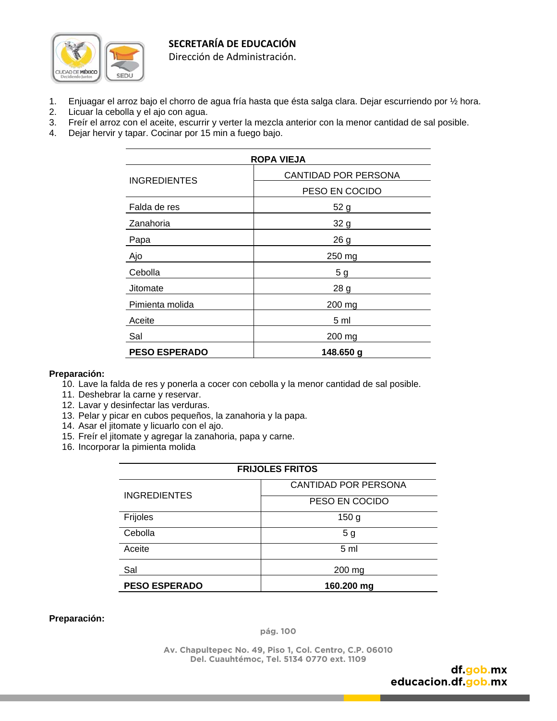

Dirección de Administración.

- 1. Enjuagar el arroz bajo el chorro de agua fría hasta que ésta salga clara. Dejar escurriendo por ½ hora.
- 2. Licuar la cebolla y el ajo con agua.
- 3. Freír el arroz con el aceite, escurrir y verter la mezcla anterior con la menor cantidad de sal posible.
- 4. Dejar hervir y tapar. Cocinar por 15 min a fuego bajo.

| <b>ROPA VIEJA</b>    |                             |
|----------------------|-----------------------------|
| <b>INGREDIENTES</b>  | <b>CANTIDAD POR PERSONA</b> |
|                      | PESO EN COCIDO              |
| Falda de res         | 52 g                        |
| Zanahoria            | 32 <sub>g</sub>             |
| Papa                 | 26 <sub>g</sub>             |
| Ajo                  | 250 mg                      |
| Cebolla              | 5 <sub>g</sub>              |
| Jitomate             | 28 <sub>g</sub>             |
| Pimienta molida      | 200 mg                      |
| Aceite               | 5 ml                        |
| Sal                  | 200 mg                      |
| <b>PESO ESPERADO</b> | 148.650 g                   |

## **Preparación:**

- 10. Lave la falda de res y ponerla a cocer con cebolla y la menor cantidad de sal posible.
- 11. Deshebrar la carne y reservar.
- 12. Lavar y desinfectar las verduras.
- 13. Pelar y picar en cubos pequeños, la zanahoria y la papa.
- 14. Asar el jitomate y licuarlo con el ajo.
- 15. Freír el jitomate y agregar la zanahoria, papa y carne.
- 16. Incorporar la pimienta molida

| <b>FRIJOLES FRITOS</b> |                             |
|------------------------|-----------------------------|
| <b>INGREDIENTES</b>    | <b>CANTIDAD POR PERSONA</b> |
|                        | PESO EN COCIDO              |
| Frijoles               | 150 <sub>g</sub>            |
| Cebolla                | 5 <sub>g</sub>              |
| Aceite                 | 5 <sub>m</sub>              |
| Sal                    | 200 mg                      |
| <b>PESO ESPERADO</b>   | 160.200 mg                  |

## **Preparación:**

#### **pág. 100**

**Av. Chapultepec No. 49, Piso 1, Col. Centro, C.P. 06010 Del. Cuauhtémoc, Tel. 5134 0770 ext. 1109**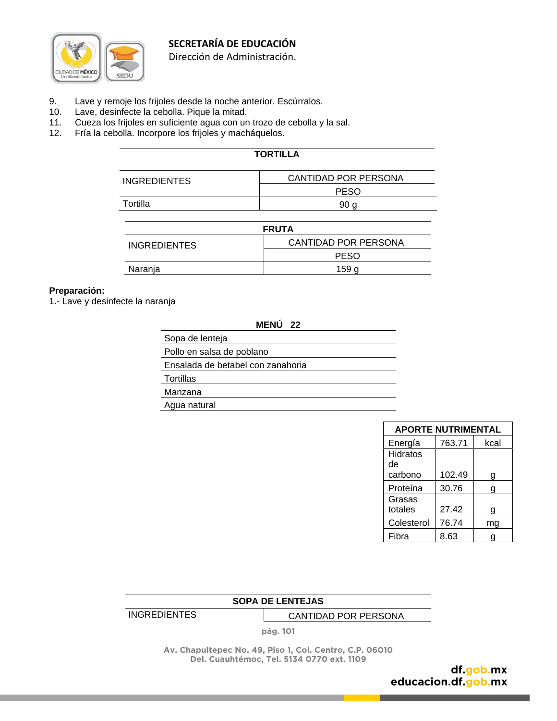

Dirección de Administración.

- 9. Lave y remoje los frijoles desde la noche anterior. Escúrralos.
- 10. Lave, desinfecte la cebolla. Pique la mitad.
- 11. Cueza los frijoles en suficiente agua con un trozo de cebolla y la sal.
- 12. Fría la cebolla. Incorpore los frijoles y macháquelos.

| <b>INGREDIENTES</b> | <b>CANTIDAD POR PERSONA</b> |  |
|---------------------|-----------------------------|--|
|                     | <b>PESO</b>                 |  |
| Tortilla            | 90 g                        |  |
|                     |                             |  |
| <b>FRUTA</b>        |                             |  |
| <b>INGREDIENTES</b> | CANTIDAD POR PERSONA        |  |
|                     | <b>PESO</b>                 |  |
| Naranja             | 159 <sub>g</sub>            |  |
|                     |                             |  |

**TORTILLA** 

## **Preparación:**

1.- Lave y desinfecte la naranja

| MENÚ 22                           |  |
|-----------------------------------|--|
| Sopa de lenteja                   |  |
| Pollo en salsa de poblano         |  |
| Ensalada de betabel con zanahoria |  |
| Tortillas                         |  |
| Manzana                           |  |
| Agua natural                      |  |

| <b>APORTE NUTRIMENTAL</b> |        |      |
|---------------------------|--------|------|
| Energía                   | 763.71 | kcal |
| <b>Hidratos</b>           |        |      |
| de                        |        |      |
| carbono                   | 102.49 | g    |
| Proteína                  | 30.76  | g    |
| Grasas                    |        |      |
| totales                   | 27.42  | g    |
| Colesterol                | 76.74  | mg   |
| Fibra                     | 8.63   |      |

## **SOPA DE LENTEJAS**

INGREDIENTES CANTIDAD POR PERSONA

**pág. 101** 

**Av. Chapultepec No. 49, Piso 1, Col. Centro, C.P. 06010 Del. Cuauhtémoc, Tel. 5134 0770 ext. 1109**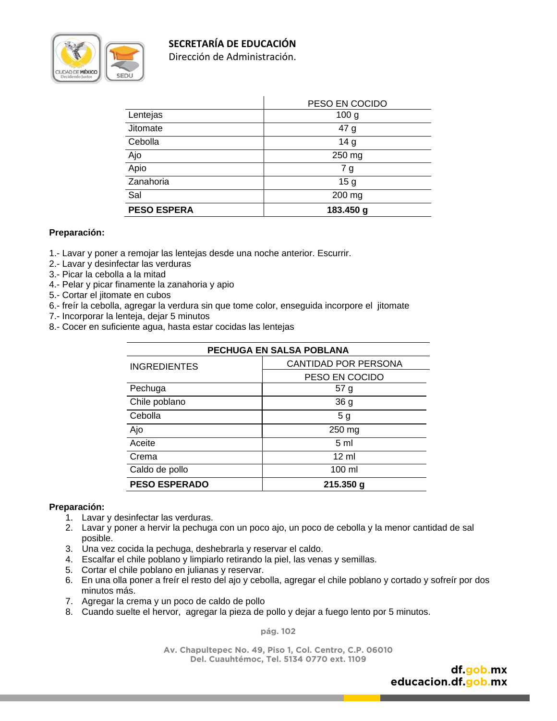

|                    | PESO EN COCIDO   |
|--------------------|------------------|
| Lentejas           | 100 <sub>g</sub> |
| Jitomate           | 47 g             |
| Cebolla            | 14 <sub>g</sub>  |
| Ajo                | 250 mg           |
| Apio               | 7 g              |
| Zanahoria          | 15 <sub>g</sub>  |
| Sal                | 200 mg           |
| <b>PESO ESPERA</b> | 183.450 g        |

# **Preparación:**

- 1.- Lavar y poner a remojar las lentejas desde una noche anterior. Escurrir.
- 2.- Lavar y desinfectar las verduras
- 3.- Picar la cebolla a la mitad
- 4.- Pelar y picar finamente la zanahoria y apio
- 5.- Cortar el jitomate en cubos
- 6.- freír la cebolla, agregar la verdura sin que tome color, enseguida incorpore el jitomate
- 7.- Incorporar la lenteja, dejar 5 minutos
- 8.- Cocer en suficiente agua, hasta estar cocidas las lentejas

| PECHUGA EN SALSA POBLANA |                      |  |
|--------------------------|----------------------|--|
| <b>INGREDIENTES</b>      | CANTIDAD POR PERSONA |  |
|                          | PESO EN COCIDO       |  |
| Pechuga                  | 57 g                 |  |
| Chile poblano            | 36 <sub>g</sub>      |  |
| Cebolla                  | 5 <sub>g</sub>       |  |
| Ajo                      | 250 mg               |  |
| Aceite                   | 5 <sub>m</sub>       |  |
| Crema                    | $12 \mathrm{ml}$     |  |
| Caldo de pollo           | $100 \mathrm{m}$     |  |
| <b>PESO ESPERADO</b>     | $215.350$ g          |  |

## **Preparación:**

- 1. Lavar y desinfectar las verduras.
- 2. Lavar y poner a hervir la pechuga con un poco ajo, un poco de cebolla y la menor cantidad de sal posible.
- 3. Una vez cocida la pechuga, deshebrarla y reservar el caldo.
- 4. Escalfar el chile poblano y limpiarlo retirando la piel, las venas y semillas.
- 5. Cortar el chile poblano en julianas y reservar.
- 6. En una olla poner a freír el resto del ajo y cebolla, agregar el chile poblano y cortado y sofreír por dos minutos más.
- 7. Agregar la crema y un poco de caldo de pollo
- 8. Cuando suelte el hervor, agregar la pieza de pollo y dejar a fuego lento por 5 minutos.

**pág. 102** 

**Av. Chapultepec No. 49, Piso 1, Col. Centro, C.P. 06010 Del. Cuauhtémoc, Tel. 5134 0770 ext. 1109**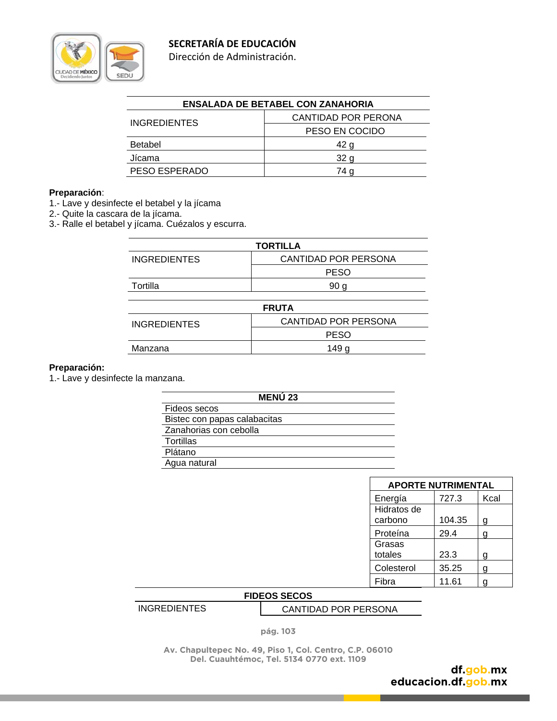

Dirección de Administración.

| <b>ENSALADA DE BETABEL CON ZANAHORIA</b> |                     |
|------------------------------------------|---------------------|
| <b>INGREDIENTES</b>                      | CANTIDAD POR PERONA |
|                                          | PESO EN COCIDO      |
| <b>Betabel</b>                           | 42 g                |
| Jícama                                   | 32 <sub>g</sub>     |
| PESO ESPERADO                            | 74 a                |

# **Preparación**:

- 1.- Lave y desinfecte el betabel y la jícama
- 2.- Quite la cascara de la jícama.
- 3.- Ralle el betabel y jícama. Cuézalos y escurra.

| <b>TORTILLA</b>     |                      |
|---------------------|----------------------|
| <b>INGREDIENTES</b> | CANTIDAD POR PERSONA |
|                     | <b>PESO</b>          |
| Tortilla            | 90 a                 |
|                     |                      |

| <b>FRUTA</b>        |                      |  |
|---------------------|----------------------|--|
| <b>INGREDIENTES</b> | CANTIDAD POR PERSONA |  |
|                     | <b>PESO</b>          |  |
| Manzana             | 149 a                |  |
|                     |                      |  |

# **Preparación:**

1.- Lave y desinfecte la manzana.

| <b>MENU 23</b>               |
|------------------------------|
| Fideos secos                 |
| Bistec con papas calabacitas |
| Zanahorias con cebolla       |
| Tortillas                    |
| Plátano                      |
| Agua natural                 |

| <b>APORTE NUTRIMENTAL</b> |        |      |
|---------------------------|--------|------|
| Energía                   | 727.3  | Kcal |
| Hidratos de<br>carbono    | 104.35 | g    |
| Proteína                  | 29.4   | g    |
| Grasas<br>totales         | 23.3   | g    |
| Colesterol                | 35.25  | g    |
| Fibra                     | 11.61  |      |
|                           |        |      |

# **FIDEOS SECOS**

INGREDIENTES | CANTIDAD POR PERSONA

**pág. 103** 

**Av. Chapultepec No. 49, Piso 1, Col. Centro, C.P. 06010 Del. Cuauhtémoc, Tel. 5134 0770 ext. 1109**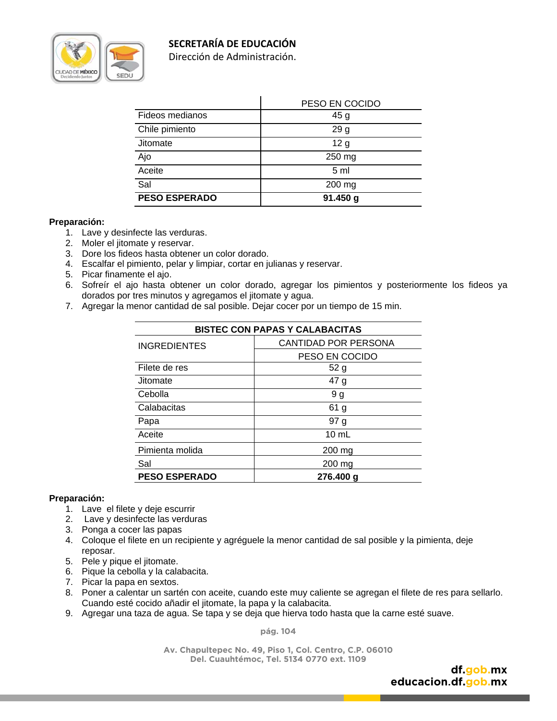

Dirección de Administración.

|                      | PESO EN COCIDO  |
|----------------------|-----------------|
| Fideos medianos      | 45 <sub>g</sub> |
| Chile pimiento       | 29 <sub>g</sub> |
| <b>Jitomate</b>      | 12 <sub>g</sub> |
| Ajo                  | 250 mg          |
| Aceite               | 5 <sub>m</sub>  |
| Sal                  | 200 mg          |
| <b>PESO ESPERADO</b> | $91.450$ g      |

#### **Preparación:**

- 1. Lave y desinfecte las verduras.
- 2. Moler el jitomate y reservar.
- 3. Dore los fideos hasta obtener un color dorado.
- 4. Escalfar el pimiento, pelar y limpiar, cortar en julianas y reservar.
- 5. Picar finamente el ajo.
- 6. Sofreír el ajo hasta obtener un color dorado, agregar los pimientos y posteriormente los fideos ya dorados por tres minutos y agregamos el jitomate y agua.
- 7. Agregar la menor cantidad de sal posible. Dejar cocer por un tiempo de 15 min.

| <b>BISTEC CON PAPAS Y CALABACITAS</b> |                             |  |
|---------------------------------------|-----------------------------|--|
| <b>INGREDIENTES</b>                   | <b>CANTIDAD POR PERSONA</b> |  |
|                                       | PESO EN COCIDO              |  |
| Filete de res                         | 52 <sub>g</sub>             |  |
| Jitomate                              | 47 g                        |  |
| Cebolla                               | 9 <sub>q</sub>              |  |
| Calabacitas                           | 61 g                        |  |
| Papa                                  | 97 g                        |  |
| Aceite                                | $10 \mathrm{m}$             |  |
| Pimienta molida                       | 200 mg                      |  |
| Sal                                   | $200$ mg                    |  |
| <b>PESO ESPERADO</b>                  | 276.400 q                   |  |

## **Preparación:**

- 1. Lave el filete y deje escurrir
- 2. Lave y desinfecte las verduras
- 3. Ponga a cocer las papas
- 4. Coloque el filete en un recipiente y agréguele la menor cantidad de sal posible y la pimienta, deje reposar.
- 5. Pele y pique el jitomate.
- 6. Pique la cebolla y la calabacita.
- 7. Picar la papa en sextos.
- 8. Poner a calentar un sartén con aceite, cuando este muy caliente se agregan el filete de res para sellarlo. Cuando esté cocido añadir el jitomate, la papa y la calabacita.
- 9. Agregar una taza de agua. Se tapa y se deja que hierva todo hasta que la carne esté suave.

**pág. 104** 

**Av. Chapultepec No. 49, Piso 1, Col. Centro, C.P. 06010 Del. Cuauhtémoc, Tel. 5134 0770 ext. 1109**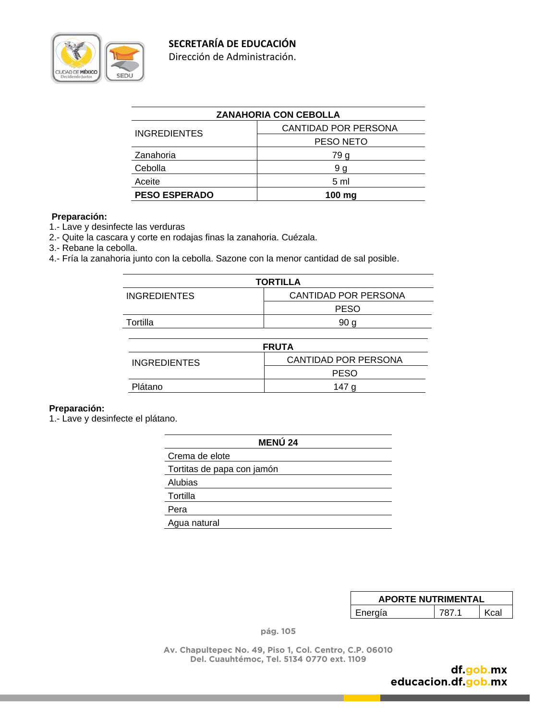

| <b>ZANAHORIA CON CEBOLLA</b> |                             |  |
|------------------------------|-----------------------------|--|
| <b>INGREDIENTES</b>          | <b>CANTIDAD POR PERSONA</b> |  |
|                              | PESO NETO                   |  |
| Zanahoria                    | 79 g                        |  |
| Cebolla                      | 9 g                         |  |
| Aceite                       | 5 <sub>m</sub>              |  |
| <b>PESO ESPERADO</b>         | $100 \text{ mg}$            |  |

## **Preparación:**

- 1.- Lave y desinfecte las verduras
- 2.- Quite la cascara y corte en rodajas finas la zanahoria. Cuézala.
- 3.- Rebane la cebolla.
- 4.- Fría la zanahoria junto con la cebolla. Sazone con la menor cantidad de sal posible.

| <b>TORTILLA</b>     |                             |  |
|---------------------|-----------------------------|--|
| <b>INGREDIENTES</b> | CANTIDAD POR PERSONA        |  |
|                     | <b>PESO</b>                 |  |
| Tortilla<br>90 a    |                             |  |
|                     |                             |  |
| <b>FRUTA</b>        |                             |  |
| <b>INGREDIENTES</b> | <b>CANTIDAD POR PERSONA</b> |  |
|                     | <b>PESO</b>                 |  |
| Plátano             | 147 a                       |  |
|                     |                             |  |

## **Preparación:**

1.- Lave y desinfecte el plátano.

| MENÚ 24                    |
|----------------------------|
| Crema de elote             |
| Tortitas de papa con jamón |
| Alubias                    |
| Tortilla                   |
| Pera                       |
| Agua natural               |

| <b>APORTE NUTRIMENTAL</b> |       |      |
|---------------------------|-------|------|
| Energía                   | 787 1 | Kcal |

**pág. 105** 

**Av. Chapultepec No. 49, Piso 1, Col. Centro, C.P. 06010 Del. Cuauhtémoc, Tel. 5134 0770 ext. 1109**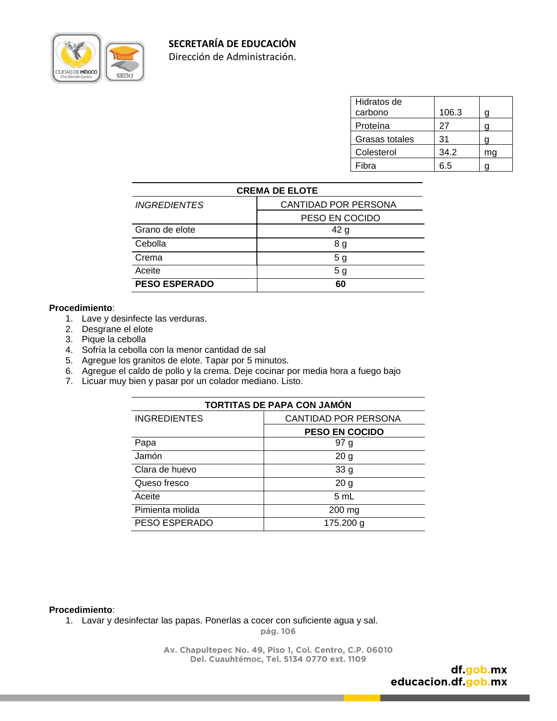

Dirección de Administración.

| Hidratos de<br>carbono | 106.3 |    |
|------------------------|-------|----|
| Proteína               | 27    |    |
| Grasas totales         | 31    |    |
| Colesterol             | 34.2  | ma |
| Fibra                  | հ 5   |    |

| <b>CREMA DE ELOTE</b> |                             |  |
|-----------------------|-----------------------------|--|
| <b>INGREDIENTES</b>   | <b>CANTIDAD POR PERSONA</b> |  |
|                       | PESO EN COCIDO              |  |
| Grano de elote        | 42 <sub>g</sub>             |  |
| Cebolla               | 8 g                         |  |
| Crema                 | 5 <sub>g</sub>              |  |
| Aceite                | 5 <sub>g</sub>              |  |
| <b>PESO ESPERADO</b>  | 60                          |  |

# **Procedimiento**:

- 1. Lave y desinfecte las verduras.
- 2. Desgrane el elote
- 3. Pique la cebolla
- 4. Sofría la cebolla con la menor cantidad de sal
- 5. Agregue los granitos de elote. Tapar por 5 minutos.
- 6. Agregue el caldo de pollo y la crema. Deje cocinar por media hora a fuego bajo
- 7. Licuar muy bien y pasar por un colador mediano. Listo.

| <b>TORTITAS DE PAPA CON JAMÓN</b> |                             |  |
|-----------------------------------|-----------------------------|--|
| <b>INGREDIENTES</b>               | <b>CANTIDAD POR PERSONA</b> |  |
|                                   | <b>PESO EN COCIDO</b>       |  |
| Papa                              | 97 g                        |  |
| Jamón                             | 20 <sub>g</sub>             |  |
| Clara de huevo                    | 33 <sub>g</sub>             |  |
| Queso fresco                      | 20 <sub>g</sub>             |  |
| Aceite                            | 5 mL                        |  |
| Pimienta molida                   | $200 \text{ mg}$            |  |
| PESO ESPERADO                     | 175.200 g                   |  |

## **Procedimiento**:

1. Lavar y desinfectar las papas. Ponerlas a cocer con suficiente agua y sal.

**pág. 106** 

**Av. Chapultepec No. 49, Piso 1, Col. Centro, C.P. 06010 Del. Cuauhtémoc, Tel. 5134 0770 ext. 1109**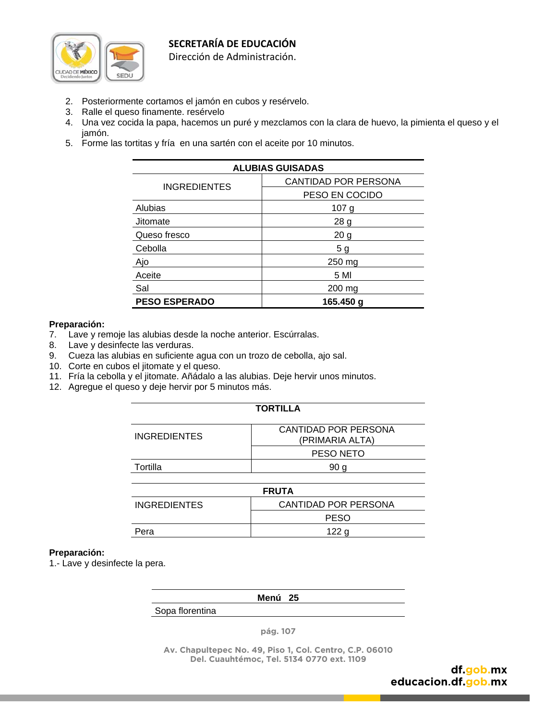

Dirección de Administración.

- 2. Posteriormente cortamos el jamón en cubos y resérvelo.
- 3. Ralle el queso finamente. resérvelo
- 4. Una vez cocida la papa, hacemos un puré y mezclamos con la clara de huevo, la pimienta el queso y el jamón.
- 5. Forme las tortitas y fría en una sartén con el aceite por 10 minutos.

| <b>ALUBIAS GUISADAS</b> |                             |  |
|-------------------------|-----------------------------|--|
| <b>INGREDIENTES</b>     | <b>CANTIDAD POR PERSONA</b> |  |
|                         | PESO EN COCIDO              |  |
| Alubias                 | 107 <sub>g</sub>            |  |
| <b>Jitomate</b>         | 28 <sub>g</sub>             |  |
| Queso fresco            | 20 <sub>g</sub>             |  |
| Cebolla                 | 5 g                         |  |
| Ajo                     | 250 mg                      |  |
| Aceite                  | 5 MI                        |  |
| Sal                     | 200 mg                      |  |
| <b>PESO ESPERADO</b>    | 165.450 g                   |  |

## **Preparación:**

- 7. Lave y remoje las alubias desde la noche anterior. Escúrralas.
- 8. Lave y desinfecte las verduras.
- 9. Cueza las alubias en suficiente agua con un trozo de cebolla, ajo sal.
- 10. Corte en cubos el jitomate y el queso.
- 11. Fría la cebolla y el jitomate. Añádalo a las alubias. Deje hervir unos minutos.
- 12. Agregue el queso y deje hervir por 5 minutos más.

# **TORTILLA**

| <b>INGREDIENTES</b> | CANTIDAD POR PERSONA<br>(PRIMARIA ALTA) |
|---------------------|-----------------------------------------|
|                     | PESO NETO                               |
| Tortilla            | 90 a                                    |
|                     |                                         |

| <b>FRUTA</b>        |                      |  |
|---------------------|----------------------|--|
| <b>INGREDIENTES</b> | CANTIDAD POR PERSONA |  |
|                     | <b>PESO</b>          |  |
| Pera                | 122 a                |  |

#### **Preparación:**

1.- Lave y desinfecte la pera.

**Menú 25** 

Sopa florentina

**pág. 107** 

**Av. Chapultepec No. 49, Piso 1, Col. Centro, C.P. 06010 Del. Cuauhtémoc, Tel. 5134 0770 ext. 1109**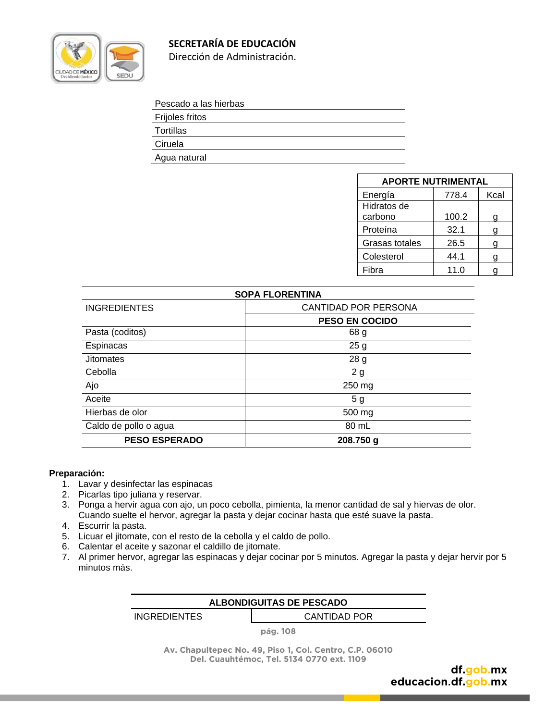

Dirección de Administración.

| Pescado a las hierbas |
|-----------------------|
| Frijoles fritos       |
| Tortillas             |
| Ciruela               |
| Agua natural          |
|                       |

| <b>APORTE NUTRIMENTAL</b> |       |      |
|---------------------------|-------|------|
| Energía                   | 778.4 | Kcal |
| Hidratos de               |       |      |
| carbono                   | 100.2 | q    |
| Proteína                  | 32.1  |      |
| Grasas totales            | 26.5  | g    |
| Colesterol                | 44.1  | g    |
| Fibra                     | 11.0  |      |

| <b>SOPA FLORENTINA</b> |                       |  |
|------------------------|-----------------------|--|
| <b>INGREDIENTES</b>    | CANTIDAD POR PERSONA  |  |
|                        | <b>PESO EN COCIDO</b> |  |
| Pasta (coditos)        | 68 g                  |  |
| Espinacas              | 25 <sub>g</sub>       |  |
| <b>Jitomates</b>       | 28 <sub>g</sub>       |  |
| Cebolla                | 2g                    |  |
| Ajo                    | 250 mg                |  |
| Aceite                 | 5 <sub>g</sub>        |  |
| Hierbas de olor        | 500 mg                |  |
| Caldo de pollo o agua  | 80 mL                 |  |
| <b>PESO ESPERADO</b>   | 208.750 g             |  |

## **Preparación:**

- 1. Lavar y desinfectar las espinacas
- 2. Picarlas tipo juliana y reservar.
- 3. Ponga a hervir agua con ajo, un poco cebolla, pimienta, la menor cantidad de sal y hiervas de olor. Cuando suelte el hervor, agregar la pasta y dejar cocinar hasta que esté suave la pasta.
- 4. Escurrir la pasta.
- 5. Licuar el jitomate, con el resto de la cebolla y el caldo de pollo.
- 6. Calentar el aceite y sazonar el caldillo de jitomate.
- 7. Al primer hervor, agregar las espinacas y dejar cocinar por 5 minutos. Agregar la pasta y dejar hervir por 5 minutos más.

# **ALBONDIGUITAS DE PESCADO**

INGREDIENTES CANTIDAD POR

**pág. 108** 

**Av. Chapultepec No. 49, Piso 1, Col. Centro, C.P. 06010 Del. Cuauhtémoc, Tel. 5134 0770 ext. 1109**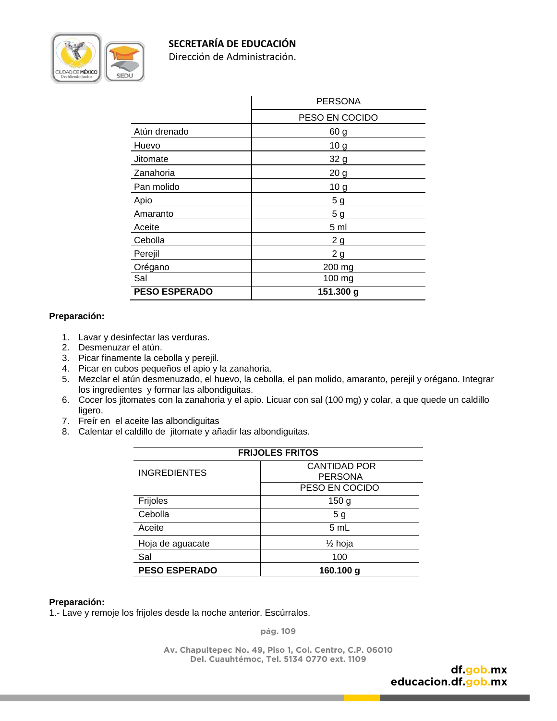

Dirección de Administración.

|                      | <b>PERSONA</b>  |  |
|----------------------|-----------------|--|
|                      | PESO EN COCIDO  |  |
| Atún drenado         | 60 g            |  |
| Huevo                | 10 <sub>g</sub> |  |
| Jitomate             | 32 g            |  |
| Zanahoria            | 20 g            |  |
| Pan molido           | 10 <sub>g</sub> |  |
| Apio                 | 5 <sub>g</sub>  |  |
| Amaranto             | 5 <sub>g</sub>  |  |
| Aceite               | 5 <sub>m</sub>  |  |
| Cebolla              | 2g              |  |
| Perejil              | 2g              |  |
| Orégano              | 200 mg          |  |
| Sal                  | 100 mg          |  |
| <b>PESO ESPERADO</b> | 151.300 g       |  |

### **Preparación:**

- 1. Lavar y desinfectar las verduras.
- 2. Desmenuzar el atún.
- 3. Picar finamente la cebolla y perejil.
- 4. Picar en cubos pequeños el apio y la zanahoria.
- 5. Mezclar el atún desmenuzado, el huevo, la cebolla, el pan molido, amaranto, perejil y orégano. Integrar los ingredientes y formar las albondiguitas.
- 6. Cocer los jitomates con la zanahoria y el apio. Licuar con sal (100 mg) y colar, a que quede un caldillo ligero.
- 7. Freír en el aceite las albondiguitas
- 8. Calentar el caldillo de jitomate y añadir las albondiguitas.

| <b>FRIJOLES FRITOS</b> |                     |  |
|------------------------|---------------------|--|
| <b>INGREDIENTES</b>    | <b>CANTIDAD POR</b> |  |
|                        | <b>PERSONA</b>      |  |
|                        | PESO EN COCIDO      |  |
| Frijoles               | 150 <sub>g</sub>    |  |
| Cebolla                | 5 <sub>g</sub>      |  |
| Aceite                 | 5 mL                |  |
| Hoja de aguacate       | $\frac{1}{2}$ hoja  |  |
| Sal                    | 100                 |  |
| <b>PESO ESPERADO</b>   | 160.100 g           |  |

#### **Preparación:**

1.- Lave y remoje los frijoles desde la noche anterior. Escúrralos.

**pág. 109** 

**Av. Chapultepec No. 49, Piso 1, Col. Centro, C.P. 06010 Del. Cuauhtémoc, Tel. 5134 0770 ext. 1109**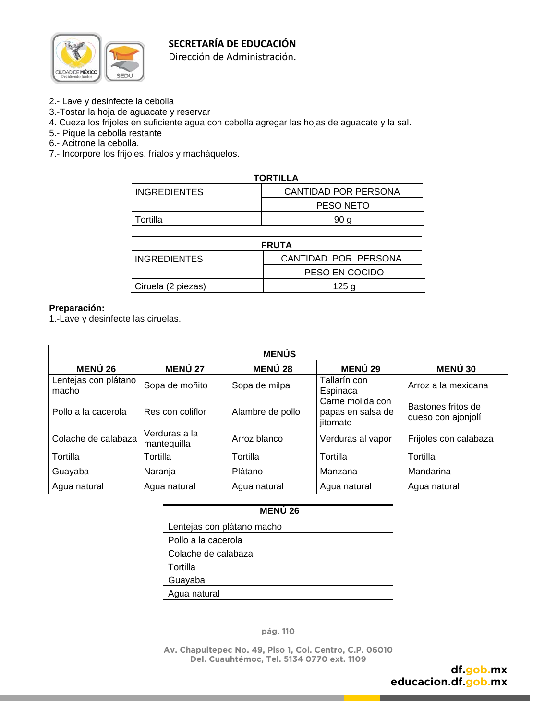

Dirección de Administración.

- 2.- Lave y desinfecte la cebolla
- 3.-Tostar la hoja de aguacate y reservar
- 4. Cueza los frijoles en suficiente agua con cebolla agregar las hojas de aguacate y la sal.
- 5.- Pique la cebolla restante
- 6.- Acitrone la cebolla.
- 7.- Incorpore los frijoles, fríalos y macháquelos.

| TORTILLA            |                             |  |
|---------------------|-----------------------------|--|
| <b>INGREDIENTES</b> | <b>CANTIDAD POR PERSONA</b> |  |
|                     | PESO NETO                   |  |
| Tortilla            | 90 a                        |  |
|                     |                             |  |
| <b>FRUTA</b>        |                             |  |
| <b>INGREDIENTES</b> | CANTIDAD POR PERSONA        |  |
|                     | PESO EN COCIDO              |  |
| Ciruela (2 piezas)  | 125 a                       |  |

### **Preparación:**

1.-Lave y desinfecte las ciruelas.

| <b>MENÚS</b>                  |                              |                  |                                                   |                                          |
|-------------------------------|------------------------------|------------------|---------------------------------------------------|------------------------------------------|
| <b>MENÚ 26</b>                | MENÚ 27                      | <b>MENÚ 28</b>   | MENÚ 29                                           | MENÚ 30                                  |
| Lentejas con plátano<br>macho | Sopa de moñito               | Sopa de milpa    | Tallarín con<br>Espinaca                          | Arroz a la mexicana                      |
| Pollo a la cacerola           | Res con coliflor             | Alambre de pollo | Carne molida con<br>papas en salsa de<br>jitomate | Bastones fritos de<br>queso con ajonjolí |
| Colache de calabaza           | Verduras a la<br>mantequilla | Arroz blanco     | Verduras al vapor                                 | Frijoles con calabaza                    |
| Tortilla                      | Tortilla                     | Tortilla         | Tortilla                                          | Tortilla                                 |
| Guayaba                       | Naranja                      | Plátano          | Manzana                                           | Mandarina                                |
| Agua natural                  | Agua natural                 | Agua natural     | Agua natural                                      | Agua natural                             |

| 7 | ┍ | н<br>v | ı |  |
|---|---|--------|---|--|

| Lentejas con plátano macho |
|----------------------------|
| Pollo a la cacerola        |
| Colache de calabaza        |
| Tortilla                   |
| Guayaba                    |
| Agua natural               |

**pág. 110** 

**Av. Chapultepec No. 49, Piso 1, Col. Centro, C.P. 06010 Del. Cuauhtémoc, Tel. 5134 0770 ext. 1109**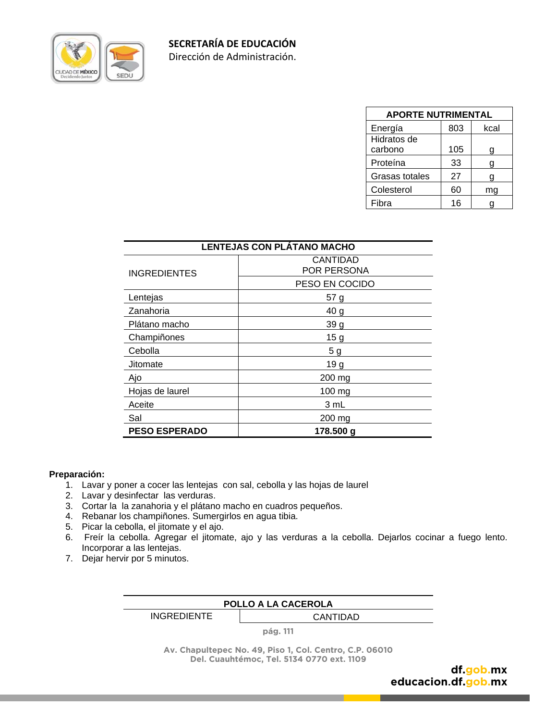

**SECRETARÍA DE EDUCACIÓN** Dirección de Administración.

> **APORTE NUTRIMENTAL**  Energía | 803 kcal Hidratos de carbono | 105 | g Proteína | 33 | g Grasas totales  $\begin{vmatrix} 27 & 9 \end{vmatrix}$ Colesterol 60 mg Fibra | 16 | g

| <b>LENTEJAS CON PLÁTANO MACHO</b> |                         |  |
|-----------------------------------|-------------------------|--|
| <b>INGREDIENTES</b>               | CANTIDAD<br>POR PERSONA |  |
|                                   | PESO EN COCIDO          |  |
| Lentejas                          | 57 g                    |  |
| Zanahoria                         | 40 g                    |  |
| Plátano macho                     | 39 g                    |  |
| Champiñones                       | 15 <sub>g</sub>         |  |
| Cebolla                           | 5 g                     |  |
| <b>Jitomate</b>                   | 19 g                    |  |
| Ajo                               | 200 mg                  |  |
| Hojas de laurel                   | 100 mg                  |  |
| Aceite                            | 3 mL                    |  |
| Sal                               | 200 mg                  |  |
| <b>PESO ESPERADO</b>              | 178.500 g               |  |

#### **Preparación:**

- 1. Lavar y poner a cocer las lentejas con sal, cebolla y las hojas de laurel
- 2. Lavar y desinfectar las verduras.
- 3. Cortar la la zanahoria y el plátano macho en cuadros pequeños.
- 4. Rebanar los champiñones. Sumergirlos en agua tibia.
- 5. Picar la cebolla, el jitomate y el ajo.
- 6. Freír la cebolla. Agregar el jitomate, ajo y las verduras a la cebolla. Dejarlos cocinar a fuego lento. Incorporar a las lentejas.
- 7. Dejar hervir por 5 minutos.

### **POLLO A LA CACEROLA**

INGREDIENTE CANTIDAD

**pág. 111** 

**Av. Chapultepec No. 49, Piso 1, Col. Centro, C.P. 06010 Del. Cuauhtémoc, Tel. 5134 0770 ext. 1109**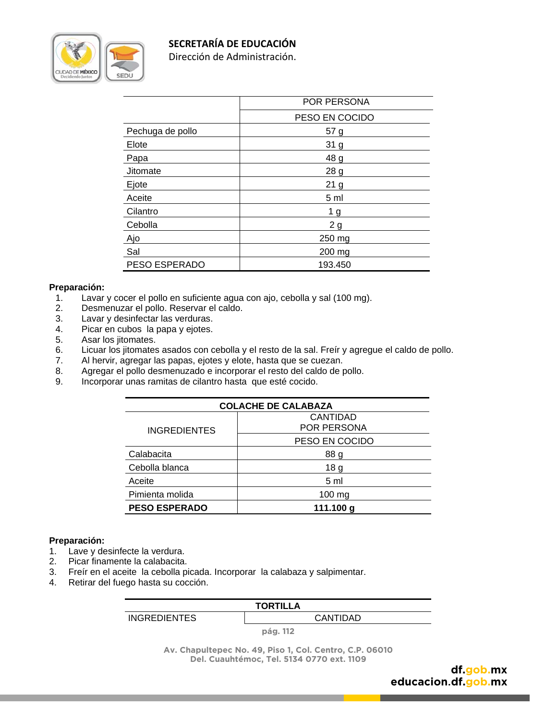

Dirección de Administración.

|                  | POR PERSONA    |  |
|------------------|----------------|--|
|                  | PESO EN COCIDO |  |
| Pechuga de pollo | 57 g           |  |
| Elote            | 31 g           |  |
| Papa             | 48 g           |  |
| Jitomate         | 28 g           |  |
| Ejote            | 21 g           |  |
| Aceite           | 5 <sub>m</sub> |  |
| Cilantro         | 1 <sub>g</sub> |  |
| Cebolla          | 2g             |  |
| Ajo              | 250 mg         |  |
| Sal              | 200 mg         |  |
| PESO ESPERADO    | 193.450        |  |

#### **Preparación:**

- 1. Lavar y cocer el pollo en suficiente agua con ajo, cebolla y sal (100 mg).
- 2. Desmenuzar el pollo. Reservar el caldo.
- 3. Lavar y desinfectar las verduras.
- 4. Picar en cubos la papa y ejotes.
- 5. Asar los jitomates.
- 6. Licuar los jitomates asados con cebolla y el resto de la sal. Freír y agregue el caldo de pollo.
- 7. Al hervir, agregar las papas, ejotes y elote, hasta que se cuezan.<br>8. Agregar el pollo desmenuzado e incorporar el resto del caldo de r
- 8. Agregar el pollo desmenuzado e incorporar el resto del caldo de pollo.<br>9. lo norporar unas ramitas de cilantro hasta que esté cocido.
- 9. Incorporar unas ramitas de cilantro hasta que esté cocido.

| <b>COLACHE DE CALABAZA</b> |                                |  |
|----------------------------|--------------------------------|--|
| <b>INGREDIENTES</b>        | <b>CANTIDAD</b><br>POR PERSONA |  |
|                            | PESO EN COCIDO                 |  |
| Calabacita                 | 88 g                           |  |
| Cebolla blanca             | 18 <sub>g</sub>                |  |
| Aceite                     | 5 <sub>m</sub>                 |  |
| Pimienta molida            | $100 \text{ mg}$               |  |
| <b>PESO ESPERADO</b>       | 111.100 g                      |  |

#### **Preparación:**

- 1. Lave y desinfecte la verdura.
- 2. Picar finamente la calabacita.
- 3. Freír en el aceite la cebolla picada. Incorporar la calabaza y salpimentar.
- 4. Retirar del fuego hasta su cocción.

#### **TORTILLA**

### INGREDIENTES CANTIDAD

**pág. 112** 

**Av. Chapultepec No. 49, Piso 1, Col. Centro, C.P. 06010 Del. Cuauhtémoc, Tel. 5134 0770 ext. 1109**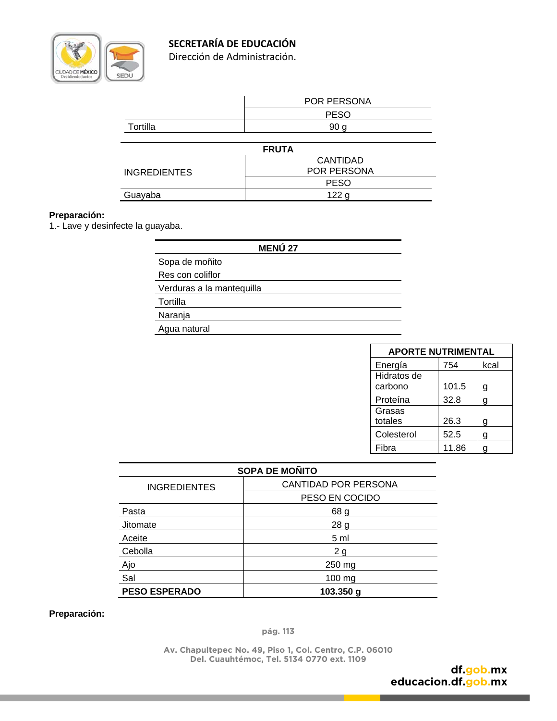

**SECRETARÍA DE EDUCACIÓN** Dirección de Administración.

 POR PERSONA PESO Tortilla 190 g **FRUTA**  INGREDIENTES CANTIDAD POR PERSONA **PESO** Guayaba **122 g** 

### **Preparación:**

1.- Lave y desinfecte la guayaba.

| MENÚ 27                   |  |  |
|---------------------------|--|--|
| Sopa de moñito            |  |  |
| Res con coliflor          |  |  |
| Verduras a la mantequilla |  |  |
| Tortilla                  |  |  |
| Naranja                   |  |  |
| Agua natural              |  |  |
|                           |  |  |

| <b>APORTE NUTRIMENTAL</b> |       |      |
|---------------------------|-------|------|
| Energía                   | 754   | kcal |
| Hidratos de               |       |      |
| carbono                   | 101.5 | g    |
| Proteína                  | 32.8  | g    |
| Grasas                    |       |      |
| totales                   | 26.3  | g    |
| Colesterol                | 52.5  | g    |
| Fibra                     | 11.86 |      |

| <b>SOPA DE MOÑITO</b> |                             |  |
|-----------------------|-----------------------------|--|
| <b>INGREDIENTES</b>   | <b>CANTIDAD POR PERSONA</b> |  |
|                       | PESO EN COCIDO              |  |
| Pasta                 | 68 g                        |  |
| <b>Jitomate</b>       | 28 <sub>g</sub>             |  |
| Aceite                | 5 <sub>m</sub>              |  |
| Cebolla               | 2g                          |  |
| Ajo                   | 250 mg                      |  |
| Sal                   | $100$ mg                    |  |
| <b>PESO ESPERADO</b>  | 103.350 g                   |  |

**Preparación:** 

**Av. Chapultepec No. 49, Piso 1, Col. Centro, C.P. 06010 Del. Cuauhtémoc, Tel. 5134 0770 ext. 1109**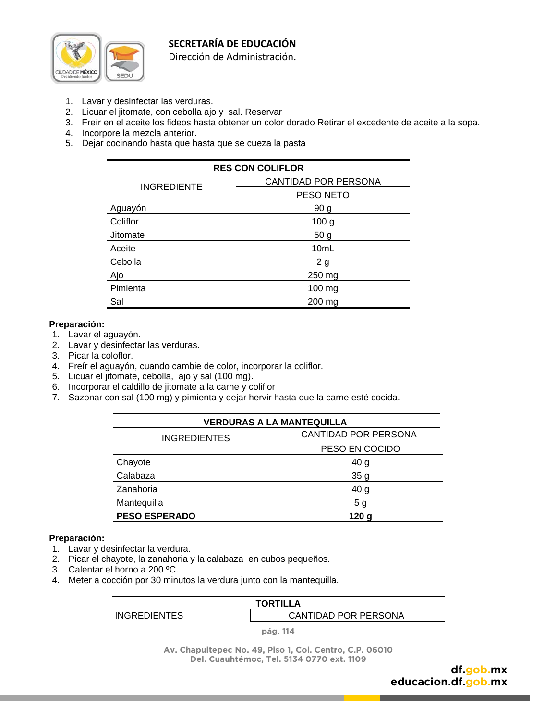

Dirección de Administración.

- 1. Lavar y desinfectar las verduras.
- 2. Licuar el jitomate, con cebolla ajo y sal. Reservar
- 3. Freír en el aceite los fideos hasta obtener un color dorado Retirar el excedente de aceite a la sopa.
- 4. Incorpore la mezcla anterior.
- 5. Dejar cocinando hasta que hasta que se cueza la pasta

| <b>RES CON COLIFLOR</b> |                             |  |
|-------------------------|-----------------------------|--|
| <b>INGREDIENTE</b>      | <b>CANTIDAD POR PERSONA</b> |  |
|                         | PESO NETO                   |  |
| Aguayón                 | 90 <sub>g</sub>             |  |
| Coliflor                | 100 <sub>g</sub>            |  |
| <b>Jitomate</b>         | 50 <sub>g</sub>             |  |
| Aceite                  | 10mL                        |  |
| Cebolla                 | 2 <sub>g</sub>              |  |
| Ajo                     | 250 mg                      |  |
| Pimienta                | $100$ mg                    |  |
| Sal                     | 200 mg                      |  |

#### **Preparación:**

- 1. Lavar el aguayón.
- 2. Lavar y desinfectar las verduras.
- 3. Picar la coloflor.
- 4. Freír el aguayón, cuando cambie de color, incorporar la coliflor.
- 5. Licuar el jitomate, cebolla, ajo y sal (100 mg).
- 6. Incorporar el caldillo de jitomate a la carne y coliflor
- 7. Sazonar con sal (100 mg) y pimienta y dejar hervir hasta que la carne esté cocida.

| <b>VERDURAS A LA MANTEQUILLA</b> |                             |  |
|----------------------------------|-----------------------------|--|
| <b>INGREDIENTES</b>              | <b>CANTIDAD POR PERSONA</b> |  |
|                                  | PESO EN COCIDO              |  |
| Chayote                          | 40 a                        |  |
| Calabaza                         | 35 <sub>g</sub>             |  |
| Zanahoria                        | 40 <sub>g</sub>             |  |
| Mantequilla                      | 5 <sub>q</sub>              |  |
| <b>PESO ESPERADO</b>             | 120 <sub>g</sub>            |  |

#### **Preparación:**

- 1. Lavar y desinfectar la verdura.
- 2. Picar el chayote, la zanahoria y la calabaza en cubos pequeños.
- 3. Calentar el horno a 200 ºC.
- 4. Meter a cocción por 30 minutos la verdura junto con la mantequilla.

| <b>TORTILLA</b>     |                             |
|---------------------|-----------------------------|
| <b>INGREDIENTES</b> | <b>CANTIDAD POR PERSONA</b> |
|                     |                             |

**pág. 114** 

**Av. Chapultepec No. 49, Piso 1, Col. Centro, C.P. 06010 Del. Cuauhtémoc, Tel. 5134 0770 ext. 1109**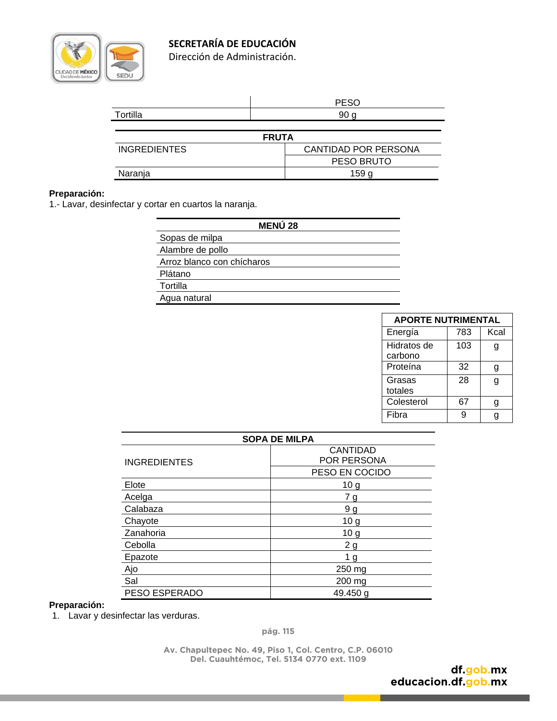

**SECRETARÍA DE EDUCACIÓN** Dirección de Administración.

|                     | <b>PESO</b>                 |  |  |
|---------------------|-----------------------------|--|--|
| Tortilla            | 90 a                        |  |  |
|                     |                             |  |  |
| <b>FRUTA</b>        |                             |  |  |
| <b>INGREDIENTES</b> | <b>CANTIDAD POR PERSONA</b> |  |  |
| <b>PESO BRUTO</b>   |                             |  |  |
| Naranja             | 159 a                       |  |  |

#### **Preparación:**

1.- Lavar, desinfectar y cortar en cuartos la naranja.

| MENÚ 28                    |  |
|----------------------------|--|
| Sopas de milpa             |  |
| Alambre de pollo           |  |
| Arroz blanco con chícharos |  |
| Plátano                    |  |
| Tortilla                   |  |
| Agua natural               |  |

| <b>APORTE NUTRIMENTAL</b> |     |      |
|---------------------------|-----|------|
| Energía                   | 783 | Kcal |
| Hidratos de<br>carbono    | 103 | g    |
| Proteína                  | 32  | g    |
| Grasas<br>totales         | 28  | g    |
| Colesterol                | 67  | g    |
| Fibra                     | g   | O    |

| <b>SOPA DE MILPA</b> |                 |  |
|----------------------|-----------------|--|
|                      | <b>CANTIDAD</b> |  |
| <b>INGREDIENTES</b>  | POR PERSONA     |  |
|                      | PESO EN COCIDO  |  |
| Elote                | 10 <sub>g</sub> |  |
| Acelga               | 7 g             |  |
| Calabaza             | 9 g             |  |
| Chayote              | 10 <sub>q</sub> |  |
| Zanahoria            | 10 <sub>g</sub> |  |
| Cebolla              | 2 <sub>g</sub>  |  |
| Epazote              | 1 g             |  |
| Ajo                  | 250 mg          |  |
| Sal                  | 200 mg          |  |
| PESO ESPERADO        | 49.450 g        |  |

## **Preparación:**

1. Lavar y desinfectar las verduras.

**Av. Chapultepec No. 49, Piso 1, Col. Centro, C.P. 06010 Del. Cuauhtémoc, Tel. 5134 0770 ext. 1109**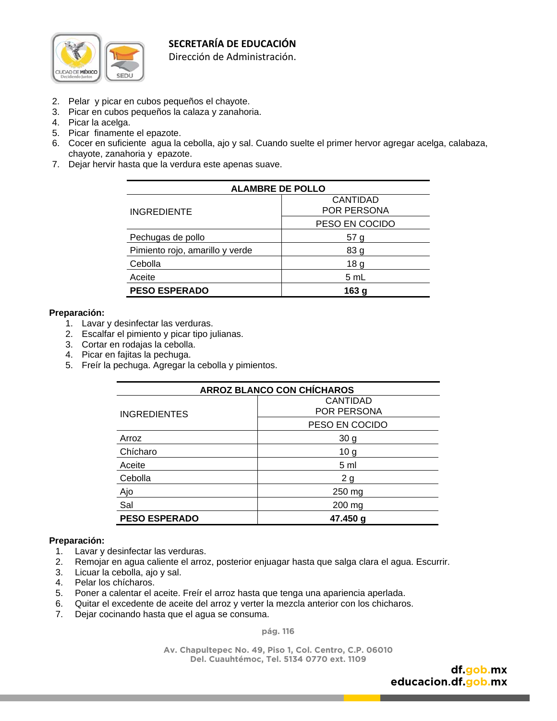

Dirección de Administración.

- 2. Pelar y picar en cubos pequeños el chayote.
- 3. Picar en cubos pequeños la calaza y zanahoria.
- 4. Picar la acelga.
- 5. Picar finamente el epazote.
- 6. Cocer en suficiente agua la cebolla, ajo y sal. Cuando suelte el primer hervor agregar acelga, calabaza, chayote, zanahoria y epazote.
- 7. Dejar hervir hasta que la verdura este apenas suave.

| <b>ALAMBRE DE POLLO</b>         |                  |  |
|---------------------------------|------------------|--|
|                                 | <b>CANTIDAD</b>  |  |
| <b>INGREDIENTE</b>              | POR PERSONA      |  |
|                                 | PESO EN COCIDO   |  |
| Pechugas de pollo               | 57 <sub>q</sub>  |  |
| Pimiento rojo, amarillo y verde | 83 <sub>g</sub>  |  |
| Cebolla                         | 18 <sub>g</sub>  |  |
| Aceite                          | 5 mL             |  |
| <b>PESO ESPERADO</b>            | 163 <sub>g</sub> |  |

#### **Preparación:**

- 1. Lavar y desinfectar las verduras.
- 2. Escalfar el pimiento y picar tipo julianas.
- 3. Cortar en rodajas la cebolla.
- 4. Picar en fajitas la pechuga.
- 5. Freír la pechuga. Agregar la cebolla y pimientos.

| <b>ARROZ BLANCO CON CHÍCHAROS</b> |                 |  |
|-----------------------------------|-----------------|--|
|                                   | <b>CANTIDAD</b> |  |
| <b>INGREDIENTES</b>               | POR PERSONA     |  |
|                                   | PESO EN COCIDO  |  |
| Arroz                             | 30 <sub>g</sub> |  |
| Chícharo                          | 10 <sub>g</sub> |  |
| Aceite                            | 5 <sub>m</sub>  |  |
| Cebolla                           | 2g              |  |
| Ajo                               | 250 mg          |  |
| Sal                               | 200 mg          |  |
| <b>PESO ESPERADO</b>              | 47.450 g        |  |

#### **Preparación:**

- 1. Lavar y desinfectar las verduras.
- 2. Remojar en agua caliente el arroz, posterior enjuagar hasta que salga clara el agua. Escurrir.
- 3. Licuar la cebolla, ajo y sal.
- 4. Pelar los chícharos.
- 5. Poner a calentar el aceite. Freír el arroz hasta que tenga una apariencia aperlada.
- 6. Quitar el excedente de aceite del arroz y verter la mezcla anterior con los chicharos.
- 7. Dejar cocinando hasta que el agua se consuma.

**pág. 116** 

**Av. Chapultepec No. 49, Piso 1, Col. Centro, C.P. 06010 Del. Cuauhtémoc, Tel. 5134 0770 ext. 1109**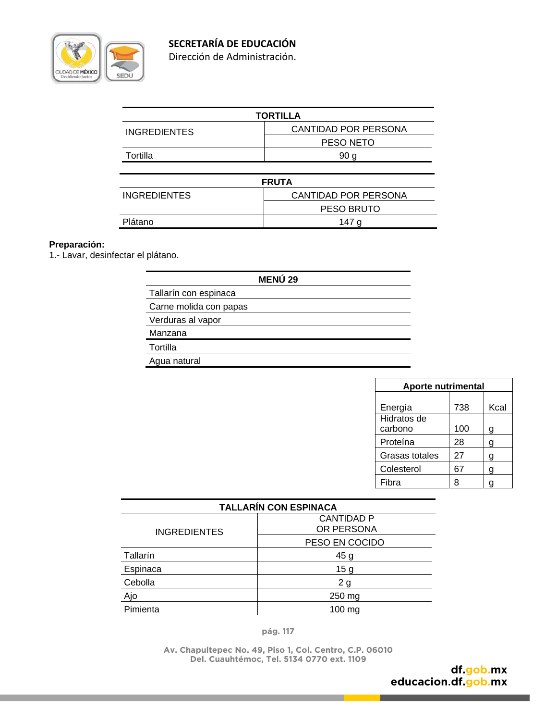

| <b>TORTILLA</b>     |                             |  |
|---------------------|-----------------------------|--|
| <b>INGREDIENTES</b> | <b>CANTIDAD POR PERSONA</b> |  |
|                     | PESO NETO                   |  |
| Tortilla            | 90 a                        |  |
|                     |                             |  |
| <b>FRUTA</b>        |                             |  |
| <b>INGREDIENTES</b> | <b>CANTIDAD POR PERSONA</b> |  |
|                     | <b>PESO BRUTO</b>           |  |
| Plátano             | 147 <sub>g</sub>            |  |

#### **Preparación:**

1.- Lavar, desinfectar el plátano.

| MENÚ 29                |  |
|------------------------|--|
| Tallarín con espinaca  |  |
| Carne molida con papas |  |
| Verduras al vapor      |  |
| Manzana                |  |
| Tortilla               |  |
| Agua natural           |  |

| <b>Aporte nutrimental</b> |     |      |
|---------------------------|-----|------|
| Energía                   | 738 | Kcal |
| Hidratos de<br>carbono    | 100 | g    |
| Proteína                  | 28  | g    |
| Grasas totales            | 27  | g    |
| Colesterol                | 67  | g    |
| Fibra                     | 8   |      |

| <b>TALLARÍN CON ESPINACA</b> |                                 |
|------------------------------|---------------------------------|
| <b>INGREDIENTES</b>          | <b>CANTIDAD P</b><br>OR PERSONA |
|                              | PESO EN COCIDO                  |
| Tallarín                     | 45 <sub>g</sub>                 |
| Espinaca                     | 15 <sub>g</sub>                 |
| Cebolla                      | 2 <sub>q</sub>                  |
| Ajo                          | 250 mg                          |
| Pimienta                     | $100 \text{ mg}$                |

**pág. 117** 

**Av. Chapultepec No. 49, Piso 1, Col. Centro, C.P. 06010 Del. Cuauhtémoc, Tel. 5134 0770 ext. 1109**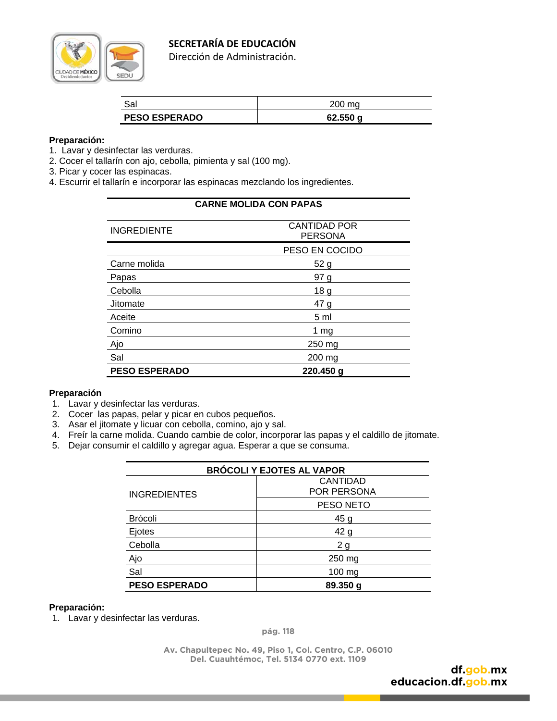

Dirección de Administración.

| <b>PESO ESPERADO</b> | $62.550$ g |
|----------------------|------------|

### **Preparación:**

- 1. Lavar y desinfectar las verduras.
- 2. Cocer el tallarín con ajo, cebolla, pimienta y sal (100 mg).
- 3. Picar y cocer las espinacas.
- 4. Escurrir el tallarín e incorporar las espinacas mezclando los ingredientes.

|                      | <b>CANTIDAD POR</b> |  |
|----------------------|---------------------|--|
| <b>INGREDIENTE</b>   | <b>PERSONA</b>      |  |
|                      |                     |  |
|                      | PESO EN COCIDO      |  |
| Carne molida         | 52 g                |  |
| Papas                | 97 g                |  |
| Cebolla              | 18 <sub>g</sub>     |  |
| Jitomate             | 47 g                |  |
| Aceite               | 5 <sub>m</sub>      |  |
| Comino               | 1 mg                |  |
| Ajo                  | 250 mg              |  |
| Sal                  | 200 mg              |  |
| <b>PESO ESPERADO</b> | 220.450 g           |  |

### **Preparación**

- 1. Lavar y desinfectar las verduras.
- 2. Cocer las papas, pelar y picar en cubos pequeños.
- 3. Asar el jitomate y licuar con cebolla, comino, ajo y sal.
- 4. Freír la carne molida. Cuando cambie de color, incorporar las papas y el caldillo de jitomate.
- 5. Dejar consumir el caldillo y agregar agua. Esperar a que se consuma.

| <b>BRÓCOLI Y EJOTES AL VAPOR</b> |                                |
|----------------------------------|--------------------------------|
| <b>INGREDIENTES</b>              | <b>CANTIDAD</b><br>POR PERSONA |
|                                  | PESO NETO                      |
| Brócoli                          | 45 <sub>g</sub>                |
| Ejotes                           | 42 g                           |
| Cebolla                          | 2 <sub>g</sub>                 |
| Ajo                              | 250 mg                         |
| Sal                              | $100 \text{ mg}$               |
| <b>PESO ESPERADO</b>             | 89.350 g                       |

#### **Preparación:**

1. Lavar y desinfectar las verduras.

L.

**Av. Chapultepec No. 49, Piso 1, Col. Centro, C.P. 06010 Del. Cuauhtémoc, Tel. 5134 0770 ext. 1109**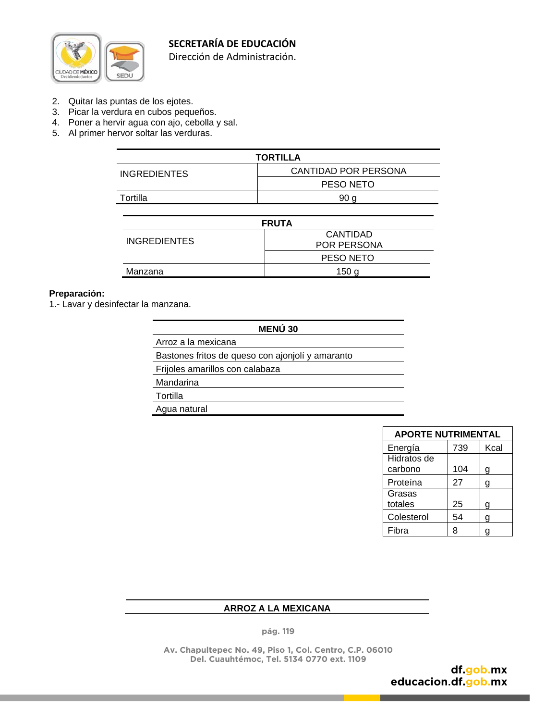

Dirección de Administración.

- 2. Quitar las puntas de los ejotes.
- 3. Picar la verdura en cubos pequeños.
- 4. Poner a hervir agua con ajo, cebolla y sal.
- 5. Al primer hervor soltar las verduras.

| <b>TORTILLA</b>     |                      |
|---------------------|----------------------|
| <b>INGREDIENTES</b> | CANTIDAD POR PERSONA |
|                     | PESO NETO            |
| Tortilla            | 90 a                 |

| <b>FRUTA</b>        |             |
|---------------------|-------------|
| <b>INGREDIENTES</b> | CANTIDAD    |
|                     | POR PERSONA |
|                     | PESO NETO   |
| Manzana             | 150 a       |
|                     |             |

### **Preparación:**

1.- Lavar y desinfectar la manzana.

| <b>MENÚ 30</b>                                   |  |
|--------------------------------------------------|--|
| Arroz a la mexicana                              |  |
| Bastones fritos de queso con ajonjolí y amaranto |  |
| Frijoles amarillos con calabaza                  |  |
| Mandarina                                        |  |
| Tortilla                                         |  |
| Agua natural                                     |  |

| <b>APORTE NUTRIMENTAL</b> |     |      |
|---------------------------|-----|------|
| Energía                   | 739 | Kcal |
| Hidratos de               |     |      |
| carbono                   | 104 | g    |
| Proteína                  | 27  | g    |
| Grasas                    |     |      |
| totales                   | 25  | g    |
| Colesterol                | 54  | g    |
| Fibra                     | 8   |      |

### **ARROZ A LA MEXICANA**

**pág. 119** 

**Av. Chapultepec No. 49, Piso 1, Col. Centro, C.P. 06010 Del. Cuauhtémoc, Tel. 5134 0770 ext. 1109**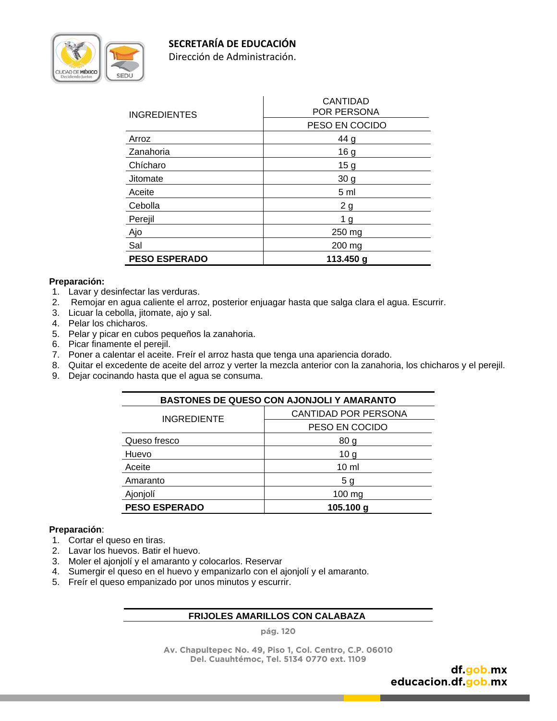

Dirección de Administración.

| <b>INGREDIENTES</b>  | <b>CANTIDAD</b><br>POR PERSONA |
|----------------------|--------------------------------|
|                      | PESO EN COCIDO                 |
| Arroz                | 44 g                           |
| Zanahoria            | 16 g                           |
| Chícharo             | 15 <sub>g</sub>                |
| <b>Jitomate</b>      | 30 <sub>g</sub>                |
| Aceite               | 5 <sub>ml</sub>                |
| Cebolla              | 2g                             |
| Perejil              | 1 g                            |
| Ajo                  | 250 mg                         |
| Sal                  | 200 mg                         |
| <b>PESO ESPERADO</b> | 113.450 g                      |

### **Preparación:**

- 1. Lavar y desinfectar las verduras.
- 2. Remojar en agua caliente el arroz, posterior enjuagar hasta que salga clara el agua. Escurrir.
- 3. Licuar la cebolla, jitomate, ajo y sal.
- 4. Pelar los chicharos.
- 5. Pelar y picar en cubos pequeños la zanahoria.
- 6. Picar finamente el perejil.
- 7. Poner a calentar el aceite. Freír el arroz hasta que tenga una apariencia dorado.
- 8. Quitar el excedente de aceite del arroz y verter la mezcla anterior con la zanahoria, los chicharos y el perejil.
- 9. Dejar cocinando hasta que el agua se consuma.

| <b>BASTONES DE QUESO CON AJONJOLI Y AMARANTO</b> |                      |
|--------------------------------------------------|----------------------|
| <b>INGREDIENTE</b>                               | CANTIDAD POR PERSONA |
|                                                  | PESO EN COCIDO       |
| Queso fresco                                     | 80 <sub>g</sub>      |
| Huevo                                            | 10 <sub>g</sub>      |
| Aceite                                           | $10 \mathrm{m}$      |
| Amaranto                                         | 5 <sub>q</sub>       |
| Ajonjolí                                         | $100$ mg             |
| <b>PESO ESPERADO</b>                             | 105.100 g            |

#### **Preparación**:

- 1. Cortar el queso en tiras.
- 2. Lavar los huevos. Batir el huevo.
- 3. Moler el ajonjolí y el amaranto y colocarlos. Reservar
- 4. Sumergir el queso en el huevo y empanizarlo con el ajonjolí y el amaranto.
- 5. Freír el queso empanizado por unos minutos y escurrir.

### **FRIJOLES AMARILLOS CON CALABAZA**

**pág. 120** 

**Av. Chapultepec No. 49, Piso 1, Col. Centro, C.P. 06010 Del. Cuauhtémoc, Tel. 5134 0770 ext. 1109**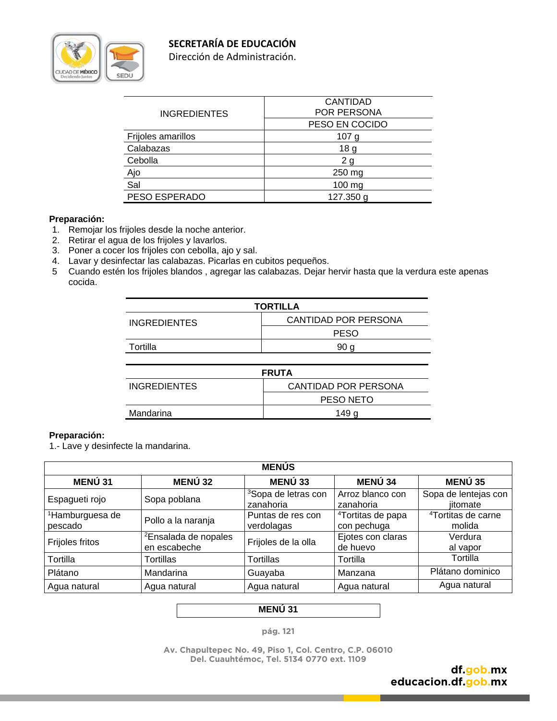

**CIUDAD DE MÉXICO SEDU** 

Dirección de Administración.

| <b>INGREDIENTES</b> | <b>CANTIDAD</b>  |
|---------------------|------------------|
|                     | POR PERSONA      |
|                     | PESO EN COCIDO   |
| Frijoles amarillos  | 107 <sub>g</sub> |
| Calabazas           | 18 <sub>g</sub>  |
| Cebolla             | 2g               |
| Ajo                 | 250 mg           |
| Sal                 | 100 mg           |
| PESO ESPERADO       | 127.350 g        |

### **Preparación:**

- 1. Remojar los frijoles desde la noche anterior.
- 2. Retirar el agua de los frijoles y lavarlos.
- 3. Poner a cocer los frijoles con cebolla, ajo y sal.
- 4. Lavar y desinfectar las calabazas. Picarlas en cubitos pequeños.
- 5 Cuando estén los frijoles blandos , agregar las calabazas. Dejar hervir hasta que la verdura este apenas cocida.

| <b>TORTILLA</b>     |                             |  |
|---------------------|-----------------------------|--|
| <b>INGREDIENTES</b> | <b>CANTIDAD POR PERSONA</b> |  |
|                     | <b>PESO</b>                 |  |
| Tortilla            | 90 a                        |  |
|                     |                             |  |

| <b>FRUTA</b>         |  |  |
|----------------------|--|--|
| CANTIDAD POR PERSONA |  |  |
| PESO NETO            |  |  |
| 149 a                |  |  |
|                      |  |  |

### **Preparación:**

1.- Lave y desinfecte la mandarina.

| <b>MENUS</b>                           |                                                  |                                              |                                              |                                          |
|----------------------------------------|--------------------------------------------------|----------------------------------------------|----------------------------------------------|------------------------------------------|
| MENÚ 31                                | MENÚ 32                                          | MENÚ 33                                      | <b>MENÚ 34</b>                               | MENÚ 35                                  |
| Espagueti rojo                         | Sopa poblana                                     | <sup>3</sup> Sopa de letras con<br>zanahoria | Arroz blanco con<br>zanahoria                | Sopa de lentejas con<br>iitomate         |
| <sup>1</sup> Hamburguesa de<br>pescado | Pollo a la naranja                               | Puntas de res con<br>verdolagas              | <sup>4</sup> Tortitas de papa<br>con pechuga | <sup>4</sup> Tortitas de carne<br>molida |
| Frijoles fritos                        | <sup>2</sup> Ensalada de nopales<br>en escabeche | Frijoles de la olla                          | Ejotes con claras<br>de huevo                | Verdura<br>al vapor                      |
| Tortilla                               | Tortillas                                        | Tortillas                                    | Tortilla                                     | Tortilla                                 |
| Plátano                                | Mandarina                                        | Guayaba                                      | Manzana                                      | Plátano dominico                         |
| Agua natural                           | Agua natural                                     | Agua natural                                 | Agua natural                                 | Agua natural                             |

### **MENÚ 31**

**pág. 121** 

**Av. Chapultepec No. 49, Piso 1, Col. Centro, C.P. 06010 Del. Cuauhtémoc, Tel. 5134 0770 ext. 1109**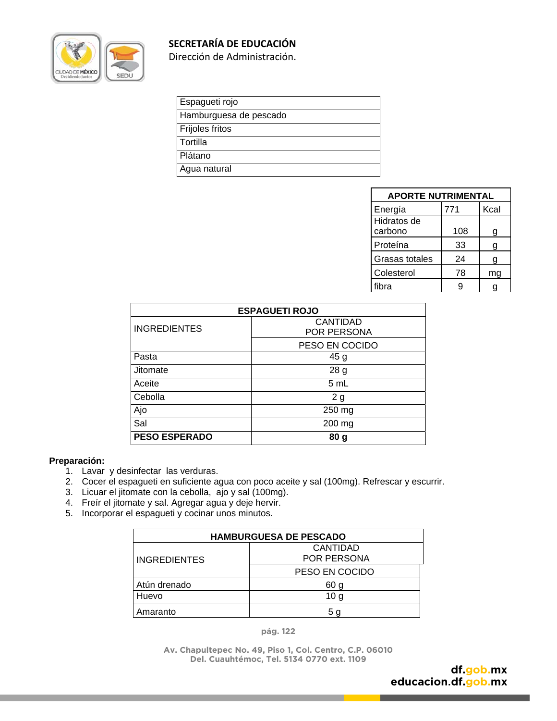Dirección de Administración.

| CIUDAD DE MÉXICO<br>Decidiendo Juntos | SEDU |
|---------------------------------------|------|

| Espagueti rojo         |
|------------------------|
| Hamburguesa de pescado |
| Frijoles fritos        |
| Tortilla               |
| <b>Plátano</b>         |
| Agua natural           |

| <b>APORTE NUTRIMENTAL</b> |     |      |  |
|---------------------------|-----|------|--|
| Energía                   | 771 | Kcal |  |
| Hidratos de               |     |      |  |
| carbono                   | 108 | g    |  |
| l Proteína                | 33  | g    |  |
| <b>Grasas totales</b>     | 24  | g    |  |
| Colesterol                | 78  | mg   |  |
| fibra                     |     |      |  |

| <b>ESPAGUETI ROJO</b> |                 |  |
|-----------------------|-----------------|--|
| <b>INGREDIENTES</b>   | <b>CANTIDAD</b> |  |
|                       | POR PERSONA     |  |
|                       | PESO EN COCIDO  |  |
| Pasta                 | 45 <sub>g</sub> |  |
| Jitomate              | 28 <sub>g</sub> |  |
| Aceite                | 5 mL            |  |
| Cebolla               | 2 <sub>g</sub>  |  |
| Ajo                   | 250 mg          |  |
| Sal                   | 200 mg          |  |
| <b>PESO ESPERADO</b>  | 80 g            |  |

### **Preparación:**

- 1. Lavar y desinfectar las verduras.
- 2. Cocer el espagueti en suficiente agua con poco aceite y sal (100mg). Refrescar y escurrir.
- 3. Licuar el jitomate con la cebolla, ajo y sal (100mg).
- 4. Freír el jitomate y sal. Agregar agua y deje hervir.
- 5. Incorporar el espagueti y cocinar unos minutos.

| <b>HAMBURGUESA DE PESCADO</b> |                                |  |
|-------------------------------|--------------------------------|--|
| <b>INGREDIENTES</b>           | <b>CANTIDAD</b><br>POR PERSONA |  |
|                               | PESO EN COCIDO                 |  |
| Atún drenado                  | 60 <sub>g</sub>                |  |
| Huevo                         | 10 <sub>g</sub>                |  |
| Amaranto                      | 5 a                            |  |

**pág. 122** 

**Av. Chapultepec No. 49, Piso 1, Col. Centro, C.P. 06010 Del. Cuauhtémoc, Tel. 5134 0770 ext. 1109**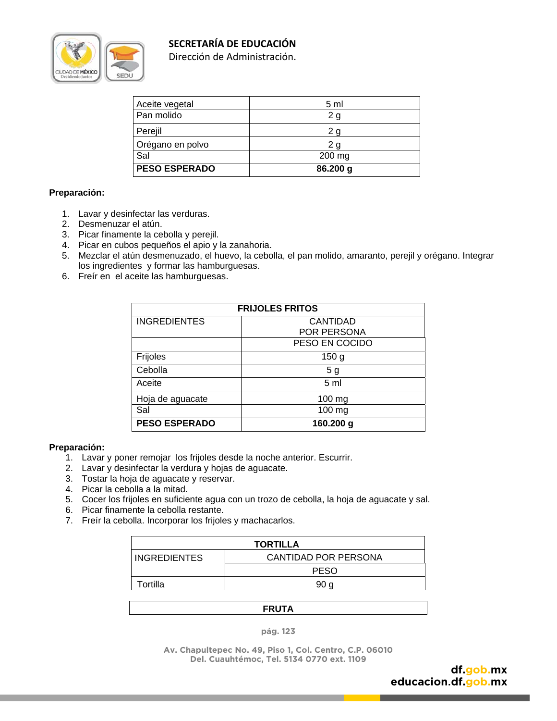

Dirección de Administración.

| Aceite vegetal<br>Pan molido | 5 <sub>m</sub><br>2 g |
|------------------------------|-----------------------|
| Perejil                      | 2 g                   |
| Orégano en polvo             | 2 a                   |
| Sal                          | 200 mg                |
| <b>PESO ESPERADO</b>         | 86.200 g              |

### **Preparación:**

- 1. Lavar y desinfectar las verduras.
- 2. Desmenuzar el atún.
- 3. Picar finamente la cebolla y perejil.
- 4. Picar en cubos pequeños el apio y la zanahoria.
- 5. Mezclar el atún desmenuzado, el huevo, la cebolla, el pan molido, amaranto, perejil y orégano. Integrar los ingredientes y formar las hamburguesas.
- 6. Freír en el aceite las hamburguesas.

| <b>FRIJOLES FRITOS</b> |                  |  |
|------------------------|------------------|--|
| <b>INGREDIENTES</b>    | <b>CANTIDAD</b>  |  |
|                        | POR PERSONA      |  |
|                        | PESO EN COCIDO   |  |
| Frijoles               | 150 <sub>g</sub> |  |
| Cebolla                | 5 <sub>g</sub>   |  |
| Aceite                 | 5 <sub>m</sub>   |  |
| Hoja de aguacate       | 100 mg           |  |
| Sal                    | 100 mg           |  |
| <b>PESO ESPERADO</b>   | 160.200 g        |  |

#### **Preparación:**

- 1. Lavar y poner remojar los frijoles desde la noche anterior. Escurrir.
- 2. Lavar y desinfectar la verdura y hojas de aguacate.
- 3. Tostar la hoja de aguacate y reservar.
- 4. Picar la cebolla a la mitad.
- 5. Cocer los frijoles en suficiente agua con un trozo de cebolla, la hoja de aguacate y sal.
- 6. Picar finamente la cebolla restante.
- 7. Freír la cebolla. Incorporar los frijoles y machacarlos.

| <b>TORTILLA</b>     |                      |  |
|---------------------|----------------------|--|
| <b>INGREDIENTES</b> | CANTIDAD POR PERSONA |  |
|                     | <b>PESO</b>          |  |
| Tortilla            | 90 a                 |  |

#### **FRUTA**

**pág. 123** 

**Av. Chapultepec No. 49, Piso 1, Col. Centro, C.P. 06010 Del. Cuauhtémoc, Tel. 5134 0770 ext. 1109**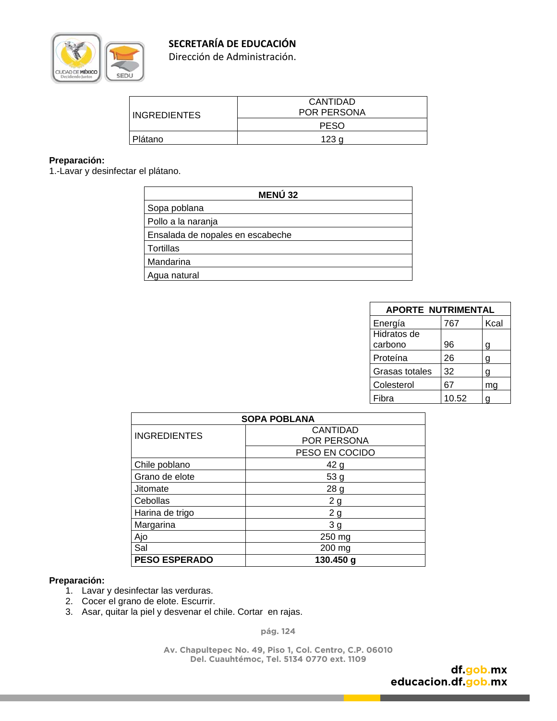

Dirección de Administración.

| <b>INGREDIENTES</b> | CANTIDAD<br>POR PERSONA |
|---------------------|-------------------------|
|                     | <b>PESO</b>             |
| Plátano             | 123 g                   |

### **Preparación:**

1.-Lavar y desinfectar el plátano.

| MENÚ 32                          |  |  |
|----------------------------------|--|--|
| Sopa poblana                     |  |  |
| Pollo a la naranja               |  |  |
| Ensalada de nopales en escabeche |  |  |
| Tortillas                        |  |  |
| Mandarina                        |  |  |
| Agua natural                     |  |  |

| <b>APORTE NUTRIMENTAL</b> |       |      |
|---------------------------|-------|------|
| Energía                   | 767   | Kcal |
| Hidratos de               |       |      |
| carbono                   | 96    | g    |
| Proteína                  | 26    | g    |
| Grasas totales            | 32    | g    |
| Colesterol                | 67    | ma   |
| Fibra                     | 10.52 | q    |

| <b>SOPA POBLANA</b>  |                 |  |
|----------------------|-----------------|--|
| <b>INGREDIENTES</b>  | <b>CANTIDAD</b> |  |
|                      | POR PERSONA     |  |
|                      | PESO EN COCIDO  |  |
| Chile poblano        | 42 g            |  |
| Grano de elote       | 53 <sub>g</sub> |  |
| <b>Jitomate</b>      | 28 g            |  |
| Cebollas             | 2 <sub>g</sub>  |  |
| Harina de trigo      | 2 <sub>g</sub>  |  |
| Margarina            | 3 <sub>g</sub>  |  |
| Ajo<br>Sal           | 250 mg          |  |
|                      | 200 mg          |  |
| <b>PESO ESPERADO</b> | 130.450 g       |  |

## **Preparación:**

- 1. Lavar y desinfectar las verduras.
- 2. Cocer el grano de elote. Escurrir.
- 3. Asar, quitar la piel y desvenar el chile. Cortar en rajas.

**pág. 124** 

**Av. Chapultepec No. 49, Piso 1, Col. Centro, C.P. 06010 Del. Cuauhtémoc, Tel. 5134 0770 ext. 1109**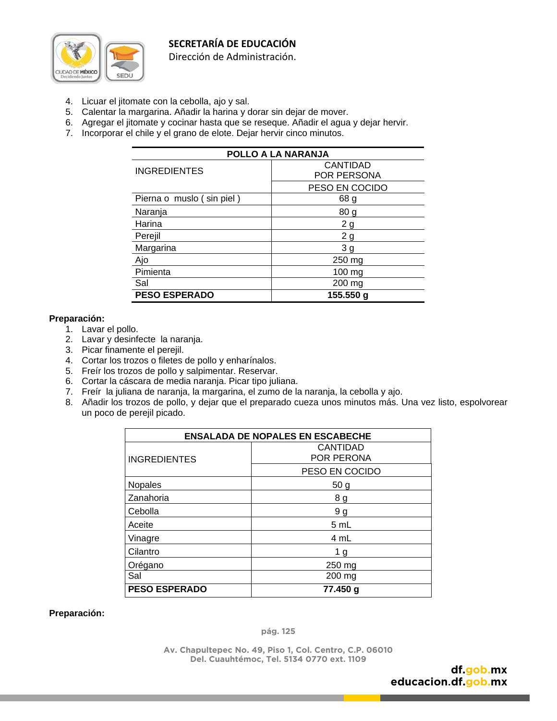

Dirección de Administración.

- 4. Licuar el jitomate con la cebolla, ajo y sal.
- 5. Calentar la margarina. Añadir la harina y dorar sin dejar de mover.
- 6. Agregar el jitomate y cocinar hasta que se reseque. Añadir el agua y dejar hervir.
- 7. Incorporar el chile y el grano de elote. Dejar hervir cinco minutos.

| POLLO A LA NARANJA        |                 |  |
|---------------------------|-----------------|--|
| <b>INGREDIENTES</b>       | <b>CANTIDAD</b> |  |
|                           | POR PERSONA     |  |
|                           | PESO EN COCIDO  |  |
| Pierna o muslo (sin piel) | 68 g            |  |
| Naranja                   | 80 g            |  |
| Harina                    | 2g              |  |
| Perejil                   | 2 <sub>g</sub>  |  |
| Margarina                 | 3 <sub>g</sub>  |  |
| Ajo                       | 250 mg          |  |
| Pimienta                  | 100 mg          |  |
| Sal                       | 200 mg          |  |
| <b>PESO ESPERADO</b>      | 155.550 g       |  |

#### **Preparación:**

- 1. Lavar el pollo.
- 2. Lavar y desinfecte la naranja.
- 3. Picar finamente el perejil.
- 4. Cortar los trozos o filetes de pollo y enharínalos.
- 5. Freír los trozos de pollo y salpimentar. Reservar.
- 6. Cortar la cáscara de media naranja. Picar tipo juliana.
- 7. Freír la juliana de naranja, la margarina, el zumo de la naranja, la cebolla y ajo.
- 8. Añadir los trozos de pollo, y dejar que el preparado cueza unos minutos más. Una vez listo, espolvorear un poco de perejil picado.

| <b>ENSALADA DE NOPALES EN ESCABECHE</b> |                               |  |
|-----------------------------------------|-------------------------------|--|
| <b>INGREDIENTES</b>                     | <b>CANTIDAD</b><br>POR PERONA |  |
|                                         | PESO EN COCIDO                |  |
| Nopales                                 | 50 <sub>g</sub>               |  |
| Zanahoria                               | 8 g                           |  |
| Cebolla                                 | 9 <sub>q</sub>                |  |
| Aceite                                  | 5 mL                          |  |
| Vinagre                                 | 4 mL                          |  |
| Cilantro                                | 1 <sub>g</sub>                |  |
| Orégano                                 | 250 mg                        |  |
| Sal                                     | 200 mg                        |  |
| <b>PESO ESPERADO</b>                    | 77.450 g                      |  |

#### **Preparación:**

**Av. Chapultepec No. 49, Piso 1, Col. Centro, C.P. 06010 Del. Cuauhtémoc, Tel. 5134 0770 ext. 1109**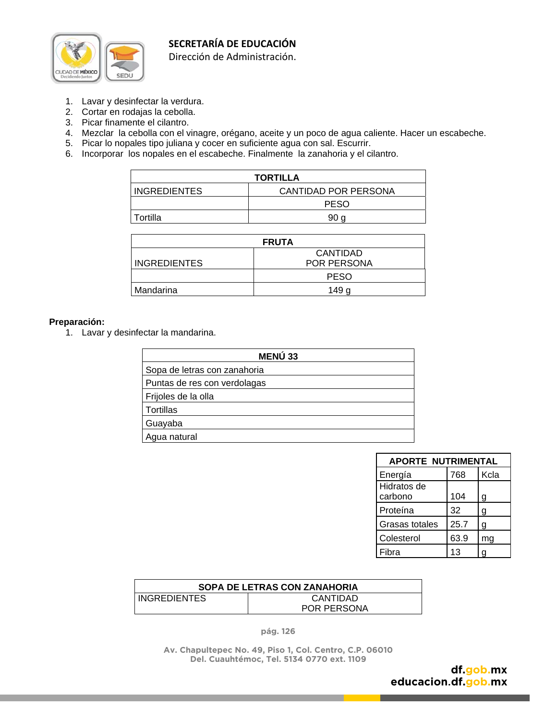

Dirección de Administración.

- 1. Lavar y desinfectar la verdura.
- 2. Cortar en rodajas la cebolla.
- 3. Picar finamente el cilantro.
- 4. Mezclar la cebolla con el vinagre, orégano, aceite y un poco de agua caliente. Hacer un escabeche.
- 5. Picar lo nopales tipo juliana y cocer en suficiente agua con sal. Escurrir.
- 6. Incorporar los nopales en el escabeche. Finalmente la zanahoria y el cilantro.

| <b>TORTILLA</b>     |                      |  |
|---------------------|----------------------|--|
| <b>INGREDIENTES</b> | CANTIDAD POR PERSONA |  |
|                     | <b>PESO</b>          |  |
| l Tortilla          | 90 a                 |  |

| <b>FRUTA</b>   |                    |
|----------------|--------------------|
|                | CANTIDAD           |
| I INGREDIENTES | <b>POR PERSONA</b> |
|                | <b>PESO</b>        |
| l Mandarina    | 149 a              |

#### **Preparación:**

1. Lavar y desinfectar la mandarina.

| MENÚ 33                      |  |
|------------------------------|--|
| Sopa de letras con zanahoria |  |
| Puntas de res con verdolagas |  |
| Frijoles de la olla          |  |
| Tortillas                    |  |
| Guayaba                      |  |
| Agua natural                 |  |

| <b>APORTE NUTRIMENTAL</b> |      |      |
|---------------------------|------|------|
| Energía                   | 768  | Kcla |
| Hidratos de               |      |      |
| carbono                   | 104  | g    |
| Proteína                  | 32   | g    |
| Grasas totales            | 25.7 | g    |
| Colesterol                | 63.9 | mg   |
| Fibra                     | 13   |      |

| <b>SOPA DE LETRAS CON ZANAHORIA</b> |             |
|-------------------------------------|-------------|
| <b>INGREDIENTES</b>                 | CANTIDAD    |
|                                     | POR PERSONA |

**pág. 126** 

**Av. Chapultepec No. 49, Piso 1, Col. Centro, C.P. 06010 Del. Cuauhtémoc, Tel. 5134 0770 ext. 1109**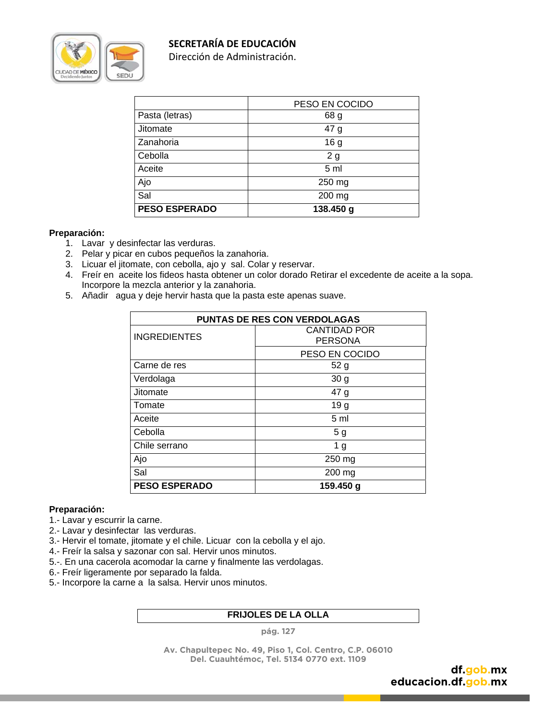

Dirección de Administración.

|                      | PESO EN COCIDO  |
|----------------------|-----------------|
| Pasta (letras)       | 68 g            |
| <b>Jitomate</b>      | 47 <sub>g</sub> |
| Zanahoria            | 16 <sub>g</sub> |
| Cebolla              | 2 <sub>g</sub>  |
| Aceite               | 5 <sub>ml</sub> |
| Ajo                  | 250 mg          |
| Sal                  | 200 mg          |
| <b>PESO ESPERADO</b> | 138.450 g       |

### **Preparación:**

- 1. Lavar y desinfectar las verduras.
- 2. Pelar y picar en cubos pequeños la zanahoria.
- 3. Licuar el jitomate, con cebolla, ajo y sal. Colar y reservar.
- 4. Freír en aceite los fideos hasta obtener un color dorado Retirar el excedente de aceite a la sopa. Incorpore la mezcla anterior y la zanahoria.
- 5. Añadir agua y deje hervir hasta que la pasta este apenas suave.

| PUNTAS DE RES CON VERDOLAGAS |                     |  |
|------------------------------|---------------------|--|
| <b>INGREDIENTES</b>          | <b>CANTIDAD POR</b> |  |
|                              | <b>PERSONA</b>      |  |
|                              | PESO EN COCIDO      |  |
| Carne de res                 | 52 <sub>g</sub>     |  |
| Verdolaga                    | 30 <sub>g</sub>     |  |
| Jitomate                     | 47 g                |  |
| Tomate                       | 19 <sub>g</sub>     |  |
| Aceite                       | 5 <sub>m</sub>      |  |
| Cebolla                      | 5 <sub>g</sub>      |  |
| Chile serrano                | 1 <sub>g</sub>      |  |
| Ajo                          | 250 mg              |  |
| Sal                          | 200 mg              |  |
| <b>PESO ESPERADO</b>         | 159.450 g           |  |

#### **Preparación:**

- 1.- Lavar y escurrir la carne.
- 2.- Lavar y desinfectar las verduras.
- 3.- Hervir el tomate, jitomate y el chile. Licuar con la cebolla y el ajo.
- 4.- Freír la salsa y sazonar con sal. Hervir unos minutos.
- 5.-. En una cacerola acomodar la carne y finalmente las verdolagas.
- 6.- Freír ligeramente por separado la falda.
- 5.- Incorpore la carne a la salsa. Hervir unos minutos.

#### **FRIJOLES DE LA OLLA**

**pág. 127** 

**Av. Chapultepec No. 49, Piso 1, Col. Centro, C.P. 06010 Del. Cuauhtémoc, Tel. 5134 0770 ext. 1109**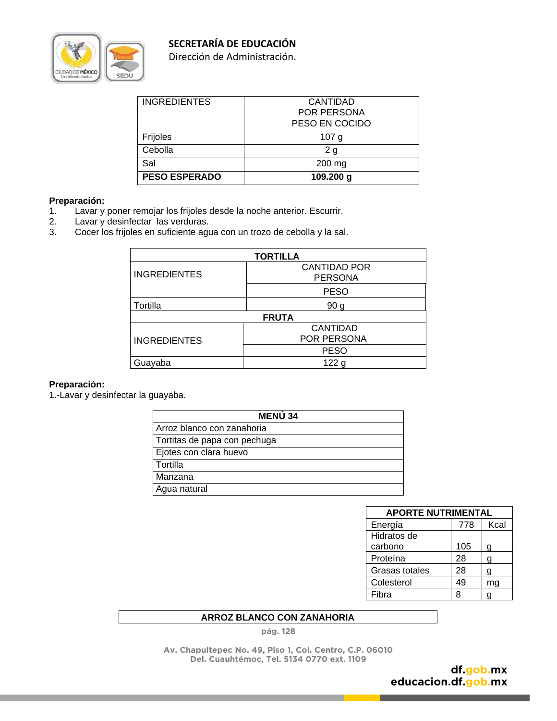

Dirección de Administración.

| <b>INGREDIENTES</b>  | <b>CANTIDAD</b><br>POR PERSONA |
|----------------------|--------------------------------|
|                      | PESO EN COCIDO                 |
| Frijoles             | 107 <sub>g</sub>               |
| Cebolla              | 2g                             |
| Sal                  | 200 mg                         |
| <b>PESO ESPERADO</b> | 109.200 g                      |

### **Preparación:**

- 1. Lavar y poner remojar los frijoles desde la noche anterior. Escurrir.
- 2. Lavar y desinfectar las verduras.
- 3. Cocer los frijoles en suficiente agua con un trozo de cebolla y la sal.

| <b>TORTILLA</b>     |                                       |  |
|---------------------|---------------------------------------|--|
| <b>INGREDIENTES</b> | <b>CANTIDAD POR</b><br><b>PERSONA</b> |  |
|                     |                                       |  |
|                     | <b>PESO</b>                           |  |
| Tortilla            | 90 <sub>g</sub>                       |  |
| <b>FRUTA</b>        |                                       |  |
|                     | <b>CANTIDAD</b>                       |  |
| <b>INGREDIENTES</b> | POR PERSONA                           |  |
|                     | <b>PESO</b>                           |  |
| Guayaba             | 122g                                  |  |

### **Preparación:**

1.-Lavar y desinfectar la guayaba.

| <b>MENU 34</b>               |
|------------------------------|
| Arroz blanco con zanahoria   |
| Tortitas de papa con pechuga |
| Ejotes con clara huevo       |
| Tortilla                     |
| Manzana                      |
| Agua natural                 |

| <b>APORTE NUTRIMENTAL</b> |     |      |
|---------------------------|-----|------|
| Energía                   | 778 | Kcal |
| Hidratos de               |     |      |
| carbono                   | 105 | g    |
| Proteína                  | 28  | q    |
| Grasas totales            | 28  | g    |
| Colesterol                | 49  | mg   |
| Fibra                     | 8   |      |

### **ARROZ BLANCO CON ZANAHORIA**

**pág. 128** 

**Av. Chapultepec No. 49, Piso 1, Col. Centro, C.P. 06010 Del. Cuauhtémoc, Tel. 5134 0770 ext. 1109**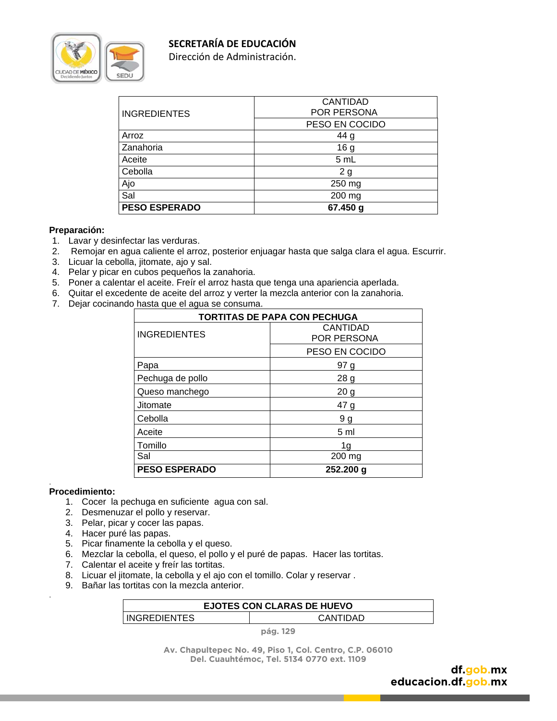

|                      | <b>CANTIDAD</b><br>POR PERSONA |  |
|----------------------|--------------------------------|--|
| <b>INGREDIENTES</b>  |                                |  |
|                      | PESO EN COCIDO                 |  |
| Arroz                | 44 g                           |  |
| Zanahoria            | 16 <sub>g</sub>                |  |
| Aceite               | 5 mL                           |  |
| Cebolla              | 2g                             |  |
| Ajo                  | 250 mg                         |  |
| Sal                  | 200 mg                         |  |
| <b>PESO ESPERADO</b> | 67.450 g                       |  |

#### **Preparación:**

- 1. Lavar y desinfectar las verduras.
- 2. Remojar en agua caliente el arroz, posterior enjuagar hasta que salga clara el agua. Escurrir.
- 3. Licuar la cebolla, jitomate, ajo y sal.
- 4. Pelar y picar en cubos pequeños la zanahoria.
- 5. Poner a calentar el aceite. Freír el arroz hasta que tenga una apariencia aperlada.
- 6. Quitar el excedente de aceite del arroz y verter la mezcla anterior con la zanahoria.
- 7. Dejar cocinando hasta que el agua se consuma.

| <b>TORTITAS DE PAPA CON PECHUGA</b> |                                |  |
|-------------------------------------|--------------------------------|--|
| <b>INGREDIENTES</b>                 | <b>CANTIDAD</b><br>POR PERSONA |  |
|                                     | PESO EN COCIDO                 |  |
| Papa                                | 97 g                           |  |
| Pechuga de pollo                    | 28 <sub>g</sub>                |  |
| Queso manchego                      | 20 <sub>g</sub>                |  |
| <b>Jitomate</b>                     | 47 g                           |  |
| Cebolla                             | 9 g                            |  |
| Aceite                              | 5 <sub>ml</sub>                |  |
| Tomillo                             | 1 <sub>g</sub>                 |  |
| Sal                                 | 200 mg                         |  |
| <b>PESO ESPERADO</b>                | $252.200$ g                    |  |

#### . **Procedimiento:**

- 1. Cocer la pechuga en suficiente agua con sal.
- 2. Desmenuzar el pollo y reservar.
- 3. Pelar, picar y cocer las papas.
- 4. Hacer puré las papas.
- 5. Picar finamente la cebolla y el queso.
- 6. Mezclar la cebolla, el queso, el pollo y el puré de papas. Hacer las tortitas.
- 7. Calentar el aceite y freír las tortitas.
- 8. Licuar el jitomate, la cebolla y el ajo con el tomillo. Colar y reservar .
- 9. Bañar las tortitas con la mezcla anterior. .

| <b>EJOTES CON CLARAS DE HUEVO</b> |          |  |
|-----------------------------------|----------|--|
| <b>INGREDIENTES</b>               | CANTIDAD |  |
|                                   |          |  |

**pág. 129** 

**Av. Chapultepec No. 49, Piso 1, Col. Centro, C.P. 06010 Del. Cuauhtémoc, Tel. 5134 0770 ext. 1109**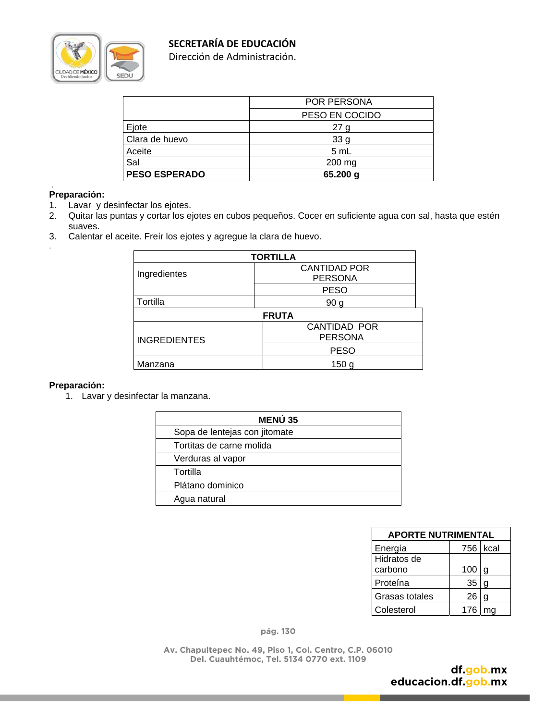



Dirección de Administración.

|                      | POR PERSONA     |
|----------------------|-----------------|
|                      | PESO EN COCIDO  |
| Ejote                | 27 a            |
| Clara de huevo       | 33 <sub>g</sub> |
| Aceite               | 5 mL            |
| Sal                  | 200 mg          |
| <b>PESO ESPERADO</b> | 65.200 g        |

### **Preparación:**

.

- 1. Lavar y desinfectar los ejotes.
- 2. Quitar las puntas y cortar los ejotes en cubos pequeños. Cocer en suficiente agua con sal, hasta que estén suaves.
- 3. Calentar el aceite. Freír los ejotes y agregue la clara de huevo. .

| <b>TORTILLA</b>     |                     |  |
|---------------------|---------------------|--|
| Ingredientes        | <b>CANTIDAD POR</b> |  |
|                     | <b>PERSONA</b>      |  |
|                     | <b>PESO</b>         |  |
| Tortilla            | 90 <sub>g</sub>     |  |
| <b>FRUTA</b>        |                     |  |
|                     | <b>CANTIDAD POR</b> |  |
| <b>INGREDIENTES</b> | <b>PERSONA</b>      |  |
|                     | <b>PESO</b>         |  |
| Manzana             | 150 g               |  |

### **Preparación:**

1. Lavar y desinfectar la manzana.

| MENÚ 35                       |  |
|-------------------------------|--|
| Sopa de lentejas con jitomate |  |
| Tortitas de carne molida      |  |
| Verduras al vapor             |  |
| Tortilla                      |  |
| Plátano dominico              |  |
| Agua natural                  |  |

| <b>APORTE NUTRIMENTAL</b> |     |          |
|---------------------------|-----|----------|
| Energía                   |     | 756 kcal |
| <b>Hidratos</b> de        |     |          |
| carbono                   | 100 | q        |
| Proteína                  | 35  | a        |
| Grasas totales            | 26  | a        |
| Colesterol                | 176 |          |

**pág. 130** 

**Av. Chapultepec No. 49, Piso 1, Col. Centro, C.P. 06010 Del. Cuauhtémoc, Tel. 5134 0770 ext. 1109**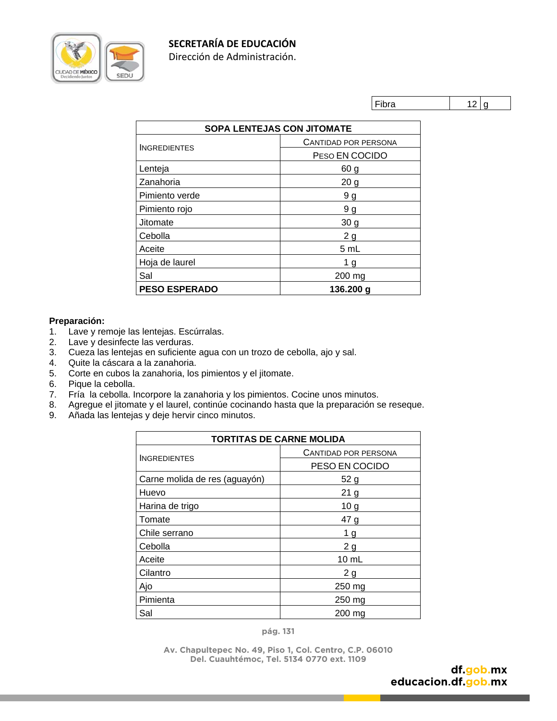

Dirección de Administración.

Fibra  $\begin{array}{ccc} \vert & 12 \vert g \end{array}$ 

| <b>SOPA LENTEJAS CON JITOMATE</b> |                             |  |
|-----------------------------------|-----------------------------|--|
| <b>INGREDIENTES</b>               | <b>CANTIDAD POR PERSONA</b> |  |
|                                   | PESO EN COCIDO              |  |
| Lenteja                           | 60 g                        |  |
| Zanahoria                         | 20 <sub>g</sub>             |  |
| Pimiento verde                    | 9 g                         |  |
| Pimiento rojo                     | 9 g                         |  |
| <b>Jitomate</b>                   | 30 <sub>q</sub>             |  |
| Cebolla                           | 2g                          |  |
| Aceite                            | 5 mL                        |  |
| Hoja de laurel                    | 1 <sub>g</sub>              |  |
| Sal                               | 200 mg                      |  |
| <b>PESO ESPERADO</b>              | 136.200 g                   |  |

#### **Preparación:**

- 1. Lave y remoje las lentejas. Escúrralas.
- 2. Lave y desinfecte las verduras.
- 3. Cueza las lentejas en suficiente agua con un trozo de cebolla, ajo y sal.
- 4. Quite la cáscara a la zanahoria.
- 5. Corte en cubos la zanahoria, los pimientos y el jitomate.
- 6. Pique la cebolla.
- 7. Fría la cebolla. Incorpore la zanahoria y los pimientos. Cocine unos minutos.
- 8. Agregue el jitomate y el laurel, continúe cocinando hasta que la preparación se reseque.
- 9. Añada las lentejas y deje hervir cinco minutos.

| <b>TORTITAS DE CARNE MOLIDA</b> |                      |  |
|---------------------------------|----------------------|--|
| <b>INGREDIENTES</b>             | CANTIDAD POR PERSONA |  |
|                                 | PESO EN COCIDO       |  |
| Carne molida de res (aguayón)   | 52 g                 |  |
| Huevo                           | 21 <sub>g</sub>      |  |
| Harina de trigo                 | 10 <sub>g</sub>      |  |
| Tomate                          | 47 g                 |  |
| Chile serrano                   | 1 <sub>g</sub>       |  |
| Cebolla                         | 2g                   |  |
| Aceite                          | 10 mL                |  |
| Cilantro                        | 2 <sub>g</sub>       |  |
| Ajo                             | 250 mg               |  |
| Pimienta                        | 250 mg               |  |
| Sal                             | 200 mg               |  |

**Av. Chapultepec No. 49, Piso 1, Col. Centro, C.P. 06010 Del. Cuauhtémoc, Tel. 5134 0770 ext. 1109**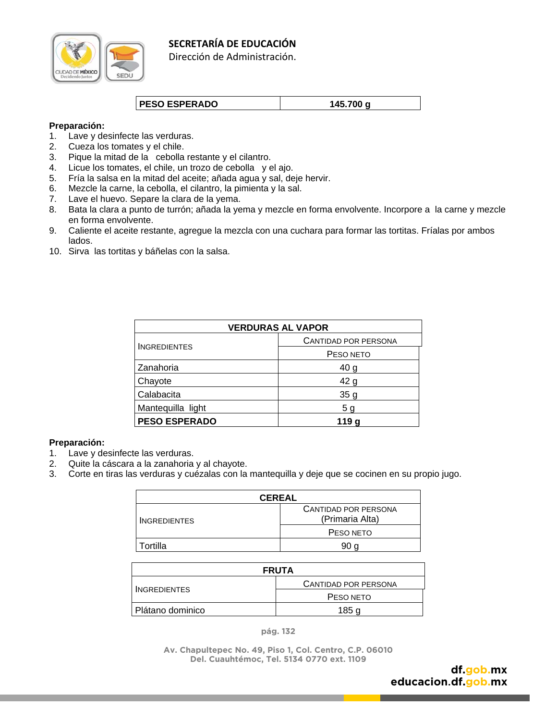

Dirección de Administración.

| <b>PESO ESPERADO</b> | 145.700 g |
|----------------------|-----------|
|----------------------|-----------|

### **Preparación:**

DAD DE MÉXICO

1. Lave y desinfecte las verduras.

**SEDL** 

- 2. Cueza los tomates y el chile.
- 3. Pique la mitad de la cebolla restante y el cilantro.
- 4. Licue los tomates, el chile, un trozo de cebolla y el ajo.
- 5. Fría la salsa en la mitad del aceite; añada agua y sal, deje hervir.
- 6. Mezcle la carne, la cebolla, el cilantro, la pimienta y la sal.
- 7. Lave el huevo. Separe la clara de la yema.
- 8. Bata la clara a punto de turrón; añada la yema y mezcle en forma envolvente. Incorpore a la carne y mezcle en forma envolvente.
- 9. Caliente el aceite restante, agregue la mezcla con una cuchara para formar las tortitas. Fríalas por ambos lados.
- 10. Sirva las tortitas y báñelas con la salsa.

| <b>VERDURAS AL VAPOR</b> |                             |  |
|--------------------------|-----------------------------|--|
| <b>INGREDIENTES</b>      | <b>CANTIDAD POR PERSONA</b> |  |
|                          | PESO NETO                   |  |
| Zanahoria                | 40 g                        |  |
| Chayote                  | 42 <sub>g</sub>             |  |
| Calabacita               | 35 <sub>g</sub>             |  |
| Mantequilla light        | 5 <sub>g</sub>              |  |
| <b>PESO ESPERADO</b>     | 119 <sub>g</sub>            |  |

#### **Preparación:**

- 1. Lave y desinfecte las verduras.
- 2. Quite la cáscara a la zanahoria y al chayote.
- 3. Corte en tiras las verduras y cuézalas con la mantequilla y deje que se cocinen en su propio jugo.

| <b>CEREAL</b>       |                                                |  |
|---------------------|------------------------------------------------|--|
| <b>INGREDIENTES</b> | <b>CANTIDAD POR PERSONA</b><br>(Primaria Alta) |  |
|                     | PESO NETO                                      |  |
| ortilla             |                                                |  |

| <b>FRUTA</b>        |                      |  |
|---------------------|----------------------|--|
| <b>INGREDIENTES</b> | CANTIDAD POR PERSONA |  |
|                     | PESO NETO            |  |
| l Plátano dominico  | 185 a                |  |

**pág. 132** 

**Av. Chapultepec No. 49, Piso 1, Col. Centro, C.P. 06010 Del. Cuauhtémoc, Tel. 5134 0770 ext. 1109**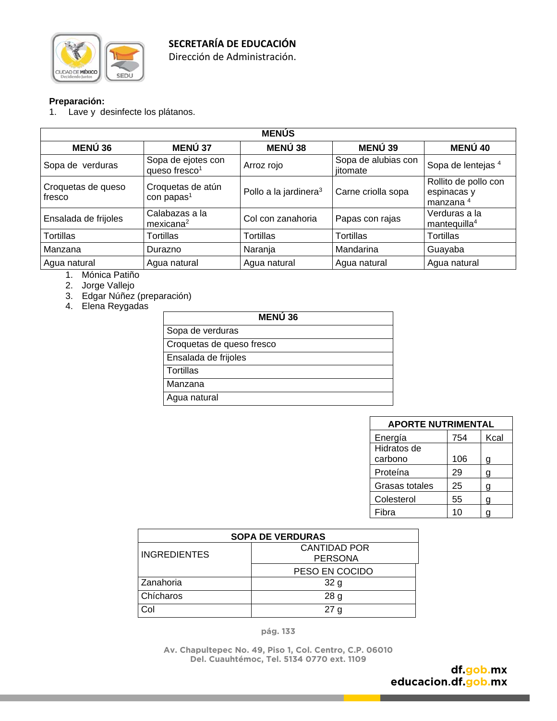

**SECRETARÍA DE EDUCACIÓN** Dirección de Administración.

## **Preparación:**

1. Lave y desinfecte los plátanos.

| <b>MENÚS</b>                       |                                                 |                                   |                                 |                                                             |
|------------------------------------|-------------------------------------------------|-----------------------------------|---------------------------------|-------------------------------------------------------------|
| MENÚ 36                            | <b>MENÚ 37</b>                                  | <b>MENÚ 38</b>                    | MENÚ 39                         | <b>MENÚ 40</b>                                              |
| Sopa de verduras                   | Sopa de ejotes con<br>queso fresco <sup>1</sup> | Arroz rojo                        | Sopa de alubias con<br>jitomate | Sopa de lentejas <sup>4</sup>                               |
| Croquetas de queso<br>fresco       | Croquetas de atún<br>con papas <sup>1</sup>     | Pollo a la jardinera <sup>3</sup> | Carne criolla sopa              | Rollito de pollo con<br>espinacas y<br>manzana <sup>4</sup> |
| Ensalada de frijoles               | Calabazas a la<br>mexicana <sup>2</sup>         | Col con zanahoria                 | Papas con rajas                 | Verduras a la<br>mantequilla <sup>4</sup>                   |
| Tortillas                          | Tortillas                                       | Tortillas                         | Tortillas                       | Tortillas                                                   |
| Manzana                            | Durazno                                         | Naranja                           | Mandarina                       | Guayaba                                                     |
| Agua natural<br>.<br>$\sim$ $\sim$ | Agua natural                                    | Agua natural                      | Agua natural                    | Agua natural                                                |

- 1. Mónica Patiño
- 2. Jorge Vallejo
- 3. Edgar Núñez (preparación)
- 4. Elena Reygadas

| MENÚ 36                   |
|---------------------------|
| Sopa de verduras          |
| Croquetas de queso fresco |
| Ensalada de frijoles      |
| Tortillas                 |
| Manzana                   |
| Agua natural              |

| <b>APORTE NUTRIMENTAL</b> |     |      |
|---------------------------|-----|------|
| Energía                   | 754 | Kcal |
| Hidratos de               |     |      |
| carbono                   | 106 | g    |
| Proteína                  | 29  | g    |
| Grasas totales            | 25  | g    |
| Colesterol                | 55  |      |
| Fibra                     |     |      |

| <b>SOPA DE VERDURAS</b> |                                       |  |
|-------------------------|---------------------------------------|--|
| <b>INGREDIENTES</b>     | <b>CANTIDAD POR</b><br><b>PERSONA</b> |  |
|                         | PESO EN COCIDO                        |  |
| Zanahoria               | 32 <sub>g</sub>                       |  |
| Chícharos               | 28 <sub>g</sub>                       |  |
| Col                     | 27 <sub>a</sub>                       |  |

**pág. 133** 

**Av. Chapultepec No. 49, Piso 1, Col. Centro, C.P. 06010 Del. Cuauhtémoc, Tel. 5134 0770 ext. 1109**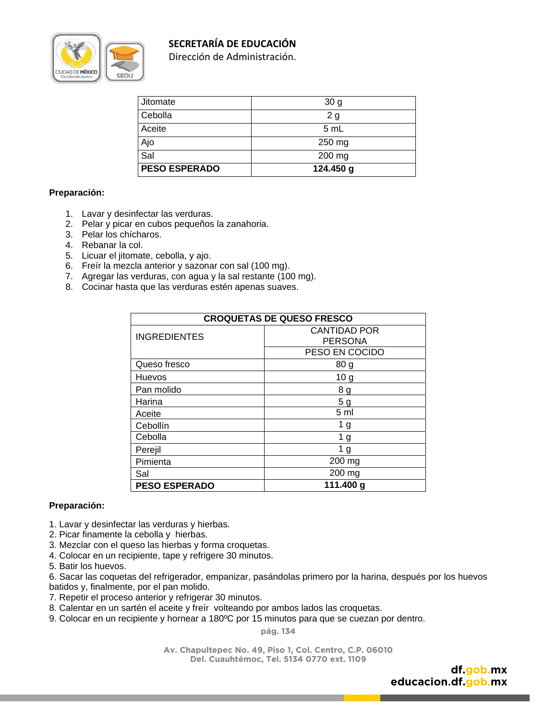

Dirección de Administración.

| Jitomate             | 30 <sub>g</sub> |
|----------------------|-----------------|
| Cebolla              | 2g              |
| Aceite               | 5 mL            |
| Ajo                  | 250 mg          |
| Sal                  | 200 mg          |
| <b>PESO ESPERADO</b> | 124.450 g       |

### **Preparación:**

- 1. Lavar y desinfectar las verduras.
- 2. Pelar y picar en cubos pequeños la zanahoria.
- 3. Pelar los chícharos.
- 4. Rebanar la col.
- 5. Licuar el jitomate, cebolla, y ajo.
- 6. Freír la mezcla anterior y sazonar con sal (100 mg).
- 7. Agregar las verduras, con agua y la sal restante (100 mg).
- 8. Cocinar hasta que las verduras estén apenas suaves.

| <b>CROQUETAS DE QUESO FRESCO</b> |                     |  |
|----------------------------------|---------------------|--|
| <b>INGREDIENTES</b>              | <b>CANTIDAD POR</b> |  |
|                                  | <b>PERSONA</b>      |  |
|                                  | PESO EN COCIDO      |  |
| Queso fresco                     | 80 <sub>g</sub>     |  |
| <b>Huevos</b>                    | 10 <sub>g</sub>     |  |
| Pan molido                       | 8 g                 |  |
| Harina                           | 5 <sub>g</sub>      |  |
| Aceite                           | 5 <sub>ml</sub>     |  |
| Cebollín                         | 1 g                 |  |
| Cebolla                          | 1 <sub>g</sub>      |  |
| Perejil                          | 1 <sub>g</sub>      |  |
| Pimienta                         | 200 mg              |  |
| Sal                              | 200 mg              |  |
| <b>PESO ESPERADO</b>             | 111.400 g           |  |

### **Preparación:**

- 1. Lavar y desinfectar las verduras y hierbas.
- 2. Picar finamente la cebolla y hierbas.
- 3. Mezclar con el queso las hierbas y forma croquetas.
- 4. Colocar en un recipiente, tape y refrigere 30 minutos.
- 5. Batir los huevos.

6. Sacar las coquetas del refrigerador, empanizar, pasándolas primero por la harina, después por los huevos batidos y, finalmente, por el pan molido.

- 7. Repetir el proceso anterior y refrigerar 30 minutos.
- 8. Calentar en un sartén el aceite y freír volteando por ambos lados las croquetas.
- 9. Colocar en un recipiente y hornear a 180ºC por 15 minutos para que se cuezan por dentro.

**pág. 134** 

**Av. Chapultepec No. 49, Piso 1, Col. Centro, C.P. 06010 Del. Cuauhtémoc, Tel. 5134 0770 ext. 1109**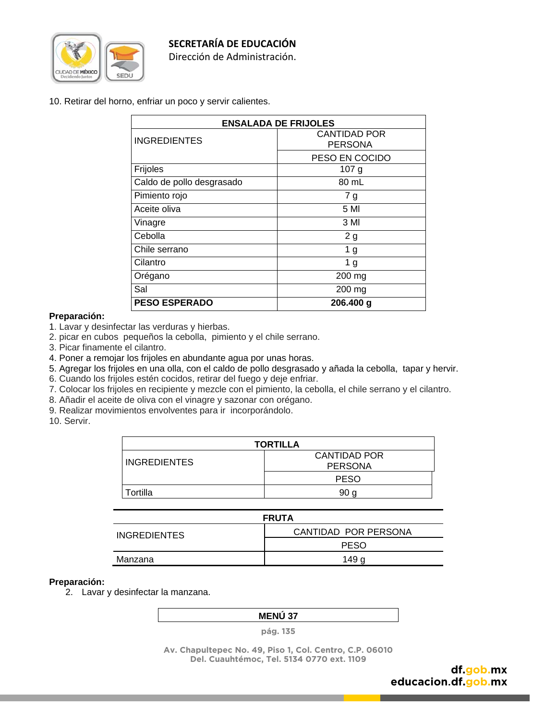

10. Retirar del horno, enfriar un poco y servir calientes.

| <b>ENSALADA DE FRIJOLES</b> |                                       |  |
|-----------------------------|---------------------------------------|--|
| <b>INGREDIENTES</b>         | <b>CANTIDAD POR</b><br><b>PERSONA</b> |  |
|                             | PESO EN COCIDO                        |  |
| Frijoles                    | 107 <sub>g</sub>                      |  |
| Caldo de pollo desgrasado   | 80 mL                                 |  |
| Pimiento rojo               | 7g                                    |  |
| Aceite oliva                | 5 MI                                  |  |
| Vinagre                     | 3 MI                                  |  |
| Cebolla                     | 2g                                    |  |
| Chile serrano               | 1 <sub>g</sub>                        |  |
| Cilantro                    | 1 <sub>g</sub>                        |  |
| Orégano                     | 200 mg                                |  |
| Sal                         | 200 mg                                |  |
| <b>PESO ESPERADO</b>        | $206.400$ g                           |  |

### **Preparación:**

- 1. Lavar y desinfectar las verduras y hierbas.
- 2. picar en cubos pequeños la cebolla, pimiento y el chile serrano.
- 3. Picar finamente el cilantro.
- 4. Poner a remojar los frijoles en abundante agua por unas horas.
- 5. Agregar los frijoles en una olla, con el caldo de pollo desgrasado y añada la cebolla, tapar y hervir.
- 6. Cuando los frijoles estén cocidos, retirar del fuego y deje enfriar.
- 7. Colocar los frijoles en recipiente y mezcle con el pimiento, la cebolla, el chile serrano y el cilantro.
- 8. Añadir el aceite de oliva con el vinagre y sazonar con orégano.
- 9. Realizar movimientos envolventes para ir incorporándolo.

10. Servir.

| <b>TORTILLA</b>     |                     |  |
|---------------------|---------------------|--|
| <b>INGREDIENTES</b> | <b>CANTIDAD POR</b> |  |
|                     | <b>PERSONA</b>      |  |
|                     | <b>PESO</b>         |  |
| Tortilla            | 90 a                |  |

| <b>FRUTA</b>        |                      |  |
|---------------------|----------------------|--|
| <b>INGREDIENTES</b> | CANTIDAD POR PERSONA |  |
|                     | <b>PESO</b>          |  |
| Manzana             | 149 a                |  |
|                     |                      |  |

#### **Preparación:**

2. Lavar y desinfectar la manzana.

**MENÚ 37** 

**pág. 135** 

**Av. Chapultepec No. 49, Piso 1, Col. Centro, C.P. 06010 Del. Cuauhtémoc, Tel. 5134 0770 ext. 1109**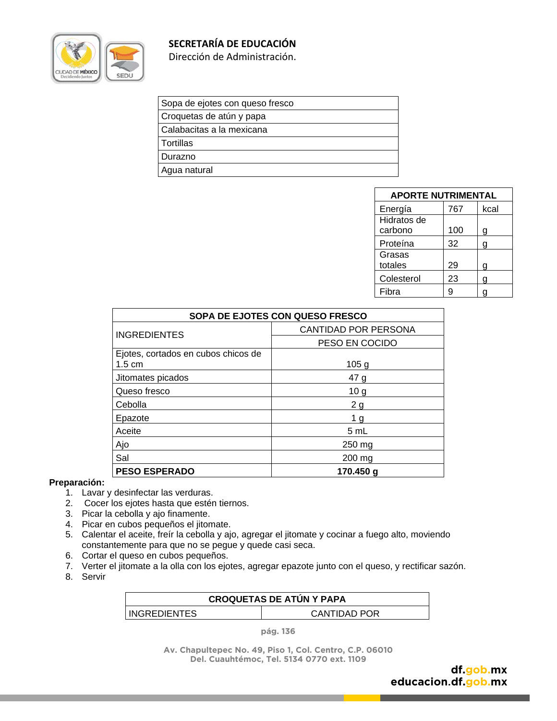

**SEDL** 

# **SECRETARÍA DE EDUCACIÓN**

Dirección de Administración.

| Sopa de ejotes con queso fresco |
|---------------------------------|
| Croquetas de atún y papa        |
| l Calabacitas a la mexicana     |
| Tortillas                       |
| Durazno                         |
| Agua natural                    |

| <b>APORTE NUTRIMENTAL</b> |     |      |
|---------------------------|-----|------|
|                           |     |      |
| Energía                   | 767 | kcal |
| Hidratos de               |     |      |
| carbono                   | 100 | g    |
| Proteína                  | 32  | g    |
| Grasas                    |     |      |
| totales                   | 29  | g    |
| Colesterol                | 23  |      |
| Fibra                     | g   |      |

| SOPA DE EJOTES CON QUESO FRESCO     |                             |  |
|-------------------------------------|-----------------------------|--|
| <b>INGREDIENTES</b>                 | <b>CANTIDAD POR PERSONA</b> |  |
|                                     | PESO EN COCIDO              |  |
| Ejotes, cortados en cubos chicos de |                             |  |
| $1.5 \text{ cm}$                    | 105 <sub>g</sub>            |  |
| Jitomates picados                   | 47 g                        |  |
| Queso fresco                        | 10 <sub>g</sub>             |  |
| Cebolla                             | 2g                          |  |
| Epazote                             | 1 g                         |  |
| Aceite                              | 5 mL                        |  |
| Ajo                                 | 250 mg                      |  |
| Sal                                 | $200 \text{ mg}$            |  |
| <b>PESO ESPERADO</b>                | 170.450 g                   |  |

#### **Preparación:**

- 1. Lavar y desinfectar las verduras.
- 2. Cocer los ejotes hasta que estén tiernos.
- 3. Picar la cebolla y ajo finamente.
- 4. Picar en cubos pequeños el jitomate.
- 5. Calentar el aceite, freír la cebolla y ajo, agregar el jitomate y cocinar a fuego alto, moviendo constantemente para que no se pegue y quede casi seca.
- 6. Cortar el queso en cubos pequeños.
- 7. Verter el jitomate a la olla con los ejotes, agregar epazote junto con el queso, y rectificar sazón.
- 8. Servir



INGREDIENTES | CANTIDAD POR

**pág. 136** 

**Av. Chapultepec No. 49, Piso 1, Col. Centro, C.P. 06010 Del. Cuauhtémoc, Tel. 5134 0770 ext. 1109**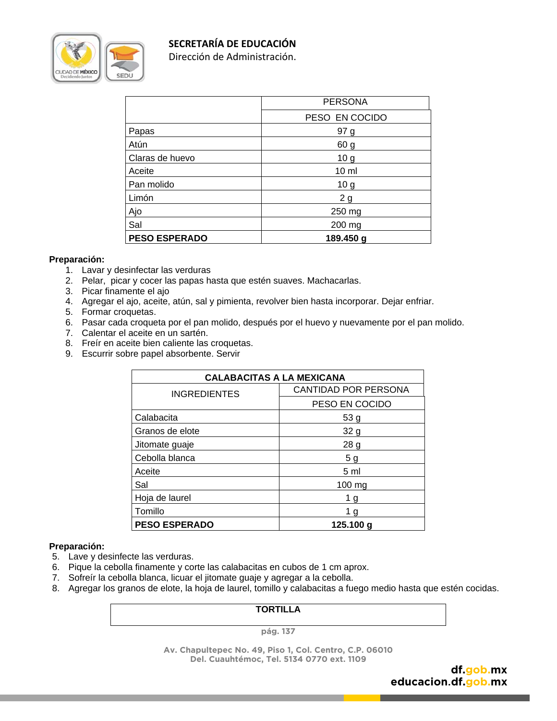

Dirección de Administración.

|                      | <b>PERSONA</b>  |  |
|----------------------|-----------------|--|
|                      | PESO EN COCIDO  |  |
| Papas                | 97 g            |  |
| Atún                 | 60 <sub>g</sub> |  |
| Claras de huevo      | 10 <sub>g</sub> |  |
| Aceite               | $10 \mathrm{m}$ |  |
| Pan molido           | 10 <sub>g</sub> |  |
| Limón                | 2 <sub>g</sub>  |  |
| Ajo                  | 250 mg          |  |
| Sal                  | 200 mg          |  |
| <b>PESO ESPERADO</b> | 189.450 g       |  |

### **Preparación:**

- 1. Lavar y desinfectar las verduras
- 2. Pelar, picar y cocer las papas hasta que estén suaves. Machacarlas.
- 3. Picar finamente el ajo
- 4. Agregar el ajo, aceite, atún, sal y pimienta, revolver bien hasta incorporar. Dejar enfriar.
- 5. Formar croquetas.
- 6. Pasar cada croqueta por el pan molido, después por el huevo y nuevamente por el pan molido.
- 7. Calentar el aceite en un sartén.
- 8. Freír en aceite bien caliente las croquetas.
- 9. Escurrir sobre papel absorbente. Servir

| <b>CALABACITAS A LA MEXICANA</b> |                             |  |
|----------------------------------|-----------------------------|--|
| <b>INGREDIENTES</b>              | <b>CANTIDAD POR PERSONA</b> |  |
|                                  | PESO EN COCIDO              |  |
| Calabacita                       | 53 <sub>g</sub>             |  |
| Granos de elote                  | 32 <sub>g</sub>             |  |
| Jitomate guaje                   | 28 <sub>g</sub>             |  |
| Cebolla blanca                   | 5 <sub>g</sub>              |  |
| Aceite                           | 5 <sub>ml</sub>             |  |
| Sal                              | 100 mg                      |  |
| Hoja de laurel                   | 1 g                         |  |
| Tomillo                          | 1 a                         |  |
| <b>PESO ESPERADO</b>             | 125.100 q                   |  |

### **Preparación:**

- 5. Lave y desinfecte las verduras.
- 6. Pique la cebolla finamente y corte las calabacitas en cubos de 1 cm aprox.
- 7. Sofreír la cebolla blanca, licuar el jitomate guaje y agregar a la cebolla.
- 8. Agregar los granos de elote, la hoja de laurel, tomillo y calabacitas a fuego medio hasta que estén cocidas.

### **TORTILLA**

**pág. 137** 

**Av. Chapultepec No. 49, Piso 1, Col. Centro, C.P. 06010 Del. Cuauhtémoc, Tel. 5134 0770 ext. 1109**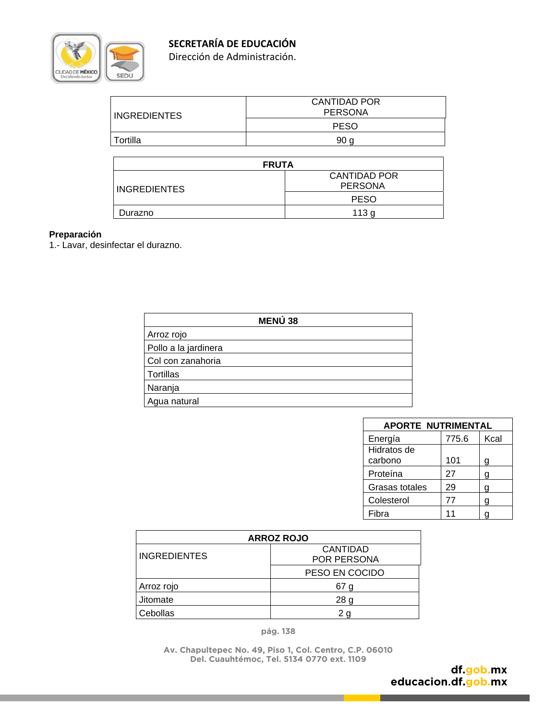

**SECRETARÍA DE EDUCACIÓN** Dirección de Administración.

| INGREDIENTES | <b>CANTIDAD POR</b><br><b>PERSONA</b> |
|--------------|---------------------------------------|
|              | <b>PESO</b>                           |
| Tortilla     | 90 a                                  |

| <b>FRUTA</b>        |                     |  |
|---------------------|---------------------|--|
| <b>INGREDIENTES</b> | <b>CANTIDAD POR</b> |  |
|                     | <b>PERSONA</b>      |  |
|                     | <b>PESO</b>         |  |
| Durazno             | 113 g               |  |

### **Preparación**

1.- Lavar, desinfectar el durazno.

| MENÚ 38              |  |
|----------------------|--|
| Arroz rojo           |  |
| Pollo a la jardinera |  |
| Col con zanahoria    |  |
| Tortillas            |  |
| Naranja              |  |
| Agua natural         |  |

| <b>APORTE NUTRIMENTAL</b> |       |      |
|---------------------------|-------|------|
| Energía                   | 775.6 | Kcal |
| <b>Hidratos de</b>        |       |      |
| carbono                   | 101   |      |
| Proteína                  | 27    |      |
| Grasas totales            | 29    |      |
| Colesterol                | 77    |      |
| Fibra                     |       |      |

| <b>ARROZ ROJO</b>                                     |                 |  |
|-------------------------------------------------------|-----------------|--|
| <b>CANTIDAD</b><br><b>INGREDIENTES</b><br>POR PERSONA |                 |  |
|                                                       | PESO EN COCIDO  |  |
| Arroz rojo                                            | 67 a            |  |
| <b>Jitomate</b>                                       | 28 <sub>g</sub> |  |
| Cebollas                                              | 2 a             |  |

**pág. 138** 

**Av. Chapultepec No. 49, Piso 1, Col. Centro, C.P. 06010 Del. Cuauhtémoc, Tel. 5134 0770 ext. 1109**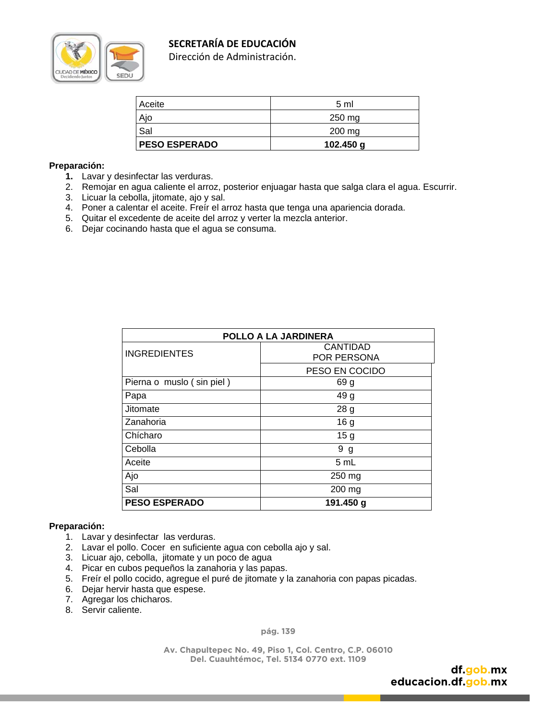

Dirección de Administración.

| l Aceite             | 5 <sub>m</sub>   |
|----------------------|------------------|
| Ajo                  | $250 \text{ mg}$ |
| Sal                  | 200 mg           |
| <b>PESO ESPERADO</b> | 102.450 q        |

#### **Preparación:**

- **1.** Lavar y desinfectar las verduras.
- 2. Remojar en agua caliente el arroz, posterior enjuagar hasta que salga clara el agua. Escurrir.
- 3. Licuar la cebolla, jitomate, ajo y sal.
- 4. Poner a calentar el aceite. Freír el arroz hasta que tenga una apariencia dorada.
- 5. Quitar el excedente de aceite del arroz y verter la mezcla anterior.
- 6. Dejar cocinando hasta que el agua se consuma.

| POLLO A LA JARDINERA      |                                |
|---------------------------|--------------------------------|
| <b>INGREDIENTES</b>       | <b>CANTIDAD</b><br>POR PERSONA |
|                           | PESO EN COCIDO                 |
| Pierna o muslo (sin piel) | 69 g                           |
| Papa                      | 49 g                           |
| <b>Jitomate</b>           | 28 <sub>g</sub>                |
| Zanahoria                 | 16 <sub>g</sub>                |
| Chícharo                  | 15 <sub>g</sub>                |
| Cebolla                   | 9 g                            |
| Aceite                    | 5 mL                           |
| Ajo                       | 250 mg                         |
| Sal                       | 200 mg                         |
| <b>PESO ESPERADO</b>      | 191.450 g                      |

#### **Preparación:**

- 1. Lavar y desinfectar las verduras.
- 2. Lavar el pollo. Cocer en suficiente agua con cebolla ajo y sal.
- 3. Licuar ajo, cebolla, jitomate y un poco de agua
- 4. Picar en cubos pequeños la zanahoria y las papas.
- 5. Freír el pollo cocido, agregue el puré de jitomate y la zanahoria con papas picadas.
- 6. Dejar hervir hasta que espese.
- 7. Agregar los chicharos.
- 8. Servir caliente.

#### **pág. 139**

**Av. Chapultepec No. 49, Piso 1, Col. Centro, C.P. 06010 Del. Cuauhtémoc, Tel. 5134 0770 ext. 1109**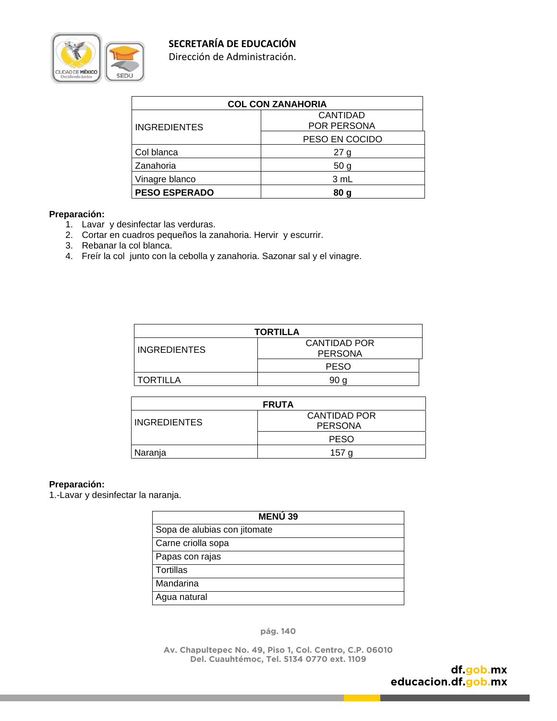

| <b>COL CON ZANAHORIA</b> |                 |
|--------------------------|-----------------|
| <b>INGREDIENTES</b>      | <b>CANTIDAD</b> |
|                          | POR PERSONA     |
|                          | PESO EN COCIDO  |
| Col blanca               | 27 a            |
| Zanahoria                | 50 <sub>g</sub> |
| Vinagre blanco           | 3 mL            |
| <b>PESO ESPERADO</b>     | 80 q            |

### **Preparación:**

- 1. Lavar y desinfectar las verduras.
- 2. Cortar en cuadros pequeños la zanahoria. Hervir y escurrir.
- 3. Rebanar la col blanca.
- 4. Freír la col junto con la cebolla y zanahoria. Sazonar sal y el vinagre.

| <b>TORTILLA</b>     |                     |
|---------------------|---------------------|
| <b>INGREDIENTES</b> | <b>CANTIDAD POR</b> |
|                     | <b>PERSONA</b>      |
|                     | <b>PESO</b>         |
| I TORTILLA          | 90 a                |

| <b>FRUTA</b>        |                     |
|---------------------|---------------------|
| <b>INGREDIENTES</b> | <b>CANTIDAD POR</b> |
|                     | <b>PERSONA</b>      |
|                     | <b>PESO</b>         |
| Naranja             | 157<br>- C          |

### **Preparación:**

1.-Lavar y desinfectar la naranja.

| MENÚ 39                      |  |
|------------------------------|--|
| Sopa de alubias con jitomate |  |
| Carne criolla sopa           |  |
| Papas con rajas              |  |
| Tortillas                    |  |
| Mandarina                    |  |
| Agua natural                 |  |

**Av. Chapultepec No. 49, Piso 1, Col. Centro, C.P. 06010 Del. Cuauhtémoc, Tel. 5134 0770 ext. 1109**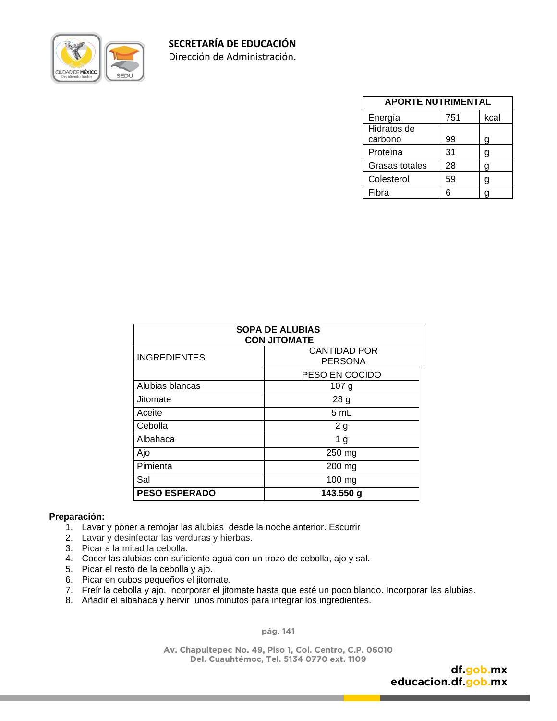

Dirección de Administración.

| <b>APORTE NUTRIMENTAL</b> |     |      |
|---------------------------|-----|------|
| Energía                   | 751 | kcal |
| Hidratos de               |     |      |
| carbono                   | 99  | g    |
| Proteína                  | 31  |      |
| Grasas totales            | 28  | g    |
| Colesterol                | 59  |      |
| Fibra                     | 6   |      |

| <b>SOPA DE ALUBIAS</b><br><b>CON JITOMATE</b> |                                       |
|-----------------------------------------------|---------------------------------------|
| <b>INGREDIENTES</b>                           | <b>CANTIDAD POR</b><br><b>PERSONA</b> |
|                                               | PESO EN COCIDO                        |
| Alubias blancas                               | 107 <sub>g</sub>                      |
| <b>Jitomate</b>                               | 28 <sub>g</sub>                       |
| Aceite                                        | 5 mL                                  |
| Cebolla                                       | 2g                                    |
| Albahaca                                      | 1 <sub>g</sub>                        |
| Ajo                                           | 250 mg                                |
| Pimienta                                      | 200 mg                                |
| Sal                                           | 100 mg                                |
| <b>PESO ESPERADO</b>                          | 143.550 g                             |

#### **Preparación:**

- 1. Lavar y poner a remojar las alubias desde la noche anterior. Escurrir
- 2. Lavar y desinfectar las verduras y hierbas.
- 3. Picar a la mitad la cebolla.
- 4. Cocer las alubias con suficiente agua con un trozo de cebolla, ajo y sal.
- 5. Picar el resto de la cebolla y ajo.
- 6. Picar en cubos pequeños el jitomate.
- 7. Freír la cebolla y ajo. Incorporar el jitomate hasta que esté un poco blando. Incorporar las alubias.
- 8. Añadir el albahaca y hervir unos minutos para integrar los ingredientes.

#### **pág. 141**

**Av. Chapultepec No. 49, Piso 1, Col. Centro, C.P. 06010 Del. Cuauhtémoc, Tel. 5134 0770 ext. 1109**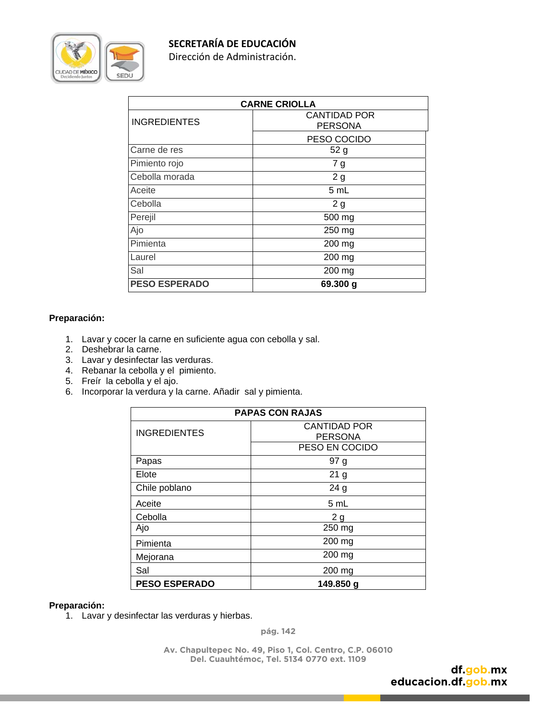

| <b>CARNE CRIOLLA</b> |                                       |
|----------------------|---------------------------------------|
| <b>INGREDIENTES</b>  | <b>CANTIDAD POR</b><br><b>PERSONA</b> |
|                      | PESO COCIDO                           |
| Carne de res         | 52 <sub>g</sub>                       |
| Pimiento rojo        | 7 g                                   |
| Cebolla morada       | 2g                                    |
| Aceite               | 5 mL                                  |
| Cebolla              | 2g                                    |
| Perejil              | 500 mg                                |
| Ajo                  | 250 mg                                |
| Pimienta             | 200 mg                                |
| Laurel               | 200 mg                                |
| Sal                  | 200 mg                                |
| <b>PESO ESPERADO</b> | 69.300 g                              |

### **Preparación:**

- 1. Lavar y cocer la carne en suficiente agua con cebolla y sal.
- 2. Deshebrar la carne.
- 3. Lavar y desinfectar las verduras.
- 4. Rebanar la cebolla y el pimiento.
- 5. Freír la cebolla y el ajo.
- 6. Incorporar la verdura y la carne. Añadir sal y pimienta.

| <b>PAPAS CON RAJAS</b> |                     |
|------------------------|---------------------|
|                        | <b>CANTIDAD POR</b> |
| <b>INGREDIENTES</b>    | <b>PERSONA</b>      |
|                        | PESO EN COCIDO      |
| Papas                  | 97 <sub>g</sub>     |
| Elote                  | 21 <sub>g</sub>     |
| Chile poblano          | 24 <sub>g</sub>     |
| Aceite                 | 5 mL                |
| Cebolla                | 2g                  |
| Ajo                    | 250 mg              |
| Pimienta               | 200 mg              |
| Mejorana               | 200 mg              |
| Sal                    | 200 mg              |
| <b>PESO ESPERADO</b>   | 149.850 g           |

#### **Preparación:**

1. Lavar y desinfectar las verduras y hierbas.

**pág. 142** 

**Av. Chapultepec No. 49, Piso 1, Col. Centro, C.P. 06010 Del. Cuauhtémoc, Tel. 5134 0770 ext. 1109**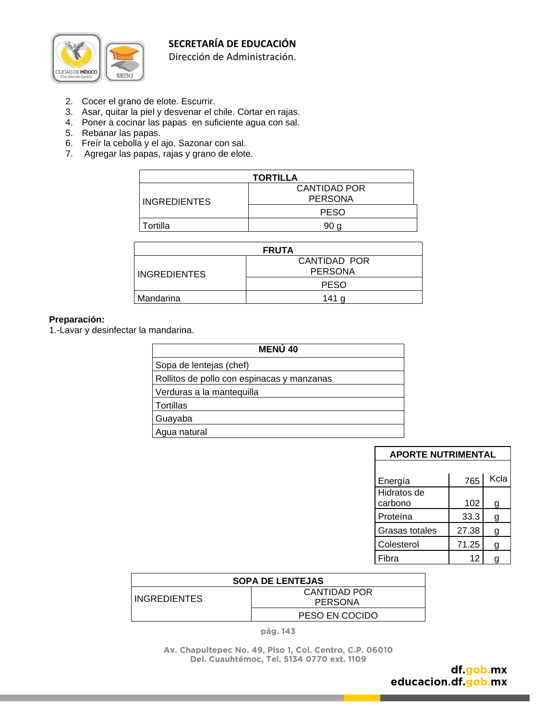

Dirección de Administración.

- 2. Cocer el grano de elote. Escurrir.
- 3. Asar, quitar la piel y desvenar el chile. Cortar en rajas.
- 4. Poner a cocinar las papas en suficiente agua con sal.
- 5. Rebanar las papas.
- 6. Freír la cebolla y el ajo. Sazonar con sal.
- 7. Agregar las papas, rajas y grano de elote.

| <b>TORTILLA</b>     |                |
|---------------------|----------------|
| CANTIDAD POR        |                |
| <b>INGREDIENTES</b> | <b>PERSONA</b> |
|                     | <b>PESO</b>    |
| Tortilla            | 90 a           |

| <b>FRUTA</b>        |                |
|---------------------|----------------|
| <b>INGREDIENTES</b> | CANTIDAD POR   |
|                     | <b>PERSONA</b> |
|                     | <b>PESO</b>    |
| Mandarina           | 141 a          |

#### **Preparación:**

1.-Lavar y desinfectar la mandarina.

| <b>MENU 40</b>                             |  |  |
|--------------------------------------------|--|--|
| Sopa de lentejas (chef)                    |  |  |
| Rollitos de pollo con espinacas y manzanas |  |  |
| Verduras a la mantequilla                  |  |  |
| Tortillas                                  |  |  |
| Guayaba                                    |  |  |
| Agua natural                               |  |  |

| <b>APORTE NUTRIMENTAL</b> |       |      |  |
|---------------------------|-------|------|--|
|                           |       |      |  |
| Energía                   | 765   | Kcla |  |
| Hidratos de               |       |      |  |
| carbono                   | 102   | q    |  |
| Proteína                  | 33.3  | g    |  |
| <b>Grasas totales</b>     | 27.38 | g    |  |
| Colesterol                | 71.25 | g    |  |
| Fibra                     | 12    |      |  |

| <b>SOPA DE LENTEJAS</b> |                         |  |
|-------------------------|-------------------------|--|
| <b>INGREDIENTES</b>     | CANTIDAD POR<br>PERSONA |  |
|                         | PESO EN COCIDO          |  |

**pág. 143** 

**Av. Chapultepec No. 49, Piso 1, Col. Centro, C.P. 06010 Del. Cuauhtémoc, Tel. 5134 0770 ext. 1109**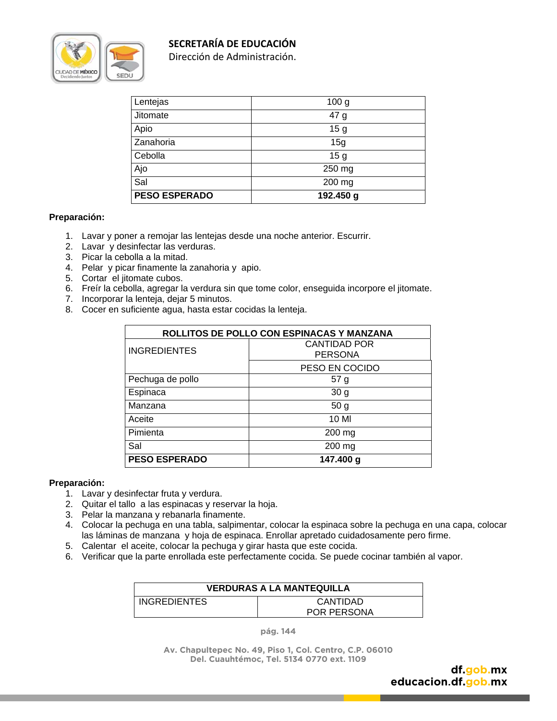

Dirección de Administración.

| Lentejas             | 100 <sub>g</sub> |
|----------------------|------------------|
| Jitomate             | 47 g             |
| Apio                 | 15 <sub>g</sub>  |
| Zanahoria            | 15g              |
| Cebolla              | 15 <sub>g</sub>  |
| Ajo                  | 250 mg           |
| Sal                  | 200 mg           |
| <b>PESO ESPERADO</b> | 192.450 g        |

### **Preparación:**

- 1. Lavar y poner a remojar las lentejas desde una noche anterior. Escurrir.
- 2. Lavar y desinfectar las verduras.
- 3. Picar la cebolla a la mitad.
- 4. Pelar y picar finamente la zanahoria y apio.
- 5. Cortar el jitomate cubos.
- 6. Freír la cebolla, agregar la verdura sin que tome color, enseguida incorpore el jitomate.
- 7. Incorporar la lenteja, dejar 5 minutos.
- 8. Cocer en suficiente agua, hasta estar cocidas la lenteja.

| ROLLITOS DE POLLO CON ESPINACAS Y MANZANA |                                       |  |
|-------------------------------------------|---------------------------------------|--|
| <b>INGREDIENTES</b>                       | <b>CANTIDAD POR</b><br><b>PERSONA</b> |  |
|                                           | PESO EN COCIDO                        |  |
| Pechuga de pollo                          | 57 g                                  |  |
| Espinaca                                  | 30 <sub>g</sub>                       |  |
| Manzana                                   | 50 <sub>g</sub>                       |  |
| Aceite                                    | 10 MI                                 |  |
| Pimienta                                  | 200 mg                                |  |
| Sal                                       | $200$ mg                              |  |
| <b>PESO ESPERADO</b>                      | 147.400 g                             |  |

#### **Preparación:**

- 1. Lavar y desinfectar fruta y verdura.
- 2. Quitar el tallo a las espinacas y reservar la hoja.
- 3. Pelar la manzana y rebanarla finamente.
- 4. Colocar la pechuga en una tabla, salpimentar, colocar la espinaca sobre la pechuga en una capa, colocar las láminas de manzana y hoja de espinaca. Enrollar apretado cuidadosamente pero firme.
- 5. Calentar el aceite, colocar la pechuga y girar hasta que este cocida.
- 6. Verificar que la parte enrollada este perfectamente cocida. Se puede cocinar también al vapor.

| <b>VERDURAS A LA MANTEQUILLA</b> |             |
|----------------------------------|-------------|
| <b>INGREDIENTES</b>              | CANTIDAD    |
|                                  | POR PERSONA |

**pág. 144** 

**Av. Chapultepec No. 49, Piso 1, Col. Centro, C.P. 06010 Del. Cuauhtémoc, Tel. 5134 0770 ext. 1109**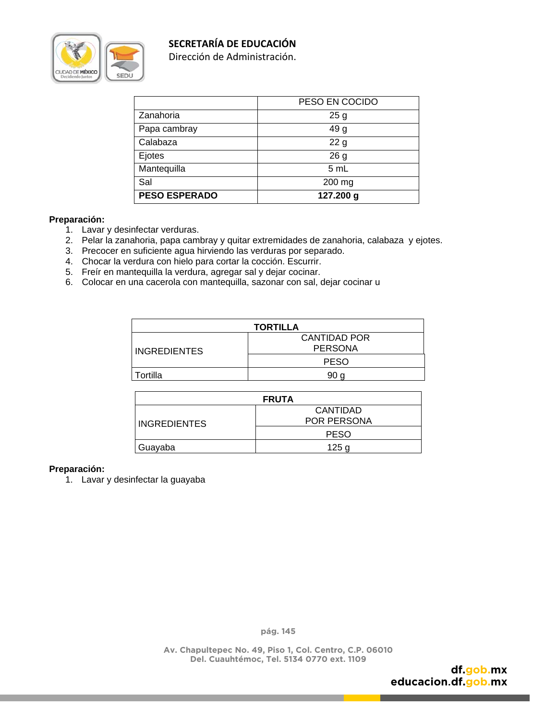

Dirección de Administración.

|                      | PESO EN COCIDO  |
|----------------------|-----------------|
| Zanahoria            | 25 <sub>g</sub> |
| Papa cambray         | 49 <sub>g</sub> |
| Calabaza             | 22 <sub>g</sub> |
| Ejotes               | 26 <sub>g</sub> |
| Mantequilla          | 5 mL            |
| Sal                  | 200 mg          |
| <b>PESO ESPERADO</b> | 127.200 g       |

#### **Preparación:**

- 1. Lavar y desinfectar verduras.
- 2. Pelar la zanahoria, papa cambray y quitar extremidades de zanahoria, calabaza y ejotes.
- 3. Precocer en suficiente agua hirviendo las verduras por separado.
- 4. Chocar la verdura con hielo para cortar la cocción. Escurrir.
- 5. Freír en mantequilla la verdura, agregar sal y dejar cocinar.
- 6. Colocar en una cacerola con mantequilla, sazonar con sal, dejar cocinar u

| <b>TORTILLA</b>     |                     |  |  |
|---------------------|---------------------|--|--|
|                     | <b>CANTIDAD POR</b> |  |  |
| <b>INGREDIENTES</b> | <b>PERSONA</b>      |  |  |
|                     | <b>PESO</b>         |  |  |
| Tortilla            | 90 a                |  |  |

| <b>FRUTA</b> |                 |  |
|--------------|-----------------|--|
|              | <b>CANTIDAD</b> |  |
| INGREDIENTES | POR PERSONA     |  |
|              | <b>PESO</b>     |  |
| l Guavaba    | 125 g           |  |

#### **Preparación:**

1. Lavar y desinfectar la guayaba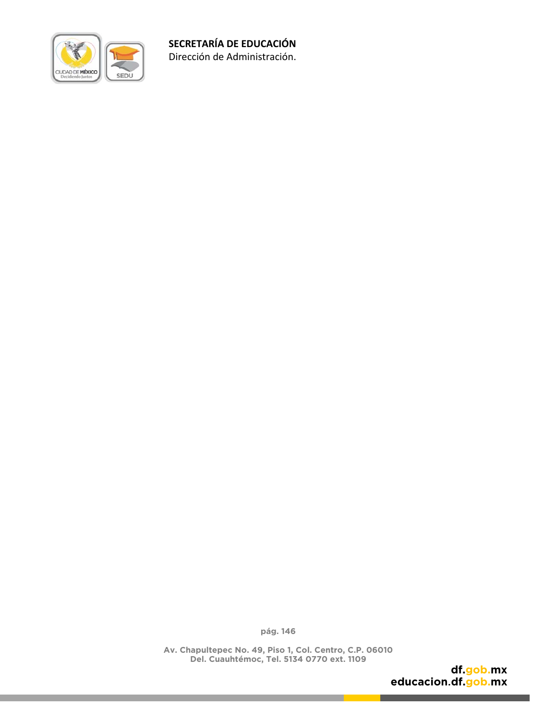

**pág. 146** 

**Av. Chapultepec No. 49, Piso 1, Col. Centro, C.P. 06010 Del. Cuauhtémoc, Tel. 5134 0770 ext. 1109**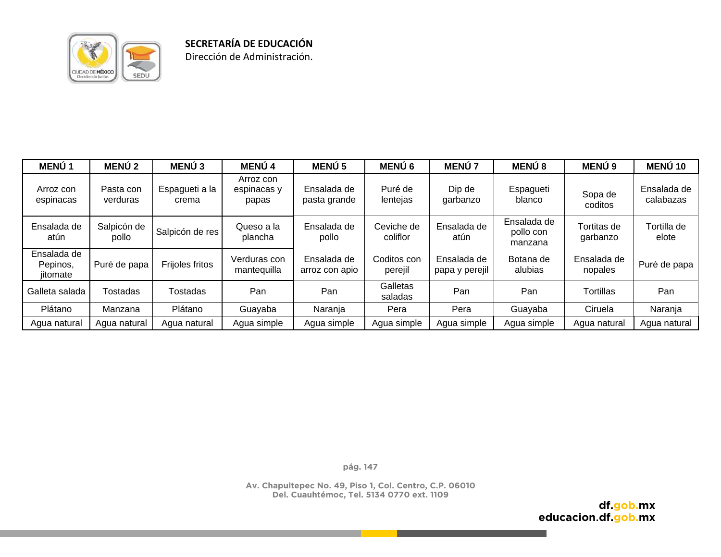

| <b>MENÚ1</b>                        | <b>MENÚ2</b>          | <b>MENÚ3</b>            | <b>MENU4</b>                      | <b>MENU<sub>5</sub></b>       | MENÚ <sub>6</sub>      | <b>MENÚ7</b>                  | <b>MENÚ 8</b>                       | <b>MENÚ 9</b>           | <b>MENÚ 10</b>           |
|-------------------------------------|-----------------------|-------------------------|-----------------------------------|-------------------------------|------------------------|-------------------------------|-------------------------------------|-------------------------|--------------------------|
| Arroz con<br>espinacas              | Pasta con<br>verduras | Espagueti a la<br>crema | Arroz con<br>espinacas y<br>papas | Ensalada de<br>pasta grande   | Puré de<br>lentejas    | Dip de<br>garbanzo            | Espagueti<br>blanco                 | Sopa de<br>coditos      | Ensalada de<br>calabazas |
| Ensalada de<br>atún                 | Salpicón de<br>pollo  | Salpicón de res         | Queso a la<br>plancha             | Ensalada de<br>pollo          | Ceviche de<br>coliflor | Ensalada de<br>atún           | Ensalada de<br>pollo con<br>manzana | Tortitas de<br>garbanzo | Tortilla de<br>elote     |
| Ensalada de<br>Pepinos,<br>jitomate | Puré de papa          | Frijoles fritos         | Verduras con<br>mantequilla       | Ensalada de<br>arroz con apio | Coditos con<br>perejil | Ensalada de<br>papa y perejil | Botana de<br>alubias                | Ensalada de<br>nopales  | Puré de papa             |
| Galleta salada                      | Tostadas              | Tostadas                | Pan                               | Pan                           | Galletas<br>saladas    | Pan                           | Pan                                 | Tortillas               | Pan                      |
| Plátano                             | Manzana               | Plátano                 | Guayaba                           | Naranja                       | Pera                   | Pera                          | Guayaba                             | Ciruela                 | Naranja                  |
| Agua natural                        | Agua natural          | Agua natural            | Agua simple                       | Agua simple                   | Agua simple            | Agua simple                   | Agua simple                         | Agua natural            | Agua natural             |

**pág. 147** 

**Av. Chapultepec No. 49, Piso 1, Col. Centro, C.P. 06010 Del. Cuauhtémoc, Tel. 5134 0770 ext. 1109**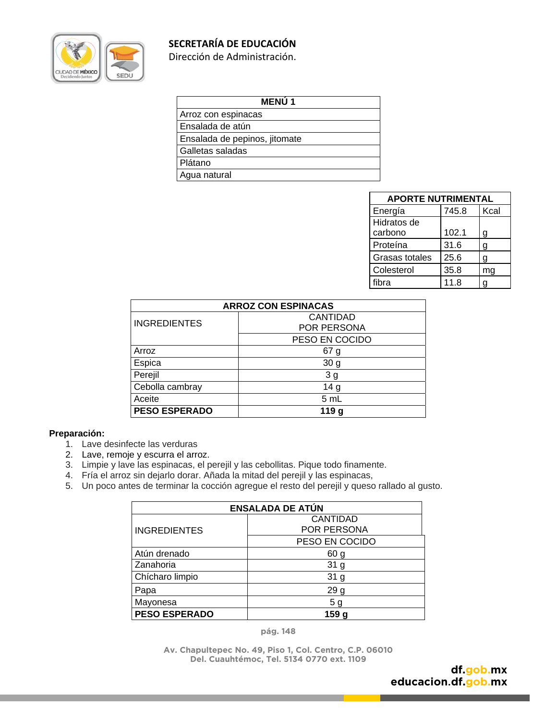Dirección de Administración.



| <b>MENÚ 1</b>                 |
|-------------------------------|
| Arroz con espinacas           |
| Ensalada de atún              |
| Ensalada de pepinos, jitomate |
| Galletas saladas              |
| Plátano                       |
| Agua natural                  |

| <b>APORTE NUTRIMENTAL</b> |       |      |  |  |
|---------------------------|-------|------|--|--|
| Energía                   | 745.8 | Kcal |  |  |
| Hidratos de               |       |      |  |  |
| carbono                   | 102.1 | g    |  |  |
| Proteína                  | 31.6  | g    |  |  |
| Grasas totales            | 25.6  | g    |  |  |
| Colesterol                | 35.8  | mg   |  |  |
| fibra                     | 11.8  | q    |  |  |

| <b>ARROZ CON ESPINACAS</b> |                 |  |  |  |
|----------------------------|-----------------|--|--|--|
| <b>INGREDIENTES</b>        | <b>CANTIDAD</b> |  |  |  |
|                            | POR PERSONA     |  |  |  |
|                            | PESO EN COCIDO  |  |  |  |
| Arroz                      | 67 g            |  |  |  |
| Espica                     | 30 <sub>g</sub> |  |  |  |
| Perejil                    | 3 <sub>g</sub>  |  |  |  |
| Cebolla cambray            | 14 g            |  |  |  |
| Aceite                     | 5 mL            |  |  |  |
| <b>PESO ESPERADO</b>       | 119g            |  |  |  |

#### **Preparación:**

- 1. Lave desinfecte las verduras
- 2. Lave, remoje y escurra el arroz.
- 3. Limpie y lave las espinacas, el perejil y las cebollitas. Pique todo finamente.
- 4. Fría el arroz sin dejarlo dorar. Añada la mitad del perejil y las espinacas,
- 5. Un poco antes de terminar la cocción agregue el resto del perejil y queso rallado al gusto.

| <b>ENSALADA DE ATÚN</b> |                  |  |  |
|-------------------------|------------------|--|--|
|                         | <b>CANTIDAD</b>  |  |  |
| <b>INGREDIENTES</b>     | POR PERSONA      |  |  |
|                         | PESO EN COCIDO   |  |  |
| Atún drenado            | 60 g             |  |  |
| Zanahoria               | 31 <sub>g</sub>  |  |  |
| Chícharo limpio         | 31 <sub>g</sub>  |  |  |
| Papa                    | 29 <sub>g</sub>  |  |  |
| Mayonesa                | 5 <sub>g</sub>   |  |  |
| <b>PESO ESPERADO</b>    | 159 <sub>g</sub> |  |  |

**pág. 148** 

**Av. Chapultepec No. 49, Piso 1, Col. Centro, C.P. 06010 Del. Cuauhtémoc, Tel. 5134 0770 ext. 1109**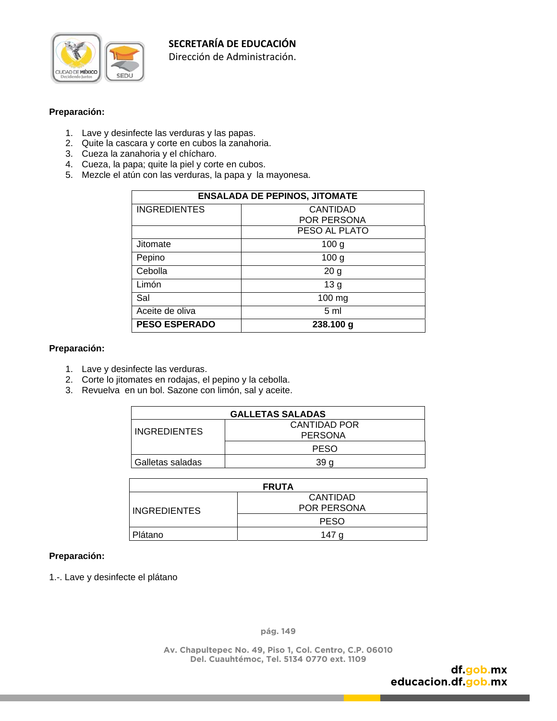

- 1. Lave y desinfecte las verduras y las papas.
- 2. Quite la cascara y corte en cubos la zanahoria.
- 3. Cueza la zanahoria y el chícharo.
- 4. Cueza, la papa; quite la piel y corte en cubos.
- 5. Mezcle el atún con las verduras, la papa y la mayonesa.

| <b>ENSALADA DE PEPINOS, JITOMATE</b> |                  |  |  |
|--------------------------------------|------------------|--|--|
| <b>INGREDIENTES</b>                  | <b>CANTIDAD</b>  |  |  |
|                                      | POR PERSONA      |  |  |
|                                      | PESO AL PLATO    |  |  |
| Jitomate                             | 100 <sub>g</sub> |  |  |
| Pepino                               | 100 <sub>g</sub> |  |  |
| Cebolla                              | 20 <sub>g</sub>  |  |  |
| Limón                                | 13 <sub>g</sub>  |  |  |
| Sal                                  | 100 mg           |  |  |
| Aceite de oliva                      | 5 <sub>m</sub>   |  |  |
| <b>PESO ESPERADO</b>                 | 238.100 g        |  |  |

#### **Preparación:**

- 1. Lave y desinfecte las verduras.
- 2. Corte lo jitomates en rodajas, el pepino y la cebolla.
- 3. Revuelva en un bol. Sazone con limón, sal y aceite.

| <b>GALLETAS SALADAS</b> |                     |  |  |
|-------------------------|---------------------|--|--|
| <b>INGREDIENTES</b>     | <b>CANTIDAD POR</b> |  |  |
|                         | PERSONA             |  |  |
|                         | <b>PESO</b>         |  |  |
| Galletas saladas        | 39 a                |  |  |

| <b>FRUTA</b>   |                    |  |  |
|----------------|--------------------|--|--|
| I INGREDIENTES | <b>CANTIDAD</b>    |  |  |
|                | <b>POR PERSONA</b> |  |  |
|                | <b>PESO</b>        |  |  |
| Plátano        | 147.<br>Ω          |  |  |

## **Preparación:**

1.-. Lave y desinfecte el plátano

**pág. 149** 

**Av. Chapultepec No. 49, Piso 1, Col. Centro, C.P. 06010 Del. Cuauhtémoc, Tel. 5134 0770 ext. 1109**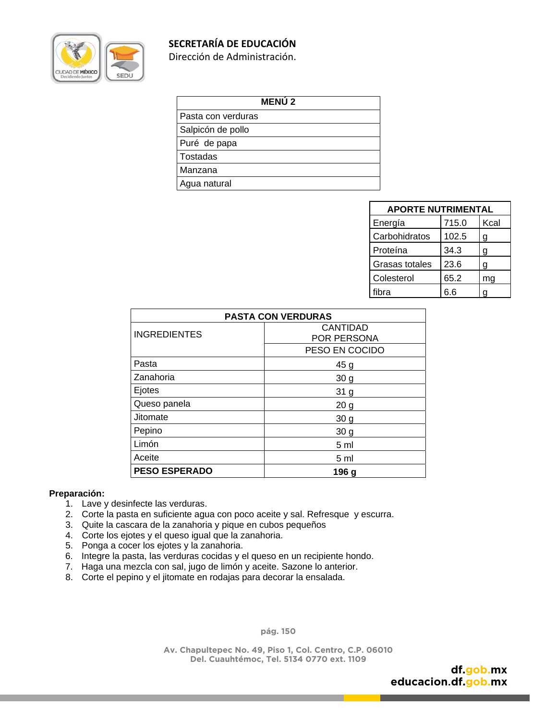Dirección de Administración.

| <b>SEDU</b> | <u>DILCONDITUE HUITIII</u> |
|-------------|----------------------------|
|             |                            |
|             | Pasta con verdura          |
|             | .<br>$\sim$<br>. .         |

| <b>IVIENUZ</b>     |
|--------------------|
| Pasta con verduras |
| Salpicón de pollo  |
| Puré de papa       |
| Tostadas           |
| Manzana            |
| Agua natural       |

 $M$  $N$  $\overline{N}$ 

| <b>APORTE NUTRIMENTAL</b> |       |      |
|---------------------------|-------|------|
| Energía                   | 715.0 | Kcal |
| Carbohidratos             | 102.5 | g    |
| Proteína                  | 34.3  | g    |
| Grasas totales            | 23.6  | g    |
| Colesterol                | 65.2  | mg   |
| fibra                     | 6.6   | q    |

| <b>PASTA CON VERDURAS</b> |                                |  |
|---------------------------|--------------------------------|--|
| <b>INGREDIENTES</b>       | <b>CANTIDAD</b><br>POR PERSONA |  |
|                           | PESO EN COCIDO                 |  |
| Pasta                     | 45 <sub>g</sub>                |  |
| Zanahoria                 | 30 <sub>g</sub>                |  |
| Ejotes                    | 31 g                           |  |
| Queso panela              | 20 <sub>g</sub>                |  |
| <b>Jitomate</b>           | 30 <sub>g</sub>                |  |
| Pepino                    | 30 <sub>g</sub>                |  |
| Limón                     | 5 <sub>m</sub>                 |  |
| Aceite                    | 5 <sub>m</sub>                 |  |
| <b>PESO ESPERADO</b>      | 196 g                          |  |

#### **Preparación:**

**CIUDAD DE MÉXICO** 

- 1. Lave y desinfecte las verduras.
- 2. Corte la pasta en suficiente agua con poco aceite y sal. Refresque y escurra.
- 3. Quite la cascara de la zanahoria y pique en cubos pequeños
- 4. Corte los ejotes y el queso igual que la zanahoria.
- 5. Ponga a cocer los ejotes y la zanahoria.
- 6. Integre la pasta, las verduras cocidas y el queso en un recipiente hondo.
- 7. Haga una mezcla con sal, jugo de limón y aceite. Sazone lo anterior.
- 8. Corte el pepino y el jitomate en rodajas para decorar la ensalada.

**pág. 150** 

**Av. Chapultepec No. 49, Piso 1, Col. Centro, C.P. 06010 Del. Cuauhtémoc, Tel. 5134 0770 ext. 1109**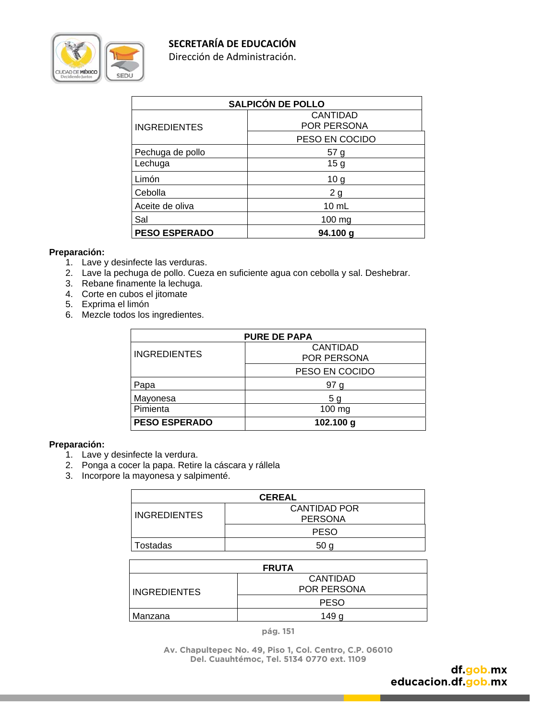

| <b>SALPICÓN DE POLLO</b> |                                |
|--------------------------|--------------------------------|
| <b>INGREDIENTES</b>      | <b>CANTIDAD</b><br>POR PERSONA |
|                          | PESO EN COCIDO                 |
| Pechuga de pollo         | 57 g                           |
| Lechuga                  | 15 <sub>g</sub>                |
| Limón                    | 10 <sub>g</sub>                |
| Cebolla                  | 2g                             |
| Aceite de oliva          | $10 \text{ mL}$                |
| Sal                      | $100$ mg                       |
| <b>PESO ESPERADO</b>     | 94.100 g                       |

- 1. Lave y desinfecte las verduras.
- 2. Lave la pechuga de pollo. Cueza en suficiente agua con cebolla y sal. Deshebrar.
- 3. Rebane finamente la lechuga.
- 4. Corte en cubos el jitomate
- 5. Exprima el limón
- 6. Mezcle todos los ingredientes.

| <b>PURE DE PAPA</b>  |                                |  |
|----------------------|--------------------------------|--|
| <b>INGREDIENTES</b>  | <b>CANTIDAD</b><br>POR PERSONA |  |
|                      | PESO EN COCIDO                 |  |
| Papa                 | 97 a                           |  |
| Mayonesa             | 5 <sub>q</sub>                 |  |
| Pimienta             | 100 mg                         |  |
| <b>PESO ESPERADO</b> | 102.100 g                      |  |

#### **Preparación:**

- 1. Lave y desinfecte la verdura.
- 2. Ponga a cocer la papa. Retire la cáscara y rállela
- 3. Incorpore la mayonesa y salpimenté.

| <b>CEREAL</b>       |                     |
|---------------------|---------------------|
| <b>INGREDIENTES</b> | <b>CANTIDAD POR</b> |
|                     | <b>PERSONA</b>      |
|                     | <b>PESO</b>         |
| Tostadas            | 50 a                |

| <b>FRUTA</b>        |                    |
|---------------------|--------------------|
| <b>INGREDIENTES</b> | CANTIDAD           |
|                     | <b>POR PERSONA</b> |
|                     | <b>PESO</b>        |
| Manzana             | 149 a              |

**pág. 151** 

**Av. Chapultepec No. 49, Piso 1, Col. Centro, C.P. 06010 Del. Cuauhtémoc, Tel. 5134 0770 ext. 1109**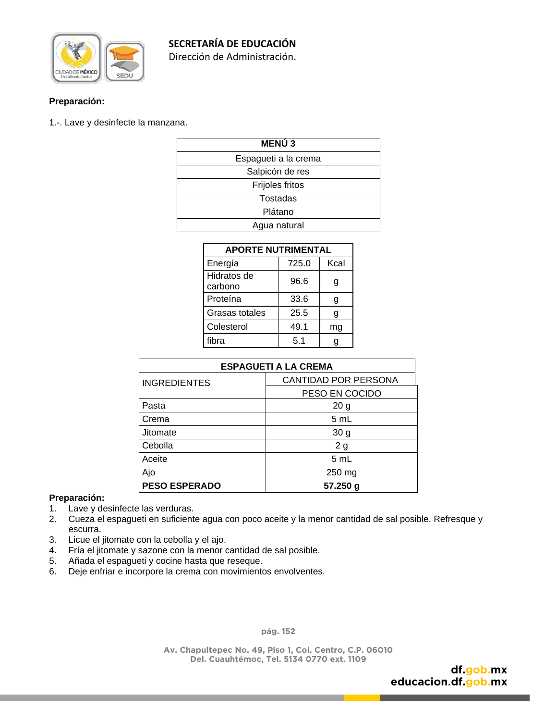

1.-. Lave y desinfecte la manzana.

| MENÚ <sub>3</sub>    |  |  |
|----------------------|--|--|
| Espagueti a la crema |  |  |
| Salpicón de res      |  |  |
| Frijoles fritos      |  |  |
| Tostadas             |  |  |
| Plátano              |  |  |
| Agua natural         |  |  |

| <b>APORTE NUTRIMENTAL</b> |       |      |
|---------------------------|-------|------|
| Energía                   | 725.0 | Kcal |
| Hidratos de<br>carbono    | 96.6  | g    |
| Proteína                  | 33.6  | g    |
| Grasas totales            | 25.5  | g    |
| Colesterol                | 49.1  | mg   |
| fibra                     | 5.1   |      |

| <b>ESPAGUETI A LA CREMA</b> |                      |  |
|-----------------------------|----------------------|--|
| <b>INGREDIENTES</b>         | CANTIDAD POR PERSONA |  |
|                             | PESO EN COCIDO       |  |
| Pasta                       | 20 <sub>g</sub>      |  |
| Crema                       | 5 mL                 |  |
| <b>Jitomate</b>             | 30 <sub>g</sub>      |  |
| Cebolla                     | 2 <sub>g</sub>       |  |
| Aceite                      | 5 mL                 |  |
| Ajo                         | 250 mg               |  |
| <b>PESO ESPERADO</b>        | 57.250 g             |  |

#### **Preparación:**

- 1. Lave y desinfecte las verduras.
- 2. Cueza el espagueti en suficiente agua con poco aceite y la menor cantidad de sal posible. Refresque y escurra.
- 3. Licue el jitomate con la cebolla y el ajo.
- 4. Fría el jitomate y sazone con la menor cantidad de sal posible.
- 5. Añada el espagueti y cocine hasta que reseque.
- 6. Deje enfriar e incorpore la crema con movimientos envolventes.

**pág. 152** 

**Av. Chapultepec No. 49, Piso 1, Col. Centro, C.P. 06010 Del. Cuauhtémoc, Tel. 5134 0770 ext. 1109**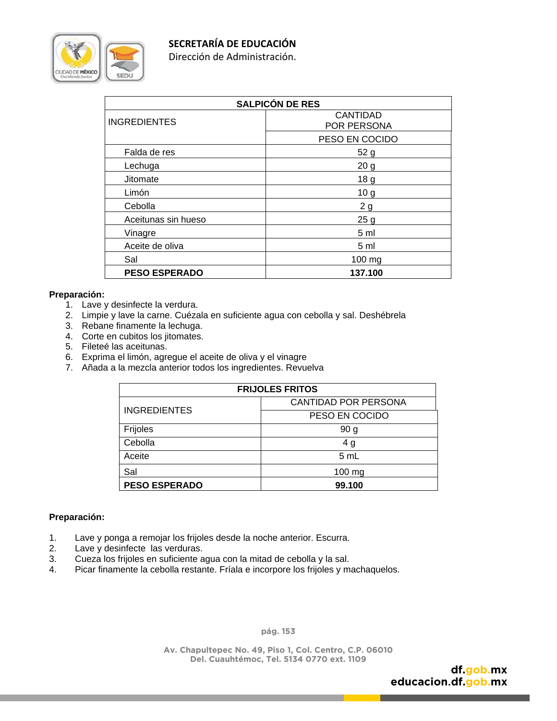

Dirección de Administración.

| <b>SALPICÓN DE RES</b> |                                |  |
|------------------------|--------------------------------|--|
| <b>INGREDIENTES</b>    | <b>CANTIDAD</b><br>POR PERSONA |  |
|                        | PESO EN COCIDO                 |  |
| Falda de res           | 52 g                           |  |
| Lechuga                | 20 <sub>g</sub>                |  |
| <b>Jitomate</b>        | 18 <sub>g</sub>                |  |
| Limón                  | 10 <sub>g</sub>                |  |
| Cebolla                | 2 <sub>g</sub>                 |  |
| Aceitunas sin hueso    | 25 <sub>g</sub>                |  |
| Vinagre                | 5 <sub>m</sub>                 |  |
| Aceite de oliva        | 5 <sub>m</sub>                 |  |
| Sal                    | 100 mg                         |  |
| <b>PESO ESPERADO</b>   | 137.100                        |  |

## **Preparación:**

- 1. Lave y desinfecte la verdura.
- 2. Limpie y lave la carne. Cuézala en suficiente agua con cebolla y sal. Deshébrela
- 3. Rebane finamente la lechuga.
- 4. Corte en cubitos los jitomates.
- 5. Fileteé las aceitunas.
- 6. Exprima el limón, agregue el aceite de oliva y el vinagre
- 7. Añada a la mezcla anterior todos los ingredientes. Revuelva

| <b>FRIJOLES FRITOS</b> |                             |
|------------------------|-----------------------------|
| <b>INGREDIENTES</b>    | <b>CANTIDAD POR PERSONA</b> |
|                        | PESO EN COCIDO              |
| Frijoles               | 90 <sub>g</sub>             |
| Cebolla                | 4 g                         |
| Aceite                 | 5 mL                        |
| Sal                    | $100$ mg                    |
| <b>PESO ESPERADO</b>   | 99.100                      |

# **Preparación:**

- 1. Lave y ponga a remojar los frijoles desde la noche anterior. Escurra.
- 2. Lave y desinfecte las verduras.
- 3. Cueza los frijoles en suficiente agua con la mitad de cebolla y la sal.
- 4. Picar finamente la cebolla restante. Fríala e incorpore los frijoles y machaquelos.

**pág. 153** 

**Av. Chapultepec No. 49, Piso 1, Col. Centro, C.P. 06010 Del. Cuauhtémoc, Tel. 5134 0770 ext. 1109**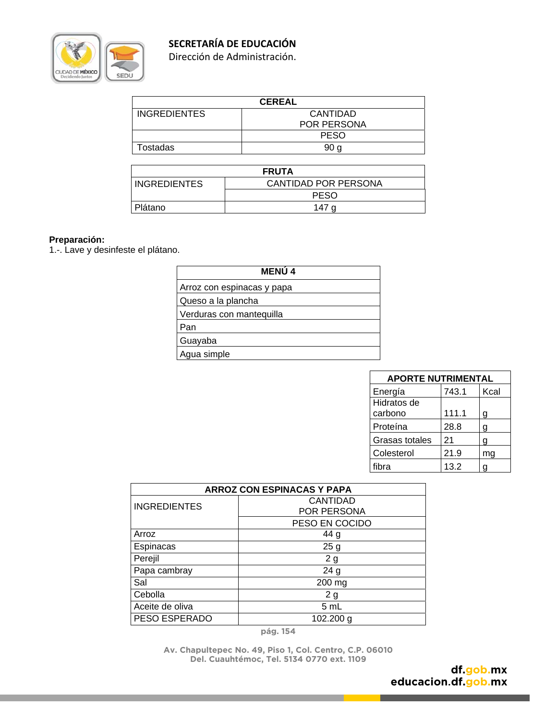

| <b>CEREAL</b>       |             |  |
|---------------------|-------------|--|
| <b>INGREDIENTES</b> | CANTIDAD    |  |
|                     | POR PERSONA |  |
|                     | <b>PESO</b> |  |
| Tostadas            | 90 g        |  |

| <b>FRUTA</b>   |                             |  |
|----------------|-----------------------------|--|
| I INGREDIENTES | <b>CANTIDAD POR PERSONA</b> |  |
|                | <b>PESO</b>                 |  |
| Plátano        | 147                         |  |

## **Preparación:**

1.-. Lave y desinfeste el plátano.

| <b>MENU4</b>               |  |
|----------------------------|--|
| Arroz con espinacas y papa |  |
| Queso a la plancha         |  |
| Verduras con mantequilla   |  |
| Pan                        |  |
| Guayaba                    |  |
| Agua simple                |  |

| <b>APORTE NUTRIMENTAL</b> |       |      |
|---------------------------|-------|------|
| Energía                   | 743.1 | Kcal |
| Hidratos de               |       |      |
| carbono                   | 111.1 | g    |
| Proteína                  | 28.8  | g    |
| Grasas totales            | 21    | g    |
| Colesterol                | 21.9  | mg   |
| fibra                     | 13.2  | g    |

| <b>ARROZ CON ESPINACAS Y PAPA</b> |                 |  |
|-----------------------------------|-----------------|--|
| <b>INGREDIENTES</b>               | <b>CANTIDAD</b> |  |
|                                   | POR PERSONA     |  |
|                                   | PESO EN COCIDO  |  |
| Arroz                             | 44 g            |  |
| Espinacas                         | 25 <sub>g</sub> |  |
| Perejil                           | 2 <sub>g</sub>  |  |
| Papa cambray                      | 24 <sub>g</sub> |  |
| Sal                               | 200 mg          |  |
| Cebolla                           | 2 <sub>g</sub>  |  |
| Aceite de oliva                   | 5 mL            |  |
| PESO ESPERADO                     | 102.200 g       |  |

**pág. 154** 

**Av. Chapultepec No. 49, Piso 1, Col. Centro, C.P. 06010 Del. Cuauhtémoc, Tel. 5134 0770 ext. 1109**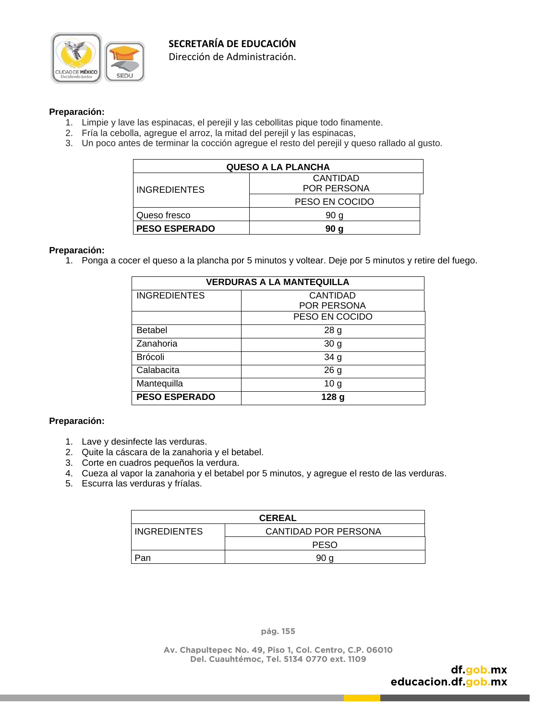

- 1. Limpie y lave las espinacas, el perejil y las cebollitas pique todo finamente.
- 2. Fría la cebolla, agregue el arroz, la mitad del perejil y las espinacas,
- 3. Un poco antes de terminar la cocción agregue el resto del perejil y queso rallado al gusto.

| <b>QUESO A LA PLANCHA</b> |                    |  |
|---------------------------|--------------------|--|
| I INGREDIENTES            | CANTIDAD           |  |
|                           | <b>POR PERSONA</b> |  |
|                           | PESO EN COCIDO     |  |
| Queso fresco              | 90 a               |  |
| <b>PESO ESPERADO</b>      | 90 a               |  |

## **Preparación:**

1. Ponga a cocer el queso a la plancha por 5 minutos y voltear. Deje por 5 minutos y retire del fuego.

| <b>VERDURAS A LA MANTEQUILLA</b> |                  |  |
|----------------------------------|------------------|--|
| <b>INGREDIENTES</b>              | <b>CANTIDAD</b>  |  |
|                                  | POR PERSONA      |  |
|                                  | PESO EN COCIDO   |  |
| <b>Betabel</b>                   | 28 <sub>g</sub>  |  |
| Zanahoria                        | 30 <sub>g</sub>  |  |
| Brócoli                          | 34 g             |  |
| Calabacita                       | 26 <sub>g</sub>  |  |
| Mantequilla                      | 10 <sub>g</sub>  |  |
| <b>PESO ESPERADO</b>             | 128 <sub>g</sub> |  |

# **Preparación:**

- 1. Lave y desinfecte las verduras.
- 2. Quite la cáscara de la zanahoria y el betabel.
- 3. Corte en cuadros pequeños la verdura.
- 4. Cueza al vapor la zanahoria y el betabel por 5 minutos, y agregue el resto de las verduras.
- 5. Escurra las verduras y fríalas.

| <b>CEREAL</b>  |                             |
|----------------|-----------------------------|
| I INGREDIENTES | <b>CANTIDAD POR PERSONA</b> |
|                | <b>PFSO</b>                 |
| Pan            | 90 a                        |

**pág. 155** 

**Av. Chapultepec No. 49, Piso 1, Col. Centro, C.P. 06010 Del. Cuauhtémoc, Tel. 5134 0770 ext. 1109**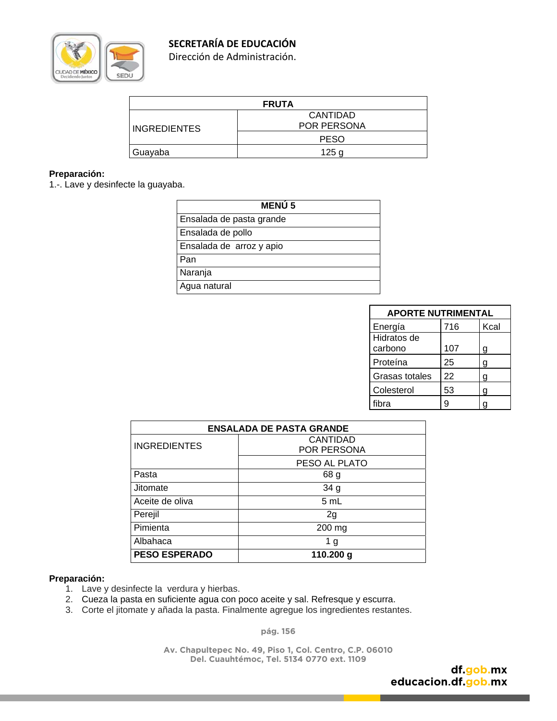

| <b>FRUTA</b>   |                    |
|----------------|--------------------|
| I INGREDIENTES | CANTIDAD           |
|                | <b>POR PERSONA</b> |
|                | <b>PESO</b>        |
| Guayaba        | 125 g              |

# **Preparación:**

1.-. Lave y desinfecte la guayaba.

| <b>MENU<sub>5</sub></b>  |  |
|--------------------------|--|
| Ensalada de pasta grande |  |
| Ensalada de pollo        |  |
| Ensalada de arroz y apio |  |
| l Pan                    |  |
| Naranja                  |  |
| Agua natural             |  |

| <b>APORTE NUTRIMENTAL</b> |     |      |
|---------------------------|-----|------|
| Energía                   | 716 | Kcal |
| Hidratos de<br>carbono    | 107 | g    |
| Proteína                  | 25  | g    |
| Grasas totales            | 22  | g    |
| Colesterol                | 53  | g    |
| fibra                     | с   |      |

| <b>ENSALADA DE PASTA GRANDE</b> |                                |  |
|---------------------------------|--------------------------------|--|
| <b>INGREDIENTES</b>             | <b>CANTIDAD</b><br>POR PERSONA |  |
|                                 |                                |  |
|                                 | PESO AL PLATO                  |  |
| Pasta                           | 68 g                           |  |
| Jitomate                        | 34 <sub>g</sub>                |  |
| Aceite de oliva                 | 5 mL                           |  |
| Perejil                         | 2g                             |  |
| Pimienta                        | 200 mg                         |  |
| Albahaca                        | 1 <sub>g</sub>                 |  |
| <b>PESO ESPERADO</b>            | 110.200 g                      |  |

#### **Preparación:**

- 1. Lave y desinfecte la verdura y hierbas.
- 2. Cueza la pasta en suficiente agua con poco aceite y sal. Refresque y escurra.
- 3. Corte el jitomate y añada la pasta. Finalmente agregue los ingredientes restantes.

**pág. 156** 

**Av. Chapultepec No. 49, Piso 1, Col. Centro, C.P. 06010 Del. Cuauhtémoc, Tel. 5134 0770 ext. 1109**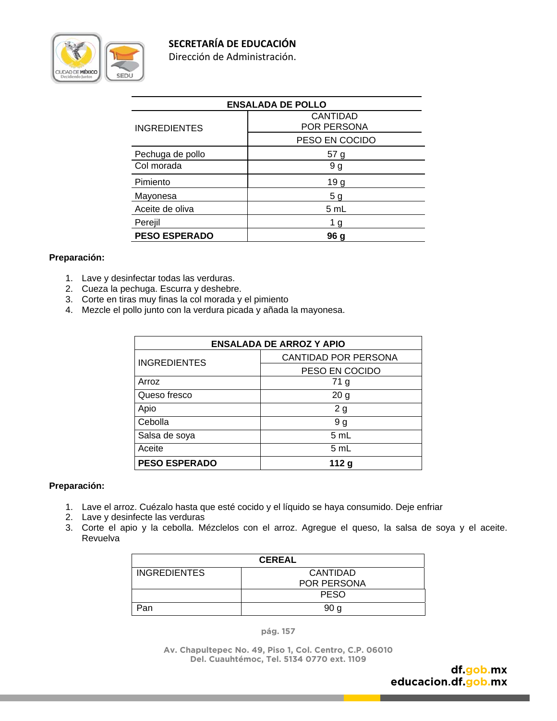

Dirección de Administración.

| <b>ENSALADA DE POLLO</b> |                                |
|--------------------------|--------------------------------|
| <b>INGREDIENTES</b>      | <b>CANTIDAD</b><br>POR PERSONA |
|                          | PESO EN COCIDO                 |
| Pechuga de pollo         | 57 g                           |
| Col morada               | 9 g                            |
| Pimiento                 | 19 <sub>g</sub>                |
| Mayonesa                 | 5 g                            |
| Aceite de oliva          | 5 mL                           |
| Perejil                  | 1 g                            |
| <b>PESO ESPERADO</b>     | 96 q                           |
|                          |                                |

## **Preparación:**

- 1. Lave y desinfectar todas las verduras.
- 2. Cueza la pechuga. Escurra y deshebre.
- 3. Corte en tiras muy finas la col morada y el pimiento
- 4. Mezcle el pollo junto con la verdura picada y añada la mayonesa.

| <b>ENSALADA DE ARROZ Y APIO</b> |                             |
|---------------------------------|-----------------------------|
| <b>INGREDIENTES</b>             | <b>CANTIDAD POR PERSONA</b> |
|                                 | PESO EN COCIDO              |
| Arroz                           | 71 g                        |
| Queso fresco                    | 20 <sub>g</sub>             |
| Apio                            | 2g                          |
| Cebolla                         | 9 <sub>g</sub>              |
| Salsa de soya                   | 5 mL                        |
| Aceite                          | 5 mL                        |
| <b>PESO ESPERADO</b>            | 112g                        |

#### **Preparación:**

- 1. Lave el arroz. Cuézalo hasta que esté cocido y el líquido se haya consumido. Deje enfriar
- 2. Lave y desinfecte las verduras
- 3. Corte el apio y la cebolla. Mézclelos con el arroz. Agregue el queso, la salsa de soya y el aceite. **Revuelva**

| <b>CEREAL</b>       |                    |
|---------------------|--------------------|
| <b>INGREDIENTES</b> | <b>CANTIDAD</b>    |
|                     | <b>POR PERSONA</b> |
|                     | <b>PESO</b>        |
| Pan                 | 90 <sub>g</sub>    |

**pág. 157** 

**Av. Chapultepec No. 49, Piso 1, Col. Centro, C.P. 06010 Del. Cuauhtémoc, Tel. 5134 0770 ext. 1109**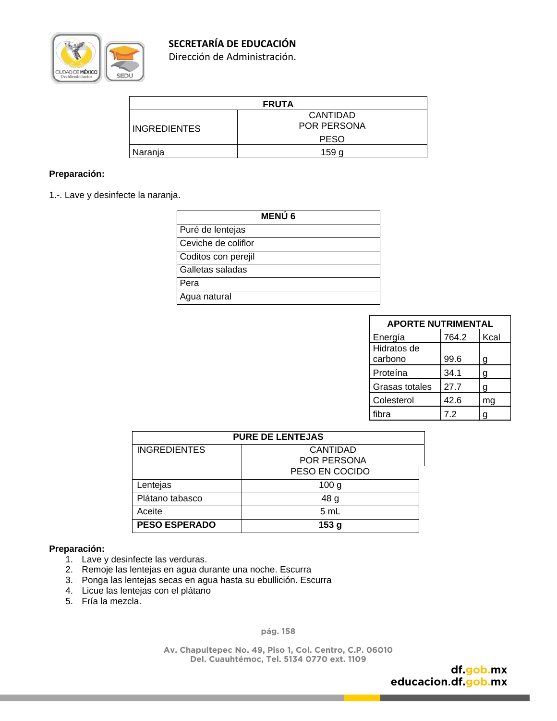

| <b>FRUTA</b>        |                    |
|---------------------|--------------------|
|                     | CANTIDAD           |
| <b>INGREDIENTES</b> | <b>POR PERSONA</b> |
|                     | <b>PESO</b>        |
| Naranja             | 159 a              |

1.-. Lave y desinfecte la naranja.

| <b>MENU<sub>6</sub></b> |
|-------------------------|
| Puré de lentejas        |
| Ceviche de coliflor     |
| Coditos con perejil     |
| Galletas saladas        |
| Pera                    |
| Agua natural            |

| <b>APORTE NUTRIMENTAL</b> |       |      |
|---------------------------|-------|------|
| Energía                   | 764.2 | Kcal |
| Hidratos de               |       |      |
| carbono                   | 99.6  | g    |
| Proteína                  | 34.1  | g    |
| <b>Grasas totales</b>     | 27.7  | g    |
| Colesterol                | 42.6  | mg   |
| fibra                     | 7.2   | a    |

| <b>PURE DE LENTEJAS</b> |                  |
|-------------------------|------------------|
| <b>INGREDIENTES</b>     | <b>CANTIDAD</b>  |
|                         | POR PERSONA      |
|                         | PESO EN COCIDO   |
| Lentejas                | 100 a            |
| Plátano tabasco         | 48 <sub>g</sub>  |
| Aceite                  | 5 mL             |
| <b>PESO ESPERADO</b>    | 153 <sub>g</sub> |

## **Preparación:**

- 1. Lave y desinfecte las verduras.
- 2. Remoje las lentejas en agua durante una noche. Escurra
- 3. Ponga las lentejas secas en agua hasta su ebullición. Escurra
- 4. Licue las lentejas con el plátano
- 5. Fría la mezcla.

**pág. 158** 

**Av. Chapultepec No. 49, Piso 1, Col. Centro, C.P. 06010 Del. Cuauhtémoc, Tel. 5134 0770 ext. 1109**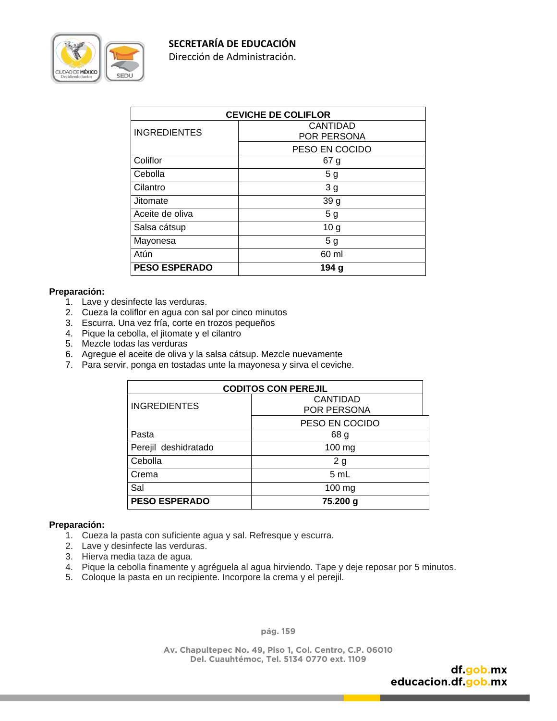

| <b>CEVICHE DE COLIFLOR</b> |                                |
|----------------------------|--------------------------------|
| <b>INGREDIENTES</b>        | <b>CANTIDAD</b><br>POR PERSONA |
|                            | PESO EN COCIDO                 |
| Coliflor                   | 67 g                           |
| Cebolla                    | 5 <sub>g</sub>                 |
| Cilantro                   | 3 <sub>g</sub>                 |
| Jitomate                   | 39 <sub>g</sub>                |
| Aceite de oliva            | 5 <sub>g</sub>                 |
| Salsa cátsup               | 10 <sub>g</sub>                |
| Mayonesa                   | 5 <sub>g</sub>                 |
| Atún                       | 60 ml                          |
| <b>PESO ESPERADO</b>       | 194 <sub>g</sub>               |

- 1. Lave y desinfecte las verduras.
- 2. Cueza la coliflor en agua con sal por cinco minutos
- 3. Escurra. Una vez fría, corte en trozos pequeños
- 4. Pique la cebolla, el jitomate y el cilantro
- 5. Mezcle todas las verduras
- 6. Agregue el aceite de oliva y la salsa cátsup. Mezcle nuevamente
- 7. Para servir, ponga en tostadas unte la mayonesa y sirva el ceviche.

| <b>CODITOS CON PEREJIL</b> |                                |
|----------------------------|--------------------------------|
| <b>INGREDIENTES</b>        | <b>CANTIDAD</b><br>POR PERSONA |
|                            | PESO EN COCIDO                 |
| Pasta                      | 68 g                           |
| Perejil deshidratado       | $100$ mg                       |
| Cebolla                    | 2g                             |
| Crema                      | 5 mL                           |
| Sal                        | $100$ mg                       |
| <b>PESO ESPERADO</b>       | 75.200 g                       |

## **Preparación:**

- 1. Cueza la pasta con suficiente agua y sal. Refresque y escurra.
- 2. Lave y desinfecte las verduras.
- 3. Hierva media taza de agua.
- 4. Pique la cebolla finamente y agréguela al agua hirviendo. Tape y deje reposar por 5 minutos.
- 5. Coloque la pasta en un recipiente. Incorpore la crema y el perejil.

**pág. 159** 

**Av. Chapultepec No. 49, Piso 1, Col. Centro, C.P. 06010 Del. Cuauhtémoc, Tel. 5134 0770 ext. 1109**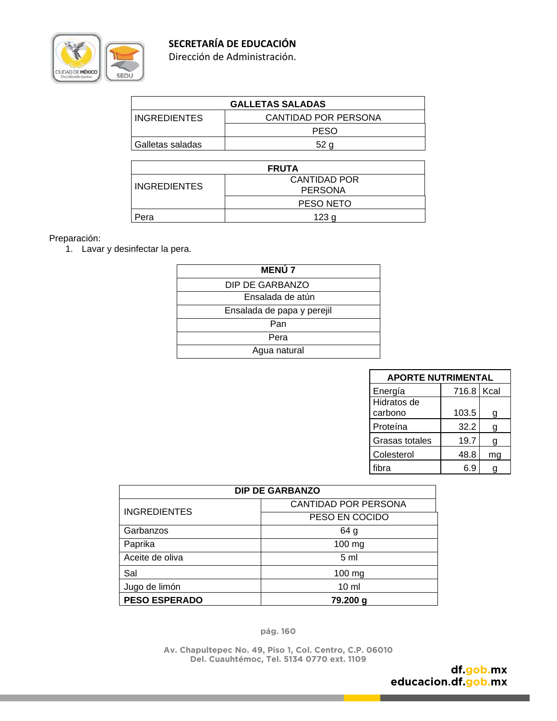

| <b>GALLETAS SALADAS</b> |                      |
|-------------------------|----------------------|
| I INGREDIENTES          | CANTIDAD POR PERSONA |
|                         | <b>PESO</b>          |
| l Galletas saladas      | 52 o                 |

| <b>FRUTA</b>        |                     |
|---------------------|---------------------|
|                     | <b>CANTIDAD POR</b> |
| <b>INGREDIENTES</b> | <b>PERSONA</b>      |
|                     | PESO NETO           |
| Pera                | 123 g               |

## Preparación:

1. Lavar y desinfectar la pera.

| <b>MENÚ7</b>               |
|----------------------------|
| DIP DE GARBANZO            |
| Ensalada de atún           |
| Ensalada de papa y perejil |
| Pan                        |
| Pera                       |
| Agua natural               |

| <b>APORTE NUTRIMENTAL</b> |            |    |
|---------------------------|------------|----|
| Energía                   | 716.8 Kcal |    |
| Hidratos de<br>carbono    | 103.5      | g  |
| Proteína                  | 32.2       | g  |
| Grasas totales            | 19.7       | g  |
| Colesterol                | 48.8       | mg |
| fibra                     | 6.9        |    |

| <b>DIP DE GARBANZO</b> |                             |
|------------------------|-----------------------------|
| <b>INGREDIENTES</b>    | <b>CANTIDAD POR PERSONA</b> |
|                        | PESO EN COCIDO              |
| Garbanzos              | 64 g                        |
| Paprika                | 100 mg                      |
| Aceite de oliva        | 5 <sub>ml</sub>             |
| Sal                    | 100 mg                      |
| Jugo de limón          | $10 \mathrm{m}$             |
| <b>PESO ESPERADO</b>   | 79.200 g                    |

**pág. 160** 

**Av. Chapultepec No. 49, Piso 1, Col. Centro, C.P. 06010 Del. Cuauhtémoc, Tel. 5134 0770 ext. 1109**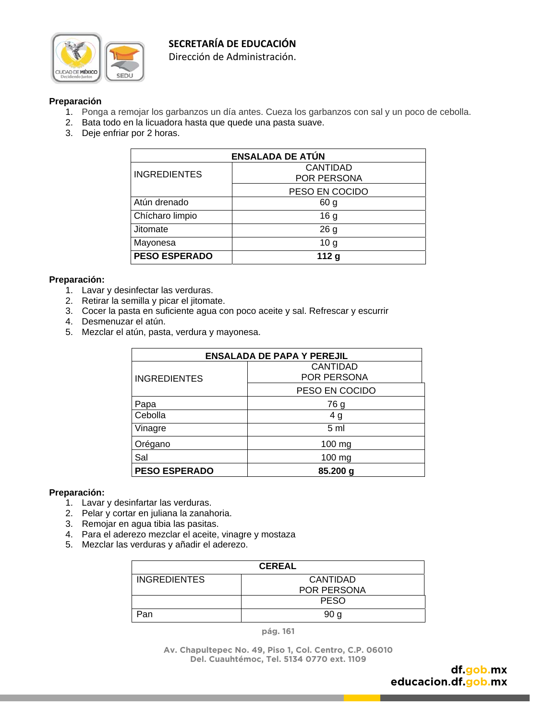

#### **Preparación**

- 1. Ponga a remojar los garbanzos un día antes. Cueza los garbanzos con sal y un poco de cebolla.
- 2. Bata todo en la licuadora hasta que quede una pasta suave.
- 3. Deje enfriar por 2 horas.

| <b>ENSALADA DE ATÚN</b> |                                |
|-------------------------|--------------------------------|
| <b>INGREDIENTES</b>     | <b>CANTIDAD</b><br>POR PERSONA |
|                         | PESO EN COCIDO                 |
| Atún drenado            | 60 g                           |
| Chícharo limpio         | 16 <sub>g</sub>                |
| <b>Jitomate</b>         | 26 <sub>g</sub>                |
| Mayonesa                | 10 <sub>g</sub>                |
| <b>PESO ESPERADO</b>    | 112g                           |

## **Preparación:**

- 1. Lavar y desinfectar las verduras.
- 2. Retirar la semilla y picar el jitomate.
- 3. Cocer la pasta en suficiente agua con poco aceite y sal. Refrescar y escurrir
- 4. Desmenuzar el atún.
- 5. Mezclar el atún, pasta, verdura y mayonesa.

| <b>ENSALADA DE PAPA Y PEREJIL</b> |                  |
|-----------------------------------|------------------|
|                                   | <b>CANTIDAD</b>  |
| <b>INGREDIENTES</b>               | POR PERSONA      |
|                                   | PESO EN COCIDO   |
| Papa                              | 76 g             |
| Cebolla                           | 4 g              |
| Vinagre                           | 5 <sub>ml</sub>  |
| Orégano                           | $100 \text{ mg}$ |
| Sal                               | $100$ mg         |
| <b>PESO ESPERADO</b>              | $85.200$ g       |

#### **Preparación:**

- 1. Lavar y desinfartar las verduras.
- 2. Pelar y cortar en juliana la zanahoria.
- 3. Remojar en agua tibia las pasitas.
- 4. Para el aderezo mezclar el aceite, vinagre y mostaza
- 5. Mezclar las verduras y añadir el aderezo.

| <b>CEREAL</b>       |                    |
|---------------------|--------------------|
| <b>INGREDIENTES</b> | <b>CANTIDAD</b>    |
|                     | <b>POR PERSONA</b> |
|                     | <b>PESO</b>        |
| Pan                 | 90 <sub>g</sub>    |

**pág. 161** 

**Av. Chapultepec No. 49, Piso 1, Col. Centro, C.P. 06010 Del. Cuauhtémoc, Tel. 5134 0770 ext. 1109**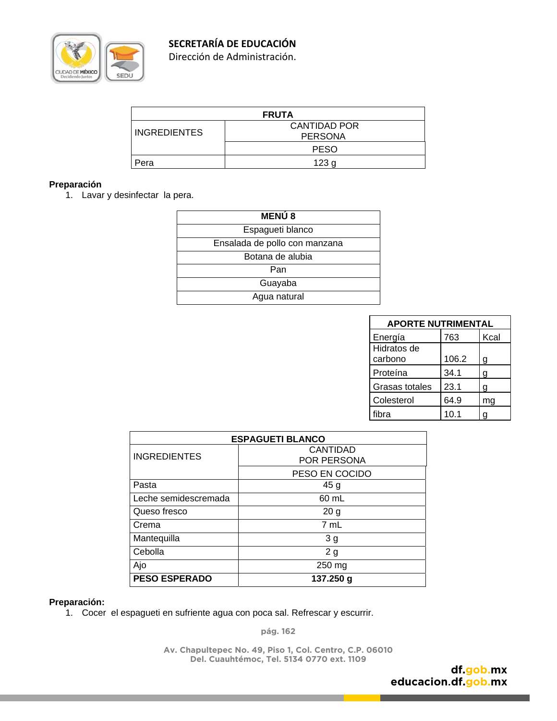

| <b>FRUTA</b>        |                     |
|---------------------|---------------------|
|                     | <b>CANTIDAD POR</b> |
| <b>INGREDIENTES</b> | <b>PERSONA</b>      |
|                     | <b>PESO</b>         |
| Pera                | 123 q               |

1. Lavar y desinfectar la pera.

| <b>MENÚ8</b>                  |
|-------------------------------|
| Espagueti blanco              |
| Ensalada de pollo con manzana |
| Botana de alubia              |
| Pan                           |
| Guayaba                       |
| Agua natural                  |

| <b>APORTE NUTRIMENTAL</b> |       |      |
|---------------------------|-------|------|
| Energía                   | 763   | Kcal |
| Hidratos de<br>carbono    | 106.2 | g    |
| Proteína                  | 34.1  | g    |
| Grasas totales            | 23.1  | g    |
| Colesterol                | 64.9  | mg   |
| fibra                     | 10.1  |      |

| <b>ESPAGUETI BLANCO</b> |                 |
|-------------------------|-----------------|
|                         | <b>CANTIDAD</b> |
| <b>INGREDIENTES</b>     | POR PERSONA     |
|                         | PESO EN COCIDO  |
| Pasta                   | 45 <sub>g</sub> |
| Leche semidescremada    | 60 mL           |
| Queso fresco            | 20 <sub>g</sub> |
| Crema                   | 7 mL            |
| Mantequilla             | 3 <sub>g</sub>  |
| Cebolla                 | 2g              |
| Ajo                     | 250 mg          |
| <b>PESO ESPERADO</b>    | 137.250 g       |

## **Preparación:**

1. Cocer el espagueti en sufriente agua con poca sal. Refrescar y escurrir.

**pág. 162** 

**Av. Chapultepec No. 49, Piso 1, Col. Centro, C.P. 06010 Del. Cuauhtémoc, Tel. 5134 0770 ext. 1109**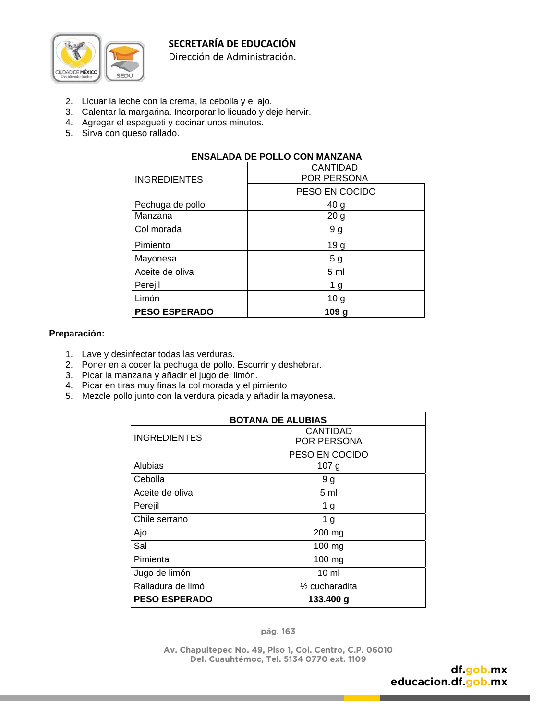

Dirección de Administración.

- 2. Licuar la leche con la crema, la cebolla y el ajo.
- 3. Calentar la margarina. Incorporar lo licuado y deje hervir.
- 4. Agregar el espagueti y cocinar unos minutos.
- 5. Sirva con queso rallado.

| <b>ENSALADA DE POLLO CON MANZANA</b> |                                |
|--------------------------------------|--------------------------------|
| <b>INGREDIENTES</b>                  | <b>CANTIDAD</b><br>POR PERSONA |
|                                      | PESO EN COCIDO                 |
| Pechuga de pollo                     | 40 <sub>g</sub>                |
| Manzana                              | 20 <sub>g</sub>                |
| Col morada                           | 9 g                            |
| Pimiento                             | 19 g                           |
| Mayonesa                             | 5 g                            |
| Aceite de oliva                      | 5 <sub>m</sub>                 |
| Perejil                              | 1 <sub>g</sub>                 |
| Limón                                | 10 <sub>g</sub>                |
| <b>PESO ESPERADO</b>                 | 109 <sub>g</sub>               |

## **Preparación:**

- 1. Lave y desinfectar todas las verduras.
- 2. Poner en a cocer la pechuga de pollo. Escurrir y deshebrar.
- 3. Picar la manzana y añadir el jugo del limón.
- 4. Picar en tiras muy finas la col morada y el pimiento
- 5. Mezcle pollo junto con la verdura picada y añadir la mayonesa.

| <b>BOTANA DE ALUBIAS</b> |                                |
|--------------------------|--------------------------------|
| <b>INGREDIENTES</b>      | <b>CANTIDAD</b><br>POR PERSONA |
|                          | PESO EN COCIDO                 |
| Alubias                  | 107 <sub>g</sub>               |
| Cebolla                  | 9 g                            |
| Aceite de oliva          | 5 <sub>m</sub>                 |
| Perejil                  | 1 <sub>g</sub>                 |
| Chile serrano            | 1 <sub>g</sub>                 |
| Ajo                      | 200 mg                         |
| Sal                      | $100$ mg                       |
| Pimienta                 | 100 mg                         |
| Jugo de limón            | $10 \mathrm{m}$                |
| Ralladura de limó        | 1/ <sub>2</sub> cucharadita    |
| <b>PESO ESPERADO</b>     | 133.400 g                      |

**pág. 163** 

**Av. Chapultepec No. 49, Piso 1, Col. Centro, C.P. 06010 Del. Cuauhtémoc, Tel. 5134 0770 ext. 1109**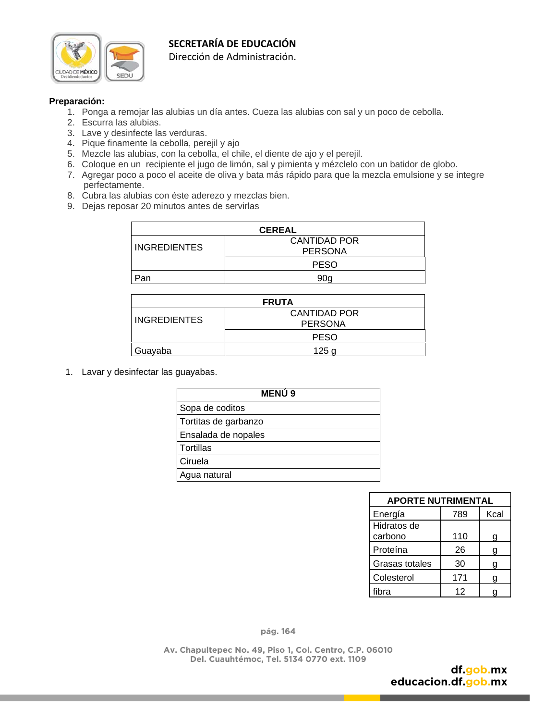

Dirección de Administración.

## **Preparación:**

- 1. Ponga a remojar las alubias un día antes. Cueza las alubias con sal y un poco de cebolla.
- 2. Escurra las alubias.
- 3. Lave y desinfecte las verduras.
- 4. Pique finamente la cebolla, perejil y ajo
- 5. Mezcle las alubias, con la cebolla, el chile, el diente de ajo y el perejil.
- 6. Coloque en un recipiente el jugo de limón, sal y pimienta y mézclelo con un batidor de globo.
- 7. Agregar poco a poco el aceite de oliva y bata más rápido para que la mezcla emulsione y se integre perfectamente.
- 8. Cubra las alubias con éste aderezo y mezclas bien.
- 9. Dejas reposar 20 minutos antes de servirlas

| <b>CEREAL</b>       |                     |
|---------------------|---------------------|
| <b>INGREDIENTES</b> | <b>CANTIDAD POR</b> |
|                     | <b>PERSONA</b>      |
|                     | <b>PESO</b>         |
| Pan                 | 90a                 |

| <b>FRUTA</b>        |                     |  |
|---------------------|---------------------|--|
| <b>INGREDIENTES</b> | <b>CANTIDAD POR</b> |  |
|                     | <b>PERSONA</b>      |  |
|                     | <b>PESO</b>         |  |
| Guayaba             | 125 g               |  |

1. Lavar y desinfectar las guayabas.

| <b>MENÚ 9</b>        |  |
|----------------------|--|
| Sopa de coditos      |  |
| Tortitas de garbanzo |  |
| Ensalada de nopales  |  |
| Tortillas            |  |
| Ciruela              |  |
| Agua natural         |  |

| <b>APORTE NUTRIMENTAL</b> |     |      |
|---------------------------|-----|------|
| Energía                   | 789 | Kcal |
| Hidratos de<br>carbono    | 110 | g    |
| Proteína                  | 26  | g    |
| Grasas totales            | 30  | g    |
| Colesterol                | 171 | g    |
| fibra                     | 12  |      |

**pág. 164** 

**Av. Chapultepec No. 49, Piso 1, Col. Centro, C.P. 06010 Del. Cuauhtémoc, Tel. 5134 0770 ext. 1109**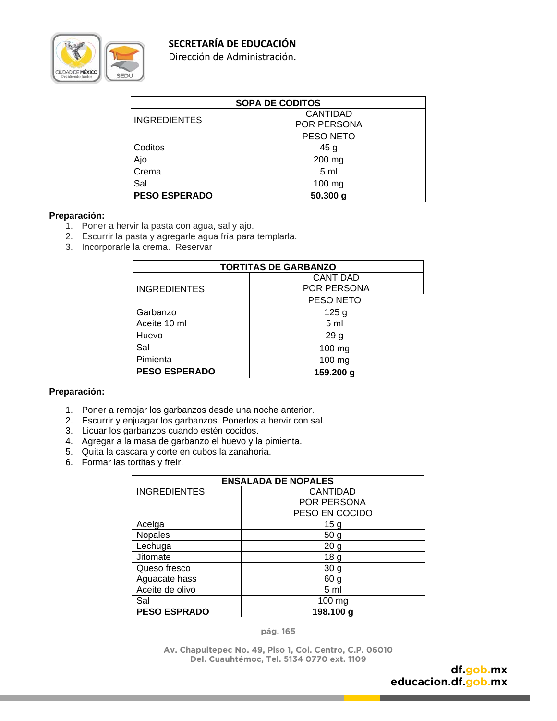

| <b>SOPA DE CODITOS</b> |                 |  |
|------------------------|-----------------|--|
| <b>INGREDIENTES</b>    | <b>CANTIDAD</b> |  |
|                        | POR PERSONA     |  |
|                        | PESO NETO       |  |
| Coditos                | 45 <sub>g</sub> |  |
| Ajo                    | 200 mg          |  |
| Crema                  | 5 <sub>m</sub>  |  |
| Sal                    | 100 mg          |  |
| <b>PESO ESPERADO</b>   | $50.300$ g      |  |

- 1. Poner a hervir la pasta con agua, sal y ajo.
- 2. Escurrir la pasta y agregarle agua fría para templarla.
- 3. Incorporarle la crema. Reservar

| <b>TORTITAS DE GARBANZO</b> |                  |  |
|-----------------------------|------------------|--|
| <b>INGREDIENTES</b>         | <b>CANTIDAD</b>  |  |
|                             | POR PERSONA      |  |
|                             | PESO NETO        |  |
| Garbanzo                    | 125 <sub>g</sub> |  |
| Aceite 10 ml                | 5 <sub>m</sub>   |  |
| Huevo                       | 29 <sub>g</sub>  |  |
| Sal                         | 100 mg           |  |
| Pimienta                    | 100 mg           |  |
| <b>PESO ESPERADO</b>        | 159.200 g        |  |

### **Preparación:**

- 1. Poner a remojar los garbanzos desde una noche anterior.
- 2. Escurrir y enjuagar los garbanzos. Ponerlos a hervir con sal.
- 3. Licuar los garbanzos cuando estén cocidos.
- 4. Agregar a la masa de garbanzo el huevo y la pimienta.
- 5. Quita la cascara y corte en cubos la zanahoria.
- 6. Formar las tortitas y freír.

| <b>ENSALADA DE NOPALES</b> |                  |  |
|----------------------------|------------------|--|
| <b>INGREDIENTES</b>        | <b>CANTIDAD</b>  |  |
|                            | POR PERSONA      |  |
|                            | PESO EN COCIDO   |  |
| Acelga                     | 15 <sub>g</sub>  |  |
| Nopales                    | 50 <sub>g</sub>  |  |
| Lechuga                    | 20 <sub>g</sub>  |  |
| <b>Jitomate</b>            | 18 <sub>g</sub>  |  |
| Queso fresco               | 30 <sub>g</sub>  |  |
| Aguacate hass              | 60 g             |  |
| Aceite de olivo            | 5 <sub>m</sub>   |  |
| Sal                        | $100 \text{ mg}$ |  |
| <b>PESO ESPRADO</b>        | 198.100 g        |  |

**pág. 165** 

**Av. Chapultepec No. 49, Piso 1, Col. Centro, C.P. 06010 Del. Cuauhtémoc, Tel. 5134 0770 ext. 1109**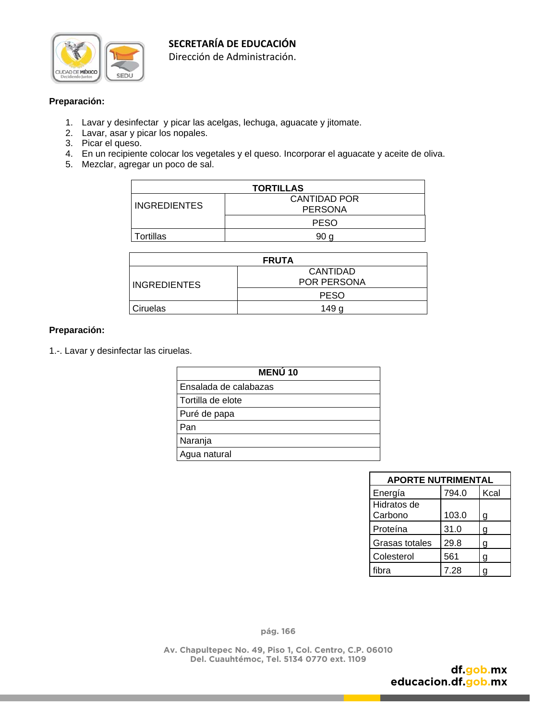

## **Preparación:**

- 1. Lavar y desinfectar y picar las acelgas, lechuga, aguacate y jitomate.
- 2. Lavar, asar y picar los nopales.
- 3. Picar el queso.
- 4. En un recipiente colocar los vegetales y el queso. Incorporar el aguacate y aceite de oliva.
- 5. Mezclar, agregar un poco de sal.

| <b>TORTILLAS</b>    |                     |  |
|---------------------|---------------------|--|
| <b>INGREDIENTES</b> | <b>CANTIDAD POR</b> |  |
|                     | <b>PERSONA</b>      |  |
|                     | <b>PESO</b>         |  |
| Tortillas           | 90 a                |  |

| <b>FRUTA</b>        |                    |  |
|---------------------|--------------------|--|
| <b>INGREDIENTES</b> | CANTIDAD           |  |
|                     | <b>POR PERSONA</b> |  |
|                     | <b>PESO</b>        |  |
| Ciruelas            | 149 a              |  |

## **Preparación:**

1.-. Lavar y desinfectar las ciruelas.

| <b>MENÚ 10</b>        |
|-----------------------|
| Ensalada de calabazas |
| Tortilla de elote     |
| Puré de papa          |
| Pan                   |
| Naranja               |
| Agua natural          |

| <b>APORTE NUTRIMENTAL</b> |       |      |
|---------------------------|-------|------|
| Energía                   | 794.0 | Kcal |
| Hidratos de<br>Carbono    | 103.0 | g    |
| Proteína                  | 31.0  | g    |
| Grasas totales            | 29.8  | g    |
| Colesterol                | 561   | g    |
| fibra                     | 7.28  |      |

**pág. 166** 

**Av. Chapultepec No. 49, Piso 1, Col. Centro, C.P. 06010 Del. Cuauhtémoc, Tel. 5134 0770 ext. 1109**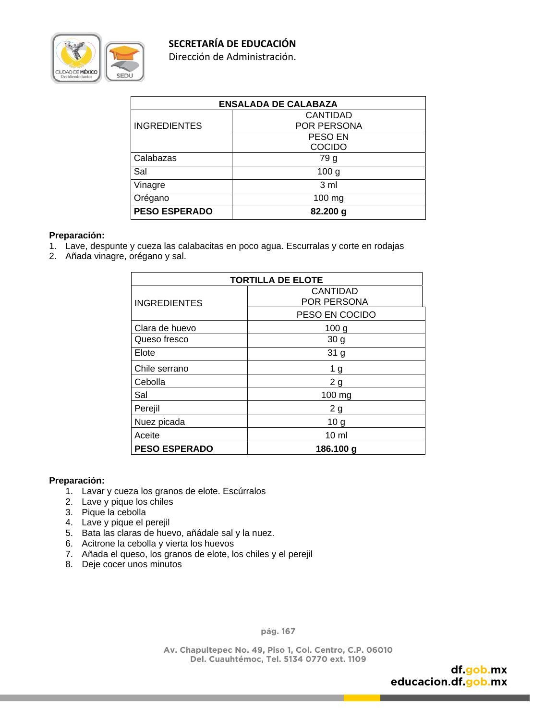

| <b>ENSALADA DE CALABAZA</b> |                  |  |
|-----------------------------|------------------|--|
|                             | <b>CANTIDAD</b>  |  |
| <b>INGREDIENTES</b>         | POR PERSONA      |  |
|                             | PESO EN          |  |
|                             | COCIDO           |  |
| Calabazas                   | 79 g             |  |
| Sal                         | 100 <sub>g</sub> |  |
| Vinagre                     | 3 ml             |  |
| Orégano                     | 100 mg           |  |
| <b>PESO ESPERADO</b>        | 82.200 g         |  |

- 1. Lave, despunte y cueza las calabacitas en poco agua. Escurralas y corte en rodajas
- 2. Añada vinagre, orégano y sal.

| <b>TORTILLA DE ELOTE</b> |                                |  |
|--------------------------|--------------------------------|--|
| <b>INGREDIENTES</b>      | <b>CANTIDAD</b><br>POR PERSONA |  |
|                          | PESO EN COCIDO                 |  |
| Clara de huevo           | 100 <sub>g</sub>               |  |
| Queso fresco             | 30 <sub>g</sub>                |  |
| Elote                    | 31 g                           |  |
| Chile serrano            | 1 <sub>g</sub>                 |  |
| Cebolla                  | 2g                             |  |
| Sal                      | 100 mg                         |  |
| Perejil                  | 2g                             |  |
| Nuez picada              | 10 <sub>g</sub>                |  |
| Aceite                   | 10 ml                          |  |
| <b>PESO ESPERADO</b>     | 186.100 g                      |  |

#### **Preparación:**

- 1. Lavar y cueza los granos de elote. Escúrralos
- 2. Lave y pique los chiles
- 3. Pique la cebolla
- 4. Lave y pique el perejil
- 5. Bata las claras de huevo, añádale sal y la nuez.
- 6. Acitrone la cebolla y vierta los huevos
- 7. Añada el queso, los granos de elote, los chiles y el perejil
- 8. Deje cocer unos minutos

**pág. 167** 

**Av. Chapultepec No. 49, Piso 1, Col. Centro, C.P. 06010 Del. Cuauhtémoc, Tel. 5134 0770 ext. 1109**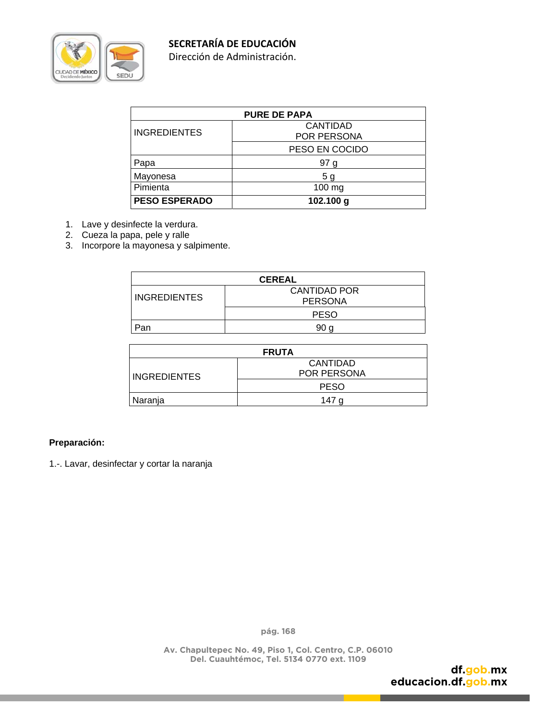

|                      | <b>PURE DE PAPA</b>            |
|----------------------|--------------------------------|
| <b>INGREDIENTES</b>  | <b>CANTIDAD</b><br>POR PERSONA |
|                      | PESO EN COCIDO                 |
| Papa                 | 97 a                           |
| Mayonesa             | 5 <sub>q</sub>                 |
| Pimienta             | $100$ mg                       |
| <b>PESO ESPERADO</b> | 102.100 g                      |

- 1. Lave y desinfecte la verdura.
- 2. Cueza la papa, pele y ralle
- 3. Incorpore la mayonesa y salpimente.

| <b>CEREAL</b>       |                     |  |
|---------------------|---------------------|--|
|                     | <b>CANTIDAD POR</b> |  |
| <b>INGREDIENTES</b> | <b>PERSONA</b>      |  |
|                     | <b>PESO</b>         |  |
| Pan                 | 90 o                |  |

| <b>FRUTA</b>   |                 |  |
|----------------|-----------------|--|
|                | <b>CANTIDAD</b> |  |
| I INGREDIENTES | POR PERSONA     |  |
|                | <b>PESO</b>     |  |
| Naranja        | 147 a           |  |

1.-. Lavar, desinfectar y cortar la naranja

**Av. Chapultepec No. 49, Piso 1, Col. Centro, C.P. 06010 Del. Cuauhtémoc, Tel. 5134 0770 ext. 1109**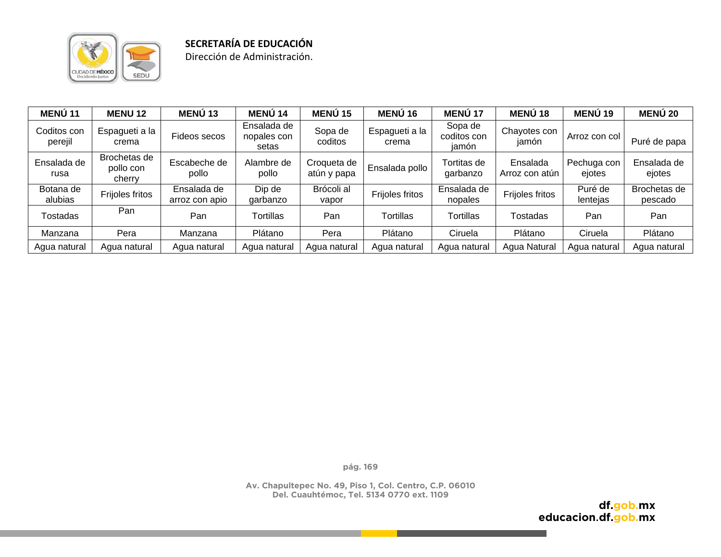

| <b>MENÚ 11</b>         | <b>MENU 12</b>                      | <b>MENÚ 13</b>                | <b>MENÚ 14</b>                      | <b>MENÚ 15</b>             | MENÚ 16                 | <b>MENÚ 17</b>                  | <b>MENÚ 18</b>             | MENÚ 19               | <b>MENÚ 20</b>          |
|------------------------|-------------------------------------|-------------------------------|-------------------------------------|----------------------------|-------------------------|---------------------------------|----------------------------|-----------------------|-------------------------|
| Coditos con<br>perejil | Espagueti a la<br>crema             | Fideos secos                  | Ensalada de<br>nopales con<br>setas | Sopa de<br>coditos         | Espagueti a la<br>crema | Sopa de<br>coditos con<br>jamón | Chayotes con<br>jamón      | Arroz con col         | Puré de papa            |
| Ensalada de<br>rusa    | Brochetas de<br>pollo con<br>cherry | Escabeche de<br>pollo         | Alambre de<br>pollo                 | Croqueta de<br>atún y papa | Ensalada pollo          | Tortitas de<br>garbanzo         | Ensalada<br>Arroz con atún | Pechuga con<br>ejotes | Ensalada de<br>ejotes   |
| Botana de<br>alubias   | Frijoles fritos                     | Ensalada de<br>arroz con apio | Dip de<br>garbanzo                  | Brócoli al<br>vapor        | Frijoles fritos         | Ensalada de<br>nopales          | Frijoles fritos            | Puré de<br>lentejas   | Brochetas de<br>pescado |
| Tostadas               | Pan                                 | Pan                           | Tortillas                           | Pan                        | Tortillas               | <b>Tortillas</b>                | Tostadas                   | Pan                   | Pan                     |
| Manzana                | Pera                                | Manzana                       | Plátano                             | Pera                       | Plátano                 | Ciruela                         | Plátano                    | Ciruela               | Plátano                 |
| Agua natural           | Agua natural                        | Agua natural                  | Agua natural                        | Agua natural               | Agua natural            | Agua natural                    | Agua Natural               | Agua natural          | Agua natural            |

**pág. 169** 

**Av. Chapultepec No. 49, Piso 1, Col. Centro, C.P. 06010 Del. Cuauhtémoc, Tel. 5134 0770 ext. 1109**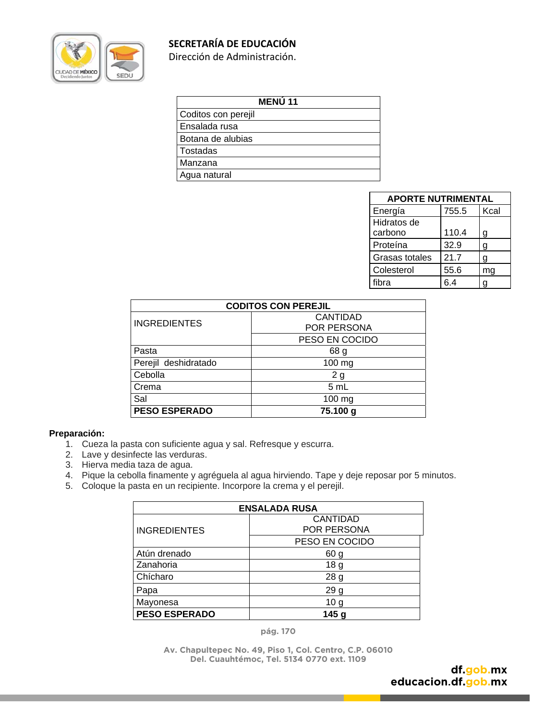Dirección de Administración.



| <b>MENÚ 11</b>      |
|---------------------|
| Coditos con perejil |
| Ensalada rusa       |
| l Botana de alubias |
| Tostadas            |
| Manzana             |
| Agua natural        |

| <b>APORTE NUTRIMENTAL</b> |       |      |
|---------------------------|-------|------|
| Energía                   | 755.5 | Kcal |
| Hidratos de               |       |      |
| carbono                   | 110.4 | g    |
| Proteína                  | 32.9  | g    |
| Grasas totales            | 21.7  | g    |
| Colesterol                | 55.6  | mg   |
| fibra                     | 6.4   | g    |

| <b>CODITOS CON PEREJIL</b> |                 |  |
|----------------------------|-----------------|--|
| <b>INGREDIENTES</b>        | <b>CANTIDAD</b> |  |
|                            | POR PERSONA     |  |
|                            | PESO EN COCIDO  |  |
| Pasta                      | 68 g            |  |
| Perejil deshidratado       | 100 mg          |  |
| Cebolla                    | 2g              |  |
| Crema                      | 5 mL            |  |
| Sal                        | 100 mg          |  |
| <b>PESO ESPERADO</b>       | 75.100 g        |  |

## **Preparación:**

- 1. Cueza la pasta con suficiente agua y sal. Refresque y escurra.
- 2. Lave y desinfecte las verduras.
- 3. Hierva media taza de agua.
- 4. Pique la cebolla finamente y agréguela al agua hirviendo. Tape y deje reposar por 5 minutos.
- 5. Coloque la pasta en un recipiente. Incorpore la crema y el perejil.

| <b>ENSALADA RUSA</b> |                 |  |
|----------------------|-----------------|--|
|                      | <b>CANTIDAD</b> |  |
| <b>INGREDIENTES</b>  | POR PERSONA     |  |
|                      | PESO EN COCIDO  |  |
| Atún drenado         | 60 <sub>g</sub> |  |
| Zanahoria            | 18 <sub>g</sub> |  |
| Chícharo             | 28 <sub>g</sub> |  |
| Papa                 | 29 <sub>g</sub> |  |
| Mayonesa             | 10 <sub>g</sub> |  |
| <b>PESO ESPERADO</b> | 145 g           |  |

**pág. 170** 

**Av. Chapultepec No. 49, Piso 1, Col. Centro, C.P. 06010 Del. Cuauhtémoc, Tel. 5134 0770 ext. 1109**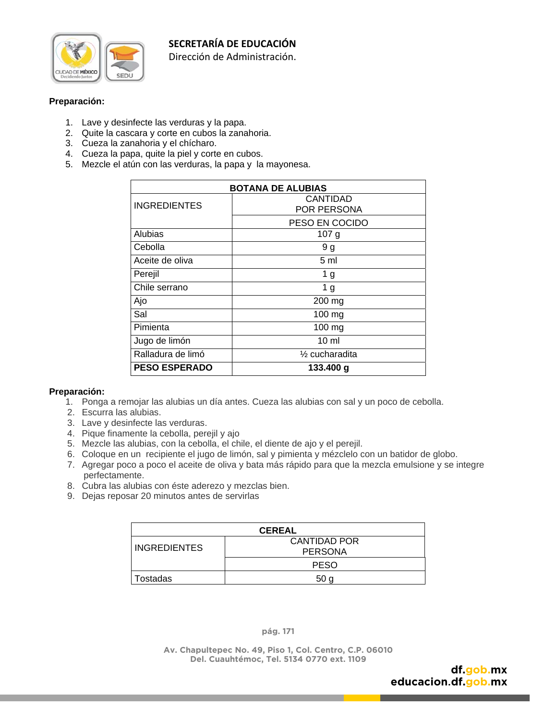

#### **Preparación:**

- 1. Lave y desinfecte las verduras y la papa.
- 2. Quite la cascara y corte en cubos la zanahoria.
- 3. Cueza la zanahoria y el chícharo.
- 4. Cueza la papa, quite la piel y corte en cubos.
- 5. Mezcle el atún con las verduras, la papa y la mayonesa.

| <b>BOTANA DE ALUBIAS</b> |                                |  |  |  |
|--------------------------|--------------------------------|--|--|--|
| <b>INGREDIENTES</b>      | <b>CANTIDAD</b><br>POR PERSONA |  |  |  |
|                          | PESO EN COCIDO                 |  |  |  |
| Alubias                  | 107 <sub>g</sub>               |  |  |  |
| Cebolla                  | 9 g                            |  |  |  |
| Aceite de oliva          | 5 <sub>m</sub>                 |  |  |  |
| Perejil                  | 1 <sub>g</sub>                 |  |  |  |
| Chile serrano            | 1 <sub>g</sub>                 |  |  |  |
| Ajo                      | 200 mg                         |  |  |  |
| Sal                      | 100 mg                         |  |  |  |
| Pimienta                 | 100 mg                         |  |  |  |
| Jugo de limón            | $10 \mathrm{m}$                |  |  |  |
| Ralladura de limó        | 1/ <sub>2</sub> cucharadita    |  |  |  |
| <b>PESO ESPERADO</b>     | 133.400 g                      |  |  |  |

#### **Preparación:**

- 1. Ponga a remojar las alubias un día antes. Cueza las alubias con sal y un poco de cebolla.
- 2. Escurra las alubias.
- 3. Lave y desinfecte las verduras.
- 4. Pique finamente la cebolla, perejil y ajo
- 5. Mezcle las alubias, con la cebolla, el chile, el diente de ajo y el perejil.
- 6. Coloque en un recipiente el jugo de limón, sal y pimienta y mézclelo con un batidor de globo.
- 7. Agregar poco a poco el aceite de oliva y bata más rápido para que la mezcla emulsione y se integre perfectamente.
- 8. Cubra las alubias con éste aderezo y mezclas bien.
- 9. Dejas reposar 20 minutos antes de servirlas

| <b>CEREAL</b>       |                     |  |
|---------------------|---------------------|--|
|                     | <b>CANTIDAD POR</b> |  |
| <b>INGREDIENTES</b> | <b>PERSONA</b>      |  |
|                     | <b>PESO</b>         |  |
| Tostadas            | 50 g                |  |

**pág. 171** 

**Av. Chapultepec No. 49, Piso 1, Col. Centro, C.P. 06010 Del. Cuauhtémoc, Tel. 5134 0770 ext. 1109**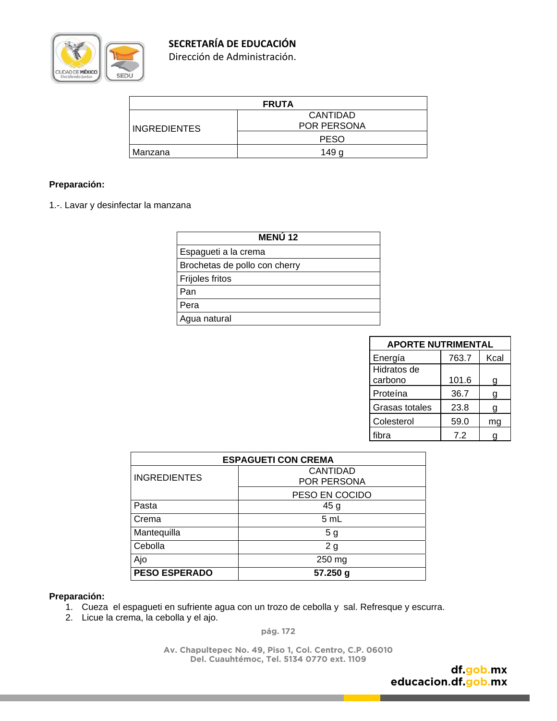

|                | <b>FRUTA</b>       |
|----------------|--------------------|
|                | CANTIDAD           |
| I INGREDIENTES | <b>POR PERSONA</b> |
|                | <b>PESO</b>        |
| Manzana        | 149 a              |

## **Preparación:**

1.-. Lavar y desinfectar la manzana

| <b>MENÚ 12</b>                |
|-------------------------------|
| Espagueti a la crema          |
| Brochetas de pollo con cherry |
| Frijoles fritos               |
| Pan                           |
| Pera                          |
| Agua natural                  |

| <b>APORTE NUTRIMENTAL</b> |       |      |
|---------------------------|-------|------|
| Energía                   | 763.7 | Kcal |
| Hidratos de<br>carbono    | 101.6 | g    |
| Proteína                  | 36.7  | g    |
| Grasas totales            | 23.8  |      |
| Colesterol                | 59.0  | mg   |
| fibra                     | 72    |      |

| <b>ESPAGUETI CON CREMA</b> |                                |
|----------------------------|--------------------------------|
| <b>INGREDIENTES</b>        | <b>CANTIDAD</b><br>POR PERSONA |
|                            | PESO EN COCIDO                 |
| Pasta                      | 45 <sub>g</sub>                |
| Crema                      | 5 mL                           |
| Mantequilla                | 5 <sub>g</sub>                 |
| Cebolla                    | 2 <sub>g</sub>                 |
| Ajo                        | 250 mg                         |
| <b>PESO ESPERADO</b>       | 57.250 g                       |

### **Preparación:**

- 1. Cueza el espagueti en sufriente agua con un trozo de cebolla y sal. Refresque y escurra.
- 2. Licue la crema, la cebolla y el ajo.

**pág. 172** 

**Av. Chapultepec No. 49, Piso 1, Col. Centro, C.P. 06010 Del. Cuauhtémoc, Tel. 5134 0770 ext. 1109**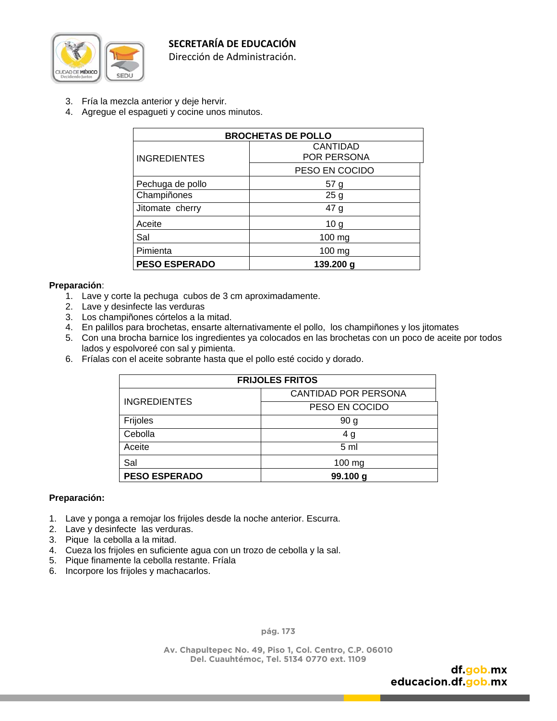

- 3. Fría la mezcla anterior y deje hervir.
- 4. Agregue el espagueti y cocine unos minutos.

| <b>BROCHETAS DE POLLO</b> |                 |
|---------------------------|-----------------|
| <b>INGREDIENTES</b>       | <b>CANTIDAD</b> |
|                           | POR PERSONA     |
|                           | PESO EN COCIDO  |
| Pechuga de pollo          | 57 g            |
| Champiñones               | 25 <sub>g</sub> |
| Jitomate cherry           | 47 g            |
| Aceite                    | 10 <sub>g</sub> |
| Sal                       | $100$ mg        |
| Pimienta                  | $100$ mg        |
| <b>PESO ESPERADO</b>      | 139.200 g       |

- 1. Lave y corte la pechuga cubos de 3 cm aproximadamente.
- 2. Lave y desinfecte las verduras
- 3. Los champiñones córtelos a la mitad.
- 4. En palillos para brochetas, ensarte alternativamente el pollo, los champiñones y los jitomates
- 5. Con una brocha barnice los ingredientes ya colocados en las brochetas con un poco de aceite por todos lados y espolvoreé con sal y pimienta.
- 6. Fríalas con el aceite sobrante hasta que el pollo esté cocido y dorado.

| <b>FRIJOLES FRITOS</b> |                             |
|------------------------|-----------------------------|
| <b>INGREDIENTES</b>    | <b>CANTIDAD POR PERSONA</b> |
|                        | PESO EN COCIDO              |
| Frijoles               | 90 <sub>g</sub>             |
| Cebolla                | 4 g                         |
| Aceite                 | 5 <sub>m</sub>              |
| Sal                    | $100 \text{ mg}$            |
| <b>PESO ESPERADO</b>   | 99.100 g                    |

#### **Preparación:**

- 1. Lave y ponga a remojar los frijoles desde la noche anterior. Escurra.
- 2. Lave y desinfecte las verduras.
- 3. Pique la cebolla a la mitad.
- 4. Cueza los frijoles en suficiente agua con un trozo de cebolla y la sal.
- 5. Pique finamente la cebolla restante. Fríala
- 6. Incorpore los frijoles y machacarlos.

**pág. 173** 

**Av. Chapultepec No. 49, Piso 1, Col. Centro, C.P. 06010 Del. Cuauhtémoc, Tel. 5134 0770 ext. 1109**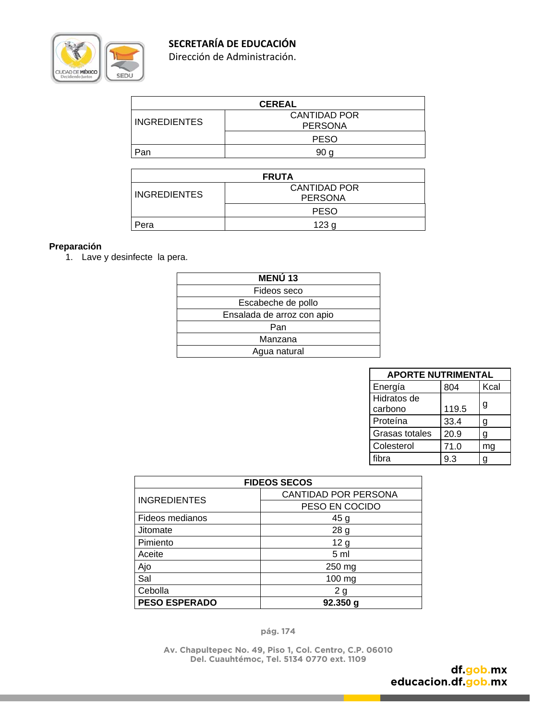

| <b>CEREAL</b>       |                     |
|---------------------|---------------------|
|                     | <b>CANTIDAD POR</b> |
| <b>INGREDIENTES</b> | <b>PERSONA</b>      |
|                     | <b>PESO</b>         |
| Pan                 | 90 a                |

| <b>FRUTA</b>        |                     |
|---------------------|---------------------|
| <b>INGREDIENTES</b> | <b>CANTIDAD POR</b> |
|                     | <b>PERSONA</b>      |
|                     | <b>PESO</b>         |
| Pera                | 123 a               |

.<br>1. Lave y desinfecte la pera.

| <b>MENÚ 13</b>             |  |
|----------------------------|--|
| Fideos seco                |  |
| Escabeche de pollo         |  |
| Ensalada de arroz con apio |  |
| Pan                        |  |
| Manzana                    |  |
| Agua natural               |  |

| <b>APORTE NUTRIMENTAL</b> |       |      |
|---------------------------|-------|------|
| Energía                   | 804   | Kcal |
| Hidratos de               |       |      |
| carbono                   | 119.5 | g    |
| Proteína                  | 33.4  | g    |
| Grasas totales            | 20.9  | g    |
| Colesterol                | 71.0  | mg   |
| fibra                     | 9.3   | O    |

| <b>FIDEOS SECOS</b>  |                             |
|----------------------|-----------------------------|
| <b>INGREDIENTES</b>  | <b>CANTIDAD POR PERSONA</b> |
|                      | PESO EN COCIDO              |
| Fideos medianos      | 45 <sub>g</sub>             |
| <b>Jitomate</b>      | 28 g                        |
| Pimiento             | 12 <sub>g</sub>             |
| Aceite               | 5 <sub>m</sub>              |
| Ajo                  | 250 mg                      |
| Sal                  | 100 mg                      |
| Cebolla              | 2 <sub>g</sub>              |
| <b>PESO ESPERADO</b> | $92.350$ g                  |

### **pág. 174**

**Av. Chapultepec No. 49, Piso 1, Col. Centro, C.P. 06010 Del. Cuauhtémoc, Tel. 5134 0770 ext. 1109**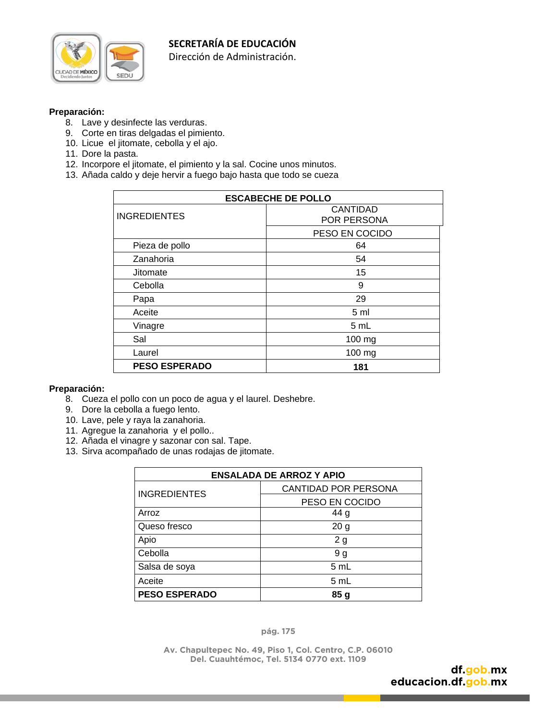

#### **Preparación:**

- 8. Lave y desinfecte las verduras.
- 9. Corte en tiras delgadas el pimiento.
- 10. Licue el jitomate, cebolla y el ajo.
- 11. Dore la pasta.
- 12. Incorpore el jitomate, el pimiento y la sal. Cocine unos minutos.
- 13. Añada caldo y deje hervir a fuego bajo hasta que todo se cueza

| <b>ESCABECHE DE POLLO</b> |                                |  |
|---------------------------|--------------------------------|--|
| <b>INGREDIENTES</b>       | <b>CANTIDAD</b><br>POR PERSONA |  |
|                           | PESO EN COCIDO                 |  |
| Pieza de pollo            | 64                             |  |
| Zanahoria                 | 54                             |  |
| <b>Jitomate</b>           | 15                             |  |
| Cebolla                   | 9                              |  |
| Papa                      | 29                             |  |
| Aceite                    | 5 <sub>ml</sub>                |  |
| Vinagre                   | 5 mL                           |  |
| Sal                       | 100 mg                         |  |
| Laurel                    | $100$ mg                       |  |
| <b>PESO ESPERADO</b>      | 181                            |  |

#### **Preparación:**

- 8. Cueza el pollo con un poco de agua y el laurel. Deshebre.
- 9. Dore la cebolla a fuego lento.
- 10. Lave, pele y raya la zanahoria.
- 11. Agregue la zanahoria y el pollo..
- 12. Añada el vinagre y sazonar con sal. Tape.
- 13. Sirva acompañado de unas rodajas de jitomate.

| <b>ENSALADA DE ARROZ Y APIO</b> |                             |
|---------------------------------|-----------------------------|
| <b>INGREDIENTES</b>             | <b>CANTIDAD POR PERSONA</b> |
|                                 | PESO EN COCIDO              |
| Arroz                           | 44 g                        |
| Queso fresco                    | 20 <sub>g</sub>             |
| Apio                            | 2 <sub>g</sub>              |
| Cebolla                         | 9 g                         |
| Salsa de soya                   | 5 mL                        |
| Aceite                          | 5 mL                        |
| <b>PESO ESPERADO</b>            | 85 <sub>g</sub>             |

**Av. Chapultepec No. 49, Piso 1, Col. Centro, C.P. 06010 Del. Cuauhtémoc, Tel. 5134 0770 ext. 1109**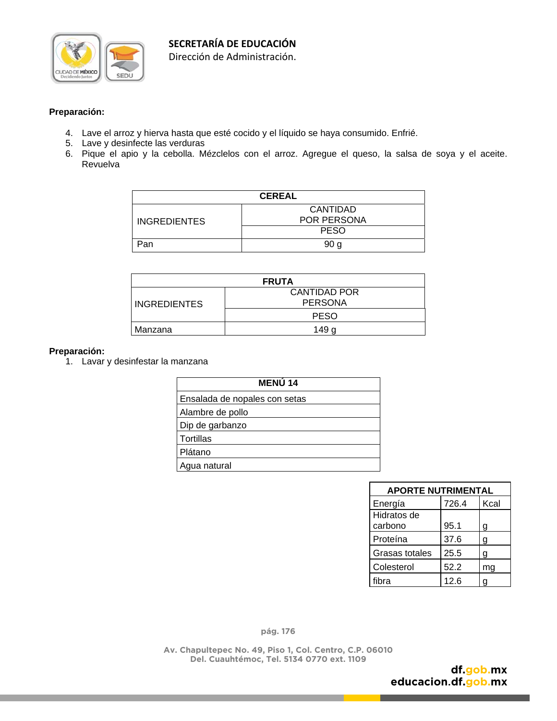

- 4. Lave el arroz y hierva hasta que esté cocido y el líquido se haya consumido. Enfrié.
- 5. Lave y desinfecte las verduras
- 6. Pique el apio y la cebolla. Mézclelos con el arroz. Agregue el queso, la salsa de soya y el aceite. Revuelva

| <b>CEREAL</b>       |                 |
|---------------------|-----------------|
|                     | <b>CANTIDAD</b> |
| <b>INGREDIENTES</b> | POR PERSONA     |
|                     | <b>PESO</b>     |
| Pan                 | 90 <sub>g</sub> |

| <b>FRUTA</b> |                     |
|--------------|---------------------|
| INGREDIENTES | <b>CANTIDAD POR</b> |
|              | <b>PERSONA</b>      |
|              | <b>PESO</b>         |
| Manzana      | 149 a               |

## **Preparación:**

1. Lavar y desinfestar la manzana

| <b>MENÚ 14</b>                |
|-------------------------------|
| Ensalada de nopales con setas |
| Alambre de pollo              |
| Dip de garbanzo               |
| Tortillas                     |
| Plátano                       |
| Agua natural                  |

| <b>APORTE NUTRIMENTAL</b> |       |      |
|---------------------------|-------|------|
| Energía                   | 726.4 | Kcal |
| Hidratos de               |       |      |
| carbono                   | 95.1  | g    |
| Proteína                  | 37.6  | g    |
| Grasas totales            | 25.5  | g    |
| Colesterol                | 52.2  | mg   |
| fibra                     | 12.6  | g    |

**pág. 176** 

**Av. Chapultepec No. 49, Piso 1, Col. Centro, C.P. 06010 Del. Cuauhtémoc, Tel. 5134 0770 ext. 1109**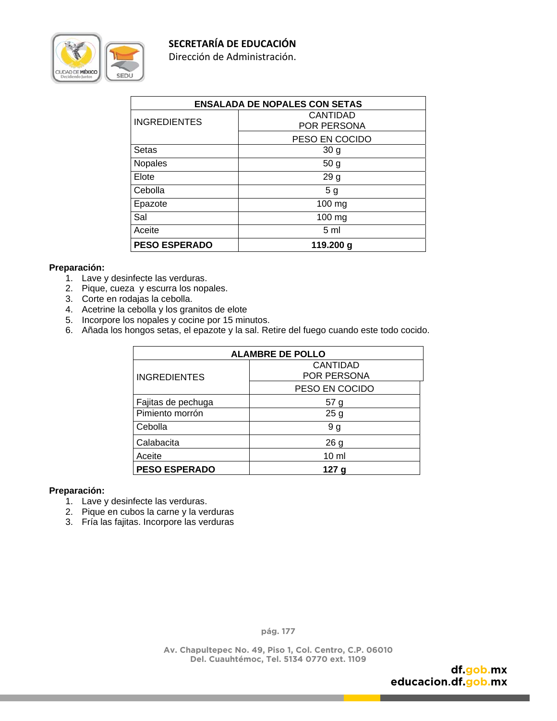



Dirección de Administración.

| <b>ENSALADA DE NOPALES CON SETAS</b> |                                |  |
|--------------------------------------|--------------------------------|--|
| <b>INGREDIENTES</b>                  | <b>CANTIDAD</b><br>POR PERSONA |  |
|                                      | PESO EN COCIDO                 |  |
| Setas                                | 30 <sub>g</sub>                |  |
| Nopales                              | 50 <sub>g</sub>                |  |
| Elote                                | 29 <sub>g</sub>                |  |
| Cebolla                              | 5 <sub>g</sub>                 |  |
| Epazote                              | $100$ mg                       |  |
| Sal                                  | $100$ mg                       |  |
| Aceite                               | 5 <sub>m</sub>                 |  |
| <b>PESO ESPERADO</b>                 | 119.200 g                      |  |

## **Preparación:**

- 1. Lave y desinfecte las verduras.
- 2. Pique, cueza y escurra los nopales.
- 3. Corte en rodajas la cebolla.
- 4. Acetrine la cebolla y los granitos de elote
- 5. Incorpore los nopales y cocine por 15 minutos.
- 6. Añada los hongos setas, el epazote y la sal. Retire del fuego cuando este todo cocido.

| <b>ALAMBRE DE POLLO</b> |                                |  |
|-------------------------|--------------------------------|--|
| <b>INGREDIENTES</b>     | <b>CANTIDAD</b><br>POR PERSONA |  |
|                         | PESO EN COCIDO                 |  |
| Fajitas de pechuga      | 57 g                           |  |
| Pimiento morrón         | 25 <sub>g</sub>                |  |
| Cebolla                 | 9 g                            |  |
| Calabacita              | 26g                            |  |
| Aceite                  | $10 \mathrm{m}$                |  |
| <b>PESO ESPERADO</b>    | 127 g                          |  |

## **Preparación:**

- 1. Lave y desinfecte las verduras.
- 2. Pique en cubos la carne y la verduras
- 3. Fría las fajitas. Incorpore las verduras

**pág. 177** 

**Av. Chapultepec No. 49, Piso 1, Col. Centro, C.P. 06010 Del. Cuauhtémoc, Tel. 5134 0770 ext. 1109**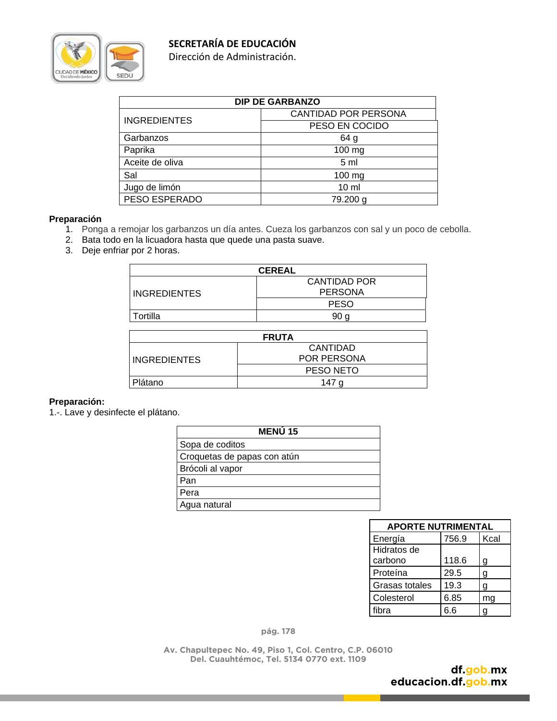

Dirección de Administración.

| <b>DIP DE GARBANZO</b> |                             |  |
|------------------------|-----------------------------|--|
| <b>INGREDIENTES</b>    | <b>CANTIDAD POR PERSONA</b> |  |
|                        | PESO EN COCIDO              |  |
| Garbanzos              | 64 g                        |  |
| Paprika                | 100 mg                      |  |
| Aceite de oliva        | 5 <sub>m</sub>              |  |
| Sal                    | 100 mg                      |  |
| Jugo de limón          | 10 <sub>m</sub>             |  |
| PESO ESPERADO          | 79.200 g                    |  |

# **Preparación**

- 1. Ponga a remojar los garbanzos un día antes. Cueza los garbanzos con sal y un poco de cebolla.
- 2. Bata todo en la licuadora hasta que quede una pasta suave.
- 3. Deje enfriar por 2 horas.

| <b>CEREAL</b>  |                     |  |
|----------------|---------------------|--|
|                | <b>CANTIDAD POR</b> |  |
| I INGREDIENTES | PERSONA             |  |
|                | <b>PESO</b>         |  |
| Tortilla       | 90 a                |  |

| <b>FRUTA</b>        |                    |  |
|---------------------|--------------------|--|
| <b>INGREDIENTES</b> | CANTIDAD           |  |
|                     | <b>POR PERSONA</b> |  |
|                     | PESO NETO          |  |
| Plátano             | 147 a              |  |
|                     |                    |  |

## **Preparación:**

1.-. Lave y desinfecte el plátano.

| <b>MENÚ 15</b>              |
|-----------------------------|
| Sopa de coditos             |
| Croquetas de papas con atún |
| Brócoli al vapor            |
| Pan                         |
| Pera                        |
| Agua natural                |

| <b>APORTE NUTRIMENTAL</b> |       |      |
|---------------------------|-------|------|
| Energía                   | 756.9 | Kcal |
| Hidratos de               |       |      |
| carbono                   | 118.6 | g    |
| Proteína                  | 29.5  | g    |
| Grasas totales            | 19.3  | g    |
| Colesterol                | 6.85  | mg   |
| fibra                     | 6.6   | q    |

**pág. 178** 

**Av. Chapultepec No. 49, Piso 1, Col. Centro, C.P. 06010 Del. Cuauhtémoc, Tel. 5134 0770 ext. 1109**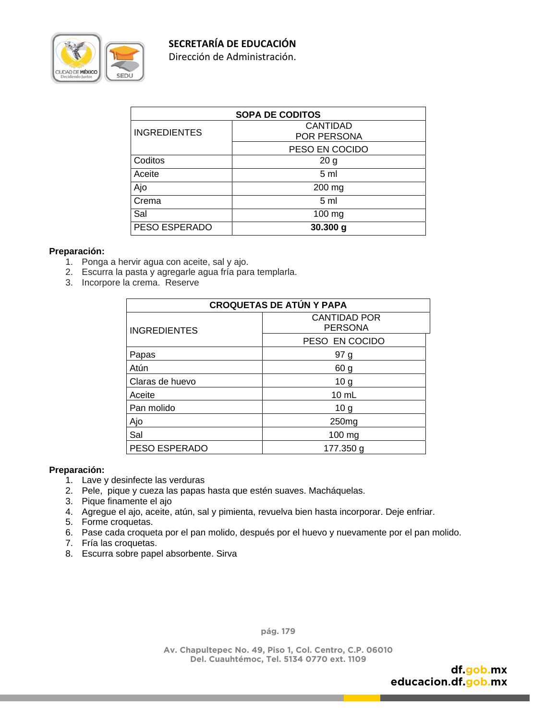

| <b>SOPA DE CODITOS</b> |                                |  |
|------------------------|--------------------------------|--|
| <b>INGREDIENTES</b>    | <b>CANTIDAD</b><br>POR PERSONA |  |
|                        | PESO EN COCIDO                 |  |
| Coditos                | 20 <sub>g</sub>                |  |
| Aceite                 | 5 ml                           |  |
| Ajo                    | 200 mg                         |  |
| Crema                  | 5 <sub>m</sub>                 |  |
| Sal                    | $100$ mg                       |  |
| PESO ESPERADO          | 30.300 g                       |  |

- 1. Ponga a hervir agua con aceite, sal y ajo.
- 2. Escurra la pasta y agregarle agua fría para templarla.
- 3. Incorpore la crema. Reserve

| <b>CROQUETAS DE ATÚN Y PAPA</b> |                     |  |
|---------------------------------|---------------------|--|
|                                 | <b>CANTIDAD POR</b> |  |
| <b>INGREDIENTES</b>             | <b>PERSONA</b>      |  |
|                                 | PESO EN COCIDO      |  |
| Papas                           | 97 g                |  |
| Atún                            | 60 g                |  |
| Claras de huevo                 | 10 <sub>g</sub>     |  |
| Aceite                          | $10 \text{ mL}$     |  |
| Pan molido                      | 10 <sub>g</sub>     |  |
| Ajo                             | 250 <sub>mg</sub>   |  |
| Sal                             | $100 \text{ mg}$    |  |
| PESO ESPERADO                   | 177.350 g           |  |

#### **Preparación:**

- 1. Lave y desinfecte las verduras
- 2. Pele, pique y cueza las papas hasta que estén suaves. Macháquelas.
- 3. Pique finamente el ajo
- 4. Agregue el ajo, aceite, atún, sal y pimienta, revuelva bien hasta incorporar. Deje enfriar.
- 5. Forme croquetas.
- 6. Pase cada croqueta por el pan molido, después por el huevo y nuevamente por el pan molido.
- 7. Fría las croquetas.
- 8. Escurra sobre papel absorbente. Sirva

**pág. 179** 

**Av. Chapultepec No. 49, Piso 1, Col. Centro, C.P. 06010 Del. Cuauhtémoc, Tel. 5134 0770 ext. 1109**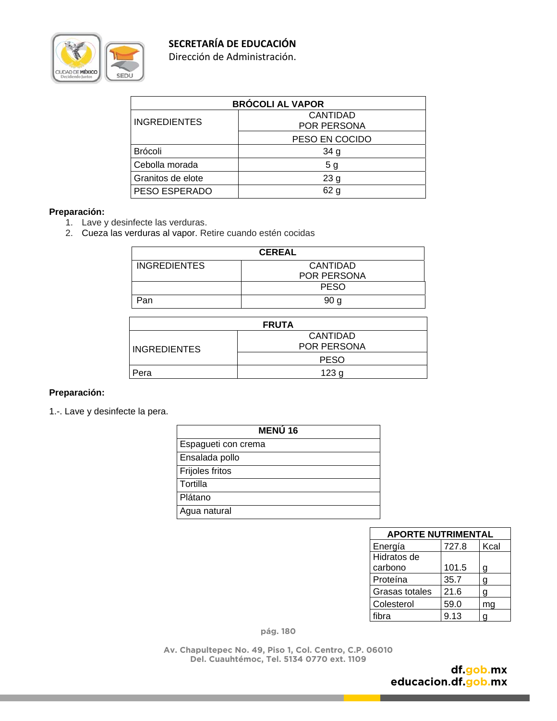

| <b>BRÓCOLI AL VAPOR</b> |                                |  |  |
|-------------------------|--------------------------------|--|--|
| <b>INGREDIENTES</b>     | <b>CANTIDAD</b><br>POR PERSONA |  |  |
|                         | PESO EN COCIDO                 |  |  |
| <b>Brócoli</b>          | 34 <sub>g</sub>                |  |  |
| Cebolla morada          | 5 g                            |  |  |
| Granitos de elote       | 23 <sub>g</sub>                |  |  |
| PESO ESPERADO           | 62 <sub>g</sub>                |  |  |

- 1. Lave y desinfecte las verduras.
- 2. Cueza las verduras al vapor. Retire cuando estén cocidas

| <b>CEREAL</b>       |                    |  |
|---------------------|--------------------|--|
| <b>INGREDIENTES</b> | <b>CANTIDAD</b>    |  |
|                     | <b>POR PERSONA</b> |  |
|                     | <b>PESO</b>        |  |
| Pan                 | 90 <sub>q</sub>    |  |

| <b>FRUTA</b>        |                    |  |
|---------------------|--------------------|--|
| <b>INGREDIENTES</b> | CANTIDAD           |  |
|                     | <b>POR PERSONA</b> |  |
|                     | <b>PESO</b>        |  |
| Pera                | 123 <sub>g</sub>   |  |
|                     |                    |  |

### **Preparación:**

1.-. Lave y desinfecte la pera.

| MENÚ 16             |
|---------------------|
| Espagueti con crema |
| Ensalada pollo      |
| Frijoles fritos     |
| Tortilla            |
| Plátano             |
| Agua natural        |

| <b>APORTE NUTRIMENTAL</b> |       |      |  |  |
|---------------------------|-------|------|--|--|
| Energía                   | 727.8 | Kcal |  |  |
| Hidratos de               |       |      |  |  |
| carbono                   | 101.5 | g    |  |  |
| Proteína                  | 35.7  | g    |  |  |
| Grasas totales            | 21.6  | g    |  |  |
| Colesterol                | 59.0  | ma   |  |  |
| fibra                     | 9.13  |      |  |  |

**pág. 180** 

**Av. Chapultepec No. 49, Piso 1, Col. Centro, C.P. 06010 Del. Cuauhtémoc, Tel. 5134 0770 ext. 1109**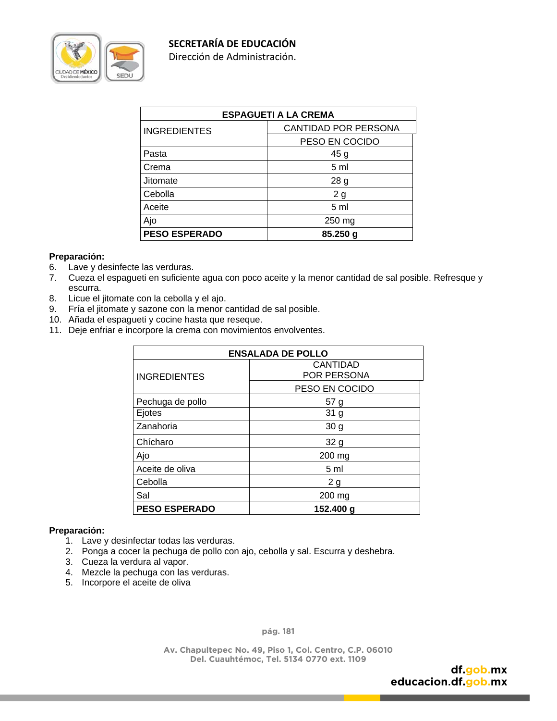

| <b>ESPAGUETI A LA CREMA</b> |                             |  |
|-----------------------------|-----------------------------|--|
| <b>INGREDIENTES</b>         | <b>CANTIDAD POR PERSONA</b> |  |
|                             | PESO EN COCIDO              |  |
| Pasta                       | 45 <sub>g</sub>             |  |
| Crema                       | 5 <sub>m</sub>              |  |
| <b>Jitomate</b>             | 28 g                        |  |
| Cebolla                     | 2g                          |  |
| Aceite                      | 5 <sub>m</sub>              |  |
| Ajo                         | 250 mg                      |  |
| <b>PESO ESPERADO</b>        | $85.250$ g                  |  |

# **Preparación:**

- 6. Lave y desinfecte las verduras.
- 7. Cueza el espagueti en suficiente agua con poco aceite y la menor cantidad de sal posible. Refresque y escurra.
- 8. Licue el jitomate con la cebolla y el ajo.
- 9. Fría el jitomate y sazone con la menor cantidad de sal posible.
- 10. Añada el espagueti y cocine hasta que reseque.
- 11. Deje enfriar e incorpore la crema con movimientos envolventes.

| <b>ENSALADA DE POLLO</b> |                                |
|--------------------------|--------------------------------|
| <b>INGREDIENTES</b>      | <b>CANTIDAD</b><br>POR PERSONA |
|                          | PESO EN COCIDO                 |
| Pechuga de pollo         | 57 <sub>g</sub>                |
| Ejotes                   | 31 <sub>g</sub>                |
| Zanahoria                | 30 <sub>g</sub>                |
| Chícharo                 | 32 <sub>g</sub>                |
| Ajo                      | $200$ mg                       |
| Aceite de oliva          | 5 ml                           |
| Cebolla                  | 2g                             |
| Sal                      | 200 mg                         |
| <b>PESO ESPERADO</b>     | 152.400 g                      |

## **Preparación:**

- 1. Lave y desinfectar todas las verduras.
- 2. Ponga a cocer la pechuga de pollo con ajo, cebolla y sal. Escurra y deshebra.
- 3. Cueza la verdura al vapor.
- 4. Mezcle la pechuga con las verduras.
- 5. Incorpore el aceite de oliva

**pág. 181** 

**Av. Chapultepec No. 49, Piso 1, Col. Centro, C.P. 06010 Del. Cuauhtémoc, Tel. 5134 0770 ext. 1109**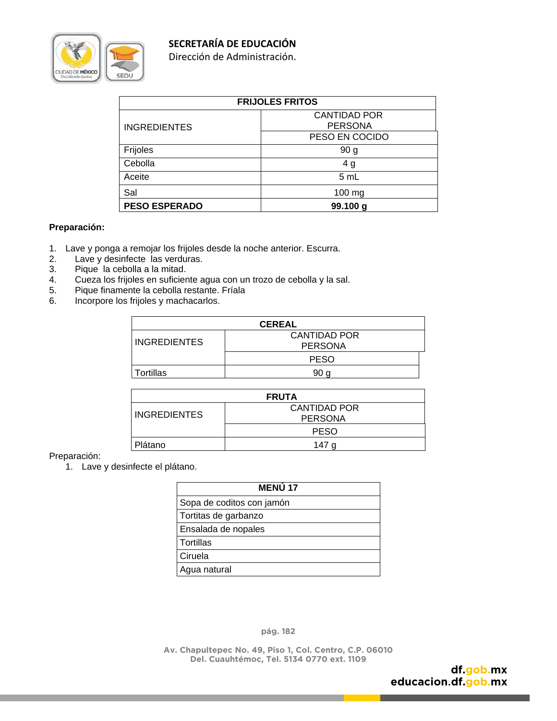

| <b>FRIJOLES FRITOS</b> |                                       |
|------------------------|---------------------------------------|
| <b>INGREDIENTES</b>    | <b>CANTIDAD POR</b><br><b>PERSONA</b> |
|                        | PESO EN COCIDO                        |
| Frijoles               | 90 <sub>g</sub>                       |
| Cebolla                | 4 g                                   |
| Aceite                 | 5 mL                                  |
| Sal                    | $100$ mg                              |
| <b>PESO ESPERADO</b>   | $99.100$ g                            |

# **Preparación:**

- 1. Lave y ponga a remojar los frijoles desde la noche anterior. Escurra.
- 2. Lave y desinfecte las verduras.
- 3. Pique la cebolla a la mitad.
- 4. Cueza los frijoles en suficiente agua con un trozo de cebolla y la sal.
- 5. Pique finamente la cebolla restante. Fríala
- 6. Incorpore los frijoles y machacarlos.

| <b>CEREAL</b>       |                     |
|---------------------|---------------------|
| <b>INGREDIENTES</b> | <b>CANTIDAD POR</b> |
|                     | <b>PERSONA</b>      |
|                     | <b>PESO</b>         |
| Tortillas           | 90 a                |

| <b>FRUTA</b>   |                     |
|----------------|---------------------|
| I INGREDIENTES | <b>CANTIDAD POR</b> |
|                | <b>PERSONA</b>      |
|                | <b>PESO</b>         |
| l Plátano      | 147 a               |

## Preparación:

1. Lave y desinfecte el plátano.

| <b>MENÚ 17</b>            |  |
|---------------------------|--|
| Sopa de coditos con jamón |  |
| Tortitas de garbanzo      |  |
| Ensalada de nopales       |  |
| Tortillas                 |  |
| Ciruela                   |  |
| Agua natural              |  |

**pág. 182** 

**Av. Chapultepec No. 49, Piso 1, Col. Centro, C.P. 06010 Del. Cuauhtémoc, Tel. 5134 0770 ext. 1109**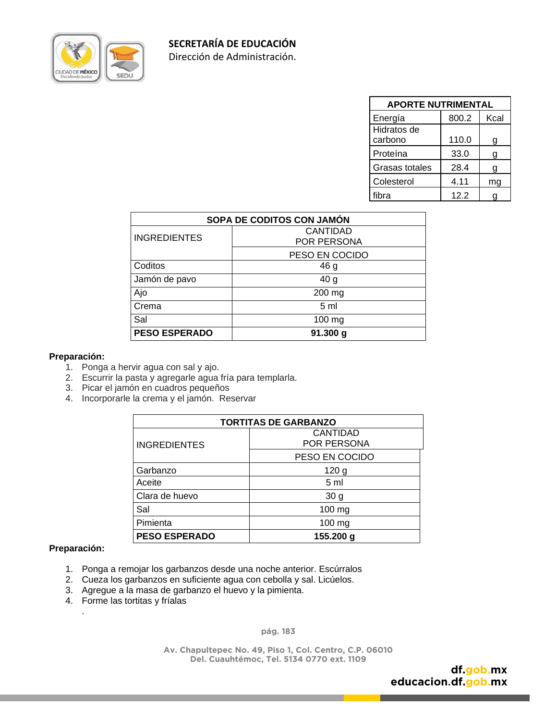

| <b>APORTE NUTRIMENTAL</b> |       |      |
|---------------------------|-------|------|
| Energía                   | 800.2 | Kcal |
| Hidratos de<br>carbono    | 110.0 | g    |
| Proteína                  | 33.0  | g    |
| Grasas totales            | 28.4  | g    |
| Colesterol                | 4.11  | mg   |
| fibra                     | 12.2  |      |

| SOPA DE CODITOS CON JAMÓN |                 |
|---------------------------|-----------------|
| <b>INGREDIENTES</b>       | <b>CANTIDAD</b> |
|                           | POR PERSONA     |
|                           | PESO EN COCIDO  |
| Coditos                   | 46 <sub>g</sub> |
| Jamón de pavo             | 40 <sub>g</sub> |
| Ajo                       | 200 mg          |
| Crema                     | 5 <sub>ml</sub> |
| Sal                       | $100$ mg        |
| <b>PESO ESPERADO</b>      | $91.300$ g      |

## **Preparación:**

- 1. Ponga a hervir agua con sal y ajo.
- 2. Escurrir la pasta y agregarle agua fría para templarla.
- 3. Picar el jamón en cuadros pequeños
- 4. Incorporarle la crema y el jamón. Reservar

| <b>TORTITAS DE GARBANZO</b> |                                |
|-----------------------------|--------------------------------|
| <b>INGREDIENTES</b>         | <b>CANTIDAD</b><br>POR PERSONA |
|                             | PESO EN COCIDO                 |
| Garbanzo                    | 120 <sub>g</sub>               |
| Aceite                      | 5 <sub>m</sub>                 |
| Clara de huevo              | 30 <sub>g</sub>                |
| Sal                         | $100$ mg                       |
| Pimienta                    | 100 mg                         |
| <b>PESO ESPERADO</b>        | 155.200 g                      |

## **Preparación:**

.

- 1. Ponga a remojar los garbanzos desde una noche anterior. Escúrralos
- 2. Cueza los garbanzos en suficiente agua con cebolla y sal. Licúelos.
- 3. Agregue a la masa de garbanzo el huevo y la pimienta.
- 4. Forme las tortitas y fríalas

**pág. 183** 

**Av. Chapultepec No. 49, Piso 1, Col. Centro, C.P. 06010 Del. Cuauhtémoc, Tel. 5134 0770 ext. 1109**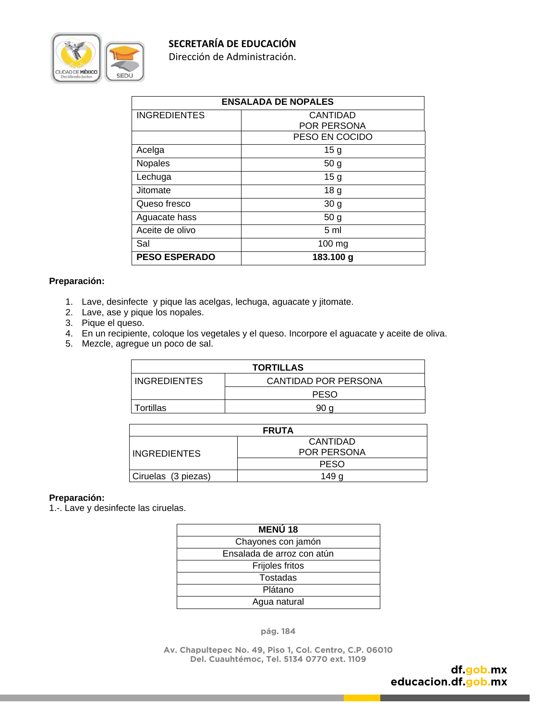

Dirección de Administración.

| <b>ENSALADA DE NOPALES</b> |                 |
|----------------------------|-----------------|
| <b>INGREDIENTES</b>        | <b>CANTIDAD</b> |
|                            | POR PERSONA     |
|                            | PESO EN COCIDO  |
| Acelga                     | 15 <sub>g</sub> |
| <b>Nopales</b>             | 50 <sub>g</sub> |
| Lechuga                    | 15 <sub>g</sub> |
| <b>Jitomate</b>            | 18 <sub>g</sub> |
| Queso fresco               | 30 <sub>g</sub> |
| Aguacate hass              | 50 <sub>g</sub> |
| Aceite de olivo            | 5 <sub>m</sub>  |
| Sal                        | 100 mg          |
| <b>PESO ESPERADO</b>       | 183.100 g       |

# **Preparación:**

- 1. Lave, desinfecte y pique las acelgas, lechuga, aguacate y jitomate.
- 2. Lave, ase y pique los nopales.
- 3. Pique el queso.
- 4. En un recipiente, coloque los vegetales y el queso. Incorpore el aguacate y aceite de oliva.
- 5. Mezcle, agregue un poco de sal.

| <b>TORTILLAS</b> |                      |
|------------------|----------------------|
| I INGREDIENTES   | CANTIDAD POR PERSONA |
|                  | <b>PESO</b>          |
| l Tortillas      | 90 a                 |

| <b>FRUTA</b>        |                    |
|---------------------|--------------------|
|                     | CANTIDAD           |
| I INGREDIENTES      | <b>POR PERSONA</b> |
|                     | <b>PESO</b>        |
| Ciruelas (3 piezas) | 149 a              |

# **Preparación:**

1.-. Lave y desinfecte las ciruelas.

| <b>MENÚ 18</b>             |  |
|----------------------------|--|
| Chayones con jamón         |  |
| Ensalada de arroz con atún |  |
| Frijoles fritos            |  |
| Tostadas                   |  |
| Plátano                    |  |
| Agua natural               |  |

## **pág. 184**

**Av. Chapultepec No. 49, Piso 1, Col. Centro, C.P. 06010 Del. Cuauhtémoc, Tel. 5134 0770 ext. 1109**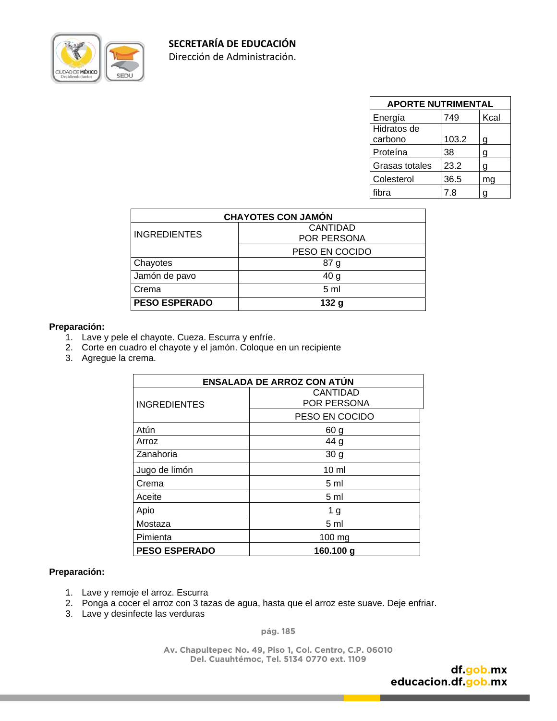

**APORTE NUTRIMENTAL**  Energía | 749 | Kcal Hidratos de carbono  $|103.2|$  g Proteína | 38 | g Grasas totales  $\begin{vmatrix} 23.2 \\ 9 \end{vmatrix}$ Colesterol 36.5 mg fibra  $\begin{array}{ccc} 7.8 & \text{g} \end{array}$ 

| <b>CHAYOTES CON JAMÓN</b> |                                |  |
|---------------------------|--------------------------------|--|
| <b>INGREDIENTES</b>       | <b>CANTIDAD</b><br>POR PERSONA |  |
|                           | PESO EN COCIDO                 |  |
| Chayotes                  | 87 <sub>g</sub>                |  |
| Jamón de pavo             | 40 <sub>g</sub>                |  |
| Crema                     | 5 <sub>m</sub>                 |  |
| <b>PESO ESPERADO</b>      | 132 <sub>g</sub>               |  |

## **Preparación:**

- 1. Lave y pele el chayote. Cueza. Escurra y enfríe.
- 2. Corte en cuadro el chayote y el jamón. Coloque en un recipiente
- 3. Agregue la crema.

| <b>ENSALADA DE ARROZ CON ATÚN</b> |                                |  |
|-----------------------------------|--------------------------------|--|
| <b>INGREDIENTES</b>               | <b>CANTIDAD</b><br>POR PERSONA |  |
|                                   | PESO EN COCIDO                 |  |
| Atún                              | 60 <sub>g</sub>                |  |
| Arroz                             | 44 g                           |  |
| Zanahoria                         | 30 <sub>g</sub>                |  |
| Jugo de limón                     | 10 <sub>m</sub>                |  |
| Crema                             | 5 ml                           |  |
| Aceite                            | 5 ml                           |  |
| Apio                              | 1 g                            |  |
| Mostaza                           | 5 ml                           |  |
| Pimienta                          | 100 mg                         |  |
| <b>PESO ESPERADO</b>              | 160.100 g                      |  |

# **Preparación:**

- 1. Lave y remoje el arroz. Escurra
- 2. Ponga a cocer el arroz con 3 tazas de agua, hasta que el arroz este suave. Deje enfriar.
- 3. Lave y desinfecte las verduras

**pág. 185** 

**Av. Chapultepec No. 49, Piso 1, Col. Centro, C.P. 06010 Del. Cuauhtémoc, Tel. 5134 0770 ext. 1109**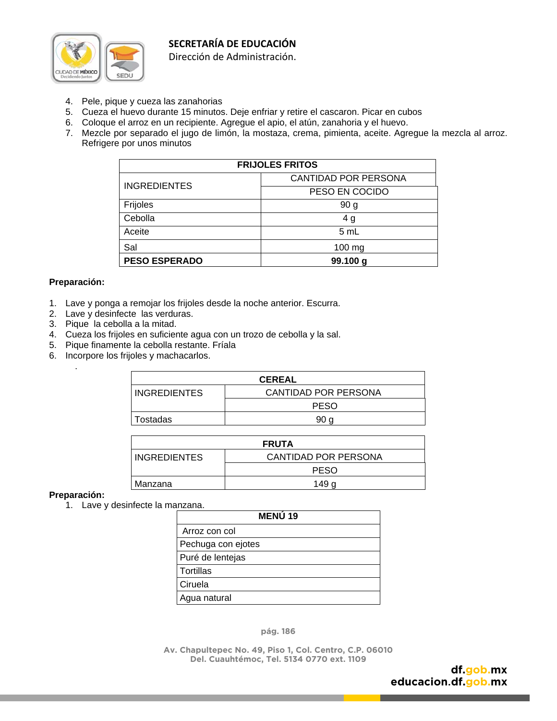

Dirección de Administración.

- 4. Pele, pique y cueza las zanahorias
- 5. Cueza el huevo durante 15 minutos. Deje enfriar y retire el cascaron. Picar en cubos
- 6. Coloque el arroz en un recipiente. Agregue el apio, el atún, zanahoria y el huevo.
- 7. Mezcle por separado el jugo de limón, la mostaza, crema, pimienta, aceite. Agregue la mezcla al arroz. Refrigere por unos minutos

| <b>FRIJOLES FRITOS</b> |                             |
|------------------------|-----------------------------|
| <b>INGREDIENTES</b>    | <b>CANTIDAD POR PERSONA</b> |
|                        | PESO EN COCIDO              |
| Frijoles               | 90 <sub>g</sub>             |
| Cebolla                | 4 g                         |
| Aceite                 | 5 mL                        |
| Sal                    | $100$ mg                    |
| <b>PESO ESPERADO</b>   | $99.100$ g                  |

# **Preparación:**

.

- 1. Lave y ponga a remojar los frijoles desde la noche anterior. Escurra.
- 2. Lave y desinfecte las verduras.
- 3. Pique la cebolla a la mitad.
- 4. Cueza los frijoles en suficiente agua con un trozo de cebolla y la sal.
- 5. Pique finamente la cebolla restante. Fríala
- 6. Incorpore los frijoles y machacarlos.

| <b>CEREAL</b>  |                      |
|----------------|----------------------|
| I INGREDIENTES | CANTIDAD POR PERSONA |
|                | <b>PESO</b>          |
| Tostadas       | 90 a                 |

| <b>FRUTA</b>   |                      |
|----------------|----------------------|
| I INGREDIENTES | CANTIDAD POR PERSONA |
|                | <b>PESO</b>          |
| Manzana        | 149 a                |

## **Preparación:**

1. Lave y desinfecte la manzana.

| MENÚ 19            |  |
|--------------------|--|
| Arroz con col      |  |
| Pechuga con ejotes |  |
| Puré de lentejas   |  |
| Tortillas          |  |
| Ciruela            |  |
| Agua natural       |  |
|                    |  |

### **pág. 186**

**Av. Chapultepec No. 49, Piso 1, Col. Centro, C.P. 06010 Del. Cuauhtémoc, Tel. 5134 0770 ext. 1109**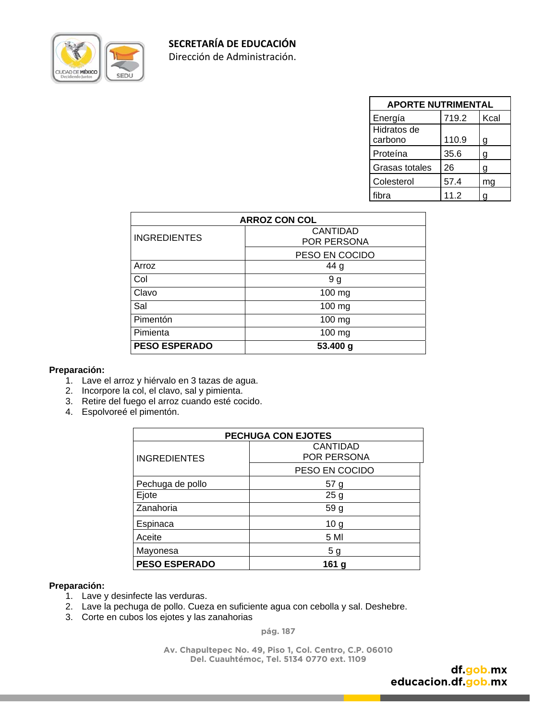

| <b>APORTE NUTRIMENTAL</b> |       |      |
|---------------------------|-------|------|
| Energía                   | 719.2 | Kcal |
| Hidratos de<br>carbono    | 110.9 | g    |
| Proteína                  | 35.6  | g    |
| <b>Grasas totales</b>     | 26    | g    |
| Colesterol                | 57.4  | mg   |
| l fibra                   | 11.2  |      |

| <b>ARROZ CON COL</b> |                                |  |
|----------------------|--------------------------------|--|
| <b>INGREDIENTES</b>  | <b>CANTIDAD</b><br>POR PERSONA |  |
|                      | PESO EN COCIDO                 |  |
| Arroz                | 44 g                           |  |
| Col                  | 9 <sub>g</sub>                 |  |
| Clavo                | $100$ mg                       |  |
| Sal                  | $100$ mg                       |  |
| Pimentón             | 100 mg                         |  |
| Pimienta             | 100 mg                         |  |
| <b>PESO ESPERADO</b> | 53.400 g                       |  |

# **Preparación:**

- 1. Lave el arroz y hiérvalo en 3 tazas de agua.
- 2. Incorpore la col, el clavo, sal y pimienta.
- 3. Retire del fuego el arroz cuando esté cocido.
- 4. Espolvoreé el pimentón.

| <b>PECHUGA CON EJOTES</b> |                                |
|---------------------------|--------------------------------|
| <b>INGREDIENTES</b>       | <b>CANTIDAD</b><br>POR PERSONA |
|                           | PESO EN COCIDO                 |
| Pechuga de pollo          | 57 a                           |
| Ejote                     | 25 <sub>g</sub>                |
| Zanahoria                 | 59 <sub>g</sub>                |
| Espinaca                  | 10 <sub>g</sub>                |
| Aceite                    | 5 MI                           |
| Mayonesa                  | 5 g                            |
| <b>PESO ESPERADO</b>      | 161 <sub>g</sub>               |

# **Preparación:**

- 1. Lave y desinfecte las verduras.
- 2. Lave la pechuga de pollo. Cueza en suficiente agua con cebolla y sal. Deshebre.
- 3. Corte en cubos los ejotes y las zanahorias

**pág. 187** 

**Av. Chapultepec No. 49, Piso 1, Col. Centro, C.P. 06010 Del. Cuauhtémoc, Tel. 5134 0770 ext. 1109**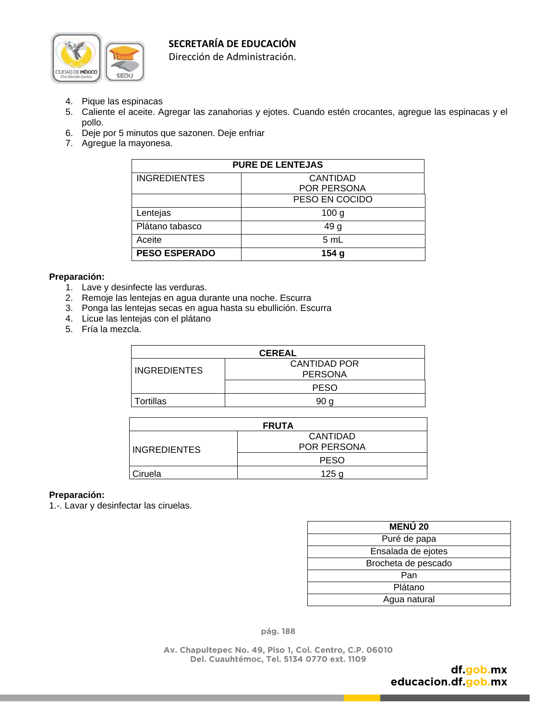

- 4. Pique las espinacas
- 5. Caliente el aceite. Agregar las zanahorias y ejotes. Cuando estén crocantes, agregue las espinacas y el pollo.
- 6. Deje por 5 minutos que sazonen. Deje enfriar
- 7. Agregue la mayonesa.

| <b>PURE DE LENTEJAS</b> |                  |
|-------------------------|------------------|
| <b>INGREDIENTES</b>     | <b>CANTIDAD</b>  |
|                         | POR PERSONA      |
|                         | PESO EN COCIDO   |
| Lentejas                | 100 <sub>g</sub> |
| Plátano tabasco         | 49 g             |
| Aceite                  | 5 mL             |
| <b>PESO ESPERADO</b>    | 154 <sub>g</sub> |

### **Preparación:**

- 1. Lave y desinfecte las verduras.
- 2. Remoje las lentejas en agua durante una noche. Escurra
- 3. Ponga las lentejas secas en agua hasta su ebullición. Escurra
- 4. Licue las lentejas con el plátano
- 5. Fría la mezcla.

| <b>CEREAL</b>  |                |
|----------------|----------------|
| I INGREDIENTES | CANTIDAD POR   |
|                | <b>PERSONA</b> |
|                | <b>PESO</b>    |
| l Tortillas    | 90 a           |

| <b>FRUTA</b> |                 |  |  |  |
|--------------|-----------------|--|--|--|
|              | <b>CANTIDAD</b> |  |  |  |
| INGREDIENTES | POR PERSONA     |  |  |  |
|              | <b>PESO</b>     |  |  |  |
| Ciruela      | 125 g           |  |  |  |

## **Preparación:**

1.-. Lavar y desinfectar las ciruelas.

| <b>MENÚ 20</b>      |
|---------------------|
| Puré de papa        |
| Ensalada de ejotes  |
| Brocheta de pescado |
| Pan                 |
| Plátano             |
| Agua natural        |

**Av. Chapultepec No. 49, Piso 1, Col. Centro, C.P. 06010 Del. Cuauhtémoc, Tel. 5134 0770 ext. 1109**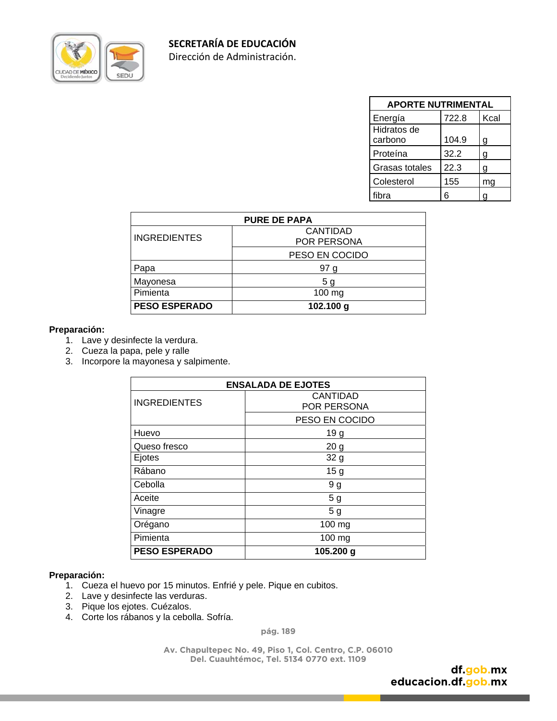

| <b>APORTE NUTRIMENTAL</b> |       |      |  |  |  |  |
|---------------------------|-------|------|--|--|--|--|
| Energía                   | 722.8 | Kcal |  |  |  |  |
| Hidratos de<br>carbono    | 104.9 | g    |  |  |  |  |
| Proteína                  | 32.2  | g    |  |  |  |  |
| Grasas totales            | 22.3  | g    |  |  |  |  |
| Colesterol                | 155   | mg   |  |  |  |  |
| fibra                     | 6     |      |  |  |  |  |

| <b>PURE DE PAPA</b>  |                                |  |  |  |
|----------------------|--------------------------------|--|--|--|
| <b>INGREDIENTES</b>  | <b>CANTIDAD</b><br>POR PERSONA |  |  |  |
|                      | PESO EN COCIDO                 |  |  |  |
| Papa                 | 97 a                           |  |  |  |
| Mayonesa             | 5 a                            |  |  |  |
| Pimienta             | 100 mg                         |  |  |  |
| <b>PESO ESPERADO</b> | 102.100 g                      |  |  |  |

# **Preparación:**

- 1. Lave y desinfecte la verdura.
- 2. Cueza la papa, pele y ralle
- 3. Incorpore la mayonesa y salpimente.

| <b>ENSALADA DE EJOTES</b> |                                |  |  |
|---------------------------|--------------------------------|--|--|
| <b>INGREDIENTES</b>       | <b>CANTIDAD</b><br>POR PERSONA |  |  |
|                           | PESO EN COCIDO                 |  |  |
| Huevo                     | 19 g                           |  |  |
| Queso fresco              | 20 <sub>g</sub>                |  |  |
| Ejotes                    | 32 g                           |  |  |
| Rábano                    | 15 <sub>g</sub>                |  |  |
| Cebolla                   | 9 <sub>g</sub>                 |  |  |
| Aceite                    | 5 <sub>g</sub>                 |  |  |
| Vinagre                   | 5 <sub>g</sub>                 |  |  |
| Orégano                   | 100 mg                         |  |  |
| Pimienta                  | 100 mg                         |  |  |
| <b>PESO ESPERADO</b>      | 105.200 g                      |  |  |

## **Preparación:**

- 1. Cueza el huevo por 15 minutos. Enfrié y pele. Pique en cubitos.
- 2. Lave y desinfecte las verduras.
- 3. Pique los ejotes. Cuézalos.
- 4. Corte los rábanos y la cebolla. Sofría.

### **pág. 189**

**Av. Chapultepec No. 49, Piso 1, Col. Centro, C.P. 06010 Del. Cuauhtémoc, Tel. 5134 0770 ext. 1109**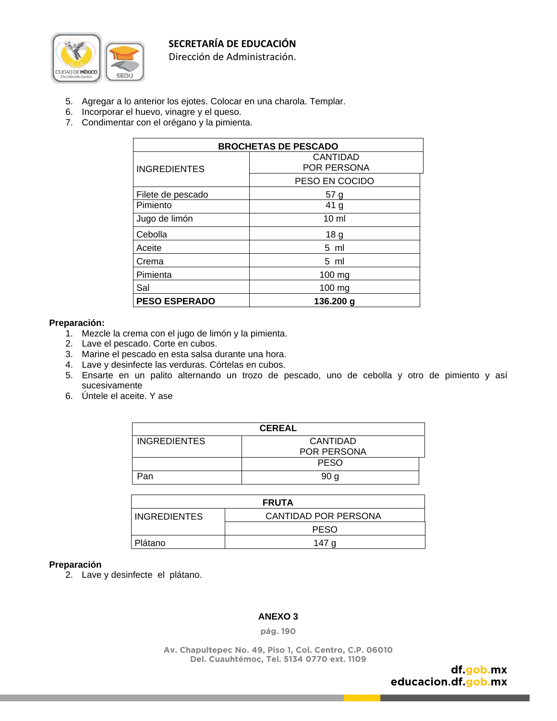

Dirección de Administración.

- 5. Agregar a lo anterior los ejotes. Colocar en una charola. Templar.
- 6. Incorporar el huevo, vinagre y el queso.
- 7. Condimentar con el orégano y la pimienta.

| <b>BROCHETAS DE PESCADO</b> |                                |  |  |
|-----------------------------|--------------------------------|--|--|
| <b>INGREDIENTES</b>         | <b>CANTIDAD</b><br>POR PERSONA |  |  |
|                             | PESO EN COCIDO                 |  |  |
| Filete de pescado           | 57 <sub>g</sub>                |  |  |
| Pimiento                    | 41 <sub>g</sub>                |  |  |
| Jugo de limón               | $10 \mathrm{m}$                |  |  |
| Cebolla                     | 18 g                           |  |  |
| Aceite                      | 5 ml                           |  |  |
| Crema                       | 5 ml                           |  |  |
| Pimienta                    | 100 mg                         |  |  |
| Sal                         | 100 mg                         |  |  |
| <b>PESO ESPERADO</b>        | 136.200 g                      |  |  |

## **Preparación:**

- 1. Mezcle la crema con el jugo de limón y la pimienta.
- 2. Lave el pescado. Corte en cubos.
- 3. Marine el pescado en esta salsa durante una hora.
- 4. Lave y desinfecte las verduras. Córtelas en cubos.
- 5. Ensarte en un palito alternando un trozo de pescado, uno de cebolla y otro de pimiento y así sucesivamente
- 6. Úntele el aceite. Y ase

| <b>CEREAL</b>       |                 |  |  |  |
|---------------------|-----------------|--|--|--|
| <b>INGREDIENTES</b> | CANTIDAD        |  |  |  |
|                     | POR PERSONA     |  |  |  |
|                     | <b>PESO</b>     |  |  |  |
| Pan                 | 90 <sub>q</sub> |  |  |  |

| <b>FRUTA</b>   |                      |  |  |  |
|----------------|----------------------|--|--|--|
| I INGREDIENTES | CANTIDAD POR PERSONA |  |  |  |
|                | <b>PESO</b>          |  |  |  |
| Plátano        | 147 a                |  |  |  |

## **Preparación**

2. Lave y desinfecte el plátano.

# **ANEXO 3**

### **pág. 190**

**Av. Chapultepec No. 49, Piso 1, Col. Centro, C.P. 06010 Del. Cuauhtémoc, Tel. 5134 0770 ext. 1109**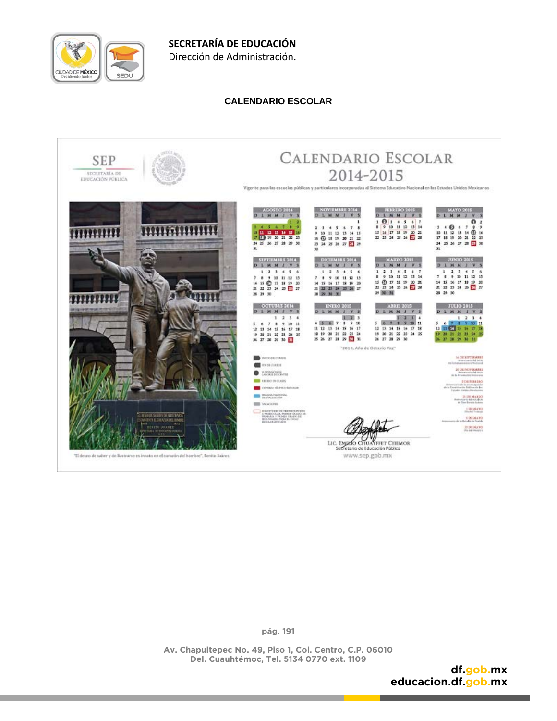

# **CALENDARIO ESCOLAR**



**pág. 191** 

**Av. Chapultepec No. 49, Piso 1, Col. Centro, C.P. 06010 Del. Cuauhtémoc, Tel. 5134 0770 ext. 1109**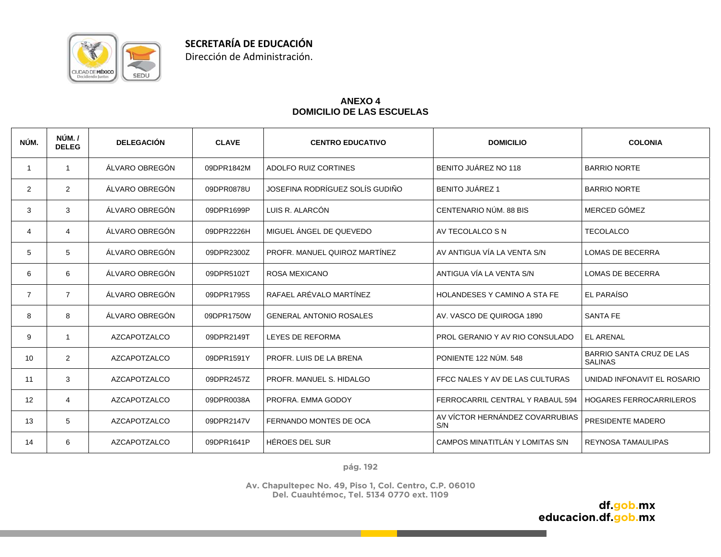

# **ANEXO 4 DOMICILIO DE LAS ESCUELAS**

| NÚM.           | NÚM./<br><b>DELEG</b> | <b>DELEGACIÓN</b>   | <b>CLAVE</b> | <b>CENTRO EDUCATIVO</b>         | <b>DOMICILIO</b>                       | <b>COLONIA</b>                                    |
|----------------|-----------------------|---------------------|--------------|---------------------------------|----------------------------------------|---------------------------------------------------|
|                | 1                     | ÁLVARO OBREGÓN      | 09DPR1842M   | ADOLFO RUIZ CORTINES            | BENITO JUÁREZ NO 118                   | <b>BARRIO NORTE</b>                               |
| 2              | $\overline{2}$        | ÁLVARO OBREGÓN      | 09DPR0878U   | JOSEFINA RODRÍGUEZ SOLÍS GUDIÑO | <b>BENITO JUÁREZ 1</b>                 | <b>BARRIO NORTE</b>                               |
| 3              | 3                     | ÁLVARO OBREGÓN      | 09DPR1699P   | LUIS R. ALARCÓN                 | <b>CENTENARIO NÚM. 88 BIS</b>          | MERCED GÓMEZ                                      |
| 4              | 4                     | ÁLVARO OBREGÓN      | 09DPR2226H   | MIGUEL ÁNGEL DE QUEVEDO         | AV TECOLALCO S N                       | <b>TECOLALCO</b>                                  |
| 5              | 5                     | ÁLVARO OBREGÓN      | 09DPR2300Z   | PROFR. MANUEL QUIROZ MARTÍNEZ   | AV ANTIGUA VÍA LA VENTA S/N            | <b>LOMAS DE BECERRA</b>                           |
| 6              | 6                     | ÁLVARO OBREGÓN      | 09DPR5102T   | <b>ROSA MEXICANO</b>            | ANTIGUA VÍA LA VENTA S/N               | LOMAS DE BECERRA                                  |
| $\overline{7}$ | $\overline{7}$        | ÁLVARO OBREGÓN      | 09DPR1795S   | RAFAEL ARÉVALO MARTÍNEZ         | <b>HOLANDESES Y CAMINO A STA FE</b>    | EL PARAÍSO                                        |
| 8              | 8                     | ÁLVARO OBREGÓN      | 09DPR1750W   | <b>GENERAL ANTONIO ROSALES</b>  | AV. VASCO DE QUIROGA 1890              | <b>SANTA FE</b>                                   |
| 9              | 1                     | AZCAPOTZALCO        | 09DPR2149T   | <b>LEYES DE REFORMA</b>         | PROL GERANIO Y AV RIO CONSULADO        | <b>EL ARENAL</b>                                  |
| 10             | $\overline{2}$        | <b>AZCAPOTZALCO</b> | 09DPR1591Y   | PROFR. LUIS DE LA BRENA         | PONIENTE 122 NÚM. 548                  | <b>BARRIO SANTA CRUZ DE LAS</b><br><b>SALINAS</b> |
| 11             | 3                     | <b>AZCAPOTZALCO</b> | 09DPR2457Z   | PROFR. MANUEL S. HIDALGO        | FFCC NALES Y AV DE LAS CULTURAS        | UNIDAD INFONAVIT EL ROSARIO                       |
| 12             | 4                     | <b>AZCAPOTZALCO</b> | 09DPR0038A   | PROFRA. EMMA GODOY              | FERROCARRIL CENTRAL Y RABAUL 594       | <b>HOGARES FERROCARRILEROS</b>                    |
| 13             | 5                     | <b>AZCAPOTZALCO</b> | 09DPR2147V   | FERNANDO MONTES DE OCA          | AV VÍCTOR HERNÁNDEZ COVARRUBIAS<br>S/N | PRESIDENTE MADERO                                 |
| 14             | 6                     | <b>AZCAPOTZALCO</b> | 09DPR1641P   | <b>HÉROES DEL SUR</b>           | CAMPOS MINATITLÁN Y LOMITAS S/N        | <b>REYNOSA TAMAULIPAS</b>                         |

**pág. 192**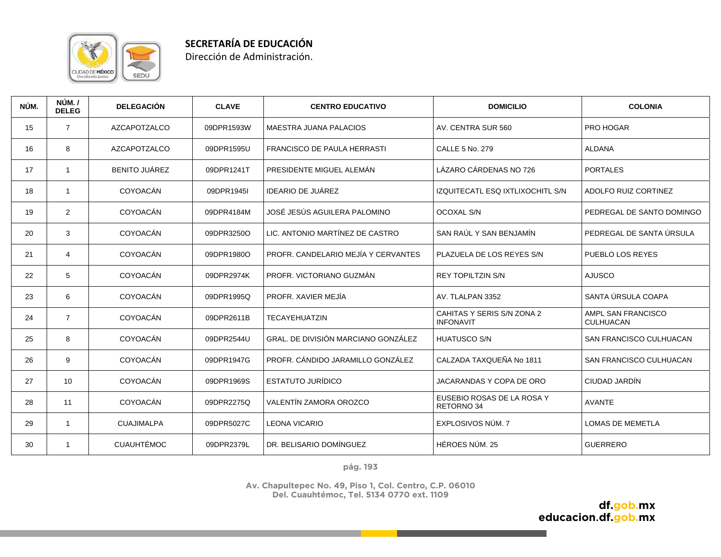

Dirección de Administración.

| NÚM. | NÚM./<br><b>DELEG</b> | <b>DELEGACIÓN</b>    | <b>CLAVE</b> | <b>CENTRO EDUCATIVO</b>             | <b>DOMICILIO</b>                               | <b>COLONIA</b>                         |
|------|-----------------------|----------------------|--------------|-------------------------------------|------------------------------------------------|----------------------------------------|
| 15   | $\overline{7}$        | <b>AZCAPOTZALCO</b>  | 09DPR1593W   | MAESTRA JUANA PALACIOS              | AV. CENTRA SUR 560                             | PRO HOGAR                              |
| 16   | 8                     | AZCAPOTZALCO         | 09DPR1595U   | <b>FRANCISCO DE PAULA HERRASTI</b>  | CALLE 5 No. 279                                | <b>ALDANA</b>                          |
| 17   | $\mathbf{1}$          | <b>BENITO JUÁREZ</b> | 09DPR1241T   | PRESIDENTE MIGUEL ALEMÁN            | LÁZARO CÁRDENAS NO 726                         | <b>PORTALES</b>                        |
| 18   | $\mathbf{1}$          | COYOACÁN             | 09DPR1945I   | <b>IDEARIO DE JUÁREZ</b>            | IZQUITECATL ESQ IXTLIXOCHITL S/N               | <b>ADOLFO RUIZ CORTINEZ</b>            |
| 19   | 2                     | <b>COYOACÁN</b>      | 09DPR4184M   | JOSÉ JESÚS AGUILERA PALOMINO        | <b>OCOXAL S/N</b>                              | PEDREGAL DE SANTO DOMINGO              |
| 20   | 3                     | COYOACÁN             | 09DPR3250O   | LIC. ANTONIO MARTÍNEZ DE CASTRO     | SAN RAÚL Y SAN BENJAMÍN                        | PEDREGAL DE SANTA ÚRSULA               |
| 21   | 4                     | <b>COYOACÁN</b>      | 09DPR1980O   | PROFR. CANDELARIO MEJÍA Y CERVANTES | PLAZUELA DE LOS REYES S/N                      | PUEBLO LOS REYES                       |
| 22   | 5                     | <b>COYOACÁN</b>      | 09DPR2974K   | PROFR. VICTORIANO GUZMÁN            | <b>REY TOPILTZIN S/N</b>                       | <b>AJUSCO</b>                          |
| 23   | 6                     | <b>COYOACÁN</b>      | 09DPR1995Q   | PROFR. XAVIER MEJÍA                 | AV. TLALPAN 3352                               | SANTA ÚRSULA COAPA                     |
| 24   | $\overline{7}$        | <b>COYOACÁN</b>      | 09DPR2611B   | <b>TECAYEHUATZIN</b>                | CAHITAS Y SERIS S/N ZONA 2<br><b>INFONAVIT</b> | AMPL SAN FRANCISCO<br><b>CULHUACAN</b> |
| 25   | 8                     | <b>COYOACÁN</b>      | 09DPR2544U   | GRAL. DE DIVISIÓN MARCIANO GONZÁLEZ | <b>HUATUSCO S/N</b>                            | SAN FRANCISCO CULHUACAN                |
| 26   | 9                     | <b>COYOACÁN</b>      | 09DPR1947G   | PROFR. CÁNDIDO JARAMILLO GONZÁLEZ   | CALZADA TAXQUEÑA No 1811                       | SAN FRANCISCO CULHUACAN                |
| 27   | 10                    | COYOACÁN             | 09DPR1969S   | <b>ESTATUTO JURÍDICO</b>            | JACARANDAS Y COPA DE ORO                       | CIUDAD JARDÍN                          |
| 28   | 11                    | <b>COYOACÁN</b>      | 09DPR2275Q   | VALENTÍN ZAMORA OROZCO              | EUSEBIO ROSAS DE LA ROSA Y<br>RETORNO 34       | <b>AVANTE</b>                          |
| 29   | $\mathbf{1}$          | <b>CUAJIMALPA</b>    | 09DPR5027C   | <b>LEONA VICARIO</b>                | EXPLOSIVOS NÚM. 7                              | <b>LOMAS DE MEMETLA</b>                |
| 30   | 1                     | <b>CUAUHTÉMOC</b>    | 09DPR2379L   | DR. BELISARIO DOMÍNGUEZ             | HÉROES NÚM. 25                                 | <b>GUERRERO</b>                        |

**pág. 193**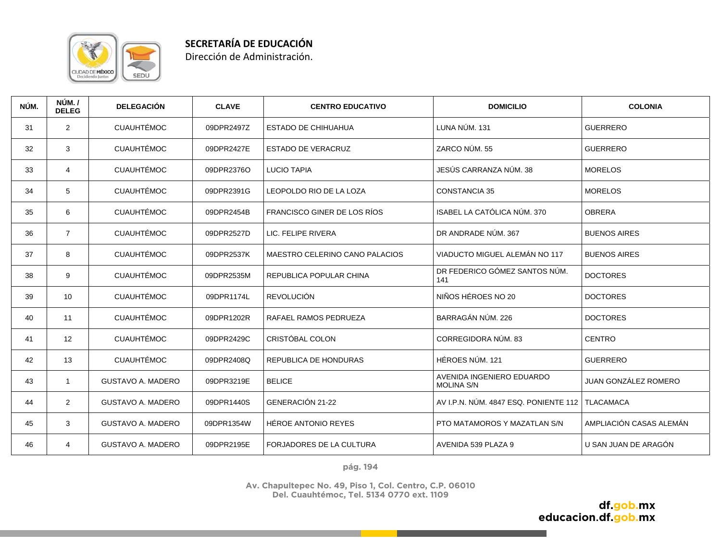

Dirección de Administración.

| NÚM. | NÚM./<br><b>DELEG</b> | <b>DELEGACIÓN</b>        | <b>CLAVE</b> | <b>CENTRO EDUCATIVO</b>         | <b>DOMICILIO</b>                               | <b>COLONIA</b>          |
|------|-----------------------|--------------------------|--------------|---------------------------------|------------------------------------------------|-------------------------|
| 31   | $\overline{2}$        | <b>CUAUHTÉMOC</b>        | 09DPR2497Z   | ESTADO DE CHIHUAHUA             | LUNA NÚM. 131                                  | <b>GUERRERO</b>         |
| 32   | 3                     | <b>CUAUHTÉMOC</b>        | 09DPR2427E   | <b>ESTADO DE VERACRUZ</b>       | ZARCO NÚM. 55                                  | <b>GUERRERO</b>         |
| 33   | 4                     | <b>CUAUHTÉMOC</b>        | 09DPR2376O   | <b>LUCIO TAPIA</b>              | JESÚS CARRANZA NÚM. 38                         | <b>MORELOS</b>          |
| 34   | 5                     | <b>CUAUHTÉMOC</b>        | 09DPR2391G   | LEOPOLDO RIO DE LA LOZA         | CONSTANCIA 35                                  | <b>MORELOS</b>          |
| 35   | 6                     | <b>CUAUHTÉMOC</b>        | 09DPR2454B   | FRANCISCO GINER DE LOS RÍOS     | ISABEL LA CATÓLICA NÚM. 370                    | <b>OBRERA</b>           |
| 36   | $\overline{7}$        | <b>CUAUHTÉMOC</b>        | 09DPR2527D   | LIC. FELIPE RIVERA              | DR ANDRADE NÚM. 367                            | <b>BUENOS AIRES</b>     |
| 37   | 8                     | <b>CUAUHTÉMOC</b>        | 09DPR2537K   | MAESTRO CELERINO CANO PALACIOS  | VIADUCTO MIGUEL ALEMÁN NO 117                  | <b>BUENOS AIRES</b>     |
| 38   | 9                     | <b>CUAUHTÉMOC</b>        | 09DPR2535M   | REPUBLICA POPULAR CHINA         | DR FEDERICO GÓMEZ SANTOS NÚM.<br>141           | <b>DOCTORES</b>         |
| 39   | 10                    | <b>CUAUHTÉMOC</b>        | 09DPR1174L   | <b>REVOLUCIÓN</b>               | NIÑOS HÉROES NO 20                             | <b>DOCTORES</b>         |
| 40   | 11                    | <b>CUAUHTÉMOC</b>        | 09DPR1202R   | RAFAEL RAMOS PEDRUEZA           | BARRAGÁN NÚM. 226                              | <b>DOCTORES</b>         |
| 41   | 12                    | <b>CUAUHTÉMOC</b>        | 09DPR2429C   | CRISTÓBAL COLON                 | CORREGIDORA NÚM. 83                            | <b>CENTRO</b>           |
| 42   | 13                    | <b>CUAUHTÉMOC</b>        | 09DPR2408Q   | <b>REPUBLICA DE HONDURAS</b>    | HÉROES NÚM. 121                                | <b>GUERRERO</b>         |
| 43   | $\mathbf{1}$          | <b>GUSTAVO A. MADERO</b> | 09DPR3219E   | <b>BELICE</b>                   | AVENIDA INGENIERO EDUARDO<br><b>MOLINA S/N</b> | JUAN GONZÁLEZ ROMERO    |
| 44   | $\overline{2}$        | <b>GUSTAVO A. MADERO</b> | 09DPR1440S   | GENERACIÓN 21-22                | AV I.P.N. NÚM. 4847 ESQ. PONIENTE 112          | <b>TLACAMACA</b>        |
| 45   | 3                     | <b>GUSTAVO A. MADERO</b> | 09DPR1354W   | <b>HÉROE ANTONIO REYES</b>      | PTO MATAMOROS Y MAZATLAN S/N                   | AMPLIACIÓN CASAS ALEMÁN |
| 46   | 4                     | GUSTAVO A. MADERO        | 09DPR2195E   | <b>FORJADORES DE LA CULTURA</b> | AVENIDA 539 PLAZA 9                            | U SAN JUAN DE ARAGÓN    |

**pág. 194**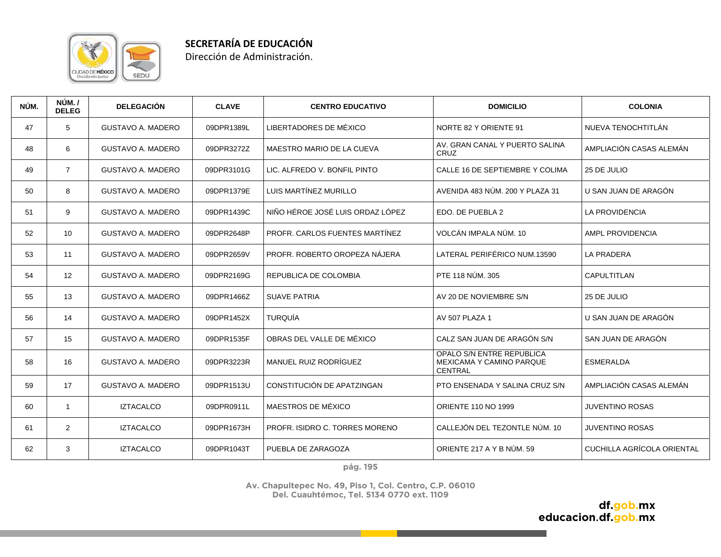

Dirección de Administración.

| NÚM. | NÚM./<br><b>DELEG</b> | <b>DELEGACIÓN</b>        | <b>CLAVE</b> | <b>CENTRO EDUCATIVO</b>          | <b>DOMICILIO</b>                                                        | <b>COLONIA</b>             |
|------|-----------------------|--------------------------|--------------|----------------------------------|-------------------------------------------------------------------------|----------------------------|
| 47   | 5                     | <b>GUSTAVO A. MADERO</b> | 09DPR1389L   | LIBERTADORES DE MÉXICO           | NORTE 82 Y ORIENTE 91                                                   | NUEVA TENOCHTITLÁN         |
| 48   | 6                     | GUSTAVO A. MADERO        | 09DPR3272Z   | MAESTRO MARIO DE LA CUEVA        | AV. GRAN CANAL Y PUERTO SALINA<br>CRUZ                                  | AMPLIACIÓN CASAS ALEMÁN    |
| 49   | $\overline{7}$        | <b>GUSTAVO A. MADERO</b> | 09DPR3101G   | LIC. ALFREDO V. BONFIL PINTO     | CALLE 16 DE SEPTIEMBRE Y COLIMA                                         | 25 DE JULIO                |
| 50   | 8                     | GUSTAVO A. MADERO        | 09DPR1379E   | LUIS MARTÍNEZ MURILLO            | AVENIDA 483 NÚM. 200 Y PLAZA 31                                         | U SAN JUAN DE ARAGÓN       |
| 51   | 9                     | <b>GUSTAVO A. MADERO</b> | 09DPR1439C   | NIÑO HÉROE JOSÉ LUIS ORDAZ LÓPEZ | EDO. DE PUEBLA 2                                                        | LA PROVIDENCIA             |
| 52   | 10                    | <b>GUSTAVO A. MADERO</b> | 09DPR2648P   | PROFR. CARLOS FUENTES MARTÍNEZ   | VOLCÁN IMPALA NÚM. 10                                                   | <b>AMPL PROVIDENCIA</b>    |
| 53   | 11                    | <b>GUSTAVO A. MADERO</b> | 09DPR2659V   | PROFR. ROBERTO OROPEZA NÁJERA    | LATERAL PERIFÉRICO NUM.13590                                            | <b>LA PRADERA</b>          |
| 54   | 12                    | <b>GUSTAVO A. MADERO</b> | 09DPR2169G   | REPUBLICA DE COLOMBIA            | PTE 118 NÚM, 305                                                        | CAPULTITLAN                |
| 55   | 13                    | <b>GUSTAVO A. MADERO</b> | 09DPR1466Z   | <b>SUAVE PATRIA</b>              | AV 20 DE NOVIEMBRE S/N                                                  | 25 DE JULIO                |
| 56   | 14                    | <b>GUSTAVO A. MADERO</b> | 09DPR1452X   | <b>TURQUÍA</b>                   | AV 507 PLAZA 1                                                          | U SAN JUAN DE ARAGÓN       |
| 57   | 15                    | GUSTAVO A. MADERO        | 09DPR1535F   | OBRAS DEL VALLE DE MÉXICO        | CALZ SAN JUAN DE ARAGÓN S/N                                             | SAN JUAN DE ARAGÓN         |
| 58   | 16                    | <b>GUSTAVO A. MADERO</b> | 09DPR3223R   | <b>MANUEL RUIZ RODRÍGUEZ</b>     | OPALO S/N ENTRE REPUBLICA<br>MEXICAMA Y CAMINO PARQUE<br><b>CENTRAL</b> | <b>ESMERALDA</b>           |
| 59   | 17                    | <b>GUSTAVO A. MADERO</b> | 09DPR1513U   | CONSTITUCIÓN DE APATZINGAN       | PTO ENSENADA Y SALINA CRUZ S/N                                          | AMPLIACIÓN CASAS ALEMÁN    |
| 60   | $\mathbf{1}$          | <b>IZTACALCO</b>         | 09DPR0911L   | MAESTROS DE MÉXICO               | <b>ORIENTE 110 NO 1999</b>                                              | <b>JUVENTINO ROSAS</b>     |
| 61   | $\overline{2}$        | <b>IZTACALCO</b>         | 09DPR1673H   | PROFR. ISIDRO C. TORRES MORENO   | CALLEJÓN DEL TEZONTLE NÚM. 10                                           | <b>JUVENTINO ROSAS</b>     |
| 62   | 3                     | <b>IZTACALCO</b>         | 09DPR1043T   | PUEBLA DE ZARAGOZA               | ORIENTE 217 A Y B NÚM, 59                                               | CUCHILLA AGRÍCOLA ORIENTAL |

**pág. 195**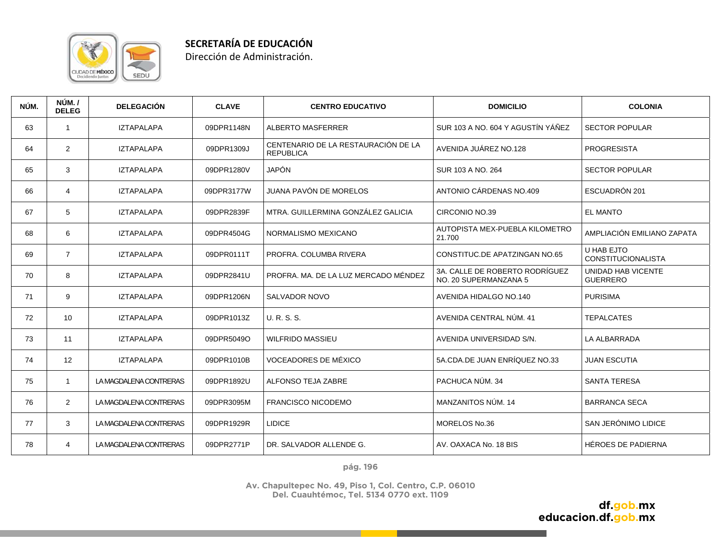

Dirección de Administración.

| NÚM. | NÚM./<br><b>DELEG</b> | <b>DELEGACIÓN</b>      | <b>CLAVE</b> | <b>CENTRO EDUCATIVO</b>                                 | <b>DOMICILIO</b>                                        | <b>COLONIA</b>                                 |
|------|-----------------------|------------------------|--------------|---------------------------------------------------------|---------------------------------------------------------|------------------------------------------------|
| 63   | $\mathbf{1}$          | <b>IZTAPALAPA</b>      | 09DPR1148N   | SUR 103 A NO. 604 Y AGUSTÍN YÁÑEZ<br>ALBERTO MASFERRER  |                                                         | <b>SECTOR POPULAR</b>                          |
| 64   | $\overline{2}$        | <b>IZTAPALAPA</b>      | 09DPR1309J   | CENTENARIO DE LA RESTAURACIÓN DE LA<br><b>REPUBLICA</b> | AVENIDA JUÁREZ NO.128                                   | <b>PROGRESISTA</b>                             |
| 65   | 3                     | <b>IZTAPALAPA</b>      | 09DPR1280V   | <b>JAPÓN</b>                                            | SUR 103 A NO. 264                                       | <b>SECTOR POPULAR</b>                          |
| 66   | $\overline{4}$        | <b>IZTAPALAPA</b>      | 09DPR3177W   | JUANA PAVÓN DE MORELOS                                  | ANTONIO CÁRDENAS NO.409                                 | ESCUADRÓN 201                                  |
| 67   | 5                     | <b>IZTAPALAPA</b>      | 09DPR2839F   | MTRA. GUILLERMINA GONZÁLEZ GALICIA                      | CIRCONIO NO.39                                          | <b>EL MANTO</b>                                |
| 68   | 6                     | <b>IZTAPALAPA</b>      | 09DPR4504G   | NORMALISMO MEXICANO                                     | AUTOPISTA MEX-PUEBLA KILOMETRO<br>21.700                | AMPLIACIÓN EMILIANO ZAPATA                     |
| 69   | $\overline{7}$        | <b>IZTAPALAPA</b>      | 09DPR0111T   | PROFRA. COLUMBA RIVERA                                  | CONSTITUC.DE APATZINGAN NO.65                           | <b>U HAB EJTO</b><br><b>CONSTITUCIONALISTA</b> |
| 70   | 8                     | <b>IZTAPALAPA</b>      | 09DPR2841U   | PROFRA. MA. DE LA LUZ MERCADO MÉNDEZ                    | 3A. CALLE DE ROBERTO RODRÍGUEZ<br>NO. 20 SUPERMANZANA 5 | UNIDAD HAB VICENTE<br><b>GUERRERO</b>          |
| 71   | 9                     | <b>IZTAPALAPA</b>      | 09DPR1206N   | SALVADOR NOVO                                           | AVENIDA HIDALGO NO.140                                  | <b>PURISIMA</b>                                |
| 72   | 10                    | <b>IZTAPALAPA</b>      | 09DPR1013Z   | U. R. S. S.                                             | AVENIDA CENTRAL NÚM. 41                                 | <b>TEPALCATES</b>                              |
| 73   | 11                    | <b>IZTAPALAPA</b>      | 09DPR5049O   | <b>WILFRIDO MASSIEU</b>                                 | AVENIDA UNIVERSIDAD S/N.                                | LA ALBARRADA                                   |
| 74   | 12                    | <b>IZTAPALAPA</b>      | 09DPR1010B   | VOCEADORES DE MÉXICO                                    | 5A.CDA.DE JUAN ENRÍQUEZ NO.33                           | <b>JUAN ESCUTIA</b>                            |
| 75   | $\mathbf{1}$          | LA MAGDALENA CONTRERAS | 09DPR1892U   | <b>ALFONSO TEJA ZABRE</b>                               | PACHUCA NÚM. 34                                         | <b>SANTA TERESA</b>                            |
| 76   | $\overline{2}$        | LA MAGDALENA CONTRERAS | 09DPR3095M   | <b>FRANCISCO NICODEMO</b>                               | MANZANITOS NÚM. 14                                      | <b>BARRANCA SECA</b>                           |
| 77   | 3                     | LA MAGDALENA CONTRERAS | 09DPR1929R   | <b>LIDICE</b>                                           | MORELOS No.36                                           | SAN JERÓNIMO LIDICE                            |
| 78   | $\overline{4}$        | LA MAGDALENA CONTRERAS | 09DPR2771P   | DR. SALVADOR ALLENDE G.                                 | HÉROES DE PADIERNA<br>AV. OAXACA No. 18 BIS             |                                                |

**pág. 196**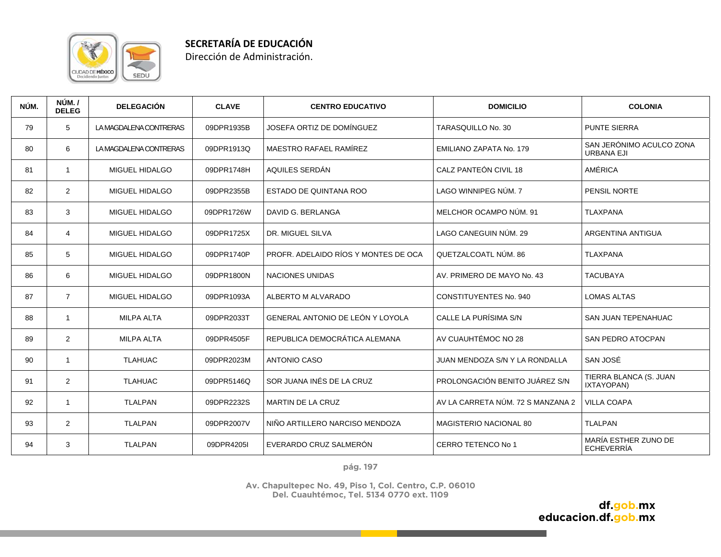

Dirección de Administración.

| NÚM. | NÚM./<br><b>DELEG</b> | <b>DELEGACIÓN</b>      | <b>CLAVE</b> | <b>CENTRO EDUCATIVO</b>              | <b>DOMICILIO</b>                                                |                                               |  |
|------|-----------------------|------------------------|--------------|--------------------------------------|-----------------------------------------------------------------|-----------------------------------------------|--|
| 79   | 5                     | LA MAGDALENA CONTRERAS | 09DPR1935B   | JOSEFA ORTIZ DE DOMÍNGUEZ            | <b>PUNTE SIERRA</b><br>TARASQUILLO No. 30                       |                                               |  |
| 80   | 6                     | LA MAGDALENA CONTRERAS | 09DPR1913Q   | MAESTRO RAFAEL RAMÍREZ               | <b>EMILIANO ZAPATA No. 179</b>                                  | SAN JERÓNIMO ACULCO ZONA<br><b>URBANA EJI</b> |  |
| 81   | 1                     | MIGUEL HIDALGO         | 09DPR1748H   | AQUILES SERDÁN                       | CALZ PANTEÓN CIVIL 18                                           | AMÉRICA                                       |  |
| 82   | $\overline{2}$        | MIGUEL HIDALGO         | 09DPR2355B   | <b>ESTADO DE QUINTANA ROO</b>        | LAGO WINNIPEG NÚM. 7                                            | PENSIL NORTE                                  |  |
| 83   | 3                     | MIGUEL HIDALGO         | 09DPR1726W   | DAVID G. BERLANGA                    | MELCHOR OCAMPO NÚM. 91                                          | <b>TLAXPANA</b>                               |  |
| 84   | 4                     | <b>MIGUEL HIDALGO</b>  | 09DPR1725X   | DR. MIGUEL SILVA                     | LAGO CANEGUIN NÚM. 29                                           | ARGENTINA ANTIGUA                             |  |
| 85   | 5                     | MIGUEL HIDALGO         | 09DPR1740P   | PROFR. ADELAIDO RÍOS Y MONTES DE OCA | QUETZALCOATL NÚM. 86                                            | <b>TLAXPANA</b>                               |  |
| 86   | 6                     | MIGUEL HIDALGO         | 09DPR1800N   | <b>NACIONES UNIDAS</b>               | AV. PRIMERO DE MAYO No. 43                                      | <b>TACUBAYA</b>                               |  |
| 87   | $\overline{7}$        | MIGUEL HIDALGO         | 09DPR1093A   | ALBERTO M ALVARADO                   | <b>CONSTITUYENTES No. 940</b>                                   | <b>LOMAS ALTAS</b>                            |  |
| 88   | $\mathbf{1}$          | <b>MILPA ALTA</b>      | 09DPR2033T   | GENERAL ANTONIO DE LEÓN Y LOYOLA     | CALLE LA PURÍSIMA S/N                                           | SAN JUAN TEPENAHUAC                           |  |
| 89   | $\overline{2}$        | <b>MILPA ALTA</b>      | 09DPR4505F   | REPUBLICA DEMOCRÁTICA ALEMANA        | AV CUAUHTÉMOC NO 28                                             | SAN PEDRO ATOCPAN                             |  |
| 90   | 1                     | <b>TLAHUAC</b>         | 09DPR2023M   | <b>ANTONIO CASO</b>                  | <b>JUAN MENDOZA S/N Y LA RONDALLA</b>                           | SAN JOSÉ                                      |  |
| 91   | $\overline{2}$        | <b>TLAHUAC</b>         | 09DPR5146Q   | SOR JUANA INÉS DE LA CRUZ            | PROLONGACIÓN BENITO JUÁREZ S/N                                  | TIERRA BLANCA (S. JUAN<br>IXTAYOPAN)          |  |
| 92   | 1                     | <b>TLALPAN</b>         | 09DPR2232S   | MARTIN DE LA CRUZ                    | AV LA CARRETA NÚM. 72 S MANZANA 2                               | <b>VILLA COAPA</b>                            |  |
| 93   | $\overline{2}$        | <b>TLALPAN</b>         | 09DPR2007V   | NIÑO ARTILLERO NARCISO MENDOZA       | MAGISTERIO NACIONAL 80                                          | <b>TLALPAN</b>                                |  |
| 94   | 3                     | <b>TLALPAN</b>         | 09DPR4205I   | EVERARDO CRUZ SALMERÓN               | MARÍA ESTHER ZUNO DE<br>CERRO TETENCO No 1<br><b>ECHEVERRÍA</b> |                                               |  |

**pág. 197**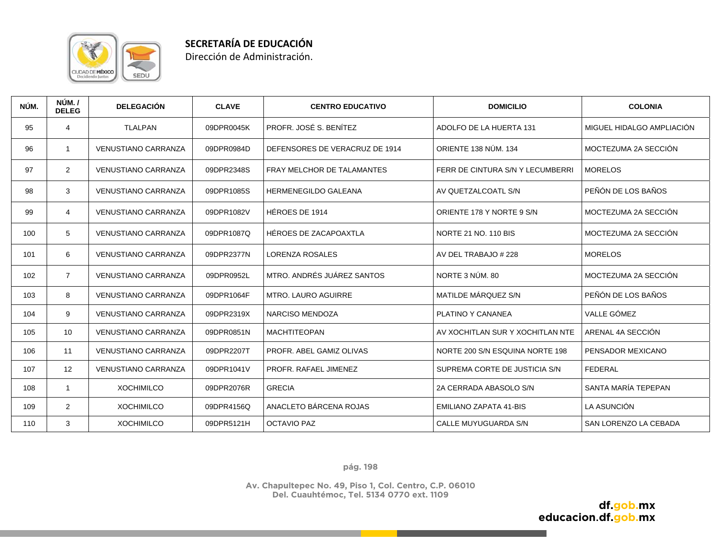

Dirección de Administración.

| NÚM. | NÚM./<br><b>DELEG</b> | <b>DELEGACIÓN</b>          | <b>CLAVE</b> | <b>CENTRO EDUCATIVO</b>        | <b>DOMICILIO</b>                                      | <b>COLONIA</b>       |  |
|------|-----------------------|----------------------------|--------------|--------------------------------|-------------------------------------------------------|----------------------|--|
| 95   | 4                     | <b>TLALPAN</b>             | 09DPR0045K   | PROFR. JOSÉ S. BENÍTEZ         | ADOLFO DE LA HUERTA 131<br>MIGUEL HIDALGO AMPLIACIÓN  |                      |  |
| 96   | $\mathbf{1}$          | <b>VENUSTIANO CARRANZA</b> | 09DPR0984D   | DEFENSORES DE VERACRUZ DE 1914 | ORIENTE 138 NÚM. 134                                  | MOCTEZUMA 2A SECCIÓN |  |
| 97   | $\overline{2}$        | <b>VENUSTIANO CARRANZA</b> | 09DPR2348S   | FRAY MELCHOR DE TALAMANTES     | FERR DE CINTURA S/N Y LECUMBERRI                      | <b>MORELOS</b>       |  |
| 98   | 3                     | <b>VENUSTIANO CARRANZA</b> | 09DPR1085S   | <b>HERMENEGILDO GALEANA</b>    | AV QUETZALCOATL S/N                                   | PEÑÓN DE LOS BAÑOS   |  |
| 99   | 4                     | <b>VENUSTIANO CARRANZA</b> | 09DPR1082V   | HÉROES DE 1914                 | ORIENTE 178 Y NORTE 9 S/N                             | MOCTEZUMA 2A SECCIÓN |  |
| 100  | 5                     | <b>VENUSTIANO CARRANZA</b> | 09DPR1087Q   | HÉROES DE ZACAPOAXTLA          | NORTE 21 NO. 110 BIS                                  | MOCTEZUMA 2A SECCIÓN |  |
| 101  | 6                     | <b>VENUSTIANO CARRANZA</b> | 09DPR2377N   | <b>LORENZA ROSALES</b>         | AV DEL TRABAJO # 228                                  | <b>MORELOS</b>       |  |
| 102  | $\overline{7}$        | <b>VENUSTIANO CARRANZA</b> | 09DPR0952L   | MTRO. ANDRÉS JUÁREZ SANTOS     | NORTE 3 NÚM. 80                                       | MOCTEZUMA 2A SECCIÓN |  |
| 103  | 8                     | <b>VENUSTIANO CARRANZA</b> | 09DPR1064F   | MTRO, LAURO AGUIRRE            | PEÑÓN DE LOS BAÑOS<br>MATILDE MÁRQUEZ S/N             |                      |  |
| 104  | 9                     | <b>VENUSTIANO CARRANZA</b> | 09DPR2319X   | <b>NARCISO MENDOZA</b>         | VALLE GÓMEZ<br>PLATINO Y CANANEA                      |                      |  |
| 105  | 10                    | <b>VENUSTIANO CARRANZA</b> | 09DPR0851N   | <b>MACHTITEOPAN</b>            | AV XOCHITLAN SUR Y XOCHITLAN NTE<br>ARENAL 4A SECCIÓN |                      |  |
| 106  | 11                    | <b>VENUSTIANO CARRANZA</b> | 09DPR2207T   | PROFR. ABEL GAMIZ OLIVAS       | NORTE 200 S/N ESQUINA NORTE 198<br>PENSADOR MEXICANO  |                      |  |
| 107  | 12                    | <b>VENUSTIANO CARRANZA</b> | 09DPR1041V   | PROFR. RAFAEL JIMENEZ          | SUPREMA CORTE DE JUSTICIA S/N<br><b>FEDERAL</b>       |                      |  |
| 108  | $\mathbf{1}$          | <b>XOCHIMILCO</b>          | 09DPR2076R   | <b>GRECIA</b>                  | 2A CERRADA ABASOLO S/N                                | SANTA MARÍA TEPEPAN  |  |
| 109  | $\overline{2}$        | <b>XOCHIMILCO</b>          | 09DPR4156Q   | ANACLETO BÁRCENA ROJAS         | <b>EMILIANO ZAPATA 41-BIS</b>                         | LA ASUNCIÓN          |  |
| 110  | 3                     | <b>XOCHIMILCO</b>          | 09DPR5121H   | <b>OCTAVIO PAZ</b>             | CALLE MUYUGUARDA S/N<br>SAN LORENZO LA CEBADA         |                      |  |

**pág. 198**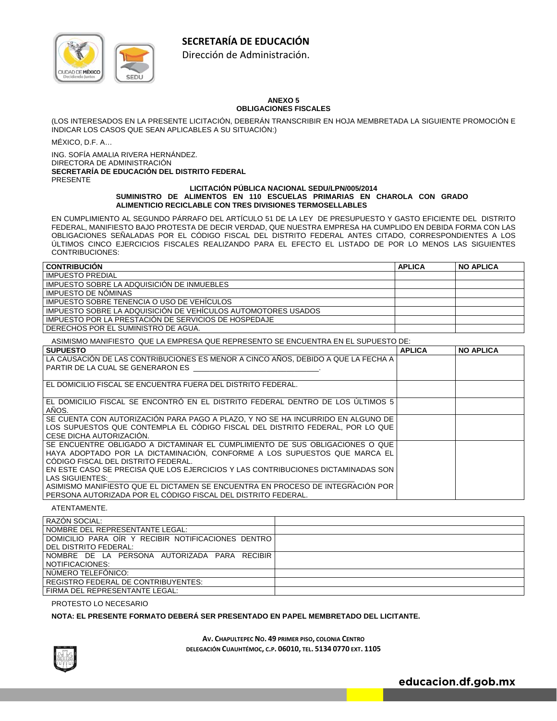

Dirección de Administración.

### **ANEXO 5 OBLIGACIONES FISCALES**

(LOS INTERESADOS EN LA PRESENTE LICITACIÓN, DEBERÁN TRANSCRIBIR EN HOJA MEMBRETADA LA SIGUIENTE PROMOCIÓN E INDICAR LOS CASOS QUE SEAN APLICABLES A SU SITUACIÓN:)

MÉXICO, D.F. A…

ING. SOFÍA AMALIA RIVERA HERNÁNDEZ. DIRECTORA DE ADMINISTRACIÓN **SECRETARÍA DE EDUCACIÓN DEL DISTRITO FEDERAL**  PRESENTE

#### **LICITACIÓN PÚBLICA NACIONAL SEDU/LPN/005/2014 SUMINISTRO DE ALIMENTOS EN 110 ESCUELAS PRIMARIAS EN CHAROLA CON GRADO ALIMENTICIO RECICLABLE CON TRES DIVISIONES TERMOSELLABLES**

EN CUMPLIMIENTO AL SEGUNDO PÁRRAFO DEL ARTÍCULO 51 DE LA LEY DE PRESUPUESTO Y GASTO EFICIENTE DEL DISTRITO FEDERAL, MANIFIESTO BAJO PROTESTA DE DECIR VERDAD, QUE NUESTRA EMPRESA HA CUMPLIDO EN DEBIDA FORMA CON LAS OBLIGACIONES SEÑALADAS POR EL CÓDIGO FISCAL DEL DISTRITO FEDERAL ANTES CITADO, CORRESPONDIENTES A LOS ÚLTIMOS CINCO EJERCICIOS FISCALES REALIZANDO PARA EL EFECTO EL LISTADO DE POR LO MENOS LAS SIGUIENTES CONTRIBUCIONES:

| <b>CONTRIBUCIÓN</b>                                           | <b>APLICA</b> | <b>NO APLICA</b> |
|---------------------------------------------------------------|---------------|------------------|
| IMPUESTO PREDIAL                                              |               |                  |
| IMPUESTO SOBRE LA ADQUISICIÓN DE INMUEBLES                    |               |                  |
| IMPUESTO DE NÓMINAS                                           |               |                  |
| IMPUESTO SOBRE TENENCIA O USO DE VEHÍCULOS                    |               |                  |
| IMPUESTO SOBRE LA ADQUISICIÓN DE VEHÍCULOS AUTOMOTORES USADOS |               |                  |
| IMPUESTO POR LA PRESTACIÓN DE SERVICIOS DE HOSPEDAJE          |               |                  |
| DERECHOS POR EL SUMINISTRO DE AGUA.                           |               |                  |

ASIMISMO MANIFIESTO QUE LA EMPRESA QUE REPRESENTO SE ENCUENTRA EN EL SUPUESTO DE:

| <b>SUPUESTO</b>                                                                   | <b>APLICA</b> | <b>NO APLICA</b> |
|-----------------------------------------------------------------------------------|---------------|------------------|
| LA CAUSACIÓN DE LAS CONTRIBUCIONES ES MENOR A CINCO AÑOS, DEBIDO A QUE LA FECHA A |               |                  |
| PARTIR DE LA CUAL SE GENERARON ES                                                 |               |                  |
|                                                                                   |               |                  |
| l EL DOMICILIO FISCAL SE ENCUENTRA FUERA DEL DISTRITO FEDERAL.                    |               |                  |
|                                                                                   |               |                  |
| EL DOMICILIO FISCAL SE ENCONTRÓ EN EL DISTRITO FEDERAL DENTRO DE LOS ULTIMOS 5    |               |                  |
| AÑOS.                                                                             |               |                  |
| SE CUENTA CON AUTORIZACIÓN PARA PAGO A PLAZO. Y NO SE HA INCURRIDO EN ALGUNO DE   |               |                  |
| LOS SUPUESTOS QUE CONTEMPLA EL CÓDIGO FISCAL DEL DISTRITO FEDERAL. POR LO QUE     |               |                  |
| CESE DICHA AUTORIZACIÓN.                                                          |               |                  |
| I SE ENCUENTRE OBLIGADO A DICTAMINAR EL CUMPLIMIENTO DE SUS OBLIGACIONES O QUE    |               |                  |
| HAYA ADOPTADO POR LA DICTAMINACIÓN. CONFORME A LOS SUPUESTOS QUE MARCA EL         |               |                  |
| CÓDIGO FISCAL DEL DISTRITO FEDERAL.                                               |               |                  |
| EN ESTE CASO SE PRECISA QUE LOS EJERCICIOS Y LAS CONTRIBUCIONES DICTAMINADAS SON  |               |                  |
| LAS SIGUIENTES:                                                                   |               |                  |
| ASIMISMO MANIFIESTO QUE EL DICTAMEN SE ENCUENTRA EN PROCESO DE INTEGRACIÓN POR    |               |                  |
| l PERSONA AUTORIZADA POR EL CÓDIGO FISCAL DEL DISTRITO FEDERAL.                   |               |                  |

ATENTAMENTE.

| RAZON SOCIAL:                                      |  |
|----------------------------------------------------|--|
| NOMBRE DEL REPRESENTANTE LEGAL:                    |  |
| DOMICILIO PARA OIR Y RECIBIR NOTIFICACIONES DENTRO |  |
| DEL DISTRITO FEDERAL:                              |  |
| NOMBRE DE LA PERSONA AUTORIZADA PARA RECIBIR       |  |
| NOTIFICACIONES:                                    |  |
| NÚMERO TELEFÓNICO:                                 |  |
| <b>REGISTRO FEDERAL DE CONTRIBUYENTES:</b>         |  |
| FIRMA DEL REPRESENTANTE LEGAL:                     |  |

### PROTESTO LO NECESARIO

**NOTA: EL PRESENTE FORMATO DEBERÁ SER PRESENTADO EN PAPEL MEMBRETADO DEL LICITANTE.** 



**AV. CHAPULTEPEC NO. 49 PRIMER PISO, COLONIA CENTRO DELEGACIÓN CUAUHTÉMOC, C.P. 06010, TEL. 5134 0770 EXT. 1105**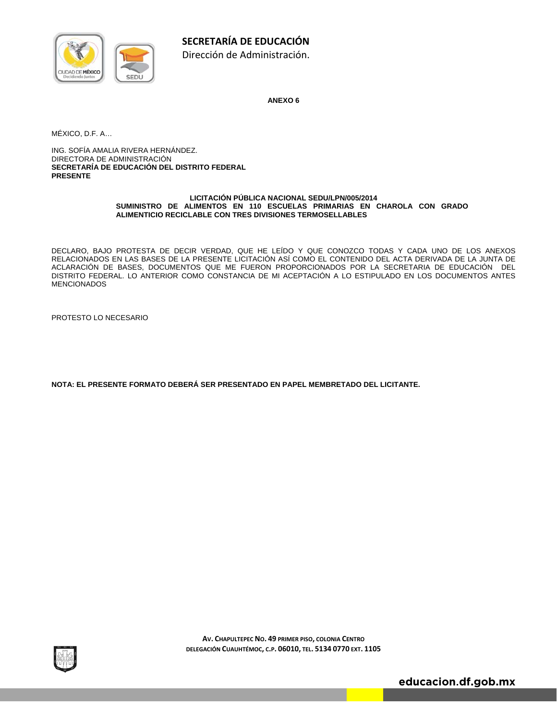

**ANEXO 6** 

MÉXICO, D.F. A…

ING. SOFÍA AMALIA RIVERA HERNÁNDEZ. DIRECTORA DE ADMINISTRACIÓN **SECRETARÍA DE EDUCACIÓN DEL DISTRITO FEDERAL PRESENTE**

#### **LICITACIÓN PÚBLICA NACIONAL SEDU/LPN/005/2014 SUMINISTRO DE ALIMENTOS EN 110 ESCUELAS PRIMARIAS EN CHAROLA CON GRADO ALIMENTICIO RECICLABLE CON TRES DIVISIONES TERMOSELLABLES**

DECLARO, BAJO PROTESTA DE DECIR VERDAD, QUE HE LEÍDO Y QUE CONOZCO TODAS Y CADA UNO DE LOS ANEXOS RELACIONADOS EN LAS BASES DE LA PRESENTE LICITACIÓN ASÍ COMO EL CONTENIDO DEL ACTA DERIVADA DE LA JUNTA DE ACLARACIÓN DE BASES, DOCUMENTOS QUE ME FUERON PROPORCIONADOS POR LA SECRETARIA DE EDUCACIÓN DEL DISTRITO FEDERAL. LO ANTERIOR COMO CONSTANCIA DE MI ACEPTACIÓN A LO ESTIPULADO EN LOS DOCUMENTOS ANTES **MENCIONADOS** 

PROTESTO LO NECESARIO

**NOTA: EL PRESENTE FORMATO DEBERÁ SER PRESENTADO EN PAPEL MEMBRETADO DEL LICITANTE.** 

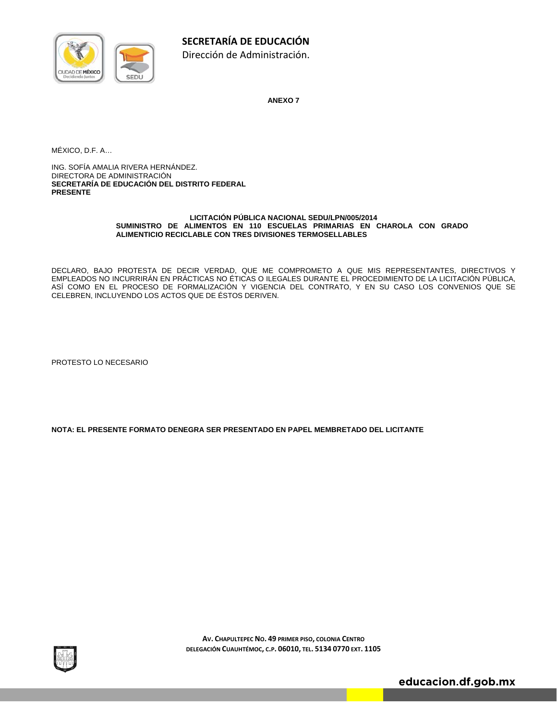

**ANEXO 7** 

MÉXICO, D.F. A…

ING. SOFÍA AMALIA RIVERA HERNÁNDEZ. DIRECTORA DE ADMINISTRACIÓN **SECRETARÍA DE EDUCACIÓN DEL DISTRITO FEDERAL PRESENTE** 

#### **LICITACIÓN PÚBLICA NACIONAL SEDU/LPN/005/2014 SUMINISTRO DE ALIMENTOS EN 110 ESCUELAS PRIMARIAS EN CHAROLA CON GRADO ALIMENTICIO RECICLABLE CON TRES DIVISIONES TERMOSELLABLES**

DECLARO, BAJO PROTESTA DE DECIR VERDAD, QUE ME COMPROMETO A QUE MIS REPRESENTANTES, DIRECTIVOS Y EMPLEADOS NO INCURRIRÁN EN PRÁCTICAS NO ÉTICAS O ILEGALES DURANTE EL PROCEDIMIENTO DE LA LICITACIÓN PÚBLICA, ASÍ COMO EN EL PROCESO DE FORMALIZACIÓN Y VIGENCIA DEL CONTRATO, Y EN SU CASO LOS CONVENIOS QUE SE CELEBREN, INCLUYENDO LOS ACTOS QUE DE ÉSTOS DERIVEN.

PROTESTO LO NECESARIO

**NOTA: EL PRESENTE FORMATO DENEGRA SER PRESENTADO EN PAPEL MEMBRETADO DEL LICITANTE** 



**AV. CHAPULTEPEC NO. 49 PRIMER PISO, COLONIA CENTRO DELEGACIÓN CUAUHTÉMOC, C.P. 06010, TEL. 5134 0770 EXT. 1105**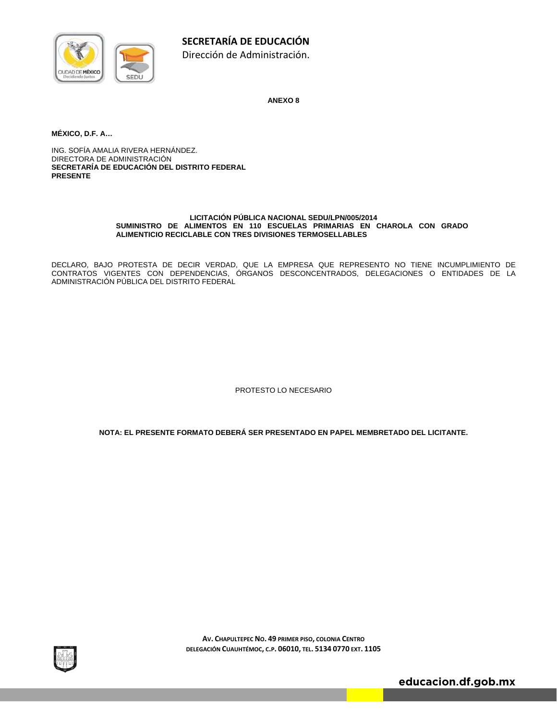

**ANEXO 8** 

**MÉXICO, D.F. A…** 

ING. SOFÍA AMALIA RIVERA HERNÁNDEZ. DIRECTORA DE ADMINISTRACIÓN **SECRETARÍA DE EDUCACIÓN DEL DISTRITO FEDERAL PRESENTE** 

#### **LICITACIÓN PÚBLICA NACIONAL SEDU/LPN/005/2014 SUMINISTRO DE ALIMENTOS EN 110 ESCUELAS PRIMARIAS EN CHAROLA CON GRADO ALIMENTICIO RECICLABLE CON TRES DIVISIONES TERMOSELLABLES**

DECLARO, BAJO PROTESTA DE DECIR VERDAD, QUE LA EMPRESA QUE REPRESENTO NO TIENE INCUMPLIMIENTO DE CONTRATOS VIGENTES CON DEPENDENCIAS, ÓRGANOS DESCONCENTRADOS, DELEGACIONES O ENTIDADES DE LA ADMINISTRACIÓN PÚBLICA DEL DISTRITO FEDERAL

PROTESTO LO NECESARIO

**NOTA: EL PRESENTE FORMATO DEBERÁ SER PRESENTADO EN PAPEL MEMBRETADO DEL LICITANTE.** 



**AV. CHAPULTEPEC NO. 49 PRIMER PISO, COLONIA CENTRO DELEGACIÓN CUAUHTÉMOC, C.P. 06010, TEL. 5134 0770 EXT. 1105**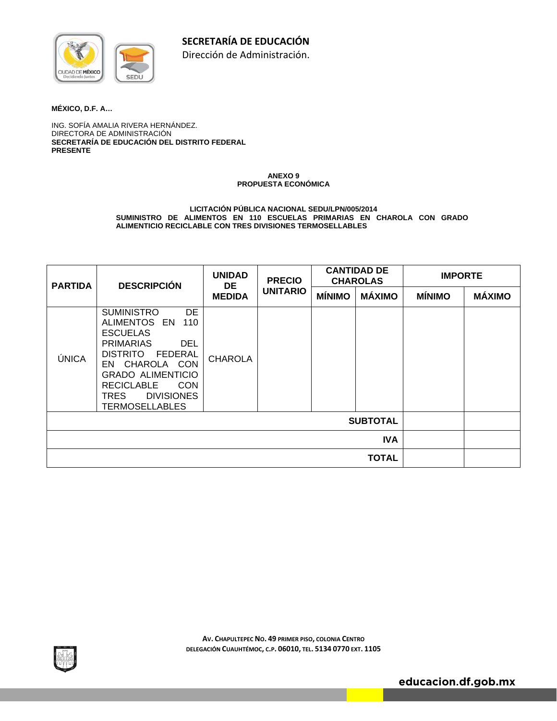

**MÉXICO, D.F. A…** 

ING. SOFÍA AMALIA RIVERA HERNÁNDEZ. DIRECTORA DE ADMINISTRACIÓN **SECRETARÍA DE EDUCACIÓN DEL DISTRITO FEDERAL PRESENTE** 

### **ANEXO 9 PROPUESTA ECONÓMICA**

#### **LICITACIÓN PÚBLICA NACIONAL SEDU/LPN/005/2014 SUMINISTRO DE ALIMENTOS EN 110 ESCUELAS PRIMARIAS EN CHAROLA CON GRADO ALIMENTICIO RECICLABLE CON TRES DIVISIONES TERMOSELLABLES**

| <b>PARTIDA</b> | <b>DESCRIPCIÓN</b>                                                                                                                                                                                                                                                    | <b>UNIDAD</b>  | <b>PRECIO</b><br>DE<br><b>UNITARIO</b><br><b>MEDIDA</b> | <b>CANTIDAD DE</b><br><b>CHAROLAS</b> |                 | <b>IMPORTE</b> |               |
|----------------|-----------------------------------------------------------------------------------------------------------------------------------------------------------------------------------------------------------------------------------------------------------------------|----------------|---------------------------------------------------------|---------------------------------------|-----------------|----------------|---------------|
|                |                                                                                                                                                                                                                                                                       |                |                                                         | <b>MÍNIMO</b>                         | <b>MÁXIMO</b>   | <b>MÍNIMO</b>  | <b>MÁXIMO</b> |
| ÚNICA          | <b>DE</b><br><b>SUMINISTRO</b><br>ALIMENTOS EN<br>110<br><b>ESCUELAS</b><br><b>DEL</b><br><b>PRIMARIAS</b><br>DISTRITO FEDERAL<br>EN CHAROLA CON<br><b>GRADO ALIMENTICIO</b><br><b>RECICLABLE</b><br><b>CON</b><br><b>DIVISIONES</b><br>TRES<br><b>TERMOSELLABLES</b> | <b>CHAROLA</b> |                                                         |                                       |                 |                |               |
|                |                                                                                                                                                                                                                                                                       |                |                                                         |                                       | <b>SUBTOTAL</b> |                |               |
|                |                                                                                                                                                                                                                                                                       |                |                                                         |                                       | <b>IVA</b>      |                |               |
|                |                                                                                                                                                                                                                                                                       |                |                                                         |                                       | <b>TOTAL</b>    |                |               |

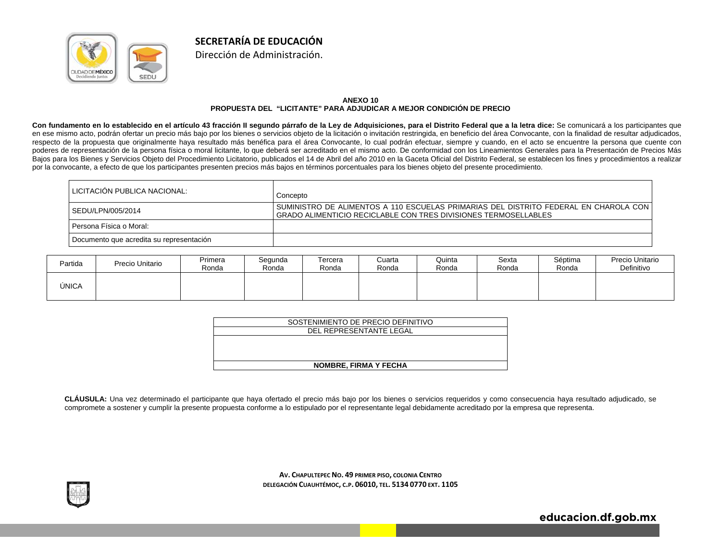

#### **ANEXO 10 PROPUESTA DEL "LICITANTE" PARA ADJUDICAR A MEJOR CONDICIÓN DE PRECIO**

**SECRETARÍA DE EDUCACIÓN**Dirección de Administración.

**Con fundamento en lo establecido en el artículo 43 fracción II segundo párrafo de la Ley de Adquisiciones, para el Distrito Federal que a la letra dice:** Se comunicará a los participantes que en ese mismo acto, podrán ofertar un precio más bajo por los bienes o servicios objeto de la licitación o invitación restringida, en beneficio del área Convocante, con la finalidad de resultar adjudicados, respecto de la propuesta que originalmente haya resultado más benéfica para el área Convocante, lo cual podrán efectuar, siempre y cuando, en el acto se encuentre la persona que cuente con poderes de representación de la persona física o moral licitante, lo que deberá ser acreditado en el mismo acto. De conformidad con los Lineamientos Generales para la Presentación de Precios Más Bajos para los Bienes y Servicios Objeto del Procedimiento Licitatorio, publicados el 14 de Abril del año 2010 en la Gaceta Oficial del Distrito Federal, se establecen los fines y procedimientos a realizar por la convocante, a efecto de que los participantes presenten precios más bajos en términos porcentuales para los bienes objeto del presente procedimiento.

| LICITACION PUBLICA NACIONAL:             | Concepto                                                                                                                                                |
|------------------------------------------|---------------------------------------------------------------------------------------------------------------------------------------------------------|
| SEDU/LPN/005/2014                        | SUMINISTRO DE ALIMENTOS A 110 ESCUELAS PRIMARIAS DEL DISTRITO FEDERAL EN CHAROLA CON<br>GRADO ALIMENTICIO RECICLABLE CON TRES DIVISIONES TERMOSELLABLES |
| Persona Física o Moral:                  |                                                                                                                                                         |
| Documento que acredita su representación |                                                                                                                                                         |

| Partida | Precio Unitario | Primera<br>Ronda | Segunda<br>Ronda | Fercera<br>Ronda | Cuarta<br>Ronda | Quinta<br>Ronda | Sexta<br>Ronda | Séptima<br>Ronda | Precio Unitario<br>Definitivo |
|---------|-----------------|------------------|------------------|------------------|-----------------|-----------------|----------------|------------------|-------------------------------|
| ÚNICA   |                 |                  |                  |                  |                 |                 |                |                  |                               |

| SOSTENIMIENTO DE PRECIO DEFINITIVO |
|------------------------------------|
| DEL REPRESENTANTE LEGAL            |
|                                    |
|                                    |
|                                    |
| <b>NOMBRE, FIRMA Y FECHA</b>       |

**CLÁUSULA:** Una vez determinado el participante que haya ofertado el precio más bajo por los bienes o servicios requeridos y como consecuencia haya resultado adjudicado, se compromete a sostener y cumplir la presente propuesta conforme a lo estipulado por el representante legal debidamente acreditado por la empresa que representa.



**AV. CHAPULTEPEC NO. 49 PRIMER PISO, COLONIA CENTRO DELEGACIÓN CUAUHTÉMOC, C.P. 06010, TEL. 5134 0770 EXT. 1105**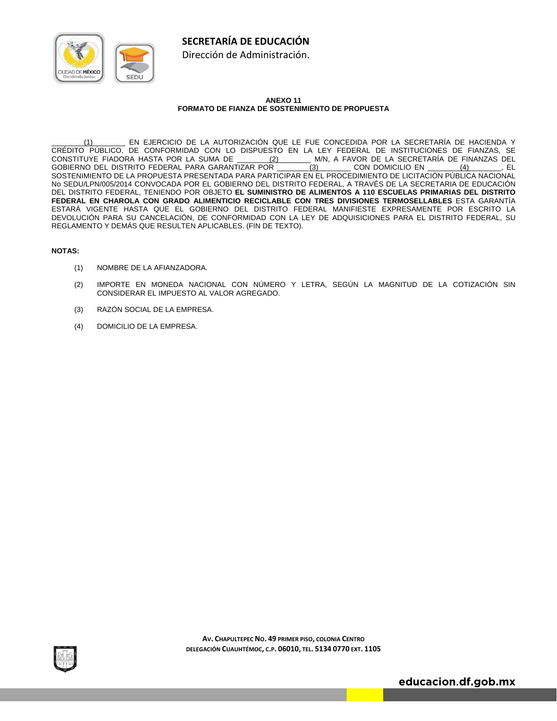

AD DE MÉXICO **SEDI** 

Dirección de Administración.

### **ANEXO 11 FORMATO DE FIANZA DE SOSTENIMIENTO DE PROPUESTA**

\_\_\_\_\_\_\_\_(1)\_\_\_\_\_\_\_\_ EN EJERCICIO DE LA AUTORIZACIÓN QUE LE FUE CONCEDIDA POR LA SECRETARÍA DE HACIENDA Y CRÉDITO PÚBLICO, DE CONFORMIDAD CON LO DISPUESTO EN LA LEY FEDERAL DE INSTITUCIONES DE FIANZAS, SE<br>CONSTITUYE FIADORA HASTA POR LA SUMA DE \_\_\_\_\_\_(2)\_\_\_\_\_\_\_ M/N, A FAVOR DE LA SECRETARÍA DE FINANZAS DEL M/N, A FAVOR DE LA SECRETARÍA DE FINANZAS DEL GOBIERNO DEL DISTRITO FEDERAL PARA GARANTIZAR POR \_\_\_\_\_\_\_\_(3)\_\_\_\_\_\_\_\_ CON DOMICILIO EN \_\_\_\_\_\_\_\_(4)\_\_\_\_\_\_\_\_, EL SOSTENIMIENTO DE LA PROPUESTA PRESENTADA PARA PARTICIPAR EN EL PROCEDIMIENTO DE LICITACIÓN PÚBLICA NACIONAL No SEDU/LPN/005/2014 CONVOCADA POR EL GOBIERNO DEL DISTRITO FEDERAL, A TRAVÉS DE LA SECRETARIA DE EDUCACIÓN DEL DISTRITO FEDERAL, TENIENDO POR OBJETO **EL SUMINISTRO DE ALIMENTOS A 110 ESCUELAS PRIMARIAS DEL DISTRITO FEDERAL EN CHAROLA CON GRADO ALIMENTICIO RECICLABLE CON TRES DIVISIONES TERMOSELLABLES** ESTA GARANTÍA ESTARÁ VIGENTE HASTA QUE EL GOBIERNO DEL DISTRITO FEDERAL MANIFIESTE EXPRESAMENTE POR ESCRITO LA DEVOLUCIÓN PARA SU CANCELACIÓN, DE CONFORMIDAD CON LA LEY DE ADQUISICIONES PARA EL DISTRITO FEDERAL, SU REGLAMENTO Y DEMÁS QUE RESULTEN APLICABLES. (FIN DE TEXTO).

#### **NOTAS:**

- (1) NOMBRE DE LA AFIANZADORA.
- (2) IMPORTE EN MONEDA NACIONAL CON NÚMERO Y LETRA, SEGÚN LA MAGNITUD DE LA COTIZACIÓN SIN CONSIDERAR EL IMPUESTO AL VALOR AGREGADO.
- (3) RAZÓN SOCIAL DE LA EMPRESA.
- (4) DOMICILIO DE LA EMPRESA.